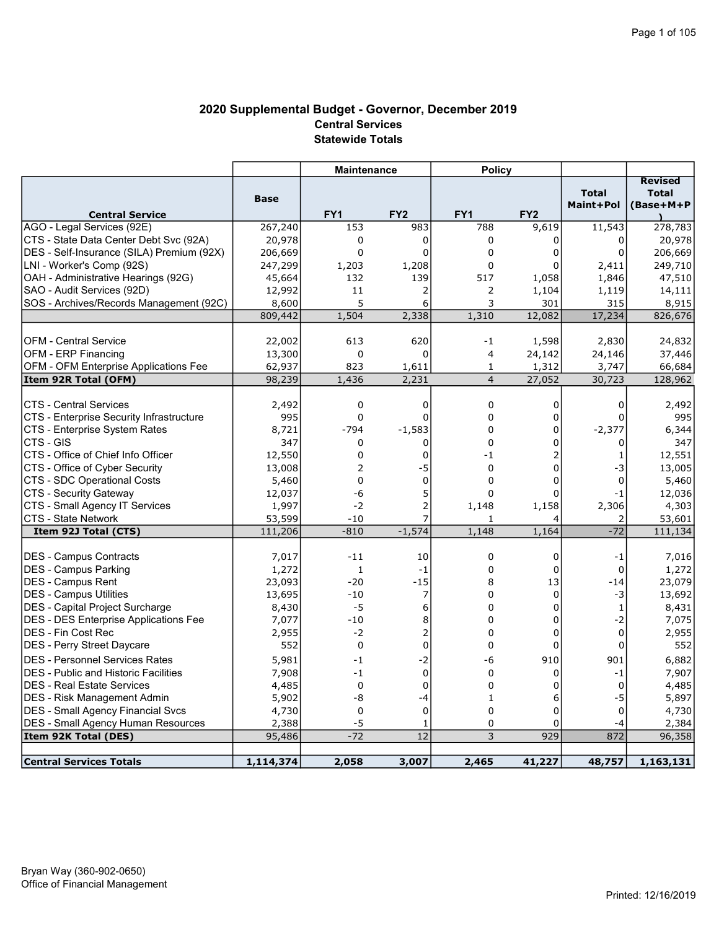#### 2020 Supplemental Budget - Governor, December 2019 Central Services Statewide Totals

|                                              |             | <b>Maintenance</b> |                 | <b>Policy</b>   |                 |                |                 |
|----------------------------------------------|-------------|--------------------|-----------------|-----------------|-----------------|----------------|-----------------|
|                                              |             |                    |                 |                 |                 |                | <b>Revised</b>  |
|                                              | <b>Base</b> |                    |                 |                 |                 | <b>Total</b>   | <b>Total</b>    |
| <b>Central Service</b>                       |             | FY1                | FY <sub>2</sub> | FY <sub>1</sub> | FY <sub>2</sub> | Maint+Pol      | (Base+M+P       |
| AGO - Legal Services (92E)                   | 267,240     | 153                | 983             | 788             | 9,619           | 11,543         | 278,783         |
| CTS - State Data Center Debt Svc (92A)       | 20,978      | 0                  | 0               | 0               | 0               | 0              | 20,978          |
| DES - Self-Insurance (SILA) Premium (92X)    | 206,669     | 0                  | 0               | 0               | 0               | $\mathbf 0$    | 206,669         |
| LNI - Worker's Comp (92S)                    | 247,299     | 1,203              | 1,208           | 0               | 0               | 2,411          | 249,710         |
| OAH - Administrative Hearings (92G)          | 45,664      | 132                | 139             | 517             | 1,058           | 1,846          | 47,510          |
| SAO - Audit Services (92D)                   | 12,992      | 11                 | 2               | 2               | 1,104           | 1,119          | 14,111          |
| SOS - Archives/Records Management (92C)      | 8,600       | 5                  | 6               | 3               | 301             | 315            | 8,915           |
|                                              | 809,442     | 1,504              | 2,338           | 1,310           | 12,082          | 17,234         | 826,676         |
|                                              |             |                    |                 |                 |                 |                |                 |
| <b>OFM - Central Service</b>                 | 22,002      | 613                | 620             | $-1$            | 1,598           | 2,830          | 24,832          |
| <b>OFM - ERP Financing</b>                   | 13,300      | 0                  | 0               | 4               | 24,142          | 24,146         | 37,446          |
| OFM - OFM Enterprise Applications Fee        | 62,937      | 823                | 1,611           | $\mathbf{1}$    | 1,312           | 3,747          | 66,684          |
| Item 92R Total (OFM)                         | 98,239      | 1,436              | 2,231           | $\overline{4}$  | 27,052          | 30,723         | 128,962         |
|                                              |             |                    |                 |                 |                 |                |                 |
| <b>CTS - Central Services</b>                | 2,492       | 0                  | 0               | 0               | $\Omega$        | $\mathbf 0$    | 2,492           |
| CTS - Enterprise Security Infrastructure     | 995         | $\Omega$           | 0               | 0               | 0               | $\Omega$       | 995             |
| CTS - Enterprise System Rates                | 8,721       | $-794$             | $-1,583$        | 0               | 0               | $-2,377$       | 6,344           |
| CTS - GIS                                    | 347         | 0                  | 0               | 0               | 0               | 0              | 347             |
| CTS - Office of Chief Info Officer           | 12,550      | $\Omega$           | 0               | $-1$            | 2               | 1              | 12,551          |
| CTS - Office of Cyber Security               | 13,008      | 2                  | -5              | $\overline{0}$  | 0               | -3             | 13,005          |
| CTS - SDC Operational Costs                  | 5,460       | 0                  | 0               | 0               | 0               | $\mathbf 0$    | 5,460           |
| CTS - Security Gateway                       | 12,037      | -6                 | 5               | 0               | 0               | $-1$           | 12,036          |
| CTS - Small Agency IT Services               | 1,997       | $-2$               | 2               | 1,148           | 1,158           | 2,306          | 4,303           |
| <b>CTS - State Network</b>                   | 53,599      | $-10$              | 7               | 1               | 4               | $\overline{2}$ | 53,601          |
| Item 92J Total (CTS)                         | 111,206     | $-810$             | $-1,574$        | 1,148           | 1,164           | $-72$          | 111,134         |
| <b>DES - Campus Contracts</b>                | 7,017       | $-11$              | 10              | 0               | 0               | $-1$           | 7,016           |
| DES - Campus Parking                         | 1,272       | $\mathbf{1}$       | $-1$            | 0               | 0               | $\mathbf 0$    | 1,272           |
| <b>DES - Campus Rent</b>                     | 23,093      | $-20$              | $-15$           | 8               | 13              | $-14$          | 23,079          |
| <b>DES - Campus Utilities</b>                | 13,695      | $-10$              | 7               | 0               | 0               | -3             | 13,692          |
| DES - Capital Project Surcharge              | 8,430       | $-5$               | 6               | 0               | 0               | $1\,$          | 8,431           |
| <b>DES - DES Enterprise Applications Fee</b> | 7,077       | $-10$              | 8               | 0               | 0               | $-2$           | 7,075           |
| <b>DES - Fin Cost Rec</b>                    | 2,955       | $-2$               | 2               | 0               | 0               | 0              | 2,955           |
| DES - Perry Street Daycare                   | 552         | 0                  | 0               | 0               | 0               | $\mathbf 0$    | 552             |
| <b>DES - Personnel Services Rates</b>        | 5,981       | $-1$               | -2              | -6              | 910             | 901            | 6,882           |
| <b>DES</b> - Public and Historic Facilities  | 7,908       | $-1$               | $\pmb{0}$       | 0               | 0               | $-1$           | 7,907           |
| <b>DES - Real Estate Services</b>            | 4,485       | 0                  | 0               | 0               | $\Omega$        | 0              | 4,485           |
| <b>DES - Risk Management Admin</b>           | 5,902       | -8                 | -4              | $\mathbf{1}$    | 6               | $-5$           | 5,897           |
| <b>DES - Small Agency Financial Svcs</b>     | 4,730       | 0                  | 0               | 0               | 0               | $\mathbf 0$    | 4,730           |
| <b>DES - Small Agency Human Resources</b>    | 2,388       | $-5$               | 1               | 0               | 0               | $-4$           |                 |
| Item 92K Total (DES)                         | 95,486      | $-72$              | 12              | 3               | 929             | 872            | 2,384<br>96,358 |
|                                              |             |                    |                 |                 |                 |                |                 |
| Central Services Totals                      | 1,114,374   | 2,058              | 3,007           | 2,465           | 41,227          | 48,757         | 1,163,131       |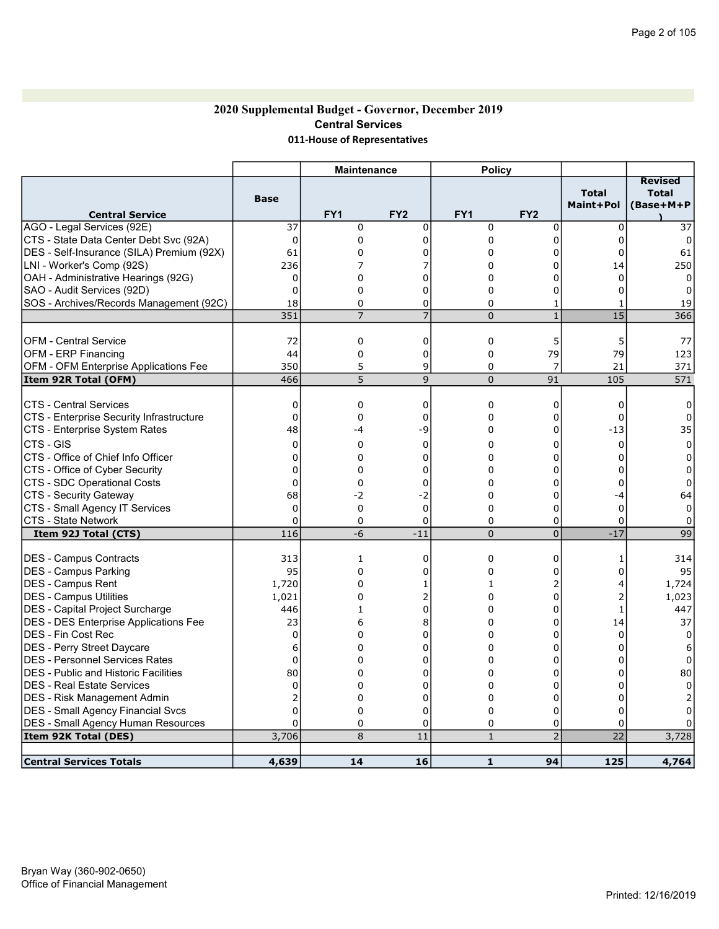### 2020 Supplemental Budget - Governor, December 2019 Central Services 011-House of Representatives

|                                                                                        |                      | <b>Maintenance</b>          |                 | <b>Policy</b>   |                     |                           |                                             |
|----------------------------------------------------------------------------------------|----------------------|-----------------------------|-----------------|-----------------|---------------------|---------------------------|---------------------------------------------|
| <b>Central Service</b>                                                                 | <b>Base</b>          | FY <sub>1</sub>             | FY <sub>2</sub> | FY <sub>1</sub> | FY <sub>2</sub>     | <b>Total</b><br>Maint+Pol | <b>Revised</b><br><b>Total</b><br>(Base+M+P |
| AGO - Legal Services (92E)                                                             | 37                   | 0                           | 0               | 0               | 0                   | $\mathbf 0$               | 37                                          |
| CTS - State Data Center Debt Svc (92A)                                                 | 0                    | 0                           | 0               | 0               | 0                   | 0                         | $\Omega$                                    |
| DES - Self-Insurance (SILA) Premium (92X)                                              | 61                   | 0                           | 0               | 0               | 0                   | $\mathbf 0$               | 61                                          |
| LNI - Worker's Comp (92S)                                                              | 236                  | 7                           |                 | 0               | 0                   | 14                        | 250                                         |
| OAH - Administrative Hearings (92G)                                                    | 0                    | 0                           | $\Omega$        | 0               | $\mathbf 0$         | $\Omega$                  | $\Omega$                                    |
| SAO - Audit Services (92D)                                                             | $\Omega$             | 0                           | $\Omega$        | 0               | 0                   | 0                         | $\Omega$                                    |
| SOS - Archives/Records Management (92C)                                                | 18                   | 0                           | $\mathbf 0$     | 0               | 1                   |                           | 19                                          |
|                                                                                        | 351                  | $\overline{7}$              | $\overline{7}$  | $\overline{0}$  | $\mathbf{1}$        | 15                        | 366                                         |
|                                                                                        |                      |                             |                 |                 |                     |                           |                                             |
| <b>OFM - Central Service</b>                                                           | 72                   | 0                           | 0               | 0               | 5                   | 5                         | 77                                          |
| <b>OFM - ERP Financing</b>                                                             | 44                   | 0                           | 0               | 0               | 79                  | 79                        | 123                                         |
| <b>OFM - OFM Enterprise Applications Fee</b>                                           | 350                  | 5                           | 9               | 0               | 7                   | 21                        | 371                                         |
| Item 92R Total (OFM)                                                                   | 466                  | 5                           | 9               | 0               | 91                  | 105                       | 571                                         |
| <b>CTS - Central Services</b>                                                          | 0                    | $\mathbf 0$                 | 0               | 0               | 0                   | $\mathbf 0$               | $\Omega$                                    |
| CTS - Enterprise Security Infrastructure                                               | $\Omega$             | $\Omega$                    | $\Omega$        | 0               | 0                   | 0                         | $\Omega$                                    |
| CTS - Enterprise System Rates                                                          | 48                   | -4                          | -9              | 0               | 0                   | $-13$                     | 35                                          |
| CTS - GIS                                                                              | $\mathbf 0$          | 0                           | 0               | 0               | 0                   | $\mathbf 0$               | $\Omega$                                    |
| CTS - Office of Chief Info Officer                                                     | 0                    | 0                           | 0               | 0               | $\Omega$            | 0                         | 0                                           |
| CTS - Office of Cyber Security                                                         | 0                    | $\Omega$                    | 0               | 0               | 0                   | 0                         | 0                                           |
| CTS - SDC Operational Costs                                                            | $\mathbf 0$          | 0                           | 0               | 0               | $\overline{0}$      | 0                         | 0                                           |
| CTS - Security Gateway                                                                 | 68                   | -2                          | -2              | 0               | 0                   | $-4$                      | 64                                          |
| CTS - Small Agency IT Services                                                         | $\Omega$             | 0                           | 0               | 0               | 0                   | $\mathbf 0$               | $\Omega$                                    |
| CTS - State Network                                                                    | $\Omega$             | 0                           | 0               | 0               | 0                   | $\mathbf 0$               | 0                                           |
| Item 92J Total (CTS)                                                                   | 116                  | $-6$                        | $-11$           | 0               | $\overline{0}$      | $-17$                     | 99                                          |
|                                                                                        |                      |                             |                 |                 |                     |                           |                                             |
| <b>IDES - Campus Contracts</b>                                                         | 313                  | $\mathbf{1}$<br>$\mathbf 0$ | $\mathbf 0$     | 0<br>0          | 0<br>$\Omega$       | 1<br>$\Omega$             | 314                                         |
| <b>DES - Campus Parking</b>                                                            | 95                   |                             | $\Omega$        |                 |                     |                           | 95                                          |
| DES - Campus Rent                                                                      | 1,720                | 0                           | 1               | $\mathbf{1}$    | $\overline{2}$<br>0 | 4                         | 1,724                                       |
| DES - Campus Utilities                                                                 | 1,021                | 0                           | 2<br>$\Omega$   | 0<br>0          | $\mathbf 0$         | 2                         | 1,023                                       |
| <b>DES</b> - Capital Project Surcharge<br><b>DES - DES Enterprise Applications Fee</b> | 446<br>23            | $\mathbf{1}$<br>6           | 8               | 0               | 0                   | 1<br>14                   | 447<br>37                                   |
| <b>IDES - Fin Cost Rec</b>                                                             | 0                    | 0                           | $\Omega$        | 0               | 0                   | $\Omega$                  | $\Omega$                                    |
|                                                                                        | 6                    | 0                           | 0               | 0               | 0                   | $\Omega$                  |                                             |
| DES - Perry Street Daycare<br>IDES - Personnel Services Rates                          |                      | 0                           | $\Omega$        |                 | 0                   | U                         | 6<br>$\Omega$                               |
|                                                                                        | 0                    | 0                           |                 | 0<br>0          | $\Omega$            |                           |                                             |
| <b>DES</b> - Public and Historic Facilities                                            | 80                   | $\mathbf 0$                 | 0               | 0               | $\Omega$            | 0<br>$\Omega$             | 80                                          |
| <b>IDES - Real Estate Services</b>                                                     | $\Omega$             |                             | $\Omega$        |                 |                     |                           | $\Omega$                                    |
| <b>DES</b> - Risk Management Admin                                                     | 2                    | 0                           | 0               | 0               | 0                   | 0                         |                                             |
| <b>DES - Small Agency Financial Svcs</b>                                               | $\Omega$<br>$\Omega$ | 0<br>$\mathbf 0$            | 0<br>0          | 0<br>0          | 0<br>0              | 0<br>$\mathbf 0$          | n                                           |
| <b>DES - Small Agency Human Resources</b>                                              |                      | 8                           | 11              | $\mathbf{1}$    | $\overline{2}$      | 22                        |                                             |
| Item 92K Total (DES)                                                                   | 3,706                |                             |                 |                 |                     |                           | 3,728                                       |
| <b>Central Services Totals</b>                                                         | 4,639                | 14                          | 16              | $\mathbf{1}$    | 94                  | 125                       | 4,764                                       |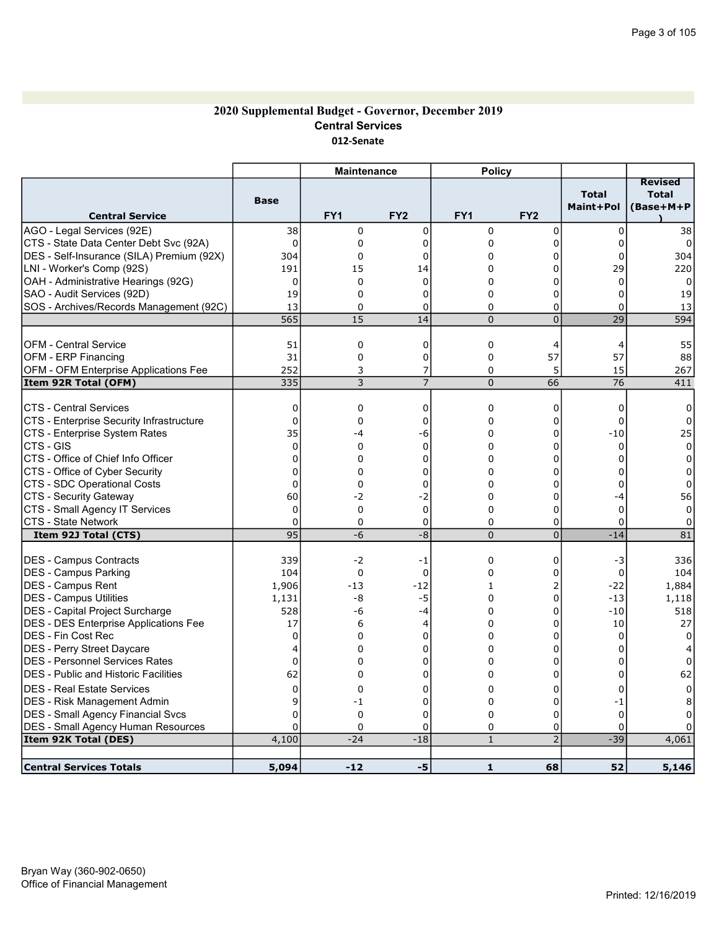#### 2020 Supplemental Budget - Governor, December 2019 Central Services 012-Senate

|                                                               |             | <b>Maintenance</b>  |                     | <b>Policy</b>       |                 |                           |                                             |
|---------------------------------------------------------------|-------------|---------------------|---------------------|---------------------|-----------------|---------------------------|---------------------------------------------|
| <b>Central Service</b>                                        | <b>Base</b> | FY1                 | FY <sub>2</sub>     | FY1                 | FY <sub>2</sub> | <b>Total</b><br>Maint+Pol | <b>Revised</b><br><b>Total</b><br>(Base+M+P |
| AGO - Legal Services (92E)                                    | 38          | 0                   | $\mathbf 0$         | 0                   | 0               | $\Omega$                  | 38                                          |
| CTS - State Data Center Debt Svc (92A)                        | $\Omega$    | $\mathbf 0$         | $\Omega$            | 0                   | $\mathbf 0$     | $\Omega$                  | $\Omega$                                    |
| (DES - Self-Insurance (SILA) Premium (92X)                    | 304         | $\mathbf 0$         | 0                   | 0                   | 0               | 0                         | 304                                         |
| LNI - Worker's Comp (92S)                                     | 191         | 15                  | 14                  | 0                   | 0               | 29                        | 220                                         |
| OAH - Administrative Hearings (92G)                           | $\mathbf 0$ | $\mathbf 0$         | $\Omega$            | 0                   | $\overline{0}$  | $\Omega$                  | $\Omega$                                    |
| SAO - Audit Services (92D)                                    | 19          | $\Omega$            | 0                   | 0                   | 0               | 0                         | 19                                          |
| SOS - Archives/Records Management (92C)                       | 13          | $\mathbf 0$         | $\mathbf 0$         | 0                   | 0               | $\Omega$                  | 13                                          |
|                                                               | 565         | 15                  | 14                  | 0                   | $\overline{0}$  | 29                        | 594                                         |
|                                                               |             |                     |                     |                     |                 |                           |                                             |
| IOFM - Central Service                                        | 51          | $\mathbf 0$         | 0                   | 0                   | 4               | 4                         | 55                                          |
| OFM - ERP Financing                                           | 31          | $\mathbf 0$         | $\mathbf 0$         | 0                   | 57              | 57                        | 88                                          |
| OFM - OFM Enterprise Applications Fee<br>Item 92R Total (OFM) | 252<br>335  | 3<br>$\overline{3}$ | 7<br>$\overline{7}$ | 0<br>$\overline{0}$ | 5<br>66         | 15<br>76                  | 267<br>411                                  |
|                                                               |             |                     |                     |                     |                 |                           |                                             |
| <b>CTS - Central Services</b>                                 | 0           | $\mathbf 0$         | 0                   | 0                   | 0               | 0                         | 0                                           |
| CTS - Enterprise Security Infrastructure                      | $\Omega$    | $\mathbf 0$         | 0                   | 0                   | 0               | $\mathbf 0$               | 0                                           |
| CTS - Enterprise System Rates                                 | 35          | -4                  | -6                  | 0                   | 0               | $-10$                     | 25                                          |
| CTS - GIS                                                     | $\Omega$    | $\Omega$            | $\Omega$            | 0                   | 0               | $\Omega$                  | $\Omega$                                    |
| ICTS - Office of Chief Info Officer                           | $\Omega$    | $\Omega$            | 0                   | 0                   | 0               | $\Omega$                  | $\Omega$                                    |
| CTS - Office of Cyber Security                                | $\Omega$    | $\mathbf 0$         | $\Omega$            | 0                   | $\overline{0}$  | $\Omega$                  | $\Omega$                                    |
| CTS - SDC Operational Costs                                   | $\Omega$    | $\mathbf 0$         | $\Omega$            | 0                   | 0               | 0                         | $\Omega$                                    |
| CTS - Security Gateway                                        | 60          | $-2$                | $-2$                | 0                   | 0               | -4                        | 56                                          |
| CTS - Small Agency IT Services                                | $\mathbf 0$ | $\mathbf 0$         | $\mathbf 0$         | 0                   | 0               | $\mathbf 0$               | $\Omega$                                    |
| CTS - State Network                                           | $\Omega$    | $\mathbf 0$         | 0                   | 0                   | 0               | 0                         |                                             |
| Item 92J Total (CTS)                                          | 95          | -6                  | $-8$                | $\overline{0}$      | $\overline{0}$  | $-14$                     | 81                                          |
| <b>DES - Campus Contracts</b>                                 | 339         | $-2$                | -1                  | 0                   | $\mathbf 0$     | -3                        | 336                                         |
| <b>DES - Campus Parking</b>                                   | 104         | $\Omega$            | $\Omega$            | 0                   | 0               | $\Omega$                  | 104                                         |
| <b>DES - Campus Rent</b>                                      | 1,906       | $-13$               | $-12$               | $\mathbf{1}$        | $\overline{c}$  | $-22$                     | 1,884                                       |
| DES - Campus Utilities                                        | 1,131       | -8                  | $-5$                | 0                   | 0               | $-13$                     | 1,118                                       |
| DES - Capital Project Surcharge                               | 528         | -6                  | $-4$                | 0                   | $\Omega$        | $-10$                     | 518                                         |
| DES - DES Enterprise Applications Fee                         | 17          | 6                   | 4                   | 0                   | 0               | 10                        | 27                                          |
| IDES - Fin Cost Rec                                           | $\Omega$    | $\Omega$            | 0                   | 0                   | 0               | 0                         | $\Omega$                                    |
| DES - Perry Street Daycare                                    | 4           | $\Omega$            | 0                   | 0                   | $\overline{0}$  | 0                         |                                             |
| <b>DES - Personnel Services Rates</b>                         | 0           | $\mathbf 0$         | 0                   | 0                   | 0               | 0                         | 0                                           |
| <b>DES</b> - Public and Historic Facilities                   | 62          | $\mathbf 0$         | 0                   | 0                   | 0               | 0                         | 62                                          |
| <b>DES - Real Estate Services</b>                             | $\Omega$    | $\Omega$            | $\Omega$            | 0                   | 0               | 0                         | $\Omega$                                    |
| DES - Risk Management Admin                                   | 9           | -1                  | $\Omega$            | 0                   | 0               | -1                        | 8                                           |
| DES - Small Agency Financial Svcs                             | $\Omega$    | $\mathbf 0$         | 0                   | 0                   | 0               | $\mathbf 0$               | O                                           |
| <b>DES - Small Agency Human Resources</b>                     | $\Omega$    | $\mathbf 0$         | 0                   | 0                   | 0               | $\mathbf 0$               | 0                                           |
| Item 92K Total (DES)                                          | 4,100       | $-24$               | $-18$               | $\mathbf{1}$        | $\overline{2}$  | $-39$                     | 4,061                                       |
|                                                               |             |                     |                     |                     |                 |                           |                                             |
| <b>Central Services Totals</b>                                | 5,094       | $-12$               | $-5$                | $\mathbf{1}$        | 68              | 52                        | 5,146                                       |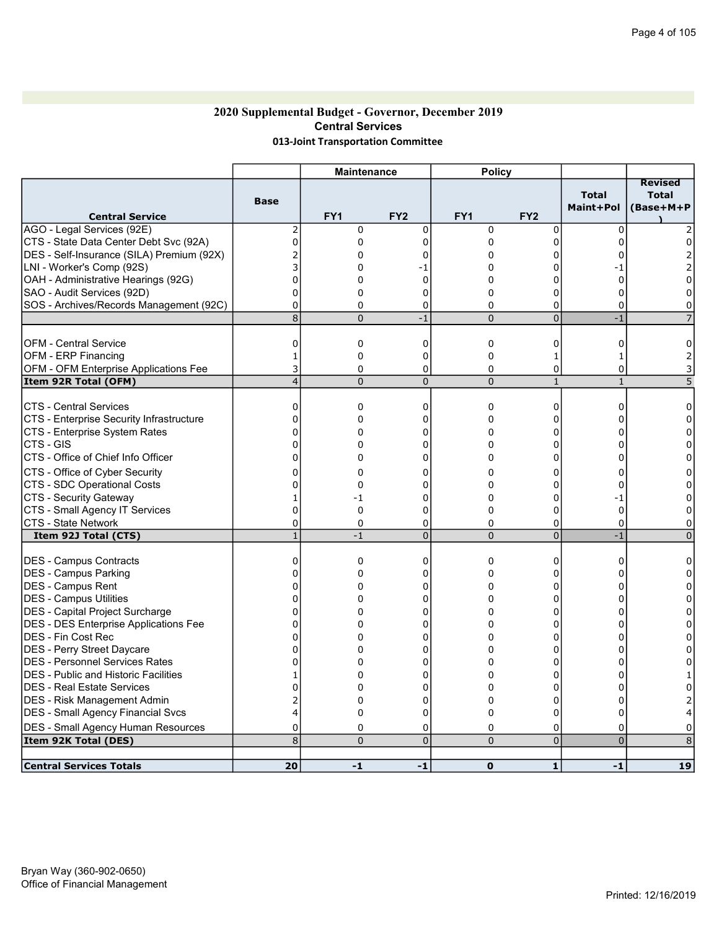### 2020 Supplemental Budget - Governor, December 2019 Central Services 013-Joint Transportation Committee

|                                             |                | <b>Maintenance</b> |                 | <b>Policy</b>   |                 |                           |                                             |
|---------------------------------------------|----------------|--------------------|-----------------|-----------------|-----------------|---------------------------|---------------------------------------------|
| <b>Central Service</b>                      | <b>Base</b>    | FY1                | FY <sub>2</sub> | FY <sub>1</sub> | FY <sub>2</sub> | <b>Total</b><br>Maint+Pol | <b>Revised</b><br><b>Total</b><br>(Base+M+P |
| AGO - Legal Services (92E)                  | $\overline{2}$ | $\mathbf 0$        | $\mathbf 0$     | 0               | 0               | $\Omega$                  |                                             |
| CTS - State Data Center Debt Svc (92A)      | 0              | 0                  | $\Omega$        | 0               | 0               | $\Omega$                  |                                             |
| DES - Self-Insurance (SILA) Premium (92X)   |                | 0                  | 0               | 0               | 0               | 0                         |                                             |
| LNI - Worker's Comp (92S)                   |                | 0                  | -1              | 0               | 0               | - 1                       |                                             |
| OAH - Administrative Hearings (92G)         | 0              | 0                  | $\mathbf 0$     | 0               | 0               | 0                         | 0                                           |
| SAO - Audit Services (92D)                  | O              | 0                  | $\mathbf 0$     | 0               | 0               | $\Omega$                  | U                                           |
| SOS - Archives/Records Management (92C)     | 0              | 0                  | $\mathbf 0$     | 0               | 0               | $\Omega$                  | 0                                           |
|                                             | 8              | $\Omega$           | $-1$            | $\overline{0}$  | $\overline{0}$  | $-1$                      |                                             |
| OFM - Central Service                       | 0              | 0                  | 0               | 0               | 0               | 0                         | 0                                           |
| OFM - ERP Financing                         | 1              | $\mathbf 0$        | $\mathbf 0$     | 0               | $\mathbf{1}$    | 1                         |                                             |
| OFM - OFM Enterprise Applications Fee       | 3              | $\mathbf 0$        | 0               | 0               | 0               | 0                         | 3                                           |
| Item 92R Total (OFM)                        | $\overline{4}$ | $\Omega$           | $\Omega$        | $\Omega$        | $\mathbf{1}$    | $\mathbf{1}$              |                                             |
| ICTS - Central Services                     | 0              | $\mathbf 0$        | $\mathbf 0$     | 0               | 0               | $\Omega$                  | 0                                           |
| CTS - Enterprise Security Infrastructure    | 0              | 0                  | $\Omega$        | 0               | 0               | 0                         |                                             |
| CTS - Enterprise System Rates               | 0              | 0                  | 0               | 0               | 0               | 0                         | 0                                           |
| CTS - GIS                                   | ŋ              | 0                  | 0               | $\Omega$        | $\Omega$        | n                         |                                             |
| CTS - Office of Chief Info Officer          | ŋ              | 0                  | 0               | 0               | 0               | 0                         | 0                                           |
| CTS - Office of Cyber Security              | C              | 0                  | 0               | 0               | 0               | 0                         | 0                                           |
| CTS - SDC Operational Costs                 | C              | $\mathbf 0$        | $\Omega$        | 0               | $\Omega$        | 0                         | 0                                           |
| <b>CTS - Security Gateway</b>               |                | -1                 | 0               | 0               | 0               | -1                        | 0                                           |
| CTS - Small Agency IT Services              | 0              | $\mathbf 0$        | $\mathbf 0$     | 0               | 0               | $\mathbf 0$               | 0                                           |
| <b>CTS - State Network</b>                  | 0              | $\Omega$           | 0               | $\Omega$        | 0               | 0                         | 0                                           |
| Item 92J Total (CTS)                        | $\mathbf{1}$   | $-1$               | $\Omega$        | $\Omega$        | $\overline{0}$  | $-1$                      | $\Omega$                                    |
| <b>DES - Campus Contracts</b>               | 0              | 0                  | $\mathbf 0$     | 0               | 0               | 0                         | 0                                           |
| <b>IDES - Campus Parking</b>                | 0              | 0                  | 0               | 0               | 0               | 0                         | 0                                           |
| <b>DES - Campus Rent</b>                    | C              | 0                  | 0               | 0               | 0               | 0                         | 0                                           |
| <b>DES - Campus Utilities</b>               | ŋ              | 0                  | $\Omega$        | $\Omega$        | $\overline{0}$  | $\Omega$                  | $\Omega$                                    |
| DES - Capital Project Surcharge             | 0              | 0                  | 0               | $\Omega$        | 0               | 0                         | 0                                           |
| DES - DES Enterprise Applications Fee       | 0              | 0                  | $\Omega$        | $\Omega$        | $\Omega$        | 0                         | 0                                           |
| DES - Fin Cost Rec                          | 0              | 0                  | 0               | 0               | 0               | 0                         | 0                                           |
| DES - Perry Street Daycare                  | 0              | 0                  | $\Omega$        | $\Omega$        | 0               | $\Omega$                  | 0                                           |
| <b>DES - Personnel Services Rates</b>       | 0              | 0                  | 0               | 0               | 0               | 0                         | 0                                           |
| <b>DES - Public and Historic Facilities</b> |                | 0                  | $\Omega$        | 0               | 0               | ŋ                         |                                             |
| <b>DES - Real Estate Services</b>           | በ              | 0                  | $\Omega$        | $\Omega$        | $\Omega$        | 0                         |                                             |
| DES - Risk Management Admin                 |                | 0                  | $\Omega$        | $\mathbf{0}$    | $\Omega$        | U                         |                                             |
| DES - Small Agency Financial Svcs           | 4              | 0                  | $\Omega$        | $\Omega$        | $\Omega$        | $\Omega$                  |                                             |
| <b>DES - Small Agency Human Resources</b>   | 0              | 0                  | 0               | 0               | 0               | 0                         | 0                                           |
| Item 92K Total (DES)                        | 8              | $\Omega$           | $\Omega$        | $\Omega$        | $\Omega$        | $\overline{0}$            | 8                                           |
|                                             |                |                    |                 |                 |                 |                           |                                             |
| <b>Central Services Totals</b>              | 20             | $-1$               | -1              | $\mathbf 0$     | 1               | $-1$                      | 19                                          |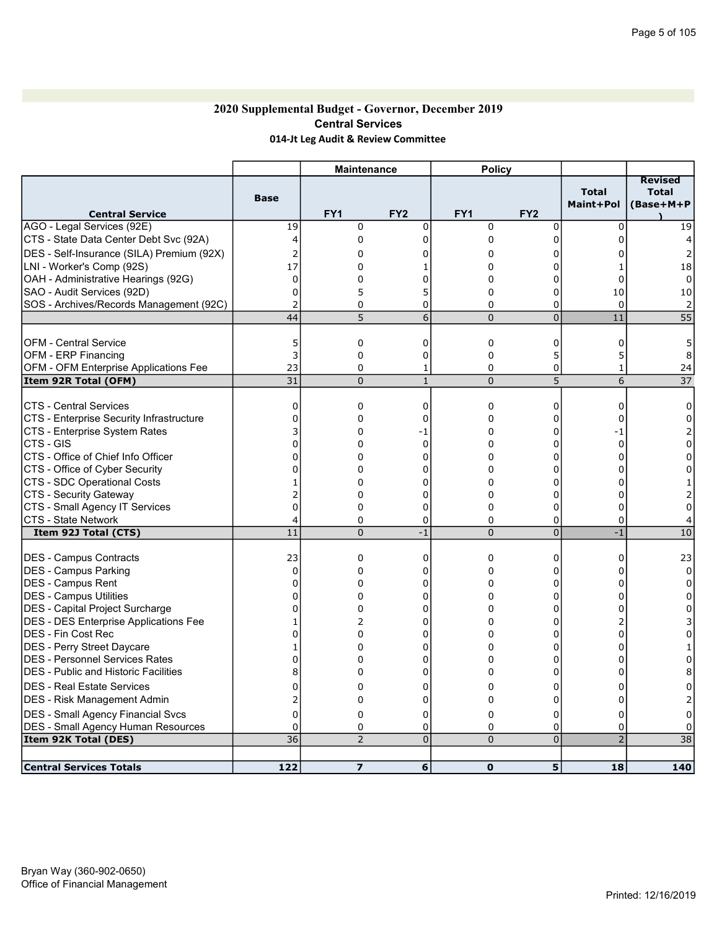### 2020 Supplemental Budget - Governor, December 2019 Central Services 014-Jt Leg Audit & Review Committee

|                                                                           |                     | <b>Maintenance</b> |                 | <b>Policy</b>   |                 |                           |                                             |
|---------------------------------------------------------------------------|---------------------|--------------------|-----------------|-----------------|-----------------|---------------------------|---------------------------------------------|
| <b>Central Service</b>                                                    | <b>Base</b>         | FY <sub>1</sub>    | FY <sub>2</sub> | FY <sub>1</sub> | FY <sub>2</sub> | <b>Total</b><br>Maint+Pol | <b>Revised</b><br><b>Total</b><br>(Base+M+P |
| AGO - Legal Services (92E)                                                | 19                  | 0                  | $\mathbf 0$     | 0               | 0               | $\mathbf{0}$              | 19                                          |
| CTS - State Data Center Debt Svc (92A)                                    | 4                   | 0                  | $\Omega$        | 0               | $\Omega$        | $\Omega$                  |                                             |
| DES - Self-Insurance (SILA) Premium (92X)                                 | $\overline{2}$      | 0                  | 0               | 0               | 0               | n                         | 2                                           |
| LNI - Worker's Comp (92S)                                                 | 17                  | 0                  |                 | 0               | $\Omega$        |                           | 18                                          |
| OAH - Administrative Hearings (92G)                                       | $\mathbf 0$         | 0                  | 0               | 0               | 0               | 0                         | $\Omega$                                    |
| SAO - Audit Services (92D)                                                | 0<br>$\overline{2}$ | 5<br>$\Omega$      | $\Omega$        | 0<br>0          | 0<br>0          | 10<br>$\mathbf{0}$        | 10                                          |
| SOS - Archives/Records Management (92C)                                   | 44                  | 5                  | 6               | $\overline{0}$  | $\overline{0}$  | 11                        | $\overline{55}$                             |
|                                                                           |                     |                    |                 |                 |                 |                           |                                             |
| <b>OFM - Central Service</b>                                              | 5                   | 0                  | 0               | 0               | 0               | 0                         | 5                                           |
| <b>OFM - ERP Financing</b>                                                | 3                   | $\mathbf 0$        | 0               | 0               | 5               | 5                         | 8                                           |
| OFM - OFM Enterprise Applications Fee                                     | 23                  | 0                  | 1               | 0               | 0               | 1                         | 24                                          |
| Item 92R Total (OFM)                                                      | 31                  | $\overline{0}$     | $\mathbf{1}$    | $\pmb{0}$       | 5               | 6                         | $\overline{37}$                             |
|                                                                           |                     |                    |                 |                 |                 |                           |                                             |
| <b>CTS - Central Services</b>                                             | 0                   | 0                  | 0               | 0               | 0               | 0                         | 0                                           |
| CTS - Enterprise Security Infrastructure<br>CTS - Enterprise System Rates | 0                   | 0<br>$\Omega$      | 0<br>-1         | 0<br>0          | 0<br>0          | 0<br>-1                   | 0                                           |
| CTS - GIS                                                                 | 0                   | $\Omega$           | $\Omega$        | 0               | $\Omega$        | $\mathbf{0}$              | $\Omega$                                    |
| CTS - Office of Chief Info Officer                                        | 0                   | 0                  | 0               | 0               | 0               | 0                         | 0                                           |
| CTS - Office of Cyber Security                                            | 0                   | 0                  | 0               | 0               | $\Omega$        | 0                         | 0                                           |
| CTS - SDC Operational Costs                                               | 1                   | 0                  | 0               | 0               | 0               | 0                         |                                             |
| CTS - Security Gateway                                                    |                     | $\mathbf 0$        | $\Omega$        | 0               | $\overline{0}$  | $\Omega$                  |                                             |
| CTS - Small Agency IT Services                                            | $\mathbf 0$         | 0                  | 0               | 0               | 0               | 0                         | $\Omega$                                    |
| CTS - State Network                                                       | 4                   | 0                  | 0               | 0               | 0               | 0                         |                                             |
| Item 92J Total (CTS)                                                      | 11                  | $\mathbf 0$        | $-1$            | $\overline{0}$  | $\overline{0}$  | $-1$                      | 10                                          |
| <b>DES - Campus Contracts</b>                                             | 23                  | $\mathbf 0$        | $\Omega$        | 0               | 0               | $\Omega$                  | 23                                          |
| <b>DES - Campus Parking</b>                                               | $\Omega$            | 0                  | 0               | 0               | 0               | $\Omega$                  | 0                                           |
| DES - Campus Rent                                                         | $\Omega$            | 0                  | 0               | 0               | $\Omega$        | $\Omega$                  | $\Omega$                                    |
| <b>DES - Campus Utilities</b>                                             | 0                   | 0                  | 0               | 0               | 0               | 0                         | 0                                           |
| DES - Capital Project Surcharge                                           | 0                   | 0                  | 0               | 0               | 0               | 0                         | 0                                           |
| <b>DES - DES Enterprise Applications Fee</b>                              | 1                   | 2                  | 0               | 0               | 0               |                           |                                             |
| IDES - Fin Cost Rec                                                       | 0                   | 0                  | $\Omega$        | 0               | $\mathbf 0$     | 0                         | 0                                           |
| DES - Perry Street Daycare                                                | 1                   | 0                  | 0               | 0               | 0               | $\Omega$                  |                                             |
| DES - Personnel Services Rates                                            | 0                   | 0                  | 0               | 0               | 0               | 0                         | 0                                           |
| <b>IDES - Public and Historic Facilities</b>                              | 8                   | $\Omega$           | 0               | 0               | $\Omega$        | U                         |                                             |
| <b>IDES - Real Estate Services</b><br> DES - Risk Management Admin        | 0<br>$\overline{2}$ | 0<br>0             | 0<br>$\Omega$   | 0<br>0          | 0<br>0          | 0<br>$\mathbf 0$          | 0<br>$\overline{2}$                         |
| <b>DES - Small Agency Financial Svcs</b>                                  | $\Omega$            | 0                  | $\Omega$        | 0               | $\mathbf 0$     | 0                         | $\Omega$                                    |
| <b>DES - Small Agency Human Resources</b>                                 | $\Omega$            | 0                  | 0               | 0               | 0               | 0                         | 0                                           |
| Item 92K Total (DES)                                                      | 36                  | $\overline{2}$     | $\overline{0}$  | $\overline{0}$  | $\overline{0}$  | $\overline{2}$            | 38                                          |
|                                                                           |                     |                    |                 |                 |                 |                           |                                             |
| <b>Central Services Totals</b>                                            | 122                 | $\overline{z}$     | 6               | $\mathbf 0$     | 5               | 18                        | 140                                         |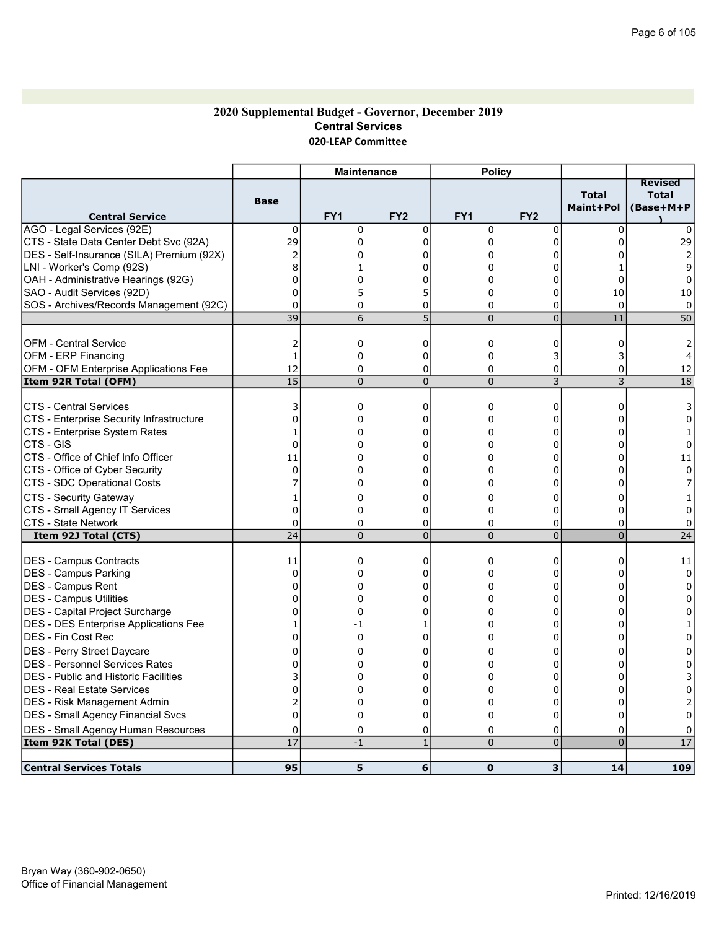#### 2020 Supplemental Budget - Governor, December 2019 Central Services 020-LEAP Committee

|                                              |                 | <b>Maintenance</b> |                 | <b>Policy</b>   |                 |                           |                                             |
|----------------------------------------------|-----------------|--------------------|-----------------|-----------------|-----------------|---------------------------|---------------------------------------------|
| <b>Central Service</b>                       | <b>Base</b>     | FY <sub>1</sub>    | FY <sub>2</sub> | FY <sub>1</sub> | FY <sub>2</sub> | <b>Total</b><br>Maint+Pol | <b>Revised</b><br><b>Total</b><br>(Base+M+P |
| AGO - Legal Services (92E)                   | $\mathbf 0$     | $\mathbf 0$        | $\mathbf 0$     | 0               | 0               | $\mathbf 0$               | 0                                           |
| CTS - State Data Center Debt Svc (92A)       | 29              | 0                  | $\Omega$        | 0               | 0               | $\Omega$                  | 29                                          |
| DES - Self-Insurance (SILA) Premium (92X)    | 2               | 0                  | 0               | 0               | 0               | n                         | $\overline{2}$                              |
| LNI - Worker's Comp (92S)                    | 8               | 1                  | $\Omega$        | 0               | $\Omega$        |                           | $\mathsf{Q}$                                |
| OAH - Administrative Hearings (92G)          | $\Omega$        | 0                  | $\Omega$        | 0               | 0               | 0                         | 0                                           |
| SAO - Audit Services (92D)                   | $\Omega$        | 5                  | 5               | 0               | 0               | 10                        | 10                                          |
| SOS - Archives/Records Management (92C)      | 0               | 0                  | $\Omega$        | 0               | 0               | $\Omega$                  | $\Omega$                                    |
|                                              | $\overline{39}$ | 6                  | 5               | $\overline{0}$  | $\overline{0}$  | 11                        | 50                                          |
| IOFM - Central Service                       | 2               | $\mathbf 0$        | $\mathbf 0$     | 0               | 0               | $\Omega$                  | 2                                           |
| OFM - ERP Financing                          | 1               | $\mathbf 0$        | $\mathbf 0$     | 0               | 3               | 3                         |                                             |
| OFM - OFM Enterprise Applications Fee        | 12              | 0                  | $\mathbf 0$     | 0               | 0               | 0                         | 12                                          |
| Item 92R Total (OFM)                         | 15              | 0                  | $\mathbf 0$     | $\mathbf 0$     | 3               | 3                         | 18                                          |
|                                              |                 |                    |                 |                 |                 |                           |                                             |
| <b>CTS - Central Services</b>                | 3               | $\mathbf 0$        | $\Omega$        | 0               | 0               | $\Omega$                  |                                             |
| CTS - Enterprise Security Infrastructure     | 0               | $\mathbf 0$        | 0               | 0               | 0               | 0                         | 0                                           |
| CTS - Enterprise System Rates                |                 | 0                  | 0               | 0               | 0               | U                         |                                             |
| CTS - GIS                                    | 0               | 0                  | $\Omega$        | 0               | 0               | $\Omega$                  | 0                                           |
| CTS - Office of Chief Info Officer           | 11              | 0                  | $\Omega$        | 0               | 0               | 0                         | 11                                          |
| CTS - Office of Cyber Security               | $\Omega$        | 0                  | $\Omega$        | $\Omega$        | $\Omega$        | O                         | $\mathbf 0$                                 |
| CTS - SDC Operational Costs                  |                 | 0                  | 0               | 0               | 0               | 0                         |                                             |
| CTS - Security Gateway                       |                 | 0                  | $\Omega$        | 0               | $\Omega$        | 0                         |                                             |
| CTS - Small Agency IT Services               | 0               | 0                  | $\Omega$        | 0               | 0               | 0                         | 0                                           |
| <b>CTS - State Network</b>                   | 0               | 0                  | $\mathbf 0$     | $\Omega$        | 0               | $\Omega$                  | 0                                           |
| Item 92J Total (CTS)                         | 24              | $\overline{0}$     | $\Omega$        | $\overline{0}$  | $\mathbf 0$     | $\overline{0}$            | 24                                          |
|                                              |                 |                    |                 |                 |                 |                           |                                             |
| DES - Campus Contracts                       | 11              | $\mathbf 0$        | $\mathbf 0$     | 0               | 0               | 0                         | 11                                          |
| DES - Campus Parking                         | $\mathbf 0$     | $\mathbf 0$        | 0               | 0               | 0               | 0                         | $\Omega$                                    |
| <b>DES - Campus Rent</b>                     | O               | 0                  | $\Omega$        | 0               | 0               | $\Omega$                  | $\Omega$                                    |
| <b>DES - Campus Utilities</b>                | ŋ               | 0                  | $\Omega$        | 0               | 0               | $\Omega$                  | U                                           |
| DES - Capital Project Surcharge              |                 | 0                  | $\Omega$        | 0               | $\Omega$        | U                         | O                                           |
| <b>DES - DES Enterprise Applications Fee</b> |                 | $-1$               | $\mathbf{1}$    | $\Omega$        | 0               | 0                         |                                             |
| DES - Fin Cost Rec                           | 0               | $\Omega$           | $\Omega$        | $\Omega$        | $\Omega$        | U                         |                                             |
| DES - Perry Street Daycare                   | 0               | 0                  | $\Omega$        | 0               | 0               | 0                         | 0                                           |
| <b>DES - Personnel Services Rates</b>        | 0               | 0                  | 0               | 0               | 0               | 0                         | 0                                           |
| IDES - Public and Historic Facilities        |                 | 0                  | 0               | 0               | 0               | 0                         |                                             |
| <b>DES - Real Estate Services</b>            | 0               | 0                  | $\Omega$        | 0               | 0               | O                         |                                             |
| <b>DES - Risk Management Admin</b>           |                 | 0                  | 0               | 0               | 0               | U                         |                                             |
| <b>DES - Small Agency Financial Svcs</b>     | $\overline{0}$  | 0                  | $\mathbf 0$     | 0               | $\Omega$        | $\Omega$                  | 0                                           |
| <b>DES - Small Agency Human Resources</b>    | 0               | 0                  | 0               | 0               | 0               | 0                         | 0                                           |
| Item 92K Total (DES)                         | 17              | $-1$               | $\mathbf{1}$    | $\Omega$        | $\overline{0}$  | $\Omega$                  | 17                                          |
| <b>Central Services Totals</b>               | 95              | 5                  | 6               | $\mathbf 0$     | 3               | 14                        | 109                                         |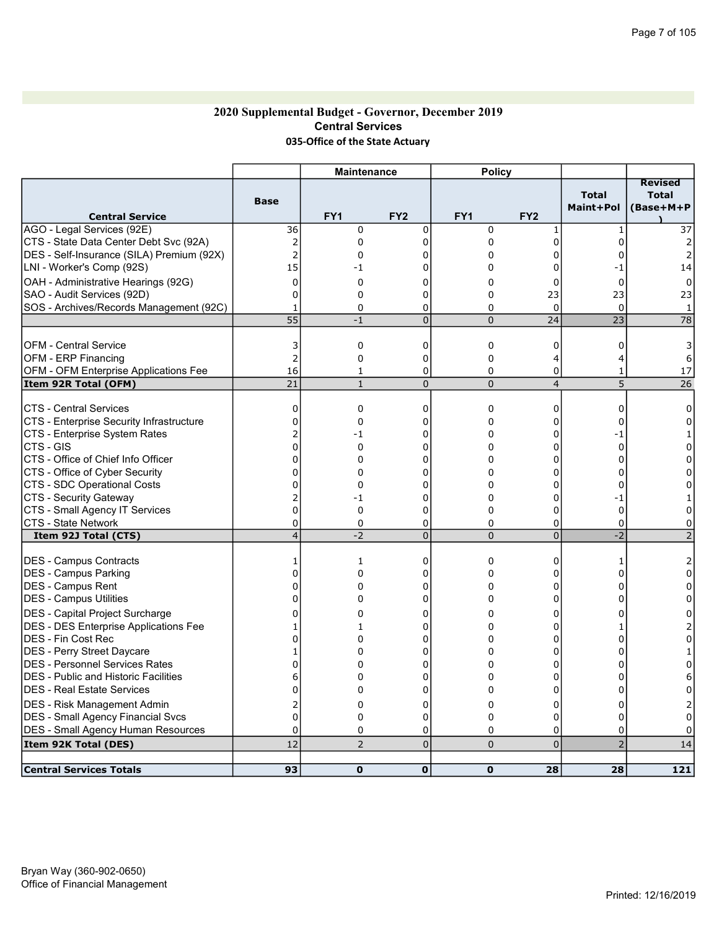#### 2020 Supplemental Budget - Governor, December 2019 Central Services 035-Office of the State Actuary

|                                              |                 | <b>Maintenance</b> |                 | <b>Policy</b>   |                 |                           |                                             |
|----------------------------------------------|-----------------|--------------------|-----------------|-----------------|-----------------|---------------------------|---------------------------------------------|
| <b>Central Service</b>                       | <b>Base</b>     | FY <sub>1</sub>    | FY <sub>2</sub> | FY <sub>1</sub> | FY <sub>2</sub> | <b>Total</b><br>Maint+Pol | <b>Revised</b><br><b>Total</b><br>(Base+M+P |
| AGO - Legal Services (92E)                   | 36              | 0                  | $\mathbf 0$     | 0               | $\mathbf{1}$    | $\mathbf{1}$              | 37                                          |
| CTS - State Data Center Debt Svc (92A)       | 2               | 0                  | 0               | 0               | 0               | 0                         |                                             |
| DES - Self-Insurance (SILA) Premium (92X)    | $\overline{2}$  | 0                  | 0               | 0               | 0               | 0                         | 2                                           |
| LNI - Worker's Comp (92S)                    | 15              | -1                 | ŋ               | 0               | $\Omega$        | -1                        | 14                                          |
| OAH - Administrative Hearings (92G)          | $\mathbf 0$     | 0                  | 0               | 0               | 0               | 0                         | $\mathbf 0$                                 |
| SAO - Audit Services (92D)                   | $\mathbf 0$     | 0                  | 0               | 0               | 23              | 23                        | 23                                          |
| SOS - Archives/Records Management (92C)      | 1               | 0                  | $\mathbf 0$     | 0               | $\mathbf 0$     | $\mathbf 0$               | 1                                           |
|                                              | $\overline{55}$ | $-1$               | $\overline{0}$  | $\overline{0}$  | 24              | $\overline{23}$           | 78                                          |
| <b>OFM - Central Service</b>                 | 3               | 0                  | 0               | 0               | 0               | 0                         | 3                                           |
| <b>OFM - ERP Financing</b>                   | 2               | 0                  | 0               | 0               | 4               | 4                         | 6                                           |
| OFM - OFM Enterprise Applications Fee        | 16              | 1                  | 0               | 0               | 0               | 1                         | 17                                          |
| Item 92R Total (OFM)                         | 21              | $\mathbf{1}$       | $\Omega$        | $\overline{0}$  | $\overline{4}$  | 5                         | $\overline{26}$                             |
| <b>CTS - Central Services</b>                | 0               | 0                  | $\Omega$        | 0               | 0               | 0                         | $\Omega$                                    |
| CTS - Enterprise Security Infrastructure     | $\Omega$        | $\mathbf 0$        | $\Omega$        | 0               | 0               | 0                         | $\Omega$                                    |
| CTS - Enterprise System Rates                |                 | -1                 | $\Omega$        | 0               | 0               | $-1$                      |                                             |
| CTS - GIS                                    | $\Omega$        | 0                  | $\Omega$        | 0               | 0               | $\mathbf 0$               | 0                                           |
| CTS - Office of Chief Info Officer           | 0               | $\mathbf 0$        | $\Omega$        | 0               | 0               | 0                         | 0                                           |
| CTS - Office of Cyber Security               | 0               | 0                  | 0               | 0               | $\Omega$        | 0                         | 0                                           |
| CTS - SDC Operational Costs                  | 0               | 0                  | 0               | 0               | 0               | 0                         | 0                                           |
| CTS - Security Gateway                       |                 | -1                 | 0               | 0               | 0               | -1                        |                                             |
| CTS - Small Agency IT Services               | $\mathbf 0$     | 0                  | 0               | 0               | 0               | $\mathbf 0$               | 0                                           |
| <b>CTS - State Network</b>                   | $\Omega$        | $\Omega$           | 0               | 0               | 0               | $\Omega$                  | 0                                           |
| Item 92J Total (CTS)                         | $\overline{4}$  | $-2$               | $\mathbf 0$     | $\overline{0}$  | $\mathbf 0$     | $-2$                      | $\overline{2}$                              |
| DES - Campus Contracts                       | 1               | $\mathbf{1}$       | 0               | 0               | 0               | 1                         |                                             |
| DES - Campus Parking                         | 0               | 0                  | $\Omega$        | 0               | 0               | $\Omega$                  | 0                                           |
| DES - Campus Rent                            | 0               | $\mathbf 0$        | $\Omega$        | 0               | $\Omega$        | O                         |                                             |
| DES - Campus Utilities                       | 0               | 0                  | $\Omega$        | 0               | 0               | $\Omega$                  | 0                                           |
| DES - Capital Project Surcharge              | 0               | $\Omega$           | $\Omega$        | 0               | 0               | U                         | 0                                           |
| <b>DES - DES Enterprise Applications Fee</b> | 1               | $\mathbf{1}$       | 0               | 0               | 0               |                           |                                             |
| <b>IDES - Fin Cost Rec</b>                   | 0               | $\Omega$           | $\Omega$        | 0               | $\Omega$        | 0                         | 0                                           |
| DES - Perry Street Daycare                   | 1               | 0                  | $\Omega$        | 0               | 0               | O                         |                                             |
| DES - Personnel Services Rates               | 0               | 0                  | $\Omega$        | 0               | 0               | U                         | $\Omega$                                    |
| DES - Public and Historic Facilities         | 6               | $\Omega$           | $\Omega$        | $\Omega$        | $\Omega$        | O                         | 6                                           |
| <b>IDES - Real Estate Services</b>           | $\Omega$        | 0                  | 0               | 0               | 0               | 0                         | 0                                           |
| DES - Risk Management Admin                  | 2               | 0                  | 0               | 0               | 0               | 0                         |                                             |
| <b>DES - Small Agency Financial Svcs</b>     | $\mathbf 0$     | 0                  | $\mathbf 0$     | 0               | 0               | 0                         | $\Omega$                                    |
| <b>DES - Small Agency Human Resources</b>    | $\mathbf 0$     | 0                  | 0               | 0               | 0               | 0                         | 0                                           |
| Item 92K Total (DES)                         | 12              | $\overline{2}$     | $\mathbf 0$     | 0               | $\Omega$        | $\overline{2}$            | 14                                          |
| <b>Central Services Totals</b>               | 93              | $\mathbf 0$        | $\mathbf 0$     | 0               | 28              | 28                        | 121                                         |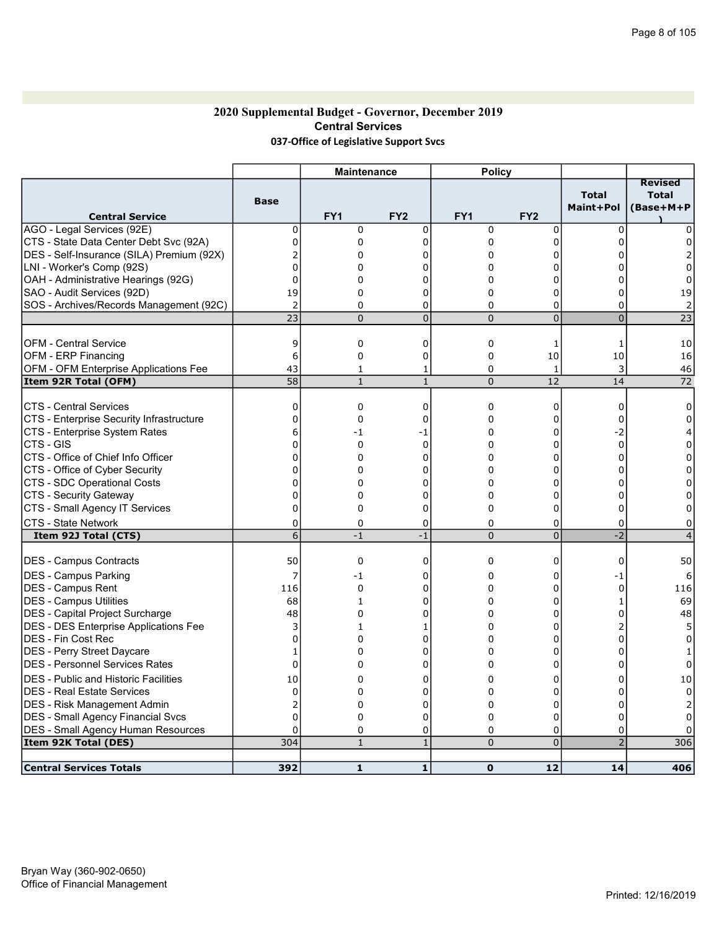#### 2020 Supplemental Budget - Governor, December 2019 Central Services 037-Office of Legislative Support Svcs

|                                              |                 | <b>Maintenance</b> |                 | <b>Policy</b>   |                 |                           |                                             |
|----------------------------------------------|-----------------|--------------------|-----------------|-----------------|-----------------|---------------------------|---------------------------------------------|
| <b>Central Service</b>                       | <b>Base</b>     | FY <sub>1</sub>    | FY <sub>2</sub> | FY <sub>1</sub> | FY <sub>2</sub> | <b>Total</b><br>Maint+Pol | <b>Revised</b><br><b>Total</b><br>(Base+M+P |
| AGO - Legal Services (92E)                   | 0               | $\mathbf 0$        | $\mathbf 0$     | 0               | 0               | $\Omega$                  |                                             |
| ICTS - State Data Center Debt Svc (92A)      | 0               | 0                  | $\Omega$        | 0               | 0               | $\Omega$                  |                                             |
| DES - Self-Insurance (SILA) Premium (92X)    |                 | 0                  | 0               | 0               | 0               | 0                         |                                             |
| LNI - Worker's Comp (92S)                    | 0               | 0                  | 0               | 0               | 0               | 0                         | 0                                           |
| OAH - Administrative Hearings (92G)          | 0               | $\mathbf 0$        | 0               | 0               | 0               | 0                         | 0                                           |
| SAO - Audit Services (92D)                   | 19              | 0                  | $\Omega$        | 0               | $\overline{0}$  | $\Omega$                  | 19                                          |
| SOS - Archives/Records Management (92C)      | $\overline{2}$  | $\Omega$           | $\mathbf 0$     | 0               | 0               | 0                         | $\overline{2}$                              |
|                                              | 23              | $\overline{0}$     | $\overline{0}$  | $\pmb{0}$       | $\overline{0}$  | $\overline{0}$            | $\overline{23}$                             |
|                                              |                 |                    |                 |                 |                 |                           |                                             |
| IOFM - Central Service                       | 9               | $\mathbf 0$        | $\mathbf 0$     | 0               | 1               | 1                         | 10                                          |
| <b>OFM - ERP Financing</b>                   | 6               | $\mathbf 0$        | $\mathbf 0$     | 0               | 10              | 10                        | 16                                          |
| OFM - OFM Enterprise Applications Fee        | 43              | $\mathbf{1}$       | 1               | 0               | $\mathbf{1}$    | 3                         | 46                                          |
| Item 92R Total (OFM)                         | $\overline{58}$ | $\mathbf{1}$       | $\mathbf{1}$    | $\overline{0}$  | 12              | 14                        | 72                                          |
| ICTS - Central Services                      | 0               | $\mathbf 0$        | $\mathbf 0$     | 0               | 0               | 0                         | $\mathbf 0$                                 |
| CTS - Enterprise Security Infrastructure     | $\Omega$        | $\mathbf 0$        | $\mathbf 0$     | 0               | 0               | $\Omega$                  | $\Omega$                                    |
| CTS - Enterprise System Rates                | 6               | $-1$               | -1              | 0               | $\overline{0}$  | $-2$                      |                                             |
| CTS - GIS                                    | O               | 0                  | $\Omega$        | 0               | $\Omega$        | 0                         | $\Omega$                                    |
| CTS - Office of Chief Info Officer           | 0               | 0                  | $\Omega$        | $\Omega$        | 0               | $\Omega$                  | 0                                           |
| CTS - Office of Cyber Security               | $\Omega$        | 0                  | $\Omega$        | $\Omega$        | $\Omega$        | $\Omega$                  | $\Omega$                                    |
| CTS - SDC Operational Costs                  | 0               | 0                  | $\Omega$        | $\Omega$        | $\Omega$        | 0                         | 0                                           |
| CTS - Security Gateway                       | $\Omega$        | 0                  | $\Omega$        | $\Omega$        | $\Omega$        | $\Omega$                  | 0                                           |
| CTS - Small Agency IT Services               | 0               | 0                  | $\mathbf 0$     | 0               | 0               | 0                         | 0                                           |
| CTS - State Network                          | 0               | $\mathbf 0$        | $\mathbf 0$     | 0               | 0               | 0                         | 0                                           |
| Item 92J Total (CTS)                         | 6               | $-1$               | $-1$            | $\Omega$        | $\mathbf 0$     | $\overline{-2}$           | $\overline{4}$                              |
|                                              |                 |                    |                 |                 |                 |                           |                                             |
| <b>DES - Campus Contracts</b>                | 50              | $\mathbf 0$        | $\mathbf 0$     | 0               | 0               | 0                         | 50                                          |
| <b>DES - Campus Parking</b>                  | 7               | $-1$               | $\mathbf 0$     | 0               | 0               | -1                        |                                             |
| <b>DES - Campus Rent</b>                     | 116             | $\mathbf 0$        | $\mathbf 0$     | 0               | 0               | 0                         | 116                                         |
| <b>DES - Campus Utilities</b>                | 68              | $\mathbf{1}$       | $\Omega$        | $\Omega$        | $\Omega$        | 1                         | 69                                          |
| DES - Capital Project Surcharge              | 48              | 0                  | $\Omega$        | $\Omega$        | $\Omega$        | $\Omega$                  | 48                                          |
| <b>DES - DES Enterprise Applications Fee</b> | 3               | 1                  |                 | $\Omega$        | $\Omega$        |                           | 5                                           |
| DES - Fin Cost Rec                           | 0               | 0                  | 0               | $\Omega$        | 0               | $\Omega$                  | 0                                           |
| DES - Perry Street Daycare                   |                 | 0                  | $\Omega$        | $\Omega$        | $\mathbf 0$     | $\Omega$                  |                                             |
| <b>DES - Personnel Services Rates</b>        | 0               | 0                  | $\Omega$        | $\Omega$        | $\mathbf 0$     | $\Omega$                  | $\Omega$                                    |
| <b>IDES - Public and Historic Facilities</b> | 10              | 0                  | 0               | 0               | 0               | 0                         | 10                                          |
| DES - Real Estate Services                   | 0               | 0                  | 0               | 0               | 0               | 0                         | $\Omega$                                    |
| DES - Risk Management Admin                  | 2               | 0                  | $\mathbf 0$     | 0               | 0               | 0                         | 2                                           |
| <b>DES - Small Agency Financial Svcs</b>     | $\Omega$        | $\mathbf 0$        | $\mathbf 0$     | 0               | 0               | $\Omega$                  | 0                                           |
| <b>DES - Small Agency Human Resources</b>    | $\Omega$        | 0                  | 0               | 0               | 0               | 0                         | 0                                           |
| Item 92K Total (DES)                         | 304             | $\mathbf{1}$       | $\mathbf{1}$    | $\overline{0}$  | $\overline{0}$  | $\overline{2}$            | 306                                         |
| <b>Central Services Totals</b>               | 392             | $\mathbf{1}$       | $\mathbf{1}$    | $\mathbf 0$     | 12              | 14                        | 406                                         |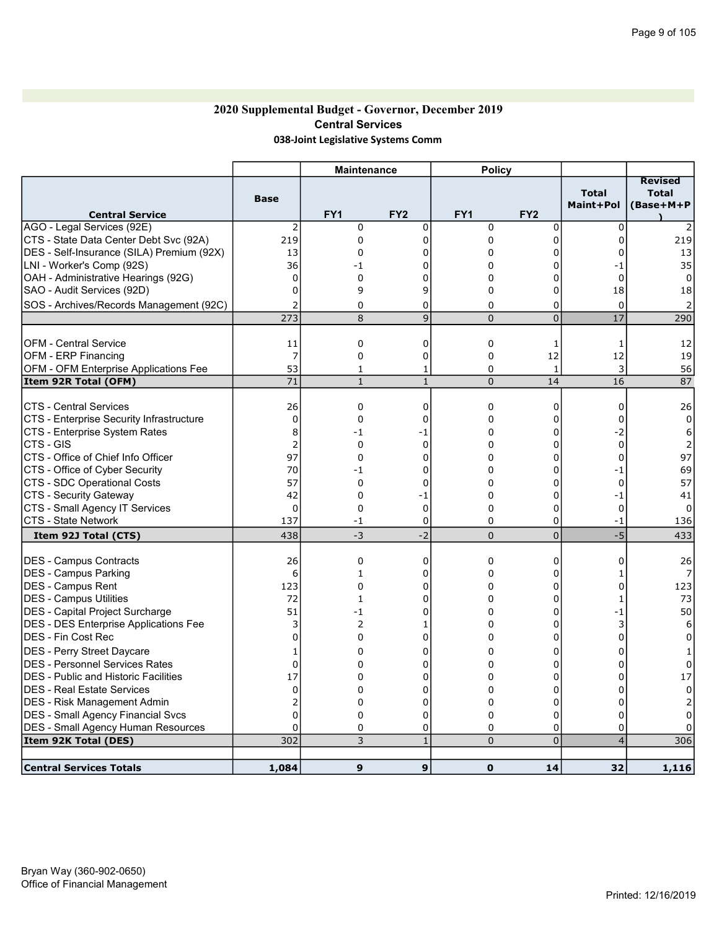## 2020 Supplemental Budget - Governor, December 2019 Central Services 038-Joint Legislative Systems Comm

|                                              |                | <b>Maintenance</b> |                 | <b>Policy</b>   |                 |                           |                                             |
|----------------------------------------------|----------------|--------------------|-----------------|-----------------|-----------------|---------------------------|---------------------------------------------|
| <b>Central Service</b>                       | <b>Base</b>    | FY <sub>1</sub>    | FY <sub>2</sub> | FY <sub>1</sub> | FY <sub>2</sub> | <b>Total</b><br>Maint+Pol | <b>Revised</b><br><b>Total</b><br>(Base+M+P |
| AGO - Legal Services (92E)                   | $\overline{2}$ | 0                  | 0               | 0               | $\mathbf 0$     | $\mathbf 0$               |                                             |
| CTS - State Data Center Debt Svc (92A)       | 219            | $\mathbf 0$        | $\Omega$        | 0               | $\Omega$        | 0                         | 219                                         |
| DES - Self-Insurance (SILA) Premium (92X)    | 13             | $\Omega$           | 0               | 0               | 0               | 0                         | 13                                          |
| LNI - Worker's Comp (92S)                    | 36             | -1                 | 0               | 0               | 0               | $-1$                      | 35                                          |
| OAH - Administrative Hearings (92G)          | 0              | 0                  | 0               | 0               | 0               | 0                         | 0                                           |
| SAO - Audit Services (92D)                   | $\Omega$       | 9                  | 9               | 0               | 0               | 18                        | 18                                          |
| SOS - Archives/Records Management (92C)      | $\overline{2}$ | 0                  | $\mathbf 0$     | 0               | 0               | $\mathbf 0$               | $\overline{2}$                              |
|                                              | 273            | 8                  | 9               | $\overline{0}$  | $\overline{0}$  | $\overline{17}$           | 290                                         |
|                                              |                |                    |                 |                 |                 |                           |                                             |
| <b>OFM - Central Service</b>                 | 11             | 0                  | 0               | 0               | 1               | 1                         | 12                                          |
| <b>OFM - ERP Financing</b>                   | 7              | $\mathbf 0$        | 0               | 0               | 12              | 12                        | 19                                          |
| OFM - OFM Enterprise Applications Fee        | 53             | 1                  | 1               | 0               | 1               | 3                         | 56                                          |
| Item 92R Total (OFM)                         | 71             | $\mathbf{1}$       | $1\,$           | $\pmb{0}$       | 14              | 16                        | 87                                          |
|                                              |                |                    |                 |                 |                 |                           |                                             |
| <b>CTS - Central Services</b>                | 26             | 0                  | 0               | 0               | $\mathbf 0$     | 0                         | 26                                          |
| CTS - Enterprise Security Infrastructure     | $\mathbf 0$    | $\mathbf 0$        | 0               | 0               | 0               | 0                         | $\mathbf 0$                                 |
| CTS - Enterprise System Rates                | 8              | -1                 | -1              | 0               | 0               | $-2$                      | 6                                           |
| CTS - GIS                                    | $\overline{2}$ | $\Omega$           | $\Omega$        | 0               | $\Omega$        | $\mathbf 0$               |                                             |
| CTS - Office of Chief Info Officer           | 97             | 0                  | 0               | 0               | 0               | $\mathbf 0$               | 97                                          |
| CTS - Office of Cyber Security               | 70             | -1                 | 0               | 0               | 0               | -1                        | 69                                          |
| CTS - SDC Operational Costs                  | 57             | 0                  | $\mathbf 0$     | 0               | 0               | 0                         | 57                                          |
| CTS - Security Gateway                       | 42             | 0                  | -1              | 0               | 0               | $-1$                      | 41                                          |
| CTS - Small Agency IT Services               | $\mathbf 0$    | 0                  | $\pmb{0}$       | 0               | 0               | $\mathbf 0$               | $\Omega$                                    |
| CTS - State Network                          | 137            | -1                 | 0               | 0               | 0               | $-1$                      | 136                                         |
| Item 92J Total (CTS)                         | 438            | $-3$               | $-2$            | $\overline{0}$  | $\overline{0}$  | $-5$                      | 433                                         |
|                                              |                |                    |                 |                 |                 |                           |                                             |
| DES - Campus Contracts                       | 26             | 0                  | 0               | 0               | $\mathbf 0$     | $\mathbf 0$               | 26                                          |
| DES - Campus Parking                         | 6              | $\mathbf 1$        | 0               | 0               | 0               | 1                         |                                             |
| DES - Campus Rent                            | 123            | 0                  | $\Omega$        | 0               | 0               | 0                         | 123                                         |
| DES - Campus Utilities                       | 72             | $\mathbf{1}$       | $\mathbf 0$     | 0               | 0               | $\mathbf{1}$              | 73                                          |
| DES - Capital Project Surcharge              | 51             | $-1$               | $\mathbf 0$     | 0               | 0               | $-1$                      | 50                                          |
| <b>DES - DES Enterprise Applications Fee</b> | 3              | 2                  | 1               | 0               | 0               | 3                         | 6                                           |
| <b>IDES - Fin Cost Rec</b>                   | $\Omega$       | 0                  | $\Omega$        | $\Omega$        | 0               | $\Omega$                  | $\mathbf 0$                                 |
| DES - Perry Street Daycare                   | $\mathbf{1}$   | 0                  | 0               | 0               | 0               | $\Omega$                  |                                             |
| IDES - Personnel Services Rates              | $\Omega$       | 0                  | 0               | 0               | 0               | $\Omega$                  | $\Omega$                                    |
| <b>DES</b> - Public and Historic Facilities  | 17             | $\Omega$           | $\Omega$        | 0               | 0               | U                         | 17                                          |
| IDES - Real Estate Services                  | $\Omega$       | $\mathbf 0$        | $\Omega$        | 0               | $\Omega$        | $\Omega$                  | $\Omega$                                    |
| DES - Risk Management Admin                  | 2              | $\mathbf 0$        | $\Omega$        | 0               | 0               | $\Omega$                  |                                             |
| <b>DES - Small Agency Financial Svcs</b>     | $\Omega$       | 0                  | $\Omega$        | 0               | $\mathbf 0$     | 0                         | $\Omega$                                    |
| <b>DES - Small Agency Human Resources</b>    | $\Omega$       | 0                  | 0               | 0               | 0               | 0                         | 0                                           |
| Item 92K Total (DES)                         | 302            | 3                  | $\mathbf{1}$    | $\overline{0}$  | $\overline{0}$  | $\overline{4}$            | 306                                         |
|                                              |                |                    |                 |                 |                 |                           |                                             |
| <b>Central Services Totals</b>               | 1,084          | 9                  | 9               | $\mathbf 0$     | 14              | 32                        | 1,116                                       |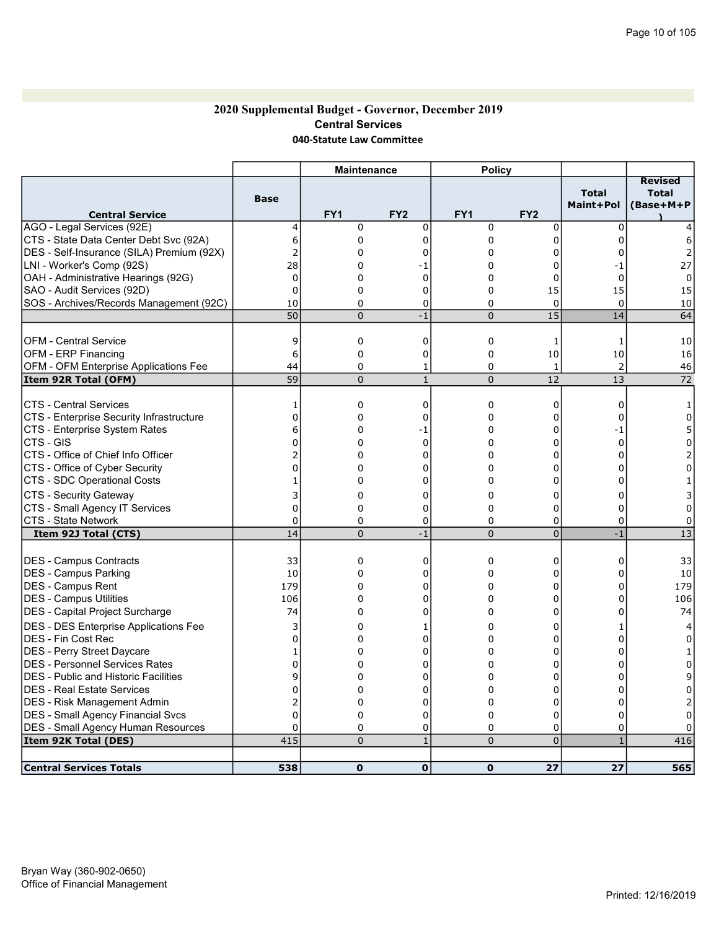#### 2020 Supplemental Budget - Governor, December 2019 Central Services 040-Statute Law Committee

|                                                          |                 | <b>Maintenance</b> |                 | <b>Policy</b>   |                 |                           |                                             |
|----------------------------------------------------------|-----------------|--------------------|-----------------|-----------------|-----------------|---------------------------|---------------------------------------------|
| <b>Central Service</b>                                   | <b>Base</b>     | FY1                | FY <sub>2</sub> | FY <sub>1</sub> | FY <sub>2</sub> | <b>Total</b><br>Maint+Pol | <b>Revised</b><br><b>Total</b><br>(Base+M+P |
| AGO - Legal Services (92E)                               | $\overline{4}$  | $\mathbf 0$        | 0               | 0               | 0               | $\Omega$                  |                                             |
| CTS - State Data Center Debt Svc (92A)                   | 6               | $\mathbf 0$        | $\Omega$        | 0               | $\Omega$        | 0                         | 6                                           |
| DES - Self-Insurance (SILA) Premium (92X)                | $\overline{2}$  | $\Omega$           | 0               | 0               | $\Omega$        | 0                         | 2                                           |
| LNI - Worker's Comp (92S)                                | 28              | $\Omega$           | -1              | 0               | $\Omega$        | -1                        | 27                                          |
| OAH - Administrative Hearings (92G)                      | 0               | 0                  | 0               | 0               | 0               | $\Omega$                  | 0                                           |
| SAO - Audit Services (92D)                               | $\Omega$        | $\Omega$           | $\Omega$        | 0               | 15              | 15                        | 15                                          |
| SOS - Archives/Records Management (92C)                  | 10              | 0                  | 0               | 0               | $\mathbf 0$     | $\mathbf 0$               | 10                                          |
|                                                          | 50              | $\Omega$           | $-1$            | $\overline{0}$  | 15              | 14                        | 64                                          |
| <b>OFM - Central Service</b>                             |                 |                    |                 |                 |                 |                           |                                             |
|                                                          | 9               | 0                  | 0               | 0               | 1               | 1                         | 10                                          |
| <b>OFM - ERP Financing</b>                               | 6               | 0                  | 0               | 0               | 10              | 10                        | 16                                          |
| OFM - OFM Enterprise Applications Fee                    | 44              | 0                  | 1               | 0               | $\mathbf{1}$    | $\overline{2}$            | 46                                          |
| Item 92R Total (OFM)                                     | $\overline{59}$ | $\mathbf 0$        | $\mathbf{1}$    | $\overline{0}$  | 12              | 13                        | 72                                          |
| <b>CTS - Central Services</b>                            | 1               | 0                  | 0               | 0               | 0               | 0                         | 1                                           |
| CTS - Enterprise Security Infrastructure                 | 0               | 0                  | 0               | 0               | 0               | 0                         | 0                                           |
| CTS - Enterprise System Rates                            | 6               | 0                  | -1              | 0               | 0               | -1                        |                                             |
| <b>CTS - GIS</b>                                         | $\Omega$        | 0                  | 0               | 0               | 0               | $\mathbf 0$               | 0                                           |
| CTS - Office of Chief Info Officer                       | 2               | $\mathbf 0$        | $\Omega$        | 0               | $\overline{0}$  | 0                         | 2                                           |
| CTS - Office of Cyber Security                           | 0               | 0                  | 0               | 0               | 0               | 0                         | $\Omega$                                    |
| CTS - SDC Operational Costs                              | 1               | 0                  | 0               | 0               | 0               | $\Omega$                  |                                             |
|                                                          | 3               | 0                  |                 |                 | 0               | 0                         |                                             |
| CTS - Security Gateway<br>CTS - Small Agency IT Services | $\mathbf 0$     | 0                  | 0<br>0          | 0<br>0          | 0               |                           |                                             |
|                                                          |                 |                    |                 |                 |                 | 0                         | 0                                           |
| <b>CTS - State Network</b>                               | $\mathbf 0$     | 0                  | 0               | 0               | 0               | 0                         | 0                                           |
| Item 92J Total (CTS)                                     | 14              | $\overline{0}$     | $-1$            | 0               | $\overline{0}$  | $-1$                      | 13                                          |
| DES - Campus Contracts                                   | 33              | 0                  | $\mathbf 0$     | 0               | 0               | $\mathbf 0$               | 33                                          |
| DES - Campus Parking                                     | 10              | 0                  | 0               | 0               | $\mathbf 0$     | 0                         | 10                                          |
| DES - Campus Rent                                        | 179             | 0                  | $\Omega$        | 0               | $\overline{0}$  | $\Omega$                  | 179                                         |
| <b>IDES - Campus Utilities</b>                           | 106             | 0                  | $\Omega$        | 0               | $\overline{0}$  | 0                         | 106                                         |
| DES - Capital Project Surcharge                          | 74              | 0                  | $\Omega$        | 0               | 0               | $\Omega$                  | 74                                          |
|                                                          |                 |                    |                 |                 |                 |                           |                                             |
| <b>DES - DES Enterprise Applications Fee</b>             | 3               | 0                  | 1               | 0               | 0               | 1                         | 4                                           |
| <b>DES - Fin Cost Rec</b>                                | $\mathbf 0$     | 0                  | 0               | 0               | 0               | 0                         | 0                                           |
| DES - Perry Street Daycare                               | 1               | 0                  | $\Omega$        | 0               | 0               | $\Omega$                  |                                             |
| DES - Personnel Services Rates                           | $\Omega$        | 0                  | $\Omega$        | 0               | 0               | 0                         | 0                                           |
| <b>DES</b> - Public and Historic Facilities              | 9               | 0                  | 0               | 0               | 0               | U                         | 9                                           |
| <b>IDES - Real Estate Services</b>                       | 0               | 0                  | 0               | 0               | 0               | 0                         | 0                                           |
| DES - Risk Management Admin                              | 2               | 0                  | 0               | 0               | 0               | 0                         |                                             |
| DES - Small Agency Financial Svcs                        | $\Omega$        | $\Omega$           | $\Omega$        | 0               | $\Omega$        | 0                         | 0                                           |
| <b>DES - Small Agency Human Resources</b>                | $\Omega$        | 0                  | 0               | 0               | 0               | 0                         |                                             |
| Item 92K Total (DES)                                     | 415             | $\overline{0}$     | $\mathbf{1}$    | 0               | $\overline{0}$  | $\mathbf{1}$              | 416                                         |
| <b>Central Services Totals</b>                           | 538             | $\mathbf{o}$       | $\mathbf 0$     | $\mathbf 0$     | 27              | 27                        | 565                                         |
|                                                          |                 |                    |                 |                 |                 |                           |                                             |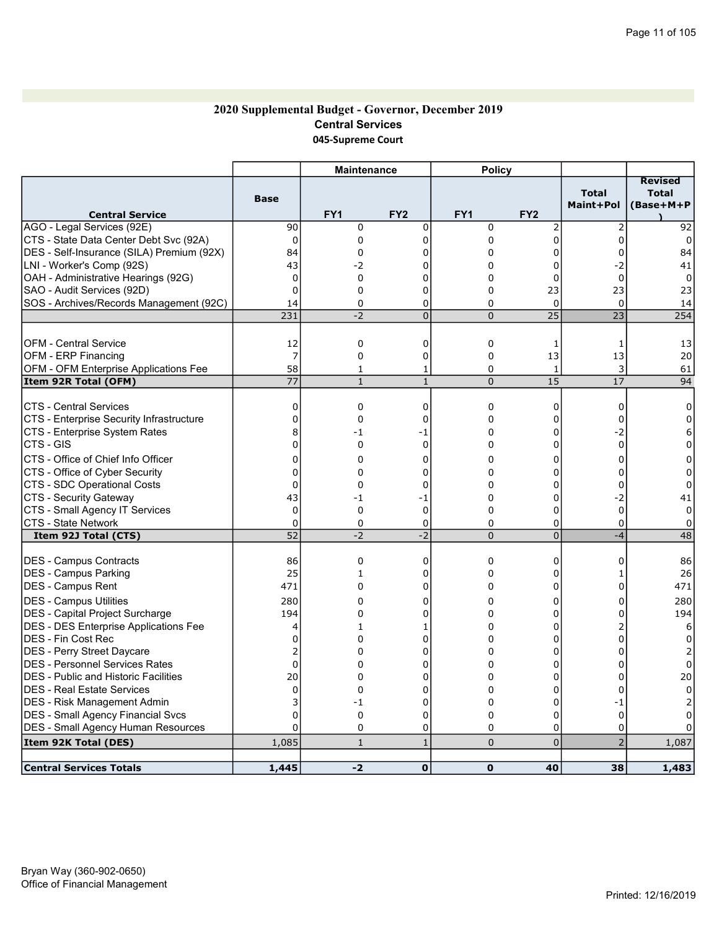#### 2020 Supplemental Budget - Governor, December 2019 Central Services 045-Supreme Court

|                                                                          |                       | <b>Maintenance</b>           |                  | <b>Policy</b>  |                 |                           |                                             |
|--------------------------------------------------------------------------|-----------------------|------------------------------|------------------|----------------|-----------------|---------------------------|---------------------------------------------|
| <b>Central Service</b>                                                   | <b>Base</b>           | FY <sub>1</sub>              | FY <sub>2</sub>  | FY1            | FY <sub>2</sub> | <b>Total</b><br>Maint+Pol | <b>Revised</b><br><b>Total</b><br>(Base+M+P |
| AGO - Legal Services (92E)                                               | 90                    | $\mathbf 0$                  | 0                | 0              | 2               | $\overline{2}$            | 92                                          |
| CTS - State Data Center Debt Svc (92A)                                   | 0                     | 0                            | 0                | 0              | 0               | 0                         | $\mathbf 0$                                 |
| DES - Self-Insurance (SILA) Premium (92X)                                | 84                    | 0                            | 0                | 0              | 0               | $\Omega$                  | 84                                          |
| LNI - Worker's Comp (92S)                                                | 43                    | -2                           | $\Omega$         | 0              | 0               | -2                        | 41                                          |
| OAH - Administrative Hearings (92G)                                      | 0                     | 0                            | 0                | 0              | $\mathbf 0$     | $\mathbf 0$               | $\mathbf 0$                                 |
| SAO - Audit Services (92D)                                               | $\Omega$              | $\mathbf 0$                  | $\Omega$         | 0              | 23              | 23                        | 23                                          |
| SOS - Archives/Records Management (92C)                                  | 14                    | 0                            | $\mathbf 0$      | 0              | $\mathbf 0$     | $\Omega$                  | 14                                          |
|                                                                          | 231                   | $-2$                         | $\pmb{0}$        | $\pmb{0}$      | $\overline{25}$ | $\overline{23}$           | 254                                         |
|                                                                          |                       |                              |                  |                |                 |                           |                                             |
| <b>OFM - Central Service</b>                                             | 12                    | 0                            | 0                | $\pmb{0}$      | 1               | 1                         | 13                                          |
| OFM - ERP Financing                                                      | $\overline{7}$        | $\mathbf 0$                  | 0                | 0              | 13              | 13                        | 20                                          |
| <b>OFM - OFM Enterprise Applications Fee</b>                             | 58<br>$\overline{77}$ | $\mathbf{1}$<br>$\mathbf{1}$ | 1                | 0              | $\mathbf{1}$    | 3                         | 61                                          |
| Item 92R Total (OFM)                                                     |                       |                              | $\mathbf 1$      | $\pmb{0}$      | 15              | 17                        | 94                                          |
| <b>CTS - Central Services</b>                                            | 0                     | $\mathbf 0$                  | $\mathbf 0$      | 0              | 0               | 0                         | 0                                           |
| CTS - Enterprise Security Infrastructure                                 | 0                     | $\Omega$                     | $\Omega$         | 0              | $\overline{0}$  | 0                         | 0                                           |
| CTS - Enterprise System Rates                                            | 8                     | -1                           | -1               | 0              | 0               | $-2$                      | 6                                           |
| CTS - GIS                                                                | 0                     | 0                            | $\Omega$         | 0              | $\Omega$        | $\overline{0}$            | 0                                           |
| CTS - Office of Chief Info Officer                                       | 0                     | $\mathbf 0$                  | 0                | 0              | 0               | 0                         | $\Omega$                                    |
| CTS - Office of Cyber Security                                           | 0                     | 0                            | $\mathbf 0$      | 0              | 0               | 0                         | 0                                           |
| CTS - SDC Operational Costs                                              | $\mathbf 0$           | $\mathbf 0$                  | $\mathbf 0$      | 0              | 0               | 0                         | $\mathbf 0$                                 |
| CTS - Security Gateway                                                   | 43                    | -1                           | -1               | 0              | 0               | $-2$                      | 41                                          |
| CTS - Small Agency IT Services                                           | 0                     | $\mathbf 0$                  | $\overline{0}$   | 0              | 0               | $\overline{0}$            | $\mathbf 0$                                 |
| <b>CTS - State Network</b>                                               | $\Omega$              | 0                            | 0                | 0              | 0               | $\mathbf 0$               | 0                                           |
| Item 92J Total (CTS)                                                     | 52                    | $-2$                         | $-2$             | $\overline{0}$ | $\overline{0}$  | $-4$                      | 48                                          |
| DES - Campus Contracts                                                   | 86                    | 0                            | 0                | 0              | 0               | $\Omega$                  | 86                                          |
| DES - Campus Parking                                                     | 25                    | $\mathbf{1}$                 | 0                | 0              | 0               | 1                         | 26                                          |
| DES - Campus Rent                                                        | 471                   | 0                            | $\Omega$         | 0              | $\mathbf 0$     | 0                         | 471                                         |
|                                                                          |                       | 0                            |                  |                | 0               |                           |                                             |
| DES - Campus Utilities                                                   | 280<br>194            | 0                            | $\mathbf 0$<br>0 | 0<br>0         | $\mathbf 0$     | 0<br>0                    | 280<br>194                                  |
| DES - Capital Project Surcharge<br>DES - DES Enterprise Applications Fee | 4                     | 1                            | 1                | 0              | $\overline{0}$  |                           | 6                                           |
| IDES - Fin Cost Rec                                                      | 0                     | 0                            | 0                | 0              | 0               | 0                         | $\Omega$                                    |
| DES - Perry Street Daycare                                               | 2                     | 0                            | 0                | 0              | 0               | 0                         |                                             |
| IDES - Personnel Services Rates                                          | $\Omega$              | 0                            | 0                | 0              | 0               | 0                         | 0                                           |
| DES - Public and Historic Facilities                                     | 20                    | 0                            | 0                | 0              | 0               | 0                         | 20                                          |
| <b>IDES - Real Estate Services</b>                                       | $\Omega$              | $\mathbf 0$                  | $\Omega$         | 0              | $\Omega$        | 0                         | $\mathbf{0}$                                |
| DES - Risk Management Admin                                              | 3                     | -1                           | 0                | 0              | 0               | -1                        |                                             |
| DES - Small Agency Financial Svcs                                        | 0                     | 0                            | 0                | 0              | 0               | $\mathbf 0$               | 0                                           |
| <b>DES - Small Agency Human Resources</b>                                | 0                     | 0                            | 0                | 0              | 0               | $\mathbf 0$               | 0                                           |
| Item 92K Total (DES)                                                     | 1,085                 | $\mathbf{1}$                 | $\mathbf{1}$     | 0              | $\Omega$        | $\overline{2}$            | 1,087                                       |
|                                                                          |                       |                              |                  |                |                 |                           |                                             |
| <b>Central Services Totals</b>                                           | 1,445                 | $-2$                         | $\mathbf 0$      | $\mathbf 0$    | 40              | 38                        | 1,483                                       |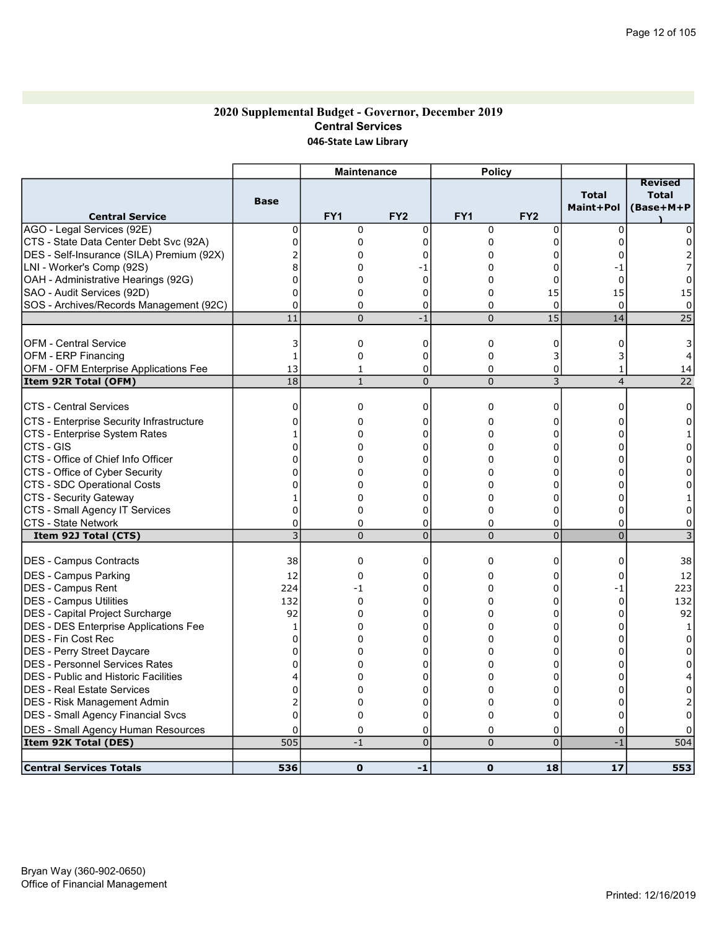#### 2020 Supplemental Budget - Governor, December 2019 Central Services 046-State Law Library

|                                              |          | <b>Maintenance</b> |                 | <b>Policy</b>   |                 |                           |                                      |
|----------------------------------------------|----------|--------------------|-----------------|-----------------|-----------------|---------------------------|--------------------------------------|
| <b>Central Service</b>                       | Base     | FY <sub>1</sub>    | FY <sub>2</sub> | FY <sub>1</sub> | FY <sub>2</sub> | <b>Total</b><br>Maint+Pol | <b>Revised</b><br>Total<br>(Base+M+P |
| AGO - Legal Services (92E)                   | 0        | $\mathbf 0$        | $\mathbf 0$     | 0               | 0               | $\mathbf 0$               |                                      |
| CTS - State Data Center Debt Svc (92A)       | 0        | 0                  | $\mathbf 0$     | 0               | 0               | $\Omega$                  | 0                                    |
| DES - Self-Insurance (SILA) Premium (92X)    |          | 0                  | $\Omega$        | 0               | 0               | $\Omega$                  |                                      |
| LNI - Worker's Comp (92S)                    | 8        | 0                  | -1              | $\Omega$        | $\Omega$        | -1                        |                                      |
| OAH - Administrative Hearings (92G)          | 0        | 0                  | $\Omega$        | $\Omega$        | 0               | $\Omega$                  | 0                                    |
| SAO - Audit Services (92D)                   | $\Omega$ | 0                  | $\Omega$        | 0               | 15              | 15                        | 15                                   |
| SOS - Archives/Records Management (92C)      | 0        | $\mathbf 0$        | $\mathbf 0$     | 0               | $\mathbf 0$     | 0                         | $\Omega$                             |
|                                              | 11       | $\Omega$           | $-1$            | $\overline{0}$  | 15              | 14                        | $\overline{25}$                      |
| IOFM - Central Service                       | 3        | $\mathbf 0$        | $\mathbf 0$     | 0               | 0               | 0                         | 3                                    |
| OFM - ERP Financing                          | 1        | $\mathbf 0$        | $\mathbf 0$     | 0               | 3               | 3                         |                                      |
| OFM - OFM Enterprise Applications Fee        | 13       | 1                  | 0               | 0               | 0               | 1                         | 14                                   |
| Item 92R Total (OFM)                         | 18       | $\mathbf{1}$       | $\mathbf 0$     | $\overline{0}$  | 3               | $\overline{4}$            | 22                                   |
|                                              |          |                    |                 |                 |                 |                           |                                      |
| <b>CTS - Central Services</b>                | 0        | $\mathbf 0$        | $\mathbf 0$     | 0               | 0               | 0                         | $\mathbf 0$                          |
| CTS - Enterprise Security Infrastructure     | 0        | $\mathbf 0$        | $\Omega$        | 0               | 0               | 0                         | O                                    |
| CTS - Enterprise System Rates                | 1        | 0                  | 0               | 0               | 0               | 0                         |                                      |
| ICTS - GIS                                   | 0        | 0                  | $\Omega$        | 0               | 0               | $\Omega$                  | 0                                    |
| CTS - Office of Chief Info Officer           | 0        | 0                  | $\Omega$        | 0               | 0               | 0                         | 0                                    |
| CTS - Office of Cyber Security               | 0        | 0                  | 0               | 0               | $\overline{0}$  | 0                         | 0                                    |
| CTS - SDC Operational Costs                  | O        | 0                  | $\Omega$        | 0               | 0               | $\Omega$                  | ŋ                                    |
| CTS - Security Gateway                       |          | 0                  | $\mathbf 0$     | 0               | 0               | 0                         |                                      |
| CTS - Small Agency IT Services               | 0        | 0                  | $\mathbf 0$     | 0               | 0               | $\Omega$                  | 0                                    |
| <b>CTS - State Network</b>                   | $\Omega$ | 0                  | 0               | $\Omega$        | 0               | $\Omega$                  | 0                                    |
| Item 92J Total (CTS)                         | 3        | $\Omega$           | $\mathbf 0$     | $\Omega$        | $\overline{0}$  | $\overline{0}$            |                                      |
| DES - Campus Contracts                       | 38       | $\mathbf 0$        | $\mathbf 0$     | 0               | 0               | 0                         | 38                                   |
| <b>IDES - Campus Parking</b>                 | 12       | $\Omega$           | $\Omega$        | $\Omega$        | 0               | $\Omega$                  | 12                                   |
| <b>DES - Campus Rent</b>                     | 224      | -1                 | 0               | 0               | 0               | -1                        | 223                                  |
| <b>DES - Campus Utilities</b>                | 132      | $\mathbf 0$        | $\Omega$        | 0               | 0               | 0                         | 132                                  |
| DES - Capital Project Surcharge              | 92       | 0                  | 0               | 0               | 0               | 0                         | 92                                   |
| <b>DES - DES Enterprise Applications Fee</b> |          | 0                  | $\Omega$        | $\Omega$        | $\mathbf 0$     | $\Omega$                  |                                      |
| DES - Fin Cost Rec                           | U        | 0                  | $\Omega$        | $\Omega$        | 0               | $\Omega$                  | $\Omega$                             |
| DES - Perry Street Daycare                   | U        | 0                  | $\Omega$        | 0               | $\mathbf 0$     | $\Omega$                  | <sup>0</sup>                         |
| <b>DES - Personnel Services Rates</b>        | ŋ        | 0                  | $\Omega$        | 0               | 0               | 0                         | n                                    |
| <b>IDES - Public and Historic Facilities</b> |          | 0                  | 0               | 0               | $\Omega$        | O                         |                                      |
| <b>DES - Real Estate Services</b>            | C        | 0                  | $\Omega$        | $\Omega$        | $\Omega$        | O                         |                                      |
| DES - Risk Management Admin                  |          | 0                  | 0               | 0               | 0               | 0                         |                                      |
| <b>DES - Small Agency Financial Svcs</b>     | 0        | 0                  | $\mathbf 0$     | 0               | $\Omega$        | $\Omega$                  | 0                                    |
|                                              |          |                    |                 |                 |                 |                           |                                      |
| <b>DES - Small Agency Human Resources</b>    | $\Omega$ | $\Omega$           | 0<br>$\Omega$   | $\Omega$        | 0<br>$\Omega$   | $\Omega$<br>$-1$          |                                      |
| Item 92K Total (DES)                         | 505      | $-1$               |                 | $\Omega$        |                 |                           | 504                                  |
| <b>Central Services Totals</b>               | 536      | $\mathbf 0$        | $-1$            | $\mathbf{0}$    | 18              | 17                        | 553                                  |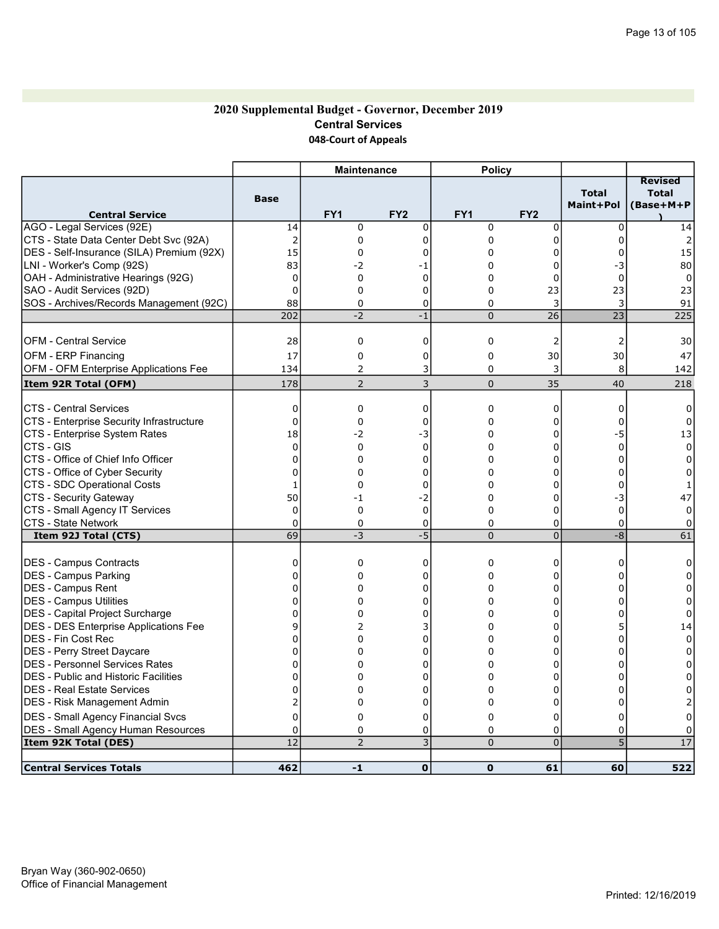### 2020 Supplemental Budget - Governor, December 2019 Central Services 048-Court of Appeals

|                                              |                | <b>Maintenance</b> |                 | <b>Policy</b>   |                 |                           |                                             |
|----------------------------------------------|----------------|--------------------|-----------------|-----------------|-----------------|---------------------------|---------------------------------------------|
| <b>Central Service</b>                       | <b>Base</b>    | FY <sub>1</sub>    | FY <sub>2</sub> | FY <sub>1</sub> | FY <sub>2</sub> | <b>Total</b><br>Maint+Pol | <b>Revised</b><br><b>Total</b><br>(Base+M+P |
| AGO - Legal Services (92E)                   | 14             | 0                  | $\mathbf 0$     | 0               | $\mathbf 0$     | $\mathbf 0$               | 14                                          |
| CTS - State Data Center Debt Svc (92A)       | $\overline{2}$ | $\mathbf 0$        | $\Omega$        | 0               | $\Omega$        | 0                         |                                             |
| DES - Self-Insurance (SILA) Premium (92X)    | 15             | 0                  | 0               | 0               | 0               | 0                         | 15                                          |
| LNI - Worker's Comp (92S)                    | 83             | -2                 | -1              | 0               | 0               | -3                        | 80                                          |
| OAH - Administrative Hearings (92G)          | 0              | 0                  | 0               | 0               | 0               | 0                         | 0                                           |
| SAO - Audit Services (92D)                   | $\Omega$       | 0                  | 0               | 0               | 23              | 23                        | 23                                          |
| SOS - Archives/Records Management (92C)      | 88             | $\Omega$           | 0               | 0               | 3               | 3                         | 91                                          |
|                                              | 202            | $-2$               | $-1$            | $\overline{0}$  | $\overline{26}$ | 23                        | 225                                         |
|                                              |                |                    |                 |                 |                 |                           |                                             |
| <b>OFM - Central Service</b>                 | 28             | 0                  | $\mathbf 0$     | 0               | 2               | $\overline{2}$            | 30                                          |
| <b>OFM - ERP Financing</b>                   | 17             | $\mathbf 0$        | 0               | 0               | 30              | 30                        | 47                                          |
| OFM - OFM Enterprise Applications Fee        | 134            | $\overline{2}$     | 3               | 0               | 3               | 8                         | 142                                         |
| Item 92R Total (OFM)                         | 178            | $\overline{2}$     | 3               | 0               | 35              | 40                        | 218                                         |
|                                              |                |                    |                 |                 |                 |                           |                                             |
| <b>CTS - Central Services</b>                | 0<br>$\Omega$  | 0                  | 0<br>$\Omega$   | 0<br>0          | 0<br>0          | 0<br>$\Omega$             | 0<br>$\Omega$                               |
| CTS - Enterprise Security Infrastructure     |                | 0                  |                 | 0               | $\mathbf{0}$    |                           |                                             |
| CTS - Enterprise System Rates<br>CTS - GIS   | 18<br>0        | $-2$<br>0          | -3<br>0         | 0               | 0               | -5<br>$\overline{0}$      | 13<br>$\mathbf 0$                           |
| CTS - Office of Chief Info Officer           | $\mathbf 0$    | 0                  | 0               | 0               | 0               | 0                         | $\Omega$                                    |
| CTS - Office of Cyber Security               | $\mathbf 0$    | 0                  | 0               | 0               | 0               | 0                         | 0                                           |
| CTS - SDC Operational Costs                  | $\mathbf{1}$   | $\Omega$           | $\Omega$        | 0               | $\Omega$        | 0                         |                                             |
| CTS - Security Gateway                       | 50             | -1                 | $-2$            | 0               | 0               | -3                        | 47                                          |
| CTS - Small Agency IT Services               | $\mathbf 0$    | 0                  | $\overline{0}$  | 0               | 0               | $\mathbf 0$               | $\mathbf 0$                                 |
| <b>CTS - State Network</b>                   | $\mathbf 0$    | 0                  | 0               | 0               | 0               | $\mathbf 0$               | 0                                           |
| Item 92J Total (CTS)                         | 69             | $-3$               | $-5$            | $\overline{0}$  | $\overline{0}$  | -8                        | 61                                          |
|                                              |                |                    |                 |                 |                 |                           |                                             |
| <b>DES - Campus Contracts</b>                | $\Omega$       | $\mathbf 0$        | $\Omega$        | 0               | 0               | 0                         | 0                                           |
| DES - Campus Parking                         | 0              | $\mathbf 0$        | $\Omega$        | 0               | $\Omega$        | $\Omega$                  | $\Omega$                                    |
| <b>DES - Campus Rent</b>                     | 0              | 0                  | 0               | 0               | 0               | 0                         | 0                                           |
| <b>IDES - Campus Utilities</b>               | 0              | $\Omega$           | $\Omega$        | 0               | $\Omega$        | 0                         | $\Omega$                                    |
| DES - Capital Project Surcharge              | 0              | 0                  | 0               | 0               | 0               | 0                         | 0                                           |
| <b>DES - DES Enterprise Applications Fee</b> | 9              | 2                  | 3               | 0               | $\mathbf 0$     |                           | 14                                          |
| DES - Fin Cost Rec                           | $\Omega$       | $\Omega$           | $\Omega$        | 0               | 0               | $\Omega$                  | $\Omega$                                    |
| DES - Perry Street Daycare                   | $\Omega$       | 0                  | $\Omega$        | 0               | $\mathbf 0$     | 0                         | $\Omega$                                    |
| IDES - Personnel Services Rates              | $\Omega$       | 0                  | 0               | 0               | 0               | $\Omega$                  | $\Omega$                                    |
| <b>DES</b> - Public and Historic Facilities  | 0              | $\Omega$           | $\Omega$        | 0               | $\Omega$        | U                         | 0                                           |
| IDES - Real Estate Services                  | 0              | $\mathbf 0$        | $\Omega$        | 0               | $\Omega$        | O                         | 0                                           |
| DES - Risk Management Admin                  | 2              | $\Omega$           | $\Omega$        | 0               | 0               | 0                         |                                             |
| DES - Small Agency Financial Svcs            | 0              | $\mathbf 0$        | 0               | 0               | 0               | 0                         | 0                                           |
| <b>DES</b> - Small Agency Human Resources    | $\mathbf 0$    | 0                  | 0               | 0               | 0               | 0                         | 0                                           |
| Item 92K Total (DES)                         | 12             | $\overline{2}$     | $\overline{3}$  | $\overline{0}$  | $\Omega$        | 5                         | 17                                          |
| <b>Central Services Totals</b>               | 462            | $-1$               | $\mathbf 0$     | $\mathbf 0$     | 61              | 60                        | 522                                         |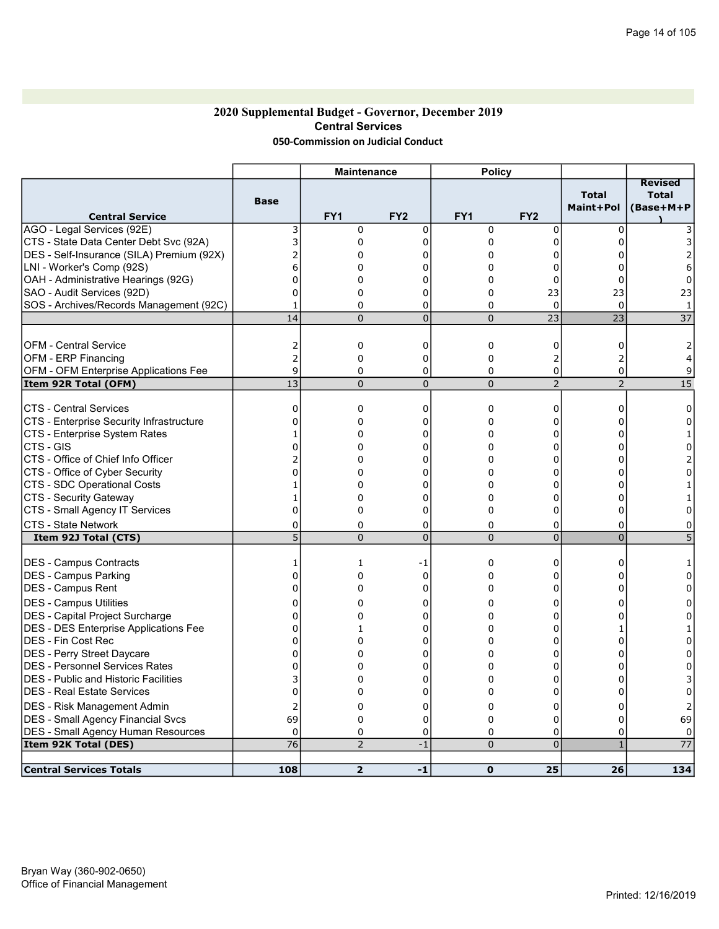### 2020 Supplemental Budget - Governor, December 2019 Central Services 050-Commission on Judicial Conduct

|                                              |                          | <b>Maintenance</b> |                 | <b>Policy</b>   |                 |                           |                                             |
|----------------------------------------------|--------------------------|--------------------|-----------------|-----------------|-----------------|---------------------------|---------------------------------------------|
| <b>Central Service</b>                       | <b>Base</b>              | FY <sub>1</sub>    | FY <sub>2</sub> | FY <sub>1</sub> | FY <sub>2</sub> | <b>Total</b><br>Maint+Pol | <b>Revised</b><br><b>Total</b><br>(Base+M+P |
| AGO - Legal Services (92E)                   | 3                        | $\Omega$           | $\mathbf{0}$    | $\Omega$        | 0               | $\Omega$                  |                                             |
| CTS - State Data Center Debt Svc (92A)       | 3                        | 0                  | $\Omega$        | $\Omega$        | $\Omega$        | $\Omega$                  |                                             |
| DES - Self-Insurance (SILA) Premium (92X)    |                          | 0                  | $\Omega$        | $\Omega$        | $\Omega$        | U                         |                                             |
| LNI - Worker's Comp (92S)                    | 6                        | 0                  | $\Omega$        | $\Omega$        | $\Omega$        | U                         | 6                                           |
| OAH - Administrative Hearings (92G)          | 0                        | 0                  | 0               | 0               | 0               | 0                         | 0                                           |
| SAO - Audit Services (92D)                   | $\Omega$                 | $\mathbf 0$        | $\mathbf 0$     | 0               | 23              | 23                        | 23                                          |
| SOS - Archives/Records Management (92C)      |                          | $\mathbf 0$        | $\mathbf 0$     | 0               | $\mathbf 0$     | 0                         | $\mathbf{1}$                                |
|                                              | 14                       | $\overline{0}$     | $\overline{0}$  | $\pmb{0}$       | 23              | $\overline{23}$           | $\overline{37}$                             |
|                                              |                          |                    |                 |                 |                 |                           |                                             |
| <b>OFM - Central Service</b>                 | 2                        | 0                  | 0               | 0               | 0               | 0                         |                                             |
| <b>OFM - ERP Financing</b>                   | $\overline{\phantom{a}}$ | $\Omega$           | 0               | 0               | 2               | 2                         |                                             |
| OFM - OFM Enterprise Applications Fee        | 9                        | $\Omega$           | 0               | $\Omega$        | 0               | 0                         | 9                                           |
| Item 92R Total (OFM)                         | 13                       | $\overline{0}$     | $\mathbf 0$     | $\pmb{0}$       | $\overline{2}$  | $\overline{2}$            | 15                                          |
|                                              |                          |                    |                 |                 |                 |                           |                                             |
| <b>CTS - Central Services</b>                | $\Omega$                 | $\mathbf 0$        | $\mathbf 0$     | 0               | 0               | 0                         | $\Omega$                                    |
| CTS - Enterprise Security Infrastructure     | U                        | 0                  | $\mathbf 0$     | 0               | 0               | $\Omega$                  | ŋ                                           |
| CTS - Enterprise System Rates                |                          | 0                  | $\Omega$        | 0               | 0               | U                         |                                             |
| CTS - GIS                                    |                          | 0                  | 0               | $\mathbf 0$     | $\Omega$        | n                         | 0                                           |
| CTS - Office of Chief Info Officer           |                          | 0                  |                 | 0               | 0               |                           |                                             |
|                                              |                          |                    | 0               |                 |                 | 0                         |                                             |
| CTS - Office of Cyber Security               |                          | 0                  | 0               | 0               | $\Omega$        | 0                         | 0                                           |
| CTS - SDC Operational Costs                  |                          | 0                  | 0               | 0               | 0               | 0                         |                                             |
| CTS - Security Gateway                       |                          | 0                  | 0               | 0               | 0               | 0                         |                                             |
| CTS - Small Agency IT Services               | 0                        | $\Omega$           | $\Omega$        | $\Omega$        | 0               | 0                         | 0                                           |
| <b>CTS - State Network</b>                   | 0                        | $\Omega$           | 0               | 0               | 0               | 0                         | 0                                           |
| Item 92J Total (CTS)                         | 5                        | $\overline{0}$     | $\overline{0}$  | $\overline{0}$  | $\overline{0}$  | $\overline{0}$            |                                             |
|                                              |                          |                    |                 |                 |                 |                           |                                             |
| DES - Campus Contracts                       | 1                        | 1                  | -1              | 0               | 0               | 0                         |                                             |
| <b>IDES - Campus Parking</b>                 | 0                        | $\mathbf 0$        | $\mathbf 0$     | 0               | 0               | 0                         | 0                                           |
| DES - Campus Rent                            | 0                        | $\mathbf 0$        | $\Omega$        | 0               | 0               | $\Omega$                  | 0                                           |
| <b>DES - Campus Utilities</b>                | 0                        | 0                  | $\Omega$        | 0               | 0               | $\Omega$                  | 0                                           |
| DES - Capital Project Surcharge              | 0                        | 0                  | 0               | 0               | 0               | 0                         | 0                                           |
| <b>DES - DES Enterprise Applications Fee</b> | 0                        | 1                  | 0               | 0               | 0               |                           |                                             |
| <b>DES - Fin Cost Rec</b>                    | 0                        | 0                  | $\Omega$        | 0               | 0               | 0                         | 0                                           |
| <b>DES - Perry Street Daycare</b>            | U                        | 0                  | $\mathbf{0}$    | 0               | 0               | $\Omega$                  | 0                                           |
| <b>DES - Personnel Services Rates</b>        | 0                        | 0                  | 0               | 0               | 0               | 0                         | 0                                           |
| IDES - Public and Historic Facilities        |                          | 0                  | 0               | 0               | 0               | 0                         |                                             |
| DES - Real Estate Services                   | 0                        | 0                  | $\Omega$        | 0               | $\Omega$        | U                         | 0                                           |
| DES - Risk Management Admin                  | 2                        | 0                  | $\mathbf 0$     | 0               | 0               | 0                         |                                             |
| <b>DES - Small Agency Financial Svcs</b>     | 69                       | $\mathbf 0$        | $\mathbf{0}$    | 0               | 0               | $\Omega$                  | 69                                          |
| DES - Small Agency Human Resources           | $\mathbf 0$              | 0                  | 0               | 0               | 0               | 0                         | $\mathbf{0}$                                |
| Item 92K Total (DES)                         | 76                       | $\overline{2}$     | $-1$            | $\overline{0}$  | $\overline{0}$  | $\mathbf{1}$              | 77                                          |
|                                              |                          |                    |                 |                 |                 |                           |                                             |
| <b>Central Services Totals</b>               | 108                      | $\overline{2}$     | $-1$            | $\mathbf{o}$    | 25              | 26                        | 134                                         |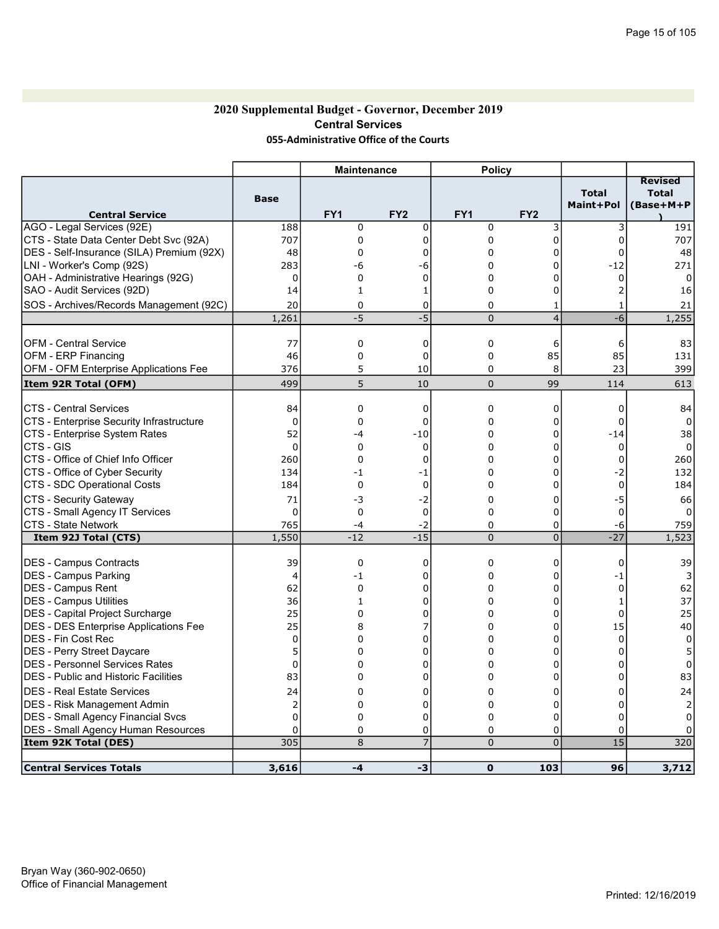## 2020 Supplemental Budget - Governor, December 2019 Central Services 055-Administrative Office of the Courts

|                                              |                | <b>Maintenance</b> |                 | <b>Policy</b>   |                 |                           |                                      |
|----------------------------------------------|----------------|--------------------|-----------------|-----------------|-----------------|---------------------------|--------------------------------------|
| <b>Central Service</b>                       | <b>Base</b>    | FY <sub>1</sub>    | FY <sub>2</sub> | FY <sub>1</sub> | FY <sub>2</sub> | <b>Total</b><br>Maint+Pol | <b>Revised</b><br>Total<br>(Base+M+P |
| AGO - Legal Services (92E)                   | 188            | 0                  | $\mathbf 0$     | 0               | 3               | 3                         | 191                                  |
| CTS - State Data Center Debt Svc (92A)       | 707            | $\mathbf 0$        | $\Omega$        | 0               | $\Omega$        | 0                         | 707                                  |
| DES - Self-Insurance (SILA) Premium (92X)    | 48             | 0                  | 0               | 0               | 0               | 0                         | 48                                   |
| LNI - Worker's Comp (92S)                    | 283            | -6                 | -6              | 0               | 0               | $-12$                     | 271                                  |
| OAH - Administrative Hearings (92G)          | 0              | 0                  | 0               | 0               | 0               | 0                         | 0                                    |
| SAO - Audit Services (92D)                   | 14             | $\mathbf{1}$       | 1               | 0               | 0               | 2                         | 16                                   |
|                                              |                |                    |                 |                 |                 |                           |                                      |
| SOS - Archives/Records Management (92C)      | 20             | $\Omega$           | $\Omega$        | 0               | $\mathbf{1}$    | 1                         | 21                                   |
|                                              | 1,261          | $-5$               | $-5$            | $\overline{0}$  | $\overline{4}$  | $-6$                      | 1,255                                |
| <b>OFM - Central Service</b>                 | 77             | 0                  | 0               | 0               | 6               | 6                         | 83                                   |
| <b>OFM - ERP Financing</b>                   | 46             | 0                  | 0               | 0               | 85              | 85                        | 131                                  |
| OFM - OFM Enterprise Applications Fee        | 376            | 5                  | 10              | 0               | 8               | 23                        | 399                                  |
| Item 92R Total (OFM)                         | 499            | 5                  | 10              | 0               | 99              | 114                       | 613                                  |
|                                              |                |                    |                 |                 |                 |                           |                                      |
| <b>CTS - Central Services</b>                | 84             | 0                  | $\mathbf 0$     | 0               | 0               | 0                         | 84                                   |
| CTS - Enterprise Security Infrastructure     | 0              | 0                  | 0               | 0               | 0               | $\mathbf 0$               | $\Omega$                             |
| CTS - Enterprise System Rates                | 52             | -4                 | $-10$           | 0               | $\mathbf 0$     | $-14$                     | 38                                   |
| CTS - GIS                                    | 0              | 0                  | 0               | 0               | $\mathbf 0$     | $\mathbf 0$               | $\Omega$                             |
| CTS - Office of Chief Info Officer           | 260            | $\mathbf 0$        | $\Omega$        | 0               | 0               | 0                         | 260                                  |
| CTS - Office of Cyber Security               | 134            | -1                 | -1              | 0               | 0               | -2                        | 132                                  |
| CTS - SDC Operational Costs                  | 184            | 0                  | $\Omega$        | 0               | 0               | 0                         | 184                                  |
| <b>CTS - Security Gateway</b>                | 71             | -3                 | $-2$            | 0               | 0               | -5                        | 66                                   |
| CTS - Small Agency IT Services               | 0              | 0                  | 0               | 0               | 0               | $\mathbf 0$               | n                                    |
| <b>CTS - State Network</b>                   | 765            | -4                 | $-2$            | 0               | 0               | -6                        | 759                                  |
| Item 92J Total (CTS)                         | 1,550          | $-12$              | $-15$           | 0               | $\overline{0}$  | $-27$                     | 1,523                                |
| DES - Campus Contracts                       | 39             | $\mathbf 0$        | 0               | 0               | 0               | $\mathbf 0$               | 39                                   |
| DES - Campus Parking                         | $\overline{4}$ | -1                 | 0               | 0               | 0               | $-1$                      |                                      |
| <b>DES - Campus Rent</b>                     | 62             | 0                  | 0               | 0               | 0               | $\mathbf 0$               | 62                                   |
| DES - Campus Utilities                       | 36             | $\mathbf{1}$       | $\mathbf 0$     | 0               | $\mathbf 0$     | $\mathbf{1}$              | 37                                   |
| DES - Capital Project Surcharge              | 25             | 0                  | 0               | 0               | $\mathbf 0$     | $\mathbf 0$               | 25                                   |
| <b>DES - DES Enterprise Applications Fee</b> | 25             | 8                  | 7               | 0               | 0               | 15                        | 40                                   |
| <b>IDES - Fin Cost Rec</b>                   | 0              | 0                  | $\Omega$        | 0               | 0               | $\mathbf 0$               | $\mathbf 0$                          |
| DES - Perry Street Daycare                   | 5              | 0                  | $\Omega$        | 0               | 0               | 0                         | 5                                    |
| DES - Personnel Services Rates               | $\mathbf 0$    | 0                  | 0               | 0               | 0               | $\Omega$                  | $\mathbf 0$                          |
| <b>DES</b> - Public and Historic Facilities  | 83             | 0                  | $\Omega$        | 0               | 0               | $\Omega$                  | 83                                   |
| IDES - Real Estate Services                  | 24             | $\Omega$           | $\Omega$        | 0               | 0               | $\Omega$                  | 24                                   |
| <b>IDES - Risk Management Admin</b>          | $\overline{2}$ | 0                  | 0               | 0               | 0               | 0                         |                                      |
| DES - Small Agency Financial Svcs            | $\Omega$       | 0                  | 0               | 0               | 0               | 0                         | $\Omega$                             |
| <b>DES - Small Agency Human Resources</b>    | $\Omega$       | 0                  | 0               | 0               | 0               | 0                         |                                      |
| Item 92K Total (DES)                         | 305            | 8                  | $\overline{7}$  | $\overline{0}$  | $\overline{0}$  | 15                        | 320                                  |
|                                              |                |                    |                 |                 |                 |                           |                                      |
| <b>Central Services Totals</b>               | 3,616          | $-4$               | -3              | $\mathbf{0}$    | 103             | 96                        | 3,712                                |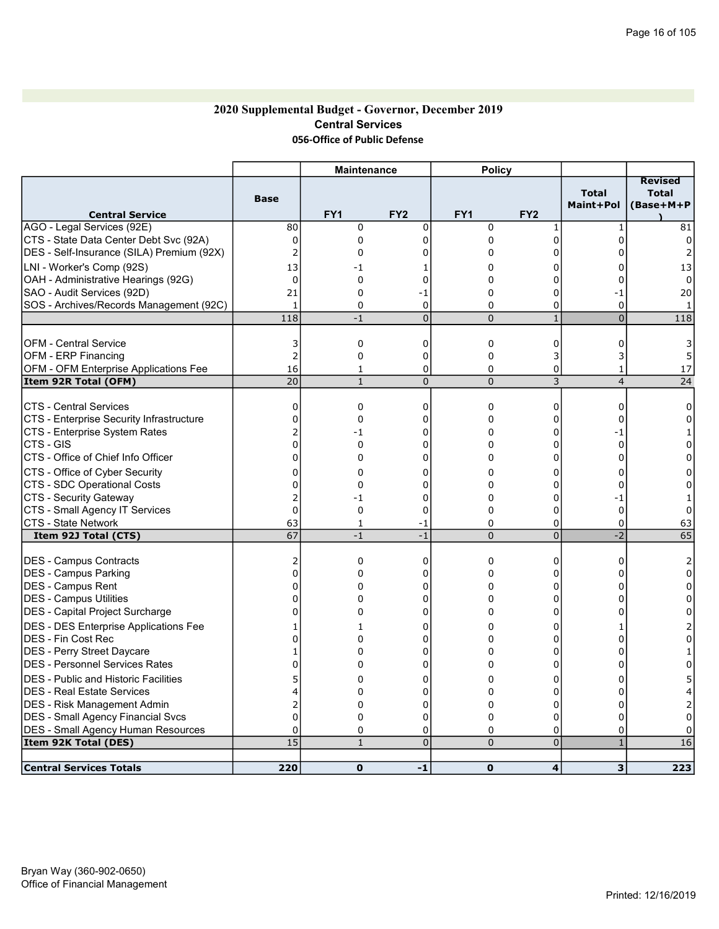### 2020 Supplemental Budget - Governor, December 2019 Central Services 056-Office of Public Defense

|                                              |                     | <b>Maintenance</b> |                 | <b>Policy</b>   |                 |                           |                                             |
|----------------------------------------------|---------------------|--------------------|-----------------|-----------------|-----------------|---------------------------|---------------------------------------------|
| <b>Central Service</b>                       | <b>Base</b>         | FY <sub>1</sub>    | FY <sub>2</sub> | FY <sub>1</sub> | FY <sub>2</sub> | <b>Total</b><br>Maint+Pol | <b>Revised</b><br><b>Total</b><br>(Base+M+P |
| AGO - Legal Services (92E)                   | 80                  | 0                  | 0               | 0               | 1               | $\mathbf{1}$              | 81                                          |
| CTS - State Data Center Debt Svc (92A)       | $\Omega$            | $\mathbf 0$        | $\Omega$        | 0               | 0               | 0                         | $\Omega$                                    |
| DES - Self-Insurance (SILA) Premium (92X)    | 2                   | 0                  | 0               | 0               | 0               |                           | 2                                           |
| LNI - Worker's Comp (92S)                    | 13                  | -1                 |                 | 0               | 0               | n                         | 13                                          |
| OAH - Administrative Hearings (92G)          | $\mathbf 0$         | 0                  | 0               | 0               | 0               | 0                         | $\Omega$                                    |
| SAO - Audit Services (92D)                   | 21                  | 0                  | -1              | 0               | 0               | -1                        | 20                                          |
| SOS - Archives/Records Management (92C)      | $\mathbf{1}$        | 0                  | 0               | 0               | 0               | $\mathbf 0$               |                                             |
|                                              | 118                 | $-1$               | $\overline{0}$  | $\overline{0}$  | $\mathbf{1}$    | $\overline{0}$            | 118                                         |
| <b>OFM - Central Service</b>                 |                     | 0                  |                 | 0               |                 |                           |                                             |
| <b>OFM - ERP Financing</b>                   | 3<br>$\overline{2}$ | $\mathbf 0$        | 0<br>0          | 0               | 0<br>3          | 0<br>3                    | 3                                           |
| OFM - OFM Enterprise Applications Fee        | 16                  | 1                  | 0               | 0               | 0               | 1                         | 17                                          |
| Item 92R Total (OFM)                         | $\overline{20}$     | $\mathbf{1}$       | $\overline{0}$  | $\pmb{0}$       | 3               | $\overline{4}$            | 24                                          |
|                                              |                     |                    |                 |                 |                 |                           |                                             |
| <b>CTS - Central Services</b>                | 0                   | 0                  | 0               | 0               | 0               | 0                         | 0                                           |
| CTS - Enterprise Security Infrastructure     | 0                   | $\mathbf 0$        | 0               | 0               | 0               | 0                         | 0                                           |
| CTS - Enterprise System Rates                | 2                   | -1                 | 0               | 0               | 0               | -1                        |                                             |
| CTS - GIS                                    | 0                   | $\Omega$           | $\Omega$        | 0               | $\Omega$        | $\Omega$                  | 0                                           |
| CTS - Office of Chief Info Officer           | 0                   | 0                  | 0               | 0               | 0               | 0                         | 0                                           |
| CTS - Office of Cyber Security               | $\Omega$            | 0                  | $\Omega$        | 0               | 0               | $\Omega$                  | 0                                           |
| CTS - SDC Operational Costs                  | 0                   | $\Omega$           | $\Omega$        | 0               | $\Omega$        | 0                         | 0                                           |
| <b>CTS - Security Gateway</b>                | 2                   | -1                 | 0               | 0               | 0               | -1                        |                                             |
| CTS - Small Agency IT Services               | $\mathbf 0$         | $\mathbf 0$        | $\Omega$        | $\Omega$        | 0               | $\mathbf 0$               | $\mathbf 0$                                 |
| <b>CTS - State Network</b>                   | 63                  | $\mathbf{1}$       | -1              | 0               | 0               | $\mathbf 0$               | 63                                          |
| Item 92J Total (CTS)                         | 67                  | $-1$               | $-1$            | $\overline{0}$  | $\overline{0}$  | $-2$                      | 65                                          |
| DES - Campus Contracts                       | 2                   | 0                  | 0               | 0               | 0               | 0                         |                                             |
| DES - Campus Parking                         | $\Omega$            | $\mathbf 0$        | 0               | 0               | 0               | $\Omega$                  | $\Omega$                                    |
| DES - Campus Rent                            | $\Omega$            | 0                  | $\Omega$        | 0               | 0               | $\Omega$                  | $\Omega$                                    |
| DES - Campus Utilities                       | 0                   | 0                  | 0               | 0               | 0               | 0                         | ŋ                                           |
| DES - Capital Project Surcharge              | n                   | 0                  | 0               | 0               | 0               | 0                         | 0                                           |
| <b>DES - DES Enterprise Applications Fee</b> | 1                   | $\mathbf{1}$       | $\Omega$        | 0               | 0               |                           |                                             |
| IDES - Fin Cost Rec                          | $\Omega$            | $\Omega$           | $\Omega$        | 0               | 0               | $\Omega$                  | 0                                           |
| DES - Perry Street Daycare                   | 1                   | $\Omega$           | $\Omega$        | 0               | $\mathbf 0$     | 0                         |                                             |
| IDES - Personnel Services Rates              | 0                   | $\Omega$           | $\Omega$        | 0               | 0               | $\Omega$                  | O                                           |
| <b>DES</b> - Public and Historic Facilities  | 5                   | 0                  | 0               | 0               | 0               | 0                         |                                             |
| <b>IDES - Real Estate Services</b>           | 4                   | $\Omega$           | $\Omega$        | 0               | $\mathbf 0$     | $\Omega$                  |                                             |
| <b>IDES - Risk Management Admin</b>          | 2                   | 0                  | 0               | 0               | 0               | $\Omega$                  |                                             |
| DES - Small Agency Financial Svcs            | $\Omega$            | 0                  | $\overline{0}$  | 0               | 0               | 0                         | 0                                           |
| <b>DES</b> - Small Agency Human Resources    | $\mathbf 0$         | 0                  | 0               | 0               | 0               | 0                         | 0                                           |
| Item 92K Total (DES)                         | 15                  | $\mathbf{1}$       | $\Omega$        | $\overline{0}$  | $\Omega$        | $\mathbf{1}$              | 16                                          |
|                                              |                     |                    |                 |                 |                 |                           |                                             |
| <b>Central Services Totals</b>               | 220                 | 0                  | -1              | $\mathbf 0$     | 4               | 3                         | 223                                         |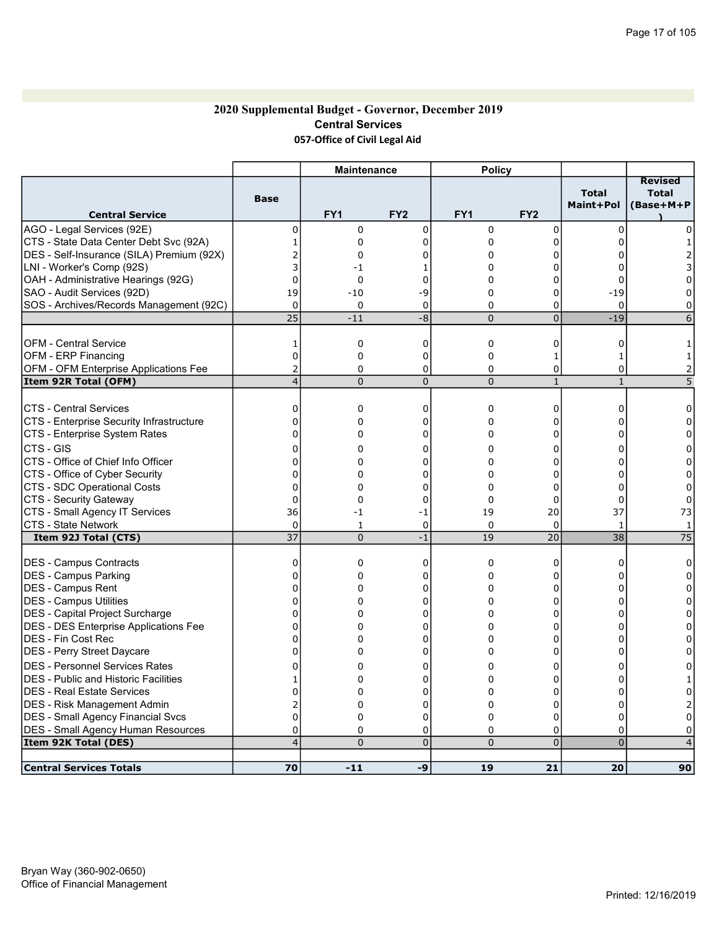### 2020 Supplemental Budget - Governor, December 2019 Central Services 057-Office of Civil Legal Aid

|                                              |                | <b>Maintenance</b> |                 | <b>Policy</b>  |                 |                           |                                             |
|----------------------------------------------|----------------|--------------------|-----------------|----------------|-----------------|---------------------------|---------------------------------------------|
| <b>Central Service</b>                       | <b>Base</b>    | FY <sub>1</sub>    | FY <sub>2</sub> | FY1            | FY <sub>2</sub> | <b>Total</b><br>Maint+Pol | <b>Revised</b><br><b>Total</b><br>(Base+M+P |
| AGO - Legal Services (92E)                   | 0              | $\pmb{0}$          | 0               | 0              | 0               | $\Omega$                  |                                             |
| CTS - State Data Center Debt Svc (92A)       | $\mathbf{1}$   | 0                  | $\Omega$        | 0              | $\overline{0}$  | $\Omega$                  |                                             |
| DES - Self-Insurance (SILA) Premium (92X)    | 2              | $\mathbf 0$        | 0               | 0              | 0               | n                         |                                             |
| LNI - Worker's Comp (92S)                    |                | -1                 |                 | 0              | 0               | n                         |                                             |
| OAH - Administrative Hearings (92G)          | $\mathbf 0$    | 0                  | 0               | 0              | $\Omega$        | 0                         |                                             |
| SAO - Audit Services (92D)                   | 19             | $-10$              | -9              | 0              | 0               | $-19$                     | 0                                           |
| SOS - Archives/Records Management (92C)      | $\Omega$       | $\Omega$           | 0               | 0              | 0               | $\Omega$                  | 0                                           |
|                                              | 25             | $-11$              | $-8$            | $\overline{0}$ | $\overline{0}$  | $-19$                     | 6                                           |
|                                              |                |                    |                 |                |                 |                           |                                             |
| <b>OFM - Central Service</b>                 | 1              | 0                  | 0               | 0              | 0               | 0                         |                                             |
| OFM - ERP Financing                          | $\mathbf{0}$   | $\mathbf 0$        | $\overline{0}$  | 0              | $\mathbf{1}$    | 1                         |                                             |
| OFM - OFM Enterprise Applications Fee        | 2              | 0                  | 0               | 0              | 0               | 0                         |                                             |
| Item 92R Total (OFM)                         | $\overline{4}$ | $\overline{0}$     | $\overline{0}$  | $\overline{0}$ | $\mathbf{1}$    | $\mathbf{1}$              | 5                                           |
|                                              |                |                    |                 |                |                 |                           |                                             |
| ICTS - Central Services                      | $\mathbf 0$    | 0                  | 0               | 0              | 0               | 0                         | 0                                           |
| CTS - Enterprise Security Infrastructure     | $\Omega$       | 0                  | $\Omega$        | 0              | 0               | $\Omega$                  | 0                                           |
| CTS - Enterprise System Rates                | $\Omega$       | 0                  | $\Omega$        | 0              | 0               | $\Omega$                  | $\Omega$                                    |
| CTS - GIS                                    | 0              | 0                  | 0               | 0              | 0               | 0                         | 0                                           |
| CTS - Office of Chief Info Officer           | 0              | $\Omega$           | $\Omega$        | 0              | $\Omega$        | 0                         | 0                                           |
| CTS - Office of Cyber Security               | $\Omega$       | $\Omega$           | 0               | 0              | 0               | 0                         | 0                                           |
| CTS - SDC Operational Costs                  | $\Omega$       | $\Omega$           | $\Omega$        | 0              | $\Omega$        | $\Omega$                  | $\Omega$                                    |
| CTS - Security Gateway                       | $\Omega$       | 0                  | $\Omega$        | $\mathbf 0$    | $\mathbf 0$     | $\Omega$                  | 0                                           |
| CTS - Small Agency IT Services               | 36             | $-1$               | -1              | 19             | 20              | 37                        | 73                                          |
| <b>CTS - State Network</b>                   | $\Omega$       | $\mathbf{1}$       | 0               | $\Omega$       | $\Omega$        | $\mathbf{1}$              | $\overline{1}$                              |
| Item 92J Total (CTS)                         | 37             | $\Omega$           | $-1$            | 19             | 20              | 38                        | 75                                          |
|                                              |                |                    |                 |                |                 |                           |                                             |
| DES - Campus Contracts                       | 0              | 0                  | 0               | 0              | 0               | 0                         | 0                                           |
| DES - Campus Parking                         | 0              | $\mathbf 0$        | $\Omega$        | 0              | $\Omega$        | $\Omega$                  | $\Omega$                                    |
| DES - Campus Rent                            | 0              | $\Omega$           | 0               | 0              | 0               | 0                         | 0                                           |
| <b>IDES - Campus Utilities</b>               | 0              | $\Omega$           | $\Omega$        | 0              | $\Omega$        | 0                         | 0                                           |
| DES - Capital Project Surcharge              | $\Omega$       | $\Omega$           | $\Omega$        | 0              | $\Omega$        | $\Omega$                  | $\Omega$                                    |
| <b>DES - DES Enterprise Applications Fee</b> | 0              | $\Omega$           | $\Omega$        | 0              | $\Omega$        | 0                         | 0                                           |
| DES - Fin Cost Rec                           | $\Omega$       | $\Omega$           | $\Omega$        | 0              | $\Omega$        | $\Omega$                  | O                                           |
| DES - Perry Street Daycare                   | 0              | 0                  | 0               | 0              | 0               | 0                         |                                             |
| IDES - Personnel Services Rates              | 0              | 0                  | 0               | 0              | 0               | 0                         | O                                           |
| <b>IDES - Public and Historic Facilities</b> | 1              | $\Omega$           | 0               | 0              | 0               | 0                         |                                             |
| <b>IDES - Real Estate Services</b>           | U              | $\Omega$           | $\Omega$        | 0              | $\Omega$        | U                         |                                             |
| IDES - Risk Management Admin                 |                | 0                  | 0               | 0              | $\Omega$        | U                         |                                             |
| DES - Small Agency Financial Svcs            | 0              | 0                  | 0               | 0              | 0               | 0                         | 0                                           |
| <b>DES - Small Agency Human Resources</b>    | $\Omega$       | 0                  | 0               | 0              | 0               | 0                         | 0                                           |
| Item 92K Total (DES)                         | $\overline{4}$ | $\Omega$           | $\Omega$        | $\overline{0}$ | $\Omega$        | $\overline{0}$            |                                             |
|                                              |                |                    |                 |                |                 |                           |                                             |
| <b>Central Services Totals</b>               | 70             | $-11$              | -9              | 19             | 21              | 20                        | 90                                          |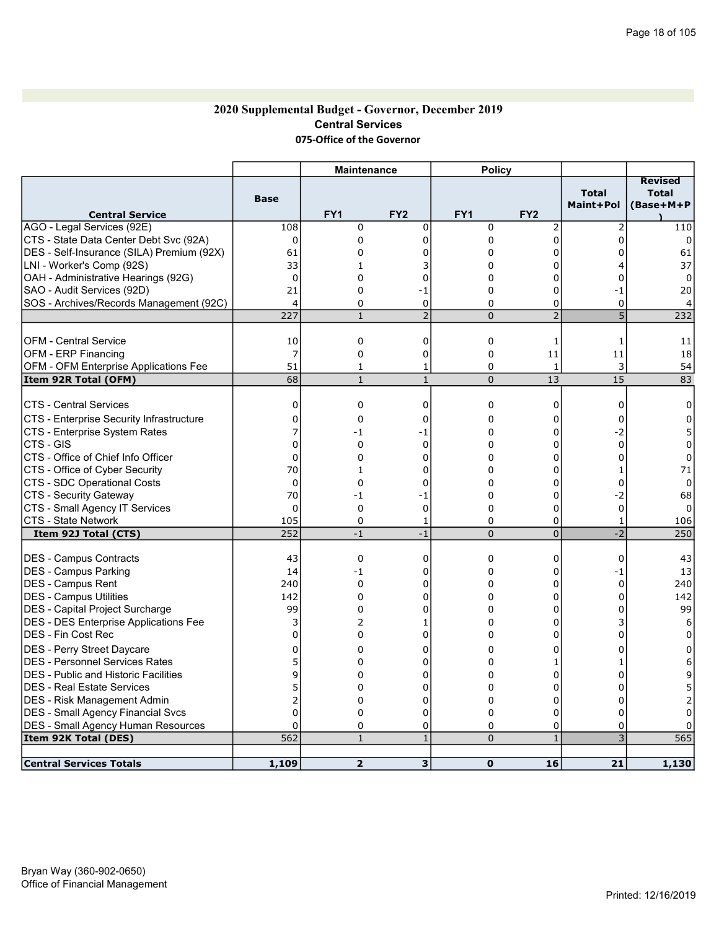#### 2020 Supplemental Budget - Governor, December 2019 Central Services 075-Office of the Governor

|                                              |                | <b>Maintenance</b> |                 | <b>Policy</b>   |                 |                           |                                             |
|----------------------------------------------|----------------|--------------------|-----------------|-----------------|-----------------|---------------------------|---------------------------------------------|
| <b>Central Service</b>                       | Base           | FY1                | FY <sub>2</sub> | FY <sub>1</sub> | FY <sub>2</sub> | <b>Total</b><br>Maint+Pol | <b>Revised</b><br><b>Total</b><br>(Base+M+P |
| AGO - Legal Services (92E)                   | 108            | $\mathbf 0$        | $\mathbf 0$     | 0               | 2               | 2                         | 110                                         |
| CTS - State Data Center Debt Svc (92A)       | 0              | $\mathbf 0$        | $\mathbf 0$     | 0               | 0               | $\Omega$                  | $\Omega$                                    |
| DES - Self-Insurance (SILA) Premium (92X)    | 61             | 0                  | 0               | 0               | 0               | 0                         | 61                                          |
| LNI - Worker's Comp (92S)                    | 33             | 1                  | 3               | 0               | 0               |                           | 37                                          |
| OAH - Administrative Hearings (92G)          | $\mathbf 0$    | 0                  | $\Omega$        | 0               | 0               | 0                         | $\mathbf 0$                                 |
| SAO - Audit Services (92D)                   | 21             | 0                  | -1              | 0               | 0               | $-1$                      | 20                                          |
| SOS - Archives/Records Management (92C)      | $\overline{4}$ | 0                  | $\mathbf 0$     | $\Omega$        | 0               | $\mathbf 0$               |                                             |
|                                              | 227            | $\mathbf{1}$       | $\overline{2}$  | $\overline{0}$  | $\overline{2}$  | $\overline{5}$            | 232                                         |
| <b>OFM - Central Service</b>                 | 10             | 0                  | 0               | 0               | 1               | 1                         | 11                                          |
| <b>OFM - ERP Financing</b>                   | 7              | $\mathbf 0$        | 0               | 0               | 11              | 11                        | 18                                          |
| OFM - OFM Enterprise Applications Fee        | 51             | $\mathbf{1}$       | 1               | $\Omega$        | $\mathbf{1}$    | 3                         | 54                                          |
| Item 92R Total (OFM)                         | 68             | $\mathbf{1}$       | $\mathbf{1}$    | $\mathbf 0$     | 13              | 15                        | 83                                          |
|                                              |                |                    |                 |                 |                 |                           |                                             |
| ICTS - Central Services                      | 0              | 0                  | 0               | 0               | 0               | 0                         | 0                                           |
| CTS - Enterprise Security Infrastructure     | 0              | $\Omega$           | $\Omega$        | $\Omega$        | 0               | $\Omega$                  | 0                                           |
| CTS - Enterprise System Rates                | 7              | -1                 | -1              | 0               | 0               | $-2$                      |                                             |
| CTS - GIS                                    | 0              | $\mathbf 0$        | $\Omega$        | 0               | 0               | $\mathbf 0$               | 0                                           |
| CTS - Office of Chief Info Officer           | 0              | 0                  | 0               | 0               | 0               | 0                         | 0                                           |
| CTS - Office of Cyber Security               | 70             | 1                  | $\Omega$        | 0               | 0               |                           | 71                                          |
| CTS - SDC Operational Costs                  | $\Omega$       | $\Omega$           | $\Omega$        | $\Omega$        | $\Omega$        | $\Omega$                  | $\Omega$                                    |
| CTS - Security Gateway                       | 70             | -1                 | -1              | 0               | 0               | $-2$                      | 68                                          |
| CTS - Small Agency IT Services               | 0              | $\mathbf 0$        | $\mathbf 0$     | 0               | 0               | $\mathbf 0$               | $\Omega$                                    |
| <b>CTS - State Network</b>                   | 105            | $\mathbf 0$        | 1               | 0               | 0               | 1                         | 106                                         |
| Item 92J Total (CTS)                         | 252            | $-1$               | $-1$            | $\overline{0}$  | $\overline{0}$  | $-2$                      | 250                                         |
| DES - Campus Contracts                       | 43             | $\mathbf 0$        | $\mathbf 0$     | 0               | 0               | 0                         | 43                                          |
| DES - Campus Parking                         | 14             | $-1$               | $\Omega$        | $\Omega$        | 0               | $-1$                      | 13                                          |
| DES - Campus Rent                            | 240            | $\Omega$           | $\Omega$        | $\Omega$        | $\Omega$        | $\Omega$                  | 240                                         |
| <b>DES - Campus Utilities</b>                | 142            | 0                  | $\Omega$        | $\Omega$        | $\Omega$        | $\Omega$                  | 142                                         |
| DES - Capital Project Surcharge              | 99             | 0                  | 0               | 0               | 0               | 0                         | 99                                          |
| <b>DES - DES Enterprise Applications Fee</b> | 3              | 2                  | 1               | $\Omega$        | 0               | 3                         | 6                                           |
| IDES - Fin Cost Rec                          | $\Omega$       | 0                  | $\Omega$        | $\Omega$        | 0               | $\Omega$                  | $\Omega$                                    |
| DES - Perry Street Daycare                   | n              | 0                  | 0               | 0               | 0               | 0                         | 0                                           |
| <b>DES - Personnel Services Rates</b>        |                | 0                  | 0               | 0               | 1               |                           | 6                                           |
| <b>DES - Public and Historic Facilities</b>  | q              | 0                  | $\Omega$        | $\Omega$        | 0               | 0                         | 9                                           |
| <b>DES - Real Estate Services</b>            |                | 0                  | $\Omega$        | $\Omega$        | $\mathbf 0$     | $\Omega$                  |                                             |
| DES - Risk Management Admin                  |                | 0                  | 0               | 0               | 0               | $\Omega$                  |                                             |
| DES - Small Agency Financial Svcs            | 0              | 0                  | $\mathbf 0$     | 0               | 0               | 0                         | n                                           |
| <b>DES - Small Agency Human Resources</b>    | $\Omega$       | 0                  | $\mathbf 0$     | 0               | 0               | 0                         |                                             |
| Item 92K Total (DES)                         | 562            | $\mathbf{1}$       | $\mathbf{1}$    | $\overline{0}$  | $\mathbf{1}$    | $\overline{3}$            | 565                                         |
| <b>Central Services Totals</b>               | 1,109          | $\overline{2}$     | 3               | $\mathbf{0}$    | 16              | 21                        | 1,130                                       |
|                                              |                |                    |                 |                 |                 |                           |                                             |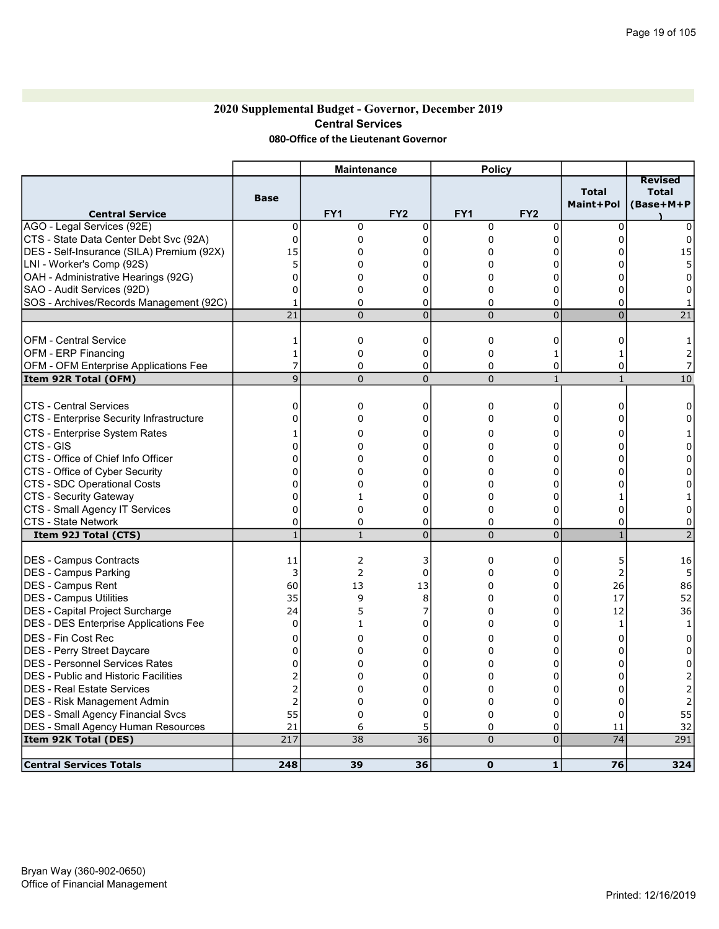### 2020 Supplemental Budget - Governor, December 2019 Central Services 080-Office of the Lieutenant Governor

|                                                       |                | <b>Maintenance</b> |                 | <b>Policy</b>   |                 |                           |                                             |
|-------------------------------------------------------|----------------|--------------------|-----------------|-----------------|-----------------|---------------------------|---------------------------------------------|
| <b>Central Service</b>                                | <b>Base</b>    | FY <sub>1</sub>    | FY <sub>2</sub> | FY <sub>1</sub> | FY <sub>2</sub> | <b>Total</b><br>Maint+Pol | <b>Revised</b><br><b>Total</b><br>(Base+M+P |
| AGO - Legal Services (92E)                            | $\mathbf 0$    | 0                  | 0               | 0               | 0               | 0                         |                                             |
| CTS - State Data Center Debt Svc (92A)                | 0              | 0                  | 0               | 0               | 0               | 0                         | $\Omega$                                    |
| DES - Self-Insurance (SILA) Premium (92X)             | 15             | 0                  | 0               | 0               | 0               | 0                         | 15                                          |
| LNI - Worker's Comp (92S)                             | 5              | 0                  | 0               | 0               | 0               | U                         |                                             |
| OAH - Administrative Hearings (92G)                   | $\mathbf 0$    | 0                  | $\Omega$        | 0               | 0               | $\Omega$                  | 0                                           |
| SAO - Audit Services (92D)                            | $\Omega$       | 0                  | $\Omega$        | 0               | 0               | $\Omega$                  | $\Omega$                                    |
| SOS - Archives/Records Management (92C)               | $\mathbf{1}$   | 0                  | 0               | 0               | 0               | 0                         |                                             |
|                                                       | 21             | $\Omega$           | $\Omega$        | 0               | $\overline{0}$  | $\pmb{0}$                 | 21                                          |
| <b>OFM - Central Service</b>                          | 1              | $\mathbf 0$        | 0               | 0               | 0               | 0                         |                                             |
| <b>OFM - ERP Financing</b>                            | $\mathbf{1}$   | 0                  | $\mathbf 0$     | 0               | $\mathbf 1$     | 1                         |                                             |
| OFM - OFM Enterprise Applications Fee                 | 7              | 0                  | 0               | 0               | 0               | 0                         |                                             |
| Item 92R Total (OFM)                                  | 9              | $\Omega$           | $\overline{0}$  | $\overline{0}$  | $\mathbf{1}$    | $\mathbf{1}$              | 10                                          |
| <b>CTS - Central Services</b>                         | $\mathbf 0$    | 0                  | 0               | 0               | 0               | 0                         | 0                                           |
| CTS - Enterprise Security Infrastructure              | $\Omega$       | 0                  | 0               | 0               | 0               | $\Omega$                  | 0                                           |
|                                                       |                |                    |                 |                 |                 |                           |                                             |
| CTS - Enterprise System Rates<br><b>CTS - GIS</b>     | 1              | 0                  | 0               | 0               | 0               | 0<br>O                    |                                             |
| CTS - Office of Chief Info Officer                    | 0<br>0         | 0<br>$\Omega$      | 0<br>$\Omega$   | 0<br>0          | 0<br>$\Omega$   | U                         | 0<br>0                                      |
| CTS - Office of Cyber Security                        | 0              | 0                  | 0               | 0               | 0               | $\Omega$                  | 0                                           |
|                                                       | 0              | 0                  | 0               |                 | 0               | $\Omega$                  |                                             |
| CTS - SDC Operational Costs<br>CTS - Security Gateway | $\mathbf 0$    | $\mathbf{1}$       | 0               | 0<br>0          | 0               |                           | 0                                           |
| CTS - Small Agency IT Services                        | 0              | 0                  | $\Omega$        | 0               | 0               | 0                         | 0                                           |
| <b>CTS - State Network</b>                            | 0              | 0                  | 0               | 0               | 0               | 0                         | $\Omega$                                    |
| Item 92J Total (CTS)                                  | $\mathbf{1}$   | $\mathbf{1}$       | $\overline{0}$  | $\pmb{0}$       | $\overline{0}$  | $\overline{1}$            |                                             |
|                                                       |                |                    |                 |                 |                 |                           |                                             |
| DES - Campus Contracts                                | 11             | 2                  | 3               | 0               | 0               | 5                         | 16                                          |
| DES - Campus Parking                                  | 3              | $\overline{2}$     | $\Omega$        | 0               | $\Omega$        | $\overline{2}$            | 5                                           |
| DES - Campus Rent                                     | 60             | 13                 | 13              | 0               | 0               | 26                        | 86                                          |
| <b>IDES - Campus Utilities</b>                        | 35             | 9                  | 8               | 0               | $\Omega$        | 17                        | 52                                          |
| DES - Capital Project Surcharge                       | 24             | 5                  | 7               | 0               | 0               | 12                        | 36                                          |
| <b>DES - DES Enterprise Applications Fee</b>          | $\Omega$       | $\mathbf{1}$       | $\Omega$        | 0               | $\Omega$        | $\mathbf{1}$              | 1                                           |
| DES - Fin Cost Rec                                    | 0              | $\mathbf 0$        | 0               | 0               | 0               | 0                         | 0                                           |
| <b>DES - Perry Street Daycare</b>                     | 0              | 0                  | 0               | 0               | 0               | 0                         | 0                                           |
| <b>DES - Personnel Services Rates</b>                 | 0              | 0                  | 0               | 0               | 0               | 0                         | 0                                           |
| <b>DES</b> - Public and Historic Facilities           | 2              | 0                  | 0               | 0               | 0               | 0                         |                                             |
| DES - Real Estate Services                            | $\overline{2}$ | $\Omega$           | $\Omega$        | 0               | $\Omega$        | $\Omega$                  |                                             |
| DES - Risk Management Admin                           | $\overline{2}$ | $\Omega$           | $\Omega$        | 0               | $\Omega$        | 0                         |                                             |
| DES - Small Agency Financial Svcs                     | 55             | 0                  | 0               | 0               | 0               | 0                         | 55                                          |
| <b>DES - Small Agency Human Resources</b>             | 21             | 6                  | 5               | 0               | 0               | 11                        | 32                                          |
| Item 92K Total (DES)                                  | 217            | 38                 | 36              | $\overline{0}$  | $\Omega$        | 74                        | 291                                         |
| <b>Central Services Totals</b>                        | 248            | 39                 | 36              | $\mathbf 0$     | 1               | 76                        | 324                                         |
|                                                       |                |                    |                 |                 |                 |                           |                                             |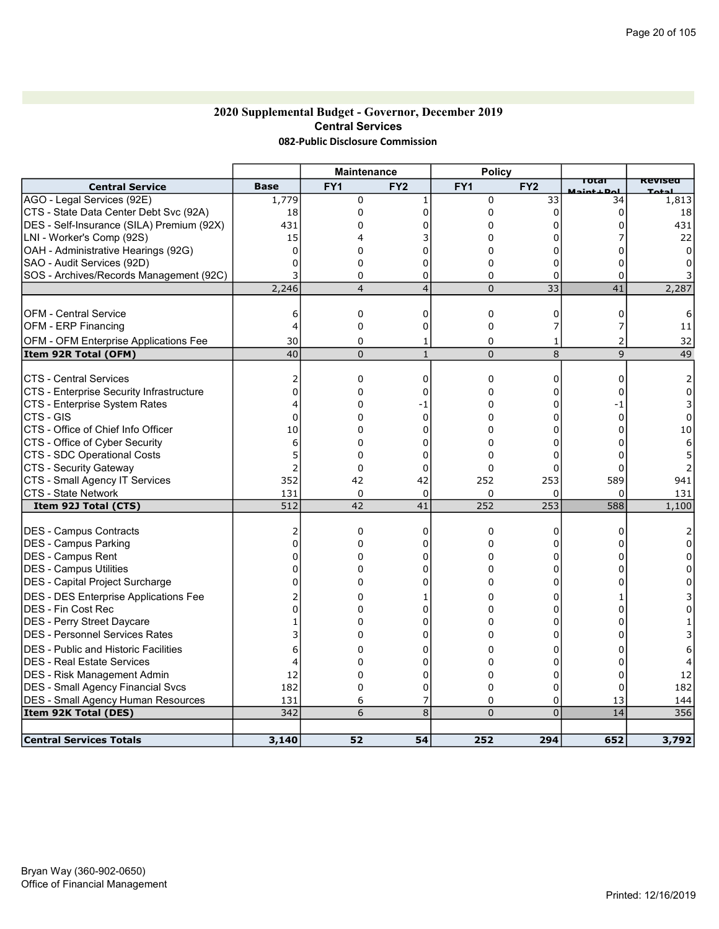### 2020 Supplemental Budget - Governor, December 2019 Central Services 082-Public Disclosure Commission

|                                             |                  | <b>Maintenance</b> |                 | <b>Policy</b>   |                 |                      |          |
|---------------------------------------------|------------------|--------------------|-----------------|-----------------|-----------------|----------------------|----------|
| <b>Central Service</b>                      | <b>Base</b>      | FY <sub>1</sub>    | FY <sub>2</sub> | FY <sub>1</sub> | FY <sub>2</sub> | Total<br>Maint + Pol | Revisea  |
| AGO - Legal Services (92E)                  | 1,779            | 0                  | $\mathbf{1}$    | 0               | 33              | 34                   | 1,813    |
| CTS - State Data Center Debt Svc (92A)      | 18               | 0                  | 0               | 0               | 0               | 0                    | 18       |
| DES - Self-Insurance (SILA) Premium (92X)   | 431              | 0                  | 0               | 0               | 0               |                      | 431      |
| LNI - Worker's Comp (92S)                   | 15               | 4                  |                 | 0               | 0               |                      | 22       |
| OAH - Administrative Hearings (92G)         | 0                | $\Omega$           | 0               | 0               | $\Omega$        |                      | $\Omega$ |
| SAO - Audit Services (92D)                  | 0                | $\Omega$           | 0               | 0               | 0               | 0                    |          |
| SOS - Archives/Records Management (92C)     | 3                | 0                  | 0               | 0               | 0               | 0                    |          |
|                                             | 2,246            | $\overline{4}$     | $\overline{4}$  | $\overline{0}$  | $\overline{33}$ | 41                   | 2,287    |
|                                             |                  |                    |                 |                 |                 |                      |          |
| <b>OFM - Central Service</b>                | 6                | 0                  | 0               | 0               | 0               | 0                    | 6        |
| OFM - ERP Financing                         | 4                | $\mathbf 0$        | $\Omega$        | 0               | 7               |                      | 11       |
| OFM - OFM Enterprise Applications Fee       | 30               | 0                  | 1               | 0               | 1               |                      | 32       |
| Item 92R Total (OFM)                        | 40               | $\Omega$           | $\mathbf{1}$    | $\overline{0}$  | 8               | 9                    | 49       |
|                                             |                  |                    |                 |                 |                 |                      |          |
| <b>CTS - Central Services</b>               | 2                | 0                  | 0               | 0               | 0               | 0                    |          |
| CTS - Enterprise Security Infrastructure    | 0                | 0                  | 0               | 0               | 0               | 0                    | 0        |
| CTS - Enterprise System Rates<br>ICTS - GIS | 4<br>0           | 0<br>$\Omega$      | -1<br>0         | 0<br>0          | 0<br>$\Omega$   | -1<br>$\Omega$       | $\Omega$ |
| CTS - Office of Chief Info Officer          | 10               | 0                  | 0               | 0               | $\Omega$        | $\Omega$             | 10       |
| CTS - Office of Cyber Security              | 6                | $\Omega$           | 0               | 0               | $\Omega$        | $\Omega$             | 6        |
| CTS - SDC Operational Costs                 | 5                | 0                  | 0               | 0               | $\Omega$        | 0                    |          |
| CTS - Security Gateway                      | $\overline{2}$   | 0                  | 0               | 0               | 0               | 0                    |          |
| CTS - Small Agency IT Services              | 352              | 42                 | 42              | 252             | 253             | 589                  | 941      |
| CTS - State Network                         | 131              | $\Omega$           | $\Omega$        | 0               | 0               | 0                    | 131      |
| Item 92J Total (CTS)                        | $\overline{512}$ | 42                 | $\overline{41}$ | 252             | 253             | 588                  | 1,100    |
|                                             |                  |                    |                 |                 |                 |                      |          |
| DES - Campus Contracts                      | $\overline{2}$   | $\mathbf 0$        | 0               | 0               | 0               | 0                    |          |
| <b>DES - Campus Parking</b>                 | $\Omega$         | 0                  | 0               | 0               | 0               | n                    |          |
| DES - Campus Rent                           | U                | $\Omega$           | $\Omega$        | 0               | $\Omega$        | U                    |          |
| DES - Campus Utilities                      |                  | $\Omega$           | 0               | 0               | 0               | n                    |          |
| DES - Capital Project Surcharge             |                  | $\mathbf 0$        | $\Omega$        | 0               | $\Omega$        |                      |          |
| DES - DES Enterprise Applications Fee       |                  | 0                  |                 | 0               | 0               |                      |          |
| DES - Fin Cost Rec                          |                  | $\mathbf 0$        | 0               | 0               | 0               |                      |          |
| DES - Perry Street Daycare                  |                  | $\Omega$           | 0               | 0               | $\Omega$        | 0                    |          |
| <b>DES - Personnel Services Rates</b>       |                  | $\Omega$           | 0               | 0               | 0               | 0                    |          |
| <b>DES</b> - Public and Historic Facilities | 6                | 0                  | 0               | 0               | 0               | 0                    |          |
| <b>IDES - Real Estate Services</b>          | 4                | 0                  | $\Omega$        | 0               | $\Omega$        | U                    |          |
| DES - Risk Management Admin                 | 12               | 0                  | 0               | 0               | 0               | U                    | 12       |
| <b>DES - Small Agency Financial Svcs</b>    | 182              | 0                  | 0               | 0               | 0               | 0                    | 182      |
| <b>DES - Small Agency Human Resources</b>   | 131              | 6                  | 7               | 0               | 0               | 13                   | 144      |
| Item 92K Total (DES)                        | 342              | 6                  | 8               | $\overline{0}$  | $\overline{0}$  | 14                   | 356      |
|                                             |                  |                    |                 |                 |                 |                      |          |
| <b>Central Services Totals</b>              | 3,140            | 52                 | 54              | 252             | 294             | 652                  | 3,792    |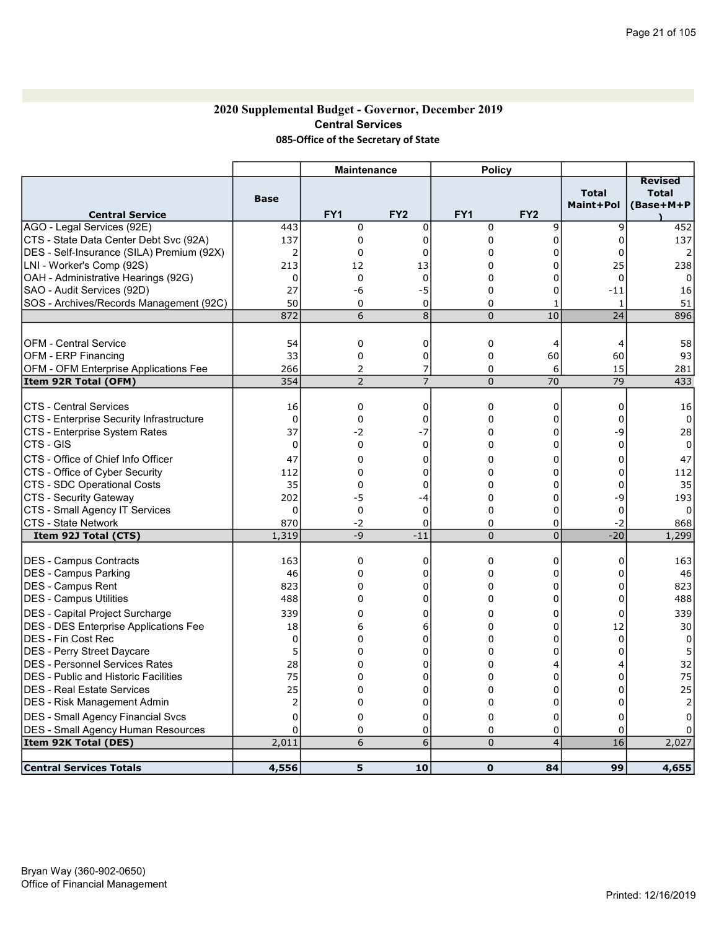## 2020 Supplemental Budget - Governor, December 2019 Central Services 085-Office of the Secretary of State

|                                              |                | <b>Maintenance</b> |                 | <b>Policy</b>  |                 |                           |                                             |
|----------------------------------------------|----------------|--------------------|-----------------|----------------|-----------------|---------------------------|---------------------------------------------|
| <b>Central Service</b>                       | <b>Base</b>    | FY <sub>1</sub>    | FY <sub>2</sub> | FY1            | FY <sub>2</sub> | <b>Total</b><br>Maint+Pol | <b>Revised</b><br><b>Total</b><br>(Base+M+P |
| AGO - Legal Services (92E)                   | 443            | $\mathbf 0$        | $\mathbf 0$     | 0              | 9               | 9                         | 452                                         |
| CTS - State Data Center Debt Svc (92A)       | 137            | $\mathbf 0$        | 0               | 0              | 0               | 0                         | 137                                         |
| DES - Self-Insurance (SILA) Premium (92X)    | $\overline{2}$ | 0                  | $\mathbf 0$     | $\mathbf 0$    | 0               | 0                         |                                             |
| LNI - Worker's Comp (92S)                    | 213            | 12                 | 13              | $\mathbf 0$    | $\Omega$        | 25                        | 238                                         |
| OAH - Administrative Hearings (92G)          | 0              | $\mathbf 0$        | $\mathbf 0$     | 0              | 0               | $\mathbf 0$               | 0                                           |
| SAO - Audit Services (92D)                   | 27             | -6                 | $-5$            | 0              | 0               | $-11$                     | 16                                          |
| SOS - Archives/Records Management (92C)      | 50             | $\mathbf 0$        | 0               | 0              | 1               | 1                         | 51                                          |
|                                              | 872            | 6                  | 8               | $\Omega$       | 10              | $\overline{24}$           | 896                                         |
|                                              |                |                    |                 |                |                 |                           |                                             |
| <b>OFM - Central Service</b>                 | 54             | $\mathbf 0$        | 0               | 0              | 4               | 4                         | 58                                          |
| <b>OFM - ERP Financing</b>                   | 33             | $\mathbf 0$        | $\mathbf 0$     | 0              | 60              | 60                        | 93                                          |
| <b>OFM - OFM Enterprise Applications Fee</b> | 266            | 2                  | 7               | 0              | 6               | 15                        | 281                                         |
| Item 92R Total (OFM)                         | 354            | $\overline{2}$     | $\overline{7}$  | $\overline{0}$ | 70              | 79                        | 433                                         |
|                                              |                |                    |                 |                |                 |                           |                                             |
| ICTS - Central Services                      | 16             | $\mathbf 0$        | 0               | 0              | 0               | 0                         | 16                                          |
| CTS - Enterprise Security Infrastructure     | $\Omega$       | $\mathbf 0$        | $\Omega$        | 0              | 0               | $\Omega$                  | $\Omega$                                    |
| CTS - Enterprise System Rates                | 37             | -2                 | -7              | 0              | 0               | -9                        | 28                                          |
| CTS - GIS                                    | $\Omega$       | $\Omega$           | $\Omega$        | $\Omega$       | $\Omega$        | $\Omega$                  | $\mathbf{0}$                                |
| CTS - Office of Chief Info Officer           | 47             | $\mathbf 0$        | 0               | 0              | 0               | 0                         | 47                                          |
| CTS - Office of Cyber Security               | 112            | 0                  | $\mathbf 0$     | 0              | 0               | 0                         | 112                                         |
| CTS - SDC Operational Costs                  | 35             | $\Omega$           | $\Omega$        | $\Omega$       | 0               | $\Omega$                  | 35                                          |
| CTS - Security Gateway                       | 202            | -5                 | -4              | $\mathbf 0$    | $\Omega$        | -9                        | 193                                         |
| CTS - Small Agency IT Services               | $\Omega$       | $\Omega$           | $\mathbf 0$     | $\mathbf 0$    | $\Omega$        | $\Omega$                  | $\Omega$                                    |
| <b>CTS - State Network</b>                   | 870            | $-2$               | 0               | 0              | 0               | $-2$                      | 868                                         |
| Item 92J Total (CTS)                         | 1,319          | $-9$               | $-11$           | $\Omega$       | $\overline{0}$  | $-20$                     | 1,299                                       |
|                                              |                |                    |                 |                |                 |                           |                                             |
| DES - Campus Contracts                       | 163            | $\mathbf 0$        | $\Omega$        | 0              | 0               | $\Omega$                  | 163                                         |
| DES - Campus Parking                         | 46             | 0                  | $\Omega$        | 0              | 0               | $\Omega$                  | 46                                          |
| <b>DES - Campus Rent</b>                     | 823            | 0                  | $\Omega$        | 0              | 0               | $\Omega$                  | 823                                         |
| <b>DES - Campus Utilities</b>                | 488            | 0                  | $\Omega$        | $\Omega$       | 0               | $\Omega$                  | 488                                         |
| DES - Capital Project Surcharge              | 339            | 0                  | 0               | 0              | 0               | 0                         | 339                                         |
| DES - DES Enterprise Applications Fee        | 18             | 6                  | 6               | 0              | $\overline{0}$  | 12                        | 30                                          |
| IDES - Fin Cost Rec                          | 0              | 0                  | 0               | 0              | 0               | $\Omega$                  | $\mathbf 0$                                 |
| DES - Perry Street Daycare                   | 5              | 0                  | 0               | 0              | 0               | 0                         | 5                                           |
| <b>DES - Personnel Services Rates</b>        | 28             | 0                  | $\Omega$        | 0              | 4               | 4                         | 32                                          |
| <b>IDES - Public and Historic Facilities</b> | 75             | 0                  | $\Omega$        | 0              | 0               | 0                         | 75                                          |
| <b>DES - Real Estate Services</b>            | 25             | 0                  | $\Omega$        | $\Omega$       | $\Omega$        | $\Omega$                  | 25                                          |
| IDES - Risk Management Admin                 | $\overline{2}$ | 0                  | 0               | 0              | 0               | 0                         | 2                                           |
| <b>DES - Small Agency Financial Svcs</b>     | 0              | 0                  | $\mathbf 0$     | 0              | 0               | 0                         |                                             |
| <b>DES - Small Agency Human Resources</b>    | 0              | 0                  | $\mathbf 0$     | 0              | 0               | $\Omega$                  |                                             |
| Item 92K Total (DES)                         | 2,011          | 6                  | 6               | $\Omega$       | $\overline{4}$  | 16                        | 2,027                                       |
|                                              |                |                    |                 |                |                 |                           |                                             |
| <b>Central Services Totals</b>               | 4,556          | 5                  | 10              | $\mathbf{0}$   | 84              | 99                        | 4,655                                       |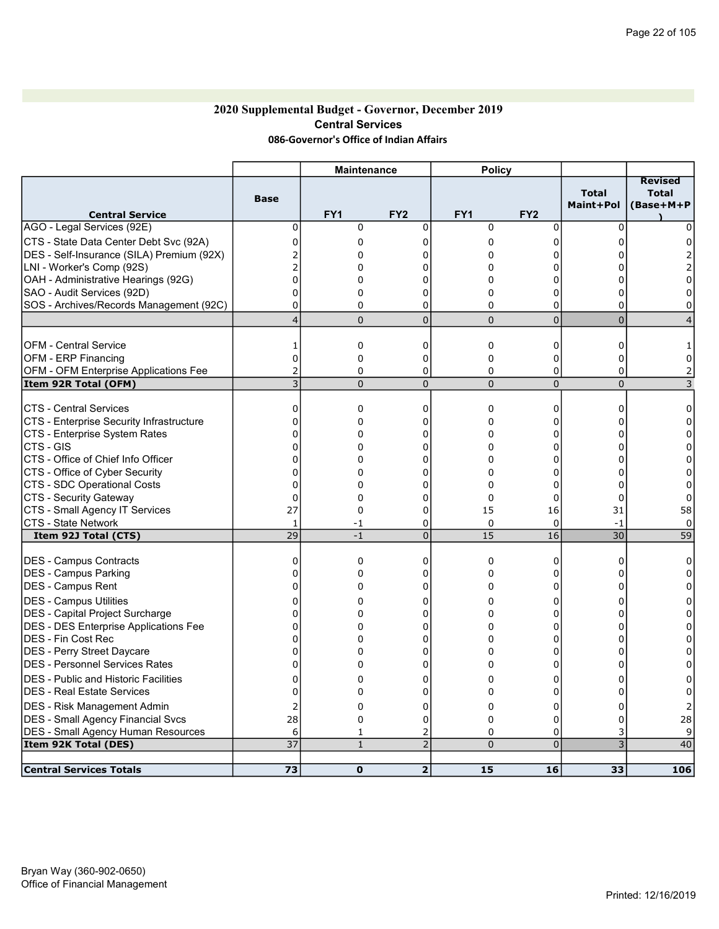## 2020 Supplemental Budget - Governor, December 2019 Central Services 086-Governor's Office of Indian Affairs

|                                              |                 | <b>Maintenance</b> |                 | <b>Policy</b>   |                 |                           |                                             |
|----------------------------------------------|-----------------|--------------------|-----------------|-----------------|-----------------|---------------------------|---------------------------------------------|
| <b>Central Service</b>                       | <b>Base</b>     | FY <sub>1</sub>    | FY <sub>2</sub> | FY <sub>1</sub> | FY <sub>2</sub> | <b>Total</b><br>Maint+Pol | <b>Revised</b><br><b>Total</b><br>(Base+M+P |
| AGO - Legal Services (92E)                   | $\Omega$        | 0                  | 0               | 0               | 0               | 0                         |                                             |
| CTS - State Data Center Debt Svc (92A)       |                 | 0                  |                 | 0               | 0               |                           |                                             |
| DES - Self-Insurance (SILA) Premium (92X)    |                 | 0                  |                 |                 | Ω               |                           |                                             |
| LNI - Worker's Comp (92S)                    |                 | 0                  |                 | 0               |                 |                           |                                             |
| OAH - Administrative Hearings (92G)          |                 | 0                  |                 | 0               | 0               |                           |                                             |
| SAO - Audit Services (92D)                   |                 | 0                  |                 | 0               |                 |                           |                                             |
| SOS - Archives/Records Management (92C)      | 0               | 0                  | 0               | 0               | 0               | 0                         |                                             |
|                                              | 4               | $\mathbf 0$        | $\Omega$        | 0               | $\Omega$        | $\Omega$                  |                                             |
|                                              |                 |                    |                 |                 |                 |                           |                                             |
| <b>OFM - Central Service</b>                 | 1               | 0                  | 0               | 0               | 0               | 0                         |                                             |
| OFM - ERP Financing                          | 0               | 0                  | 0               | 0               | 0               | 0                         |                                             |
| OFM - OFM Enterprise Applications Fee        |                 | 0                  | 0               | 0               | 0               | 0                         |                                             |
| Item 92R Total (OFM)                         |                 | $\Omega$           | $\Omega$        | 0               | $\Omega$        | $\Omega$                  |                                             |
| ICTS - Central Services                      | 0               | 0                  | 0               | 0               | 0               | U                         |                                             |
| CTS - Enterprise Security Infrastructure     |                 | 0                  |                 | 0               | 0               |                           |                                             |
| CTS - Enterprise System Rates                |                 | 0                  |                 | 0               | 0               |                           |                                             |
| ICTS - GIS                                   |                 | 0                  |                 | 0               | 0               |                           |                                             |
| ICTS - Office of Chief Info Officer          |                 | 0                  |                 | 0               | 0               |                           |                                             |
| CTS - Office of Cyber Security               |                 | 0                  |                 | 0               |                 |                           |                                             |
| CTS - SDC Operational Costs                  |                 | 0                  |                 | 0               | 0               |                           |                                             |
| CTS - Security Gateway                       | 0               | 0                  |                 | 0               | 0               | 0                         |                                             |
| CTS - Small Agency IT Services               | 27              | 0                  | 0               | 15              | 16              | 31                        | 58                                          |
| CTS - State Network                          | 1               | -1                 | 0               | 0               | 0               | -1                        | $\Omega$                                    |
| Item 92J Total (CTS)                         | 29              | $-1$               | $\overline{0}$  | 15              | 16              | 30                        | 59                                          |
| DES - Campus Contracts                       | 0               | 0                  | 0               | 0               | 0               | 0                         |                                             |
| DES - Campus Parking                         |                 | 0                  |                 | 0               | 0               |                           |                                             |
| DES - Campus Rent                            |                 | 0                  | 0               | 0               | 0               |                           |                                             |
| DES - Campus Utilities                       |                 | 0                  | 0               | 0               | 0               |                           |                                             |
| DES - Capital Project Surcharge              |                 | 0                  |                 | 0               | 0               |                           |                                             |
| <b>DES - DES Enterprise Applications Fee</b> |                 | 0                  |                 | 0               | 0               |                           |                                             |
| DES - Fin Cost Rec                           |                 | 0                  |                 | 0               | 0               |                           |                                             |
| DES - Perry Street Daycare                   |                 | 0                  |                 |                 |                 |                           |                                             |
| <b>DES - Personnel Services Rates</b>        |                 | 0                  |                 |                 |                 |                           |                                             |
| <b>IDES - Public and Historic Facilities</b> |                 | 0                  |                 |                 | 0               |                           |                                             |
| DES - Real Estate Services                   | U               | U                  | U               | U               | U               | Ü                         | υı                                          |
| DES - Risk Management Admin                  | $\overline{2}$  | 0                  | 0               | 0               | 0               | $\Omega$                  |                                             |
| DES - Small Agency Financial Svcs            | 28              | 0                  | 0               | 0               | 0               | 0                         | 28                                          |
| DES - Small Agency Human Resources           | 6               | 1                  |                 | 0               | $\Omega$        |                           | $\vert 9 \vert$                             |
| Item 92K Total (DES)                         | $\overline{37}$ | $\mathbf{1}$       | $\overline{2}$  | $\overline{0}$  | $\Omega$        | 3                         | 40                                          |
| <b>Central Services Totals</b>               | 73              | $\mathbf 0$        | $\mathbf{2}$    | 15              | 16              | 33                        | 106                                         |
|                                              |                 |                    |                 |                 |                 |                           |                                             |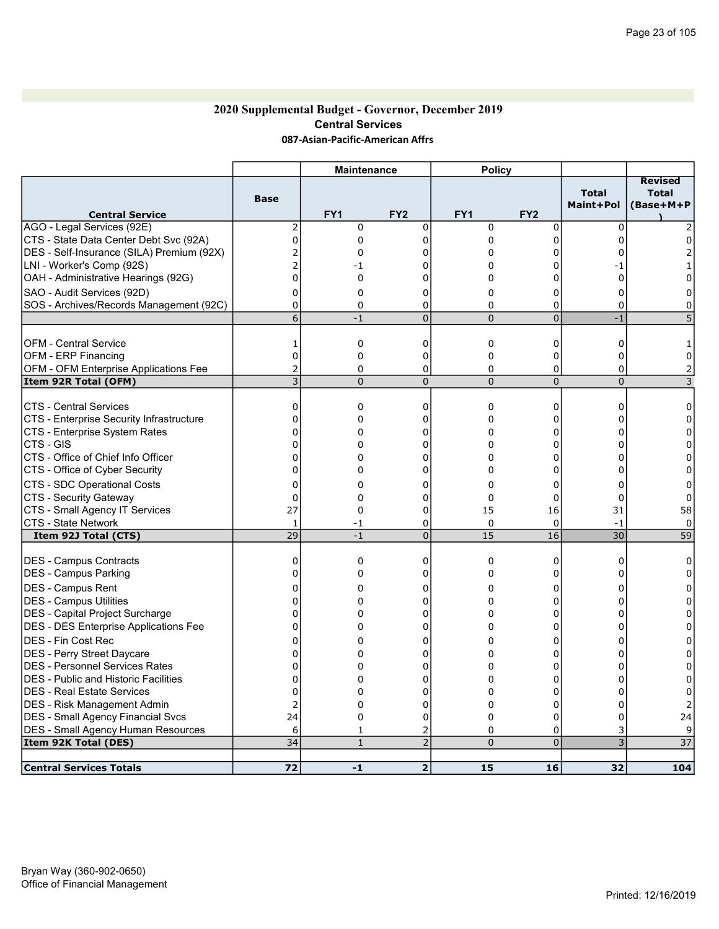### 2020 Supplemental Budget - Governor, December 2019 Central Services 087-Asian-Pacific-American Affrs

|                                              |                | <b>Maintenance</b> |                 | <b>Policy</b>   |                 |                           |                                             |
|----------------------------------------------|----------------|--------------------|-----------------|-----------------|-----------------|---------------------------|---------------------------------------------|
| <b>Central Service</b>                       | <b>Base</b>    | FY <sub>1</sub>    | FY <sub>2</sub> | FY <sub>1</sub> | FY <sub>2</sub> | <b>Total</b><br>Maint+Pol | <b>Revised</b><br><b>Total</b><br>(Base+M+P |
| AGO - Legal Services (92E)                   | 2              | $\Omega$           | $\mathbf 0$     | 0               | 0               | $\Omega$                  |                                             |
| CTS - State Data Center Debt Svc (92A)       | $\Omega$       | 0                  | $\Omega$        | 0               | $\Omega$        | $\Omega$                  |                                             |
| DES - Self-Insurance (SILA) Premium (92X)    |                | 0                  | 0               | 0               | 0               | 0                         |                                             |
| LNI - Worker's Comp (92S)                    |                | -1                 | $\Omega$        | $\Omega$        | $\Omega$        |                           |                                             |
| OAH - Administrative Hearings (92G)          | 0              | $\mathbf 0$        | 0               | 0               | 0               | $\Omega$                  | U                                           |
| SAO - Audit Services (92D)                   | 0              | $\Omega$           | 0               | 0               | $\Omega$        | 0                         |                                             |
| SOS - Archives/Records Management (92C)      | $\overline{0}$ | 0                  | $\mathbf 0$     | $\Omega$        | $\overline{0}$  | $\Omega$                  | 0                                           |
|                                              | 6              | $-1$               | $\overline{0}$  | $\overline{0}$  | $\overline{0}$  | $-1$                      |                                             |
|                                              |                |                    |                 |                 |                 |                           |                                             |
| IOFM - Central Service                       | 1              | $\mathbf 0$        | $\mathbf 0$     | 0               | 0               | 0                         |                                             |
| <b>OFM - ERP Financing</b>                   | 0              | $\mathbf 0$        | $\mathbf 0$     | 0               | 0               | $\overline{0}$            | 0                                           |
| OFM - OFM Enterprise Applications Fee        | 2              | $\Omega$           | $\mathbf 0$     | 0               | 0               | 0                         | 2                                           |
| Item 92R Total (OFM)                         | 3              | $\overline{0}$     | $\overline{0}$  | $\overline{0}$  | $\overline{0}$  | $\overline{0}$            | 3                                           |
|                                              |                |                    |                 |                 |                 |                           |                                             |
| <b>CTS - Central Services</b>                | 0              | $\mathbf 0$        | $\mathbf 0$     | 0               | 0               | 0                         | 0                                           |
| CTS - Enterprise Security Infrastructure     | C              | 0                  | $\Omega$        | $\Omega$        | $\Omega$        | U                         | 0                                           |
| CTS - Enterprise System Rates                |                | 0                  | 0               | $\Omega$        | 0               | 0                         | 0                                           |
| CTS - GIS                                    | 0              | 0                  | $\Omega$        | $\Omega$        | $\Omega$        | 0                         | 0                                           |
| CTS - Office of Chief Info Officer           | 0              | 0                  | 0               | 0               | 0               | 0                         | 0                                           |
| CTS - Office of Cyber Security               | 0              | 0                  | $\Omega$        | $\Omega$        | $\Omega$        | $\Omega$                  | 0                                           |
| CTS - SDC Operational Costs                  | 0              | 0                  | $\Omega$        | 0               | 0               | $\Omega$                  | 0                                           |
| <b>CTS - Security Gateway</b>                | $\Omega$       | 0                  | $\Omega$        | 0               | 0               | $\Omega$                  | 0                                           |
| CTS - Small Agency IT Services               | 27             | $\Omega$           | $\mathbf 0$     | 15              | 16              | 31                        | 58                                          |
| CTS - State Network                          | 1              | -1                 | 0               | 0               | 0               | $-1$                      | 0                                           |
| Item 92J Total (CTS)                         | 29             | $-1$               | $\overline{0}$  | 15              | 16              | 30                        | 59                                          |
|                                              |                |                    |                 |                 |                 |                           |                                             |
| DES - Campus Contracts                       | 0              | $\mathbf 0$        | $\mathbf 0$     | 0               | 0               | 0                         | 0                                           |
| DES - Campus Parking                         | U              | 0                  | 0               | 0               | 0               | O                         | $\Omega$                                    |
| <b>DES - Campus Rent</b>                     | 0              | 0                  | $\Omega$        | 0               | 0               | 0                         | 0                                           |
| <b>DES - Campus Utilities</b>                | 0              | 0                  | $\Omega$        | $\Omega$        | 0               | $\Omega$                  | 0                                           |
| DES - Capital Project Surcharge              | 0              | 0                  | $\Omega$        | $\Omega$        | 0               | $\Omega$                  | 0                                           |
| <b>DES - DES Enterprise Applications Fee</b> | U              | 0                  | $\Omega$        | $\Omega$        | $\Omega$        | $\Omega$                  | $\Omega$                                    |
| DES - Fin Cost Rec                           | 0              | 0                  | $\Omega$        | 0               | $\Omega$        | 0                         | 0                                           |
| DES - Perry Street Daycare                   | 0              | 0                  | 0               | 0               | 0               | 0                         | 0                                           |
| <b>DES - Personnel Services Rates</b>        | 0              | 0                  | $\Omega$        | $\Omega$        | 0               | $\Omega$                  | 0                                           |
| <b>IDES - Public and Historic Facilities</b> | 0              | 0                  | 0               | $\Omega$        | 0               | 0                         | 0                                           |
| <b>DES - Real Estate Services</b>            | 0              | 0                  | $\Omega$        | 0               | $\Omega$        | U                         | 0                                           |
| DES - Risk Management Admin                  | 2              | 0                  | $\Omega$        | 0               | 0               | 0                         |                                             |
| DES - Small Agency Financial Svcs            | 24             | 0                  | $\Omega$        | 0               | 0               | 0                         | 24                                          |
| DES - Small Agency Human Resources           | 6              | 1                  | $\overline{2}$  | 0               | 0               | 3                         |                                             |
| Item 92K Total (DES)                         | 34             | $\mathbf{1}$       | $\overline{2}$  | $\Omega$        | $\Omega$        | $\overline{3}$            | 37                                          |
|                                              |                |                    |                 |                 |                 |                           |                                             |
| <b>Central Services Totals</b>               | 72             | $-1$               | $\overline{2}$  | 15              | 16              | 32                        | 104                                         |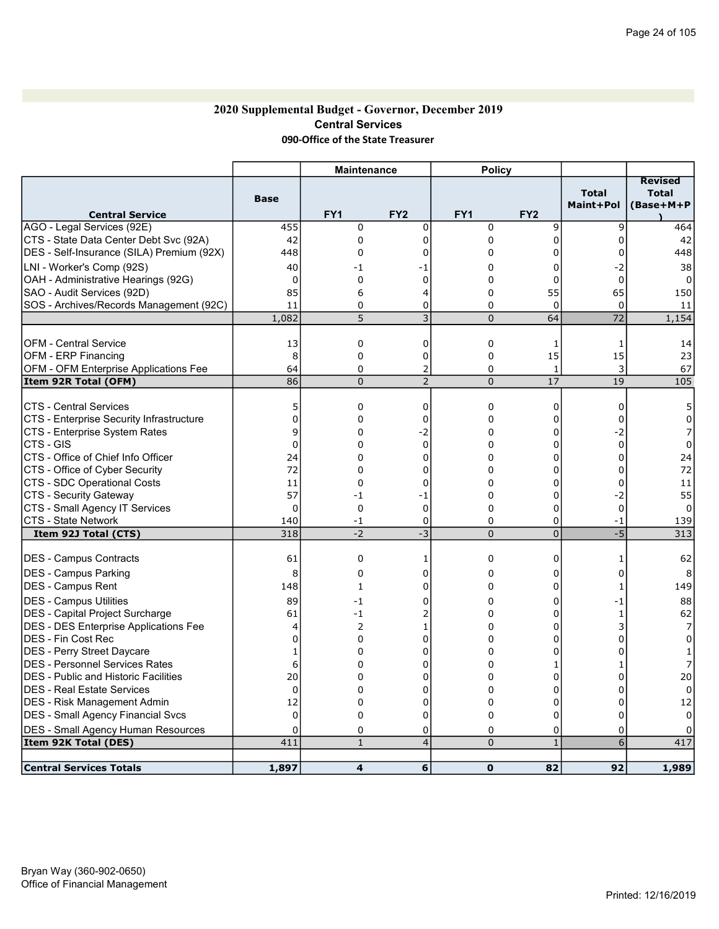### 2020 Supplemental Budget - Governor, December 2019 Central Services 090-Office of the State Treasurer

|                                              |                   | <b>Maintenance</b>  |                 | <b>Policy</b>   |                 |                           |                                             |
|----------------------------------------------|-------------------|---------------------|-----------------|-----------------|-----------------|---------------------------|---------------------------------------------|
| <b>Central Service</b>                       | <b>Base</b>       | FY <sub>1</sub>     | FY <sub>2</sub> | FY <sub>1</sub> | FY <sub>2</sub> | <b>Total</b><br>Maint+Pol | <b>Revised</b><br><b>Total</b><br>(Base+M+P |
| AGO - Legal Services (92E)                   | 455               | $\mathbf 0$         | $\mathbf 0$     | 0               | 9               | 9                         | 464                                         |
| CTS - State Data Center Debt Svc (92A)       | 42                | $\mathbf 0$         | $\Omega$        | 0               | $\Omega$        | 0                         | 42                                          |
| DES - Self-Insurance (SILA) Premium (92X)    | 448               | 0                   | 0               | 0               | 0               | 0                         | 448                                         |
|                                              |                   |                     |                 |                 |                 |                           |                                             |
| LNI - Worker's Comp (92S)                    | 40                | $-1$<br>$\mathbf 0$ | - 1             | 0               | 0               | -2<br>$\mathbf 0$         | 38<br>$\Omega$                              |
| OAH - Administrative Hearings (92G)          | $\mathbf 0$<br>85 |                     | $\mathbf 0$     | 0<br>0          | 0               |                           |                                             |
| SAO - Audit Services (92D)                   | 11                | 6<br>0              | 4<br>$\Omega$   | $\Omega$        | 55<br>$\Omega$  | 65<br>$\Omega$            | 150<br>11                                   |
| SOS - Archives/Records Management (92C)      | 1,082             | 5                   | 3               | $\overline{0}$  | 64              | $\overline{72}$           | 1,154                                       |
|                                              |                   |                     |                 |                 |                 |                           |                                             |
| <b>OFM - Central Service</b>                 | 13                | 0                   | 0               | 0               | 1               | 1                         | 14                                          |
| OFM - ERP Financing                          | 8                 | $\mathbf 0$         | $\mathbf 0$     | 0               | 15              | 15                        | 23                                          |
| OFM - OFM Enterprise Applications Fee        | 64                | $\Omega$            | $\overline{2}$  | $\Omega$        | $\mathbf{1}$    | 3                         | 67                                          |
| Item 92R Total (OFM)                         | 86                | $\overline{0}$      | $\overline{2}$  | $\mathbf 0$     | 17              | 19                        | 105                                         |
|                                              |                   |                     |                 |                 |                 |                           |                                             |
| <b>CTS - Central Services</b>                | 5                 | 0                   | $\mathbf 0$     | 0               | 0               | 0                         |                                             |
| CTS - Enterprise Security Infrastructure     | $\Omega$          | 0                   | $\mathbf 0$     | 0               | 0               | $\Omega$                  | $\Omega$                                    |
| CTS - Enterprise System Rates                | 9                 | 0                   | $-2$            | $\Omega$        | $\Omega$        | $-2$                      |                                             |
| CTS - GIS                                    | $\Omega$          | 0                   | $\Omega$        | $\mathbf 0$     | $\Omega$        | $\mathbf{0}$              | $\Omega$                                    |
| CTS - Office of Chief Info Officer           | 24                | 0                   | $\Omega$        | $\Omega$        | 0               | $\Omega$                  | 24                                          |
| CTS - Office of Cyber Security               | 72                | 0                   | $\Omega$        | $\Omega$        | 0               | $\Omega$                  | 72                                          |
| CTS - SDC Operational Costs                  | 11                | $\Omega$            | $\Omega$        | $\Omega$        | 0               | $\Omega$                  | 11                                          |
| CTS - Security Gateway                       | 57                | $-1$                | $-1$            | $\Omega$        | $\Omega$        | $-2$                      | 55                                          |
| CTS - Small Agency IT Services               | $\mathbf{0}$      | $\Omega$            | 0               | 0               | 0               | $\Omega$                  | $\Omega$                                    |
| <b>CTS - State Network</b>                   | 140               | $-1$                | 0               | 0               | 0               | $-1$                      | 139                                         |
| Item 92J Total (CTS)                         | 318               | $-2$                | $-3$            | $\Omega$        | $\mathbf 0$     | $-5$                      | 313                                         |
|                                              | 61                | $\Omega$            |                 | 0               | 0               |                           |                                             |
| DES - Campus Contracts                       |                   |                     | 1               |                 |                 | 1                         | 62                                          |
| DES - Campus Parking                         | 8                 | 0                   | 0               | 0               | 0               | 0                         | 8                                           |
| DES - Campus Rent                            | 148               | $\mathbf{1}$        | $\Omega$        | 0               | 0               | 1                         | 149                                         |
| <b>DES - Campus Utilities</b>                | 89                | $-1$                | $\mathbf 0$     | 0               | 0               | $-1$                      | 88                                          |
| DES - Capital Project Surcharge              | 61                | $-1$                | $\overline{2}$  | 0               | 0               | 1                         | 62                                          |
| <b>DES - DES Enterprise Applications Fee</b> | 4                 | 2                   | 1               | 0               | 0               | 3                         | 7                                           |
| DES - Fin Cost Rec                           | 0                 | 0                   | $\mathbf 0$     | 0               | 0               | 0                         | $\Omega$                                    |
| <b>DES - Perry Street Daycare</b>            | 1                 | 0                   | $\Omega$        | 0               | 0               | 0                         |                                             |
| <b>DES - Personnel Services Rates</b>        | 6                 | 0                   | $\Omega$        | 0               | $\mathbf{1}$    |                           |                                             |
| <b>IDES - Public and Historic Facilities</b> | 20                | 0                   | $\Omega$        | 0               | 0               | $\Omega$                  | 20                                          |
| <b>DES - Real Estate Services</b>            | $\Omega$          | 0                   | $\Omega$        | $\Omega$        | $\Omega$        | $\Omega$                  | $\mathbf 0$                                 |
| DES - Risk Management Admin                  | 12                | 0                   | 0               | 0               | 0               | 0                         | 12                                          |
| <b>DES - Small Agency Financial Svcs</b>     | 0                 | 0                   | $\mathbf 0$     | 0               | 0               | $\Omega$                  | 0                                           |
| <b>DES - Small Agency Human Resources</b>    | 0                 | $\Omega$            | $\mathbf 0$     | 0               | 0               | $\Omega$                  | O                                           |
| Item 92K Total (DES)                         | 411               | $\mathbf{1}$        | $\overline{4}$  | $\Omega$        | $\mathbf{1}$    | 6                         | 417                                         |
| <b>Central Services Totals</b>               | 1,897             | 4                   | 6               | $\mathbf{0}$    | 82              | 92                        | 1,989                                       |
|                                              |                   |                     |                 |                 |                 |                           |                                             |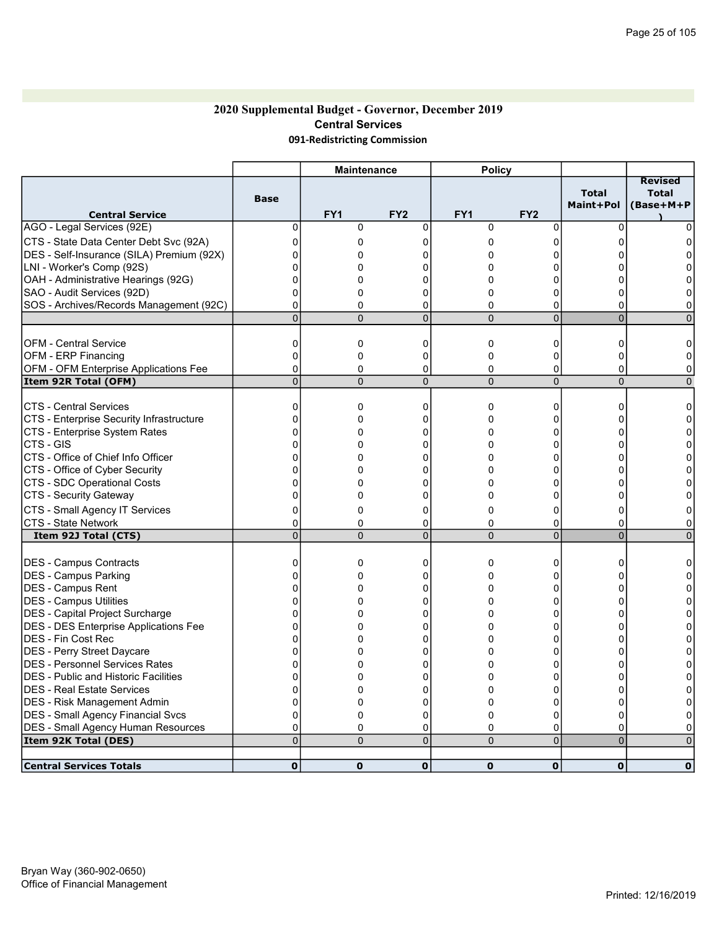### 2020 Supplemental Budget - Governor, December 2019 Central Services 091-Redistricting Commission

|                                             |                               | <b>Maintenance</b> |                 | <b>Policy</b>  |                 |                           |                                             |
|---------------------------------------------|-------------------------------|--------------------|-----------------|----------------|-----------------|---------------------------|---------------------------------------------|
| <b>Central Service</b>                      | <b>Base</b>                   | FY <sub>1</sub>    | FY <sub>2</sub> | FY1            | FY <sub>2</sub> | <b>Total</b><br>Maint+Pol | <b>Revised</b><br><b>Total</b><br>(Base+M+P |
| AGO - Legal Services (92E)                  | $\mathbf 0$                   | 0                  | $\mathbf 0$     | 0              | 0               | $\mathbf 0$               |                                             |
| CTS - State Data Center Debt Svc (92A)      | 0                             | 0                  | $\Omega$        | 0              | 0               | $\Omega$                  |                                             |
| DES - Self-Insurance (SILA) Premium (92X)   | $\Omega$                      | 0                  | 0               | 0              | 0               | U                         |                                             |
| LNI - Worker's Comp (92S)                   | n                             | 0                  | 0               | 0              | $\Omega$        |                           |                                             |
| OAH - Administrative Hearings (92G)         | 0                             | 0                  | 0               | 0              | $\Omega$        | U                         |                                             |
| SAO - Audit Services (92D)                  | 0                             | $\Omega$           | 0               | 0              | $\Omega$        | n                         |                                             |
| SOS - Archives/Records Management (92C)     | 0                             | $\mathbf 0$        | $\mathbf 0$     | 0              | 0               | 0                         | 0                                           |
|                                             | $\mathbf 0$                   | $\overline{0}$     | $\overline{0}$  | $\overline{0}$ | $\overline{0}$  | $\overline{0}$            | $\Omega$                                    |
|                                             |                               |                    |                 |                |                 |                           |                                             |
| <b>OFM - Central Service</b>                | 0                             | 0                  | 0               | 0              | 0               | 0                         | 0                                           |
| OFM - ERP Financing                         | $\Omega$                      | $\pmb{0}$          | $\Omega$        | 0              | 0               | $\Omega$                  | $\Omega$                                    |
| OFM - OFM Enterprise Applications Fee       | $\Omega$                      | 0                  | 0               | 0              | 0               | $\Omega$                  | 0                                           |
| Item 92R Total (OFM)                        | $\overline{0}$                | $\Omega$           | $\overline{0}$  | $\overline{0}$ | $\overline{0}$  | $\overline{0}$            | $\Omega$                                    |
| <b>CTS - Central Services</b>               | 0                             | $\mathbf 0$        | $\Omega$        | 0              | 0               | 0                         | 0                                           |
| CTS - Enterprise Security Infrastructure    | $\Omega$                      | 0                  | $\Omega$        | 0              | 0               | $\Omega$                  | $\Omega$                                    |
| CTS - Enterprise System Rates               | 0                             | 0                  | 0               | 0              | 0               | 0                         | 0                                           |
| CTS - GIS                                   | 0                             | 0                  | 0               | 0              | 0               | 0                         | 0                                           |
| CTS - Office of Chief Info Officer          | 0                             | 0                  | 0               | 0              | 0               | 0                         | 0                                           |
| CTS - Office of Cyber Security              | 0                             | 0                  | 0               | 0              | $\Omega$        | <sup>0</sup>              | 0                                           |
| CTS - SDC Operational Costs                 | $\Omega$                      | 0                  | $\Omega$        | 0              | 0               | 0                         | U                                           |
| CTS - Security Gateway                      | $\Omega$                      | $\Omega$           | $\Omega$        | 0              | $\Omega$        | $\Omega$                  | 0                                           |
| CTS - Small Agency IT Services              | $\Omega$                      | 0                  | $\Omega$        | 0              | 0               | 0                         | 0                                           |
| CTS - State Network                         | $\Omega$                      | $\Omega$           | 0               | 0              | 0               | $\Omega$                  | 0                                           |
| Item 92J Total (CTS)                        | $\mathbf 0$                   | $\Omega$           | $\mathbf 0$     | $\overline{0}$ | $\mathbf 0$     | $\mathbf 0$               | $\Omega$                                    |
|                                             |                               |                    |                 |                |                 |                           |                                             |
| DES - Campus Contracts                      | 0                             | 0                  | 0               | 0              | 0               | 0                         | 0                                           |
| DES - Campus Parking                        | $\Omega$                      | $\Omega$           | $\Omega$        | 0              | $\Omega$        | $\Omega$                  | $\Omega$                                    |
| DES - Campus Rent                           | $\Omega$                      | $\Omega$           | $\Omega$        | 0              | 0               | $\Omega$                  | $\Omega$                                    |
| DES - Campus Utilities                      | $\Omega$                      | 0                  | $\Omega$        | 0              | $\Omega$        | 0                         | 0                                           |
| DES - Capital Project Surcharge             | $\Omega$                      | 0                  | 0               | 0              | 0               | 0                         | O                                           |
| DES - DES Enterprise Applications Fee       | 0                             | 0                  | 0               | 0              | 0               | U                         | 0                                           |
| <b>IDES - Fin Cost Rec</b>                  | 0                             | $\Omega$           | $\Omega$        | 0              | $\Omega$        | U                         |                                             |
| <b>DES</b> - Perry Street Daycare           | 0                             | 0                  | 0               | 0              | 0               | 0                         | 0                                           |
| <b>DES - Personnel Services Rates</b>       | 0                             | 0                  | 0               | 0              | 0               | 0                         | 0                                           |
| <b>DES</b> - Public and Historic Facilities | 0                             | 0                  | 0               | 0              | 0               | 0                         | 0                                           |
| <b>IDES - Real Estate Services</b>          | $\Omega$                      | 0                  | $\Omega$        | 0              | 0               | $\Omega$                  | 0                                           |
| DES - Risk Management Admin                 | $\Omega$                      | 0                  | 0               | 0              | 0               | $\Omega$                  | 0                                           |
| <b>DES - Small Agency Financial Svcs</b>    | 0                             | 0                  | $\Omega$        | 0              | $\Omega$        | $\Omega$                  | <sup>0</sup>                                |
| <b>DES - Small Agency Human Resources</b>   | $\mathbf 0$<br>$\overline{0}$ | 0                  | 0<br>$\Omega$   | 0              | 0<br>$\Omega$   | 0<br>$\overline{0}$       | 0                                           |
| Item 92K Total (DES)                        |                               | $\Omega$           |                 | $\overline{0}$ |                 |                           | $\Omega$                                    |
| <b>Central Services Totals</b>              | $\mathbf o$                   | 0                  | $\mathbf 0$     | $\mathbf 0$    | $\mathbf 0$     | $\mathbf 0$               | $\mathbf 0$                                 |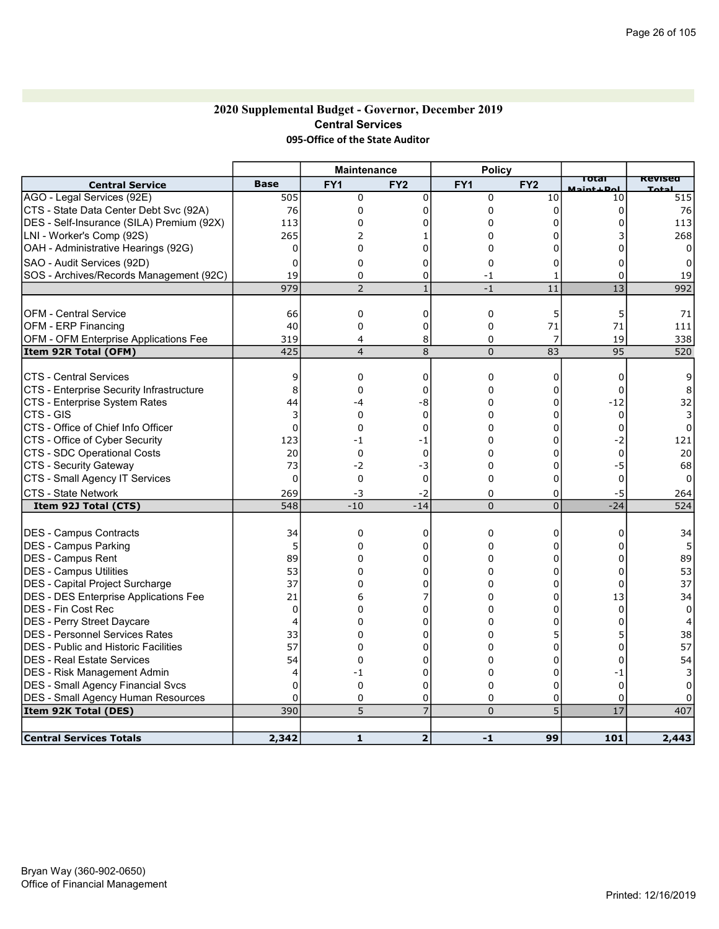### 2020 Supplemental Budget - Governor, December 2019 Central Services 095-Office of the State Auditor

|                                              |             | <b>Maintenance</b> |                 | <b>Policy</b>   |                 |                      |                  |
|----------------------------------------------|-------------|--------------------|-----------------|-----------------|-----------------|----------------------|------------------|
| <b>Central Service</b>                       | <b>Base</b> | FY <sub>1</sub>    | FY <sub>2</sub> | FY <sub>1</sub> | FY <sub>2</sub> | Total<br>Maint + Dol | <b>Revised</b>   |
| AGO - Legal Services (92E)                   | 505         | 0                  | $\mathbf 0$     | 0               | 10              | 10                   | $\overline{515}$ |
| CTS - State Data Center Debt Svc (92A)       | 76          | 0                  | 0               | 0               | 0               | 0                    | 76               |
| DES - Self-Insurance (SILA) Premium (92X)    | 113         | $\mathbf 0$        | 0               | 0               | 0               | n                    | 113              |
| LNI - Worker's Comp (92S)                    | 265         | 2                  |                 | 0               | O               |                      | 268              |
| OAH - Administrative Hearings (92G)          | 0           | 0                  | 0               | 0               | $\Omega$        | U                    | $\Omega$         |
| SAO - Audit Services (92D)                   | 0           | $\Omega$           | $\Omega$        | 0               | 0               | U                    | $\Omega$         |
| SOS - Archives/Records Management (92C)      | 19          | 0                  | $\mathbf 0$     | $-1$            | 1               | 0                    | 19               |
|                                              | 979         | $\overline{2}$     | $\mathbf{1}$    | $-1$            | $\overline{11}$ | $\overline{13}$      | 992              |
|                                              |             |                    |                 |                 |                 |                      |                  |
| <b>OFM - Central Service</b>                 | 66          | $\mathbf 0$        | $\mathbf 0$     | $\mathbf 0$     | 5               | 5                    | 71               |
| <b>OFM - ERP Financing</b>                   | 40          | 0                  | 0               | 0               | 71              | 71                   | 111              |
| OFM - OFM Enterprise Applications Fee        | 319         | 4                  | 8               | 0               | 7               | 19                   | 338              |
| Item 92R Total (OFM)                         | 425         | $\overline{4}$     | 8               | 0               | 83              | 95                   | 520              |
|                                              |             |                    |                 |                 |                 |                      |                  |
| <b>CTS - Central Services</b>                | 9           | 0                  | 0               | 0               | 0               | $\mathbf 0$          | 9                |
| CTS - Enterprise Security Infrastructure     | 8           | $\mathbf 0$        | $\Omega$        | 0               | 0               | $\mathbf 0$          | 8                |
| CTS - Enterprise System Rates                | 44          | -4                 | -8              | 0               | 0               | $-12$                | 32               |
| <b>CTS - GIS</b>                             | 3           | $\Omega$           | $\Omega$        | $\Omega$        | $\Omega$        | $\Omega$             |                  |
| CTS - Office of Chief Info Officer           | $\mathbf 0$ | 0                  | 0               | 0               | 0               | $\mathbf 0$          | 0                |
| CTS - Office of Cyber Security               | 123         | $-1$               | -1              | 0               | 0               | $-2$                 | 121              |
| CTS - SDC Operational Costs                  | 20          | 0                  | $\mathbf 0$     | 0               | 0               | 0                    | 20               |
| CTS - Security Gateway                       | 73          | $-2$               | $-3$            | 0               | 0               | $-5$                 | 68               |
| CTS - Small Agency IT Services               | 0           | 0                  | 0               | 0               | $\Omega$        | $\mathbf 0$          | 0                |
| CTS - State Network                          | 269         | -3                 | -2              | 0               | 0               | -5                   | 264              |
| Item 92J Total (CTS)                         | 548         | $-10$              | $-14$           | $\overline{0}$  | $\overline{0}$  | $-24$                | 524              |
|                                              |             |                    |                 |                 |                 |                      |                  |
| DES - Campus Contracts                       | 34          | 0                  | $\mathbf 0$     | 0               | 0               | 0                    | 34               |
| DES - Campus Parking                         | 5           | 0                  | 0               | 0               | 0               | 0                    |                  |
| DES - Campus Rent                            | 89          | $\Omega$           | 0               | 0               | 0               | $\Omega$             | 89               |
| <b>DES - Campus Utilities</b>                | 53          | $\Omega$           | 0               | 0               | $\Omega$        | 0                    | 53               |
| DES - Capital Project Surcharge              | 37          | $\mathbf 0$        | 0               | 0               | 0               | 0                    | 37               |
| <b>DES - DES Enterprise Applications Fee</b> | 21          | 6                  | 7               | 0               | $\Omega$        | 13                   | 34               |
| <b>IDES - Fin Cost Rec</b>                   | 0           | 0                  | $\Omega$        | 0               | 0               | $\Omega$             | $\Omega$         |
| DES - Perry Street Daycare                   | 4           | 0                  | 0               | 0               | 0               | 0                    |                  |
| DES - Personnel Services Rates               | 33          | $\mathbf 0$        | 0               | 0               | 5               |                      | 38               |
| <b>DES</b> - Public and Historic Facilities  | 57          | 0                  | 0               | 0               | 0               | 0                    | 57               |
| <b>DES - Real Estate Services</b>            | 54          | 0                  | 0               | 0               | 0               | 0                    | 54               |
| DES - Risk Management Admin                  | 4           | -1                 | 0               | 0               | $\Omega$        | -1                   |                  |
| DES - Small Agency Financial Svcs            | 0           | 0                  | 0               | 0               | 0               | 0                    |                  |
| <b>DES - Small Agency Human Resources</b>    | $\Omega$    | $\mathbf 0$        | 0               | 0               | 0               | 0                    |                  |
| Item 92K Total (DES)                         | 390         | 5                  | $\overline{7}$  | $\overline{0}$  | $\overline{5}$  | $\overline{17}$      | 407              |
|                                              |             |                    |                 |                 |                 |                      |                  |
| <b>Central Services Totals</b>               | 2,342       | $\mathbf{1}$       | $\mathbf{2}$    | $-1$            | 99              | 101                  | 2,443            |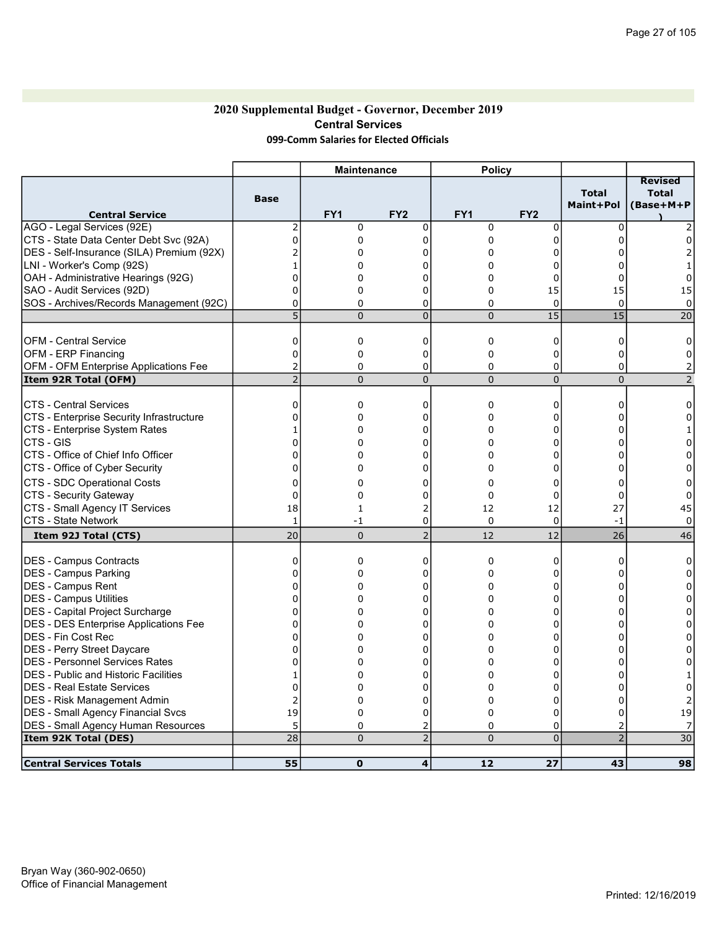## 2020 Supplemental Budget - Governor, December 2019 Central Services 099-Comm Salaries for Elected Officials

|                                              |                | <b>Maintenance</b> |                 | <b>Policy</b>   |                 |                           |                                             |
|----------------------------------------------|----------------|--------------------|-----------------|-----------------|-----------------|---------------------------|---------------------------------------------|
| <b>Central Service</b>                       | <b>Base</b>    | FY <sub>1</sub>    | FY <sub>2</sub> | FY <sub>1</sub> | FY <sub>2</sub> | <b>Total</b><br>Maint+Pol | <b>Revised</b><br><b>Total</b><br>(Base+M+P |
| AGO - Legal Services (92E)                   | 2              | 0                  | $\mathbf 0$     | 0               | $\mathbf 0$     | $\Omega$                  |                                             |
| CTS - State Data Center Debt Svc (92A)       | 0              | 0                  | $\Omega$        | 0               | 0               | 0                         | 0                                           |
| DES - Self-Insurance (SILA) Premium (92X)    |                | 0                  | 0               | 0               | 0               | U                         |                                             |
| LNI - Worker's Comp (92S)                    |                | 0                  | 0               | $\Omega$        | 0               | 0                         |                                             |
| OAH - Administrative Hearings (92G)          | $\Omega$       | $\Omega$           | $\Omega$        | 0               | 0               | $\Omega$                  | 0                                           |
| SAO - Audit Services (92D)                   | $\Omega$       | 0                  | $\Omega$        | 0               | 15              | 15                        | 15                                          |
| SOS - Archives/Records Management (92C)      | $\Omega$       | 0                  | 0               | 0               | $\mathbf 0$     | $\mathbf 0$               | $\Omega$                                    |
|                                              | $\overline{5}$ | $\mathbf 0$        | $\overline{0}$  | $\overline{0}$  | $\overline{15}$ | $\overline{15}$           | $\overline{20}$                             |
| <b>OFM - Central Service</b>                 | 0              | 0                  | 0               | 0               | 0               | 0                         | 0                                           |
| <b>OFM - ERP Financing</b>                   | $\Omega$       | $\pmb{0}$          | 0               | 0               | 0               | $\Omega$                  | $\Omega$                                    |
| OFM - OFM Enterprise Applications Fee        | 2              | 0                  | 0               | 0               | 0               | 0                         | 2                                           |
| Item 92R Total (OFM)                         | $\overline{2}$ | $\Omega$           | $\overline{0}$  | $\overline{0}$  | $\overline{0}$  | $\Omega$                  | 2                                           |
| <b>CTS - Central Services</b>                | 0              | 0                  | 0               | 0               | 0               | 0                         | 0                                           |
| CTS - Enterprise Security Infrastructure     | 0              | 0                  | 0               | 0               | 0               | $\Omega$                  | U                                           |
| CTS - Enterprise System Rates                |                | $\mathbf 0$        | $\Omega$        | 0               | $\Omega$        | U                         |                                             |
| ICTS - GIS                                   | 0              | $\mathbf 0$        | $\Omega$        | 0               | $\Omega$        | O                         |                                             |
| CTS - Office of Chief Info Officer           | 0              | 0                  | 0               | 0               | 0               | 0                         | 0                                           |
| CTS - Office of Cyber Security               | 0              | 0                  | 0               | 0               | $\Omega$        | 0                         | 0                                           |
| CTS - SDC Operational Costs                  | 0              | $\mathbf 0$        | $\Omega$        | 0               | $\Omega$        | $\Omega$                  |                                             |
| CTS - Security Gateway                       | $\Omega$       | $\mathbf 0$        | $\Omega$        | 0               | $\Omega$        | 0                         | 0                                           |
| CTS - Small Agency IT Services               | 18             | $\mathbf{1}$       | $\overline{2}$  | 12              | 12              | 27                        | 45                                          |
| <b>CTS - State Network</b>                   | 1              | -1                 | 0               | 0               | 0               | $-1$                      | 0                                           |
| Item 92J Total (CTS)                         | 20             | $\Omega$           | $\overline{2}$  | 12              | 12              | 26                        | 46                                          |
|                                              |                |                    |                 |                 |                 |                           |                                             |
| <b>IDES - Campus Contracts</b>               | 0              | 0                  | 0               | 0               | 0               | 0                         | 0                                           |
| <b>DES - Campus Parking</b>                  | 0              | 0                  | 0               | 0               | 0               | 0                         | 0                                           |
| DES - Campus Rent                            | $\Omega$       | 0                  | $\Omega$        | 0               | 0               | $\Omega$                  | 0                                           |
| DES - Campus Utilities                       | $\Omega$       | $\Omega$           | $\Omega$        | 0               | $\Omega$        | $\Omega$                  | $\Omega$                                    |
| DES - Capital Project Surcharge              | 0              | 0                  | $\Omega$        | 0               | 0               | $\Omega$                  | $\Omega$                                    |
| <b>DES - DES Enterprise Applications Fee</b> | 0              | 0                  | 0               | 0               | 0               | U                         | 0                                           |
| DES - Fin Cost Rec                           | 0              | $\Omega$           | 0               | 0               | 0               | O                         | 0                                           |
| DES - Perry Street Daycare                   | 0              | 0                  | 0               | 0               | 0               | U                         | 0                                           |
| DES - Personnel Services Rates               | 0              | 0                  | $\Omega$        | 0               | $\overline{0}$  | $\Omega$                  | $\Omega$                                    |
| <b>DES</b> - Public and Historic Facilities  | 1              | 0                  | 0               | 0               | 0               | 0                         |                                             |
| <b>IDES - Real Estate Services</b>           | 0              | $\Omega$           | 0               | 0               | $\Omega$        | $\Omega$                  | 0                                           |
| <b>IDES - Risk Management Admin</b>          | 2              | $\Omega$           | 0               | 0               | 0               | 0                         | 2                                           |
| DES - Small Agency Financial Svcs            | 19             | 0                  | $\mathbf 0$     | 0               | $\overline{0}$  | 0                         | 19                                          |
| <b>DES - Small Agency Human Resources</b>    | 5              | 0                  | 2               | 0               | 0               | 2                         | 7                                           |
| Item 92K Total (DES)                         | 28             | $\Omega$           | $\overline{2}$  | $\overline{0}$  | $\Omega$        | $\overline{2}$            | 30                                          |
| <b>Central Services Totals</b>               | 55             | 0                  | 4               | 12              | 27              | 43                        | 98                                          |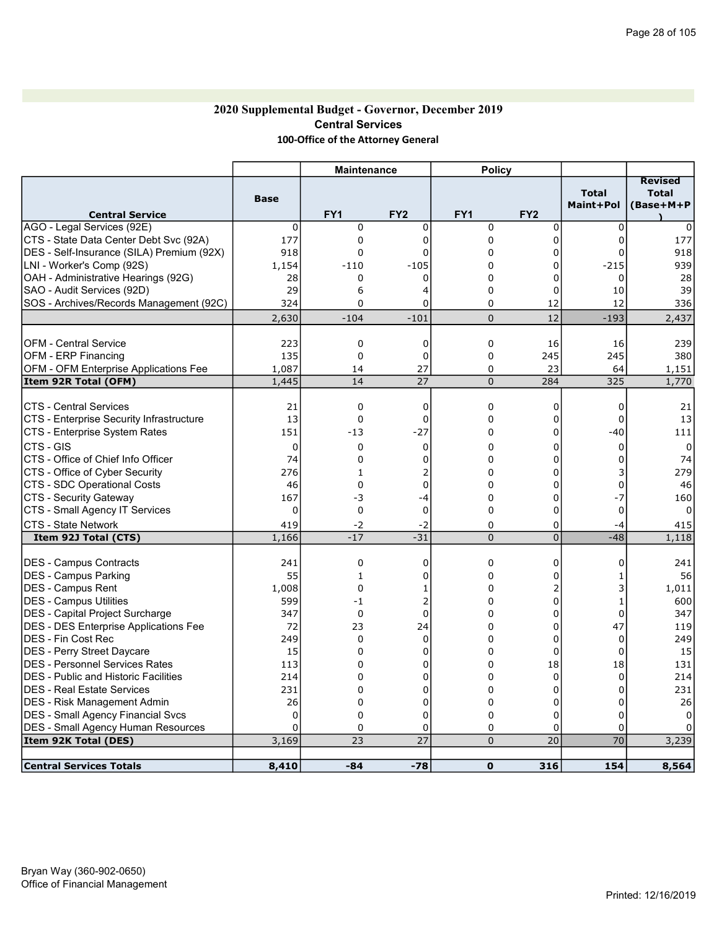## 2020 Supplemental Budget - Governor, December 2019 Central Services 100-Office of the Attorney General

|                                              |             | <b>Maintenance</b> |                 | <b>Policy</b>   |                 |                           |                                             |
|----------------------------------------------|-------------|--------------------|-----------------|-----------------|-----------------|---------------------------|---------------------------------------------|
| <b>Central Service</b>                       | <b>Base</b> | FY <sub>1</sub>    | FY <sub>2</sub> | FY <sub>1</sub> | FY <sub>2</sub> | <b>Total</b><br>Maint+Pol | <b>Revised</b><br><b>Total</b><br>(Base+M+P |
| AGO - Legal Services (92E)                   | $\Omega$    | $\Omega$           | $\Omega$        | 0               | 0               | $\Omega$                  | $\Omega$                                    |
| CTS - State Data Center Debt Svc (92A)       | 177         | 0                  | $\Omega$        | 0               | $\Omega$        | $\Omega$                  | 177                                         |
| DES - Self-Insurance (SILA) Premium (92X)    | 918         | 0                  | $\Omega$        | 0               | 0               | $\Omega$                  | 918                                         |
| LNI - Worker's Comp (92S)                    | 1,154       | $-110$             | $-105$          | 0               | 0               | $-215$                    | 939                                         |
| OAH - Administrative Hearings (92G)          | 28          | 0                  | 0               | 0               | 0               | 0                         | 28                                          |
| SAO - Audit Services (92D)                   | 29          | 6                  | 4               | 0               | $\overline{0}$  | 10                        | 39                                          |
| SOS - Archives/Records Management (92C)      | 324         | 0                  | 0               | 0               | 12              | 12                        | 336                                         |
|                                              |             |                    |                 |                 |                 |                           |                                             |
|                                              | 2,630       | $-104$             | $-101$          | 0               | 12              | $-193$                    | 2,437                                       |
| <b>OFM - Central Service</b>                 | 223         | $\mathbf 0$        | 0               | 0               | 16              | 16                        | 239                                         |
| <b>OFM - ERP Financing</b>                   | 135         | $\mathbf 0$        | $\overline{0}$  | 0               | 245             | 245                       | 380                                         |
| OFM - OFM Enterprise Applications Fee        | 1,087       | 14                 | 27              | 0               | 23              | 64                        | 1,151                                       |
| Item 92R Total (OFM)                         | 1,445       | 14                 | 27              | 0               | 284             | 325                       | 1,770                                       |
|                                              |             |                    |                 |                 |                 |                           |                                             |
| <b>CTS - Central Services</b>                | 21          | 0                  | 0               | 0               | 0               | 0                         | 21                                          |
| CTS - Enterprise Security Infrastructure     | 13          | $\Omega$           | $\Omega$        | 0               | $\mathbf 0$     | $\Omega$                  | 13                                          |
| CTS - Enterprise System Rates                | 151         | $-13$              | $-27$           | 0               | 0               | $-40$                     | 111                                         |
| CTS - GIS                                    | 0           | $\mathbf 0$        | 0               | 0               | 0               | 0                         | 0                                           |
| CTS - Office of Chief Info Officer           | 74          | $\Omega$           | $\Omega$        | $\Omega$        | $\Omega$        | $\Omega$                  | 74                                          |
| CTS - Office of Cyber Security               | 276         | $\mathbf{1}$       |                 | 0               | 0               | 3                         | 279                                         |
| CTS - SDC Operational Costs                  | 46          | $\Omega$           | $\Omega$        | 0               | $\Omega$        | $\mathbf 0$               | 46                                          |
| CTS - Security Gateway                       | 167         | -3                 | -4              | 0               | 0               | $-7$                      | 160                                         |
| CTS - Small Agency IT Services               | $\Omega$    | $\Omega$           | 0               | 0               | $\mathbf 0$     | $\Omega$                  | $\Omega$                                    |
| <b>CTS - State Network</b>                   | 419         | $-2$               | $-2$            | 0               | 0               | $-4$                      | 415                                         |
| Item 92J Total (CTS)                         | 1,166       | $-17$              | $-31$           | 0               | $\overline{0}$  | $-48$                     | 1,118                                       |
|                                              |             |                    |                 |                 |                 |                           |                                             |
| DES - Campus Contracts                       | 241         | 0                  | 0               | 0               | 0               | $\Omega$                  | 241                                         |
| DES - Campus Parking                         | 55          | $\mathbf{1}$       | $\Omega$        | 0               | 0               | 1                         | 56                                          |
| IDES - Campus Rent                           | 1,008       | 0                  | 1               | 0               | $\overline{2}$  | 3                         | 1,011                                       |
| <b>IDES - Campus Utilities</b>               | 599         | -1                 | 2               | 0               | $\overline{0}$  | 1                         | 600                                         |
| DES - Capital Project Surcharge              | 347         | 0                  | $\Omega$        | 0               | $\Omega$        | 0                         | 347                                         |
| <b>DES - DES Enterprise Applications Fee</b> | 72          | 23                 | 24              | 0               | 0               | 47                        | 119                                         |
| <b>IDES - Fin Cost Rec</b>                   | 249         | $\mathbf 0$        | $\mathbf 0$     | 0               | 0               | $\mathbf 0$               | 249                                         |
| <b>DES - Perry Street Daycare</b>            | 15          | 0                  | 0               | 0               | $\mathbf 0$     | $\mathbf 0$               | 15                                          |
| DES - Personnel Services Rates               | 113         | $\Omega$           | $\Omega$        | 0               | 18              | 18                        | 131                                         |
| <b>IDES - Public and Historic Facilities</b> | 214         | $\Omega$           | $\Omega$        | 0               | $\mathbf 0$     | $\Omega$                  | 214                                         |
| <b>IDES - Real Estate Services</b>           | 231         | 0                  | $\Omega$        | 0               | $\mathbf 0$     | $\Omega$                  | 231                                         |
| <b>IDES - Risk Management Admin</b>          | 26          | 0                  | $\mathbf 0$     | 0               | 0               | 0                         | 26                                          |
| <b>DES - Small Agency Financial Svcs</b>     | 0           | 0                  | 0               | 0               | 0               | 0                         | $\Omega$                                    |
| DES - Small Agency Human Resources           | 0           | 0                  | $\mathbf 0$     | 0               | 0               | 0                         |                                             |
| Item 92K Total (DES)                         | 3,169       | 23                 | 27              | 0               | 20              | 70                        | 3,239                                       |
|                                              |             |                    |                 |                 |                 |                           |                                             |
| <b>Central Services Totals</b>               | 8,410       | $-84$              | $-78$           | $\mathbf{0}$    | 316             | 154                       | 8,564                                       |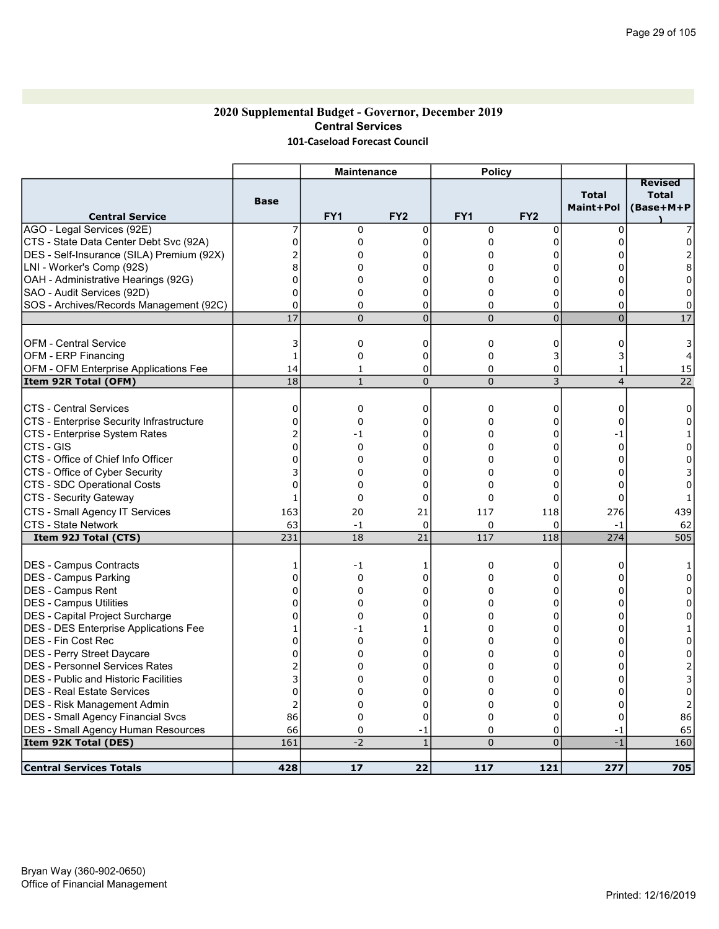#### 2020 Supplemental Budget - Governor, December 2019 Central Services 101-Caseload Forecast Council

|                                              |                 | <b>Maintenance</b> |                 | <b>Policy</b>   |                 |                           |                                      |
|----------------------------------------------|-----------------|--------------------|-----------------|-----------------|-----------------|---------------------------|--------------------------------------|
| <b>Central Service</b>                       | Base            | FY <sub>1</sub>    | FY <sub>2</sub> | FY <sub>1</sub> | FY <sub>2</sub> | <b>Total</b><br>Maint+Pol | <b>Revised</b><br>Total<br>(Base+M+P |
| AGO - Legal Services (92E)                   | 7               | $\mathbf 0$        | $\mathbf 0$     | 0               | 0               | $\mathbf 0$               |                                      |
| CTS - State Data Center Debt Svc (92A)       | $\Omega$        | 0                  | $\Omega$        | 0               | 0               | $\Omega$                  |                                      |
| DES - Self-Insurance (SILA) Premium (92X)    |                 | 0                  | 0               | 0               | 0               | 0                         |                                      |
| LNI - Worker's Comp (92S)                    | 8               | 0                  | $\Omega$        | $\Omega$        | $\Omega$        | U                         | 8                                    |
| OAH - Administrative Hearings (92G)          | 0               | 0                  | $\Omega$        | $\Omega$        | 0               | 0                         | 0                                    |
| SAO - Audit Services (92D)                   | $\Omega$        | 0                  | $\Omega$        | 0               | $\mathbf 0$     | $\Omega$                  | $\Omega$                             |
| SOS - Archives/Records Management (92C)      | 0               | $\mathbf 0$        | $\mathbf 0$     | 0               | 0               | $\Omega$                  | 0                                    |
|                                              | $\overline{17}$ | $\Omega$           | $\overline{0}$  | $\overline{0}$  | $\overline{0}$  | $\overline{0}$            | 17                                   |
| IOFM - Central Service                       | 3               | $\mathbf 0$        | $\mathbf 0$     | 0               | 0               | 0                         | 3                                    |
| <b>OFM - ERP Financing</b>                   | 1               | $\mathbf 0$        | $\mathbf 0$     | 0               | 3               | 3                         |                                      |
| OFM - OFM Enterprise Applications Fee        | 14              | 1                  | 0               | 0               | 0               | 1                         | 15                                   |
| Item 92R Total (OFM)                         | 18              | $\mathbf{1}$       | $\mathbf 0$     | $\overline{0}$  | 3               | $\overline{4}$            | $\overline{22}$                      |
|                                              |                 |                    |                 |                 |                 |                           |                                      |
| <b>CTS - Central Services</b>                | 0               | $\mathbf 0$        | 0               | 0               | 0               | 0                         | 0                                    |
| CTS - Enterprise Security Infrastructure     | 0               | $\Omega$           | $\Omega$        | $\Omega$        | $\mathbf 0$     | $\Omega$                  | 0                                    |
| CTS - Enterprise System Rates                |                 | -1                 | 0               | 0               | 0               | -1                        |                                      |
| ICTS - GIS                                   | 0               | $\mathbf 0$        | $\Omega$        | 0               | 0               | $\Omega$                  | 0                                    |
| CTS - Office of Chief Info Officer           | 0               | $\Omega$           | $\Omega$        | $\Omega$        | 0               | $\Omega$                  | 0                                    |
| CTS - Office of Cyber Security               |                 | 0                  | $\Omega$        | 0               | $\Omega$        | $\Omega$                  |                                      |
| CTS - SDC Operational Costs                  | 0               | 0                  | $\mathbf 0$     | 0               | 0               | $\Omega$                  | ŋ                                    |
| CTS - Security Gateway                       | 1               | 0                  | $\mathbf 0$     | 0               | $\Omega$        | $\Omega$                  |                                      |
| CTS - Small Agency IT Services               | 163             | 20                 | 21              | 117             | 118             | 276                       | 439                                  |
| CTS - State Network                          | 63              | $-1$               | $\mathbf 0$     | 0               | 0               | $-1$                      | 62                                   |
| Item 92J Total (CTS)                         | 231             | 18                 | 21              | 117             | 118             | 274                       | 505                                  |
|                                              |                 |                    |                 |                 |                 |                           |                                      |
| DES - Campus Contracts                       | 1               | $-1$               | 1               | 0               | 0               | 0                         |                                      |
| <b>DES - Campus Parking</b>                  | U               | $\Omega$           | $\Omega$        | 0               | $\Omega$        | O                         | 0                                    |
| DES - Campus Rent                            | U               | $\Omega$           | $\Omega$        | 0               | 0               | 0                         | $\Omega$                             |
| <b>DES - Campus Utilities</b>                | n               | 0                  | $\Omega$        | 0               | $\Omega$        | 0                         | 0                                    |
| DES - Capital Project Surcharge              | 0               | $\Omega$           | $\Omega$        | $\Omega$        | $\Omega$        | 0                         | 0                                    |
| <b>DES - DES Enterprise Applications Fee</b> |                 | -1                 | 1               | $\Omega$        | $\Omega$        | U                         |                                      |
| DES - Fin Cost Rec                           | 0               | $\Omega$           | $\Omega$        | $\Omega$        | $\Omega$        | 0                         | 0                                    |
| DES - Perry Street Daycare                   | 0               | 0                  | 0               | 0               | 0               | 0                         | 0                                    |
| IDES - Personnel Services Rates              |                 | 0                  | 0               | 0               | $\Omega$        | 0                         |                                      |
| <b>IDES - Public and Historic Facilities</b> |                 | 0                  | 0               | 0               | 0               | 0                         |                                      |
| <b>DES - Real Estate Services</b>            | 0               | 0                  | $\Omega$        | 0               | $\Omega$        | U                         | 0                                    |
| DES - Risk Management Admin                  | $\overline{2}$  | 0                  | 0               | 0               | 0               | 0                         |                                      |
| <b>DES - Small Agency Financial Svcs</b>     | 86              | 0                  | $\Omega$        | 0               | $\Omega$        | $\Omega$                  | 86                                   |
| <b>DES - Small Agency Human Resources</b>    | 66              | 0                  | -1              | $\Omega$        | $\Omega$        | $-1$                      | 65                                   |
| Item 92K Total (DES)                         | 161             | $-2$               | $\mathbf{1}$    | $\Omega$        | $\Omega$        | $-1$                      | 160                                  |
|                                              |                 |                    |                 |                 |                 |                           |                                      |
| <b>Central Services Totals</b>               | 428             | 17                 | 22              | 117             | 121             | 277                       | 705                                  |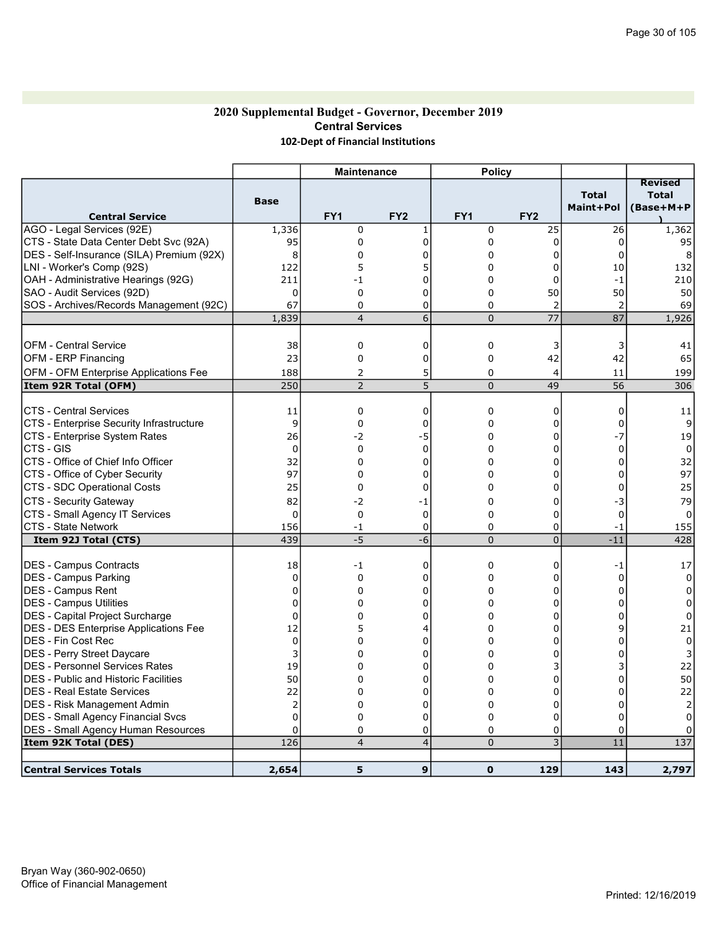### 2020 Supplemental Budget - Governor, December 2019 Central Services 102-Dept of Financial Institutions

|                                                              |                | <b>Maintenance</b> |                  | <b>Policy</b>   |                 |                           |                                             |
|--------------------------------------------------------------|----------------|--------------------|------------------|-----------------|-----------------|---------------------------|---------------------------------------------|
| <b>Central Service</b>                                       | <b>Base</b>    | FY1                | FY <sub>2</sub>  | FY <sub>1</sub> | FY <sub>2</sub> | <b>Total</b><br>Maint+Pol | <b>Revised</b><br><b>Total</b><br>(Base+M+P |
| AGO - Legal Services (92E)                                   | 1,336          | $\Omega$           | $1\,$            | 0               | 25              | 26                        | 1,362                                       |
| CTS - State Data Center Debt Svc (92A)                       | 95             | $\mathbf 0$        | $\Omega$         | 0               | 0               | $\Omega$                  | 95                                          |
| DES - Self-Insurance (SILA) Premium (92X)                    | 8              | 0                  | 0                | 0               | 0               | 0                         | 8                                           |
| LNI - Worker's Comp (92S)                                    | 122            | 5                  | 5                | 0               | 0               | 10                        | 132                                         |
| OAH - Administrative Hearings (92G)                          | 211            | -1                 | $\mathbf 0$      | 0               | 0               | $-1$                      | 210                                         |
| SAO - Audit Services (92D)                                   | $\Omega$       | $\Omega$           | $\Omega$         | $\Omega$        | 50              | 50                        | 50                                          |
| SOS - Archives/Records Management (92C)                      | 67             | $\Omega$           | $\mathbf 0$      | 0               | 2               | 2                         | 69                                          |
|                                                              | 1,839          | $\overline{4}$     | 6                | $\overline{0}$  | $\overline{77}$ | 87                        | 1,926                                       |
|                                                              |                |                    |                  |                 |                 |                           |                                             |
| <b>OFM - Central Service</b>                                 | 38             | $\mathbf 0$        | $\mathbf 0$      | 0               | 3               | 3                         | 41                                          |
| <b>OFM - ERP Financing</b>                                   | 23             | $\mathbf 0$        | $\mathbf 0$      | 0               | 42              | 42                        | 65                                          |
| OFM - OFM Enterprise Applications Fee                        | 188            | 2                  | 5                | 0               | 4               | 11                        | 199                                         |
| Item 92R Total (OFM)                                         | 250            | $\overline{2}$     | 5                | $\overline{0}$  | 49              | 56                        | 306                                         |
|                                                              |                |                    |                  |                 |                 |                           |                                             |
| <b>CTS - Central Services</b>                                | 11             | 0                  | 0                | 0               | 0               | 0                         | 11                                          |
| CTS - Enterprise Security Infrastructure                     | 9              | $\mathbf 0$        | $\mathbf 0$      | 0               | 0               | $\mathbf 0$               | 9                                           |
| CTS - Enterprise System Rates                                | 26             | $-2$               | -5               | 0               | 0               | $-7$                      | 19                                          |
| CTS - GIS                                                    | $\mathbf 0$    | $\mathbf 0$        | $\mathbf 0$      | 0               | 0               | $\mathbf 0$               | $\mathbf 0$                                 |
| CTS - Office of Chief Info Officer                           | 32             | 0                  | $\mathbf 0$      | 0               | 0               | 0                         | 32                                          |
| CTS - Office of Cyber Security                               | 97             | 0                  | $\mathbf 0$      | 0               | 0               | 0                         | 97                                          |
| CTS - SDC Operational Costs                                  | 25             | $\mathbf 0$        | $\Omega$         | 0               | $\Omega$        | 0                         | 25                                          |
| CTS - Security Gateway                                       | 82             | $-2$               |                  | 0               | 0               |                           |                                             |
|                                                              | $\Omega$       | $\mathbf 0$        | -1               | 0               | $\mathbf 0$     | -3<br>$\Omega$            | 79<br>$\Omega$                              |
| CTS - Small Agency IT Services<br><b>CTS - State Network</b> | 156            | -1                 | 0<br>$\mathbf 0$ | 0               | 0               | -1                        | 155                                         |
| Item 92J Total (CTS)                                         | 439            | $-5$               | $-6$             | $\Omega$        | $\overline{0}$  | $-11$                     | 428                                         |
|                                                              |                |                    |                  |                 |                 |                           |                                             |
| <b>DES - Campus Contracts</b>                                | 18             | -1                 | 0                | 0               | 0               | -1                        | 17                                          |
| <b>DES - Campus Parking</b>                                  | 0              | $\Omega$           | $\Omega$         | $\Omega$        | $\mathbf 0$     | $\Omega$                  | $\Omega$                                    |
| DES - Campus Rent                                            | 0              | $\mathbf 0$        | 0                | 0               | 0               | $\Omega$                  | $\mathbf 0$                                 |
| <b>DES - Campus Utilities</b>                                | 0              | 0                  | $\Omega$         | $\Omega$        | $\mathbf 0$     | $\Omega$                  | $\Omega$                                    |
| DES - Capital Project Surcharge                              | 0              | 0                  | $\Omega$         | $\Omega$        | 0               | $\Omega$                  | $\Omega$                                    |
| <b>DES - DES Enterprise Applications Fee</b>                 | 12             | 5                  | $\overline{4}$   | 0               | 0               | 9                         | 21                                          |
| DES - Fin Cost Rec                                           | $\Omega$       | 0                  | $\Omega$         | 0               | $\mathbf 0$     | $\Omega$                  | $\Omega$                                    |
| DES - Perry Street Daycare                                   | 3              | 0                  | $\Omega$         | 0               | 0               | $\Omega$                  | 3                                           |
| <b>DES - Personnel Services Rates</b>                        | 19             | 0                  | $\Omega$         | $\Omega$        | 3               | 3                         | 22                                          |
| <b>DES - Public and Historic Facilities</b>                  | 50             | 0                  | $\Omega$         | $\Omega$        | $\Omega$        | $\Omega$                  | 50                                          |
| <b>DES - Real Estate Services</b>                            | 22             | 0                  | $\Omega$         | $\Omega$        | $\Omega$        | $\Omega$                  | 22                                          |
| <b>DES - Risk Management Admin</b>                           | $\overline{2}$ | 0                  | 0                | 0               | 0               | 0                         | $\overline{2}$                              |
| <b>DES - Small Agency Financial Svcs</b>                     | $\Omega$       | 0                  | $\mathbf 0$      | 0               | $\mathbf 0$     | $\Omega$                  | 0                                           |
| <b>DES - Small Agency Human Resources</b>                    | 0              | 0                  | 0                | 0               | 0               | $\Omega$                  | 0                                           |
| Item 92K Total (DES)                                         | 126            | $\overline{4}$     | $\overline{4}$   | $\Omega$        | 3               | 11                        | 137                                         |
|                                                              |                |                    |                  |                 |                 |                           |                                             |
| <b>Central Services Totals</b>                               | 2,654          | 5                  | 9                | $\mathbf 0$     | 129             | 143                       | 2,797                                       |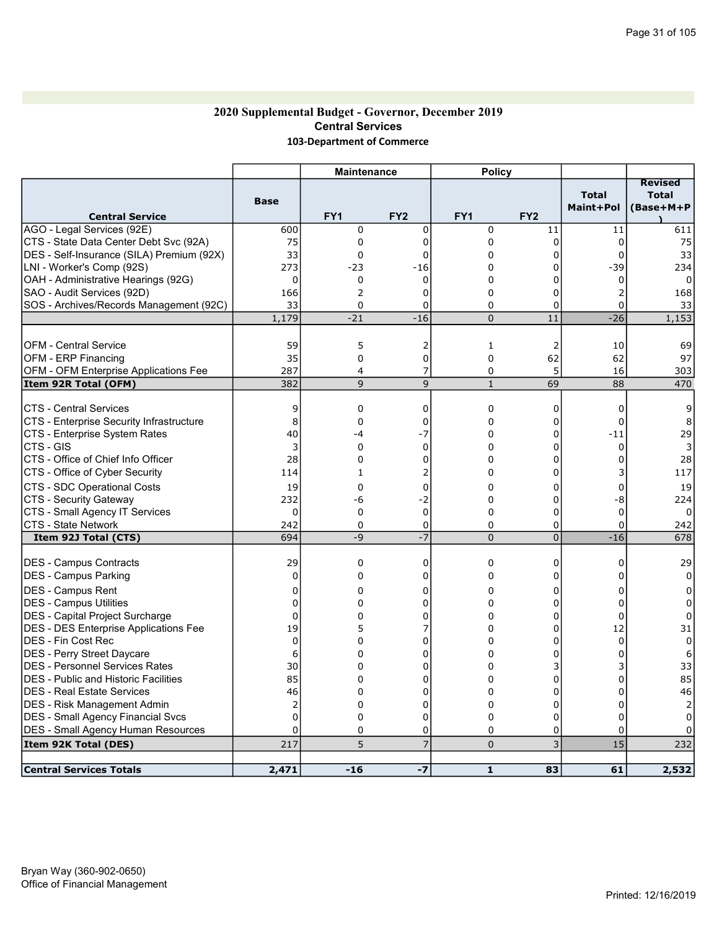#### 2020 Supplemental Budget - Governor, December 2019 Central Services 103-Department of Commerce

| <b>Total</b><br><b>Total</b><br><b>Base</b><br>Maint+Pol<br>(Base+M+P<br><b>Central Service</b><br>FY <sub>1</sub><br>FY <sub>2</sub><br>FY <sub>1</sub><br>FY <sub>2</sub><br>AGO - Legal Services (92E)<br>600<br>$\mathbf 0$<br>$\mathbf 0$<br>0<br>611<br>11<br>11<br>CTS - State Data Center Debt Svc (92A)<br>75<br>0<br>$\mathbf 0$<br>0<br>0<br>75<br>0<br>33<br>33<br>DES - Self-Insurance (SILA) Premium (92X)<br>$\mathbf 0$<br>0<br>0<br>$\Omega$<br>$\Omega$<br>273<br>LNI - Worker's Comp (92S)<br>0<br>0<br>$-39$<br>234<br>-23<br>-16<br>OAH - Administrative Hearings (92G)<br>0<br>0<br>0<br>0<br>0<br>0<br>0<br>$\overline{2}$<br>SAO - Audit Services (92D)<br>166<br>$\Omega$<br>0<br>0<br>2<br>168<br>SOS - Archives/Records Management (92C)<br>33<br>$\mathbf 0$<br>$\mathbf 0$<br>0<br>0<br>33<br>0<br>1,179<br>1,153<br>$-21$<br>$-16$<br>$\pmb{0}$<br>11<br>$-26$<br><b>OFM - Central Service</b><br>59<br>5<br>$\overline{2}$<br>$\mathbf{1}$<br>2<br>10<br>69<br><b>OFM - ERP Financing</b><br>35<br>$\Omega$<br>$\mathbf 0$<br>0<br>62<br>97<br>62<br>5<br>OFM - OFM Enterprise Applications Fee<br>287<br>$\Omega$<br>303<br>4<br>7<br>16<br>382<br>9<br>9<br>69<br>470<br>$1\,$<br>88<br>Item 92R Total (OFM)<br><b>CTS - Central Services</b><br>9<br>0<br>$\mathbf 0$<br>0<br>0<br>0<br>9<br>CTS - Enterprise Security Infrastructure<br>$\Omega$<br>$\Omega$<br>$\Omega$<br>0<br>$\Omega$<br>8<br>8<br>CTS - Enterprise System Rates<br>$-7$<br>$\Omega$<br>$\Omega$<br>29<br>40<br>$-11$<br>-4<br>CTS - GIS<br>3<br>$\Omega$<br>$\mathbf{0}$<br>$\Omega$<br>$\Omega$<br>$\Omega$<br>CTS - Office of Chief Info Officer<br>0<br>28<br>0<br>$\Omega$<br>28<br>0<br>0<br>CTS - Office of Cyber Security<br>114<br>$\mathbf{1}$<br>$\overline{2}$<br>$\Omega$<br>0<br>3<br>117<br>CTS - SDC Operational Costs<br>19<br>$\mathbf 0$<br>0<br>0<br>0<br>19<br>$\Omega$<br>CTS - Security Gateway<br>232<br>$-2$<br>$\Omega$<br>-6<br>0<br>-8<br>224<br>CTS - Small Agency IT Services<br>$\mathbf 0$<br>0<br>$\Omega$<br>$\mathbf 0$<br>$\mathbf 0$<br>0<br>$\Omega$<br><b>CTS - State Network</b><br>242<br>$\mathbf 0$<br>0<br>0<br>0<br>242<br>0<br>$-7$<br>$\overline{0}$<br>694<br>-9<br>$\overline{0}$<br>$-16$<br>678<br>Item 92J Total (CTS)<br><b>IDES - Campus Contracts</b><br>29<br>$\mathbf 0$<br>$\Omega$<br>0<br>0<br>$\Omega$<br>29<br>0<br>DES - Campus Parking<br>$\mathbf 0$<br>0<br>$\Omega$<br>0<br>0<br>$\Omega$<br><b>DES - Campus Rent</b><br>0<br>0<br>$\mathbf 0$<br>0<br>0<br>0<br>0<br><b>DES - Campus Utilities</b><br>0<br>0<br>$\mathbf 0$<br>0<br>0<br>0<br>0<br>DES - Capital Project Surcharge<br>0<br>0<br>0<br>0<br>0<br>$\mathbf 0$<br>0<br>5<br><b>DES - DES Enterprise Applications Fee</b><br>19<br>0<br>0<br>12<br>31<br>7<br>DES - Fin Cost Rec<br>0<br>0<br>$\mathbf 0$<br>$\Omega$<br>$\mathbf 0$<br>0<br>$\Omega$<br>0<br>DES - Perry Street Daycare<br>0<br>$\Omega$<br>0<br>$\Omega$<br>6<br>6<br><b>DES - Personnel Services Rates</b><br>3<br>33<br>30<br>0<br>$\Omega$<br>0<br>3<br>85<br><b>DES - Public and Historic Facilities</b><br>85<br>0<br>0<br>0<br>$\Omega$<br>$\Omega$<br><b>DES - Real Estate Services</b><br>0<br>$\mathbf 0$<br>$\Omega$<br>$\Omega$<br>46<br>$\Omega$<br>46<br><b>DES - Risk Management Admin</b><br>$\overline{2}$<br>0<br>0<br>0<br>0<br>0<br>$\overline{2}$<br><b>DES - Small Agency Financial Svcs</b><br>$\mathbf{0}$<br>0<br>$\mathbf 0$<br>$\Omega$<br>0<br>$\Omega$<br>0<br><b>DES - Small Agency Human Resources</b><br>0<br>0<br>0<br>0<br>0<br>0<br>$\Omega$<br>$\overline{7}$<br>$\overline{3}$<br>5<br>217<br>$\Omega$<br>15<br>232<br>Item 92K Total (DES)<br>2,532<br>2,471<br>$-16$<br>$-7$<br>$\mathbf{1}$<br>83<br>61 |                                | <b>Maintenance</b> | <b>Policy</b> |  |                |
|--------------------------------------------------------------------------------------------------------------------------------------------------------------------------------------------------------------------------------------------------------------------------------------------------------------------------------------------------------------------------------------------------------------------------------------------------------------------------------------------------------------------------------------------------------------------------------------------------------------------------------------------------------------------------------------------------------------------------------------------------------------------------------------------------------------------------------------------------------------------------------------------------------------------------------------------------------------------------------------------------------------------------------------------------------------------------------------------------------------------------------------------------------------------------------------------------------------------------------------------------------------------------------------------------------------------------------------------------------------------------------------------------------------------------------------------------------------------------------------------------------------------------------------------------------------------------------------------------------------------------------------------------------------------------------------------------------------------------------------------------------------------------------------------------------------------------------------------------------------------------------------------------------------------------------------------------------------------------------------------------------------------------------------------------------------------------------------------------------------------------------------------------------------------------------------------------------------------------------------------------------------------------------------------------------------------------------------------------------------------------------------------------------------------------------------------------------------------------------------------------------------------------------------------------------------------------------------------------------------------------------------------------------------------------------------------------------------------------------------------------------------------------------------------------------------------------------------------------------------------------------------------------------------------------------------------------------------------------------------------------------------------------------------------------------------------------------------------------------------------------------------------------------------------------------------------------------------------------------------------------------------------------------------------------------------------------------------------------------------------------------------------------------------------------------------------------------------------------------------------------------------------------------------------------------------------------------------------------------------------------------------------------------------------------------------------------------------------------------------------------------|--------------------------------|--------------------|---------------|--|----------------|
|                                                                                                                                                                                                                                                                                                                                                                                                                                                                                                                                                                                                                                                                                                                                                                                                                                                                                                                                                                                                                                                                                                                                                                                                                                                                                                                                                                                                                                                                                                                                                                                                                                                                                                                                                                                                                                                                                                                                                                                                                                                                                                                                                                                                                                                                                                                                                                                                                                                                                                                                                                                                                                                                                                                                                                                                                                                                                                                                                                                                                                                                                                                                                                                                                                                                                                                                                                                                                                                                                                                                                                                                                                                                                                                                                        |                                |                    |               |  | <b>Revised</b> |
|                                                                                                                                                                                                                                                                                                                                                                                                                                                                                                                                                                                                                                                                                                                                                                                                                                                                                                                                                                                                                                                                                                                                                                                                                                                                                                                                                                                                                                                                                                                                                                                                                                                                                                                                                                                                                                                                                                                                                                                                                                                                                                                                                                                                                                                                                                                                                                                                                                                                                                                                                                                                                                                                                                                                                                                                                                                                                                                                                                                                                                                                                                                                                                                                                                                                                                                                                                                                                                                                                                                                                                                                                                                                                                                                                        |                                |                    |               |  |                |
|                                                                                                                                                                                                                                                                                                                                                                                                                                                                                                                                                                                                                                                                                                                                                                                                                                                                                                                                                                                                                                                                                                                                                                                                                                                                                                                                                                                                                                                                                                                                                                                                                                                                                                                                                                                                                                                                                                                                                                                                                                                                                                                                                                                                                                                                                                                                                                                                                                                                                                                                                                                                                                                                                                                                                                                                                                                                                                                                                                                                                                                                                                                                                                                                                                                                                                                                                                                                                                                                                                                                                                                                                                                                                                                                                        |                                |                    |               |  |                |
|                                                                                                                                                                                                                                                                                                                                                                                                                                                                                                                                                                                                                                                                                                                                                                                                                                                                                                                                                                                                                                                                                                                                                                                                                                                                                                                                                                                                                                                                                                                                                                                                                                                                                                                                                                                                                                                                                                                                                                                                                                                                                                                                                                                                                                                                                                                                                                                                                                                                                                                                                                                                                                                                                                                                                                                                                                                                                                                                                                                                                                                                                                                                                                                                                                                                                                                                                                                                                                                                                                                                                                                                                                                                                                                                                        |                                |                    |               |  |                |
|                                                                                                                                                                                                                                                                                                                                                                                                                                                                                                                                                                                                                                                                                                                                                                                                                                                                                                                                                                                                                                                                                                                                                                                                                                                                                                                                                                                                                                                                                                                                                                                                                                                                                                                                                                                                                                                                                                                                                                                                                                                                                                                                                                                                                                                                                                                                                                                                                                                                                                                                                                                                                                                                                                                                                                                                                                                                                                                                                                                                                                                                                                                                                                                                                                                                                                                                                                                                                                                                                                                                                                                                                                                                                                                                                        |                                |                    |               |  |                |
|                                                                                                                                                                                                                                                                                                                                                                                                                                                                                                                                                                                                                                                                                                                                                                                                                                                                                                                                                                                                                                                                                                                                                                                                                                                                                                                                                                                                                                                                                                                                                                                                                                                                                                                                                                                                                                                                                                                                                                                                                                                                                                                                                                                                                                                                                                                                                                                                                                                                                                                                                                                                                                                                                                                                                                                                                                                                                                                                                                                                                                                                                                                                                                                                                                                                                                                                                                                                                                                                                                                                                                                                                                                                                                                                                        |                                |                    |               |  |                |
|                                                                                                                                                                                                                                                                                                                                                                                                                                                                                                                                                                                                                                                                                                                                                                                                                                                                                                                                                                                                                                                                                                                                                                                                                                                                                                                                                                                                                                                                                                                                                                                                                                                                                                                                                                                                                                                                                                                                                                                                                                                                                                                                                                                                                                                                                                                                                                                                                                                                                                                                                                                                                                                                                                                                                                                                                                                                                                                                                                                                                                                                                                                                                                                                                                                                                                                                                                                                                                                                                                                                                                                                                                                                                                                                                        |                                |                    |               |  |                |
|                                                                                                                                                                                                                                                                                                                                                                                                                                                                                                                                                                                                                                                                                                                                                                                                                                                                                                                                                                                                                                                                                                                                                                                                                                                                                                                                                                                                                                                                                                                                                                                                                                                                                                                                                                                                                                                                                                                                                                                                                                                                                                                                                                                                                                                                                                                                                                                                                                                                                                                                                                                                                                                                                                                                                                                                                                                                                                                                                                                                                                                                                                                                                                                                                                                                                                                                                                                                                                                                                                                                                                                                                                                                                                                                                        |                                |                    |               |  |                |
|                                                                                                                                                                                                                                                                                                                                                                                                                                                                                                                                                                                                                                                                                                                                                                                                                                                                                                                                                                                                                                                                                                                                                                                                                                                                                                                                                                                                                                                                                                                                                                                                                                                                                                                                                                                                                                                                                                                                                                                                                                                                                                                                                                                                                                                                                                                                                                                                                                                                                                                                                                                                                                                                                                                                                                                                                                                                                                                                                                                                                                                                                                                                                                                                                                                                                                                                                                                                                                                                                                                                                                                                                                                                                                                                                        |                                |                    |               |  |                |
|                                                                                                                                                                                                                                                                                                                                                                                                                                                                                                                                                                                                                                                                                                                                                                                                                                                                                                                                                                                                                                                                                                                                                                                                                                                                                                                                                                                                                                                                                                                                                                                                                                                                                                                                                                                                                                                                                                                                                                                                                                                                                                                                                                                                                                                                                                                                                                                                                                                                                                                                                                                                                                                                                                                                                                                                                                                                                                                                                                                                                                                                                                                                                                                                                                                                                                                                                                                                                                                                                                                                                                                                                                                                                                                                                        |                                |                    |               |  |                |
|                                                                                                                                                                                                                                                                                                                                                                                                                                                                                                                                                                                                                                                                                                                                                                                                                                                                                                                                                                                                                                                                                                                                                                                                                                                                                                                                                                                                                                                                                                                                                                                                                                                                                                                                                                                                                                                                                                                                                                                                                                                                                                                                                                                                                                                                                                                                                                                                                                                                                                                                                                                                                                                                                                                                                                                                                                                                                                                                                                                                                                                                                                                                                                                                                                                                                                                                                                                                                                                                                                                                                                                                                                                                                                                                                        |                                |                    |               |  |                |
|                                                                                                                                                                                                                                                                                                                                                                                                                                                                                                                                                                                                                                                                                                                                                                                                                                                                                                                                                                                                                                                                                                                                                                                                                                                                                                                                                                                                                                                                                                                                                                                                                                                                                                                                                                                                                                                                                                                                                                                                                                                                                                                                                                                                                                                                                                                                                                                                                                                                                                                                                                                                                                                                                                                                                                                                                                                                                                                                                                                                                                                                                                                                                                                                                                                                                                                                                                                                                                                                                                                                                                                                                                                                                                                                                        |                                |                    |               |  |                |
|                                                                                                                                                                                                                                                                                                                                                                                                                                                                                                                                                                                                                                                                                                                                                                                                                                                                                                                                                                                                                                                                                                                                                                                                                                                                                                                                                                                                                                                                                                                                                                                                                                                                                                                                                                                                                                                                                                                                                                                                                                                                                                                                                                                                                                                                                                                                                                                                                                                                                                                                                                                                                                                                                                                                                                                                                                                                                                                                                                                                                                                                                                                                                                                                                                                                                                                                                                                                                                                                                                                                                                                                                                                                                                                                                        |                                |                    |               |  |                |
|                                                                                                                                                                                                                                                                                                                                                                                                                                                                                                                                                                                                                                                                                                                                                                                                                                                                                                                                                                                                                                                                                                                                                                                                                                                                                                                                                                                                                                                                                                                                                                                                                                                                                                                                                                                                                                                                                                                                                                                                                                                                                                                                                                                                                                                                                                                                                                                                                                                                                                                                                                                                                                                                                                                                                                                                                                                                                                                                                                                                                                                                                                                                                                                                                                                                                                                                                                                                                                                                                                                                                                                                                                                                                                                                                        |                                |                    |               |  |                |
|                                                                                                                                                                                                                                                                                                                                                                                                                                                                                                                                                                                                                                                                                                                                                                                                                                                                                                                                                                                                                                                                                                                                                                                                                                                                                                                                                                                                                                                                                                                                                                                                                                                                                                                                                                                                                                                                                                                                                                                                                                                                                                                                                                                                                                                                                                                                                                                                                                                                                                                                                                                                                                                                                                                                                                                                                                                                                                                                                                                                                                                                                                                                                                                                                                                                                                                                                                                                                                                                                                                                                                                                                                                                                                                                                        |                                |                    |               |  |                |
|                                                                                                                                                                                                                                                                                                                                                                                                                                                                                                                                                                                                                                                                                                                                                                                                                                                                                                                                                                                                                                                                                                                                                                                                                                                                                                                                                                                                                                                                                                                                                                                                                                                                                                                                                                                                                                                                                                                                                                                                                                                                                                                                                                                                                                                                                                                                                                                                                                                                                                                                                                                                                                                                                                                                                                                                                                                                                                                                                                                                                                                                                                                                                                                                                                                                                                                                                                                                                                                                                                                                                                                                                                                                                                                                                        |                                |                    |               |  |                |
|                                                                                                                                                                                                                                                                                                                                                                                                                                                                                                                                                                                                                                                                                                                                                                                                                                                                                                                                                                                                                                                                                                                                                                                                                                                                                                                                                                                                                                                                                                                                                                                                                                                                                                                                                                                                                                                                                                                                                                                                                                                                                                                                                                                                                                                                                                                                                                                                                                                                                                                                                                                                                                                                                                                                                                                                                                                                                                                                                                                                                                                                                                                                                                                                                                                                                                                                                                                                                                                                                                                                                                                                                                                                                                                                                        |                                |                    |               |  |                |
|                                                                                                                                                                                                                                                                                                                                                                                                                                                                                                                                                                                                                                                                                                                                                                                                                                                                                                                                                                                                                                                                                                                                                                                                                                                                                                                                                                                                                                                                                                                                                                                                                                                                                                                                                                                                                                                                                                                                                                                                                                                                                                                                                                                                                                                                                                                                                                                                                                                                                                                                                                                                                                                                                                                                                                                                                                                                                                                                                                                                                                                                                                                                                                                                                                                                                                                                                                                                                                                                                                                                                                                                                                                                                                                                                        |                                |                    |               |  |                |
|                                                                                                                                                                                                                                                                                                                                                                                                                                                                                                                                                                                                                                                                                                                                                                                                                                                                                                                                                                                                                                                                                                                                                                                                                                                                                                                                                                                                                                                                                                                                                                                                                                                                                                                                                                                                                                                                                                                                                                                                                                                                                                                                                                                                                                                                                                                                                                                                                                                                                                                                                                                                                                                                                                                                                                                                                                                                                                                                                                                                                                                                                                                                                                                                                                                                                                                                                                                                                                                                                                                                                                                                                                                                                                                                                        |                                |                    |               |  |                |
|                                                                                                                                                                                                                                                                                                                                                                                                                                                                                                                                                                                                                                                                                                                                                                                                                                                                                                                                                                                                                                                                                                                                                                                                                                                                                                                                                                                                                                                                                                                                                                                                                                                                                                                                                                                                                                                                                                                                                                                                                                                                                                                                                                                                                                                                                                                                                                                                                                                                                                                                                                                                                                                                                                                                                                                                                                                                                                                                                                                                                                                                                                                                                                                                                                                                                                                                                                                                                                                                                                                                                                                                                                                                                                                                                        |                                |                    |               |  |                |
|                                                                                                                                                                                                                                                                                                                                                                                                                                                                                                                                                                                                                                                                                                                                                                                                                                                                                                                                                                                                                                                                                                                                                                                                                                                                                                                                                                                                                                                                                                                                                                                                                                                                                                                                                                                                                                                                                                                                                                                                                                                                                                                                                                                                                                                                                                                                                                                                                                                                                                                                                                                                                                                                                                                                                                                                                                                                                                                                                                                                                                                                                                                                                                                                                                                                                                                                                                                                                                                                                                                                                                                                                                                                                                                                                        |                                |                    |               |  |                |
|                                                                                                                                                                                                                                                                                                                                                                                                                                                                                                                                                                                                                                                                                                                                                                                                                                                                                                                                                                                                                                                                                                                                                                                                                                                                                                                                                                                                                                                                                                                                                                                                                                                                                                                                                                                                                                                                                                                                                                                                                                                                                                                                                                                                                                                                                                                                                                                                                                                                                                                                                                                                                                                                                                                                                                                                                                                                                                                                                                                                                                                                                                                                                                                                                                                                                                                                                                                                                                                                                                                                                                                                                                                                                                                                                        |                                |                    |               |  |                |
|                                                                                                                                                                                                                                                                                                                                                                                                                                                                                                                                                                                                                                                                                                                                                                                                                                                                                                                                                                                                                                                                                                                                                                                                                                                                                                                                                                                                                                                                                                                                                                                                                                                                                                                                                                                                                                                                                                                                                                                                                                                                                                                                                                                                                                                                                                                                                                                                                                                                                                                                                                                                                                                                                                                                                                                                                                                                                                                                                                                                                                                                                                                                                                                                                                                                                                                                                                                                                                                                                                                                                                                                                                                                                                                                                        |                                |                    |               |  |                |
|                                                                                                                                                                                                                                                                                                                                                                                                                                                                                                                                                                                                                                                                                                                                                                                                                                                                                                                                                                                                                                                                                                                                                                                                                                                                                                                                                                                                                                                                                                                                                                                                                                                                                                                                                                                                                                                                                                                                                                                                                                                                                                                                                                                                                                                                                                                                                                                                                                                                                                                                                                                                                                                                                                                                                                                                                                                                                                                                                                                                                                                                                                                                                                                                                                                                                                                                                                                                                                                                                                                                                                                                                                                                                                                                                        |                                |                    |               |  |                |
|                                                                                                                                                                                                                                                                                                                                                                                                                                                                                                                                                                                                                                                                                                                                                                                                                                                                                                                                                                                                                                                                                                                                                                                                                                                                                                                                                                                                                                                                                                                                                                                                                                                                                                                                                                                                                                                                                                                                                                                                                                                                                                                                                                                                                                                                                                                                                                                                                                                                                                                                                                                                                                                                                                                                                                                                                                                                                                                                                                                                                                                                                                                                                                                                                                                                                                                                                                                                                                                                                                                                                                                                                                                                                                                                                        |                                |                    |               |  |                |
|                                                                                                                                                                                                                                                                                                                                                                                                                                                                                                                                                                                                                                                                                                                                                                                                                                                                                                                                                                                                                                                                                                                                                                                                                                                                                                                                                                                                                                                                                                                                                                                                                                                                                                                                                                                                                                                                                                                                                                                                                                                                                                                                                                                                                                                                                                                                                                                                                                                                                                                                                                                                                                                                                                                                                                                                                                                                                                                                                                                                                                                                                                                                                                                                                                                                                                                                                                                                                                                                                                                                                                                                                                                                                                                                                        |                                |                    |               |  |                |
|                                                                                                                                                                                                                                                                                                                                                                                                                                                                                                                                                                                                                                                                                                                                                                                                                                                                                                                                                                                                                                                                                                                                                                                                                                                                                                                                                                                                                                                                                                                                                                                                                                                                                                                                                                                                                                                                                                                                                                                                                                                                                                                                                                                                                                                                                                                                                                                                                                                                                                                                                                                                                                                                                                                                                                                                                                                                                                                                                                                                                                                                                                                                                                                                                                                                                                                                                                                                                                                                                                                                                                                                                                                                                                                                                        |                                |                    |               |  |                |
|                                                                                                                                                                                                                                                                                                                                                                                                                                                                                                                                                                                                                                                                                                                                                                                                                                                                                                                                                                                                                                                                                                                                                                                                                                                                                                                                                                                                                                                                                                                                                                                                                                                                                                                                                                                                                                                                                                                                                                                                                                                                                                                                                                                                                                                                                                                                                                                                                                                                                                                                                                                                                                                                                                                                                                                                                                                                                                                                                                                                                                                                                                                                                                                                                                                                                                                                                                                                                                                                                                                                                                                                                                                                                                                                                        |                                |                    |               |  |                |
|                                                                                                                                                                                                                                                                                                                                                                                                                                                                                                                                                                                                                                                                                                                                                                                                                                                                                                                                                                                                                                                                                                                                                                                                                                                                                                                                                                                                                                                                                                                                                                                                                                                                                                                                                                                                                                                                                                                                                                                                                                                                                                                                                                                                                                                                                                                                                                                                                                                                                                                                                                                                                                                                                                                                                                                                                                                                                                                                                                                                                                                                                                                                                                                                                                                                                                                                                                                                                                                                                                                                                                                                                                                                                                                                                        |                                |                    |               |  |                |
|                                                                                                                                                                                                                                                                                                                                                                                                                                                                                                                                                                                                                                                                                                                                                                                                                                                                                                                                                                                                                                                                                                                                                                                                                                                                                                                                                                                                                                                                                                                                                                                                                                                                                                                                                                                                                                                                                                                                                                                                                                                                                                                                                                                                                                                                                                                                                                                                                                                                                                                                                                                                                                                                                                                                                                                                                                                                                                                                                                                                                                                                                                                                                                                                                                                                                                                                                                                                                                                                                                                                                                                                                                                                                                                                                        |                                |                    |               |  |                |
|                                                                                                                                                                                                                                                                                                                                                                                                                                                                                                                                                                                                                                                                                                                                                                                                                                                                                                                                                                                                                                                                                                                                                                                                                                                                                                                                                                                                                                                                                                                                                                                                                                                                                                                                                                                                                                                                                                                                                                                                                                                                                                                                                                                                                                                                                                                                                                                                                                                                                                                                                                                                                                                                                                                                                                                                                                                                                                                                                                                                                                                                                                                                                                                                                                                                                                                                                                                                                                                                                                                                                                                                                                                                                                                                                        |                                |                    |               |  |                |
|                                                                                                                                                                                                                                                                                                                                                                                                                                                                                                                                                                                                                                                                                                                                                                                                                                                                                                                                                                                                                                                                                                                                                                                                                                                                                                                                                                                                                                                                                                                                                                                                                                                                                                                                                                                                                                                                                                                                                                                                                                                                                                                                                                                                                                                                                                                                                                                                                                                                                                                                                                                                                                                                                                                                                                                                                                                                                                                                                                                                                                                                                                                                                                                                                                                                                                                                                                                                                                                                                                                                                                                                                                                                                                                                                        |                                |                    |               |  |                |
|                                                                                                                                                                                                                                                                                                                                                                                                                                                                                                                                                                                                                                                                                                                                                                                                                                                                                                                                                                                                                                                                                                                                                                                                                                                                                                                                                                                                                                                                                                                                                                                                                                                                                                                                                                                                                                                                                                                                                                                                                                                                                                                                                                                                                                                                                                                                                                                                                                                                                                                                                                                                                                                                                                                                                                                                                                                                                                                                                                                                                                                                                                                                                                                                                                                                                                                                                                                                                                                                                                                                                                                                                                                                                                                                                        |                                |                    |               |  |                |
|                                                                                                                                                                                                                                                                                                                                                                                                                                                                                                                                                                                                                                                                                                                                                                                                                                                                                                                                                                                                                                                                                                                                                                                                                                                                                                                                                                                                                                                                                                                                                                                                                                                                                                                                                                                                                                                                                                                                                                                                                                                                                                                                                                                                                                                                                                                                                                                                                                                                                                                                                                                                                                                                                                                                                                                                                                                                                                                                                                                                                                                                                                                                                                                                                                                                                                                                                                                                                                                                                                                                                                                                                                                                                                                                                        |                                |                    |               |  |                |
|                                                                                                                                                                                                                                                                                                                                                                                                                                                                                                                                                                                                                                                                                                                                                                                                                                                                                                                                                                                                                                                                                                                                                                                                                                                                                                                                                                                                                                                                                                                                                                                                                                                                                                                                                                                                                                                                                                                                                                                                                                                                                                                                                                                                                                                                                                                                                                                                                                                                                                                                                                                                                                                                                                                                                                                                                                                                                                                                                                                                                                                                                                                                                                                                                                                                                                                                                                                                                                                                                                                                                                                                                                                                                                                                                        |                                |                    |               |  |                |
|                                                                                                                                                                                                                                                                                                                                                                                                                                                                                                                                                                                                                                                                                                                                                                                                                                                                                                                                                                                                                                                                                                                                                                                                                                                                                                                                                                                                                                                                                                                                                                                                                                                                                                                                                                                                                                                                                                                                                                                                                                                                                                                                                                                                                                                                                                                                                                                                                                                                                                                                                                                                                                                                                                                                                                                                                                                                                                                                                                                                                                                                                                                                                                                                                                                                                                                                                                                                                                                                                                                                                                                                                                                                                                                                                        |                                |                    |               |  |                |
|                                                                                                                                                                                                                                                                                                                                                                                                                                                                                                                                                                                                                                                                                                                                                                                                                                                                                                                                                                                                                                                                                                                                                                                                                                                                                                                                                                                                                                                                                                                                                                                                                                                                                                                                                                                                                                                                                                                                                                                                                                                                                                                                                                                                                                                                                                                                                                                                                                                                                                                                                                                                                                                                                                                                                                                                                                                                                                                                                                                                                                                                                                                                                                                                                                                                                                                                                                                                                                                                                                                                                                                                                                                                                                                                                        |                                |                    |               |  |                |
|                                                                                                                                                                                                                                                                                                                                                                                                                                                                                                                                                                                                                                                                                                                                                                                                                                                                                                                                                                                                                                                                                                                                                                                                                                                                                                                                                                                                                                                                                                                                                                                                                                                                                                                                                                                                                                                                                                                                                                                                                                                                                                                                                                                                                                                                                                                                                                                                                                                                                                                                                                                                                                                                                                                                                                                                                                                                                                                                                                                                                                                                                                                                                                                                                                                                                                                                                                                                                                                                                                                                                                                                                                                                                                                                                        |                                |                    |               |  |                |
|                                                                                                                                                                                                                                                                                                                                                                                                                                                                                                                                                                                                                                                                                                                                                                                                                                                                                                                                                                                                                                                                                                                                                                                                                                                                                                                                                                                                                                                                                                                                                                                                                                                                                                                                                                                                                                                                                                                                                                                                                                                                                                                                                                                                                                                                                                                                                                                                                                                                                                                                                                                                                                                                                                                                                                                                                                                                                                                                                                                                                                                                                                                                                                                                                                                                                                                                                                                                                                                                                                                                                                                                                                                                                                                                                        |                                |                    |               |  |                |
|                                                                                                                                                                                                                                                                                                                                                                                                                                                                                                                                                                                                                                                                                                                                                                                                                                                                                                                                                                                                                                                                                                                                                                                                                                                                                                                                                                                                                                                                                                                                                                                                                                                                                                                                                                                                                                                                                                                                                                                                                                                                                                                                                                                                                                                                                                                                                                                                                                                                                                                                                                                                                                                                                                                                                                                                                                                                                                                                                                                                                                                                                                                                                                                                                                                                                                                                                                                                                                                                                                                                                                                                                                                                                                                                                        |                                |                    |               |  |                |
|                                                                                                                                                                                                                                                                                                                                                                                                                                                                                                                                                                                                                                                                                                                                                                                                                                                                                                                                                                                                                                                                                                                                                                                                                                                                                                                                                                                                                                                                                                                                                                                                                                                                                                                                                                                                                                                                                                                                                                                                                                                                                                                                                                                                                                                                                                                                                                                                                                                                                                                                                                                                                                                                                                                                                                                                                                                                                                                                                                                                                                                                                                                                                                                                                                                                                                                                                                                                                                                                                                                                                                                                                                                                                                                                                        |                                |                    |               |  |                |
|                                                                                                                                                                                                                                                                                                                                                                                                                                                                                                                                                                                                                                                                                                                                                                                                                                                                                                                                                                                                                                                                                                                                                                                                                                                                                                                                                                                                                                                                                                                                                                                                                                                                                                                                                                                                                                                                                                                                                                                                                                                                                                                                                                                                                                                                                                                                                                                                                                                                                                                                                                                                                                                                                                                                                                                                                                                                                                                                                                                                                                                                                                                                                                                                                                                                                                                                                                                                                                                                                                                                                                                                                                                                                                                                                        |                                |                    |               |  |                |
|                                                                                                                                                                                                                                                                                                                                                                                                                                                                                                                                                                                                                                                                                                                                                                                                                                                                                                                                                                                                                                                                                                                                                                                                                                                                                                                                                                                                                                                                                                                                                                                                                                                                                                                                                                                                                                                                                                                                                                                                                                                                                                                                                                                                                                                                                                                                                                                                                                                                                                                                                                                                                                                                                                                                                                                                                                                                                                                                                                                                                                                                                                                                                                                                                                                                                                                                                                                                                                                                                                                                                                                                                                                                                                                                                        |                                |                    |               |  |                |
|                                                                                                                                                                                                                                                                                                                                                                                                                                                                                                                                                                                                                                                                                                                                                                                                                                                                                                                                                                                                                                                                                                                                                                                                                                                                                                                                                                                                                                                                                                                                                                                                                                                                                                                                                                                                                                                                                                                                                                                                                                                                                                                                                                                                                                                                                                                                                                                                                                                                                                                                                                                                                                                                                                                                                                                                                                                                                                                                                                                                                                                                                                                                                                                                                                                                                                                                                                                                                                                                                                                                                                                                                                                                                                                                                        | <b>Central Services Totals</b> |                    |               |  |                |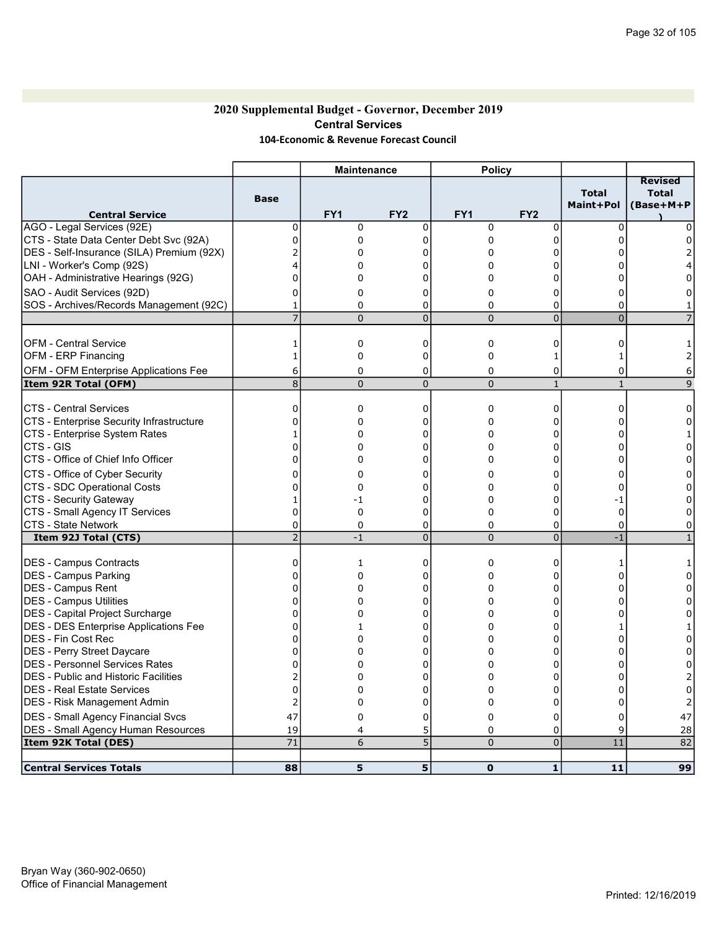# 2020 Supplemental Budget - Governor, December 2019 Central Services 104-Economic & Revenue Forecast Council

|                                              |                | <b>Maintenance</b> |                 | <b>Policy</b>   |                 |                           |                                             |
|----------------------------------------------|----------------|--------------------|-----------------|-----------------|-----------------|---------------------------|---------------------------------------------|
| <b>Central Service</b>                       | <b>Base</b>    | FY <sub>1</sub>    | FY <sub>2</sub> | FY <sub>1</sub> | FY <sub>2</sub> | <b>Total</b><br>Maint+Pol | <b>Revised</b><br><b>Total</b><br>(Base+M+P |
| AGO - Legal Services (92E)                   | $\mathbf 0$    | 0                  | 0               | 0               | $\mathbf 0$     | $\mathbf 0$               |                                             |
| CTS - State Data Center Debt Svc (92A)       | $\Omega$       | $\mathbf 0$        | $\Omega$        | 0               | 0               | 0                         |                                             |
| DES - Self-Insurance (SILA) Premium (92X)    |                | 0                  | 0               | 0               | $\Omega$        |                           |                                             |
| LNI - Worker's Comp (92S)                    | Δ              | $\Omega$           | C               | 0               | $\Omega$        |                           |                                             |
| OAH - Administrative Hearings (92G)          | 0              | 0                  | 0               | 0               | 0               | 0                         | 0                                           |
| SAO - Audit Services (92D)                   | $\Omega$       | 0                  | $\Omega$        | 0               | 0               | U                         |                                             |
| SOS - Archives/Records Management (92C)      | $\mathbf{1}$   | $\mathbf 0$        | $\Omega$        | 0               | $\Omega$        | $\Omega$                  |                                             |
|                                              | $\overline{7}$ | $\Omega$           | $\overline{0}$  | $\overline{0}$  | $\overline{0}$  | $\overline{0}$            |                                             |
|                                              |                |                    |                 |                 |                 |                           |                                             |
| <b>OFM - Central Service</b>                 | 1              | 0                  | 0               | 0               | 0               | 0                         |                                             |
| <b>OFM - ERP Financing</b>                   | $\mathbf{1}$   | 0                  | 0               | 0               | $\mathbf 1$     | 1                         |                                             |
| OFM - OFM Enterprise Applications Fee        | 6              | $\Omega$           | $\Omega$        | 0               | 0               | 0                         | 6                                           |
| Item 92R Total (OFM)                         | 8              | $\Omega$           | $\overline{0}$  | $\overline{0}$  | $\mathbf{1}$    | $\mathbf{1}$              | 9                                           |
|                                              |                |                    |                 |                 |                 |                           |                                             |
| <b>CTS - Central Services</b>                | 0              | 0                  | 0               | 0               | 0               | 0                         | 0                                           |
| CTS - Enterprise Security Infrastructure     | $\Omega$       | 0                  | $\Omega$        | 0               | 0               | 0                         | 0                                           |
| CTS - Enterprise System Rates                | 1              | $\Omega$           | 0               | 0               | 0               | $\Omega$                  |                                             |
| <b>CTS - GIS</b>                             | 0              | 0                  | $\Omega$        | 0               | $\Omega$        | 0                         | 0                                           |
| CTS - Office of Chief Info Officer           | U              | $\Omega$           | 0               | 0               | 0               | $\Omega$                  | n                                           |
| CTS - Office of Cyber Security               | 0              | 0                  | 0               | 0               | 0               | 0                         | U                                           |
| CTS - SDC Operational Costs                  | 0              | 0                  | $\Omega$        | 0               | 0               | $\Omega$                  | 0                                           |
| CTS - Security Gateway                       | $\mathbf{1}$   | -1                 | 0               | 0               | 0               | -1                        | U                                           |
| CTS - Small Agency IT Services               | 0              | 0                  | $\Omega$        | 0               | 0               | $\mathbf 0$               | ŋ                                           |
| <b>CTS - State Network</b>                   | 0              | $\mathbf 0$        | $\mathbf 0$     | 0               | 0               | 0                         | በ                                           |
| Item 92J Total (CTS)                         | $\overline{2}$ | $-1$               | $\overline{0}$  | $\overline{0}$  | $\overline{0}$  | $-1$                      |                                             |
| DES - Campus Contracts                       | $\mathbf 0$    | $\mathbf{1}$       | 0               | 0               | 0               | 1                         |                                             |
| DES - Campus Parking                         | $\Omega$       | 0                  | $\Omega$        | 0               | 0               | 0                         | ŋ                                           |
| DES - Campus Rent                            | 0              | 0                  | 0               | 0               | 0               | 0                         | 0                                           |
| <b>IDES - Campus Utilities</b>               | 0              | 0                  | $\Omega$        | 0               | 0               | $\Omega$                  | 0                                           |
| DES - Capital Project Surcharge              | $\Omega$       | 0                  | $\Omega$        | 0               | 0               | $\Omega$                  | 0                                           |
| <b>DES - DES Enterprise Applications Fee</b> | U              | $\mathbf{1}$       | $\Omega$        | 0               | $\Omega$        |                           |                                             |
| <b>IDES - Fin Cost Rec</b>                   | 0              | 0                  | 0               | 0               | 0               | 0                         | ŋ                                           |
| DES - Perry Street Daycare                   | 0              | 0                  | $\Omega$        | 0               | 0               | U                         | በ                                           |
| DES - Personnel Services Rates               | 0              | 0                  | $\Omega$        | 0               | 0               | U                         | O                                           |
| <b>DES</b> - Public and Historic Facilities  | 2              | 0                  | $\Omega$        | 0               | 0               | U                         |                                             |
| <b>IDES - Real Estate Services</b>           | $\Omega$       | $\Omega$           | $\Omega$        | $\Omega$        | $\Omega$        | O                         | $\Omega$                                    |
| DES - Risk Management Admin                  | 2              | 0                  | 0               | 0               | 0               | 0                         |                                             |
| DES - Small Agency Financial Svcs            | 47             | 0                  | $\Omega$        | 0               | 0               | 0                         | 47                                          |
| <b>DES - Small Agency Human Resources</b>    | 19             | $\overline{4}$     | 5               | 0               | 0               | 9                         | 28                                          |
| Item 92K Total (DES)                         | 71             | 6                  | 5               | $\overline{0}$  | $\overline{0}$  | 11                        | 82                                          |
|                                              |                |                    |                 |                 |                 |                           |                                             |
| <b>Central Services Totals</b>               | 88             | 5                  | 5               | $\mathbf{0}$    | 1               | 11                        | 99                                          |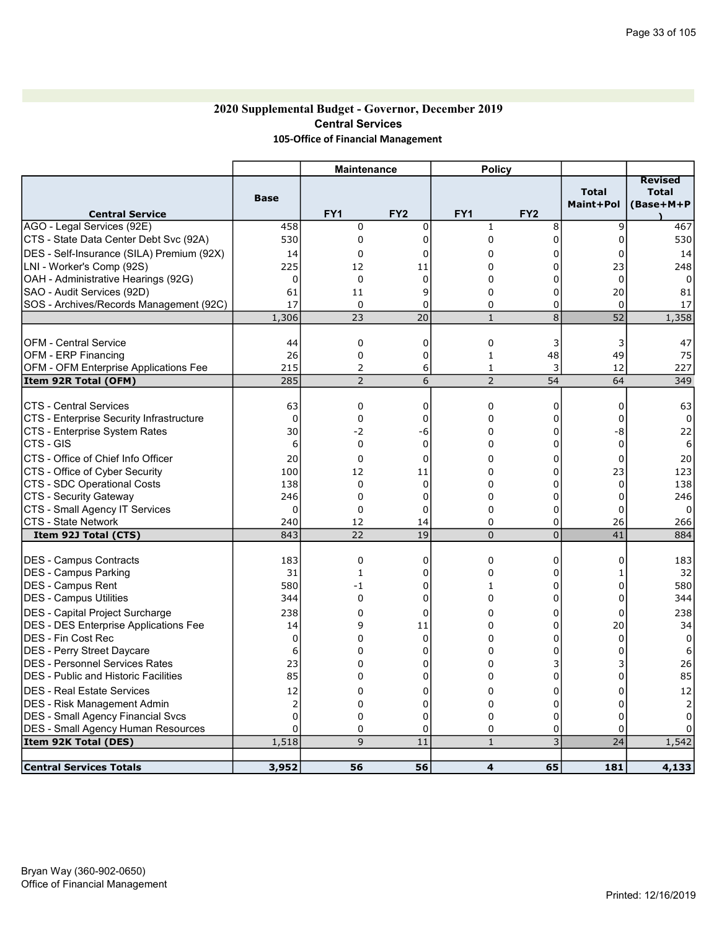## 2020 Supplemental Budget - Governor, December 2019 Central Services 105-Office of Financial Management

|                                              |                | <b>Maintenance</b> |                 | <b>Policy</b>   |                 |                           |                                             |
|----------------------------------------------|----------------|--------------------|-----------------|-----------------|-----------------|---------------------------|---------------------------------------------|
| <b>Central Service</b>                       | <b>Base</b>    | FY <sub>1</sub>    | FY <sub>2</sub> | FY <sub>1</sub> | FY <sub>2</sub> | <b>Total</b><br>Maint+Pol | <b>Revised</b><br><b>Total</b><br>(Base+M+P |
| AGO - Legal Services (92E)                   | 458            | $\mathbf 0$        | $\mathbf 0$     | $\mathbf{1}$    | 8               | 9                         | 467                                         |
| CTS - State Data Center Debt Svc (92A)       | 530            | 0                  | $\Omega$        | 0               | $\Omega$        | 0                         | 530                                         |
| DES - Self-Insurance (SILA) Premium (92X)    | 14             | $\mathbf 0$        | 0               | 0               | 0               | 0                         | 14                                          |
| LNI - Worker's Comp (92S)                    | 225            | 12                 | 11              | 0               | 0               | 23                        | 248                                         |
| OAH - Administrative Hearings (92G)          | 0              | 0                  | 0               | 0               | 0               | $\mathbf 0$               | $\mathbf 0$                                 |
| SAO - Audit Services (92D)                   | 61             | 11                 | 9               | 0               | 0               | 20                        | 81                                          |
| SOS - Archives/Records Management (92C)      | 17             | $\mathbf 0$        | $\Omega$        | $\Omega$        | 0               | $\mathbf 0$               | 17                                          |
|                                              | 1,306          | 23                 | 20              | $\mathbf{1}$    | 8               | 52                        | 1,358                                       |
|                                              |                |                    |                 |                 |                 |                           |                                             |
| <b>OFM - Central Service</b>                 | 44             | 0                  | 0               | 0               | 3               | 3                         | 47                                          |
| <b>OFM - ERP Financing</b>                   | 26             | 0                  | 0               | $\mathbf{1}$    | 48              | 49                        | 75                                          |
| <b>OFM - OFM Enterprise Applications Fee</b> | 215            | 2                  | 6               | $\mathbf 1$     | 3               | 12                        | 227                                         |
| Item 92R Total (OFM)                         | 285            | $\overline{2}$     | 6               | $\overline{2}$  | 54              | 64                        | 349                                         |
| <b>CTS - Central Services</b>                | 63             | 0                  | $\mathbf 0$     | 0               | 0               | 0                         | 63                                          |
| CTS - Enterprise Security Infrastructure     | $\mathbf 0$    | $\mathbf 0$        | 0               | 0               | 0               | 0                         | $\Omega$                                    |
| CTS - Enterprise System Rates                | 30             | $-2$               | -6              | 0               | 0               | -8                        | 22                                          |
| CTS - GIS                                    | 6              | 0                  | 0               | 0               | 0               | $\mathbf 0$               | 6                                           |
| CTS - Office of Chief Info Officer           | 20             | 0                  | 0               | 0               | 0               | $\mathbf 0$               | 20                                          |
| CTS - Office of Cyber Security               | 100            | 12                 | 11              | 0               | 0               | 23                        | 123                                         |
| CTS - SDC Operational Costs                  | 138            | $\Omega$           | $\Omega$        | 0               | $\Omega$        | $\Omega$                  | 138                                         |
| CTS - Security Gateway                       | 246            | $\mathbf 0$        | $\mathbf 0$     | 0               | $\Omega$        | 0                         | 246                                         |
| CTS - Small Agency IT Services               | 0              | $\mathbf 0$        | 0               | 0               | $\Omega$        | 0                         | $\Omega$                                    |
| <b>CTS - State Network</b>                   | 240            | 12                 | 14              | 0               | 0               | 26                        | 266                                         |
| Item 92J Total (CTS)                         | 843            | 22                 | 19              | $\overline{0}$  | $\mathbf 0$     | 41                        | 884                                         |
| <b>IDES - Campus Contracts</b>               | 183            | $\mathbf 0$        | $\mathbf 0$     | 0               | 0               | 0                         | 183                                         |
| DES - Campus Parking                         | 31             | $\mathbf{1}$       | 0               | 0               | 0               | 1                         | 32                                          |
| IDES - Campus Rent                           | 580            | $-1$               | $\mathbf 0$     | 1               | $\mathbf 0$     | 0                         | 580                                         |
| <b>IDES - Campus Utilities</b>               | 344            | 0                  | $\Omega$        | 0               | 0               | 0                         | 344                                         |
| DES - Capital Project Surcharge              | 238            | 0                  | 0               | 0               | 0               | 0                         | 238                                         |
| <b>DES - DES Enterprise Applications Fee</b> | 14             | 9                  | 11              | 0               | 0               | 20                        | 34                                          |
| <b>IDES - Fin Cost Rec</b>                   | 0              | 0                  | $\mathbf 0$     | 0               | 0               | $\mathbf 0$               | $\Omega$                                    |
| DES - Perry Street Daycare                   | 6              | 0                  | 0               | 0               | 0               | 0                         | 6                                           |
| IDES - Personnel Services Rates              | 23             | 0                  | $\Omega$        | 0               | 3               | 3                         | 26                                          |
| DES - Public and Historic Facilities         | 85             | 0                  | 0               | 0               | $\overline{0}$  | 0                         | 85                                          |
| IDES - Real Estate Services                  | 12             | $\Omega$           | $\Omega$        | 0               | 0               | $\Omega$                  | 12                                          |
| <b>IDES - Risk Management Admin</b>          | $\overline{2}$ | 0                  | 0               | 0               | $\Omega$        | $\Omega$                  |                                             |
| DES - Small Agency Financial Svcs            | $\Omega$       | $\Omega$           | $\mathbf 0$     | 0               | $\Omega$        | 0                         | 0                                           |
| <b>DES - Small Agency Human Resources</b>    | $\Omega$       | $\mathbf 0$        | $\Omega$        | 0               | $\mathbf 0$     | 0                         |                                             |
| Item 92K Total (DES)                         | 1,518          | 9                  | 11              | $\mathbf{1}$    | 3               | 24                        | 1,542                                       |
| <b>Central Services Totals</b>               | 3,952          | 56                 | 56              | 4               | 65              | 181                       | 4,133                                       |
|                                              |                |                    |                 |                 |                 |                           |                                             |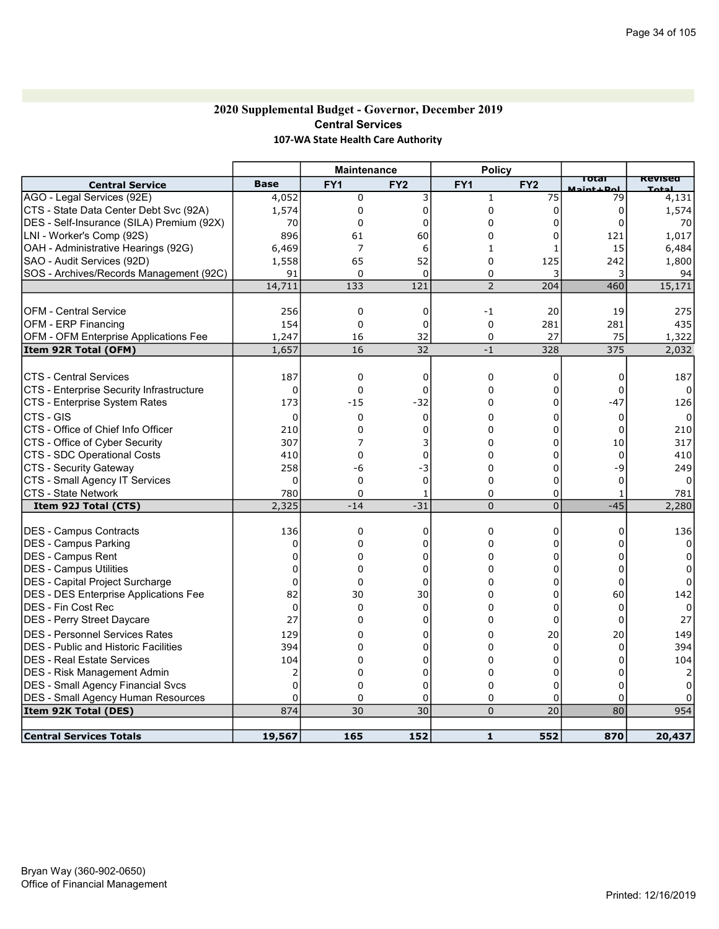## 2020 Supplemental Budget - Governor, December 2019 Central Services 107-WA State Health Care Authority

|                                             |                | <b>Maintenance</b> |                 | <b>Policy</b>   |                 |                      |                |
|---------------------------------------------|----------------|--------------------|-----------------|-----------------|-----------------|----------------------|----------------|
| <b>Central Service</b>                      | <b>Base</b>    | FY <sub>1</sub>    | FY <sub>2</sub> | FY <sub>1</sub> | FY <sub>2</sub> | Total<br>Maint + Dol | <b>Revised</b> |
| AGO - Legal Services (92E)                  | 4,052          | 0                  | 3               | $\mathbf{1}$    | 75              | 79                   | 4,131          |
| CTS - State Data Center Debt Svc (92A)      | 1,574          | 0                  | 0               | 0               | 0               | 0                    | 1,574          |
| DES - Self-Insurance (SILA) Premium (92X)   | 70             | $\mathbf 0$        | $\mathbf 0$     | 0               | 0               | $\Omega$             | 70             |
| LNI - Worker's Comp (92S)                   | 896            | 61                 | 60              | 0               | 0               | 121                  | 1,017          |
| OAH - Administrative Hearings (92G)         | 6,469          | $\overline{7}$     | 6               | 1               | 1               | 15                   | 6,484          |
| SAO - Audit Services (92D)                  | 1,558          | 65                 | 52              | 0               | 125             | 242                  | 1,800          |
| SOS - Archives/Records Management (92C)     | 91             | $\mathbf 0$        | $\mathbf 0$     | 0               | 3               | 3                    | 94             |
|                                             | 14,711         | $\overline{133}$   | 121             | $\overline{2}$  | 204             | 460                  | 15,171         |
|                                             |                |                    |                 |                 |                 |                      |                |
| <b>OFM - Central Service</b>                | 256            | 0                  | 0               | $-1$            | 20              | 19                   | 275            |
| OFM - ERP Financing                         | 154            | $\mathbf 0$        | 0               | 0               | 281             | 281                  | 435            |
| OFM - OFM Enterprise Applications Fee       | 1,247          | 16                 | 32              | 0               | 27              | 75                   | 1,322          |
| Item 92R Total (OFM)                        | 1,657          | 16                 | $\overline{32}$ | $-1$            | 328             | $\frac{1}{375}$      | 2,032          |
|                                             |                |                    |                 |                 |                 |                      |                |
| ICTS - Central Services                     | 187            | 0                  | $\mathbf 0$     | 0               | 0               | $\mathbf 0$          | 187            |
| CTS - Enterprise Security Infrastructure    | 0              | 0                  | $\Omega$        | 0               | 0               | $\Omega$             |                |
| CTS - Enterprise System Rates               | 173            | $-15$              | $-32$           | 0               | 0               | -47                  | 126            |
| CTS - GIS                                   | 0              | 0                  | 0               | 0               | 0               | 0                    |                |
| CTS - Office of Chief Info Officer          | 210            | $\mathbf 0$        | $\Omega$        | 0               | $\Omega$        | 0                    | 210            |
| CTS - Office of Cyber Security              | 307            | 7                  | 3               | 0               | 0               | 10                   | 317            |
| CTS - SDC Operational Costs                 | 410            | $\Omega$           | $\mathbf 0$     | 0               | $\Omega$        | $\Omega$             | 410            |
| CTS - Security Gateway                      | 258            | -6                 | -3              | 0               | 0               | -9                   | 249            |
| CTS - Small Agency IT Services              | 0              | $\mathbf 0$        | 0               | 0               | $\Omega$        | 0                    |                |
| <b>CTS - State Network</b>                  | 780            | $\mathbf 0$        | 1               | 0               | $\Omega$        |                      | 781            |
| Item 92J Total (CTS)                        | 2,325          | $-14$              | $-31$           | 0               | $\overline{0}$  | $-45$                | 2,280          |
|                                             |                |                    |                 |                 |                 |                      |                |
| <b>IDES - Campus Contracts</b>              | 136            | 0                  | 0               | 0               | 0               | 0                    | 136            |
| <b>DES - Campus Parking</b>                 | 0              | 0                  | 0               | 0               | 0               | 0                    | $\Omega$       |
| DES - Campus Rent                           | O              | $\Omega$           | 0               | 0               | $\mathbf 0$     | $\Omega$             | <sup>0</sup>   |
| DES - Campus Utilities                      | 0              | $\mathbf 0$        | $\Omega$        | 0               | $\Omega$        | $\Omega$             |                |
| DES - Capital Project Surcharge             | 0              | 0                  | 0               | 0               | 0               | $\mathbf 0$          | 0              |
| DES - DES Enterprise Applications Fee       | 82             | 30                 | 30              | 0               | 0               | 60                   | 142            |
| IDES - Fin Cost Rec                         | $\mathbf 0$    | 0                  | $\Omega$        | 0               | 0               | 0                    | $\Omega$       |
| DES - Perry Street Daycare                  | 27             | $\Omega$           | 0               | 0               | 0               | 0                    | 27             |
| <b>DES - Personnel Services Rates</b>       | 129            | 0                  | 0               | 0               | 20              | 20                   | 149            |
| <b>DES</b> - Public and Historic Facilities | 394            | $\Omega$           | 0               | 0               | 0               | $\Omega$             | 394            |
| <b>DES - Real Estate Services</b>           | 104            | 0                  | 0               | 0               | 0               | 0                    | 104            |
| DES - Risk Management Admin                 | $\overline{2}$ | $\Omega$           | $\Omega$        | 0               | $\Omega$        | $\Omega$             |                |
| <b>DES - Small Agency Financial Svcs</b>    | 0              | 0                  | $\Omega$        | 0               | $\Omega$        | 0                    |                |
| <b>DES - Small Agency Human Resources</b>   | 0              | 0                  | 0               | 0               | 0               | 0                    |                |
| Item 92K Total (DES)                        | 874            | 30                 | 30              | $\overline{0}$  | 20              | 80                   | 954            |
|                                             |                |                    |                 |                 |                 |                      |                |
| <b>Central Services Totals</b>              | 19,567         | 165                | 152             | $\mathbf{1}$    | 552             | 870                  | 20,437         |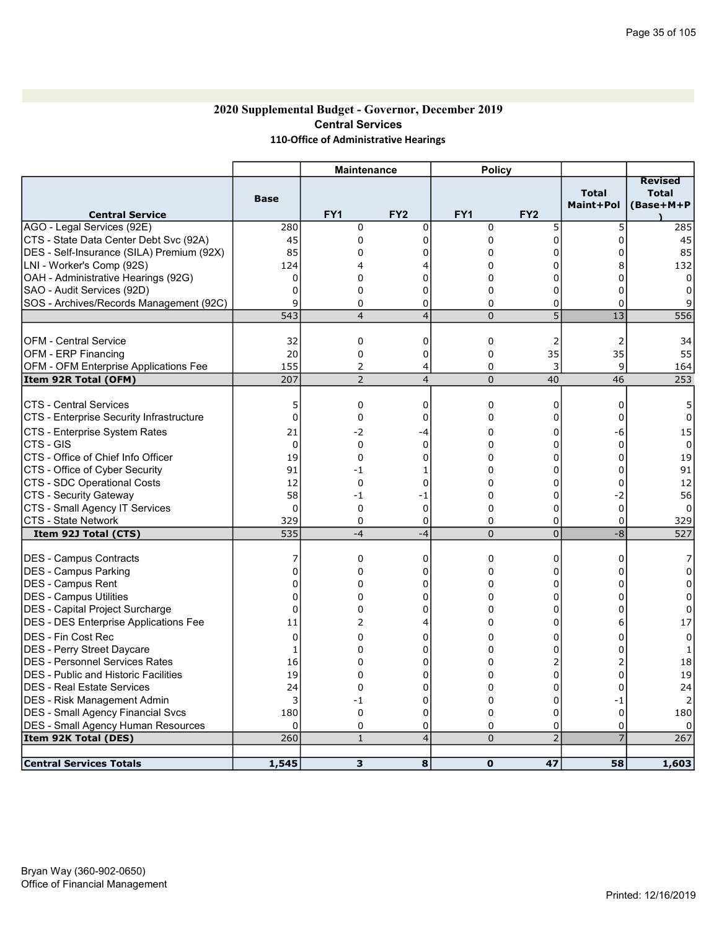## 2020 Supplemental Budget - Governor, December 2019 Central Services 110-Office of Administrative Hearings

|                                                                    |                 | <b>Maintenance</b> |                 | <b>Policy</b>       |                 |                           |                                             |
|--------------------------------------------------------------------|-----------------|--------------------|-----------------|---------------------|-----------------|---------------------------|---------------------------------------------|
| <b>Central Service</b>                                             | <b>Base</b>     | FY <sub>1</sub>    | FY <sub>2</sub> | FY1                 | FY <sub>2</sub> | <b>Total</b><br>Maint+Pol | <b>Revised</b><br><b>Total</b><br>(Base+M+P |
| AGO - Legal Services (92E)                                         | 280             | 0                  | $\mathbf 0$     | 0                   | 5               | 5                         | 285                                         |
| CTS - State Data Center Debt Svc (92A)                             | 45              | 0                  | $\mathbf 0$     | 0                   | 0               | 0                         | 45                                          |
| DES - Self-Insurance (SILA) Premium (92X)                          | 85              | 0                  | 0               | 0                   | 0               | 0                         | 85                                          |
| LNI - Worker's Comp (92S)                                          | 124             | 4                  | ⊿               | 0                   | 0               | 8                         | 132                                         |
| OAH - Administrative Hearings (92G)                                | 0               | $\Omega$           | $\Omega$        | 0                   | 0               | $\Omega$                  | $\Omega$                                    |
| SAO - Audit Services (92D)                                         | $\Omega$        | 0                  | $\Omega$        | 0                   | $\mathbf 0$     | $\Omega$                  | $\Omega$                                    |
| SOS - Archives/Records Management (92C)                            | 9               | 0                  | 0               | 0                   | 0               | 0                         |                                             |
|                                                                    | 543             | $\overline{4}$     | $\overline{4}$  | $\overline{0}$      | $\overline{5}$  | $\overline{13}$           | 556                                         |
|                                                                    |                 |                    |                 |                     |                 |                           |                                             |
| <b>OFM - Central Service</b>                                       | 32              | 0                  | $\mathbf 0$     | 0                   | 2               | 2                         | 34                                          |
| <b>OFM - ERP Financing</b>                                         | 20              | 0                  | $\mathbf 0$     | 0                   | 35              | 35                        | 55                                          |
| OFM - OFM Enterprise Applications Fee                              | 155             | 2                  | 4               | 0                   | 3               | 9                         | 164                                         |
| Item 92R Total (OFM)                                               | 207             | $\overline{2}$     | $\overline{4}$  | $\overline{0}$      | 40              | 46                        | 253                                         |
| <b>CTS - Central Services</b>                                      | 5               | 0                  | 0               | 0                   | 0               | 0                         | 5                                           |
| CTS - Enterprise Security Infrastructure                           | $\mathbf 0$     | 0                  | $\Omega$        | 0                   | 0               | 0                         | $\Omega$                                    |
| CTS - Enterprise System Rates                                      | 21              | $-2$               | -4              | 0                   | 0               | -6                        | 15                                          |
| CTS - GIS                                                          | $\Omega$        | 0                  | $\Omega$        | 0                   | $\mathbf 0$     | $\Omega$                  | $\mathbf 0$                                 |
| CTS - Office of Chief Info Officer                                 | 19              | 0                  | $\Omega$        | 0                   | 0               | 0                         | 19                                          |
| CTS - Office of Cyber Security                                     | 91              | $-1$               | 1               | 0                   | 0               | 0                         | 91                                          |
| CTS - SDC Operational Costs                                        | 12              | $\Omega$           | $\Omega$        | 0                   | $\Omega$        | 0                         | 12                                          |
| CTS - Security Gateway                                             | 58              | -1                 | $-1$            | 0                   | 0               | $-2$                      | 56                                          |
| CTS - Small Agency IT Services                                     | $\Omega$        | 0                  | $\mathbf 0$     | 0                   | $\Omega$        | 0                         | $\Omega$                                    |
| <b>CTS - State Network</b>                                         | 329             | $\Omega$           | $\mathbf 0$     | 0                   | 0               | 0                         | 329                                         |
| Item 92J Total (CTS)                                               | $\frac{1}{535}$ | $-4$               | $-4$            | $\overline{0}$      | $\overline{0}$  | $\overline{-8}$           | $\frac{1}{527}$                             |
|                                                                    |                 |                    |                 |                     |                 |                           |                                             |
| DES - Campus Contracts                                             | 7               | 0                  | 0               | 0                   | 0               | 0                         |                                             |
| DES - Campus Parking                                               | 0               | $\mathbf 0$        | $\Omega$        | 0                   | $\Omega$        | $\Omega$                  | 0                                           |
| DES - Campus Rent                                                  | 0               | $\mathbf 0$        | $\Omega$        | 0                   | $\Omega$        | $\Omega$                  | 0                                           |
| <b>DES - Campus Utilities</b>                                      | 0               | $\mathbf 0$        | $\Omega$        | 0                   | $\Omega$        | $\Omega$                  | $\Omega$                                    |
| DES - Capital Project Surcharge                                    | 0               | 0                  | 0               | 0                   | 0               | 0                         | 0                                           |
| <b>DES - DES Enterprise Applications Fee</b><br>DES - Fin Cost Rec | 11<br>$\Omega$  | 2<br>$\mathbf 0$   | 4<br>$\Omega$   | 0<br>0              | 0<br>$\Omega$   | 6<br>$\Omega$             | 17<br>$\mathbf{0}$                          |
| <b>DES - Perry Street Daycare</b>                                  |                 | 0                  | 0               | 0                   | 0               | 0                         |                                             |
| DES - Personnel Services Rates                                     | 1<br>16         | 0                  | $\Omega$        | 0                   | $\overline{c}$  |                           | 18                                          |
| <b>DES</b> - Public and Historic Facilities                        | 19              | 0                  | 0               | 0                   | 0               | 0                         | 19                                          |
| <b>IDES - Real Estate Services</b>                                 |                 | $\mathbf 0$        | $\Omega$        | 0                   | $\Omega$        | $\Omega$                  |                                             |
|                                                                    | 24<br>3         | -1                 | 0               | 0                   | 0               | $-1$                      | 24                                          |
| DES - Risk Management Admin                                        | 180             | 0                  | $\mathbf 0$     | 0                   | $\Omega$        | $\mathbf 0$               | 180                                         |
| DES - Small Agency Financial Svcs                                  | $\Omega$        | $\mathbf 0$        | 0               |                     | 0               | 0                         |                                             |
| <b>DES</b> - Small Agency Human Resources<br>Item 92K Total (DES)  | 260             | $\mathbf{1}$       | $\overline{4}$  | 0<br>$\overline{0}$ | $\overline{2}$  | $\overline{7}$            | 267                                         |
|                                                                    |                 |                    |                 |                     |                 |                           |                                             |
| <b>Central Services Totals</b>                                     | 1,545           | 3                  | 8               | $\mathbf{0}$        | 47              | 58                        | 1,603                                       |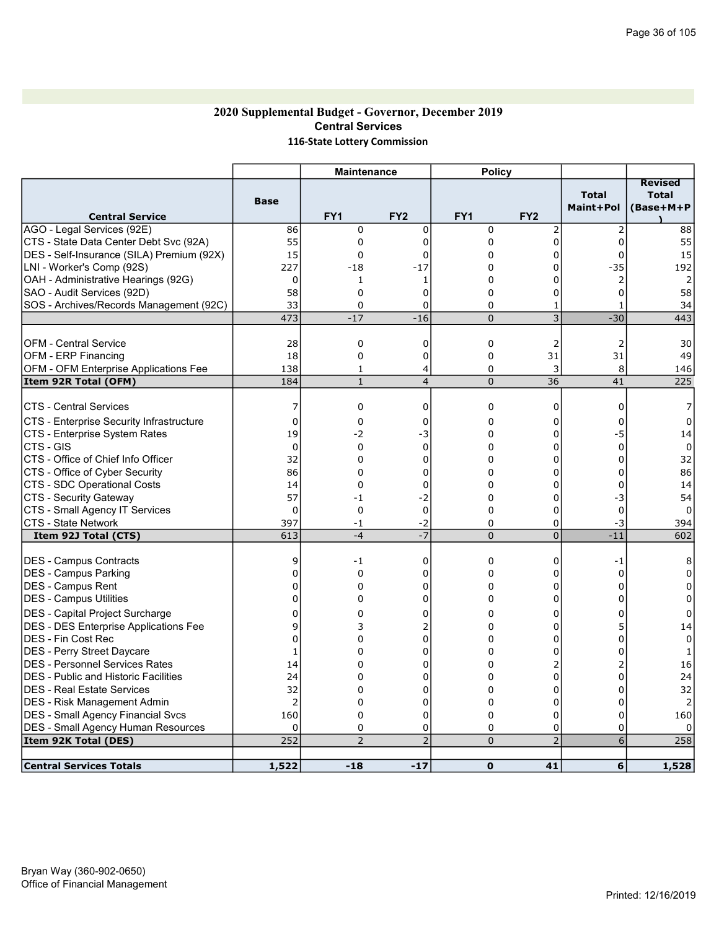### 2020 Supplemental Budget - Governor, December 2019 Central Services 116-State Lottery Commission

| <b>Total</b><br><b>Total</b><br><b>Base</b><br>Maint+Pol<br>(Base+M+P<br>FY <sub>1</sub><br>FY <sub>2</sub><br>FY1<br>FY <sub>2</sub><br><b>Central Service</b><br>AGO - Legal Services (92E)<br>0<br>0<br>2<br>$\overline{2}$<br>86<br>$\mathbf 0$<br>88<br>55<br>$\overline{0}$<br>55<br>CTS - State Data Center Debt Svc (92A)<br>0<br>$\mathbf 0$<br>0<br>$\mathbf 0$<br>15<br>DES - Self-Insurance (SILA) Premium (92X)<br>0<br>15<br>0<br>0<br>$\Omega$<br>$\Omega$<br>LNI - Worker's Comp (92S)<br>227<br>$-35$<br>192<br>$-18$<br>$-17$<br>0<br>0<br>OAH - Administrative Hearings (92G)<br>0<br>$\mathbf{1}$<br>0<br>2<br>0<br>$\mathbf{1}$<br>2<br>58<br>0<br>0<br>0<br>$\mathbf{0}$<br>SAO - Audit Services (92D)<br>$\mathbf 0$<br>58<br>SOS - Archives/Records Management (92C)<br>33<br>$\mathbf 0$<br>$\mathbf 0$<br>0<br>34<br>1<br>1<br>$\overline{3}$<br>473<br>$-16$<br>$-30$<br>443<br>$-17$<br>$\overline{0}$<br><b>OFM - Central Service</b><br>0<br>0<br>0<br>2<br>28<br>2<br>30<br>$\mathbf 0$<br><b>OFM - ERP Financing</b><br>18<br>$\mathbf 0$<br>0<br>31<br>31<br>49<br>OFM - OFM Enterprise Applications Fee<br>138<br>3<br>$\overline{4}$<br>0<br>8<br>146<br>1<br>184<br>$\mathbf{1}$<br>$\overline{0}$<br>36<br>41<br>225<br>$\overline{4}$<br>7<br>$\mathbf 0$<br>0<br>0<br>0<br>0<br>0<br>$\mathbf 0$<br>$\Omega$<br>0<br>0<br>$\Omega$<br>$\Omega$<br>19<br>$-2$<br>$\mathbf 0$<br>-5<br>-3<br>0<br>14<br>0<br>0<br>$\mathbf 0$<br>0<br>0<br>0<br>0<br>32<br>0<br>0<br>32<br>0<br>0<br>0<br>CTS - Office of Cyber Security<br>86<br>0<br>0<br>86<br>0<br>0<br>0<br>$\mathbf 0$<br>$\Omega$<br>14<br>$\Omega$<br>0<br>0<br>14<br>57<br>$-2$<br>0<br>0<br>54<br>-3<br>-1<br>$\mathbf 0$<br>0<br>0<br>0<br>0<br>$\mathbf 0$<br>0<br>397<br>-2<br>0<br>0<br>-3<br>394<br>-1<br>$-7$<br>613<br>$-4$<br>$\overline{0}$<br>$\overline{0}$<br>$-11$<br>602<br>Item 92J Total (CTS)<br><b>IDES - Campus Contracts</b><br>9<br>0<br>0<br>0<br>$-1$<br>-1<br>8<br>DES - Campus Parking<br>$\mathbf 0$<br>0<br>0<br>$\Omega$<br>0<br>0<br>0<br>0<br>DES - Campus Rent<br>0<br>0<br>0<br>0<br>0<br>0<br>$\overline{0}$<br>DES - Campus Utilities<br>0<br>$\Omega$<br>0<br>0<br>$\Omega$<br>0<br>DES - Capital Project Surcharge<br>0<br>0<br>0<br>0<br>0<br>0<br>0<br><b>DES - DES Enterprise Applications Fee</b><br>9<br>3<br>0<br>2<br>0<br>14<br>DES - Fin Cost Rec<br>$\Omega$<br>$\Omega$<br>$\Omega$<br>0<br>$\mathbf 0$<br>$\Omega$<br>$\Omega$<br><b>DES - Perry Street Daycare</b><br>0<br>0<br>0<br>0<br>$\mathbf{1}$<br>0<br>1<br>$\overline{2}$<br>DES - Personnel Services Rates<br>0<br>16<br>14<br>$\Omega$<br>0<br>DES - Public and Historic Facilities<br>24<br>0<br>0<br>0<br>0<br>24<br>0<br>32<br>32<br><b>IDES - Real Estate Services</b><br>0<br>$\Omega$<br>0<br>0<br>$\Omega$<br>$\overline{2}$<br>0<br>$\Omega$<br><b>IDES - Risk Management Admin</b><br>$\Omega$<br>$\Omega$<br>$\Omega$<br><b>DES - Small Agency Financial Svcs</b><br>160<br>0<br>$\Omega$<br>0<br>0<br>0<br>160<br>DES - Small Agency Human Resources<br>$\Omega$<br>0<br>0<br>0<br>0<br>0<br>252<br>$\overline{2}$<br>$\overline{2}$<br>$\overline{2}$<br>$\overline{0}$<br>6<br>258<br>Item 92K Total (DES)<br>1,522<br>$-17$<br>1,528<br><b>Central Services Totals</b><br>$-18$<br>$\mathbf{0}$<br>41<br>6 |                                          | <b>Maintenance</b> | <b>Policy</b> |  |                |
|-------------------------------------------------------------------------------------------------------------------------------------------------------------------------------------------------------------------------------------------------------------------------------------------------------------------------------------------------------------------------------------------------------------------------------------------------------------------------------------------------------------------------------------------------------------------------------------------------------------------------------------------------------------------------------------------------------------------------------------------------------------------------------------------------------------------------------------------------------------------------------------------------------------------------------------------------------------------------------------------------------------------------------------------------------------------------------------------------------------------------------------------------------------------------------------------------------------------------------------------------------------------------------------------------------------------------------------------------------------------------------------------------------------------------------------------------------------------------------------------------------------------------------------------------------------------------------------------------------------------------------------------------------------------------------------------------------------------------------------------------------------------------------------------------------------------------------------------------------------------------------------------------------------------------------------------------------------------------------------------------------------------------------------------------------------------------------------------------------------------------------------------------------------------------------------------------------------------------------------------------------------------------------------------------------------------------------------------------------------------------------------------------------------------------------------------------------------------------------------------------------------------------------------------------------------------------------------------------------------------------------------------------------------------------------------------------------------------------------------------------------------------------------------------------------------------------------------------------------------------------------------------------------------------------------------------------------------------------------------------------------------------------------------------------------------------------------------------------------------------------------------------------------------------------------------------------------------------------------------------------------------------------------------------------------------------------------------|------------------------------------------|--------------------|---------------|--|----------------|
|                                                                                                                                                                                                                                                                                                                                                                                                                                                                                                                                                                                                                                                                                                                                                                                                                                                                                                                                                                                                                                                                                                                                                                                                                                                                                                                                                                                                                                                                                                                                                                                                                                                                                                                                                                                                                                                                                                                                                                                                                                                                                                                                                                                                                                                                                                                                                                                                                                                                                                                                                                                                                                                                                                                                                                                                                                                                                                                                                                                                                                                                                                                                                                                                                                                                                                                                     |                                          |                    |               |  | <b>Revised</b> |
|                                                                                                                                                                                                                                                                                                                                                                                                                                                                                                                                                                                                                                                                                                                                                                                                                                                                                                                                                                                                                                                                                                                                                                                                                                                                                                                                                                                                                                                                                                                                                                                                                                                                                                                                                                                                                                                                                                                                                                                                                                                                                                                                                                                                                                                                                                                                                                                                                                                                                                                                                                                                                                                                                                                                                                                                                                                                                                                                                                                                                                                                                                                                                                                                                                                                                                                                     |                                          |                    |               |  |                |
|                                                                                                                                                                                                                                                                                                                                                                                                                                                                                                                                                                                                                                                                                                                                                                                                                                                                                                                                                                                                                                                                                                                                                                                                                                                                                                                                                                                                                                                                                                                                                                                                                                                                                                                                                                                                                                                                                                                                                                                                                                                                                                                                                                                                                                                                                                                                                                                                                                                                                                                                                                                                                                                                                                                                                                                                                                                                                                                                                                                                                                                                                                                                                                                                                                                                                                                                     |                                          |                    |               |  |                |
|                                                                                                                                                                                                                                                                                                                                                                                                                                                                                                                                                                                                                                                                                                                                                                                                                                                                                                                                                                                                                                                                                                                                                                                                                                                                                                                                                                                                                                                                                                                                                                                                                                                                                                                                                                                                                                                                                                                                                                                                                                                                                                                                                                                                                                                                                                                                                                                                                                                                                                                                                                                                                                                                                                                                                                                                                                                                                                                                                                                                                                                                                                                                                                                                                                                                                                                                     |                                          |                    |               |  |                |
|                                                                                                                                                                                                                                                                                                                                                                                                                                                                                                                                                                                                                                                                                                                                                                                                                                                                                                                                                                                                                                                                                                                                                                                                                                                                                                                                                                                                                                                                                                                                                                                                                                                                                                                                                                                                                                                                                                                                                                                                                                                                                                                                                                                                                                                                                                                                                                                                                                                                                                                                                                                                                                                                                                                                                                                                                                                                                                                                                                                                                                                                                                                                                                                                                                                                                                                                     |                                          |                    |               |  |                |
|                                                                                                                                                                                                                                                                                                                                                                                                                                                                                                                                                                                                                                                                                                                                                                                                                                                                                                                                                                                                                                                                                                                                                                                                                                                                                                                                                                                                                                                                                                                                                                                                                                                                                                                                                                                                                                                                                                                                                                                                                                                                                                                                                                                                                                                                                                                                                                                                                                                                                                                                                                                                                                                                                                                                                                                                                                                                                                                                                                                                                                                                                                                                                                                                                                                                                                                                     |                                          |                    |               |  |                |
|                                                                                                                                                                                                                                                                                                                                                                                                                                                                                                                                                                                                                                                                                                                                                                                                                                                                                                                                                                                                                                                                                                                                                                                                                                                                                                                                                                                                                                                                                                                                                                                                                                                                                                                                                                                                                                                                                                                                                                                                                                                                                                                                                                                                                                                                                                                                                                                                                                                                                                                                                                                                                                                                                                                                                                                                                                                                                                                                                                                                                                                                                                                                                                                                                                                                                                                                     |                                          |                    |               |  |                |
|                                                                                                                                                                                                                                                                                                                                                                                                                                                                                                                                                                                                                                                                                                                                                                                                                                                                                                                                                                                                                                                                                                                                                                                                                                                                                                                                                                                                                                                                                                                                                                                                                                                                                                                                                                                                                                                                                                                                                                                                                                                                                                                                                                                                                                                                                                                                                                                                                                                                                                                                                                                                                                                                                                                                                                                                                                                                                                                                                                                                                                                                                                                                                                                                                                                                                                                                     |                                          |                    |               |  |                |
|                                                                                                                                                                                                                                                                                                                                                                                                                                                                                                                                                                                                                                                                                                                                                                                                                                                                                                                                                                                                                                                                                                                                                                                                                                                                                                                                                                                                                                                                                                                                                                                                                                                                                                                                                                                                                                                                                                                                                                                                                                                                                                                                                                                                                                                                                                                                                                                                                                                                                                                                                                                                                                                                                                                                                                                                                                                                                                                                                                                                                                                                                                                                                                                                                                                                                                                                     |                                          |                    |               |  |                |
|                                                                                                                                                                                                                                                                                                                                                                                                                                                                                                                                                                                                                                                                                                                                                                                                                                                                                                                                                                                                                                                                                                                                                                                                                                                                                                                                                                                                                                                                                                                                                                                                                                                                                                                                                                                                                                                                                                                                                                                                                                                                                                                                                                                                                                                                                                                                                                                                                                                                                                                                                                                                                                                                                                                                                                                                                                                                                                                                                                                                                                                                                                                                                                                                                                                                                                                                     |                                          |                    |               |  |                |
|                                                                                                                                                                                                                                                                                                                                                                                                                                                                                                                                                                                                                                                                                                                                                                                                                                                                                                                                                                                                                                                                                                                                                                                                                                                                                                                                                                                                                                                                                                                                                                                                                                                                                                                                                                                                                                                                                                                                                                                                                                                                                                                                                                                                                                                                                                                                                                                                                                                                                                                                                                                                                                                                                                                                                                                                                                                                                                                                                                                                                                                                                                                                                                                                                                                                                                                                     |                                          |                    |               |  |                |
|                                                                                                                                                                                                                                                                                                                                                                                                                                                                                                                                                                                                                                                                                                                                                                                                                                                                                                                                                                                                                                                                                                                                                                                                                                                                                                                                                                                                                                                                                                                                                                                                                                                                                                                                                                                                                                                                                                                                                                                                                                                                                                                                                                                                                                                                                                                                                                                                                                                                                                                                                                                                                                                                                                                                                                                                                                                                                                                                                                                                                                                                                                                                                                                                                                                                                                                                     |                                          |                    |               |  |                |
|                                                                                                                                                                                                                                                                                                                                                                                                                                                                                                                                                                                                                                                                                                                                                                                                                                                                                                                                                                                                                                                                                                                                                                                                                                                                                                                                                                                                                                                                                                                                                                                                                                                                                                                                                                                                                                                                                                                                                                                                                                                                                                                                                                                                                                                                                                                                                                                                                                                                                                                                                                                                                                                                                                                                                                                                                                                                                                                                                                                                                                                                                                                                                                                                                                                                                                                                     |                                          |                    |               |  |                |
|                                                                                                                                                                                                                                                                                                                                                                                                                                                                                                                                                                                                                                                                                                                                                                                                                                                                                                                                                                                                                                                                                                                                                                                                                                                                                                                                                                                                                                                                                                                                                                                                                                                                                                                                                                                                                                                                                                                                                                                                                                                                                                                                                                                                                                                                                                                                                                                                                                                                                                                                                                                                                                                                                                                                                                                                                                                                                                                                                                                                                                                                                                                                                                                                                                                                                                                                     | Item 92R Total (OFM)                     |                    |               |  |                |
|                                                                                                                                                                                                                                                                                                                                                                                                                                                                                                                                                                                                                                                                                                                                                                                                                                                                                                                                                                                                                                                                                                                                                                                                                                                                                                                                                                                                                                                                                                                                                                                                                                                                                                                                                                                                                                                                                                                                                                                                                                                                                                                                                                                                                                                                                                                                                                                                                                                                                                                                                                                                                                                                                                                                                                                                                                                                                                                                                                                                                                                                                                                                                                                                                                                                                                                                     |                                          |                    |               |  |                |
|                                                                                                                                                                                                                                                                                                                                                                                                                                                                                                                                                                                                                                                                                                                                                                                                                                                                                                                                                                                                                                                                                                                                                                                                                                                                                                                                                                                                                                                                                                                                                                                                                                                                                                                                                                                                                                                                                                                                                                                                                                                                                                                                                                                                                                                                                                                                                                                                                                                                                                                                                                                                                                                                                                                                                                                                                                                                                                                                                                                                                                                                                                                                                                                                                                                                                                                                     | <b>CTS - Central Services</b>            |                    |               |  |                |
|                                                                                                                                                                                                                                                                                                                                                                                                                                                                                                                                                                                                                                                                                                                                                                                                                                                                                                                                                                                                                                                                                                                                                                                                                                                                                                                                                                                                                                                                                                                                                                                                                                                                                                                                                                                                                                                                                                                                                                                                                                                                                                                                                                                                                                                                                                                                                                                                                                                                                                                                                                                                                                                                                                                                                                                                                                                                                                                                                                                                                                                                                                                                                                                                                                                                                                                                     | CTS - Enterprise Security Infrastructure |                    |               |  |                |
|                                                                                                                                                                                                                                                                                                                                                                                                                                                                                                                                                                                                                                                                                                                                                                                                                                                                                                                                                                                                                                                                                                                                                                                                                                                                                                                                                                                                                                                                                                                                                                                                                                                                                                                                                                                                                                                                                                                                                                                                                                                                                                                                                                                                                                                                                                                                                                                                                                                                                                                                                                                                                                                                                                                                                                                                                                                                                                                                                                                                                                                                                                                                                                                                                                                                                                                                     | CTS - Enterprise System Rates            |                    |               |  |                |
|                                                                                                                                                                                                                                                                                                                                                                                                                                                                                                                                                                                                                                                                                                                                                                                                                                                                                                                                                                                                                                                                                                                                                                                                                                                                                                                                                                                                                                                                                                                                                                                                                                                                                                                                                                                                                                                                                                                                                                                                                                                                                                                                                                                                                                                                                                                                                                                                                                                                                                                                                                                                                                                                                                                                                                                                                                                                                                                                                                                                                                                                                                                                                                                                                                                                                                                                     | CTS - GIS                                |                    |               |  |                |
|                                                                                                                                                                                                                                                                                                                                                                                                                                                                                                                                                                                                                                                                                                                                                                                                                                                                                                                                                                                                                                                                                                                                                                                                                                                                                                                                                                                                                                                                                                                                                                                                                                                                                                                                                                                                                                                                                                                                                                                                                                                                                                                                                                                                                                                                                                                                                                                                                                                                                                                                                                                                                                                                                                                                                                                                                                                                                                                                                                                                                                                                                                                                                                                                                                                                                                                                     | CTS - Office of Chief Info Officer       |                    |               |  |                |
|                                                                                                                                                                                                                                                                                                                                                                                                                                                                                                                                                                                                                                                                                                                                                                                                                                                                                                                                                                                                                                                                                                                                                                                                                                                                                                                                                                                                                                                                                                                                                                                                                                                                                                                                                                                                                                                                                                                                                                                                                                                                                                                                                                                                                                                                                                                                                                                                                                                                                                                                                                                                                                                                                                                                                                                                                                                                                                                                                                                                                                                                                                                                                                                                                                                                                                                                     |                                          |                    |               |  |                |
|                                                                                                                                                                                                                                                                                                                                                                                                                                                                                                                                                                                                                                                                                                                                                                                                                                                                                                                                                                                                                                                                                                                                                                                                                                                                                                                                                                                                                                                                                                                                                                                                                                                                                                                                                                                                                                                                                                                                                                                                                                                                                                                                                                                                                                                                                                                                                                                                                                                                                                                                                                                                                                                                                                                                                                                                                                                                                                                                                                                                                                                                                                                                                                                                                                                                                                                                     | CTS - SDC Operational Costs              |                    |               |  |                |
|                                                                                                                                                                                                                                                                                                                                                                                                                                                                                                                                                                                                                                                                                                                                                                                                                                                                                                                                                                                                                                                                                                                                                                                                                                                                                                                                                                                                                                                                                                                                                                                                                                                                                                                                                                                                                                                                                                                                                                                                                                                                                                                                                                                                                                                                                                                                                                                                                                                                                                                                                                                                                                                                                                                                                                                                                                                                                                                                                                                                                                                                                                                                                                                                                                                                                                                                     | CTS - Security Gateway                   |                    |               |  |                |
|                                                                                                                                                                                                                                                                                                                                                                                                                                                                                                                                                                                                                                                                                                                                                                                                                                                                                                                                                                                                                                                                                                                                                                                                                                                                                                                                                                                                                                                                                                                                                                                                                                                                                                                                                                                                                                                                                                                                                                                                                                                                                                                                                                                                                                                                                                                                                                                                                                                                                                                                                                                                                                                                                                                                                                                                                                                                                                                                                                                                                                                                                                                                                                                                                                                                                                                                     | CTS - Small Agency IT Services           |                    |               |  |                |
|                                                                                                                                                                                                                                                                                                                                                                                                                                                                                                                                                                                                                                                                                                                                                                                                                                                                                                                                                                                                                                                                                                                                                                                                                                                                                                                                                                                                                                                                                                                                                                                                                                                                                                                                                                                                                                                                                                                                                                                                                                                                                                                                                                                                                                                                                                                                                                                                                                                                                                                                                                                                                                                                                                                                                                                                                                                                                                                                                                                                                                                                                                                                                                                                                                                                                                                                     | CTS - State Network                      |                    |               |  |                |
|                                                                                                                                                                                                                                                                                                                                                                                                                                                                                                                                                                                                                                                                                                                                                                                                                                                                                                                                                                                                                                                                                                                                                                                                                                                                                                                                                                                                                                                                                                                                                                                                                                                                                                                                                                                                                                                                                                                                                                                                                                                                                                                                                                                                                                                                                                                                                                                                                                                                                                                                                                                                                                                                                                                                                                                                                                                                                                                                                                                                                                                                                                                                                                                                                                                                                                                                     |                                          |                    |               |  |                |
|                                                                                                                                                                                                                                                                                                                                                                                                                                                                                                                                                                                                                                                                                                                                                                                                                                                                                                                                                                                                                                                                                                                                                                                                                                                                                                                                                                                                                                                                                                                                                                                                                                                                                                                                                                                                                                                                                                                                                                                                                                                                                                                                                                                                                                                                                                                                                                                                                                                                                                                                                                                                                                                                                                                                                                                                                                                                                                                                                                                                                                                                                                                                                                                                                                                                                                                                     |                                          |                    |               |  |                |
|                                                                                                                                                                                                                                                                                                                                                                                                                                                                                                                                                                                                                                                                                                                                                                                                                                                                                                                                                                                                                                                                                                                                                                                                                                                                                                                                                                                                                                                                                                                                                                                                                                                                                                                                                                                                                                                                                                                                                                                                                                                                                                                                                                                                                                                                                                                                                                                                                                                                                                                                                                                                                                                                                                                                                                                                                                                                                                                                                                                                                                                                                                                                                                                                                                                                                                                                     |                                          |                    |               |  |                |
|                                                                                                                                                                                                                                                                                                                                                                                                                                                                                                                                                                                                                                                                                                                                                                                                                                                                                                                                                                                                                                                                                                                                                                                                                                                                                                                                                                                                                                                                                                                                                                                                                                                                                                                                                                                                                                                                                                                                                                                                                                                                                                                                                                                                                                                                                                                                                                                                                                                                                                                                                                                                                                                                                                                                                                                                                                                                                                                                                                                                                                                                                                                                                                                                                                                                                                                                     |                                          |                    |               |  |                |
|                                                                                                                                                                                                                                                                                                                                                                                                                                                                                                                                                                                                                                                                                                                                                                                                                                                                                                                                                                                                                                                                                                                                                                                                                                                                                                                                                                                                                                                                                                                                                                                                                                                                                                                                                                                                                                                                                                                                                                                                                                                                                                                                                                                                                                                                                                                                                                                                                                                                                                                                                                                                                                                                                                                                                                                                                                                                                                                                                                                                                                                                                                                                                                                                                                                                                                                                     |                                          |                    |               |  |                |
|                                                                                                                                                                                                                                                                                                                                                                                                                                                                                                                                                                                                                                                                                                                                                                                                                                                                                                                                                                                                                                                                                                                                                                                                                                                                                                                                                                                                                                                                                                                                                                                                                                                                                                                                                                                                                                                                                                                                                                                                                                                                                                                                                                                                                                                                                                                                                                                                                                                                                                                                                                                                                                                                                                                                                                                                                                                                                                                                                                                                                                                                                                                                                                                                                                                                                                                                     |                                          |                    |               |  |                |
|                                                                                                                                                                                                                                                                                                                                                                                                                                                                                                                                                                                                                                                                                                                                                                                                                                                                                                                                                                                                                                                                                                                                                                                                                                                                                                                                                                                                                                                                                                                                                                                                                                                                                                                                                                                                                                                                                                                                                                                                                                                                                                                                                                                                                                                                                                                                                                                                                                                                                                                                                                                                                                                                                                                                                                                                                                                                                                                                                                                                                                                                                                                                                                                                                                                                                                                                     |                                          |                    |               |  |                |
|                                                                                                                                                                                                                                                                                                                                                                                                                                                                                                                                                                                                                                                                                                                                                                                                                                                                                                                                                                                                                                                                                                                                                                                                                                                                                                                                                                                                                                                                                                                                                                                                                                                                                                                                                                                                                                                                                                                                                                                                                                                                                                                                                                                                                                                                                                                                                                                                                                                                                                                                                                                                                                                                                                                                                                                                                                                                                                                                                                                                                                                                                                                                                                                                                                                                                                                                     |                                          |                    |               |  |                |
|                                                                                                                                                                                                                                                                                                                                                                                                                                                                                                                                                                                                                                                                                                                                                                                                                                                                                                                                                                                                                                                                                                                                                                                                                                                                                                                                                                                                                                                                                                                                                                                                                                                                                                                                                                                                                                                                                                                                                                                                                                                                                                                                                                                                                                                                                                                                                                                                                                                                                                                                                                                                                                                                                                                                                                                                                                                                                                                                                                                                                                                                                                                                                                                                                                                                                                                                     |                                          |                    |               |  |                |
|                                                                                                                                                                                                                                                                                                                                                                                                                                                                                                                                                                                                                                                                                                                                                                                                                                                                                                                                                                                                                                                                                                                                                                                                                                                                                                                                                                                                                                                                                                                                                                                                                                                                                                                                                                                                                                                                                                                                                                                                                                                                                                                                                                                                                                                                                                                                                                                                                                                                                                                                                                                                                                                                                                                                                                                                                                                                                                                                                                                                                                                                                                                                                                                                                                                                                                                                     |                                          |                    |               |  |                |
|                                                                                                                                                                                                                                                                                                                                                                                                                                                                                                                                                                                                                                                                                                                                                                                                                                                                                                                                                                                                                                                                                                                                                                                                                                                                                                                                                                                                                                                                                                                                                                                                                                                                                                                                                                                                                                                                                                                                                                                                                                                                                                                                                                                                                                                                                                                                                                                                                                                                                                                                                                                                                                                                                                                                                                                                                                                                                                                                                                                                                                                                                                                                                                                                                                                                                                                                     |                                          |                    |               |  |                |
|                                                                                                                                                                                                                                                                                                                                                                                                                                                                                                                                                                                                                                                                                                                                                                                                                                                                                                                                                                                                                                                                                                                                                                                                                                                                                                                                                                                                                                                                                                                                                                                                                                                                                                                                                                                                                                                                                                                                                                                                                                                                                                                                                                                                                                                                                                                                                                                                                                                                                                                                                                                                                                                                                                                                                                                                                                                                                                                                                                                                                                                                                                                                                                                                                                                                                                                                     |                                          |                    |               |  |                |
|                                                                                                                                                                                                                                                                                                                                                                                                                                                                                                                                                                                                                                                                                                                                                                                                                                                                                                                                                                                                                                                                                                                                                                                                                                                                                                                                                                                                                                                                                                                                                                                                                                                                                                                                                                                                                                                                                                                                                                                                                                                                                                                                                                                                                                                                                                                                                                                                                                                                                                                                                                                                                                                                                                                                                                                                                                                                                                                                                                                                                                                                                                                                                                                                                                                                                                                                     |                                          |                    |               |  |                |
|                                                                                                                                                                                                                                                                                                                                                                                                                                                                                                                                                                                                                                                                                                                                                                                                                                                                                                                                                                                                                                                                                                                                                                                                                                                                                                                                                                                                                                                                                                                                                                                                                                                                                                                                                                                                                                                                                                                                                                                                                                                                                                                                                                                                                                                                                                                                                                                                                                                                                                                                                                                                                                                                                                                                                                                                                                                                                                                                                                                                                                                                                                                                                                                                                                                                                                                                     |                                          |                    |               |  |                |
|                                                                                                                                                                                                                                                                                                                                                                                                                                                                                                                                                                                                                                                                                                                                                                                                                                                                                                                                                                                                                                                                                                                                                                                                                                                                                                                                                                                                                                                                                                                                                                                                                                                                                                                                                                                                                                                                                                                                                                                                                                                                                                                                                                                                                                                                                                                                                                                                                                                                                                                                                                                                                                                                                                                                                                                                                                                                                                                                                                                                                                                                                                                                                                                                                                                                                                                                     |                                          |                    |               |  |                |
|                                                                                                                                                                                                                                                                                                                                                                                                                                                                                                                                                                                                                                                                                                                                                                                                                                                                                                                                                                                                                                                                                                                                                                                                                                                                                                                                                                                                                                                                                                                                                                                                                                                                                                                                                                                                                                                                                                                                                                                                                                                                                                                                                                                                                                                                                                                                                                                                                                                                                                                                                                                                                                                                                                                                                                                                                                                                                                                                                                                                                                                                                                                                                                                                                                                                                                                                     |                                          |                    |               |  |                |
|                                                                                                                                                                                                                                                                                                                                                                                                                                                                                                                                                                                                                                                                                                                                                                                                                                                                                                                                                                                                                                                                                                                                                                                                                                                                                                                                                                                                                                                                                                                                                                                                                                                                                                                                                                                                                                                                                                                                                                                                                                                                                                                                                                                                                                                                                                                                                                                                                                                                                                                                                                                                                                                                                                                                                                                                                                                                                                                                                                                                                                                                                                                                                                                                                                                                                                                                     |                                          |                    |               |  |                |
|                                                                                                                                                                                                                                                                                                                                                                                                                                                                                                                                                                                                                                                                                                                                                                                                                                                                                                                                                                                                                                                                                                                                                                                                                                                                                                                                                                                                                                                                                                                                                                                                                                                                                                                                                                                                                                                                                                                                                                                                                                                                                                                                                                                                                                                                                                                                                                                                                                                                                                                                                                                                                                                                                                                                                                                                                                                                                                                                                                                                                                                                                                                                                                                                                                                                                                                                     |                                          |                    |               |  |                |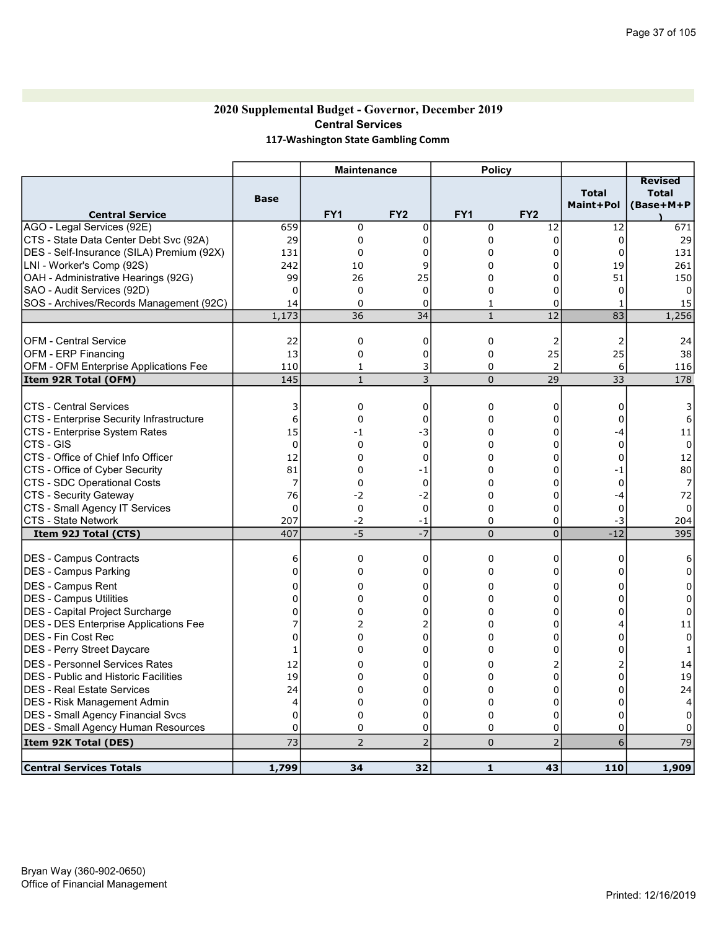# 2020 Supplemental Budget - Governor, December 2019 Central Services 117-Washington State Gambling Comm

|                                                    |              | <b>Maintenance</b> |                 | <b>Policy</b>   |                     |                           |                                             |
|----------------------------------------------------|--------------|--------------------|-----------------|-----------------|---------------------|---------------------------|---------------------------------------------|
| <b>Central Service</b>                             | <b>Base</b>  | FY1                | FY <sub>2</sub> | FY <sub>1</sub> | FY <sub>2</sub>     | <b>Total</b><br>Maint+Pol | <b>Revised</b><br><b>Total</b><br>(Base+M+P |
| AGO - Legal Services (92E)                         | 659          | 0                  | 0               | 0               | 12                  | 12                        | 671                                         |
| CTS - State Data Center Debt Svc (92A)             | 29           | 0                  | $\Omega$        | 0               | $\Omega$            | 0                         | 29                                          |
| DES - Self-Insurance (SILA) Premium (92X)          | 131          | $\Omega$           | 0               | 0               | $\Omega$            | 0                         | 131                                         |
| LNI - Worker's Comp (92S)                          | 242          | 10                 | 9               | 0               | $\Omega$            | 19                        | 261                                         |
| OAH - Administrative Hearings (92G)                | 99           | 26                 | 25              | 0               | 0                   | 51                        | 150                                         |
| SAO - Audit Services (92D)                         | $\Omega$     | 0                  | $\Omega$        | 0               | $\mathbf 0$         | $\Omega$                  | $\Omega$                                    |
| SOS - Archives/Records Management (92C)            | 14           | 0                  | $\mathbf 0$     | $\mathbf{1}$    | $\mathbf 0$         |                           | 15                                          |
|                                                    | 1,173        | 36                 | $\overline{34}$ | $\mathbf{1}$    | 12                  | 83                        | 1,256                                       |
|                                                    |              |                    |                 |                 |                     |                           |                                             |
| <b>OFM - Central Service</b>                       | 22           | 0                  | 0               | 0               | 2                   | 2                         | 24                                          |
| <b>OFM - ERP Financing</b>                         | 13           | 0                  | 0               | 0               | 25                  | 25                        | 38                                          |
| OFM - OFM Enterprise Applications Fee              | 110          | $\mathbf{1}$       | 3               | 0               | $\overline{2}$      | 6                         | 116                                         |
| Item 92R Total (OFM)                               | 145          | $\mathbf{1}$       | 3               | $\overline{0}$  | 29                  | 33                        | 178                                         |
|                                                    |              |                    |                 |                 |                     |                           |                                             |
| <b>CTS - Central Services</b>                      | 3            | 0                  | 0               | 0               | 0                   | 0                         | 3                                           |
| CTS - Enterprise Security Infrastructure           | 6            | 0                  | 0               | 0               | 0                   | 0                         | 6                                           |
| CTS - Enterprise System Rates                      | 15           | $-1$               | -3              | 0               | 0                   | -4                        | 11                                          |
| CTS - GIS                                          | $\mathbf 0$  | 0                  | 0               | 0               | 0                   | $\mathbf 0$               | $\mathbf 0$                                 |
| CTS - Office of Chief Info Officer                 | 12           | $\mathbf 0$        | $\mathbf 0$     | 0               | 0                   | $\mathbf 0$               | 12                                          |
| CTS - Office of Cyber Security                     | 81           | 0                  | -1              | 0               | $\Omega$            | -1                        | 80                                          |
| CTS - SDC Operational Costs                        | 7            | 0                  | 0               | 0               | 0                   | 0                         | -7                                          |
| CTS - Security Gateway                             | 76           | $-2$               | $-2$            | 0               | 0                   | -4                        | 72                                          |
| CTS - Small Agency IT Services                     | $\mathbf 0$  | 0                  | $\mathbf 0$     | 0               | 0<br>$\overline{0}$ | $\mathbf 0$               | 0                                           |
| <b>CTS - State Network</b><br>Item 92J Total (CTS) | 207<br>407   | -2<br>$-5$         | -1<br>$-7$      | 0<br>0          | $\overline{0}$      | -3<br>$-12$               | 204<br>395                                  |
|                                                    |              |                    |                 |                 |                     |                           |                                             |
| IDES - Campus Contracts                            | 6            | $\mathbf 0$        | 0               | 0               | 0                   | 0                         | 6                                           |
| DES - Campus Parking                               | 0            | 0                  | 0               | 0               | 0                   | 0                         | 0                                           |
| DES - Campus Rent                                  | 0            | 0                  | 0               | 0               | 0                   | 0                         | 0                                           |
| IDES - Campus Utilities                            | 0            | $\mathbf 0$        | 0               | 0               | 0                   | 0                         | $\Omega$                                    |
| DES - Capital Project Surcharge                    | 0            | 0                  | 0               | 0               | 0                   | 0                         | 0                                           |
| DES - DES Enterprise Applications Fee              | 7            | 2                  | 2               | 0               | 0                   | 4                         | 11                                          |
| IDES - Fin Cost Rec                                | 0            | 0                  | $\Omega$        | 0               | 0                   | 0                         | $\mathbf 0$                                 |
| DES - Perry Street Daycare                         | $\mathbf{1}$ | $\mathbf 0$        | $\Omega$        | 0               | $\Omega$            | $\Omega$                  |                                             |
| <b>IDES - Personnel Services Rates</b>             | 12           | $\mathbf 0$        | $\Omega$        | 0               | 2                   | 2                         | 14                                          |
| <b>DES</b> - Public and Historic Facilities        | 19           | 0                  | $\Omega$        | 0               | 0                   | 0                         | 19                                          |
| <b>IDES - Real Estate Services</b>                 | 24           | 0                  | 0               | 0               | 0                   | 0                         | 24                                          |
| <b>IDES - Risk Management Admin</b>                | 4            | 0                  | 0               | 0               | 0                   | 0                         | 4                                           |
| DES - Small Agency Financial Svcs                  | $\mathbf 0$  | 0                  | $\Omega$        | 0               | $\Omega$            | 0                         | $\Omega$                                    |
| <b>DES - Small Agency Human Resources</b>          | 0            | 0                  | 0               | 0               | 0                   | 0                         | 0                                           |
| Item 92K Total (DES)                               | 73           | $\overline{2}$     | $\overline{2}$  | 0               | $\overline{2}$      | 6                         | 79                                          |
|                                                    |              |                    |                 |                 |                     |                           |                                             |
| <b>Central Services Totals</b>                     | 1,799        | 34                 | 32              | $\mathbf{1}$    | 43                  | 110                       | 1,909                                       |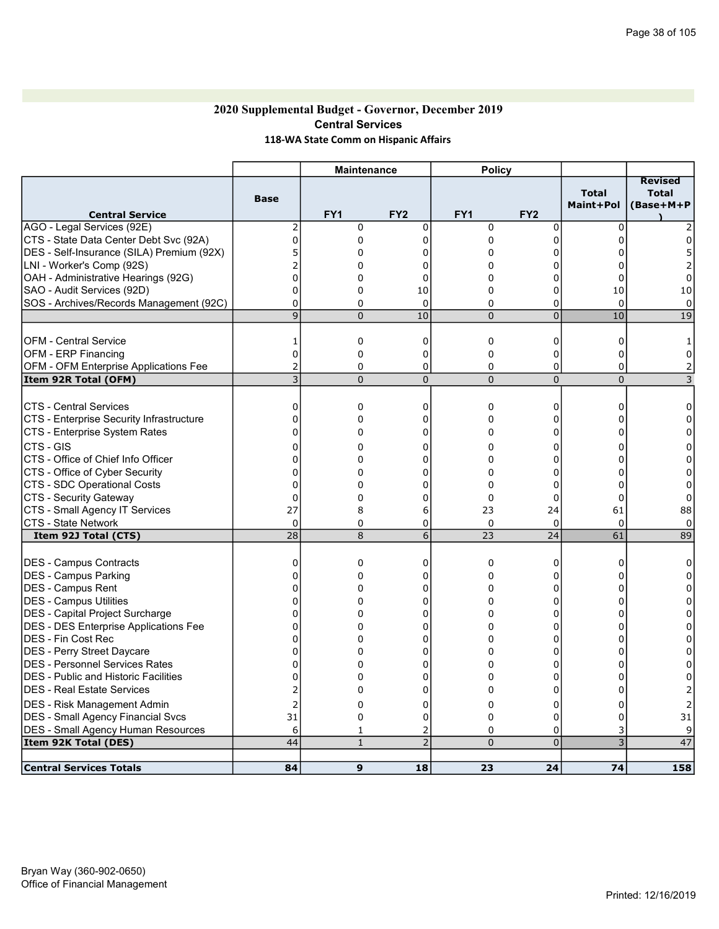# 2020 Supplemental Budget - Governor, December 2019 Central Services 118-WA State Comm on Hispanic Affairs

|                                              |                | Maintenance     |                 | <b>Policy</b>   |                 |                           |                                             |
|----------------------------------------------|----------------|-----------------|-----------------|-----------------|-----------------|---------------------------|---------------------------------------------|
| <b>Central Service</b>                       | <b>Base</b>    | FY <sub>1</sub> | FY <sub>2</sub> | FY <sub>1</sub> | FY <sub>2</sub> | <b>Total</b><br>Maint+Pol | <b>Revised</b><br><b>Total</b><br>(Base+M+P |
| AGO - Legal Services (92E)                   | 2              | 0               | 0               | 0               | $\mathbf 0$     | $\mathbf 0$               |                                             |
| CTS - State Data Center Debt Svc (92A)       | $\Omega$       | $\mathbf 0$     | $\Omega$        | 0               | 0               | 0                         |                                             |
| DES - Self-Insurance (SILA) Premium (92X)    | 5              | 0               | 0               | 0               | 0               | n                         |                                             |
| LNI - Worker's Comp (92S)                    |                | $\Omega$        | 0               | 0               | $\Omega$        | n                         |                                             |
| OAH - Administrative Hearings (92G)          | 0              | 0               | 0               | 0               | 0               | 0                         | 0                                           |
| SAO - Audit Services (92D)                   | $\Omega$       | 0               | 10              | 0               | 0               | 10                        | 10                                          |
| SOS - Archives/Records Management (92C)      | 0              | $\Omega$        | $\mathbf 0$     | 0               | 0               | $\Omega$                  | $\Omega$                                    |
|                                              | 9              | $\overline{0}$  | 10              | $\overline{0}$  | $\overline{0}$  | 10                        | 19                                          |
|                                              |                |                 |                 |                 |                 |                           |                                             |
| <b>OFM - Central Service</b>                 | 1              | 0               | 0               | 0               | 0               | 0                         |                                             |
| <b>OFM - ERP Financing</b>                   | $\mathbf 0$    | 0               | 0               | 0               | 0               | 0                         | 0                                           |
| OFM - OFM Enterprise Applications Fee        | 2              | $\Omega$        | 0               | 0               | 0               | 0                         |                                             |
| Item 92R Total (OFM)                         | 3              | $\overline{0}$  | $\overline{0}$  | $\overline{0}$  | $\overline{0}$  | $\overline{0}$            | 3                                           |
|                                              |                |                 |                 |                 |                 |                           |                                             |
| <b>CTS - Central Services</b>                | 0              | 0               | 0               | 0               | 0               | 0                         | 0                                           |
| CTS - Enterprise Security Infrastructure     | $\Omega$       | 0               | 0               | 0               | 0               | $\Omega$                  | $\Omega$                                    |
| CTS - Enterprise System Rates                | 0              | $\mathbf 0$     | $\Omega$        | 0               | $\Omega$        | 0                         | 0                                           |
| CTS - GIS                                    | 0              | 0               | $\Omega$        | 0               | 0               | $\Omega$                  | $\Omega$                                    |
| CTS - Office of Chief Info Officer           | $\Omega$       | 0               | 0               | 0               | 0               | $\Omega$                  | 0                                           |
| CTS - Office of Cyber Security               | 0              | $\Omega$        | $\Omega$        | 0               | $\Omega$        | 0                         | 0                                           |
| CTS - SDC Operational Costs                  | 0              | 0               | $\Omega$        | 0               | $\Omega$        | $\Omega$                  | 0                                           |
| CTS - Security Gateway                       | 0              | $\mathbf 0$     | $\Omega$        | 0               | $\Omega$        | 0                         | 0                                           |
| CTS - Small Agency IT Services               | 27             | 8               | 6               | 23              | 24              | 61                        | 88                                          |
| <b>CTS - State Network</b>                   | $\Omega$       | 0               | 0               | 0               | $\mathbf 0$     | $\Omega$                  | $\mathbf 0$                                 |
| Item 92J Total (CTS)                         | 28             | 8               | 6               | 23              | 24              | 61                        | 89                                          |
| DES - Campus Contracts                       | $\mathbf 0$    | $\mathbf 0$     | 0               | 0               | 0               | 0                         | 0                                           |
| DES - Campus Parking                         | $\Omega$       | 0               | $\Omega$        | 0               | 0               | 0                         | $\Omega$                                    |
| DES - Campus Rent                            | 0              | 0               | 0               | 0               | 0               | 0                         | 0                                           |
| DES - Campus Utilities                       | 0              | 0               | 0               | 0               | 0               | 0                         | 0                                           |
| DES - Capital Project Surcharge              | 0              | 0               | 0               | 0               | 0               | $\Omega$                  | 0                                           |
| <b>DES - DES Enterprise Applications Fee</b> | 0              | 0               | $\Omega$        | 0               | 0               | 0                         | 0                                           |
| <b>IDES - Fin Cost Rec</b>                   | 0              | 0               | $\Omega$        | 0               | 0               | 0                         | 0                                           |
| DES - Perry Street Daycare                   | 0              | 0               | $\Omega$        | 0               | 0               | 0                         | 0                                           |
| DES - Personnel Services Rates               | 0              | 0               | 0               | 0               | 0               | $\Omega$                  | $\Omega$                                    |
| <b>DES</b> - Public and Historic Facilities  | O              | 0               | $\Omega$        | 0               | 0               | U                         | 0                                           |
| <b>IDES - Real Estate Services</b>           | $\overline{2}$ | $\Omega$        | $\Omega$        | $\Omega$        | $\Omega$        | O                         |                                             |
| <b>IDES - Risk Management Admin</b>          | $\overline{2}$ | 0               | 0               | 0               | 0               | 0                         |                                             |
| DES - Small Agency Financial Svcs            | 31             | 0               | $\mathbf 0$     | 0               | 0               | 0                         | 31                                          |
| <b>DES - Small Agency Human Resources</b>    | 6              | 1               | $\overline{2}$  | 0               | 0               | 3                         | 9                                           |
| Item 92K Total (DES)                         | 44             | $\mathbf{1}$    | $\overline{2}$  | $\overline{0}$  | $\overline{0}$  | $\overline{3}$            | 47                                          |
|                                              |                |                 |                 |                 |                 |                           |                                             |
| <b>Central Services Totals</b>               | 84             | 9               | 18              | 23              | 24              | 74                        | 158                                         |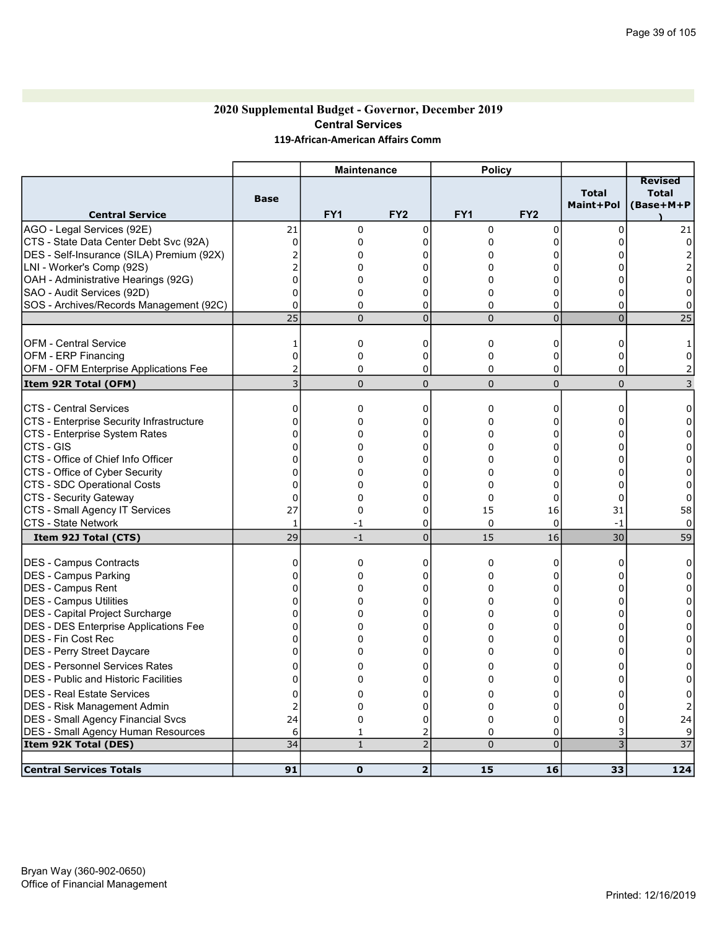## 2020 Supplemental Budget - Governor, December 2019 Central Services 119-African-American Affairs Comm

|                                              |                 | <b>Maintenance</b> |                         | <b>Policy</b>   |                 |                           |                                             |
|----------------------------------------------|-----------------|--------------------|-------------------------|-----------------|-----------------|---------------------------|---------------------------------------------|
| <b>Central Service</b>                       | <b>Base</b>     | FY <sub>1</sub>    | FY <sub>2</sub>         | FY <sub>1</sub> | FY <sub>2</sub> | <b>Total</b><br>Maint+Pol | <b>Revised</b><br><b>Total</b><br>(Base+M+P |
| AGO - Legal Services (92E)                   | 21              | 0                  | 0                       | 0               | 0               | 0                         | 21                                          |
| CTS - State Data Center Debt Svc (92A)       | $\Omega$        | 0                  |                         | 0               | 0               |                           | <sup>0</sup>                                |
| DES - Self-Insurance (SILA) Premium (92X)    |                 | 0                  |                         |                 |                 |                           |                                             |
| LNI - Worker's Comp (92S)                    |                 | 0                  |                         |                 |                 |                           |                                             |
| OAH - Administrative Hearings (92G)          | C               | 0                  |                         | 0               | 0               |                           |                                             |
| SAO - Audit Services (92D)                   | n               | $\Omega$           |                         | 0               |                 |                           |                                             |
| SOS - Archives/Records Management (92C)      | 0               | 0                  | 0                       | 0               | 0               | 0                         |                                             |
|                                              | 25              | $\mathbf 0$        | $\overline{0}$          | $\overline{0}$  | 0               | $\overline{0}$            | 25                                          |
| OFM - Central Service                        | 1               | 0                  | 0                       | 0               | 0               | 0                         |                                             |
| OFM - ERP Financing                          | $\Omega$        | 0                  | 0                       | 0               | 0               | 0                         |                                             |
| <b>OFM - OFM Enterprise Applications Fee</b> | 2               | $\mathbf 0$        | 0                       | 0               | 0               | 0                         |                                             |
| Item 92R Total (OFM)                         | 3               | $\mathbf 0$        | $\Omega$                | $\mathbf{0}$    | $\overline{0}$  | $\mathbf{0}$              |                                             |
| ICTS - Central Services                      | 0               | 0                  | O                       | 0               | 0               | 0                         |                                             |
| CTS - Enterprise Security Infrastructure     | 0               | 0                  |                         | O               | 0               |                           |                                             |
| CTS - Enterprise System Rates                |                 | 0                  |                         | 0               | 0               |                           |                                             |
| CTS - GIS                                    | O               | 0                  |                         |                 | 0               |                           |                                             |
| CTS - Office of Chief Info Officer           | 0               | 0                  |                         | 0               | 0               |                           |                                             |
| CTS - Office of Cyber Security               |                 | 0                  |                         | 0               |                 |                           |                                             |
| CTS - SDC Operational Costs                  | C               | 0                  |                         | 0               | 0               |                           |                                             |
| CTS - Security Gateway                       | 0               | $\Omega$           |                         | 0               | 0               | 0                         |                                             |
| CTS - Small Agency IT Services               | 27              | 0                  | O                       | 15              | 16              | 31                        | 58                                          |
| CTS - State Network                          | 1               | -1                 | 0                       | 0               | $\mathbf 0$     | $-1$                      | $\Omega$                                    |
| Item 92J Total (CTS)                         | 29              | $-1$               | $\overline{0}$          | 15              | 16              | 30                        | 59                                          |
| DES - Campus Contracts                       | 0               | 0                  | O                       |                 | 0               | 0                         |                                             |
| DES - Campus Parking                         | 0               | 0                  |                         | 0<br>0          | 0               |                           |                                             |
| DES - Campus Rent                            |                 | $\Omega$           |                         |                 |                 |                           |                                             |
| <b>DES - Campus Utilities</b>                | O               | 0                  |                         |                 | 0               |                           |                                             |
| DES - Capital Project Surcharge              |                 | 0                  |                         | 0               | 0               |                           |                                             |
| <b>DES - DES Enterprise Applications Fee</b> |                 | 0                  |                         | 0               | 0               |                           |                                             |
| <b>IDES - Fin Cost Rec</b>                   | C               | 0                  |                         | O               | 0               |                           |                                             |
| DES - Perry Street Daycare                   |                 | $\Omega$           |                         |                 |                 |                           |                                             |
| <b>DES - Personnel Services Rates</b>        |                 | 0                  |                         |                 | 0               |                           |                                             |
| <b>IDES - Public and Historic Facilities</b> | ŋ               | 0                  |                         | 0               | 0               |                           |                                             |
| DES - Real Estate Services                   | 0               | 0                  | 0                       | 0               | 0               | 0                         | $\overline{0}$                              |
| DES - Risk Management Admin                  | 2               | 0                  | $\Omega$                | 0               | 0               | <sup>0</sup>              |                                             |
| <b>DES - Small Agency Financial Svcs</b>     | 24              | 0                  |                         | 0               | 0               |                           | 24                                          |
| <b>DES - Small Agency Human Resources</b>    | 6               | 1                  |                         | 0               | 0               |                           |                                             |
| Item 92K Total (DES)                         | $\overline{34}$ | $\mathbf{1}$       | $\overline{2}$          | 0               | $\Omega$        | 3                         | $\overline{37}$                             |
|                                              |                 |                    |                         |                 |                 |                           |                                             |
| <b>Central Services Totals</b>               | 91              | $\mathbf 0$        | $\overline{\mathbf{2}}$ | 15              | 16              | 33                        | 124                                         |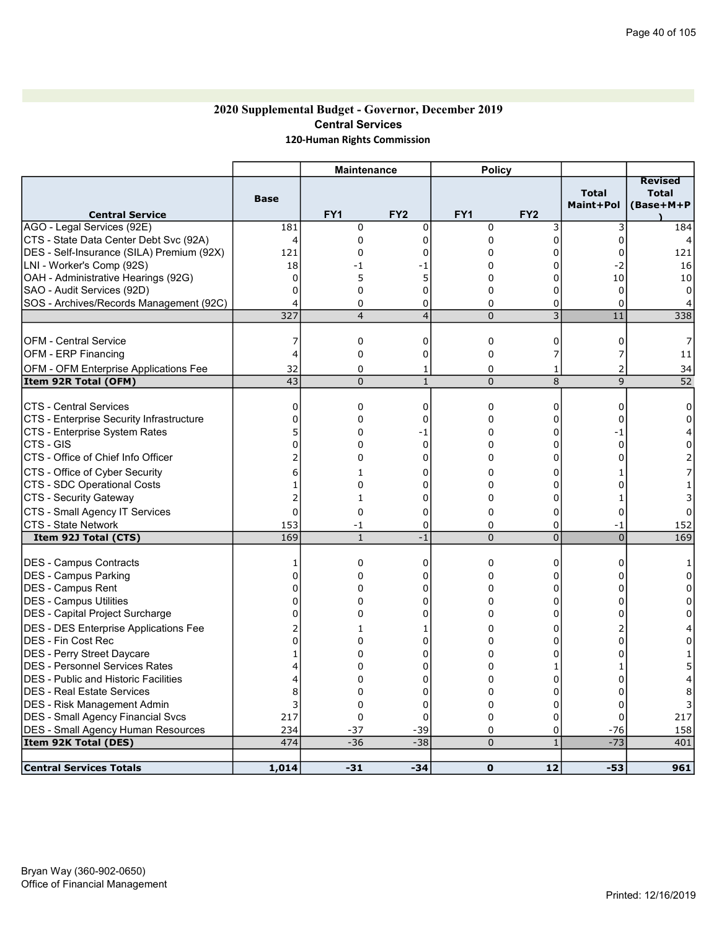### 2020 Supplemental Budget - Governor, December 2019 Central Services 120-Human Rights Commission

|                                              |             | <b>Maintenance</b>      |                 | <b>Policy</b>   |                 |                           |                                             |
|----------------------------------------------|-------------|-------------------------|-----------------|-----------------|-----------------|---------------------------|---------------------------------------------|
| <b>Central Service</b>                       | <b>Base</b> | FY1                     | FY <sub>2</sub> | FY <sub>1</sub> | FY <sub>2</sub> | <b>Total</b><br>Maint+Pol | <b>Revised</b><br><b>Total</b><br>(Base+M+P |
| AGO - Legal Services (92E)                   | 181         | $\mathbf 0$             | $\mathbf 0$     | 0               | 3               | 3                         | 184                                         |
| CTS - State Data Center Debt Svc (92A)       | 4           | 0                       | $\Omega$        | $\Omega$        | $\Omega$        | 0                         |                                             |
| DES - Self-Insurance (SILA) Premium (92X)    | 121         | 0                       | $\Omega$        | $\Omega$        | 0               | 0                         | 121                                         |
| LNI - Worker's Comp (92S)                    | 18          | -1                      | - 1             | $\mathbf 0$     | $\Omega$        | -2                        | 16                                          |
| OAH - Administrative Hearings (92G)          | 0           | 5                       | 5               | 0               | 0               | 10                        | 10                                          |
| SAO - Audit Services (92D)                   | 0           | 0                       | $\Omega$        | $\Omega$        | 0               | 0                         | $\Omega$                                    |
| SOS - Archives/Records Management (92C)      |             | $\mathbf 0$             | $\mathbf 0$     | 0               | 0               | 0                         |                                             |
|                                              | 327         | $\overline{\mathbf{4}}$ | $\overline{4}$  | $\overline{0}$  | $\overline{3}$  | 11                        | 338                                         |
|                                              |             |                         |                 |                 |                 |                           |                                             |
| <b>OFM - Central Service</b>                 | 7           | 0                       | 0               | 0               | 0               | 0                         | 7                                           |
| <b>OFM - ERP Financing</b>                   | 4           | $\mathbf 0$             | $\mathbf 0$     | 0               | 7               | 7                         | 11                                          |
|                                              |             |                         |                 |                 |                 |                           |                                             |
| OFM - OFM Enterprise Applications Fee        | 32          | $\Omega$                | 1               | 0               | 1               | 2                         | 34                                          |
| Item 92R Total (OFM)                         | 43          | $\Omega$                | $\mathbf{1}$    | $\Omega$        | 8               | 9                         | 52                                          |
| <b>CTS - Central Services</b>                | 0           |                         |                 |                 |                 | 0                         | $\Omega$                                    |
|                                              |             | 0                       | 0               | 0               | 0               |                           |                                             |
| CTS - Enterprise Security Infrastructure     | ŋ           | 0                       | $\mathbf 0$     | 0               | 0               | 0                         | U                                           |
| CTS - Enterprise System Rates                | $\Omega$    | 0                       | -1<br>$\Omega$  | 0               | 0               | $-1$                      |                                             |
| CTS - GIS                                    |             | 0                       |                 | 0               | 0               | 0                         | $\Omega$                                    |
| CTS - Office of Chief Info Officer           |             | 0                       | $\Omega$        | $\mathbf 0$     | 0               | $\Omega$                  |                                             |
| CTS - Office of Cyber Security               | 6           | $\mathbf{1}$            | $\Omega$        | 0               | $\Omega$        |                           |                                             |
| CTS - SDC Operational Costs                  |             | 0                       | $\Omega$        | 0               | 0               | $\Omega$                  |                                             |
| CTS - Security Gateway                       |             | $\mathbf{1}$            | $\Omega$        | $\Omega$        | $\Omega$        | 1                         |                                             |
| CTS - Small Agency IT Services               | $\Omega$    | $\Omega$                | $\Omega$        | $\Omega$        | $\overline{0}$  | $\Omega$                  |                                             |
| <b>CTS - State Network</b>                   | 153         | $-1$                    | $\mathbf 0$     | 0               | 0               | $-1$                      | 152                                         |
| Item 92J Total (CTS)                         | 169         | $\mathbf{1}$            | $-1$            | $\overline{0}$  | $\overline{0}$  | $\overline{0}$            | 169                                         |
|                                              |             |                         |                 |                 |                 |                           |                                             |
| DES - Campus Contracts                       | 1           | 0                       | $\Omega$        | 0               | 0               | $\Omega$                  |                                             |
| DES - Campus Parking                         | 0           | 0                       | $\Omega$        | $\mathbf{0}$    | $\Omega$        | O                         |                                             |
| <b>DES - Campus Rent</b>                     | U           | 0                       | $\Omega$        | $\mathbf 0$     | 0               | 0                         | 0                                           |
| <b>DES - Campus Utilities</b>                | U           | 0                       | $\Omega$        | $\mathbf{0}$    | $\Omega$        | 0                         | $\Omega$                                    |
| DES - Capital Project Surcharge              | U           | 0                       | 0               | 0               | 0               | 0                         | 0                                           |
| <b>DES - DES Enterprise Applications Fee</b> |             | $\mathbf{1}$            | 1               | $\Omega$        | $\Omega$        |                           |                                             |
| DES - Fin Cost Rec                           | 0           | 0                       | $\Omega$        | $\Omega$        | $\Omega$        | O                         | 0                                           |
| DES - Perry Street Daycare                   |             | 0                       | $\Omega$        | $\Omega$        | $\Omega$        | 0                         |                                             |
| <b>DES - Personnel Services Rates</b>        |             | 0                       | $\Omega$        | $\mathbf{0}$    | $\mathbf{1}$    | 1                         |                                             |
| <b>DES - Public and Historic Facilities</b>  |             | 0                       | 0               | 0               | $\overline{0}$  | $\Omega$                  |                                             |
| <b>DES - Real Estate Services</b>            | 8           | 0                       | $\mathbf 0$     | 0               | 0               | 0                         | 8                                           |
| <b>DES - Risk Management Admin</b>           | 3           | 0                       | $\mathbf 0$     | 0               | 0               | 0                         |                                             |
| <b>DES - Small Agency Financial Svcs</b>     | 217         | $\mathbf 0$             | $\mathbf 0$     | 0               | 0               | 0                         | 217                                         |
| <b>DES - Small Agency Human Resources</b>    | 234         | $-37$                   | $-39$           | 0               | 0               | $-76$                     | 158                                         |
| Item 92K Total (DES)                         | 474         | $-36$                   | $-38$           | $\pmb{0}$       | $\overline{1}$  | $-73$                     | 401                                         |
|                                              |             |                         |                 |                 |                 |                           |                                             |
| <b>Central Services Totals</b>               | 1,014       | $-31$                   | $-34$           | $\mathbf 0$     | 12              | -53                       | 961                                         |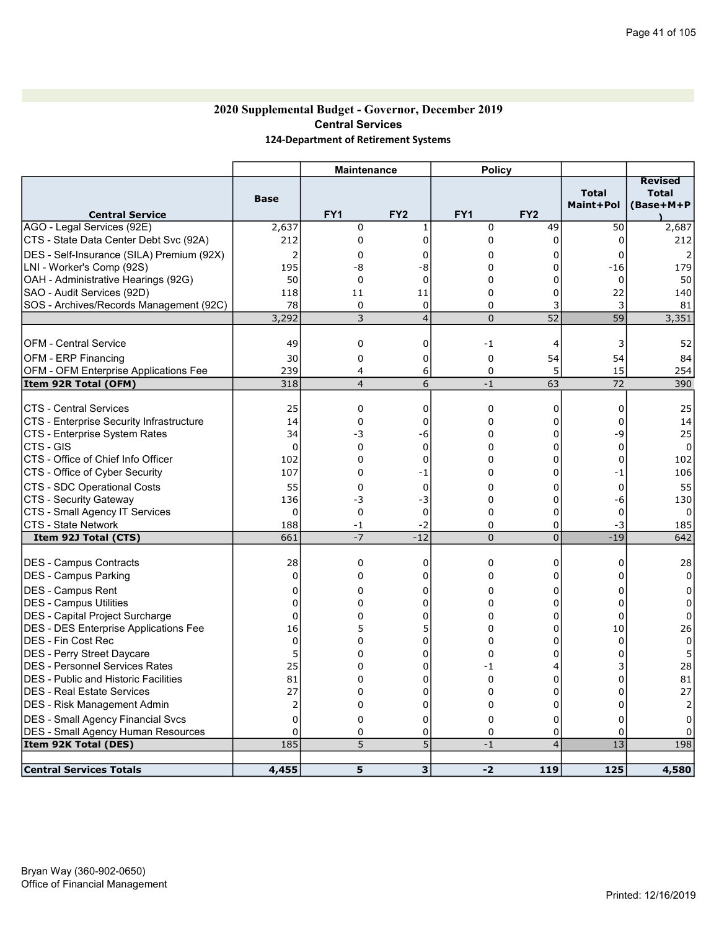# 2020 Supplemental Budget - Governor, December 2019 Central Services 124-Department of Retirement Systems

|                                              |                | <b>Maintenance</b> |                 | <b>Policy</b>   |                         |                           |                    |
|----------------------------------------------|----------------|--------------------|-----------------|-----------------|-------------------------|---------------------------|--------------------|
|                                              |                |                    |                 |                 |                         |                           | <b>Revised</b>     |
|                                              | <b>Base</b>    |                    |                 |                 |                         | <b>Total</b><br>Maint+Pol | Total<br>(Base+M+P |
| <b>Central Service</b>                       |                | FY <sub>1</sub>    | FY <sub>2</sub> | FY <sub>1</sub> | FY <sub>2</sub>         |                           |                    |
| AGO - Legal Services (92E)                   | 2,637          | 0                  | 1               | 0               | 49                      | 50                        | 2,687              |
| CTS - State Data Center Debt Svc (92A)       | 212            | 0                  | 0               | 0               | $\mathbf 0$             | $\Omega$                  | 212                |
| DES - Self-Insurance (SILA) Premium (92X)    | $\overline{2}$ | 0                  | 0               | 0               | 0                       | 0                         | 2                  |
| LNI - Worker's Comp (92S)                    | 195            | -8                 | -8              | 0               | 0                       | $-16$                     | 179                |
| OAH - Administrative Hearings (92G)          | 50             | 0                  | 0               | 0               | 0                       | $\mathbf 0$               | 50                 |
| SAO - Audit Services (92D)                   | 118            | 11                 | 11              | 0               | $\mathbf 0$             | 22                        | 140                |
| SOS - Archives/Records Management (92C)      | 78             | 0                  | $\mathbf 0$     | 0               | 3                       | 3                         | 81                 |
|                                              | 3,292          | 3                  | $\overline{4}$  | $\overline{0}$  | 52                      | 59                        | 3,351              |
| <b>OFM - Central Service</b>                 | 49             | $\mathbf 0$        | $\mathbf 0$     | $-1$            | 4                       | 3                         | 52                 |
| <b>OFM - ERP Financing</b>                   | 30             | $\mathbf 0$        | 0               | $\mathbf 0$     | 54                      | 54                        | 84                 |
| <b>OFM - OFM Enterprise Applications Fee</b> | 239            | 4                  | 6               | 0               | 5                       | 15                        | 254                |
| Item 92R Total (OFM)                         | 318            | $\overline{4}$     | 6               | $-1$            | 63                      | 72                        | 390                |
|                                              |                |                    |                 |                 |                         |                           |                    |
| <b>CTS - Central Services</b>                | 25             | $\mathbf 0$        | $\Omega$        | 0               | 0                       | $\mathbf 0$               | 25                 |
| CTS - Enterprise Security Infrastructure     | 14             | $\Omega$           | $\Omega$        | 0               | $\Omega$                | 0                         | 14                 |
| CTS - Enterprise System Rates                | 34             | -3                 | -6              | 0               | $\Omega$                | -9                        | 25                 |
| CTS - GIS                                    | 0              | $\Omega$           | $\Omega$        | 0               | $\Omega$                | $\Omega$                  | $\mathbf{0}$       |
| CTS - Office of Chief Info Officer           | 102            | 0                  | 0               | 0               | 0                       | 0                         | 102                |
| CTS - Office of Cyber Security               | 107            | 0                  | -1              | 0               | 0                       | $-1$                      | 106                |
| <b>CTS - SDC Operational Costs</b>           | 55             | $\Omega$           | $\Omega$        | 0               | $\Omega$                | $\Omega$                  | 55                 |
| <b>CTS - Security Gateway</b>                | 136            | -3                 | -3              | 0               | $\Omega$                | -6                        | 130                |
| CTS - Small Agency IT Services               | 0              | 0                  | 0               | 0               | $\Omega$                | $\Omega$                  | $\Omega$           |
| <b>CTS - State Network</b>                   | 188            | $-1$<br>$-7$       | $-2$            | 0               | 0<br>$\overline{0}$     | -3                        | 185                |
| Item 92J Total (CTS)                         | 661            |                    | $-12$           | $\overline{0}$  |                         | $-19$                     | 642                |
| DES - Campus Contracts                       | 28             | 0                  | 0               | 0               | $\mathbf 0$             | $\mathbf 0$               | 28                 |
| DES - Campus Parking                         | 0              | $\mathbf 0$        | 0               | 0               | 0                       | 0                         | $\Omega$           |
| <b>DES - Campus Rent</b>                     | 0              | 0                  | 0               | 0               | 0                       | 0                         | 0                  |
| DES - Campus Utilities                       | 0              | 0                  | 0               | 0               | 0                       | 0                         | 0                  |
| DES - Capital Project Surcharge              | $\mathbf 0$    | 0                  | 0               | 0               | 0                       | $\mathbf 0$               | 0                  |
| <b>DES - DES Enterprise Applications Fee</b> | 16             | 5                  | 5               | 0               | 0                       | 10                        | 26                 |
| <b>IDES - Fin Cost Rec</b>                   | 0              | 0                  | 0               | 0               | 0                       | $\Omega$                  | $\mathbf 0$        |
| DES - Perry Street Daycare                   | 5              | 0                  | $\Omega$        | 0               | 0                       | 0                         | 5                  |
| DES - Personnel Services Rates               | 25             | 0                  | 0               | -1              | 4                       | 3                         | 28                 |
| DES - Public and Historic Facilities         | 81             | 0                  | 0               | 0               | 0                       | 0                         | 81                 |
| IDES - Real Estate Services                  | 27             | $\Omega$           | $\Omega$        | 0               | $\Omega$                | 0                         | 27                 |
| DES - Risk Management Admin                  | $\overline{2}$ | 0                  | 0               | 0               | 0                       | 0                         | 2                  |
| DES - Small Agency Financial Svcs            | $\mathbf 0$    | $\mathbf 0$        | $\mathbf 0$     | 0               | 0                       | 0                         | 0                  |
| <b>DES - Small Agency Human Resources</b>    | 0              | 0                  | 0               | 0               | 0                       | 0                         |                    |
| Item 92K Total (DES)                         | 185            | 5                  | $\overline{5}$  | $-1$            | $\overline{\mathbf{4}}$ | 13                        | 198                |
| <b>Central Services Totals</b>               | 4,455          | 5                  | 3               | $-2$            | 119                     | 125                       | 4,580              |
|                                              |                |                    |                 |                 |                         |                           |                    |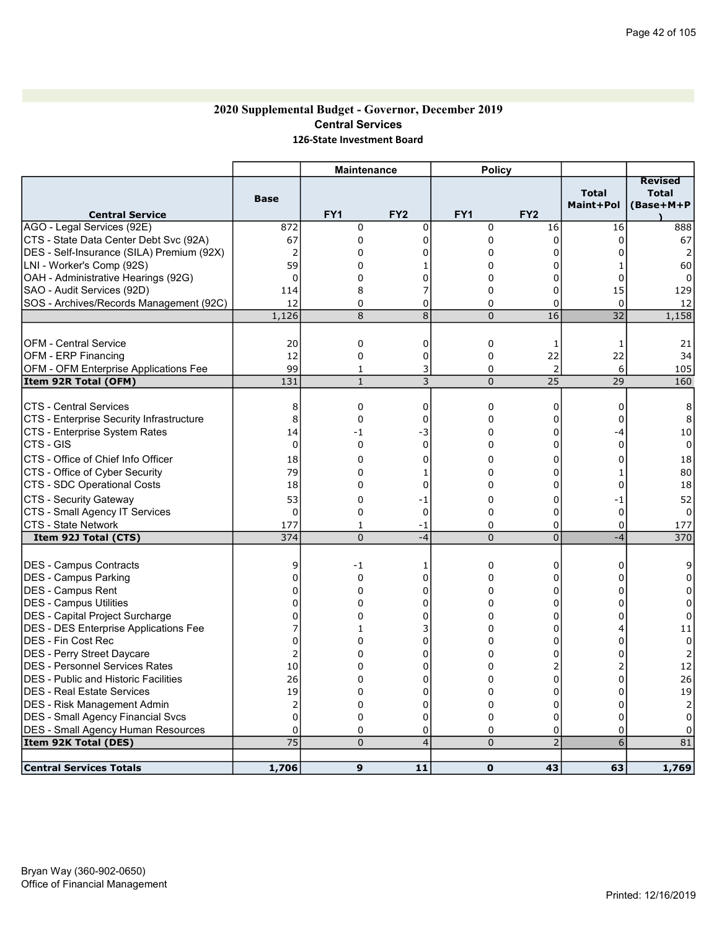### 2020 Supplemental Budget - Governor, December 2019 Central Services 126-State Investment Board

|                                              |                | <b>Maintenance</b> |                 | <b>Policy</b>   |                 |                           |                                             |
|----------------------------------------------|----------------|--------------------|-----------------|-----------------|-----------------|---------------------------|---------------------------------------------|
| <b>Central Service</b>                       | <b>Base</b>    | FY <sub>1</sub>    | FY <sub>2</sub> | FY <sub>1</sub> | FY <sub>2</sub> | <b>Total</b><br>Maint+Pol | <b>Revised</b><br><b>Total</b><br>(Base+M+P |
| AGO - Legal Services (92E)                   | 872            | $\Omega$           | $\mathbf 0$     | 0               | 16              | 16                        | 888                                         |
| CTS - State Data Center Debt Svc (92A)       | 67             | $\mathbf 0$        | $\Omega$        | 0               | 0               | $\Omega$                  | 67                                          |
| DES - Self-Insurance (SILA) Premium (92X)    | $\overline{2}$ | 0                  | 0               | 0               | 0               | 0                         | 2                                           |
| LNI - Worker's Comp (92S)                    | 59             | 0                  |                 | 0               | 0               |                           | 60                                          |
| OAH - Administrative Hearings (92G)          | $\Omega$       | $\mathbf 0$        | 0               | 0               | 0               | 0                         | $\Omega$                                    |
| SAO - Audit Services (92D)                   | 114            | 8                  | 7               | $\Omega$        | 0               | 15                        | 129                                         |
| SOS - Archives/Records Management (92C)      | 12             | $\mathbf 0$        | $\mathbf 0$     | 0               | 0               | $\Omega$                  | 12                                          |
|                                              | 1,126          | 8                  | 8               | $\overline{0}$  | 16              | 32                        | 1,158                                       |
|                                              |                |                    |                 |                 |                 |                           |                                             |
| IOFM - Central Service                       | 20             | $\mathbf 0$        | $\mathbf 0$     | 0               | 1               | 1                         | 21                                          |
| <b>OFM - ERP Financing</b>                   | 12             | $\mathbf 0$        | $\mathbf 0$     | 0               | 22              | 22                        | 34                                          |
| OFM - OFM Enterprise Applications Fee        | 99             | 1                  | 3               | 0               | $\overline{2}$  | 6                         | 105                                         |
| Item 92R Total (OFM)                         | 131            | $\mathbf{1}$       | 3               | $\overline{0}$  | $\overline{25}$ | 29                        | 160                                         |
|                                              |                |                    |                 |                 |                 |                           |                                             |
| <b>CTS - Central Services</b>                | 8              | $\mathbf 0$        | $\mathbf 0$     | 0               | 0               | 0                         | 8                                           |
| CTS - Enterprise Security Infrastructure     | 8              | $\Omega$           | $\Omega$        | $\Omega$        | $\Omega$        | $\Omega$                  | 8                                           |
| CTS - Enterprise System Rates                | 14             | -1                 | -3              | 0               | 0               | -4                        | 10                                          |
| CTS - GIS                                    | $\Omega$       | $\Omega$           | $\Omega$        | 0               | $\Omega$        | $\mathbf 0$               | $\mathbf 0$                                 |
| CTS - Office of Chief Info Officer           | 18             | 0                  | $\mathbf 0$     | 0               | 0               | 0                         | 18                                          |
| CTS - Office of Cyber Security               | 79             | 0                  | 1               | 0               | 0               | 1                         | 80                                          |
| CTS - SDC Operational Costs                  | 18             | 0                  | $\Omega$        | 0               | $\Omega$        | 0                         | 18                                          |
| CTS - Security Gateway                       | 53             | $\Omega$           | -1              | 0               | 0               | -1                        | 52                                          |
| CTS - Small Agency IT Services               | $\Omega$       | 0                  | 0               | 0               | $\mathbf 0$     | 0                         | $\Omega$                                    |
| <b>CTS - State Network</b>                   | 177            | $\mathbf{1}$       | $-1$            | $\Omega$        | $\Omega$        | 0                         | 177                                         |
| Item 92J Total (CTS)                         | 374            | $\Omega$           | $-4$            | $\Omega$        | $\overline{0}$  | $-4$                      | 370                                         |
|                                              |                |                    |                 |                 |                 |                           |                                             |
| DES - Campus Contracts                       | 9              | -1                 | 1               | 0               | 0               | 0                         |                                             |
| DES - Campus Parking                         | 0              | $\mathbf 0$        | 0               | 0               | 0               | 0                         | 0                                           |
| <b>IDES - Campus Rent</b>                    | 0              | 0                  | 0               | 0               | 0               | 0                         | $\Omega$                                    |
| <b>DES - Campus Utilities</b>                | 0              | 0                  | $\Omega$        | 0               | 0               | 0                         | 0                                           |
| DES - Capital Project Surcharge              | 0              | $\Omega$           | $\Omega$        | $\Omega$        | $\Omega$        | 0                         | $\Omega$                                    |
| DES - DES Enterprise Applications Fee        |                | 1                  | 3               | 0               | 0               | 4                         | 11                                          |
| DES - Fin Cost Rec                           | 0              | 0                  | $\Omega$        | $\Omega$        | $\Omega$        | $\Omega$                  | $\Omega$                                    |
| DES - Perry Street Daycare                   | 2              | 0                  | 0               | 0               | 0               | 0                         | 2                                           |
| <b>DES - Personnel Services Rates</b>        | 10             | 0                  | $\Omega$        | 0               | $\overline{2}$  | 2                         | 12                                          |
| <b>IDES - Public and Historic Facilities</b> | 26             | 0                  | $\Omega$        | $\Omega$        | 0               | $\Omega$                  | 26                                          |
| <b>DES - Real Estate Services</b>            | 19             | 0                  | $\Omega$        | 0               | 0               | $\Omega$                  | 19                                          |
| DES - Risk Management Admin                  | $\overline{2}$ | 0                  | 0               | 0               | 0               | 0                         | 2                                           |
| DES - Small Agency Financial Svcs            | $\Omega$       | 0                  | $\mathbf 0$     | 0               | 0               | 0                         | 0                                           |
| DES - Small Agency Human Resources           | 0              | 0                  | $\mathbf 0$     | 0               | 0               | $\Omega$                  | 0                                           |
| Item 92K Total (DES)                         | 75             | $\Omega$           | $\overline{4}$  | $\Omega$        | $\overline{2}$  | 6                         | 81                                          |
|                                              |                |                    |                 |                 |                 |                           |                                             |
| <b>Central Services Totals</b>               | 1,706          | 9                  | 11              | $\mathbf{0}$    | 43              | 63                        | 1,769                                       |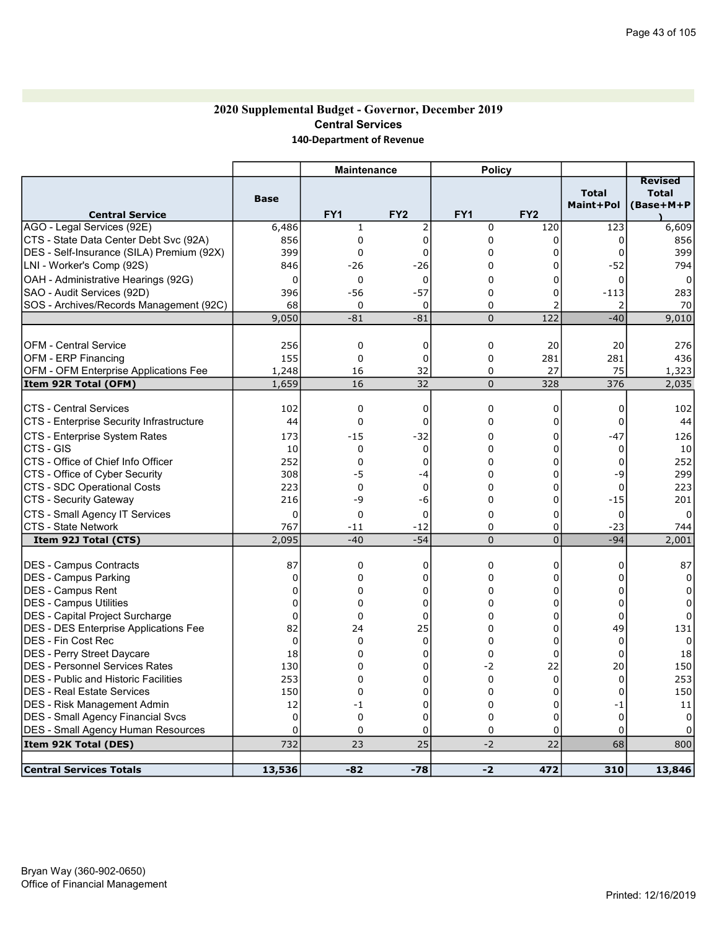### 2020 Supplemental Budget - Governor, December 2019 Central Services 140-Department of Revenue

|                                                  |                   | <b>Maintenance</b> |                 | <b>Policy</b> |                 |                           |                                             |
|--------------------------------------------------|-------------------|--------------------|-----------------|---------------|-----------------|---------------------------|---------------------------------------------|
| <b>Central Service</b>                           | <b>Base</b>       | FY1                | FY <sub>2</sub> | FY1           | FY <sub>2</sub> | <b>Total</b><br>Maint+Pol | <b>Revised</b><br><b>Total</b><br>(Base+M+P |
| AGO - Legal Services (92E)                       | 6,486             | $\mathbf{1}$       | $\overline{2}$  | 0             | 120             | 123                       | 6,609                                       |
| CTS - State Data Center Debt Svc (92A)           | 856               | 0                  | $\mathbf 0$     | 0             | 0               | 0                         | 856                                         |
| DES - Self-Insurance (SILA) Premium (92X)        | 399               | 0                  | 0               | 0             | 0               | 0                         | 399                                         |
| LNI - Worker's Comp (92S)                        | 846               | -26                | $-26$           | 0             | 0               | $-52$                     | 794                                         |
| OAH - Administrative Hearings (92G)              | 0                 | 0                  | 0               | 0             | 0               | 0                         | 0                                           |
| SAO - Audit Services (92D)                       | 396               | -56                | $-57$           | 0             | 0               | $-113$                    | 283                                         |
| SOS - Archives/Records Management (92C)          | 68                | $\mathbf 0$        | 0               | 0             | $\overline{2}$  | 2                         | 70                                          |
|                                                  | 9,050             | $-81$              | $-81$           | $\mathbf 0$   | 122             | $-40$                     | 9,010                                       |
|                                                  |                   |                    |                 |               |                 |                           |                                             |
| <b>OFM - Central Service</b>                     | 256               | 0                  | 0               | 0             | 20              | 20                        | 276                                         |
| <b>OFM - ERP Financing</b>                       | 155               | $\mathbf 0$        | $\mathbf 0$     | 0             | 281             | 281                       | 436                                         |
| OFM - OFM Enterprise Applications Fee            | 1,248             | 16                 | 32              | 0             | 27              | 75                        | 1,323                                       |
| Item 92R Total (OFM)                             | 1,659             | 16                 | 32              | 0             | 328             | 376                       | 2,035                                       |
| <b>CTS - Central Services</b>                    | 102               | $\mathbf 0$        | 0               | 0             | 0               | 0                         | 102                                         |
| CTS - Enterprise Security Infrastructure         | 44                | $\mathbf 0$        | $\mathbf 0$     | 0             | 0               | $\mathbf 0$               | 44                                          |
| CTS - Enterprise System Rates                    | 173               | $-15$              | $-32$           | 0             | 0               | $-47$                     | 126                                         |
| CTS - GIS                                        | 10                | 0                  | $\mathbf 0$     | 0             | 0               | $\mathbf 0$               | 10                                          |
| CTS - Office of Chief Info Officer               | 252               | $\mathbf 0$        | $\mathbf 0$     | 0             | $\Omega$        | 0                         | 252                                         |
| CTS - Office of Cyber Security                   | 308               | -5                 | -4              | 0             | 0               | -9                        | 299                                         |
| CTS - SDC Operational Costs                      | 223               | $\Omega$           | $\Omega$        | 0             | $\Omega$        | $\mathbf 0$               | 223                                         |
| CTS - Security Gateway                           | 216               | -9                 | -6              | 0             | 0               | $-15$                     | 201                                         |
| CTS - Small Agency IT Services                   | 0                 | $\mathbf 0$        | 0               | 0             | 0               | 0                         | $\Omega$                                    |
| CTS - State Network                              | 767               | $-11$              | $-12$           | 0             | 0               | $-23$                     | 744                                         |
| Item 92J Total (CTS)                             | 2,095             | $-40$              | $-54$           | $\mathbf 0$   | $\overline{0}$  | $-94$                     | 2,001                                       |
|                                                  |                   |                    |                 |               |                 |                           |                                             |
| <b>DES - Campus Contracts</b>                    | 87<br>$\mathbf 0$ | 0<br>0             | 0<br>0          | 0<br>0        | 0<br>0          | 0<br>0                    | 87<br>$\Omega$                              |
| DES - Campus Parking<br><b>DES - Campus Rent</b> | 0                 | 0                  | 0               | 0             | 0               | 0                         | 0                                           |
| DES - Campus Utilities                           | 0                 | 0                  | 0               | 0             | 0               | 0                         | 0                                           |
| DES - Capital Project Surcharge                  | $\mathbf 0$       | 0                  | 0               | 0             | 0               | $\mathbf 0$               | 0                                           |
| <b>DES - DES Enterprise Applications Fee</b>     | 82                | 24                 | 25              | 0             | $\overline{0}$  | 49                        | 131                                         |
| IDES - Fin Cost Rec                              | 0                 | 0                  | $\mathbf 0$     | 0             | 0               | $\mathbf 0$               | $\Omega$                                    |
| DES - Perry Street Daycare                       | 18                | 0                  | $\Omega$        | 0             | $\mathbf 0$     | $\Omega$                  | 18                                          |
| IDES - Personnel Services Rates                  | 130               | 0                  | 0               | -2            | 22              | 20                        | 150                                         |
| <b>DES</b> - Public and Historic Facilities      | 253               | $\Omega$           | $\Omega$        | 0             | $\Omega$        | 0                         | 253                                         |
| <b>IDES - Real Estate Services</b>               | 150               | 0                  | $\mathbf 0$     | 0             | 0               | 0                         | 150                                         |
| <b>DES</b> - Risk Management Admin               | 12                | -1                 | $\overline{0}$  | 0             | 0               | -1                        | 11                                          |
| DES - Small Agency Financial Svcs                | $\mathbf 0$       | $\mathbf 0$        | $\overline{0}$  | 0             | $\overline{0}$  | $\mathbf 0$               | $\mathbf 0$                                 |
| DES - Small Agency Human Resources               | 0                 | 0                  | 0               | 0             | 0               | 0                         | 0                                           |
| Item 92K Total (DES)                             | 732               | 23                 | 25              | $-2$          | 22              | 68                        | 800                                         |
| <b>Central Services Totals</b>                   | 13,536            | $-82$              | $-78$           | $-2$          | 472             | 310                       | 13,846                                      |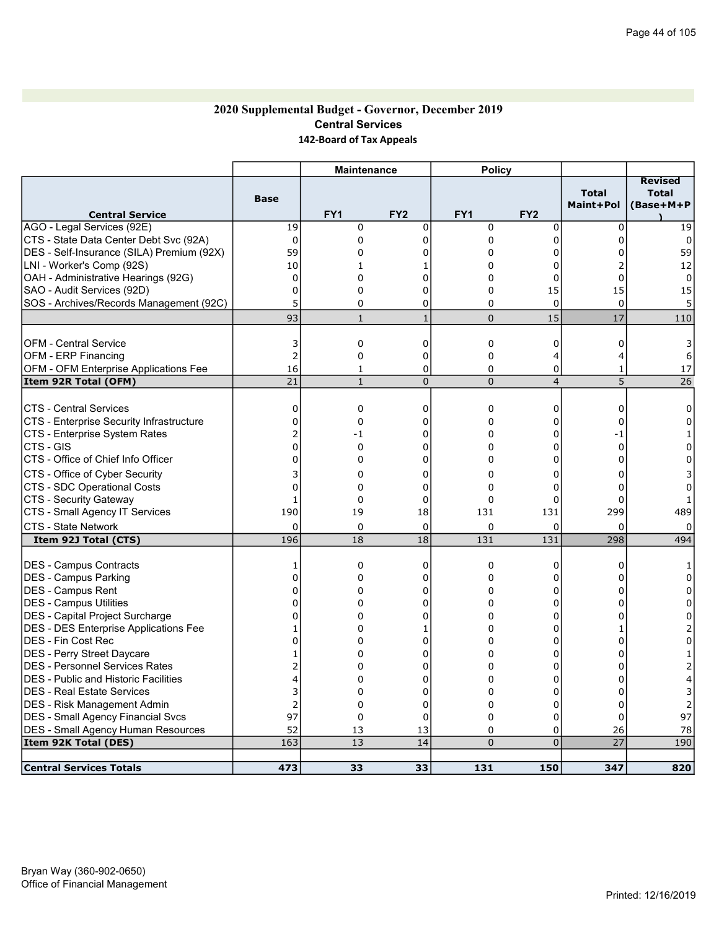### 2020 Supplemental Budget - Governor, December 2019 Central Services 142-Board of Tax Appeals

|                                           |                | <b>Maintenance</b> |                 | <b>Policy</b>   |                 |                           |                                             |
|-------------------------------------------|----------------|--------------------|-----------------|-----------------|-----------------|---------------------------|---------------------------------------------|
| <b>Central Service</b>                    | <b>Base</b>    | FY <sub>1</sub>    | FY <sub>2</sub> | FY <sub>1</sub> | FY <sub>2</sub> | <b>Total</b><br>Maint+Pol | <b>Revised</b><br><b>Total</b><br>(Base+M+P |
| AGO - Legal Services (92E)                | 19             | 0                  | 0               | 0               | $\mathbf 0$     | $\mathbf 0$               | 19                                          |
| CTS - State Data Center Debt Svc (92A)    | $\Omega$       | $\mathbf 0$        | $\Omega$        | 0               | $\Omega$        | 0                         | $\Omega$                                    |
| DES - Self-Insurance (SILA) Premium (92X) | 59             | 0                  | 0               | 0               | 0               |                           | 59                                          |
| LNI - Worker's Comp (92S)                 | 10             | 1                  |                 | 0               | 0               |                           | 12                                          |
| OAH - Administrative Hearings (92G)       | 0              | 0                  | 0               | 0               | 0               | 0                         | 0                                           |
| SAO - Audit Services (92D)                | $\mathbf 0$    | 0                  | $\Omega$        | 0               | 15              | 15                        | 15                                          |
| SOS - Archives/Records Management (92C)   | 5              | $\Omega$           | $\Omega$        | 0               | $\mathbf 0$     | $\Omega$                  |                                             |
|                                           | 93             | $\mathbf{1}$       | $\mathbf{1}$    | $\overline{0}$  | 15              | 17                        | 110                                         |
|                                           |                |                    |                 |                 |                 |                           |                                             |
| <b>OFM - Central Service</b>              | 3              | 0                  | 0               | 0               | 0               | 0                         | 3                                           |
| <b>OFM - ERP Financing</b>                | $\overline{2}$ | $\mathbf 0$        | 0               | 0               | 4               | 4                         | 6                                           |
| OFM - OFM Enterprise Applications Fee     | 16             | 1                  | 0               | 0               | 0               | 1                         | 17                                          |
| Item 92R Total (OFM)                      | 21             | $\mathbf{1}$       | $\pmb{0}$       | $\pmb{0}$       | $\overline{4}$  | 5                         | 26                                          |
| <b>CTS - Central Services</b>             | 0              | 0                  | 0               | 0               | 0               | 0                         | 0                                           |
| CTS - Enterprise Security Infrastructure  | $\Omega$       | $\Omega$           | $\Omega$        | 0               | 0               | $\Omega$                  | $\Omega$                                    |
| CTS - Enterprise System Rates             | 2              | -1                 | $\Omega$        | 0               | $\overline{0}$  | -1                        |                                             |
| CTS - GIS                                 | $\Omega$       | 0                  | $\Omega$        | 0               | 0               | $\mathbf 0$               | 0                                           |
| CTS - Office of Chief Info Officer        | $\Omega$       | 0                  | 0               | 0               | 0               | $\Omega$                  | $\Omega$                                    |
| CTS - Office of Cyber Security            | 3              | 0                  | 0               | 0               | 0               | 0                         |                                             |
| CTS - SDC Operational Costs               | 0              | $\Omega$           | $\Omega$        | 0               | $\Omega$        | 0                         | 0                                           |
| CTS - Security Gateway                    | $\mathbf{1}$   | $\Omega$           | $\Omega$        | 0               | $\Omega$        | $\Omega$                  |                                             |
| CTS - Small Agency IT Services            | 190            | 19                 | 18              | 131             | 131             | 299                       | 489                                         |
| <b>CTS - State Network</b>                | 0              | $\mathbf 0$        | $\mathbf 0$     | $\mathbf 0$     | 0               | $\mathbf 0$               | $\Omega$                                    |
| Item 92J Total (CTS)                      | 196            | 18                 | 18              | 131             | 131             | 298                       | 494                                         |
|                                           |                |                    |                 |                 |                 |                           |                                             |
| <b>IDES - Campus Contracts</b>            | 1              | 0                  | 0               | 0               | 0               | 0                         |                                             |
| <b>DES - Campus Parking</b>               | 0              | $\mathbf 0$        | 0               | 0               | 0               | 0                         | 0                                           |
| DES - Campus Rent                         | $\Omega$       | 0                  | 0               | 0               | 0               | $\Omega$                  | $\Omega$                                    |
| <b>IDES - Campus Utilities</b>            | 0              | 0                  | 0               | 0               | 0               | 0                         | 0                                           |
| DES - Capital Project Surcharge           | 0              | 0                  | 0               | 0               | $\Omega$        | O                         | 0                                           |
| DES - DES Enterprise Applications Fee     | 1              | 0                  | 1               | 0               | 0               |                           |                                             |
| <b>IDES - Fin Cost Rec</b>                | U              | $\Omega$           | 0               | 0               | $\Omega$        | U                         | $\Omega$                                    |
| <b>DES</b> - Perry Street Daycare         | 1              | 0                  | 0               | 0               | 0               | 0                         |                                             |
| DES - Personnel Services Rates            |                | 0                  | 0               | 0               | 0               | 0                         |                                             |
| IDES - Public and Historic Facilities     | 4              | 0                  | 0               | 0               | 0               | 0                         |                                             |
| <b>IDES - Real Estate Services</b>        | 3              | $\mathbf 0$        | $\Omega$        | 0               | 0               | $\Omega$                  | 3                                           |
| <b>IDES - Risk Management Admin</b>       | $\overline{2}$ | $\mathbf 0$        | 0               | 0               | 0               | 0                         |                                             |
| DES - Small Agency Financial Svcs         | 97             | $\mathbf 0$        | $\overline{0}$  | 0               | $\overline{0}$  | 0                         | 97                                          |
| <b>DES</b> - Small Agency Human Resources | 52             | 13                 | 13              | 0               | 0               | 26                        | 78                                          |
| Item 92K Total (DES)                      | 163            | 13                 | 14              | $\overline{0}$  | $\Omega$        | 27                        | 190                                         |
| <b>Central Services Totals</b>            | 473            | 33                 | 33              | 131             | 150             | 347                       | 820                                         |
|                                           |                |                    |                 |                 |                 |                           |                                             |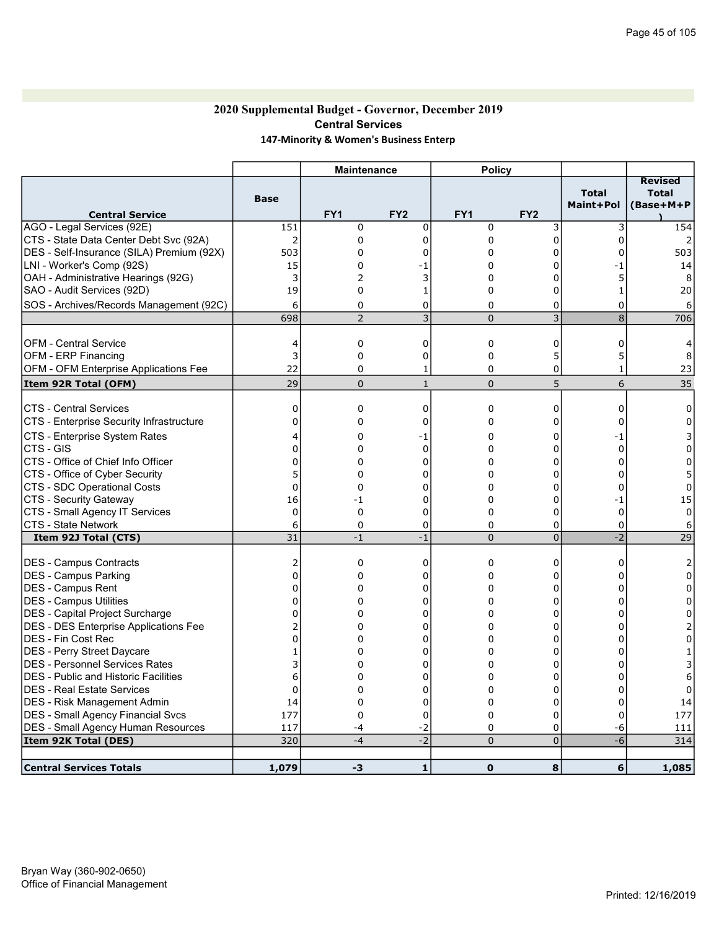# 2020 Supplemental Budget - Governor, December 2019 Central Services 147-Minority & Women's Business Enterp

|                                                               |               | <b>Maintenance</b> |                 | <b>Policy</b>   |                 |                           |                                             |
|---------------------------------------------------------------|---------------|--------------------|-----------------|-----------------|-----------------|---------------------------|---------------------------------------------|
| <b>Central Service</b>                                        | <b>Base</b>   | FY <sub>1</sub>    | FY <sub>2</sub> | FY <sub>1</sub> | FY <sub>2</sub> | <b>Total</b><br>Maint+Pol | <b>Revised</b><br><b>Total</b><br>(Base+M+P |
| AGO - Legal Services (92E)                                    | 151           | 0                  | $\mathbf 0$     | 0               | 3               | 3                         | 154                                         |
| CTS - State Data Center Debt Svc (92A)                        | 2             | 0                  | $\Omega$        | 0               | $\Omega$        | $\Omega$                  |                                             |
| DES - Self-Insurance (SILA) Premium (92X)                     | 503           | $\mathbf 0$        | 0               | 0               | 0               | U                         | 503                                         |
| LNI - Worker's Comp (92S)                                     | 15            | $\Omega$           | - 1             | $\Omega$        | $\Omega$        | - 1                       | 14                                          |
| OAH - Administrative Hearings (92G)                           | 3             | 2                  | 3               | 0               | 0               | 5                         | 8                                           |
| SAO - Audit Services (92D)                                    | 19            | 0                  | 1               | 0               | 0               | 1                         | 20                                          |
| SOS - Archives/Records Management (92C)                       | 6             | $\Omega$           | 0               | 0               | 0               | 0                         | 6                                           |
|                                                               | 698           | $\overline{2}$     | $\overline{3}$  | $\overline{0}$  | $\overline{3}$  | $\overline{8}$            | 706                                         |
|                                                               |               |                    |                 |                 |                 |                           |                                             |
| <b>OFM - Central Service</b>                                  | 4             | 0                  | 0               | 0               | 0               | 0                         |                                             |
| <b>OFM - ERP Financing</b>                                    | 3             | 0                  | 0               | 0               | 5               | 5                         | 8                                           |
| <b>OFM - OFM Enterprise Applications Fee</b>                  | 22            | 0                  | 1               | 0               | 0               | 1                         | 23                                          |
| Item 92R Total (OFM)                                          | 29            | $\Omega$           | $1\,$           | $\overline{0}$  | 5               | 6                         | 35                                          |
| <b>CTS - Central Services</b>                                 | 0             | 0                  | 0               | 0               | 0               | 0                         | 0                                           |
| CTS - Enterprise Security Infrastructure                      | 0             | 0                  | 0               | 0               | 0               | 0                         | $\Omega$                                    |
| CTS - Enterprise System Rates                                 | 4             | 0                  | -1              | 0               | $\Omega$        | $-1$                      |                                             |
| CTS - GIS                                                     | 0             | $\mathbf 0$        | $\Omega$        | 0               | $\Omega$        | 0                         | 0                                           |
| CTS - Office of Chief Info Officer                            | $\Omega$      | $\Omega$           | $\Omega$        | $\Omega$        | $\Omega$        | $\Omega$                  | 0                                           |
| CTS - Office of Cyber Security                                | 5             | $\mathbf 0$        | $\Omega$        | 0               | $\Omega$        | $\Omega$                  | 5                                           |
| CTS - SDC Operational Costs                                   | $\mathbf 0$   | 0                  | 0               | 0               | 0               | 0                         | 0                                           |
| <b>CTS - Security Gateway</b>                                 | 16            | $-1$               | 0               | 0               | 0               | $-1$                      | 15                                          |
| CTS - Small Agency IT Services                                | $\mathbf 0$   | 0                  | 0               | 0               | 0               | $\mathbf 0$               | 0                                           |
| <b>CTS - State Network</b>                                    | 6             | 0                  | 0               | 0               | 0               | $\mathbf 0$               | 6                                           |
| Item 92J Total (CTS)                                          | 31            | $-1$               | $-1$            | 0               | $\overline{0}$  | $-2$                      | 29                                          |
|                                                               |               | 0                  | 0               |                 |                 | 0                         |                                             |
| <b>IDES - Campus Contracts</b><br><b>DES - Campus Parking</b> | 2<br>$\Omega$ | 0                  | 0               | 0<br>0          | 0<br>0          | O                         | 2<br>0                                      |
| <b>IDES - Campus Rent</b>                                     | 0             | $\Omega$           | $\Omega$        | 0               | 0               | U                         | 0                                           |
| DES - Campus Utilities                                        | 0             | $\mathbf 0$        | $\Omega$        | 0               | $\Omega$        | 0                         | $\Omega$                                    |
| DES - Capital Project Surcharge                               | 0             | 0                  | 0               | 0               | 0               | $\Omega$                  | 0                                           |
| DES - DES Enterprise Applications Fee                         |               | $\Omega$           | $\Omega$        | 0               | $\Omega$        | 0                         |                                             |
| IDES - Fin Cost Rec                                           | $\Omega$      | 0                  | 0               | 0               | 0               | 0                         | 0                                           |
| DES - Perry Street Daycare                                    | 1             | $\Omega$           | $\Omega$        | 0               | $\mathbf 0$     | $\Omega$                  |                                             |
| DES - Personnel Services Rates                                | 3             | $\Omega$           | $\Omega$        | 0               | $\mathbf 0$     | 0                         |                                             |
| <b>DES</b> - Public and Historic Facilities                   | 6             | $\Omega$           | $\Omega$        | 0               | $\mathbf 0$     | $\Omega$                  | 6                                           |
| <b>IDES - Real Estate Services</b>                            | $\mathbf 0$   | 0                  | 0               | 0               | 0               | $\Omega$                  | $\Omega$                                    |
| DES - Risk Management Admin                                   | 14            | 0                  | $\mathbf 0$     | 0               | 0               | 0                         | 14                                          |
| <b>DES - Small Agency Financial Svcs</b>                      | 177           | $\mathbf 0$        | $\mathbf 0$     | 0               | $\mathbf 0$     | 0                         | 177                                         |
| <b>DES - Small Agency Human Resources</b>                     | 117           | -4                 | $-2$            | 0               | 0               | -6                        | 111                                         |
| Item 92K Total (DES)                                          | 320           | $-4$               | $-2$            | $\overline{0}$  | $\overline{0}$  | $-6$                      | 314                                         |
|                                                               |               |                    |                 |                 |                 |                           |                                             |
| Central Services Totals                                       | 1,079         | -3                 | $\mathbf{1}$    | $\mathbf 0$     | 8               | 6                         | 1,085                                       |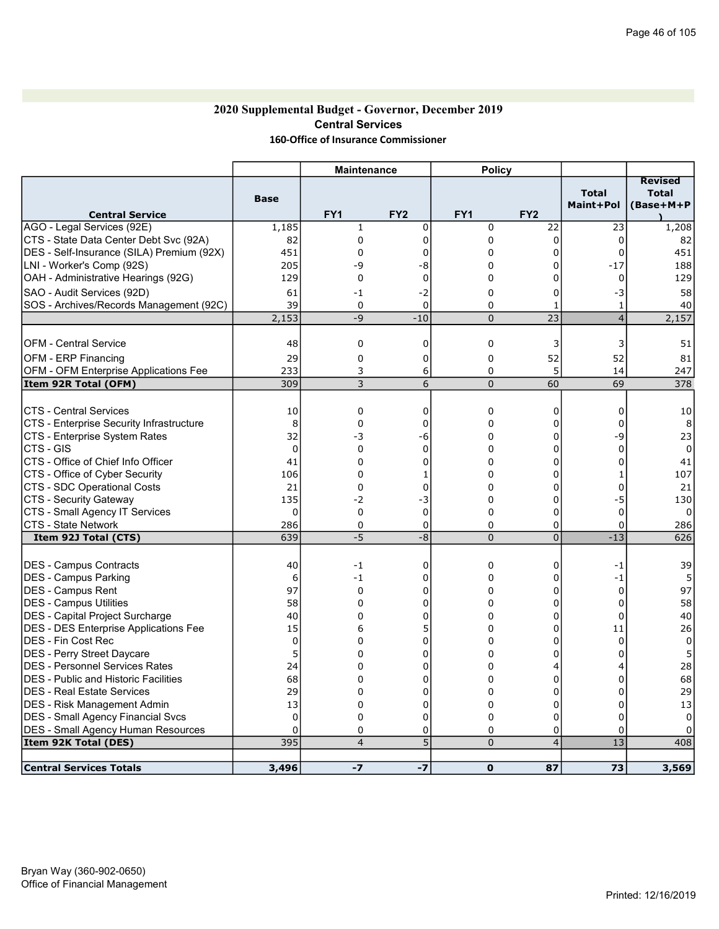# 2020 Supplemental Budget - Governor, December 2019 Central Services 160-Office of Insurance Commissioner

|                                             |             | <b>Maintenance</b> |                 | <b>Policy</b>  |                                 |                           |                                             |
|---------------------------------------------|-------------|--------------------|-----------------|----------------|---------------------------------|---------------------------|---------------------------------------------|
| <b>Central Service</b>                      | <b>Base</b> | FY1                | FY <sub>2</sub> | FY1            | FY <sub>2</sub>                 | <b>Total</b><br>Maint+Pol | <b>Revised</b><br><b>Total</b><br>(Base+M+P |
| AGO - Legal Services (92E)                  | 1,185       | 1                  | $\mathbf 0$     | 0              | 22                              | 23                        | 1,208                                       |
| CTS - State Data Center Debt Svc (92A)      | 82          | 0                  | $\mathbf 0$     | 0              | $\mathbf 0$                     | 0                         | 82                                          |
| DES - Self-Insurance (SILA) Premium (92X)   | 451         | 0                  | 0               | 0              | 0                               | $\mathbf 0$               | 451                                         |
| LNI - Worker's Comp (92S)                   | 205         | -9                 | -8              | 0              | $\Omega$                        | $-17$                     | 188                                         |
| OAH - Administrative Hearings (92G)         | 129         | 0                  | 0               | 0              | 0                               | 0                         | 129                                         |
|                                             |             |                    |                 |                |                                 |                           |                                             |
| SAO - Audit Services (92D)                  | 61          | $-1$               | $-2$            | 0              | $\Omega$                        | -3                        | 58                                          |
| SOS - Archives/Records Management (92C)     | 39          | 0                  | $\mathbf 0$     | 0              | $\mathbf{1}$<br>$\overline{23}$ | 1                         | 40                                          |
|                                             | 2,153       | $-9$               | $-10$           | $\overline{0}$ |                                 | $\overline{4}$            | 2,157                                       |
| <b>OFM - Central Service</b>                | 48          | 0                  | 0               | 0              | 3                               | 3                         | 51                                          |
| OFM - ERP Financing                         | 29          | 0                  | $\mathbf 0$     | 0              | 52                              | 52                        | 81                                          |
| OFM - OFM Enterprise Applications Fee       | 233         | 3                  | 6               | 0              | 5                               | 14                        | 247                                         |
| Item 92R Total (OFM)                        | 309         | 3                  | 6               | $\overline{0}$ | 60                              | 69                        | 378                                         |
| <b>CTS - Central Services</b>               | 10          | $\mathbf 0$        | 0               | 0              | 0                               | 0                         | 10                                          |
| CTS - Enterprise Security Infrastructure    | 8           | 0                  | $\Omega$        | 0              | 0                               | $\Omega$                  | 8                                           |
| CTS - Enterprise System Rates               | 32          | -3                 | -6              | 0              | $\Omega$                        | -9                        | 23                                          |
| CTS - GIS                                   | 0           | 0                  | 0               | 0              | 0                               | $\mathbf 0$               | $\mathbf 0$                                 |
| CTS - Office of Chief Info Officer          | 41          | $\Omega$           | $\Omega$        | 0              | $\Omega$                        | 0                         | 41                                          |
| CTS - Office of Cyber Security              | 106         | 0                  | 1               | 0              | 0                               | 1                         | 107                                         |
| CTS - SDC Operational Costs                 | 21          | 0                  | $\Omega$        | 0              | 0                               | $\mathbf 0$               | 21                                          |
| CTS - Security Gateway                      | 135         | $-2$               | -3              | 0              | $\mathbf 0$                     | -5                        | 130                                         |
| CTS - Small Agency IT Services              | $\mathbf 0$ | 0                  | 0               | 0              | 0                               | $\mathbf 0$               | $\Omega$                                    |
| CTS - State Network                         | 286         | 0                  | $\mathbf 0$     | 0              | 0                               | $\mathbf 0$               | 286                                         |
| Item 92J Total (CTS)                        | 639         | $-5$               | $-8$            | $\overline{0}$ | $\overline{0}$                  | $-13$                     | 626                                         |
|                                             |             |                    |                 |                |                                 |                           |                                             |
| DES - Campus Contracts                      | 40          | $-1$               | 0               | 0              | 0                               | -1                        | 39                                          |
| <b>DES - Campus Parking</b>                 | 6           | $-1$               | $\Omega$        | 0              | 0                               | $-1$                      | 5                                           |
| DES - Campus Rent                           | 97          | 0                  | $\mathbf 0$     | 0              | 0                               | 0                         | 97                                          |
| DES - Campus Utilities                      | 58          | 0                  | $\mathbf 0$     | 0              | 0                               | $\mathbf 0$               | 58                                          |
| DES - Capital Project Surcharge             | 40          | 0                  | $\mathbf 0$     | 0              | 0                               | 0                         | 40                                          |
| DES - DES Enterprise Applications Fee       | 15          | 6                  | 5               | 0              | 0                               | 11                        | 26                                          |
| <b>IDES - Fin Cost Rec</b>                  | 0           | 0                  | $\Omega$        | 0              | 0                               | $\mathbf 0$               | $\mathbf 0$                                 |
| <b>DES - Perry Street Daycare</b>           | 5           | 0                  | 0               | 0              | 0                               | 0                         | 5                                           |
| DES - Personnel Services Rates              | 24          | $\Omega$           | $\Omega$        | 0              | 4                               | 4                         | 28                                          |
| <b>DES</b> - Public and Historic Facilities | 68          | $\Omega$           | $\Omega$        | 0              | 0                               | $\Omega$                  | 68                                          |
| DES - Real Estate Services                  | 29          | $\Omega$           | $\Omega$        | 0              | 0                               | $\Omega$                  | 29                                          |
| <b>IDES - Risk Management Admin</b>         | 13          | 0                  | $\Omega$        | 0              | 0                               | 0                         | 13                                          |
| DES - Small Agency Financial Svcs           | $\Omega$    | 0                  | 0               | 0              | $\Omega$                        | 0                         | $\Omega$                                    |
| <b>DES - Small Agency Human Resources</b>   | $\Omega$    | $\Omega$           | 0               | 0              | 0                               | 0                         |                                             |
| Item 92K Total (DES)                        | 395         | $\overline{4}$     | 5               | $\overline{0}$ | $\overline{4}$                  | 13                        | 408                                         |
|                                             |             |                    |                 |                |                                 |                           |                                             |
| <b>Central Services Totals</b>              | 3,496       | $-7$               | $-7$            | $\mathbf{0}$   | 87                              | 73                        | 3,569                                       |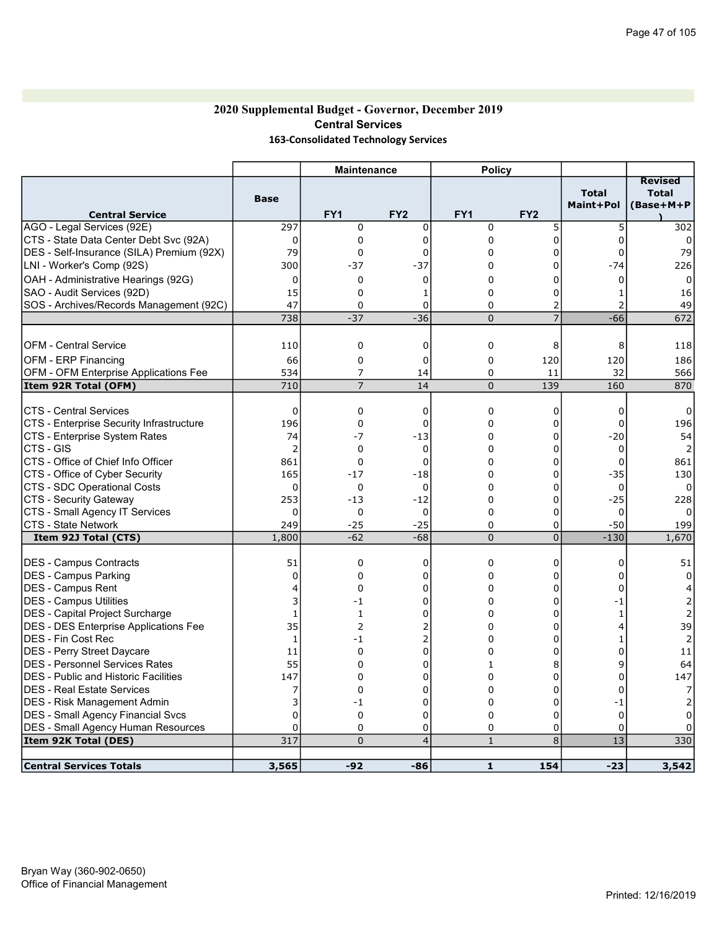# 2020 Supplemental Budget - Governor, December 2019 Central Services 163-Consolidated Technology Services

|                                                      |                   | <b>Maintenance</b> |                 | <b>Policy</b>   |                 |                           |                                             |
|------------------------------------------------------|-------------------|--------------------|-----------------|-----------------|-----------------|---------------------------|---------------------------------------------|
|                                                      | <b>Base</b>       |                    |                 |                 |                 | <b>Total</b><br>Maint+Pol | <b>Revised</b><br><b>Total</b><br>(Base+M+P |
| <b>Central Service</b><br>AGO - Legal Services (92E) |                   | FY <sub>1</sub>    | FY <sub>2</sub> | FY <sub>1</sub> | FY <sub>2</sub> |                           |                                             |
|                                                      | 297               | 0                  | 0               | 0               | 5               | 5                         | 302                                         |
| CTS - State Data Center Debt Svc (92A)               | $\mathbf 0$<br>79 | 0                  | 0               | 0               | 0               | 0<br>$\Omega$             | $\mathbf 0$                                 |
| DES - Self-Insurance (SILA) Premium (92X)            |                   | 0                  | $\Omega$        | 0               | 0               |                           | 79                                          |
| LNI - Worker's Comp (92S)                            | 300               | $-37$              | $-37$           | 0               | 0               | $-74$                     | 226                                         |
| OAH - Administrative Hearings (92G)                  | 0                 | 0                  | $\Omega$        | 0               | $\Omega$        | 0                         | $\Omega$                                    |
| SAO - Audit Services (92D)                           | 15                | 0                  | 1               | 0               | 0               | 1                         | 16                                          |
| SOS - Archives/Records Management (92C)              | 47                | 0                  | $\mathbf 0$     | 0               | $\overline{2}$  | 2                         | 49                                          |
|                                                      | 738               | $-37$              | $-36$           | $\overline{0}$  | $\overline{7}$  | $-66$                     | 672                                         |
|                                                      |                   |                    |                 |                 |                 |                           |                                             |
| <b>OFM - Central Service</b>                         | 110               | 0                  | $\mathbf 0$     | 0               | 8               | 8                         | 118                                         |
| <b>OFM - ERP Financing</b>                           | 66                | 0                  | 0               | 0               | 120             | 120                       | 186                                         |
| OFM - OFM Enterprise Applications Fee                | 534               | $\overline{7}$     | 14              | 0               | 11              | 32                        | 566                                         |
| Item 92R Total (OFM)                                 | 710               | $\overline{7}$     | 14              | $\overline{0}$  | 139             | 160                       | 870                                         |
| <b>CTS - Central Services</b>                        | 0                 | $\mathbf 0$        | 0               | 0               | 0               | $\mathbf 0$               | $\Omega$                                    |
| CTS - Enterprise Security Infrastructure             | 196               | 0                  | $\mathbf 0$     | 0               | 0               | 0                         | 196                                         |
| CTS - Enterprise System Rates                        | 74                | -7                 | $-13$           | 0               | 0               | $-20$                     | 54                                          |
| CTS - GIS                                            | 2                 | 0                  | 0               | 0               | 0               | 0                         | 2                                           |
| CTS - Office of Chief Info Officer                   | 861               | 0                  | $\mathbf 0$     | 0               | $\Omega$        | $\mathbf 0$               | 861                                         |
| CTS - Office of Cyber Security                       | 165               | $-17$              | $-18$           | 0               | 0               | $-35$                     | 130                                         |
| CTS - SDC Operational Costs                          | $\mathbf 0$       | 0                  | $\mathbf 0$     | 0               | 0               | $\mathbf 0$               | $\Omega$                                    |
| CTS - Security Gateway                               | 253               | $-13$              | $-12$           | 0               | $\Omega$        | $-25$                     | 228                                         |
| CTS - Small Agency IT Services                       | 0                 | $\Omega$           | $\Omega$        | 0               | 0               | 0                         |                                             |
| <b>CTS - State Network</b>                           | 249               | $-25$              | $-25$           | 0               | 0               | $-50$                     | 199                                         |
| Item 92J Total (CTS)                                 | 1,800             | $-62$              | $-68$           | $\overline{0}$  | $\overline{0}$  | $-130$                    | 1,670                                       |
|                                                      |                   |                    |                 |                 |                 |                           |                                             |
| <b>IDES - Campus Contracts</b>                       | 51                | $\mathbf 0$        | 0               | 0               | 0               | 0                         | 51                                          |
| DES - Campus Parking                                 | $\mathbf 0$       | $\mathbf 0$        | 0               | 0               | 0               | 0                         | $\Omega$                                    |
| IDES - Campus Rent                                   | 4                 | $\mathbf 0$        | 0               | 0               | 0               | 0                         |                                             |
| DES - Campus Utilities                               | 3                 | $-1$               | 0               | 0               | 0               | $-1$                      |                                             |
| DES - Capital Project Surcharge                      | $\mathbf{1}$      | $\mathbf{1}$       | $\mathbf 0$     | 0               | 0               | $\mathbf{1}$              |                                             |
| DES - DES Enterprise Applications Fee                | 35                | $\overline{2}$     | $\overline{2}$  | 0               | $\Omega$        | 4                         | 39                                          |
| DES - Fin Cost Rec                                   | $\mathbf{1}$      | $-1$               |                 | 0               | $\Omega$        |                           |                                             |
| DES - Perry Street Daycare                           | 11                | 0                  | $\mathbf 0$     | 0               | 0               | $\Omega$                  | 11                                          |
| IDES - Personnel Services Rates                      | 55                | $\Omega$           | $\Omega$        | 1               | 8               | 9                         | 64                                          |
| <b>IDES - Public and Historic Facilities</b>         | 147               | $\Omega$           | $\Omega$        | 0               | $\mathbf 0$     | $\Omega$                  | 147                                         |
| <b>IDES - Real Estate Services</b>                   | 7                 | 0                  | $\Omega$        | 0               | $\Omega$        | 0                         |                                             |
| <b>IDES - Risk Management Admin</b>                  | 3                 | -1                 | 0               | 0               | 0               | -1                        |                                             |
| DES - Small Agency Financial Svcs                    | $\mathbf 0$       | 0                  | 0               | 0               | 0               | $\mathbf 0$               | 0                                           |
| <b>DES - Small Agency Human Resources</b>            | $\mathbf 0$       | 0                  | $\mathbf 0$     | 0               | 0               | 0                         |                                             |
| Item 92K Total (DES)                                 | 317               | $\Omega$           | $\overline{4}$  | $\mathbf 1$     | 8               | 13                        | 330                                         |
|                                                      |                   |                    |                 |                 |                 |                           |                                             |
| <b>Central Services Totals</b>                       | 3,565             | $-92$              | -86             | $\mathbf{1}$    | 154             | $-23$                     | 3,542                                       |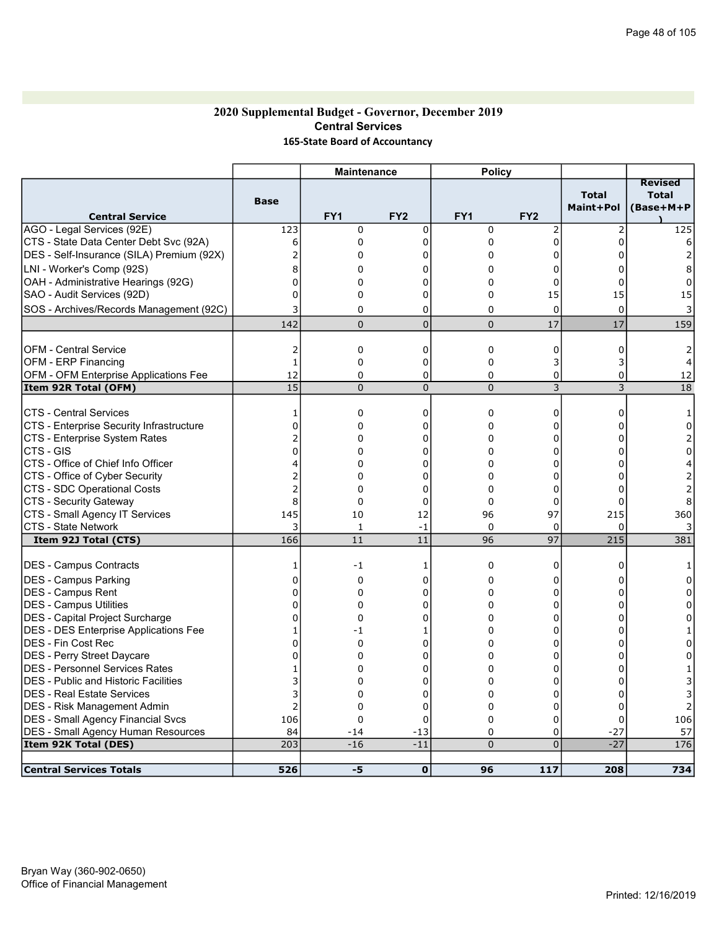### 2020 Supplemental Budget - Governor, December 2019 Central Services 165-State Board of Accountancy

|                                                                            |             | <b>Maintenance</b>  |                 | <b>Policy</b>   |                 |                           |                                             |
|----------------------------------------------------------------------------|-------------|---------------------|-----------------|-----------------|-----------------|---------------------------|---------------------------------------------|
| <b>Central Service</b>                                                     | <b>Base</b> | FY1                 | FY <sub>2</sub> | FY <sub>1</sub> | FY <sub>2</sub> | <b>Total</b><br>Maint+Pol | <b>Revised</b><br><b>Total</b><br>(Base+M+P |
| AGO - Legal Services (92E)                                                 | 123         | 0                   | $\mathbf 0$     | 0               | 2               | $\overline{2}$            | 125                                         |
| CTS - State Data Center Debt Svc (92A)                                     | 6           | 0                   | $\mathbf 0$     | 0               | 0               | $\Omega$                  |                                             |
| DES - Self-Insurance (SILA) Premium (92X)                                  |             | 0                   | 0               | 0               | $\Omega$        | 0                         |                                             |
| LNI - Worker's Comp (92S)                                                  | 8           | 0                   | $\Omega$        | 0               | 0               | U                         | 8                                           |
| OAH - Administrative Hearings (92G)                                        | $\Omega$    | 0                   | $\Omega$        | 0               | 0               | $\Omega$                  | $\Omega$                                    |
| SAO - Audit Services (92D)                                                 | $\Omega$    | 0                   | 0               | 0               | 15              | 15                        | 15                                          |
| SOS - Archives/Records Management (92C)                                    | 3           | 0                   | $\Omega$        | $\Omega$        | 0               | 0                         | 3                                           |
|                                                                            | 142         | $\mathbf 0$         | $\Omega$        | $\mathbf 0$     | 17              | 17                        | 159                                         |
|                                                                            |             |                     |                 |                 |                 |                           |                                             |
| <b>OFM - Central Service</b>                                               | 2           | $\mathbf 0$         | $\mathbf 0$     | 0               | 0               | 0                         |                                             |
| <b>OFM - ERP Financing</b>                                                 | 1           | 0                   | 0               | 0               | 3               | 3                         |                                             |
| OFM - OFM Enterprise Applications Fee                                      | 12          | $\mathbf 0$         | $\mathbf 0$     | $\Omega$        | 0               | 0                         | 12                                          |
| Item 92R Total (OFM)                                                       | 15          | $\Omega$            | $\Omega$        | $\overline{0}$  | 3               | 3                         | 18                                          |
| <b>CTS - Central Services</b>                                              | 1           | 0                   | 0               | 0               | 0               | 0                         |                                             |
| CTS - Enterprise Security Infrastructure                                   | 0           | 0                   | $\mathbf 0$     | 0               | 0               | $\Omega$                  | 0                                           |
| CTS - Enterprise System Rates                                              |             | 0                   | $\Omega$        | 0               | $\Omega$        | 0                         |                                             |
| CTS - GIS                                                                  | 0           | 0                   | 0               | $\Omega$        | $\Omega$        | 0                         | 0                                           |
| CTS - Office of Chief Info Officer                                         |             | 0                   | 0               | $\Omega$        | $\Omega$        | 0                         |                                             |
| CTS - Office of Cyber Security                                             |             | 0                   | 0               | 0               | $\Omega$        | 0                         |                                             |
| CTS - SDC Operational Costs                                                |             | 0                   | $\Omega$        | $\Omega$        | $\Omega$        | $\Omega$                  |                                             |
| CTS - Security Gateway                                                     | 8           | $\Omega$            | $\Omega$        | 0               | 0               | $\Omega$                  | 8                                           |
| CTS - Small Agency IT Services                                             | 145         | 10                  | 12              | 96              | 97              | 215                       | 360                                         |
| CTS - State Network                                                        | 3           | $\mathbf{1}$        | $-1$            | $\Omega$        | $\Omega$        | $\Omega$                  |                                             |
| Item 92J Total (CTS)                                                       | 166         | 11                  | 11              | 96              | 97              | 215                       | 381                                         |
|                                                                            |             |                     |                 |                 |                 |                           |                                             |
| DES - Campus Contracts                                                     | 1           | -1                  | 1               | 0               | 0               | 0                         |                                             |
| DES - Campus Parking                                                       | 0           | $\Omega$            | $\Omega$        | $\Omega$        | $\Omega$        | $\Omega$                  | 0                                           |
| <b>DES - Campus Rent</b>                                                   | $\Omega$    | $\Omega$            | $\Omega$        | $\Omega$        | 0               | $\Omega$                  | $\Omega$                                    |
| <b>DES - Campus Utilities</b>                                              | $\Omega$    | 0                   | $\Omega$        | 0               | $\Omega$        | 0                         | $\Omega$                                    |
| DES - Capital Project Surcharge                                            | 0           | 0                   | $\Omega$        | 0               | 0               | 0                         | $\Omega$                                    |
| <b>DES - DES Enterprise Applications Fee</b><br><b>IDES - Fin Cost Rec</b> | 0           | $-1$<br>$\mathbf 0$ | 1<br>$\Omega$   | 0<br>0          | 0<br>0          | ŋ<br>O                    |                                             |
|                                                                            | 0           | 0                   | 0               | 0               | 0               | 0                         | 0<br>0                                      |
| DES - Perry Street Daycare<br>IDES - Personnel Services Rates              |             | 0                   | $\Omega$        | $\Omega$        | $\Omega$        | 0                         |                                             |
| IDES - Public and Historic Facilities                                      |             | 0                   | 0               | 0               | 0               | 0                         |                                             |
| IDES - Real Estate Services                                                |             | 0                   | 0               | 0               | $\Omega$        | 0                         |                                             |
| DES - Risk Management Admin                                                | 2           | 0                   | 0               | 0               | 0               | 0                         |                                             |
| <b>DES - Small Agency Financial Svcs</b>                                   | 106         | $\Omega$            | $\Omega$        | 0               | 0               | 0                         | 106                                         |
| <b>DES - Small Agency Human Resources</b>                                  | 84          | $-14$               | $-13$           | $\Omega$        | $\Omega$        | $-27$                     | 57                                          |
| Item 92K Total (DES)                                                       | 203         | $-16$               | $-11$           | $\pmb{0}$       | $\Omega$        | $-27$                     | 176                                         |
|                                                                            |             |                     |                 |                 |                 |                           |                                             |
| <b>Central Services Totals</b>                                             | 526         | $-5$                | $\mathbf 0$     | 96              | 117             | 208                       | 734                                         |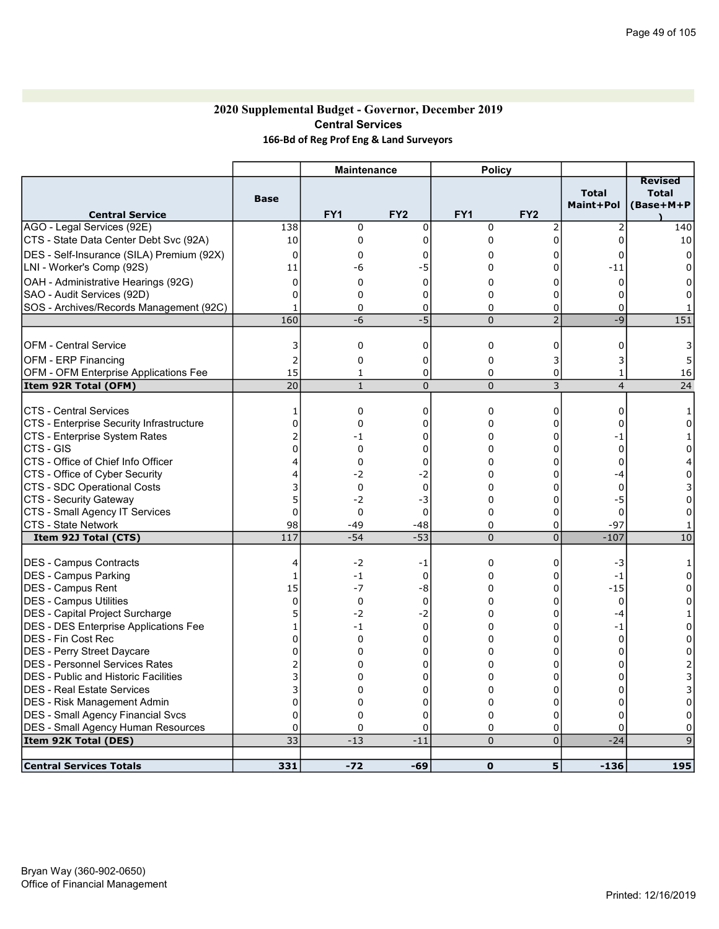# 2020 Supplemental Budget - Governor, December 2019 Central Services 166-Bd of Reg Prof Eng & Land Surveyors

|                                                     |                | <b>Maintenance</b> |                 | <b>Policy</b>  |                            |                           |                                             |
|-----------------------------------------------------|----------------|--------------------|-----------------|----------------|----------------------------|---------------------------|---------------------------------------------|
| <b>Central Service</b>                              | <b>Base</b>    | FY <sub>1</sub>    | FY <sub>2</sub> | FY1            | FY <sub>2</sub>            | <b>Total</b><br>Maint+Pol | <b>Revised</b><br><b>Total</b><br>(Base+M+P |
| AGO - Legal Services (92E)                          | 138            | $\Omega$           | $\Omega$        | 0              | 2                          | $\overline{2}$            | 140                                         |
| CTS - State Data Center Debt Svc (92A)              | 10             | 0                  | $\Omega$        | 0              | $\overline{0}$             | $\Omega$                  | 10                                          |
| (DES - Self-Insurance (SILA) Premium (92X)          | 0              | 0                  | 0               | 0              | 0                          | 0                         | $\Omega$                                    |
| LNI - Worker's Comp (92S)                           | 11             | -6                 | -5              | 0              | 0                          | $-11$                     | 0                                           |
| OAH - Administrative Hearings (92G)                 | $\Omega$       | $\Omega$           | $\Omega$        | 0              | $\Omega$                   | 0                         | 0                                           |
| SAO - Audit Services (92D)                          | $\Omega$       | $\Omega$           | $\Omega$        | 0              | 0                          | $\Omega$                  | $\Omega$                                    |
| SOS - Archives/Records Management (92C)             | $\mathbf{1}$   | $\mathbf 0$        | 0               | 0              | 0                          | 0                         |                                             |
|                                                     | 160            | -6                 | $-5$            | $\overline{0}$ | $\overline{2}$             | $-9$                      | 151                                         |
|                                                     |                |                    |                 |                |                            |                           |                                             |
| <b>OFM - Central Service</b>                        | 3              | 0                  | 0               | 0              | 0                          | 0                         |                                             |
| <b>OFM - ERP Financing</b>                          | $\overline{2}$ | 0                  | 0               | 0              | 3                          | 3                         |                                             |
| OFM - OFM Enterprise Applications Fee               | 15             | $\mathbf{1}$       | $\mathbf 0$     | 0              | 0                          | 1                         | 16                                          |
| Item 92R Total (OFM)                                | 20             | $\mathbf{1}$       | $\overline{0}$  | $\overline{0}$ | 3                          | $\overline{4}$            | 24                                          |
| <b>CTS - Central Services</b>                       | 1              | $\mathbf 0$        | $\Omega$        | 0              | 0                          | 0                         |                                             |
| CTS - Enterprise Security Infrastructure            | 0              | 0                  | 0               | 0              | 0                          | 0                         | 0                                           |
| CTS - Enterprise System Rates                       |                | -1                 | 0               | 0              | 0                          | -1                        |                                             |
| CTS - GIS                                           | $\mathbf 0$    | 0                  | 0               | 0              | 0                          | $\mathbf 0$               | 0                                           |
| CTS - Office of Chief Info Officer                  | 4              | $\mathbf 0$        | $\Omega$        | 0              | $\mathbf 0$                | $\mathbf 0$               |                                             |
| CTS - Office of Cyber Security                      | 4              | $-2$               | -2              | 0              | $\mathbf 0$                | -4                        | 0                                           |
| CTS - SDC Operational Costs                         | 3              | 0                  | 0               | 0              | $\Omega$                   | $\mathbf{0}$              |                                             |
| CTS - Security Gateway                              | 5              | $-2$               | -3              | 0              | $\Omega$                   | -5                        | 0                                           |
| CTS - Small Agency IT Services                      | $\Omega$       | $\Omega$           | $\Omega$        | 0              | $\Omega$                   | $\Omega$                  | 0                                           |
| <b>CTS - State Network</b>                          | 98             | $-49$              | $-48$           | 0              | 0                          | $-97$                     |                                             |
| Item 92J Total (CTS)                                | 117            | $-54$              | $-53$           | $\overline{0}$ | $\overline{0}$             | $-107$                    | 10                                          |
|                                                     |                |                    |                 |                |                            |                           |                                             |
| <b>IDES - Campus Contracts</b>                      | 4              | $-2$               | -1              | 0              | 0                          | -3                        |                                             |
| <b>DES - Campus Parking</b>                         | 1              | $-1$<br>$-7$       | 0               | 0              | 0                          | $-1$                      | 0                                           |
| DES - Campus Rent<br><b>IDES - Campus Utilities</b> | 15<br>$\Omega$ | 0                  | -8<br>0         | 0<br>0         | $\mathbf 0$<br>$\mathbf 0$ | $-15$<br>$\Omega$         | 0<br>O                                      |
| DES - Capital Project Surcharge                     | 5              | $-2$               | $-2$            | 0              | $\Omega$                   | $-4$                      |                                             |
| <b>DES - DES Enterprise Applications Fee</b>        | 1              | $-1$               | $\Omega$        | 0              | $\Omega$                   | $-1$                      | U                                           |
| DES - Fin Cost Rec                                  | 0              | $\Omega$           | $\Omega$        | $\Omega$       | $\Omega$                   | $\mathbf{0}$              | 0                                           |
| DES - Perry Street Daycare                          | 0              | 0                  | 0               | 0              | 0                          | 0                         | 0                                           |
| DES - Personnel Services Rates                      |                | 0                  | 0               | 0              | 0                          | 0                         |                                             |
| IDES - Public and Historic Facilities               | 3              | 0                  | 0               | 0              | 0                          | 0                         |                                             |
| IDES - Real Estate Services                         | 3              | $\overline{0}$     | $\Omega$        | 0              | 0                          | 0                         |                                             |
| IDES - Risk Management Admin                        | 0              | 0                  | 0               | 0              | 0                          | 0                         | 0                                           |
| DES - Small Agency Financial Svcs                   | 0              | 0                  | $\mathbf 0$     | 0              | 0                          | 0                         | 0                                           |
| <b>DES - Small Agency Human Resources</b>           | $\Omega$       | $\Omega$           | $\Omega$        | 0              | $\mathbf 0$                | 0                         | 0                                           |
| Item 92K Total (DES)                                | 33             | $-13$              | $-11$           | $\overline{0}$ | $\Omega$                   | $-24$                     | $\mathsf{q}$                                |
|                                                     |                |                    |                 |                |                            |                           |                                             |
| <b>Central Services Totals</b>                      | 331            | $-72$              | -69             | $\mathbf{0}$   | 5                          | $-136$                    | 195                                         |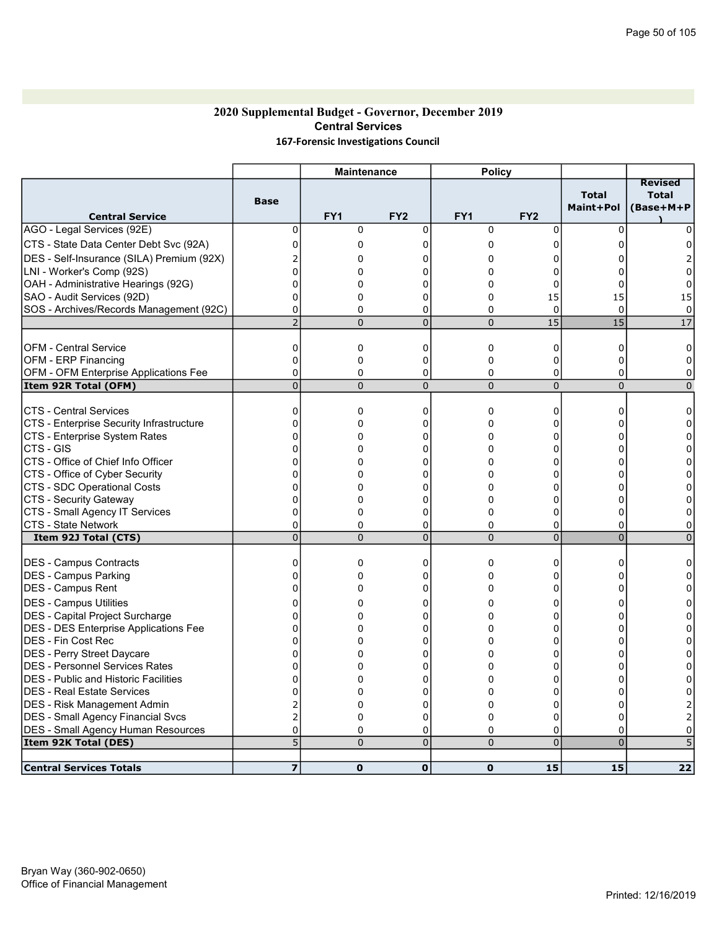## 2020 Supplemental Budget - Governor, December 2019 Central Services 167-Forensic Investigations Council

|                                                                         |                | <b>Maintenance</b> |                 | <b>Policy</b>   |                      |                           |                                             |
|-------------------------------------------------------------------------|----------------|--------------------|-----------------|-----------------|----------------------|---------------------------|---------------------------------------------|
| <b>Central Service</b>                                                  | <b>Base</b>    | FY <sub>1</sub>    | FY <sub>2</sub> | FY <sub>1</sub> | FY <sub>2</sub>      | <b>Total</b><br>Maint+Pol | <b>Revised</b><br><b>Total</b><br>(Base+M+P |
| AGO - Legal Services (92E)                                              | 0              | 0                  | 0               | 0               | 0                    | $\mathbf 0$               |                                             |
| CTS - State Data Center Debt Svc (92A)                                  | $\Omega$       | 0                  | $\Omega$        | 0               | 0                    | $\Omega$                  |                                             |
| DES - Self-Insurance (SILA) Premium (92X)                               |                | 0                  | 0               | 0               | 0                    | $\Omega$                  |                                             |
| LNI - Worker's Comp (92S)                                               | 0              | 0                  | 0               | 0               | 0                    | 0                         | 0                                           |
| OAH - Administrative Hearings (92G)                                     | 0              | 0                  | 0               | 0               | 0                    | $\mathbf 0$               | 0                                           |
| SAO - Audit Services (92D)                                              | $\Omega$       | 0                  | 0               | 0               | 15                   | 15                        | 15                                          |
| SOS - Archives/Records Management (92C)                                 | 0              | 0                  | 0               | 0               | $\overline{0}$       | $\overline{0}$            | 0                                           |
|                                                                         | $\overline{2}$ | $\overline{0}$     | $\overline{0}$  | $\overline{0}$  | $\overline{15}$      | 15                        | 17                                          |
| <b>OFM - Central Service</b>                                            | $\Omega$       | 0                  | $\Omega$        | 0               | $\Omega$             | 0                         | $\Omega$                                    |
| <b>OFM - ERP Financing</b>                                              | $\Omega$       | $\Omega$           | 0               | $\overline{0}$  | 0                    | $\Omega$                  | 0                                           |
| OFM - OFM Enterprise Applications Fee                                   | $\Omega$       | 0                  | 0               | 0               | 0                    | 0                         | 0                                           |
| Item 92R Total (OFM)                                                    | $\overline{0}$ | $\Omega$           | $\Omega$        | $\overline{0}$  | $\overline{0}$       | $\Omega$                  | $\Omega$                                    |
|                                                                         |                |                    |                 |                 |                      |                           |                                             |
| ICTS - Central Services                                                 | 0              | 0                  | $\Omega$        | 0               | 0                    | $\Omega$                  | 0                                           |
| CTS - Enterprise Security Infrastructure                                | $\Omega$       | 0                  | $\Omega$        | 0               | 0                    | $\Omega$                  | $\Omega$                                    |
| CTS - Enterprise System Rates                                           | $\Omega$       | 0                  | 0               | 0               | 0                    | 0                         | O                                           |
| <b>CTS - GIS</b>                                                        | 0              | 0                  | 0               | 0               | 0                    | O                         | 0                                           |
| CTS - Office of Chief Info Officer                                      |                | $\Omega$           | $\Omega$        | 0               | $\Omega$             | U                         |                                             |
| CTS - Office of Cyber Security                                          | 0              | 0                  | 0               | 0               | $\Omega$<br>$\Omega$ | n                         | ი                                           |
| CTS - SDC Operational Costs<br>CTS - Security Gateway                   | 0              | $\Omega$<br>0      | 0               | 0<br>0          |                      | 0                         | 0                                           |
| CTS - Small Agency IT Services                                          | 0<br>0         | 0                  | 0<br>$\Omega$   | 0               | 0<br>0               | 0<br>$\Omega$             | 0<br>0                                      |
| <b>CTS - State Network</b>                                              | 0              | $\Omega$           | 0               | 0               | 0                    | 0                         | 0                                           |
| Item 92J Total (CTS)                                                    | $\overline{0}$ | $\overline{0}$     | $\pmb{0}$       | $\overline{0}$  | $\overline{0}$       | $\overline{0}$            | $\Omega$                                    |
|                                                                         |                |                    |                 |                 |                      |                           |                                             |
| DES - Campus Contracts                                                  | $\Omega$       | 0                  | $\Omega$        | 0               | 0                    | 0                         | 0                                           |
| DES - Campus Parking                                                    | $\Omega$       | $\mathbf 0$        | $\Omega$        | 0               | $\Omega$             | O                         |                                             |
| DES - Campus Rent                                                       | $\Omega$       | $\Omega$           | $\Omega$        | 0               | 0                    | 0                         | 0                                           |
| <b>IDES - Campus Utilities</b>                                          | 0              | 0                  | 0               | 0               | 0                    | $\Omega$                  | 0                                           |
| DES - Capital Project Surcharge                                         | 0              | 0                  | 0               | 0               | 0                    | 0                         | n                                           |
| <b>DES - DES Enterprise Applications Fee</b>                            | 0              | 0                  | 0               | 0               | 0                    | 0                         |                                             |
| DES - Fin Cost Rec                                                      | U              | $\mathbf 0$        | 0               | 0               | $\Omega$             | n                         |                                             |
| DES - Perry Street Daycare                                              | 0              | 0                  | $\Omega$        | $\Omega$        | 0                    | U                         | 0                                           |
| DES - Personnel Services Rates                                          | 0              | 0                  | $\Omega$        | 0               | 0                    | 0                         | 0                                           |
| <b>DES</b> - Public and Historic Facilities                             | 0<br>0         | 0<br>$\Omega$      | 0<br>$\Omega$   | 0<br>0          | 0<br>$\Omega$        | 0<br>0                    | 0                                           |
| DES - Real Estate Services                                              | 2              | $\Omega$           | $\Omega$        | 0               | $\Omega$             | $\Omega$                  | 0                                           |
| DES - Risk Management Admin<br><b>DES - Small Agency Financial Svcs</b> | 2              | $\Omega$           | $\Omega$        | 0               | $\Omega$             | $\Omega$                  |                                             |
| <b>DES - Small Agency Human Resources</b>                               | 0              | 0                  | 0               | 0               | 0                    | 0                         | 0                                           |
| Item 92K Total (DES)                                                    | $\overline{5}$ | $\Omega$           | $\Omega$        | $\overline{0}$  | $\Omega$             | $\overline{0}$            |                                             |
|                                                                         |                |                    |                 |                 |                      |                           |                                             |
| <b>Central Services Totals</b>                                          | 7              | 0                  | $\mathbf 0$     | $\mathbf 0$     | 15                   | 15                        | 22                                          |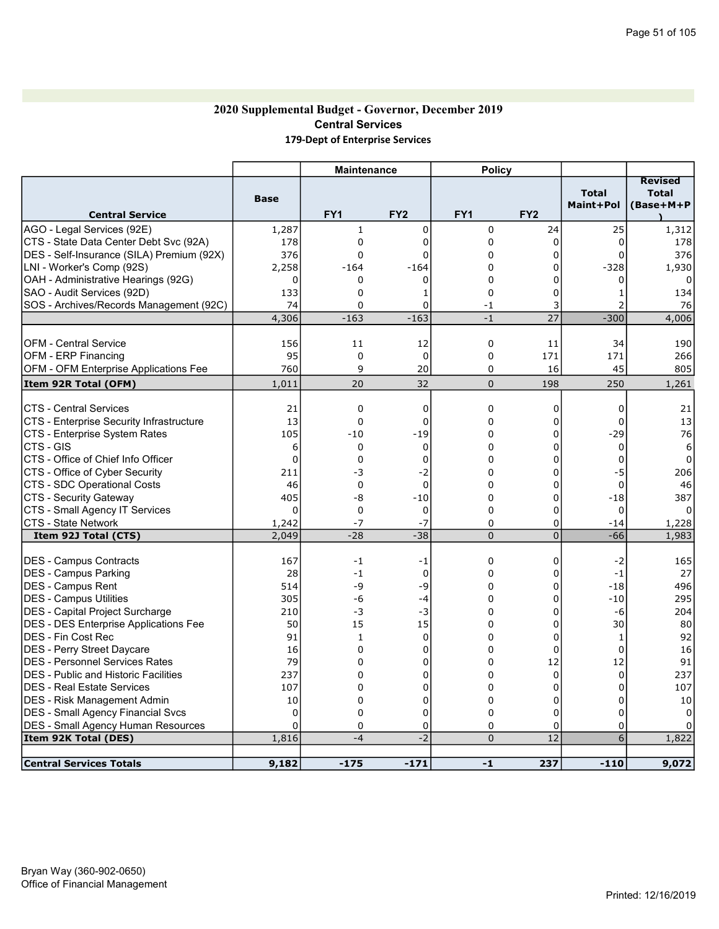### 2020 Supplemental Budget - Governor, December 2019 Central Services 179-Dept of Enterprise Services

| <b>Base</b> |                                                                                                                                                                                                                                                                                    |                                                                                                                                                                                                                                                              |                                                                                                                                                                                                                                                                             |                                                                                                                                                                       | <b>Total</b><br>Maint+Pol                                                                                                                                                                                                                                                                              | <b>Revised</b><br><b>Total</b><br>(Base+M+P                                                                                                                                                                      |
|-------------|------------------------------------------------------------------------------------------------------------------------------------------------------------------------------------------------------------------------------------------------------------------------------------|--------------------------------------------------------------------------------------------------------------------------------------------------------------------------------------------------------------------------------------------------------------|-----------------------------------------------------------------------------------------------------------------------------------------------------------------------------------------------------------------------------------------------------------------------------|-----------------------------------------------------------------------------------------------------------------------------------------------------------------------|--------------------------------------------------------------------------------------------------------------------------------------------------------------------------------------------------------------------------------------------------------------------------------------------------------|------------------------------------------------------------------------------------------------------------------------------------------------------------------------------------------------------------------|
|             |                                                                                                                                                                                                                                                                                    |                                                                                                                                                                                                                                                              |                                                                                                                                                                                                                                                                             |                                                                                                                                                                       |                                                                                                                                                                                                                                                                                                        | 1,312                                                                                                                                                                                                            |
|             |                                                                                                                                                                                                                                                                                    |                                                                                                                                                                                                                                                              |                                                                                                                                                                                                                                                                             |                                                                                                                                                                       |                                                                                                                                                                                                                                                                                                        | 178                                                                                                                                                                                                              |
|             |                                                                                                                                                                                                                                                                                    |                                                                                                                                                                                                                                                              |                                                                                                                                                                                                                                                                             |                                                                                                                                                                       |                                                                                                                                                                                                                                                                                                        | 376                                                                                                                                                                                                              |
|             |                                                                                                                                                                                                                                                                                    |                                                                                                                                                                                                                                                              |                                                                                                                                                                                                                                                                             |                                                                                                                                                                       |                                                                                                                                                                                                                                                                                                        | 1,930                                                                                                                                                                                                            |
|             | $\Omega$                                                                                                                                                                                                                                                                           | $\Omega$                                                                                                                                                                                                                                                     | 0                                                                                                                                                                                                                                                                           | $\Omega$                                                                                                                                                              | 0                                                                                                                                                                                                                                                                                                      |                                                                                                                                                                                                                  |
|             |                                                                                                                                                                                                                                                                                    |                                                                                                                                                                                                                                                              |                                                                                                                                                                                                                                                                             |                                                                                                                                                                       | 1                                                                                                                                                                                                                                                                                                      | 134                                                                                                                                                                                                              |
| 74          | 0                                                                                                                                                                                                                                                                                  | 0                                                                                                                                                                                                                                                            | $-1$                                                                                                                                                                                                                                                                        | 3                                                                                                                                                                     |                                                                                                                                                                                                                                                                                                        | 76                                                                                                                                                                                                               |
| 4,306       | $-163$                                                                                                                                                                                                                                                                             | $-163$                                                                                                                                                                                                                                                       | $-1$                                                                                                                                                                                                                                                                        | 27                                                                                                                                                                    | $-300$                                                                                                                                                                                                                                                                                                 | 4,006                                                                                                                                                                                                            |
|             |                                                                                                                                                                                                                                                                                    |                                                                                                                                                                                                                                                              |                                                                                                                                                                                                                                                                             |                                                                                                                                                                       |                                                                                                                                                                                                                                                                                                        |                                                                                                                                                                                                                  |
| 156         | 11                                                                                                                                                                                                                                                                                 | 12                                                                                                                                                                                                                                                           | 0                                                                                                                                                                                                                                                                           | 11                                                                                                                                                                    | 34                                                                                                                                                                                                                                                                                                     | 190                                                                                                                                                                                                              |
| 95          | 0                                                                                                                                                                                                                                                                                  | $\mathbf 0$                                                                                                                                                                                                                                                  | 0                                                                                                                                                                                                                                                                           | 171                                                                                                                                                                   | 171                                                                                                                                                                                                                                                                                                    | 266                                                                                                                                                                                                              |
| 760         | 9                                                                                                                                                                                                                                                                                  | 20                                                                                                                                                                                                                                                           | 0                                                                                                                                                                                                                                                                           | 16                                                                                                                                                                    | 45                                                                                                                                                                                                                                                                                                     | 805                                                                                                                                                                                                              |
| 1.011       | 20                                                                                                                                                                                                                                                                                 | 32                                                                                                                                                                                                                                                           | $\Omega$                                                                                                                                                                                                                                                                    | 198                                                                                                                                                                   | 250                                                                                                                                                                                                                                                                                                    | 1,261                                                                                                                                                                                                            |
|             |                                                                                                                                                                                                                                                                                    |                                                                                                                                                                                                                                                              |                                                                                                                                                                                                                                                                             |                                                                                                                                                                       |                                                                                                                                                                                                                                                                                                        |                                                                                                                                                                                                                  |
| 21          |                                                                                                                                                                                                                                                                                    | 0                                                                                                                                                                                                                                                            | 0                                                                                                                                                                                                                                                                           |                                                                                                                                                                       | 0                                                                                                                                                                                                                                                                                                      | 21                                                                                                                                                                                                               |
|             |                                                                                                                                                                                                                                                                                    |                                                                                                                                                                                                                                                              |                                                                                                                                                                                                                                                                             |                                                                                                                                                                       |                                                                                                                                                                                                                                                                                                        | 13                                                                                                                                                                                                               |
|             |                                                                                                                                                                                                                                                                                    |                                                                                                                                                                                                                                                              |                                                                                                                                                                                                                                                                             |                                                                                                                                                                       |                                                                                                                                                                                                                                                                                                        | 76                                                                                                                                                                                                               |
| 6           |                                                                                                                                                                                                                                                                                    |                                                                                                                                                                                                                                                              |                                                                                                                                                                                                                                                                             |                                                                                                                                                                       |                                                                                                                                                                                                                                                                                                        | 6                                                                                                                                                                                                                |
| $\Omega$    |                                                                                                                                                                                                                                                                                    | $\Omega$                                                                                                                                                                                                                                                     | 0                                                                                                                                                                                                                                                                           |                                                                                                                                                                       | $\Omega$                                                                                                                                                                                                                                                                                               | $\Omega$                                                                                                                                                                                                         |
| 211         | -3                                                                                                                                                                                                                                                                                 | $-2$                                                                                                                                                                                                                                                         | 0                                                                                                                                                                                                                                                                           | 0                                                                                                                                                                     |                                                                                                                                                                                                                                                                                                        | 206                                                                                                                                                                                                              |
| 46          | 0                                                                                                                                                                                                                                                                                  | $\mathbf 0$                                                                                                                                                                                                                                                  | 0                                                                                                                                                                                                                                                                           | 0                                                                                                                                                                     | 0                                                                                                                                                                                                                                                                                                      | 46                                                                                                                                                                                                               |
|             |                                                                                                                                                                                                                                                                                    |                                                                                                                                                                                                                                                              |                                                                                                                                                                                                                                                                             |                                                                                                                                                                       |                                                                                                                                                                                                                                                                                                        | 387                                                                                                                                                                                                              |
| $\Omega$    |                                                                                                                                                                                                                                                                                    |                                                                                                                                                                                                                                                              |                                                                                                                                                                                                                                                                             |                                                                                                                                                                       |                                                                                                                                                                                                                                                                                                        |                                                                                                                                                                                                                  |
|             |                                                                                                                                                                                                                                                                                    |                                                                                                                                                                                                                                                              | 0                                                                                                                                                                                                                                                                           |                                                                                                                                                                       | $-14$                                                                                                                                                                                                                                                                                                  | 1,228                                                                                                                                                                                                            |
|             |                                                                                                                                                                                                                                                                                    |                                                                                                                                                                                                                                                              |                                                                                                                                                                                                                                                                             |                                                                                                                                                                       |                                                                                                                                                                                                                                                                                                        | 1,983                                                                                                                                                                                                            |
|             |                                                                                                                                                                                                                                                                                    |                                                                                                                                                                                                                                                              |                                                                                                                                                                                                                                                                             |                                                                                                                                                                       |                                                                                                                                                                                                                                                                                                        |                                                                                                                                                                                                                  |
|             |                                                                                                                                                                                                                                                                                    |                                                                                                                                                                                                                                                              |                                                                                                                                                                                                                                                                             |                                                                                                                                                                       |                                                                                                                                                                                                                                                                                                        | 165                                                                                                                                                                                                              |
|             |                                                                                                                                                                                                                                                                                    |                                                                                                                                                                                                                                                              |                                                                                                                                                                                                                                                                             |                                                                                                                                                                       |                                                                                                                                                                                                                                                                                                        | 27                                                                                                                                                                                                               |
|             |                                                                                                                                                                                                                                                                                    |                                                                                                                                                                                                                                                              |                                                                                                                                                                                                                                                                             |                                                                                                                                                                       |                                                                                                                                                                                                                                                                                                        | 496                                                                                                                                                                                                              |
|             |                                                                                                                                                                                                                                                                                    |                                                                                                                                                                                                                                                              |                                                                                                                                                                                                                                                                             |                                                                                                                                                                       |                                                                                                                                                                                                                                                                                                        | 295                                                                                                                                                                                                              |
|             |                                                                                                                                                                                                                                                                                    |                                                                                                                                                                                                                                                              |                                                                                                                                                                                                                                                                             |                                                                                                                                                                       |                                                                                                                                                                                                                                                                                                        | 204                                                                                                                                                                                                              |
|             |                                                                                                                                                                                                                                                                                    |                                                                                                                                                                                                                                                              |                                                                                                                                                                                                                                                                             |                                                                                                                                                                       |                                                                                                                                                                                                                                                                                                        | 80                                                                                                                                                                                                               |
|             |                                                                                                                                                                                                                                                                                    |                                                                                                                                                                                                                                                              |                                                                                                                                                                                                                                                                             |                                                                                                                                                                       |                                                                                                                                                                                                                                                                                                        | 92                                                                                                                                                                                                               |
|             |                                                                                                                                                                                                                                                                                    |                                                                                                                                                                                                                                                              |                                                                                                                                                                                                                                                                             |                                                                                                                                                                       |                                                                                                                                                                                                                                                                                                        | 16                                                                                                                                                                                                               |
|             |                                                                                                                                                                                                                                                                                    |                                                                                                                                                                                                                                                              |                                                                                                                                                                                                                                                                             |                                                                                                                                                                       |                                                                                                                                                                                                                                                                                                        | 91                                                                                                                                                                                                               |
|             |                                                                                                                                                                                                                                                                                    |                                                                                                                                                                                                                                                              |                                                                                                                                                                                                                                                                             |                                                                                                                                                                       |                                                                                                                                                                                                                                                                                                        | 237                                                                                                                                                                                                              |
|             |                                                                                                                                                                                                                                                                                    |                                                                                                                                                                                                                                                              |                                                                                                                                                                                                                                                                             |                                                                                                                                                                       |                                                                                                                                                                                                                                                                                                        | 107                                                                                                                                                                                                              |
|             |                                                                                                                                                                                                                                                                                    |                                                                                                                                                                                                                                                              |                                                                                                                                                                                                                                                                             |                                                                                                                                                                       |                                                                                                                                                                                                                                                                                                        | 10                                                                                                                                                                                                               |
|             |                                                                                                                                                                                                                                                                                    |                                                                                                                                                                                                                                                              |                                                                                                                                                                                                                                                                             |                                                                                                                                                                       |                                                                                                                                                                                                                                                                                                        | $\Omega$                                                                                                                                                                                                         |
|             |                                                                                                                                                                                                                                                                                    |                                                                                                                                                                                                                                                              |                                                                                                                                                                                                                                                                             |                                                                                                                                                                       |                                                                                                                                                                                                                                                                                                        |                                                                                                                                                                                                                  |
|             |                                                                                                                                                                                                                                                                                    |                                                                                                                                                                                                                                                              |                                                                                                                                                                                                                                                                             |                                                                                                                                                                       |                                                                                                                                                                                                                                                                                                        | 1,822                                                                                                                                                                                                            |
| 9,182       | $-175$                                                                                                                                                                                                                                                                             | $-171$                                                                                                                                                                                                                                                       | $-1$                                                                                                                                                                                                                                                                        | 237                                                                                                                                                                   | $-110$                                                                                                                                                                                                                                                                                                 | 9,072                                                                                                                                                                                                            |
|             | 1,287<br>178<br>376<br> DES - Self-Insurance (SILA) Premium (92X)<br>2,258<br>0<br>133<br>SOS - Archives/Records Management (92C)<br>13<br>105<br>405<br>1,242<br>2,049<br>167<br>28<br>514<br>305<br>210<br>50<br>91<br>16<br>79<br>237<br>107<br>10<br>$\mathbf 0$<br>0<br>1,816 | FY <sub>1</sub><br>1<br>0<br>$\Omega$<br>$-164$<br>0<br>$\mathbf 0$<br>0<br>$-10$<br>0<br>$\mathbf 0$<br>-8<br>0<br>$-7$<br>$-28$<br>$-1$<br>$-1$<br>-9<br>-6<br>-3<br>15<br>$\mathbf{1}$<br>$\mathbf 0$<br>0<br>0<br>$\Omega$<br>$\Omega$<br>0<br>0<br>$-4$ | <b>Maintenance</b><br>FY <sub>2</sub><br>$\pmb{0}$<br>$\Omega$<br>$\Omega$<br>$-164$<br>1<br>0<br>$-19$<br>$\Omega$<br>$-10$<br>0<br>$-7$<br>$-38$<br>$-1$<br>0<br>-9<br>$-4$<br>-3<br>15<br>$\Omega$<br>0<br>$\mathbf 0$<br>0<br>$\Omega$<br>0<br>$\mathbf 0$<br>0<br>$-2$ | FY <sub>1</sub><br>0<br>0<br>0<br>0<br>0<br>0<br>0<br>0<br>0<br>0<br>$\Omega$<br>0<br>0<br>0<br>0<br>0<br>0<br>0<br>0<br>0<br>0<br>0<br>0<br>0<br>0<br>$\overline{0}$ | <b>Policy</b><br>FY <sub>2</sub><br>24<br>0<br>$\mathbf 0$<br>0<br>0<br>0<br>$\mathbf 0$<br>0<br>$\Omega$<br>$\Omega$<br>$\overline{0}$<br>0<br>$\Omega$<br>$\overline{0}$<br>0<br>$\mathbf 0$<br>$\mathbf 0$<br>$\mathbf 0$<br>0<br>0<br>0<br>$\mathbf 0$<br>12<br>0<br>$\Omega$<br>0<br>0<br>0<br>12 | 25<br>$\Omega$<br>0<br>$-328$<br>0<br>$-29$<br>0<br>$-5$<br>$-18$<br>0<br>$-66$<br>$-2$<br>$-1$<br>$-18$<br>$-10$<br>-6<br>30<br>1<br>$\Omega$<br>12<br>$\mathbf 0$<br>0<br>$\Omega$<br>0<br>0<br>$\overline{6}$ |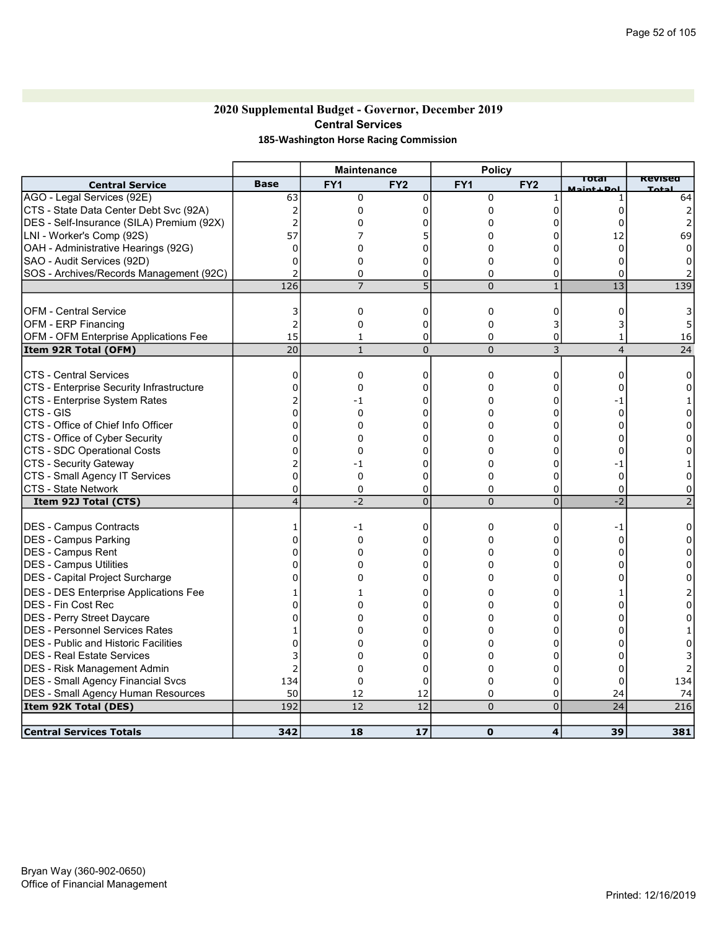# 2020 Supplemental Budget - Governor, December 2019 Central Services 185-Washington Horse Racing Commission

|                                           |                 | <b>Maintenance</b> |                 | <b>Policy</b>  |                 |                           |                 |
|-------------------------------------------|-----------------|--------------------|-----------------|----------------|-----------------|---------------------------|-----------------|
| <b>Central Service</b>                    | <b>Base</b>     | FY <sub>1</sub>    | FY <sub>2</sub> | FY1            | FY <sub>2</sub> | ा०ावा<br>Maint <b>Dal</b> | Revised         |
| AGO - Legal Services (92E)                | 63              | 0                  | $\mathbf 0$     | 0              |                 |                           | 64              |
| CTS - State Data Center Debt Svc (92A)    | 2               | 0                  | 0               | 0              | 0               | 0                         |                 |
| DES - Self-Insurance (SILA) Premium (92X) |                 | 0                  | 0               | 0              | 0               | 0                         |                 |
| LNI - Worker's Comp (92S)                 | 57              | 7                  |                 | 0              | 0               | 12                        | 69              |
| OAH - Administrative Hearings (92G)       | 0               | 0                  | 0               | 0              | 0               | 0                         | 0               |
| SAO - Audit Services (92D)                | 0               | 0                  | $\Omega$        | 0              | $\Omega$        | 0                         |                 |
| SOS - Archives/Records Management (92C)   | $\overline{2}$  | $\Omega$           | 0               | 0              | 0               | 0                         |                 |
|                                           | $\frac{126}{x}$ | $\overline{7}$     | 5               | $\overline{0}$ | $\mathbf{1}$    | $\overline{13}$           | 139             |
|                                           |                 |                    |                 |                |                 |                           |                 |
| <b>OFM - Central Service</b>              | 3               | 0                  | 0               | 0              | 0               | 0                         |                 |
| <b>OFM - ERP Financing</b>                | 2               | $\mathbf 0$        | 0               | 0              | 3               |                           |                 |
| OFM - OFM Enterprise Applications Fee     | 15              | $\mathbf{1}$       | 0               | 0              | 0               |                           | 16              |
| Item 92R Total (OFM)                      | $\overline{20}$ | $\mathbf{1}$       | $\overline{0}$  | $\overline{0}$ | 3               | $\overline{4}$            | $\overline{24}$ |
|                                           |                 |                    |                 |                |                 |                           |                 |
| <b>CTS - Central Services</b>             | 0               | $\mathbf 0$        | $\Omega$        | 0              | 0               | 0                         | O               |
| CTS - Enterprise Security Infrastructure  | 0               | 0                  | 0               | 0              | 0               | 0                         | 0               |
| CTS - Enterprise System Rates             |                 | -1                 | O               | 0              | $\mathbf 0$     | -1                        |                 |
| <b>CTS - GIS</b>                          | 0               | $\Omega$           | 0               | 0              | $\Omega$        | $\mathbf{0}$              |                 |
| CTS - Office of Chief Info Officer        | 0               | $\Omega$           | 0               | 0              | 0               | $\Omega$                  |                 |
| CTS - Office of Cyber Security            | 0               | $\Omega$           | 0               | 0              | 0               | $\Omega$                  |                 |
| CTS - SDC Operational Costs               | n               | $\Omega$           | C               | 0              | $\Omega$        | $\Omega$                  |                 |
| CTS - Security Gateway                    |                 | -1                 | 0               | 0              | 0               | -1                        |                 |
| CTS - Small Agency IT Services            | $\Omega$        | 0                  | $\Omega$        | 0              | 0               | $\mathbf 0$               |                 |
| CTS - State Network                       | 0               | 0                  | 0               | 0              | 0               | 0                         |                 |
| Item 92J Total (CTS)                      | $\overline{4}$  | $-2$               | $\overline{0}$  | $\overline{0}$ | $\overline{0}$  | $\overline{-2}$           |                 |
|                                           |                 |                    |                 |                |                 |                           |                 |
| <b>DES - Campus Contracts</b>             | 1               | $-1$               | 0               | 0              | 0               | -1                        | ŋ               |
| DES - Campus Parking                      | U               | 0                  | 0               | 0              | 0               | 0                         |                 |
| DES - Campus Rent                         |                 | $\Omega$           | C               | 0              | $\Omega$        | n                         |                 |
| <b>DES - Campus Utilities</b>             | 0               | 0                  | 0               | 0              | 0               | 0                         |                 |
| DES - Capital Project Surcharge           |                 | 0                  | O               | 0              | $\mathbf 0$     |                           |                 |
| DES - DES Enterprise Applications Fee     |                 | 1                  | O               | 0              | $\Omega$        |                           |                 |
| DES - Fin Cost Rec                        |                 | 0                  | 0               | 0              | 0               | n                         |                 |
| DES - Perry Street Daycare                |                 | 0                  |                 | 0              | $\Omega$        |                           |                 |
| DES - Personnel Services Rates            |                 | 0                  | 0               | 0              | 0               | 0                         |                 |
| DES - Public and Historic Facilities      | n               | 0                  | 0               | 0              | 0               | 0                         |                 |
| <b>DES</b> - Real Estate Services         |                 | 0                  | C               | 0              | 0               |                           |                 |
| <b>IDES - Risk Management Admin</b>       |                 | 0                  | 0               | 0              | 0               | 0                         |                 |
| DES - Small Agency Financial Svcs         | 134             | $\Omega$           | $\Omega$        | 0              | 0               | 0                         | 134             |
| <b>DES - Small Agency Human Resources</b> | 50              | 12                 | 12              | 0              | 0               | 24                        | 74              |
| Item 92K Total (DES)                      | 192             | 12                 | 12              | $\overline{0}$ | $\overline{0}$  | 24                        | 216             |
|                                           |                 |                    |                 |                |                 |                           |                 |
| <b>Central Services Totals</b>            | 342             | 18                 | 17              | $\mathbf 0$    | 4               | 39                        | 381             |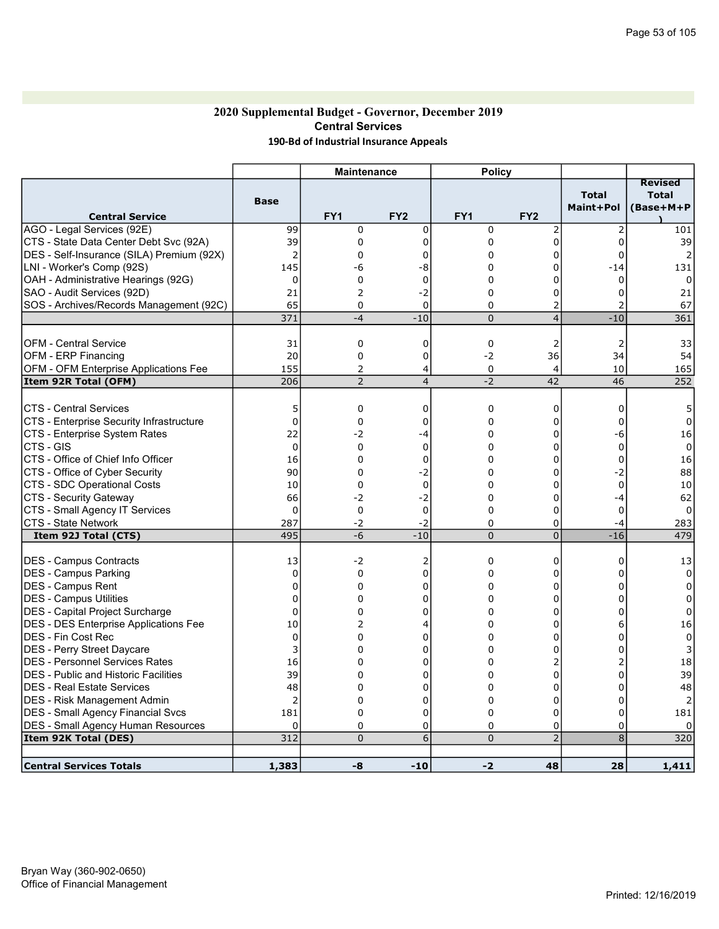### 2020 Supplemental Budget - Governor, December 2019 Central Services 190-Bd of Industrial Insurance Appeals

|                                                                                |                      | <b>Maintenance</b>      |                         | <b>Policy</b>       |                         |                           |                                             |
|--------------------------------------------------------------------------------|----------------------|-------------------------|-------------------------|---------------------|-------------------------|---------------------------|---------------------------------------------|
| <b>Central Service</b>                                                         | <b>Base</b>          | FY <sub>1</sub>         | FY <sub>2</sub>         | FY1                 | FY <sub>2</sub>         | <b>Total</b><br>Maint+Pol | <b>Revised</b><br><b>Total</b><br>(Base+M+P |
| AGO - Legal Services (92E)                                                     | 99                   | 0                       | $\mathbf 0$             | 0                   | $\overline{\mathbf{c}}$ | 2                         | 101                                         |
| CTS - State Data Center Debt Svc (92A)                                         | 39                   | 0                       | $\mathbf 0$             | 0                   | $\overline{0}$          | $\mathbf 0$               | 39                                          |
| DES - Self-Insurance (SILA) Premium (92X)                                      | 2                    | 0                       | 0                       | 0                   | 0                       | 0                         | 2                                           |
| LNI - Worker's Comp (92S)                                                      | 145                  | -6                      | -8                      | 0                   | 0                       | $-14$                     | 131                                         |
| OAH - Administrative Hearings (92G)                                            | 0                    | 0                       | 0                       | 0                   | 0                       | $\mathbf 0$               | $\Omega$                                    |
| SAO - Audit Services (92D)                                                     | 21                   | $\overline{2}$          | $-2$                    | 0                   | 0                       | 0                         | 21                                          |
| SOS - Archives/Records Management (92C)                                        | 65                   | 0                       | $\mathbf 0$             | 0                   | 2                       | $\overline{2}$            | 67                                          |
|                                                                                | 371                  | $-4$                    | $-10$                   | $\overline{0}$      | $\overline{4}$          | $-10$                     | 361                                         |
| <b>OFM - Central Service</b>                                                   | 31                   | 0                       | 0                       | 0                   | 2                       | 2                         | 33                                          |
| <b>OFM - ERP Financing</b>                                                     | 20                   | $\mathbf 0$             | 0                       | -2                  | 36                      | 34                        | 54                                          |
| OFM - OFM Enterprise Applications Fee                                          | 155                  | 2                       | $\overline{4}$          | 0                   | 4                       | 10                        | 165                                         |
| Item 92R Total (OFM)                                                           | 206                  | $\overline{2}$          | $\overline{4}$          | $-2$                | 42                      | 46                        | 252                                         |
| CTS - Central Services                                                         | 5                    | 0                       |                         |                     |                         |                           | 5                                           |
| CTS - Enterprise Security Infrastructure                                       | $\mathbf 0$          | 0                       | 0<br>0                  | 0<br>0              | 0<br>0                  | 0<br>$\mathbf 0$          | $\mathbf 0$                                 |
| CTS - Enterprise System Rates                                                  | 22                   | $-2$                    | -4                      | 0                   | $\mathbf 0$             | -6                        | 16                                          |
| CTS - GIS                                                                      | $\mathbf 0$          | 0                       | $\Omega$                | 0                   | $\Omega$                | $\Omega$                  | $\mathbf 0$                                 |
| CTS - Office of Chief Info Officer                                             | 16                   | 0                       | $\mathbf 0$             | 0                   | 0                       | $\mathbf 0$               | 16                                          |
| CTS - Office of Cyber Security                                                 | 90                   | 0                       | $-2$                    | 0                   | 0                       | $-2$                      | 88                                          |
| CTS - SDC Operational Costs                                                    | 10                   | 0                       | $\mathbf 0$             | 0                   | 0                       | 0                         | 10                                          |
| <b>CTS - Security Gateway</b>                                                  | 66                   | $-2$                    | $-2$                    | 0                   | 0                       | -4                        | 62                                          |
| CTS - Small Agency IT Services                                                 | $\mathbf 0$          | 0                       | $\mathbf 0$             | 0                   | $\overline{0}$          | $\mathbf 0$               | $\mathbf 0$                                 |
| <b>CTS - State Network</b>                                                     | 287                  | $-2$                    | $-2$                    | 0                   | 0                       | $-4$                      | 283                                         |
| Item 92J Total (CTS)                                                           | 495                  | $-6$                    | $-10$                   | $\overline{0}$      | $\overline{0}$          | $-16$                     | 479                                         |
|                                                                                |                      |                         |                         |                     |                         |                           |                                             |
| DES - Campus Contracts                                                         | 13                   | -2                      | $\overline{2}$          | 0                   | 0                       | 0                         | 13                                          |
| DES - Campus Parking                                                           | 0                    | 0                       | 0                       | 0                   | 0                       | 0                         | $\Omega$                                    |
| DES - Campus Rent                                                              | 0                    | 0                       | 0<br>$\Omega$           | 0<br>$\Omega$       | 0                       | 0<br>$\Omega$             | 0                                           |
| DES - Campus Utilities                                                         | $\Omega$<br>$\Omega$ | 0<br>0                  | $\Omega$                | 0                   | $\overline{0}$<br>0     | 0                         | $\mathbf 0$                                 |
| DES - Capital Project Surcharge                                                |                      | 2                       | 4                       | 0                   | $\Omega$                |                           | 0                                           |
| <b>DES - DES Enterprise Applications Fee</b>                                   | 10                   |                         |                         |                     |                         | 6<br>$\Omega$             | 16                                          |
| <b>IDES - Fin Cost Rec</b><br>DES - Perry Street Daycare                       | 0                    | 0<br>$\mathbf 0$        | 0<br>$\Omega$           | 0                   | 0<br>0                  | 0                         | 0                                           |
|                                                                                | 3                    |                         |                         | 0                   |                         |                           | 3                                           |
| IDES - Personnel Services Rates<br><b>DES</b> - Public and Historic Facilities | 16<br>39             | 0<br>0                  | $\Omega$<br>$\mathbf 0$ | 0                   | $\overline{2}$<br>0     | 2<br>0                    | 18<br>39                                    |
|                                                                                |                      |                         |                         | 0                   | $\Omega$                |                           |                                             |
| <b>IDES - Real Estate Services</b>                                             | 48<br>$\overline{2}$ | $\Omega$<br>$\mathbf 0$ | $\Omega$<br>$\Omega$    | 0<br>0              | $\Omega$                | 0<br>0                    | 48                                          |
| DES - Risk Management Admin                                                    |                      | 0                       | $\mathbf 0$             | 0                   | $\Omega$                |                           |                                             |
| <b>DES - Small Agency Financial Svcs</b>                                       | 181                  |                         |                         |                     |                         | 0                         | 181                                         |
| <b>DES</b> - Small Agency Human Resources<br>Item 92K Total (DES)              | $\Omega$<br>312      | 0<br>$\overline{0}$     | 0<br>$\overline{6}$     | 0<br>$\overline{0}$ | 0<br>$\overline{2}$     | 0<br>8                    | $\Omega$<br>320                             |
|                                                                                |                      |                         |                         |                     |                         |                           |                                             |
| <b>Central Services Totals</b>                                                 | 1,383                | -8                      | $-10$                   | $-2$                | 48                      | 28                        | 1,411                                       |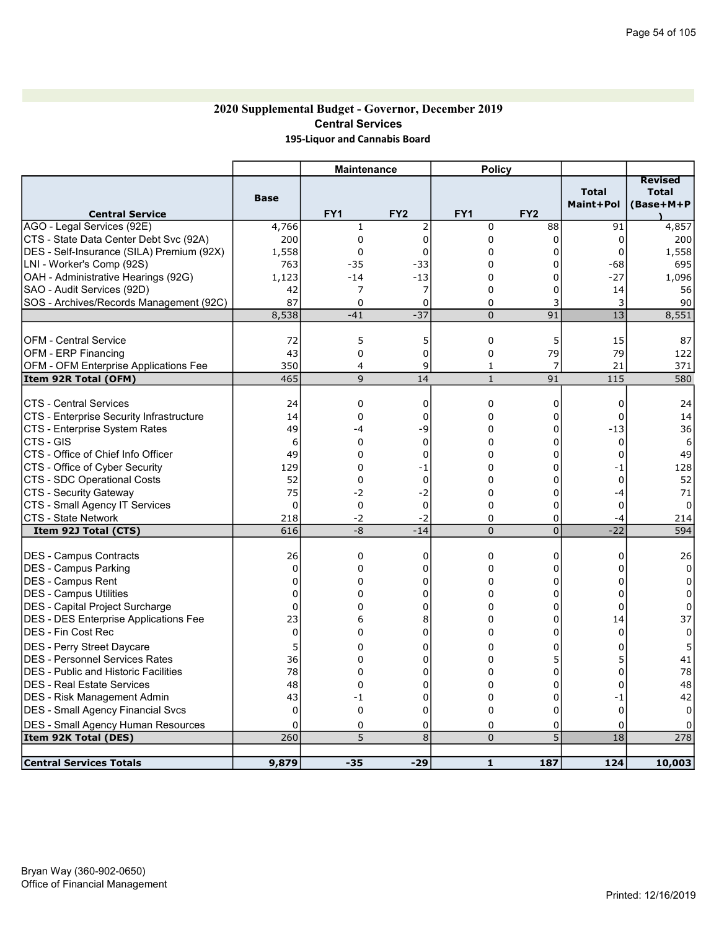### 2020 Supplemental Budget - Governor, December 2019 Central Services 195-Liquor and Cannabis Board

|                                              |             | <b>Maintenance</b> |                 | <b>Policy</b>   |                 |                           |                                             |
|----------------------------------------------|-------------|--------------------|-----------------|-----------------|-----------------|---------------------------|---------------------------------------------|
| <b>Central Service</b>                       | Base        | FY <sub>1</sub>    | FY <sub>2</sub> | FY <sub>1</sub> | FY <sub>2</sub> | <b>Total</b><br>Maint+Pol | <b>Revised</b><br><b>Total</b><br>(Base+M+P |
| AGO - Legal Services (92E)                   | 4,766       | $\mathbf{1}$       | $\overline{2}$  | 0               | 88              | 91                        | 4,857                                       |
| CTS - State Data Center Debt Svc (92A)       | 200         | 0                  | $\mathbf 0$     | 0               | 0               | $\mathbf 0$               | 200                                         |
| DES - Self-Insurance (SILA) Premium (92X)    | 1,558       | $\mathbf 0$        | 0               | 0               | 0               | 0                         | 1,558                                       |
| LNI - Worker's Comp (92S)                    | 763         | $-35$              | $-33$           | 0               | $\Omega$        | $-68$                     | 695                                         |
| OAH - Administrative Hearings (92G)          | 1,123       | $-14$              | $-13$           | $\Omega$        | 0               | $-27$                     | 1,096                                       |
| SAO - Audit Services (92D)                   | 42          | 7                  | 7               | 0               | 0               | 14                        | 56                                          |
| SOS - Archives/Records Management (92C)      | 87          | $\mathbf 0$        | $\mathbf 0$     | 0               | 3               | 3                         | 90                                          |
|                                              | 8,538       | $-41$              | $-37$           | $\overline{0}$  | 91              | 13                        | 8,551                                       |
| <b>OFM - Central Service</b>                 | 72          | 5                  | 5               | 0               | 5               | 15                        | 87                                          |
| <b>OFM - ERP Financing</b>                   | 43          | 0                  | $\mathbf 0$     | $\pmb{0}$       | 79              | 79                        | 122                                         |
| OFM - OFM Enterprise Applications Fee        | 350         | $\overline{4}$     | 9               | $\mathbf{1}$    | 7               | 21                        | 371                                         |
| Item 92R Total (OFM)                         | 465         | 9                  | 14              | $\mathbf{1}$    | 91              | 115                       | 580                                         |
| <b>CTS - Central Services</b>                | 24          | 0                  | 0               | 0               | 0               | 0                         | 24                                          |
| CTS - Enterprise Security Infrastructure     | 14          | $\mathbf 0$        | $\mathbf 0$     | 0               | 0               | 0                         | 14                                          |
| CTS - Enterprise System Rates                | 49          | -4                 | -9              | $\Omega$        | $\Omega$        | $-13$                     | 36                                          |
| ICTS - GIS                                   | 6           | $\Omega$           | $\mathbf{0}$    | $\Omega$        | $\Omega$        | $\Omega$                  | 6                                           |
| CTS - Office of Chief Info Officer           | 49          | 0                  | 0               | 0               | 0               | 0                         | 49                                          |
| CTS - Office of Cyber Security               | 129         | 0                  | $-1$            | 0               | 0               | -1                        | 128                                         |
| CTS - SDC Operational Costs                  | 52          | $\mathbf 0$        | $\mathbf 0$     | 0               | 0               | 0                         | 52                                          |
| CTS - Security Gateway                       | 75          | $-2$               | $-2$            | 0               | $\Omega$        | $-4$                      | 71                                          |
| CTS - Small Agency IT Services               | $\Omega$    | $\mathbf 0$        | $\mathbf 0$     | 0               | $\Omega$        | 0                         | $\Omega$                                    |
| CTS - State Network                          | 218         | $-2$               | $-2$            | 0               | 0               | $-4$                      | 214                                         |
| Item 92J Total (CTS)                         | 616         | -8                 | $-14$           | $\overline{0}$  | $\overline{0}$  | $-22$                     | 594                                         |
| <b>DES - Campus Contracts</b>                | 26          | $\mathbf 0$        | $\mathbf 0$     | 0               | 0               | 0                         | 26                                          |
| <b>DES - Campus Parking</b>                  | 0           | 0                  | $\mathbf 0$     | 0               | 0               | 0                         | 0                                           |
| <b>DES - Campus Rent</b>                     | $\Omega$    | $\Omega$           | $\Omega$        | $\Omega$        | $\Omega$        | $\Omega$                  | $\Omega$                                    |
| <b>DES - Campus Utilities</b>                | $\Omega$    | $\Omega$           | $\Omega$        | $\Omega$        | 0               | $\Omega$                  | $\Omega$                                    |
| DES - Capital Project Surcharge              | 0           | 0                  | $\Omega$        | 0               | 0               | $\Omega$                  | 0                                           |
| <b>DES - DES Enterprise Applications Fee</b> | 23          | 6                  | 8               | 0               | 0               | 14                        | 37                                          |
| DES - Fin Cost Rec                           | $\mathbf 0$ | 0                  | $\mathbf 0$     | 0               | 0               | $\mathbf 0$               | $\mathbf 0$                                 |
| DES - Perry Street Daycare                   | 5           | 0                  | $\Omega$        | $\Omega$        | $\Omega$        | $\Omega$                  | 5                                           |
| <b>DES - Personnel Services Rates</b>        | 36          | 0                  | $\Omega$        | 0               | 5               | 5                         | 41                                          |
| IDES - Public and Historic Facilities        | 78          | 0                  | $\Omega$        | 0               | 0               | 0                         | 78                                          |
| <b>DES - Real Estate Services</b>            | 48          | 0                  | $\Omega$        | 0               | 0               | 0                         | 48                                          |
| DES - Risk Management Admin                  | 43          | -1                 | $\Omega$        | $\Omega$        | $\Omega$        | -1                        | 42                                          |
| DES - Small Agency Financial Svcs            | $\Omega$    | $\Omega$           | $\Omega$        | $\Omega$        | $\Omega$        | $\Omega$                  | $\mathbf{0}$                                |
| <b>DES - Small Agency Human Resources</b>    | 0           | 0                  | 0               | 0               | 0               | 0                         |                                             |
| Item 92K Total (DES)                         | 260         | 5                  | 8               | $\overline{0}$  | 5               | 18                        | 278                                         |
| <b>Central Services Totals</b>               | 9,879       | $-35$              | $-29$           | $\mathbf{1}$    | 187             | 124                       | 10,003                                      |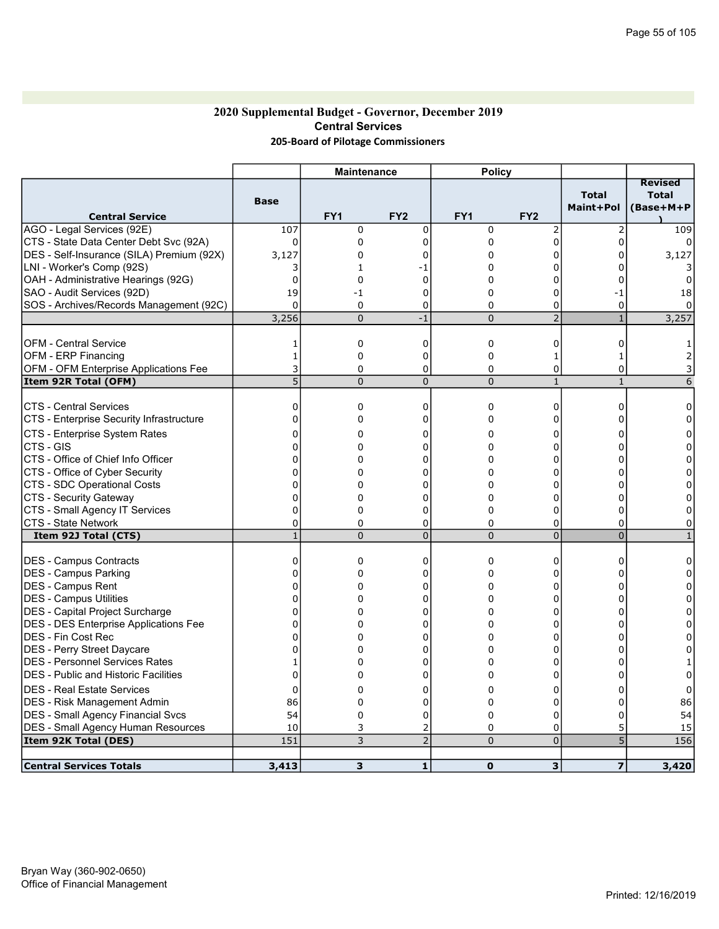### 2020 Supplemental Budget - Governor, December 2019 Central Services 205-Board of Pilotage Commissioners

|                                             |              | <b>Maintenance</b> |                 | <b>Policy</b>   |                 |                           |                                             |
|---------------------------------------------|--------------|--------------------|-----------------|-----------------|-----------------|---------------------------|---------------------------------------------|
| <b>Central Service</b>                      | Base         | FY1                | FY <sub>2</sub> | FY <sub>1</sub> | FY <sub>2</sub> | <b>Total</b><br>Maint+Pol | <b>Revised</b><br><b>Total</b><br>(Base+M+P |
| AGO - Legal Services (92E)                  | 107          | $\mathbf 0$        | $\mathbf 0$     | 0               | 2               | $\overline{2}$            | 109                                         |
| CTS - State Data Center Debt Svc (92A)      | 0            | 0                  | $\Omega$        | 0               | 0               | 0                         |                                             |
| DES - Self-Insurance (SILA) Premium (92X)   | 3,127        | 0                  | 0               | 0               | 0               | 0                         | 3,127                                       |
| LNI - Worker's Comp (92S)                   |              | $\mathbf{1}$       | -1              | 0               | $\Omega$        | 0                         |                                             |
| OAH - Administrative Hearings (92G)         | 0            | $\mathbf 0$        | $\mathbf 0$     | 0               | 0               | 0                         |                                             |
| SAO - Audit Services (92D)                  | 19           | $-1$               | $\Omega$        | 0               | 0               | $-1$                      | 18                                          |
| SOS - Archives/Records Management (92C)     | $\Omega$     | $\mathbf 0$        | $\mathbf 0$     | 0               | 0               | 0                         |                                             |
|                                             | 3,256        | $\Omega$           | $-1$            | $\overline{0}$  | $\overline{2}$  | $\mathbf{1}$              | 3,257                                       |
| OFM - Central Service                       | 1            | 0                  | 0               | 0               | 0               | 0                         |                                             |
| OFM - ERP Financing                         | 1            | $\mathbf 0$        | $\mathbf 0$     | 0               | 1               | 1                         |                                             |
| OFM - OFM Enterprise Applications Fee       | 3            | $\mathbf 0$        | 0               | 0               | 0               | 0                         |                                             |
| Item 92R Total (OFM)                        | 5            | $\Omega$           | $\Omega$        | $\Omega$        | $\mathbf{1}$    | $\mathbf{1}$              | 6                                           |
|                                             |              |                    |                 |                 |                 |                           |                                             |
| ICTS - Central Services                     | 0            | $\mathbf 0$        | $\mathbf 0$     | 0               | 0               | $\Omega$                  | 0                                           |
| CTS - Enterprise Security Infrastructure    | 0            | $\mathbf 0$        | $\Omega$        | 0               | 0               | 0                         |                                             |
| CTS - Enterprise System Rates               | 0            | 0                  | 0               | $\Omega$        | 0               | $\Omega$                  | 0                                           |
| CTS - GIS                                   |              | 0                  | $\Omega$        | 0               | $\overline{0}$  | 0                         | 0                                           |
| ICTS - Office of Chief Info Officer         | U            | 0                  | $\Omega$        | 0               | $\overline{0}$  | 0                         | O                                           |
| CTS - Office of Cyber Security              |              | 0                  | 0               | $\Omega$        | $\Omega$        | U                         |                                             |
| CTS - SDC Operational Costs                 | 0            | 0                  | $\Omega$        | 0               | $\Omega$        | O                         | 0                                           |
| CTS - Security Gateway                      | 0            | 0                  | 0               | 0               | 0               | U                         | 0                                           |
| CTS - Small Agency IT Services              | 0            | 0                  | $\mathbf 0$     | 0               | 0               | $\Omega$                  | 0                                           |
| <b>CTS - State Network</b>                  | 0            | 0                  | 0               | $\Omega$        | 0               | $\Omega$                  | 0                                           |
| Item 92J Total (CTS)                        | $\mathbf{1}$ | $\Omega$           | $\Omega$        | $\Omega$        | $\overline{0}$  | $\overline{0}$            |                                             |
| <b>DES - Campus Contracts</b>               | 0            |                    | $\mathbf 0$     | 0               | 0               | 0                         | 0                                           |
| <b>IDES - Campus Parking</b>                | 0            | 0<br>0             | 0               | 0               | 0               | 0                         | 0                                           |
| <b>DES - Campus Rent</b>                    | C            | 0                  | 0               | 0               | 0               | 0                         | 0                                           |
| <b>DES - Campus Utilities</b>               | ŋ            | 0                  | $\Omega$        | $\Omega$        | $\overline{0}$  | 0                         | $\Omega$                                    |
| DES - Capital Project Surcharge             | 0            | 0                  | 0               | $\mathbf 0$     | 0               | 0                         | 0                                           |
| DES - DES Enterprise Applications Fee       | 0            | 0                  | $\Omega$        | $\Omega$        | $\Omega$        | 0                         | 0                                           |
| DES - Fin Cost Rec                          | 0            | 0                  | 0               | 0               | 0               | 0                         | 0                                           |
| DES - Perry Street Daycare                  | 0            | 0                  | $\Omega$        | 0               | $\overline{0}$  | 0                         | 0                                           |
| <b>DES - Personnel Services Rates</b>       | 1            | 0                  | 0               | 0               | 0               | 0                         |                                             |
| <b>DES - Public and Historic Facilities</b> | 0            | 0                  | $\Omega$        | 0               | 0               | O                         | 0                                           |
| <b>DES - Real Estate Services</b>           | 0            | 0                  | 0               | 0               | 0               | 0                         | 0                                           |
| DES - Risk Management Admin                 | 86           | 0                  | $\Omega$        | 0               | 0               | 0                         | 86                                          |
| DES - Small Agency Financial Svcs           | 54           | 0                  | $\mathbf 0$     | 0               | 0               | $\Omega$                  | 54                                          |
| <b>DES - Small Agency Human Resources</b>   | 10           | 3                  | $\overline{2}$  | 0               | 0               | 5                         | 15                                          |
| Item 92K Total (DES)                        | 151          | 3                  | $\overline{2}$  | $\Omega$        | $\overline{0}$  | 5                         | 156                                         |
|                                             |              |                    |                 |                 |                 |                           |                                             |
| <b>Central Services Totals</b>              | 3,413        | 3                  | 1               | $\mathbf 0$     | 3               | $\overline{\mathbf{z}}$   | 3,420                                       |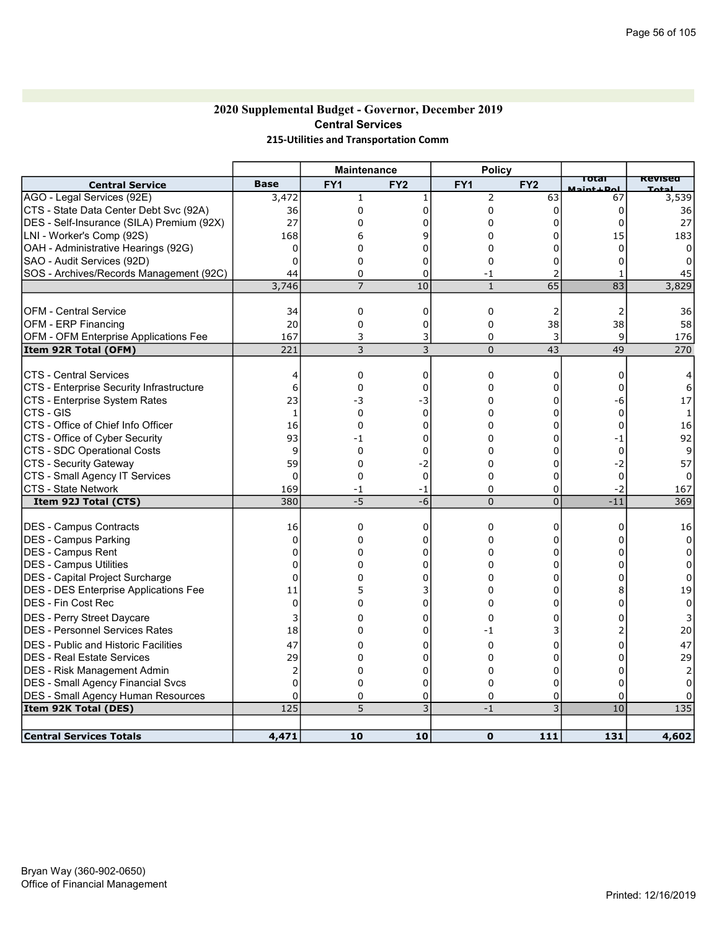# 2020 Supplemental Budget - Governor, December 2019 Central Services 215-Utilities and Transportation Comm

|                                              |                 | <b>Maintenance</b> |                 | <b>Policy</b>   |                 |                      |                |
|----------------------------------------------|-----------------|--------------------|-----------------|-----------------|-----------------|----------------------|----------------|
| <b>Central Service</b>                       | <b>Base</b>     | FY <sub>1</sub>    | FY <sub>2</sub> | FY <sub>1</sub> | FY <sub>2</sub> | Total<br>Maint + Dol | <b>Revised</b> |
| AGO - Legal Services (92E)                   | 3,472           | $\mathbf{1}$       | $\mathbf{1}$    | 2               | 63              | 67                   | 3,539          |
| CTS - State Data Center Debt Svc (92A)       | 36              | $\mathbf 0$        | 0               | 0               | 0               | 0                    | 36             |
| DES - Self-Insurance (SILA) Premium (92X)    | 27              | $\mathbf 0$        | 0               | 0               | 0               | $\Omega$             | 27             |
| LNI - Worker's Comp (92S)                    | 168             | 6                  |                 | 0               | 0               | 15                   | 183            |
| OAH - Administrative Hearings (92G)          | $\mathbf 0$     | 0                  | $\Omega$        | 0               | 0               | $\Omega$             |                |
| SAO - Audit Services (92D)                   | $\Omega$        | $\mathbf 0$        | 0               | 0               | 0               | 0                    | 0              |
| SOS - Archives/Records Management (92C)      | 44              | $\mathbf 0$        | 0               | $-1$            | 2               |                      | 45             |
|                                              | 3,746           | $\overline{7}$     | 10              | $\mathbf{1}$    | 65              | 83                   | 3,829          |
|                                              |                 |                    |                 |                 |                 |                      |                |
| <b>OFM - Central Service</b>                 | 34              | 0                  | 0               | 0               | 2               | 2                    | 36             |
| OFM - ERP Financing                          | 20              | $\mathbf 0$        | 0               | 0               | 38              | 38                   | 58             |
| OFM - OFM Enterprise Applications Fee        | 167             | 3                  | 3               | 0               | 3               | 9                    | 176            |
| Item 92R Total (OFM)                         | 221             | 3                  | 3               | 0               | 43              | 49                   | 270            |
| <b>CTS - Central Services</b>                | 4               | 0                  | 0               | 0               | 0               | 0                    |                |
| CTS - Enterprise Security Infrastructure     | 6               | $\mathbf 0$        | 0               | 0               | 0               | 0                    | 6              |
| CTS - Enterprise System Rates                | 23              | -3                 | -3              | 0               | 0               | -6                   | 17             |
| CTS - GIS                                    | 1               | $\mathbf 0$        | $\Omega$        | 0               | 0               | $\mathbf 0$          | -1             |
| ICTS - Office of Chief Info Officer          | 16              | $\mathbf 0$        | 0               | 0               | 0               | $\mathbf 0$          | 16             |
| CTS - Office of Cyber Security               | 93              | -1                 | $\Omega$        | $\Omega$        | 0               | -1                   | 92             |
| CTS - SDC Operational Costs                  | 9               | $\mathbf 0$        | 0               | 0               | 0               | 0                    | 9              |
| CTS - Security Gateway                       | 59              | 0                  | -2              | 0               | 0               | $-2$                 | 57             |
| CTS - Small Agency IT Services               | $\mathbf 0$     | $\mathbf 0$        | $\mathbf 0$     | 0               | 0               | $\mathbf 0$          |                |
| CTS - State Network                          | 169             | -1                 | -1              | 0               | 0               | $-2$                 | 167            |
| Item 92J Total (CTS)                         | 380             | $-5$               | $-6$            | $\overline{0}$  | $\overline{0}$  | $-11$                | 369            |
|                                              |                 |                    |                 |                 |                 |                      |                |
| DES - Campus Contracts                       | 16              | $\mathbf 0$        | 0               | 0               | 0               | 0                    | 16             |
| <b>DES - Campus Parking</b>                  | $\Omega$        | $\Omega$           | O               | 0               | 0               | በ                    | 0              |
| DES - Campus Rent                            | $\Omega$        | 0                  | 0               | 0               | 0               | <sup>0</sup>         |                |
| <b>DES - Campus Utilities</b>                | 0               | $\Omega$           | O               | 0               | 0               | n                    | U              |
| DES - Capital Project Surcharge              | $\Omega$        | $\mathbf 0$        |                 | 0               | 0               | በ                    |                |
| <b>DES - DES Enterprise Applications Fee</b> | 11              | 5                  |                 | 0               | 0               | 8                    | 19             |
| DES - Fin Cost Rec                           | $\Omega$        | $\Omega$           | $\Omega$        | 0               | 0               | n                    | $\Omega$       |
| DES - Perry Street Daycare                   | 3               | $\Omega$           | O               | 0               | 0               | በ                    |                |
| <b>DES - Personnel Services Rates</b>        | 18              | $\mathbf 0$        | $\Omega$        | $-1$            | 3               |                      | 20             |
| <b>IDES - Public and Historic Facilities</b> | 47              | $\Omega$           | 0               | 0               | 0               | 0                    | 47             |
| <b>DES - Real Estate Services</b>            | 29              | 0                  | 0               | 0               | 0               | በ                    | 29             |
| DES - Risk Management Admin                  | $\overline{2}$  | 0                  | $\Omega$        | 0               | $\Omega$        | n                    |                |
| DES - Small Agency Financial Svcs            | 0               | 0                  | 0               | 0               | 0               | 0                    | 0              |
| <b>DES - Small Agency Human Resources</b>    | $\Omega$        | 0                  | 0               | 0               | 0               | 0                    |                |
| Item 92K Total (DES)                         | $\frac{125}{2}$ | 5                  | 3               | $-1$            | 3               | 10                   | 135            |
|                                              |                 |                    |                 |                 |                 |                      |                |
| <b>Central Services Totals</b>               | 4,471           | 10                 | 10              | $\mathbf 0$     | 111             | 131                  | 4,602          |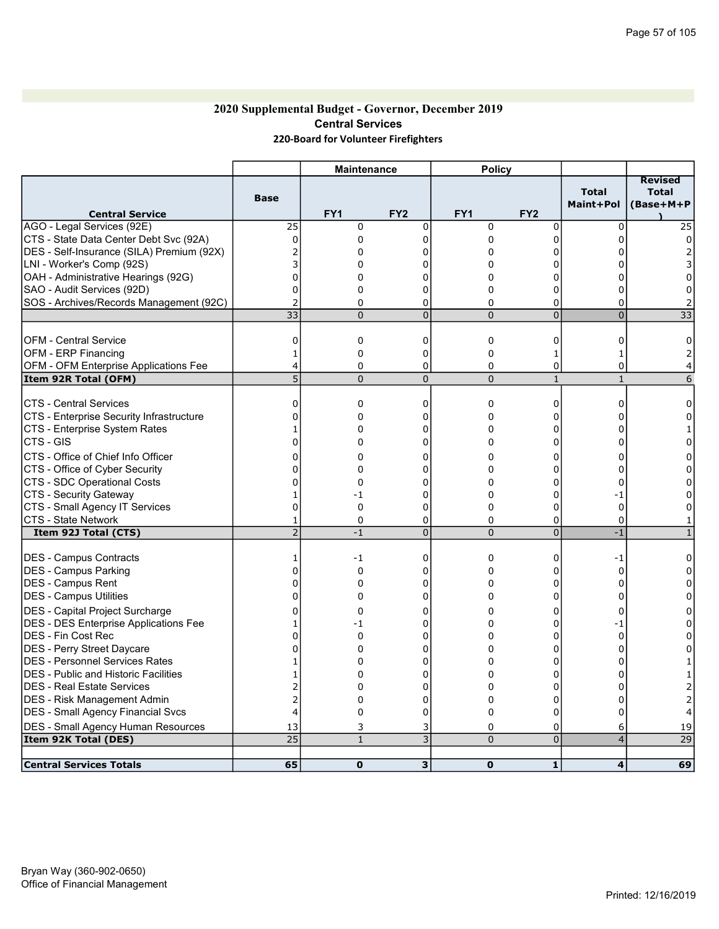## 2020 Supplemental Budget - Governor, December 2019 Central Services 220-Board for Volunteer Firefighters

|                                              |                         | <b>Maintenance</b>  |                     | <b>Policy</b>       |                     |                           |                                             |
|----------------------------------------------|-------------------------|---------------------|---------------------|---------------------|---------------------|---------------------------|---------------------------------------------|
| <b>Central Service</b>                       | <b>Base</b>             | FY <sub>1</sub>     | FY <sub>2</sub>     | FY1                 | FY <sub>2</sub>     | <b>Total</b><br>Maint+Pol | <b>Revised</b><br><b>Total</b><br>(Base+M+P |
| AGO - Legal Services (92E)                   | 25                      | 0                   | $\mathbf 0$         | 0                   | 0                   | $\mathbf 0$               | 25                                          |
| CTS - State Data Center Debt Svc (92A)       | $\Omega$                | 0                   | $\Omega$            | 0                   | 0                   | 0                         | $\Omega$                                    |
| DES - Self-Insurance (SILA) Premium (92X)    |                         | 0                   | 0                   | 0                   | 0                   | U                         |                                             |
| LNI - Worker's Comp (92S)                    |                         | 0                   | 0                   | $\Omega$            | 0                   | U                         |                                             |
| OAH - Administrative Hearings (92G)          | $\Omega$                | 0                   | 0                   | 0                   | 0                   | 0                         | 0                                           |
| SAO - Audit Services (92D)                   | $\Omega$                | $\Omega$            | $\Omega$            | 0                   | $\mathbf 0$         | $\Omega$                  | 0                                           |
| SOS - Archives/Records Management (92C)      | $\overline{2}$          | $\Omega$            | 0                   | 0                   | 0                   | $\Omega$                  |                                             |
|                                              | $\overline{33}$         | $\Omega$            | $\overline{0}$      | $\overline{0}$      | $\overline{0}$      | $\Omega$                  | $\overline{33}$                             |
| <b>OFM - Central Service</b>                 | $\mathbf 0$             | 0                   | 0                   | 0                   | 0                   | 0                         | 0                                           |
| <b>OFM - ERP Financing</b>                   | $\mathbf{1}$            | $\mathbf 0$         | $\Omega$            | 0                   | $\mathbf 1$         | 1                         |                                             |
| <b>OFM - OFM Enterprise Applications Fee</b> | 4                       | 0                   | 0                   | 0                   | 0                   | 0                         |                                             |
| Item 92R Total (OFM)                         | $\overline{5}$          | $\overline{0}$      | $\mathbf{0}$        | $\overline{0}$      | $\mathbf{1}$        | $\mathbf{1}$              | 6                                           |
| <b>CTS - Central Services</b>                | $\mathbf 0$             | 0                   | 0                   | 0                   | 0                   | 0                         | 0                                           |
| CTS - Enterprise Security Infrastructure     | 0                       | 0                   | 0                   | 0                   | 0                   | 0                         | 0                                           |
| CTS - Enterprise System Rates                | 1                       | 0                   | 0                   | 0                   | 0                   | 0                         |                                             |
| CTS - GIS                                    | 0                       | 0                   | $\Omega$            | 0                   | 0                   | 0                         | 0                                           |
|                                              |                         |                     |                     |                     |                     |                           |                                             |
| CTS - Office of Chief Info Officer           | 0                       | 0                   | 0                   | 0                   | 0                   | 0                         | 0                                           |
| CTS - Office of Cyber Security               | $\Omega$                | $\Omega$            | $\Omega$            | 0                   | $\mathbf 0$         | $\Omega$                  | 0                                           |
| CTS - SDC Operational Costs                  | $\Omega$                | 0                   | 0                   | 0                   | 0                   | 0                         | 0                                           |
| CTS - Security Gateway                       | 1                       | $-1$                | 0                   | 0                   | 0                   | -1                        | 0                                           |
| CTS - Small Agency IT Services               | 0                       | 0                   | $\Omega$            | 0                   | 0                   | $\mathbf 0$<br>0          |                                             |
| CTS - State Network<br>Item 92J Total (CTS)  | 1<br>$\overline{2}$     | $\mathbf 0$<br>$-1$ | 0<br>$\overline{0}$ | 0<br>$\overline{0}$ | 0<br>$\overline{0}$ | $-1$                      |                                             |
|                                              |                         |                     |                     |                     |                     |                           |                                             |
| DES - Campus Contracts                       | 1                       | -1                  | 0                   | 0                   | 0                   | -1                        | 0                                           |
| DES - Campus Parking                         | 0                       | 0                   | 0                   | 0                   | 0                   | 0                         | 0                                           |
| <b>DES - Campus Rent</b>                     | $\Omega$                | 0                   | $\Omega$            | 0                   | 0                   | $\Omega$                  | 0                                           |
| DES - Campus Utilities                       | $\Omega$                | 0                   | $\Omega$            | 0                   | 0                   | $\Omega$                  | $\Omega$                                    |
| DES - Capital Project Surcharge              | 0                       | 0                   | 0                   | 0                   | 0                   | 0                         | 0                                           |
| <b>DES - DES Enterprise Applications Fee</b> | 1                       | -1                  | 0                   | 0                   | 0                   | $-1$                      | 0                                           |
| IDES - Fin Cost Rec                          | $\Omega$                | 0                   | 0                   | 0                   | 0                   | $\mathbf 0$               | 0                                           |
| DES - Perry Street Daycare                   | $\Omega$                | $\overline{0}$      | $\Omega$            | 0                   | $\overline{0}$      | 0                         | 0                                           |
| IDES - Personnel Services Rates              | $\mathbf{1}$            | 0                   | 0                   | 0                   | 0                   | $\Omega$                  |                                             |
| IDES - Public and Historic Facilities        | 1                       | 0                   | 0                   | 0                   | 0                   | n                         |                                             |
| DES - Real Estate Services                   | $\overline{2}$          | 0                   | 0                   | 0                   | 0                   | n                         |                                             |
| DES - Risk Management Admin                  | 2                       | 0                   | 0                   | 0                   | 0                   | U                         | 2                                           |
| <b>DES - Small Agency Financial Svcs</b>     | $\overline{\mathbf{4}}$ | 0                   | $\mathbf 0$         | 0                   | 0                   | $\Omega$                  |                                             |
| <b>DES - Small Agency Human Resources</b>    | 13                      | 3                   | 3                   | 0                   | 0                   | 6                         | 19                                          |
| Item 92K Total (DES)                         | 25                      | $\mathbf{1}$        | 3                   | $\overline{0}$      | $\overline{0}$      | $\overline{4}$            | $\overline{29}$                             |
| <b>Central Services Totals</b>               | 65                      | $\mathbf 0$         | 3                   | $\mathbf 0$         | 1                   | $\overline{4}$            | 69                                          |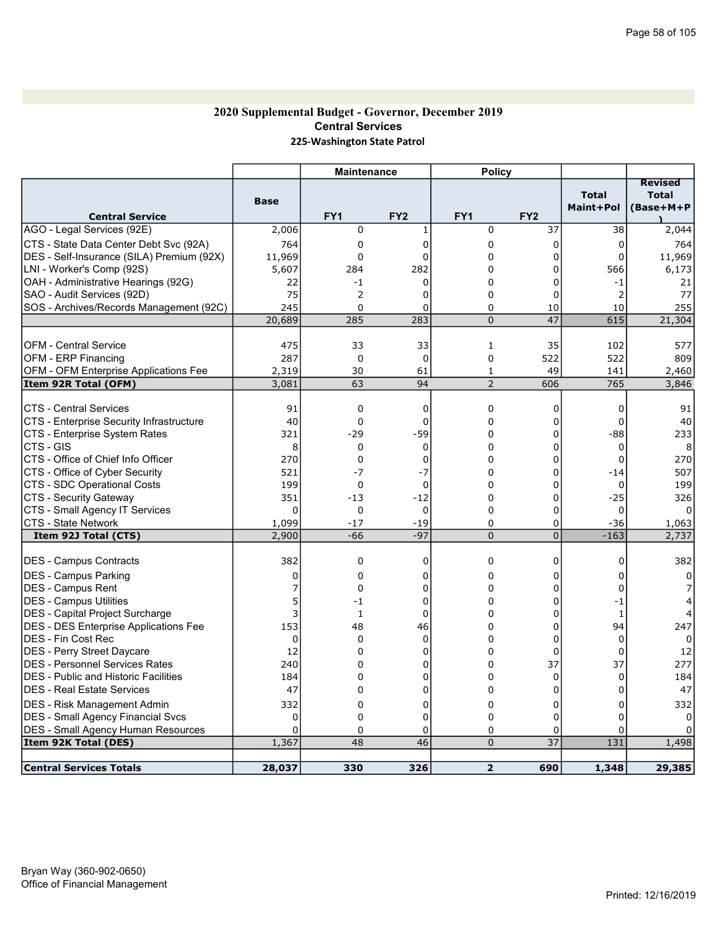### 2020 Supplemental Budget - Governor, December 2019 Central Services 225-Washington State Patrol

|                                                     |              | <b>Maintenance</b> |                 | <b>Policy</b>           |                 |                           |                                             |
|-----------------------------------------------------|--------------|--------------------|-----------------|-------------------------|-----------------|---------------------------|---------------------------------------------|
| <b>Central Service</b>                              | <b>Base</b>  | FY <sub>1</sub>    | FY <sub>2</sub> | FY <sub>1</sub>         | FY <sub>2</sub> | <b>Total</b><br>Maint+Pol | <b>Revised</b><br><b>Total</b><br>(Base+M+P |
| AGO - Legal Services (92E)                          | 2,006        | 0                  | $\mathbf{1}$    | 0                       | 37              | 38                        | 2,044                                       |
| CTS - State Data Center Debt Svc (92A)              | 764          | 0                  | 0               | 0                       | $\mathbf 0$     | $\Omega$                  | 764                                         |
| DES - Self-Insurance (SILA) Premium (92X)           | 11,969       | $\mathbf 0$        | 0               | 0                       | $\mathbf 0$     | 0                         | 11,969                                      |
| LNI - Worker's Comp (92S)                           | 5,607        | 284                | 282             | 0                       | 0               | 566                       | 6,173                                       |
| OAH - Administrative Hearings (92G)                 | 22           | $-1$               | $\Omega$        | 0                       | $\Omega$        | -1                        | 21                                          |
| SAO - Audit Services (92D)                          | 75           | $\overline{2}$     | $\Omega$        | 0                       | $\Omega$        | $\overline{2}$            | 77                                          |
| SOS - Archives/Records Management (92C)             | 245          | $\mathbf 0$        | $\Omega$        | 0                       | 10              | 10                        | 255                                         |
|                                                     | 20,689       | 285                | 283             | $\overline{0}$          | 47              | 615                       | 21,304                                      |
|                                                     |              |                    |                 |                         |                 |                           |                                             |
| <b>OFM - Central Service</b><br>OFM - ERP Financing | 475          | 33<br>0            | 33<br>0         | 1<br>0                  | 35              | 102<br>522                | 577                                         |
| OFM - OFM Enterprise Applications Fee               | 287<br>2,319 | 30                 | 61              | 1                       | 522<br>49       | 141                       | 809<br>2,460                                |
| Item 92R Total (OFM)                                | 3,081        | 63                 | 94              | $\overline{2}$          | 606             | 765                       | 3,846                                       |
|                                                     |              |                    |                 |                         |                 |                           |                                             |
| <b>CTS - Central Services</b>                       | 91           | $\mathbf 0$        | 0               | 0                       | 0               | 0                         | 91                                          |
| CTS - Enterprise Security Infrastructure            | 40           | $\Omega$           | $\Omega$        | 0                       | $\Omega$        | $\mathbf{0}$              | 40                                          |
| CTS - Enterprise System Rates                       | 321          | -29                | $-59$           | 0                       | 0               | $-88$                     | 233                                         |
| <b>CTS - GIS</b>                                    | 8            | 0                  | $\Omega$        | 0                       | $\Omega$        | $\Omega$                  | 8                                           |
| CTS - Office of Chief Info Officer                  | 270          | $\Omega$           | $\Omega$        | 0                       | $\mathbf 0$     | $\Omega$                  | 270                                         |
| CTS - Office of Cyber Security                      | 521          | $-7$               | $-7$            | 0                       | 0               | $-14$                     | 507                                         |
| CTS - SDC Operational Costs                         | 199          | 0                  | $\mathbf 0$     | 0                       | 0               | 0                         | 199                                         |
| <b>CTS - Security Gateway</b>                       | 351          | $-13$              | $-12$           | 0                       | $\Omega$        | $-25$                     | 326                                         |
| CTS - Small Agency IT Services                      | 0            | $\mathbf 0$        | 0               | 0                       | 0               | 0                         |                                             |
| <b>CTS - State Network</b>                          | 1,099        | $-17$              | $-19$           | 0                       | 0               | $-36$                     | 1,063                                       |
| Item 92J Total (CTS)                                | 2,900        | $-66$              | $-97$           | 0                       | $\overline{0}$  | $-163$                    | 2,737                                       |
| DES - Campus Contracts                              | 382          | 0                  | $\mathbf 0$     | 0                       | 0               | 0                         | 382                                         |
| DES - Campus Parking                                | $\Omega$     | $\mathbf 0$        | $\Omega$        | 0                       | $\Omega$        | 0                         |                                             |
| <b>DES - Campus Rent</b>                            |              | $\Omega$           | $\Omega$        | 0                       | 0               | 0                         |                                             |
| IDES - Campus Utilities                             | 5            | -1                 | $\Omega$        | 0                       | $\Omega$        | $-1$                      |                                             |
| DES - Capital Project Surcharge                     | 3            | $\mathbf{1}$       | 0               | 0                       | 0               | 1                         |                                             |
| <b>IDES - DES Enterprise Applications Fee</b>       | 153          | 48                 | 46              | 0                       | $\Omega$        | 94                        | 247                                         |
| IDES - Fin Cost Rec                                 | 0            | $\Omega$           | $\Omega$        | 0                       | $\mathbf 0$     | $\Omega$                  | $\Omega$                                    |
| DES - Perry Street Daycare                          | 12           | $\mathbf 0$        | $\Omega$        | 0                       | $\mathbf 0$     | $\mathbf{0}$              | 12                                          |
| IDES - Personnel Services Rates                     | 240          | 0                  | $\Omega$        | 0                       | 37              | 37                        | 277                                         |
| DES - Public and Historic Facilities                | 184          | 0                  | 0               | 0                       | 0               | $\mathbf 0$               | 184                                         |
| <b>IDES - Real Estate Services</b>                  | 47           | $\mathbf 0$        | $\Omega$        | 0                       | $\Omega$        | $\Omega$                  | 47                                          |
| DES - Risk Management Admin                         | 332          | $\Omega$           | 0               | 0                       | 0               | 0                         | 332                                         |
| <b>DES - Small Agency Financial Svcs</b>            | $\Omega$     | $\mathbf 0$        | $\overline{0}$  | 0                       | $\Omega$        | $\Omega$                  | $\Omega$                                    |
| <b>DES - Small Agency Human Resources</b>           | $\Omega$     | $\mathbf 0$        | 0<br>46         | 0                       | 0<br>37         | 0                         |                                             |
| Item 92K Total (DES)                                | 1,367        | 48                 |                 | $\overline{0}$          |                 | 131                       | 1,498                                       |
| <b>Central Services Totals</b>                      | 28,037       | 330                | 326             | $\overline{\mathbf{2}}$ | 690             | 1,348                     | 29,385                                      |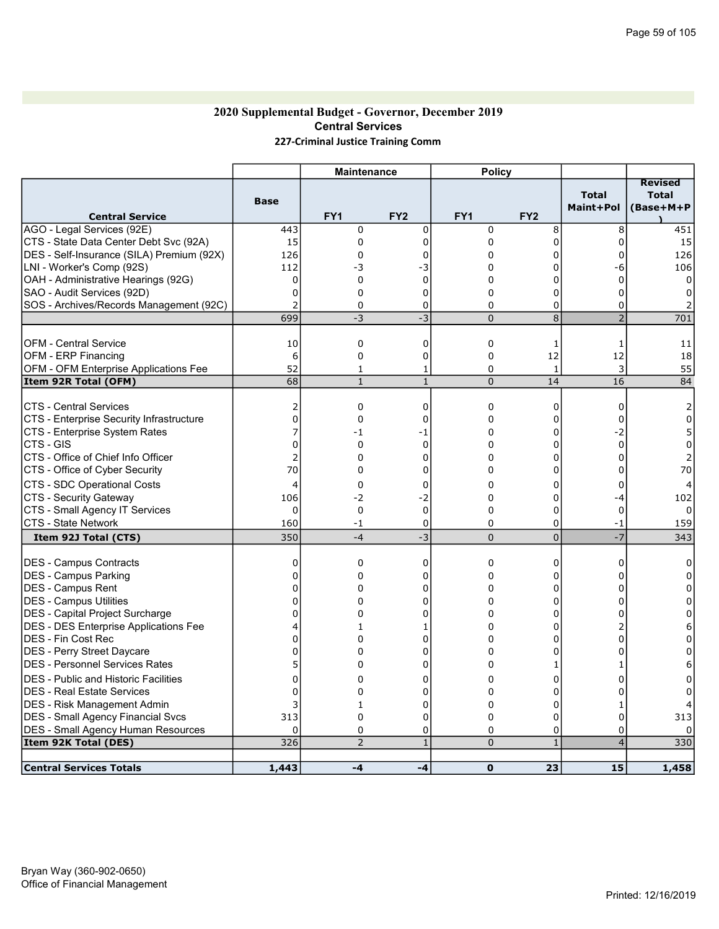### 2020 Supplemental Budget - Governor, December 2019 Central Services 227-Criminal Justice Training Comm

| <b>Total</b><br><b>Total</b><br><b>Base</b><br>Maint+Pol<br>(Base+M+P<br>FY <sub>1</sub><br>FY <sub>2</sub><br>FY <sub>1</sub><br>FY <sub>2</sub><br><b>Central Service</b><br>AGO - Legal Services (92E)<br>0<br>8<br>8<br>451<br>$\mathbf 0$<br>$\mathbf 0$<br>443<br>0<br>CTS - State Data Center Debt Svc (92A)<br>15<br>0<br>$\Omega$<br>0<br>15<br>$\Omega$<br>DES - Self-Insurance (SILA) Premium (92X)<br>126<br>0<br>126<br>0<br>0<br>0<br>0<br>LNI - Worker's Comp (92S)<br>112<br>-3<br>-3<br>0<br>0<br>-6<br>106<br>OAH - Administrative Hearings (92G)<br>$\mathbf 0$<br>$\mathbf 0$<br>0<br>0<br>$\mathbf 0$<br>$\mathbf 0$<br>$\mathbf 0$<br>0<br>SAO - Audit Services (92D)<br>$\mathbf 0$<br>$\mathbf 0$<br>0<br>$\Omega$<br>$\Omega$<br>$\Omega$<br>SOS - Archives/Records Management (92C)<br>$\overline{2}$<br>$\Omega$<br>0<br>0<br>0<br>$\Omega$<br>$-3$<br>8<br>699<br>$-3$<br>$\overline{0}$<br>$\overline{2}$<br>701<br>IOFM - Central Service<br>$\mathbf 0$<br>0<br>$\mathbf 0$<br>10<br>11<br>1<br>1<br>OFM - ERP Financing<br>$\mathbf 0$<br>$\mathbf 0$<br>0<br>12<br>12<br>6<br>18<br>OFM - OFM Enterprise Applications Fee<br>52<br>55<br>0<br>$\mathbf{1}$<br>3<br>1<br>1<br>68<br>Item 92R Total (OFM)<br>$\mathbf{1}$<br>$\mathbf 0$<br>14<br>84<br>$\mathbf{1}$<br>16<br><b>CTS - Central Services</b><br>$\mathbf 0$<br>$\mathbf 0$<br>0<br>0<br>0<br>2<br>2<br>CTS - Enterprise Security Infrastructure<br>0<br>$\mathbf 0$<br>0<br>0<br>0<br>0<br>0<br>0<br>$-2$<br>CTS - Enterprise System Rates<br>5<br>-1<br>-1<br>0<br> CTS - GIS<br>$\mathbf 0$<br>$\mathbf 0$<br>0<br>$\mathbf 0$<br>0<br>0<br>$\Omega$<br>CTS - Office of Chief Info Officer<br>0<br>0<br>0<br>2<br>$\mathbf 0$<br>$\Omega$<br>70<br>CTS - Office of Cyber Security<br>$\Omega$<br>$\Omega$<br>$\Omega$<br>$\Omega$<br>70<br>$\Omega$<br>CTS - SDC Operational Costs<br>$\mathbf 0$<br>0<br>4<br>0<br>0<br>0<br>CTS - Security Gateway<br>$-2$<br>$-2$<br>106<br>0<br>0<br>-4<br>102<br>CTS - Small Agency IT Services<br>0<br>$\mathbf 0$<br>$\mathbf 0$<br>0<br>0<br>$\mathbf 0$<br>$\Omega$<br>0<br>CTS - State Network<br>160<br>$\mathbf 0$<br>159<br>-1<br>$-1$<br>$\overline{0}$<br>-3<br>$-7$<br>343<br>350<br>$-4$<br>$\mathbf 0$<br>Item 92J Total (CTS)<br>$\Omega$<br>0<br>$\Omega$<br>0<br>0<br>$\Omega$<br>$\Omega$<br>$\Omega$<br>$\Omega$<br>$\Omega$<br>$\Omega$<br>O<br>C<br>$\Omega$<br>$\Omega$<br>$\Omega$<br>0<br>0<br>0<br>$\Omega$<br>0<br>0<br>$\Omega$<br>$\Omega$<br>$\Omega$<br>0<br>$\Omega$<br>0<br>0<br>0<br>0<br>0<br>0<br>0<br>0<br>$\Omega$<br>0<br>$\mathbf{1}$<br>6<br>1<br>0<br>0<br>$\Omega$<br>$\Omega$<br>$\Omega$<br>0<br>0<br>$\Omega$<br>0<br>$\Omega$<br>0<br>0<br>0<br>0<br>0<br>$\Omega$<br>0<br>1<br>1<br>6<br>0<br>0<br>0<br>0<br>0<br>0<br>0<br>$\Omega$<br>$\Omega$<br>$\Omega$<br>0<br>$\Omega$<br>$\Omega$<br>0<br>3<br>0<br>$\Omega$<br>$\mathbf{1}$<br>$\Omega$<br>1<br>313<br>0<br>$\Omega$<br>0<br>0<br>$\Omega$<br>313<br>0<br>0<br>0<br>$\mathbf 0$<br>0<br>$\Omega$<br>$\overline{2}$<br>$\mathbf{1}$<br>$\mathbf{1}$<br>326<br>$\overline{0}$<br>$\overline{4}$<br>330<br>1,458<br><b>Central Services Totals</b><br>1,443<br>$\mathbf 0$<br>23<br>15<br>$-4$<br>-4 |                                             | <b>Maintenance</b> | <b>Policy</b> |  |                |
|-----------------------------------------------------------------------------------------------------------------------------------------------------------------------------------------------------------------------------------------------------------------------------------------------------------------------------------------------------------------------------------------------------------------------------------------------------------------------------------------------------------------------------------------------------------------------------------------------------------------------------------------------------------------------------------------------------------------------------------------------------------------------------------------------------------------------------------------------------------------------------------------------------------------------------------------------------------------------------------------------------------------------------------------------------------------------------------------------------------------------------------------------------------------------------------------------------------------------------------------------------------------------------------------------------------------------------------------------------------------------------------------------------------------------------------------------------------------------------------------------------------------------------------------------------------------------------------------------------------------------------------------------------------------------------------------------------------------------------------------------------------------------------------------------------------------------------------------------------------------------------------------------------------------------------------------------------------------------------------------------------------------------------------------------------------------------------------------------------------------------------------------------------------------------------------------------------------------------------------------------------------------------------------------------------------------------------------------------------------------------------------------------------------------------------------------------------------------------------------------------------------------------------------------------------------------------------------------------------------------------------------------------------------------------------------------------------------------------------------------------------------------------------------------------------------------------------------------------------------------------------------------------------------------------------------------------------------------------------------------------------------------------------------------------------------------------------------------------------------------------------------------------------------------------------------------------------------------------------------------------|---------------------------------------------|--------------------|---------------|--|----------------|
|                                                                                                                                                                                                                                                                                                                                                                                                                                                                                                                                                                                                                                                                                                                                                                                                                                                                                                                                                                                                                                                                                                                                                                                                                                                                                                                                                                                                                                                                                                                                                                                                                                                                                                                                                                                                                                                                                                                                                                                                                                                                                                                                                                                                                                                                                                                                                                                                                                                                                                                                                                                                                                                                                                                                                                                                                                                                                                                                                                                                                                                                                                                                                                                                                                               |                                             |                    |               |  | <b>Revised</b> |
|                                                                                                                                                                                                                                                                                                                                                                                                                                                                                                                                                                                                                                                                                                                                                                                                                                                                                                                                                                                                                                                                                                                                                                                                                                                                                                                                                                                                                                                                                                                                                                                                                                                                                                                                                                                                                                                                                                                                                                                                                                                                                                                                                                                                                                                                                                                                                                                                                                                                                                                                                                                                                                                                                                                                                                                                                                                                                                                                                                                                                                                                                                                                                                                                                                               |                                             |                    |               |  |                |
|                                                                                                                                                                                                                                                                                                                                                                                                                                                                                                                                                                                                                                                                                                                                                                                                                                                                                                                                                                                                                                                                                                                                                                                                                                                                                                                                                                                                                                                                                                                                                                                                                                                                                                                                                                                                                                                                                                                                                                                                                                                                                                                                                                                                                                                                                                                                                                                                                                                                                                                                                                                                                                                                                                                                                                                                                                                                                                                                                                                                                                                                                                                                                                                                                                               |                                             |                    |               |  |                |
|                                                                                                                                                                                                                                                                                                                                                                                                                                                                                                                                                                                                                                                                                                                                                                                                                                                                                                                                                                                                                                                                                                                                                                                                                                                                                                                                                                                                                                                                                                                                                                                                                                                                                                                                                                                                                                                                                                                                                                                                                                                                                                                                                                                                                                                                                                                                                                                                                                                                                                                                                                                                                                                                                                                                                                                                                                                                                                                                                                                                                                                                                                                                                                                                                                               |                                             |                    |               |  |                |
|                                                                                                                                                                                                                                                                                                                                                                                                                                                                                                                                                                                                                                                                                                                                                                                                                                                                                                                                                                                                                                                                                                                                                                                                                                                                                                                                                                                                                                                                                                                                                                                                                                                                                                                                                                                                                                                                                                                                                                                                                                                                                                                                                                                                                                                                                                                                                                                                                                                                                                                                                                                                                                                                                                                                                                                                                                                                                                                                                                                                                                                                                                                                                                                                                                               |                                             |                    |               |  |                |
|                                                                                                                                                                                                                                                                                                                                                                                                                                                                                                                                                                                                                                                                                                                                                                                                                                                                                                                                                                                                                                                                                                                                                                                                                                                                                                                                                                                                                                                                                                                                                                                                                                                                                                                                                                                                                                                                                                                                                                                                                                                                                                                                                                                                                                                                                                                                                                                                                                                                                                                                                                                                                                                                                                                                                                                                                                                                                                                                                                                                                                                                                                                                                                                                                                               |                                             |                    |               |  |                |
|                                                                                                                                                                                                                                                                                                                                                                                                                                                                                                                                                                                                                                                                                                                                                                                                                                                                                                                                                                                                                                                                                                                                                                                                                                                                                                                                                                                                                                                                                                                                                                                                                                                                                                                                                                                                                                                                                                                                                                                                                                                                                                                                                                                                                                                                                                                                                                                                                                                                                                                                                                                                                                                                                                                                                                                                                                                                                                                                                                                                                                                                                                                                                                                                                                               |                                             |                    |               |  |                |
|                                                                                                                                                                                                                                                                                                                                                                                                                                                                                                                                                                                                                                                                                                                                                                                                                                                                                                                                                                                                                                                                                                                                                                                                                                                                                                                                                                                                                                                                                                                                                                                                                                                                                                                                                                                                                                                                                                                                                                                                                                                                                                                                                                                                                                                                                                                                                                                                                                                                                                                                                                                                                                                                                                                                                                                                                                                                                                                                                                                                                                                                                                                                                                                                                                               |                                             |                    |               |  |                |
|                                                                                                                                                                                                                                                                                                                                                                                                                                                                                                                                                                                                                                                                                                                                                                                                                                                                                                                                                                                                                                                                                                                                                                                                                                                                                                                                                                                                                                                                                                                                                                                                                                                                                                                                                                                                                                                                                                                                                                                                                                                                                                                                                                                                                                                                                                                                                                                                                                                                                                                                                                                                                                                                                                                                                                                                                                                                                                                                                                                                                                                                                                                                                                                                                                               |                                             |                    |               |  |                |
|                                                                                                                                                                                                                                                                                                                                                                                                                                                                                                                                                                                                                                                                                                                                                                                                                                                                                                                                                                                                                                                                                                                                                                                                                                                                                                                                                                                                                                                                                                                                                                                                                                                                                                                                                                                                                                                                                                                                                                                                                                                                                                                                                                                                                                                                                                                                                                                                                                                                                                                                                                                                                                                                                                                                                                                                                                                                                                                                                                                                                                                                                                                                                                                                                                               |                                             |                    |               |  |                |
|                                                                                                                                                                                                                                                                                                                                                                                                                                                                                                                                                                                                                                                                                                                                                                                                                                                                                                                                                                                                                                                                                                                                                                                                                                                                                                                                                                                                                                                                                                                                                                                                                                                                                                                                                                                                                                                                                                                                                                                                                                                                                                                                                                                                                                                                                                                                                                                                                                                                                                                                                                                                                                                                                                                                                                                                                                                                                                                                                                                                                                                                                                                                                                                                                                               |                                             |                    |               |  |                |
|                                                                                                                                                                                                                                                                                                                                                                                                                                                                                                                                                                                                                                                                                                                                                                                                                                                                                                                                                                                                                                                                                                                                                                                                                                                                                                                                                                                                                                                                                                                                                                                                                                                                                                                                                                                                                                                                                                                                                                                                                                                                                                                                                                                                                                                                                                                                                                                                                                                                                                                                                                                                                                                                                                                                                                                                                                                                                                                                                                                                                                                                                                                                                                                                                                               |                                             |                    |               |  |                |
|                                                                                                                                                                                                                                                                                                                                                                                                                                                                                                                                                                                                                                                                                                                                                                                                                                                                                                                                                                                                                                                                                                                                                                                                                                                                                                                                                                                                                                                                                                                                                                                                                                                                                                                                                                                                                                                                                                                                                                                                                                                                                                                                                                                                                                                                                                                                                                                                                                                                                                                                                                                                                                                                                                                                                                                                                                                                                                                                                                                                                                                                                                                                                                                                                                               |                                             |                    |               |  |                |
|                                                                                                                                                                                                                                                                                                                                                                                                                                                                                                                                                                                                                                                                                                                                                                                                                                                                                                                                                                                                                                                                                                                                                                                                                                                                                                                                                                                                                                                                                                                                                                                                                                                                                                                                                                                                                                                                                                                                                                                                                                                                                                                                                                                                                                                                                                                                                                                                                                                                                                                                                                                                                                                                                                                                                                                                                                                                                                                                                                                                                                                                                                                                                                                                                                               |                                             |                    |               |  |                |
|                                                                                                                                                                                                                                                                                                                                                                                                                                                                                                                                                                                                                                                                                                                                                                                                                                                                                                                                                                                                                                                                                                                                                                                                                                                                                                                                                                                                                                                                                                                                                                                                                                                                                                                                                                                                                                                                                                                                                                                                                                                                                                                                                                                                                                                                                                                                                                                                                                                                                                                                                                                                                                                                                                                                                                                                                                                                                                                                                                                                                                                                                                                                                                                                                                               |                                             |                    |               |  |                |
|                                                                                                                                                                                                                                                                                                                                                                                                                                                                                                                                                                                                                                                                                                                                                                                                                                                                                                                                                                                                                                                                                                                                                                                                                                                                                                                                                                                                                                                                                                                                                                                                                                                                                                                                                                                                                                                                                                                                                                                                                                                                                                                                                                                                                                                                                                                                                                                                                                                                                                                                                                                                                                                                                                                                                                                                                                                                                                                                                                                                                                                                                                                                                                                                                                               |                                             |                    |               |  |                |
|                                                                                                                                                                                                                                                                                                                                                                                                                                                                                                                                                                                                                                                                                                                                                                                                                                                                                                                                                                                                                                                                                                                                                                                                                                                                                                                                                                                                                                                                                                                                                                                                                                                                                                                                                                                                                                                                                                                                                                                                                                                                                                                                                                                                                                                                                                                                                                                                                                                                                                                                                                                                                                                                                                                                                                                                                                                                                                                                                                                                                                                                                                                                                                                                                                               |                                             |                    |               |  |                |
|                                                                                                                                                                                                                                                                                                                                                                                                                                                                                                                                                                                                                                                                                                                                                                                                                                                                                                                                                                                                                                                                                                                                                                                                                                                                                                                                                                                                                                                                                                                                                                                                                                                                                                                                                                                                                                                                                                                                                                                                                                                                                                                                                                                                                                                                                                                                                                                                                                                                                                                                                                                                                                                                                                                                                                                                                                                                                                                                                                                                                                                                                                                                                                                                                                               |                                             |                    |               |  |                |
|                                                                                                                                                                                                                                                                                                                                                                                                                                                                                                                                                                                                                                                                                                                                                                                                                                                                                                                                                                                                                                                                                                                                                                                                                                                                                                                                                                                                                                                                                                                                                                                                                                                                                                                                                                                                                                                                                                                                                                                                                                                                                                                                                                                                                                                                                                                                                                                                                                                                                                                                                                                                                                                                                                                                                                                                                                                                                                                                                                                                                                                                                                                                                                                                                                               |                                             |                    |               |  |                |
|                                                                                                                                                                                                                                                                                                                                                                                                                                                                                                                                                                                                                                                                                                                                                                                                                                                                                                                                                                                                                                                                                                                                                                                                                                                                                                                                                                                                                                                                                                                                                                                                                                                                                                                                                                                                                                                                                                                                                                                                                                                                                                                                                                                                                                                                                                                                                                                                                                                                                                                                                                                                                                                                                                                                                                                                                                                                                                                                                                                                                                                                                                                                                                                                                                               |                                             |                    |               |  |                |
|                                                                                                                                                                                                                                                                                                                                                                                                                                                                                                                                                                                                                                                                                                                                                                                                                                                                                                                                                                                                                                                                                                                                                                                                                                                                                                                                                                                                                                                                                                                                                                                                                                                                                                                                                                                                                                                                                                                                                                                                                                                                                                                                                                                                                                                                                                                                                                                                                                                                                                                                                                                                                                                                                                                                                                                                                                                                                                                                                                                                                                                                                                                                                                                                                                               |                                             |                    |               |  |                |
|                                                                                                                                                                                                                                                                                                                                                                                                                                                                                                                                                                                                                                                                                                                                                                                                                                                                                                                                                                                                                                                                                                                                                                                                                                                                                                                                                                                                                                                                                                                                                                                                                                                                                                                                                                                                                                                                                                                                                                                                                                                                                                                                                                                                                                                                                                                                                                                                                                                                                                                                                                                                                                                                                                                                                                                                                                                                                                                                                                                                                                                                                                                                                                                                                                               |                                             |                    |               |  |                |
|                                                                                                                                                                                                                                                                                                                                                                                                                                                                                                                                                                                                                                                                                                                                                                                                                                                                                                                                                                                                                                                                                                                                                                                                                                                                                                                                                                                                                                                                                                                                                                                                                                                                                                                                                                                                                                                                                                                                                                                                                                                                                                                                                                                                                                                                                                                                                                                                                                                                                                                                                                                                                                                                                                                                                                                                                                                                                                                                                                                                                                                                                                                                                                                                                                               |                                             |                    |               |  |                |
|                                                                                                                                                                                                                                                                                                                                                                                                                                                                                                                                                                                                                                                                                                                                                                                                                                                                                                                                                                                                                                                                                                                                                                                                                                                                                                                                                                                                                                                                                                                                                                                                                                                                                                                                                                                                                                                                                                                                                                                                                                                                                                                                                                                                                                                                                                                                                                                                                                                                                                                                                                                                                                                                                                                                                                                                                                                                                                                                                                                                                                                                                                                                                                                                                                               |                                             |                    |               |  |                |
|                                                                                                                                                                                                                                                                                                                                                                                                                                                                                                                                                                                                                                                                                                                                                                                                                                                                                                                                                                                                                                                                                                                                                                                                                                                                                                                                                                                                                                                                                                                                                                                                                                                                                                                                                                                                                                                                                                                                                                                                                                                                                                                                                                                                                                                                                                                                                                                                                                                                                                                                                                                                                                                                                                                                                                                                                                                                                                                                                                                                                                                                                                                                                                                                                                               |                                             |                    |               |  |                |
|                                                                                                                                                                                                                                                                                                                                                                                                                                                                                                                                                                                                                                                                                                                                                                                                                                                                                                                                                                                                                                                                                                                                                                                                                                                                                                                                                                                                                                                                                                                                                                                                                                                                                                                                                                                                                                                                                                                                                                                                                                                                                                                                                                                                                                                                                                                                                                                                                                                                                                                                                                                                                                                                                                                                                                                                                                                                                                                                                                                                                                                                                                                                                                                                                                               |                                             |                    |               |  |                |
|                                                                                                                                                                                                                                                                                                                                                                                                                                                                                                                                                                                                                                                                                                                                                                                                                                                                                                                                                                                                                                                                                                                                                                                                                                                                                                                                                                                                                                                                                                                                                                                                                                                                                                                                                                                                                                                                                                                                                                                                                                                                                                                                                                                                                                                                                                                                                                                                                                                                                                                                                                                                                                                                                                                                                                                                                                                                                                                                                                                                                                                                                                                                                                                                                                               | DES - Campus Contracts                      |                    |               |  |                |
|                                                                                                                                                                                                                                                                                                                                                                                                                                                                                                                                                                                                                                                                                                                                                                                                                                                                                                                                                                                                                                                                                                                                                                                                                                                                                                                                                                                                                                                                                                                                                                                                                                                                                                                                                                                                                                                                                                                                                                                                                                                                                                                                                                                                                                                                                                                                                                                                                                                                                                                                                                                                                                                                                                                                                                                                                                                                                                                                                                                                                                                                                                                                                                                                                                               | DES - Campus Parking                        |                    |               |  |                |
|                                                                                                                                                                                                                                                                                                                                                                                                                                                                                                                                                                                                                                                                                                                                                                                                                                                                                                                                                                                                                                                                                                                                                                                                                                                                                                                                                                                                                                                                                                                                                                                                                                                                                                                                                                                                                                                                                                                                                                                                                                                                                                                                                                                                                                                                                                                                                                                                                                                                                                                                                                                                                                                                                                                                                                                                                                                                                                                                                                                                                                                                                                                                                                                                                                               | <b>DES - Campus Rent</b>                    |                    |               |  |                |
|                                                                                                                                                                                                                                                                                                                                                                                                                                                                                                                                                                                                                                                                                                                                                                                                                                                                                                                                                                                                                                                                                                                                                                                                                                                                                                                                                                                                                                                                                                                                                                                                                                                                                                                                                                                                                                                                                                                                                                                                                                                                                                                                                                                                                                                                                                                                                                                                                                                                                                                                                                                                                                                                                                                                                                                                                                                                                                                                                                                                                                                                                                                                                                                                                                               | <b>DES - Campus Utilities</b>               |                    |               |  |                |
|                                                                                                                                                                                                                                                                                                                                                                                                                                                                                                                                                                                                                                                                                                                                                                                                                                                                                                                                                                                                                                                                                                                                                                                                                                                                                                                                                                                                                                                                                                                                                                                                                                                                                                                                                                                                                                                                                                                                                                                                                                                                                                                                                                                                                                                                                                                                                                                                                                                                                                                                                                                                                                                                                                                                                                                                                                                                                                                                                                                                                                                                                                                                                                                                                                               | DES - Capital Project Surcharge             |                    |               |  |                |
|                                                                                                                                                                                                                                                                                                                                                                                                                                                                                                                                                                                                                                                                                                                                                                                                                                                                                                                                                                                                                                                                                                                                                                                                                                                                                                                                                                                                                                                                                                                                                                                                                                                                                                                                                                                                                                                                                                                                                                                                                                                                                                                                                                                                                                                                                                                                                                                                                                                                                                                                                                                                                                                                                                                                                                                                                                                                                                                                                                                                                                                                                                                                                                                                                                               | DES - DES Enterprise Applications Fee       |                    |               |  |                |
|                                                                                                                                                                                                                                                                                                                                                                                                                                                                                                                                                                                                                                                                                                                                                                                                                                                                                                                                                                                                                                                                                                                                                                                                                                                                                                                                                                                                                                                                                                                                                                                                                                                                                                                                                                                                                                                                                                                                                                                                                                                                                                                                                                                                                                                                                                                                                                                                                                                                                                                                                                                                                                                                                                                                                                                                                                                                                                                                                                                                                                                                                                                                                                                                                                               | IDES - Fin Cost Rec                         |                    |               |  |                |
|                                                                                                                                                                                                                                                                                                                                                                                                                                                                                                                                                                                                                                                                                                                                                                                                                                                                                                                                                                                                                                                                                                                                                                                                                                                                                                                                                                                                                                                                                                                                                                                                                                                                                                                                                                                                                                                                                                                                                                                                                                                                                                                                                                                                                                                                                                                                                                                                                                                                                                                                                                                                                                                                                                                                                                                                                                                                                                                                                                                                                                                                                                                                                                                                                                               | DES - Perry Street Daycare                  |                    |               |  |                |
|                                                                                                                                                                                                                                                                                                                                                                                                                                                                                                                                                                                                                                                                                                                                                                                                                                                                                                                                                                                                                                                                                                                                                                                                                                                                                                                                                                                                                                                                                                                                                                                                                                                                                                                                                                                                                                                                                                                                                                                                                                                                                                                                                                                                                                                                                                                                                                                                                                                                                                                                                                                                                                                                                                                                                                                                                                                                                                                                                                                                                                                                                                                                                                                                                                               | DES - Personnel Services Rates              |                    |               |  |                |
|                                                                                                                                                                                                                                                                                                                                                                                                                                                                                                                                                                                                                                                                                                                                                                                                                                                                                                                                                                                                                                                                                                                                                                                                                                                                                                                                                                                                                                                                                                                                                                                                                                                                                                                                                                                                                                                                                                                                                                                                                                                                                                                                                                                                                                                                                                                                                                                                                                                                                                                                                                                                                                                                                                                                                                                                                                                                                                                                                                                                                                                                                                                                                                                                                                               | <b>DES - Public and Historic Facilities</b> |                    |               |  |                |
|                                                                                                                                                                                                                                                                                                                                                                                                                                                                                                                                                                                                                                                                                                                                                                                                                                                                                                                                                                                                                                                                                                                                                                                                                                                                                                                                                                                                                                                                                                                                                                                                                                                                                                                                                                                                                                                                                                                                                                                                                                                                                                                                                                                                                                                                                                                                                                                                                                                                                                                                                                                                                                                                                                                                                                                                                                                                                                                                                                                                                                                                                                                                                                                                                                               | <b>DES - Real Estate Services</b>           |                    |               |  |                |
|                                                                                                                                                                                                                                                                                                                                                                                                                                                                                                                                                                                                                                                                                                                                                                                                                                                                                                                                                                                                                                                                                                                                                                                                                                                                                                                                                                                                                                                                                                                                                                                                                                                                                                                                                                                                                                                                                                                                                                                                                                                                                                                                                                                                                                                                                                                                                                                                                                                                                                                                                                                                                                                                                                                                                                                                                                                                                                                                                                                                                                                                                                                                                                                                                                               | DES - Risk Management Admin                 |                    |               |  |                |
|                                                                                                                                                                                                                                                                                                                                                                                                                                                                                                                                                                                                                                                                                                                                                                                                                                                                                                                                                                                                                                                                                                                                                                                                                                                                                                                                                                                                                                                                                                                                                                                                                                                                                                                                                                                                                                                                                                                                                                                                                                                                                                                                                                                                                                                                                                                                                                                                                                                                                                                                                                                                                                                                                                                                                                                                                                                                                                                                                                                                                                                                                                                                                                                                                                               | <b>DES - Small Agency Financial Svcs</b>    |                    |               |  |                |
|                                                                                                                                                                                                                                                                                                                                                                                                                                                                                                                                                                                                                                                                                                                                                                                                                                                                                                                                                                                                                                                                                                                                                                                                                                                                                                                                                                                                                                                                                                                                                                                                                                                                                                                                                                                                                                                                                                                                                                                                                                                                                                                                                                                                                                                                                                                                                                                                                                                                                                                                                                                                                                                                                                                                                                                                                                                                                                                                                                                                                                                                                                                                                                                                                                               | DES - Small Agency Human Resources          |                    |               |  |                |
|                                                                                                                                                                                                                                                                                                                                                                                                                                                                                                                                                                                                                                                                                                                                                                                                                                                                                                                                                                                                                                                                                                                                                                                                                                                                                                                                                                                                                                                                                                                                                                                                                                                                                                                                                                                                                                                                                                                                                                                                                                                                                                                                                                                                                                                                                                                                                                                                                                                                                                                                                                                                                                                                                                                                                                                                                                                                                                                                                                                                                                                                                                                                                                                                                                               | Item 92K Total (DES)                        |                    |               |  |                |
|                                                                                                                                                                                                                                                                                                                                                                                                                                                                                                                                                                                                                                                                                                                                                                                                                                                                                                                                                                                                                                                                                                                                                                                                                                                                                                                                                                                                                                                                                                                                                                                                                                                                                                                                                                                                                                                                                                                                                                                                                                                                                                                                                                                                                                                                                                                                                                                                                                                                                                                                                                                                                                                                                                                                                                                                                                                                                                                                                                                                                                                                                                                                                                                                                                               |                                             |                    |               |  |                |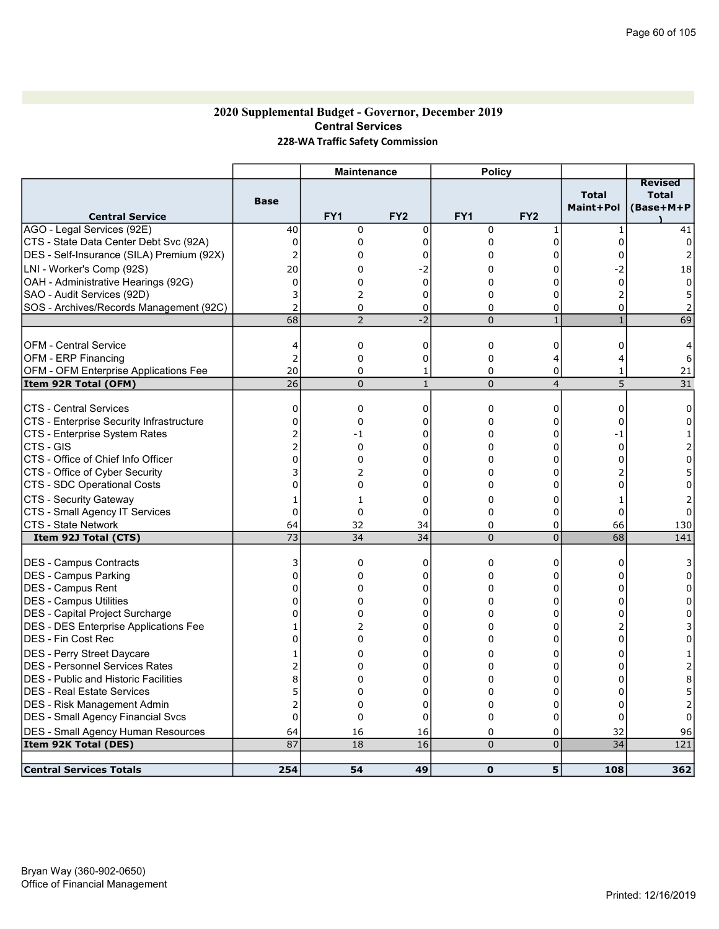#### 2020 Supplemental Budget - Governor, December 2019 Central Services 228-WA Traffic Safety Commission

|                                                               |                       | <b>Maintenance</b>         |                            | <b>Policy</b>       |                         |                           |                                             |
|---------------------------------------------------------------|-----------------------|----------------------------|----------------------------|---------------------|-------------------------|---------------------------|---------------------------------------------|
| <b>Central Service</b>                                        | <b>Base</b>           | FY <sub>1</sub>            | FY <sub>2</sub>            | FY <sub>1</sub>     | FY <sub>2</sub>         | <b>Total</b><br>Maint+Pol | <b>Revised</b><br><b>Total</b><br>(Base+M+P |
| AGO - Legal Services (92E)                                    | 40                    | $\Omega$                   | $\mathbf{0}$               | $\Omega$            | $\mathbf{1}$            | $\mathbf{1}$              | 41                                          |
| CTS - State Data Center Debt Svc (92A)                        | $\Omega$              | $\mathbf 0$                | $\mathbf{0}$               | 0                   | $\Omega$                | $\Omega$                  | $\Omega$                                    |
| DES - Self-Insurance (SILA) Premium (92X)                     |                       | 0                          | $\Omega$                   | $\mathbf 0$         | $\Omega$                | 0                         |                                             |
| LNI - Worker's Comp (92S)                                     | 20                    | 0                          | -2                         | 0                   | 0                       | -2                        | 18                                          |
| OAH - Administrative Hearings (92G)                           | 0                     | 0                          | $\Omega$                   | $\Omega$            | $\Omega$                | $\Omega$                  | $\Omega$                                    |
| SAO - Audit Services (92D)                                    | 3                     | 2                          | $\Omega$                   | 0                   | 0                       |                           | 5                                           |
| SOS - Archives/Records Management (92C)                       | $\overline{2}$        | 0                          | $\Omega$                   | $\Omega$            | $\Omega$                | $\Omega$                  |                                             |
|                                                               | 68                    | $\overline{2}$             | $-2$                       | $\overline{0}$      | $\mathbf{1}$            | $\mathbf{1}$              | 69                                          |
|                                                               |                       |                            |                            |                     |                         |                           |                                             |
| <b>OFM - Central Service</b>                                  | 4                     | 0                          | 0                          | 0                   | 0                       | 0                         |                                             |
| <b>OFM - ERP Financing</b>                                    | 2                     | $\Omega$                   | $\mathbf 0$                | 0                   | $\overline{\mathbf{4}}$ | 4                         | 6                                           |
| OFM - OFM Enterprise Applications Fee                         | 20                    | $\Omega$                   | 1                          | $\Omega$            | 0                       | 1                         | 21                                          |
| Item 92R Total (OFM)                                          | 26                    | $\overline{0}$             | $1\,$                      | $\pmb{0}$           | $\overline{4}$          | 5                         | 31                                          |
|                                                               |                       |                            |                            |                     |                         |                           |                                             |
| <b>CTS - Central Services</b>                                 | 0<br>O                | $\mathbf 0$<br>$\mathbf 0$ | $\mathbf 0$<br>$\mathbf 0$ | 0<br>0              | 0<br>0                  | 0<br>0                    | 0<br>0                                      |
| CTS - Enterprise Security Infrastructure                      |                       | $-1$                       | $\Omega$                   | 0                   | 0                       |                           |                                             |
| CTS - Enterprise System Rates<br>CTS - GIS                    |                       | $\Omega$                   | $\mathbf{0}$               | $\Omega$            | $\Omega$                | -1<br>$\Omega$            |                                             |
| CTS - Office of Chief Info Officer                            | 0                     | 0                          | 0                          | 0                   | 0                       | 0                         | 0                                           |
|                                                               |                       | 2                          | 0                          | 0                   | $\Omega$                |                           | 5                                           |
| CTS - Office of Cyber Security<br>CTS - SDC Operational Costs | 0                     | 0                          | 0                          | 0                   | 0                       | 0                         | 0                                           |
|                                                               |                       |                            |                            |                     |                         |                           |                                             |
| <b>CTS - Security Gateway</b>                                 |                       | $\mathbf{1}$               | $\mathbf 0$                | 0                   | 0                       |                           |                                             |
| CTS - Small Agency IT Services                                | $\Omega$              | $\Omega$                   | $\Omega$                   | $\mathbf 0$         | $\Omega$                | $\Omega$                  |                                             |
| <b>CTS - State Network</b><br>Item 92J Total (CTS)            | 64<br>$\overline{73}$ | 32<br>34                   | 34<br>34                   | 0<br>$\overline{0}$ | 0<br>$\overline{0}$     | 66<br>68                  | 130<br>141                                  |
|                                                               |                       |                            |                            |                     |                         |                           |                                             |
| DES - Campus Contracts                                        | 3                     | $\mathbf 0$                | $\mathbf 0$                | 0                   | 0                       | 0                         |                                             |
| <b>IDES - Campus Parking</b>                                  | 0                     | $\Omega$                   | $\Omega$                   | 0                   | 0                       | 0                         | 0                                           |
| DES - Campus Rent                                             | 0                     | 0                          | $\Omega$                   | 0                   | 0                       | $\Omega$                  | 0                                           |
| <b>IDES - Campus Utilities</b>                                | 0                     | 0                          | 0                          | 0                   | 0                       | $\Omega$                  | 0                                           |
| DES - Capital Project Surcharge                               | n                     | 0                          | 0                          | 0                   | 0                       | 0                         | 0                                           |
| <b>DES - DES Enterprise Applications Fee</b>                  |                       | 2                          | $\Omega$                   | $\Omega$            | $\Omega$                |                           |                                             |
| IDES - Fin Cost Rec                                           | C                     | 0                          | $\Omega$                   | $\Omega$            | $\Omega$                | 0                         |                                             |
| <b>DES - Perry Street Daycare</b>                             |                       | 0                          | 0                          | 0                   | 0                       | 0                         |                                             |
| <b>DES - Personnel Services Rates</b>                         |                       | 0                          | 0                          | 0                   | 0                       | 0                         |                                             |
| IDES - Public and Historic Facilities                         | 8                     | 0                          | 0                          | 0                   | 0                       | 0                         | 8                                           |
| DES - Real Estate Services                                    |                       | 0                          | $\Omega$                   | 0                   | $\Omega$                | 0                         |                                             |
| DES - Risk Management Admin                                   |                       | 0                          | $\Omega$                   | $\mathbf 0$         | $\Omega$                | 0                         |                                             |
| DES - Small Agency Financial Svcs                             | $\Omega$              | $\Omega$                   | $\Omega$                   | $\Omega$            | $\Omega$                | $\Omega$                  |                                             |
| DES - Small Agency Human Resources                            | 64                    | 16                         | 16                         | 0                   | 0                       | 32                        | 96                                          |
| Item 92K Total (DES)                                          | 87                    | 18                         | 16                         | $\overline{0}$      | $\overline{0}$          | 34                        | 121                                         |
| <b>Central Services Totals</b>                                | 254                   | 54                         | 49                         | $\mathbf{o}$        | 5                       | 108                       | 362                                         |
|                                                               |                       |                            |                            |                     |                         |                           |                                             |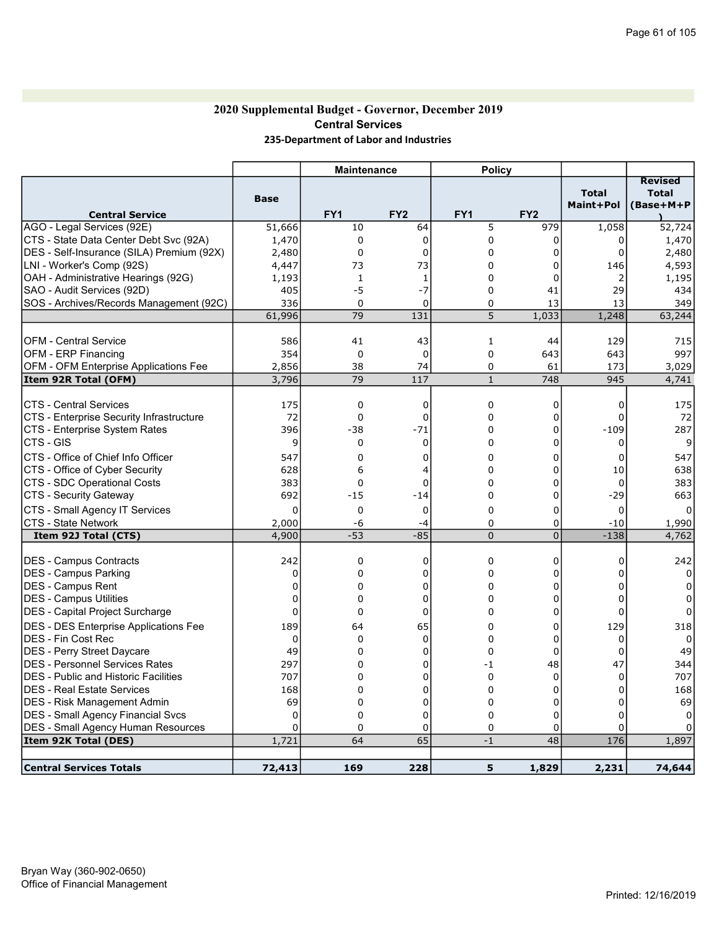# 2020 Supplemental Budget - Governor, December 2019 Central Services 235-Department of Labor and Industries

|                                              |             | <b>Maintenance</b> |                 | <b>Policy</b> |                 |              |                |
|----------------------------------------------|-------------|--------------------|-----------------|---------------|-----------------|--------------|----------------|
|                                              |             |                    |                 |               |                 |              | <b>Revised</b> |
|                                              | Base        |                    |                 |               |                 | <b>Total</b> | <b>Total</b>   |
| <b>Central Service</b>                       |             | FY1                | FY <sub>2</sub> | FY1           | FY <sub>2</sub> | Maint+Pol    | (Base+M+P      |
| AGO - Legal Services (92E)                   | 51,666      | 10                 | 64              | 5             | 979             | 1,058        | 52,724         |
| CTS - State Data Center Debt Svc (92A)       | 1,470       | $\mathbf 0$        | 0               | 0             | 0               | 0            | 1,470          |
| DES - Self-Insurance (SILA) Premium (92X)    | 2,480       | 0                  | $\Omega$        | 0             | 0               | $\Omega$     | 2,480          |
| LNI - Worker's Comp (92S)                    | 4,447       | 73                 | 73              | 0             | $\Omega$        | 146          | 4,593          |
| OAH - Administrative Hearings (92G)          | 1,193       | $1\,$              | 1               | 0             | $\Omega$        | 2            | 1,195          |
| SAO - Audit Services (92D)                   | 405         | -5                 | $-7$            | 0             | 41              | 29           | 434            |
| SOS - Archives/Records Management (92C)      | 336         | $\Omega$           | $\Omega$        | 0             | 13              | 13           | 349            |
|                                              | 61,996      | 79                 | 131             | 5             | 1,033           | 1,248        | 63,244         |
|                                              |             |                    |                 |               |                 |              |                |
| <b>OFM - Central Service</b>                 | 586         | 41                 | 43              | 1             | 44              | 129          | 715            |
| <b>OFM - ERP Financing</b>                   | 354         | $\mathbf 0$        | $\mathbf 0$     | 0             | 643             | 643          | 997            |
| OFM - OFM Enterprise Applications Fee        | 2,856       | 38                 | 74              | 0             | 61              | 173          | 3,029          |
| Item 92R Total (OFM)                         | 3,796       | 79                 | 117             | $\mathbf{1}$  | 748             | 945          | 4,741          |
|                                              |             |                    |                 |               |                 |              |                |
| <b>CTS - Central Services</b>                | 175         | $\mathbf 0$        | $\mathbf 0$     | 0             | 0               | 0            | 175            |
| CTS - Enterprise Security Infrastructure     | 72          | 0                  | $\mathbf 0$     | 0             | 0               | 0            | 72             |
| CTS - Enterprise System Rates                | 396         | $-38$              | $-71$           | 0             | 0               | $-109$       | 287            |
| <b>CTS - GIS</b>                             | 9           | 0                  | 0               | 0             | 0               | 0            | 9              |
| CTS - Office of Chief Info Officer           | 547         | 0                  | 0               | 0             | 0               | 0            | 547            |
| CTS - Office of Cyber Security               | 628         | 6                  | 4               | 0             | $\Omega$        | 10           | 638            |
| <b>CTS - SDC Operational Costs</b>           | 383         | 0                  | 0               | 0             | $\mathbf 0$     | 0            | 383            |
| CTS - Security Gateway                       | 692         | $-15$              | $-14$           | 0             | 0               | $-29$        | 663            |
| CTS - Small Agency IT Services               | $\mathbf 0$ | $\Omega$           | $\Omega$        | 0             | $\Omega$        | 0            |                |
| <b>CTS - State Network</b>                   | 2,000       | -6                 | $-4$            | 0             | 0               | $-10$        | 1,990          |
| Item 92J Total (CTS)                         | 4,900       | $-53$              | $-85$           | 0             | $\overline{0}$  | $-138$       | 4,762          |
|                                              |             |                    |                 |               |                 |              |                |
| <b>IDES - Campus Contracts</b>               | 242         | 0                  | $\mathbf 0$     | 0             | 0               | 0            | 242            |
| DES - Campus Parking                         | 0           | $\Omega$           | 0               | 0             | 0               | 0            | $\Omega$       |
| <b>DES - Campus Rent</b>                     | 0           | 0                  | $\Omega$        | 0             | 0               | 0            |                |
| IDES - Campus Utilities                      | 0           | $\mathbf 0$        | 0               | 0             | 0               | 0            | n              |
| DES - Capital Project Surcharge              | 0           | $\mathbf 0$        | 0               | 0             | 0               | 0            | O              |
| <b>DES - DES Enterprise Applications Fee</b> | 189         | 64                 | 65              | 0             | 0               | 129          | 318            |
| <b>IDES - Fin Cost Rec</b>                   | 0           | $\mathbf 0$        | 0               | 0             | 0               | 0            | $\Omega$       |
| <b>DES - Perry Street Daycare</b>            | 49          | $\mathbf 0$        | $\Omega$        | 0             | $\overline{0}$  | 0            | 49             |
| DES - Personnel Services Rates               | 297         | 0                  | $\mathbf 0$     | -1            | 48              | 47           | 344            |
| <b>DES</b> - Public and Historic Facilities  | 707         | 0                  | $\mathbf 0$     | 0             | $\mathbf 0$     | $\mathbf 0$  | 707            |
| <b>IDES - Real Estate Services</b>           | 168         | 0                  | $\mathbf 0$     | 0             | 0               | $\Omega$     | 168            |
| <b>DES</b> - Risk Management Admin           | 69          | 0                  | $\mathbf 0$     | 0             | 0               | $\Omega$     | 69             |
| DES - Small Agency Financial Svcs            | $\mathbf 0$ | 0                  | $\mathbf 0$     | 0             | $\overline{0}$  | 0            | n              |
| <b>DES - Small Agency Human Resources</b>    | 0           | $\Omega$           | $\Omega$        | 0             | 0               | 0            |                |
| Item 92K Total (DES)                         | 1,721       | 64                 | 65              | $-1$          | 48              | 176          | 1,897          |
|                                              |             |                    |                 |               |                 |              |                |
| <b>Central Services Totals</b>               | 72,413      | 169                | 228             | 5             | 1,829           | 2,231        | 74,644         |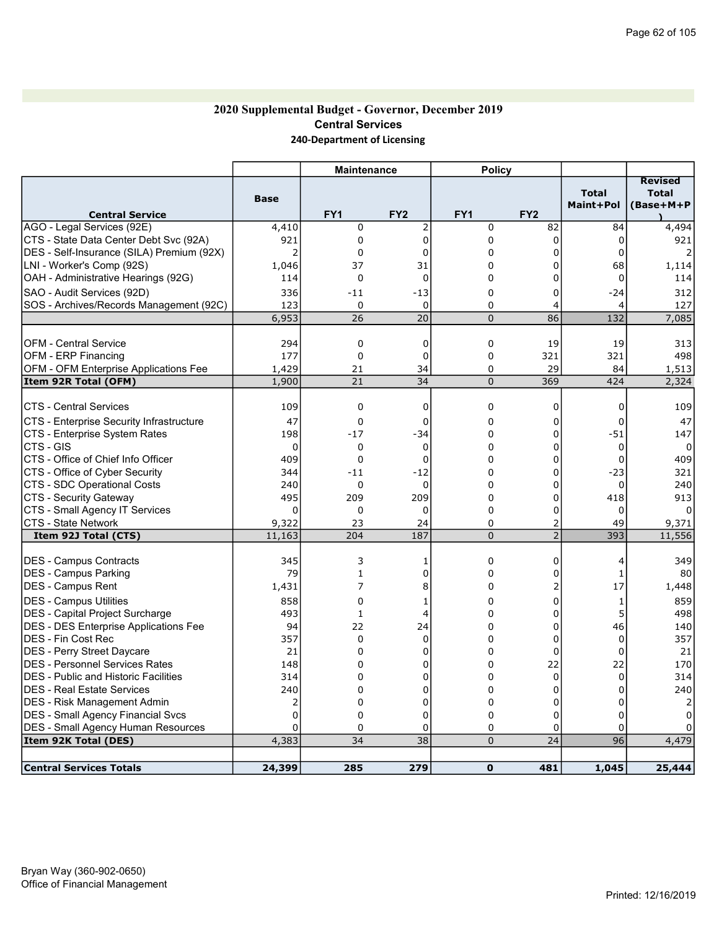### 2020 Supplemental Budget - Governor, December 2019 Central Services 240-Department of Licensing

|                                                                |                | <b>Maintenance</b>   |                   | <b>Policy</b>   |                 |                           |                                             |
|----------------------------------------------------------------|----------------|----------------------|-------------------|-----------------|-----------------|---------------------------|---------------------------------------------|
| <b>Central Service</b>                                         | <b>Base</b>    | FY <sub>1</sub>      | FY <sub>2</sub>   | FY <sub>1</sub> | FY <sub>2</sub> | <b>Total</b><br>Maint+Pol | <b>Revised</b><br><b>Total</b><br>(Base+M+P |
| AGO - Legal Services (92E)                                     | 4,410          | 0                    | $\overline{2}$    | 0               | 82              | 84                        | 4,494                                       |
| CTS - State Data Center Debt Svc (92A)                         | 921            | 0                    | $\Omega$          | 0               | $\Omega$        | 0                         | 921                                         |
| DES - Self-Insurance (SILA) Premium (92X)                      | $\overline{2}$ | $\Omega$             | $\Omega$          | 0               | $\Omega$        | 0                         |                                             |
| LNI - Worker's Comp (92S)                                      | 1,046          | 37                   | 31                | 0               | $\Omega$        | 68                        | 1,114                                       |
| OAH - Administrative Hearings (92G)                            | 114            | 0                    | 0                 | 0               | 0               | 0                         | 114                                         |
| SAO - Audit Services (92D)                                     | 336            | $-11$                | $-13$             | 0               | $\Omega$        | $-24$                     | 312                                         |
| SOS - Archives/Records Management (92C)                        | 123            | 0                    | $\mathbf 0$       | 0               | 4               | 4                         | 127                                         |
|                                                                | 6,953          | 26                   | 20                | $\overline{0}$  | 86              | 132                       | 7.085                                       |
|                                                                |                |                      |                   |                 |                 |                           |                                             |
| <b>OFM - Central Service</b>                                   | 294            | 0                    | 0                 | 0               | 19              | 19                        | 313                                         |
| OFM - ERP Financing                                            | 177            | 0                    | 0                 | 0               | 321             | 321                       | 498                                         |
| OFM - OFM Enterprise Applications Fee                          | 1,429          | 21                   | 34                | 0               | 29              | 84                        | 1,513                                       |
| Item 92R Total (OFM)                                           | 1,900          | 21                   | 34                | $\Omega$        | 369             | 424                       | 2,324                                       |
| <b>CTS - Central Services</b>                                  | 109            | 0                    | 0                 | 0               | 0               | 0                         | 109                                         |
|                                                                |                |                      |                   |                 | $\mathbf 0$     |                           |                                             |
| <b>CTS - Enterprise Security Infrastructure</b>                | 47<br>198      | $\mathbf 0$<br>$-17$ | $\Omega$<br>$-34$ | 0<br>0          | 0               | 0<br>$-51$                | 47                                          |
| CTS - Enterprise System Rates<br>ICTS - GIS                    | $\Omega$       | $\Omega$             | $\Omega$          | 0               | $\Omega$        | $\Omega$                  | 147<br>$\Omega$                             |
| CTS - Office of Chief Info Officer                             | 409            | $\Omega$             | 0                 | 0               | 0               | $\Omega$                  | 409                                         |
|                                                                | 344            |                      |                   | 0               | $\Omega$        | $-23$                     | 321                                         |
| CTS - Office of Cyber Security<br> CTS - SDC Operational Costs | 240            | $-11$<br>0           | $-12$<br>$\Omega$ | 0               | $\Omega$        | $\Omega$                  | 240                                         |
| <b>CTS - Security Gateway</b>                                  | 495            | 209                  | 209               | 0               | $\Omega$        | 418                       | 913                                         |
| CTS - Small Agency IT Services                                 | 0              | 0                    | 0                 | 0               | 0               | 0                         |                                             |
| <b>CTS - State Network</b>                                     | 9,322          | 23                   | 24                | 0               | 2               | 49                        | 9,371                                       |
| Item 92J Total (CTS)                                           | 11,163         | 204                  | 187               | $\overline{0}$  | $\overline{2}$  | 393                       | 11,556                                      |
|                                                                |                |                      |                   |                 |                 |                           |                                             |
| DES - Campus Contracts                                         | 345            | 3                    | 1                 | 0               | 0               | 4                         | 349                                         |
| DES - Campus Parking                                           | 79             | $\mathbf{1}$         | 0                 | 0               | 0               | 1                         | 80                                          |
| DES - Campus Rent                                              | 1,431          | $\overline{7}$       | 8                 | 0               | $\overline{2}$  | 17                        | 1,448                                       |
| DES - Campus Utilities                                         | 858            | $\Omega$             | 1                 | 0               | $\Omega$        | 1                         | 859                                         |
| DES - Capital Project Surcharge                                | 493            | $\mathbf 1$          | $\overline{4}$    | 0               | 0               | 5                         | 498                                         |
| <b>DES - DES Enterprise Applications Fee</b>                   | 94             | 22                   | 24                | 0               | $\mathbf 0$     | 46                        | 140                                         |
| <b>DES - Fin Cost Rec</b>                                      | 357            | 0                    | 0                 | 0               | $\mathbf 0$     | $\mathbf 0$               | 357                                         |
| DES - Perry Street Daycare                                     | 21             | $\Omega$             | $\Omega$          | 0               | $\overline{0}$  | $\Omega$                  | 21                                          |
| IDES - Personnel Services Rates                                | 148            | $\mathbf 0$          | $\mathbf 0$       | 0               | 22              | 22                        | 170                                         |
| <b>DES</b> - Public and Historic Facilities                    | 314            | 0                    | $\Omega$          | 0               | $\overline{0}$  | $\mathbf 0$               | 314                                         |
| <b>IDES - Real Estate Services</b>                             | 240            | 0                    | 0                 | 0               | 0               | 0                         | 240                                         |
| <b>IDES - Risk Management Admin</b>                            | $\overline{2}$ | 0                    | 0                 | 0               | 0               | 0                         |                                             |
| DES - Small Agency Financial Svcs                              | 0              | $\Omega$             | $\overline{0}$    | 0               | $\overline{0}$  | 0                         |                                             |
| <b>DES - Small Agency Human Resources</b>                      | 0              | $\Omega$             | $\Omega$          | 0               | 0               | 0                         |                                             |
| Item 92K Total (DES)                                           | 4,383          | 34                   | 38                | 0               | 24              | 96                        | 4,479                                       |
| <b>Central Services Totals</b>                                 | 24,399         | 285                  | 279               | $\mathbf{o}$    | 481             | 1,045                     | 25,444                                      |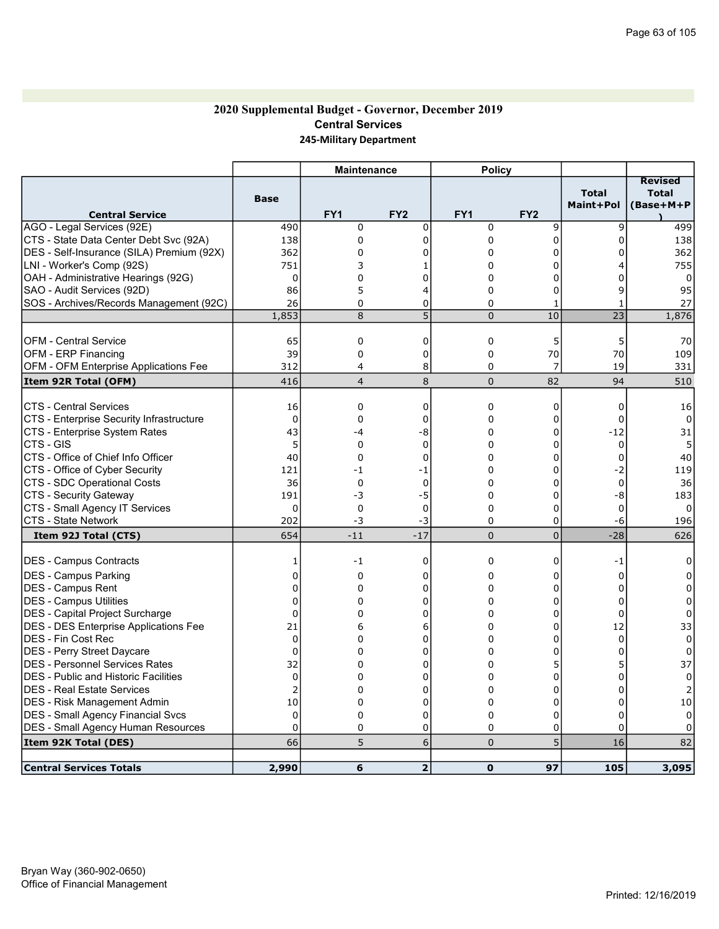### 2020 Supplemental Budget - Governor, December 2019 Central Services 245-Military Department

|                                              |                   | <b>Maintenance</b> |                         | <b>Policy</b>   |                 |                           |                                             |
|----------------------------------------------|-------------------|--------------------|-------------------------|-----------------|-----------------|---------------------------|---------------------------------------------|
| <b>Central Service</b>                       | <b>Base</b>       | FY1                | FY <sub>2</sub>         | FY <sub>1</sub> | FY <sub>2</sub> | <b>Total</b><br>Maint+Pol | <b>Revised</b><br><b>Total</b><br>(Base+M+P |
| AGO - Legal Services (92E)                   | 490               | 0                  | 0                       | 0               | 9               | 9                         | 499                                         |
| CTS - State Data Center Debt Svc (92A)       | 138               | 0                  | $\Omega$                | 0               | $\Omega$        | 0                         | 138                                         |
| DES - Self-Insurance (SILA) Premium (92X)    | 362               | $\Omega$           | 0                       | 0               | 0               |                           | 362                                         |
| LNI - Worker's Comp (92S)                    | 751               | 3                  |                         | 0               | $\Omega$        |                           | 755                                         |
| OAH - Administrative Hearings (92G)          | 0                 | 0                  | 0                       | 0               | 0               | 0                         | 0                                           |
| SAO - Audit Services (92D)                   | 86                | 5                  | $\overline{4}$          | 0               | $\Omega$        | 9                         | 95                                          |
| SOS - Archives/Records Management (92C)      | 26                | 0                  | $\mathbf 0$             | 0               | $\mathbf{1}$    |                           | 27                                          |
|                                              | 1,853             | 8                  | 5                       | $\overline{0}$  | 10              | $\overline{23}$           | 1,876                                       |
|                                              |                   |                    |                         |                 |                 |                           |                                             |
| <b>OFM - Central Service</b>                 | 65                | 0                  | 0                       | 0               | 5               | 5                         | 70                                          |
| <b>OFM - ERP Financing</b>                   | 39                | 0                  | 0                       | 0               | 70              | 70                        | 109                                         |
| OFM - OFM Enterprise Applications Fee        | 312               | 4                  | 8                       | 0               | 7               | 19                        | 331                                         |
| Item 92R Total (OFM)                         | 416               | $\overline{4}$     | 8                       | $\Omega$        | 82              | 94                        | 510                                         |
| <b>CTS - Central Services</b>                |                   | 0                  | 0                       | 0               | 0               | 0                         |                                             |
| CTS - Enterprise Security Infrastructure     | 16<br>$\mathbf 0$ | 0                  | 0                       | 0               | 0               | $\mathbf 0$               | 16<br>$\Omega$                              |
| CTS - Enterprise System Rates                | 43                | -4                 | -8                      | 0               | 0               | $-12$                     | 31                                          |
| CTS - GIS                                    | 5                 | $\mathbf 0$        | 0                       | 0               | 0               | $\mathbf 0$               | 5                                           |
| CTS - Office of Chief Info Officer           | 40                | $\mathbf 0$        | $\mathbf 0$             | 0               | 0               | $\mathbf 0$               | 40                                          |
| CTS - Office of Cyber Security               | 121               | -1                 | -1                      | 0               | $\Omega$        | $-2$                      | 119                                         |
| CTS - SDC Operational Costs                  | 36                | 0                  | 0                       | 0               | $\mathbf 0$     | $\mathbf 0$               | 36                                          |
| CTS - Security Gateway                       | 191               | -3                 | $-5$                    | 0               | 0               | -8                        | 183                                         |
| CTS - Small Agency IT Services               | 0                 | 0                  | 0                       | 0               | 0               | $\mathbf 0$               | 0                                           |
| CTS - State Network                          | 202               | -3                 | -3                      | 0               | 0               | -6                        | 196                                         |
| Item 92J Total (CTS)                         | 654               | $-11$              | $-17$                   | 0               | $\overline{0}$  | $-28$                     | 626                                         |
|                                              |                   |                    |                         |                 |                 |                           |                                             |
| DES - Campus Contracts                       | $\mathbf{1}$      | $-1$               | 0                       | 0               | 0               | -1                        | 0                                           |
| DES - Campus Parking                         | 0                 | $\Omega$           | $\Omega$                | 0               | $\Omega$        | 0                         | $\Omega$                                    |
| DES - Campus Rent                            | $\Omega$          | 0                  | 0                       | 0               | 0               | $\Omega$                  | 0                                           |
| <b>IDES - Campus Utilities</b>               | $\Omega$          | $\mathbf 0$        | $\Omega$                | 0               | $\Omega$        | $\Omega$                  | $\Omega$                                    |
| DES - Capital Project Surcharge              | $\mathbf 0$       | 0                  | 0                       | 0               | 0               | 0                         | 0                                           |
| <b>DES - DES Enterprise Applications Fee</b> | 21                | 6                  | 6                       | 0               | 0               | 12                        | 33                                          |
| <b>IDES - Fin Cost Rec</b>                   | 0                 | 0                  | 0                       | 0               | 0               | $\mathbf 0$               | $\mathbf 0$                                 |
| DES - Perry Street Daycare                   | $\Omega$          | 0                  | $\Omega$                | 0               | 0               | $\Omega$                  | 0                                           |
| DES - Personnel Services Rates               | 32                | 0                  | $\Omega$                | 0               | 5               | 5                         | 37                                          |
| <b>DES</b> - Public and Historic Facilities  | $\mathbf 0$       | 0                  | 0                       | 0               | 0               | 0                         | 0                                           |
| <b>IDES - Real Estate Services</b>           | $\overline{2}$    | 0                  | 0                       | 0               | 0               | 0                         |                                             |
| <b>IDES - Risk Management Admin</b>          | 10                | 0                  | $\mathbf 0$             | 0               | 0               | 0                         | 10                                          |
| DES - Small Agency Financial Svcs            | $\mathbf 0$       | 0                  | $\Omega$                | 0               | $\Omega$        | 0                         | $\mathbf 0$                                 |
| <b>DES - Small Agency Human Resources</b>    | 0                 | 0                  | 0                       | 0               | 0               | 0                         | $\Omega$                                    |
| Item 92K Total (DES)                         | 66                | 5                  | 6                       | 0               | 5               | 16                        | 82                                          |
| <b>Central Services Totals</b>               | 2,990             | 6                  | $\overline{\mathbf{2}}$ | $\mathbf 0$     | 97              | 105                       | 3,095                                       |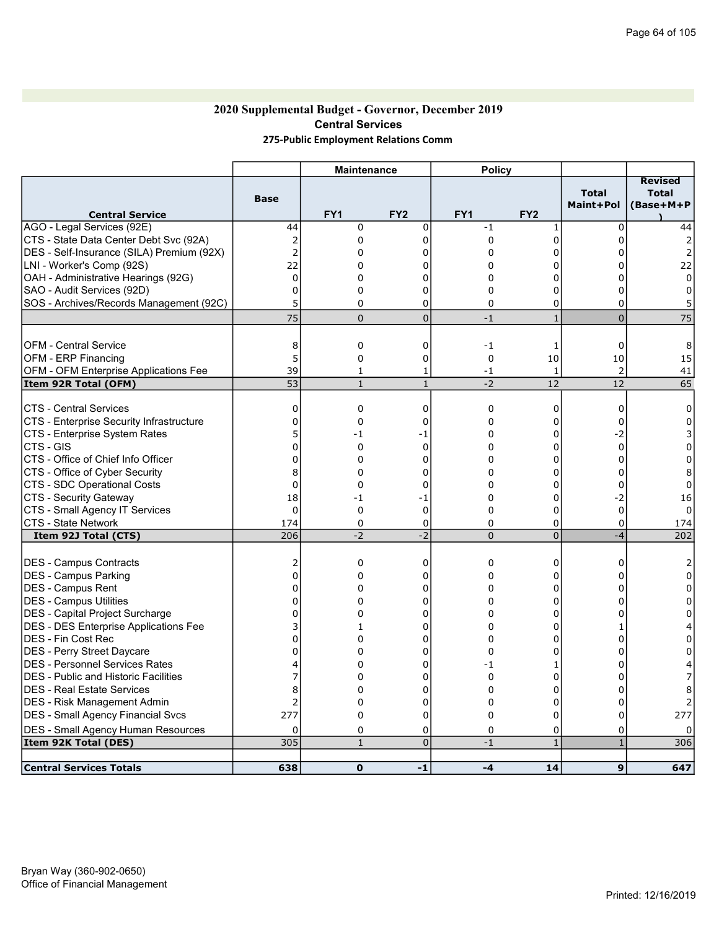# 2020 Supplemental Budget - Governor, December 2019 Central Services 275-Public Employment Relations Comm

|                                              |                | <b>Maintenance</b> |                 | <b>Policy</b>   |                 |                           |                                             |
|----------------------------------------------|----------------|--------------------|-----------------|-----------------|-----------------|---------------------------|---------------------------------------------|
| <b>Central Service</b>                       | <b>Base</b>    | FY <sub>1</sub>    | FY <sub>2</sub> | FY <sub>1</sub> | FY <sub>2</sub> | <b>Total</b><br>Maint+Pol | <b>Revised</b><br><b>Total</b><br>(Base+M+P |
| AGO - Legal Services (92E)                   | 44             | 0                  | $\mathbf 0$     | $-1$            | 1               | $\mathbf 0$               | 44                                          |
| CTS - State Data Center Debt Svc (92A)       | 2              | $\mathbf 0$        | $\Omega$        | 0               | 0               | 0                         | 2                                           |
| DES - Self-Insurance (SILA) Premium (92X)    | $\overline{2}$ | 0                  | 0               | 0               | 0               |                           | 2                                           |
| LNI - Worker's Comp (92S)                    | 22             | $\Omega$           | 0               | 0               | 0               | n                         | 22                                          |
| OAH - Administrative Hearings (92G)          | 0              | 0                  | 0               | 0               | 0               | 0                         | $\mathbf 0$                                 |
| SAO - Audit Services (92D)                   | $\mathbf 0$    | 0                  | $\Omega$        | 0               | 0               | $\Omega$                  | 0                                           |
| SOS - Archives/Records Management (92C)      | 5              | $\Omega$           | 0               | 0               | 0               | $\Omega$                  |                                             |
|                                              | 75             | $\Omega$           | $\overline{0}$  | $-1$            | $\mathbf{1}$    | $\overline{0}$            | 75                                          |
| <b>OFM - Central Service</b>                 |                | 0                  | 0               | $-1$            | 1               | $\mathbf 0$               | 8                                           |
| <b>OFM - ERP Financing</b>                   | 8<br>5         | 0                  | 0               | 0               | 10              | 10                        | 15                                          |
|                                              | 39             | $\mathbf{1}$       | 1               | -1              | $\mathbf{1}$    | 2                         |                                             |
| OFM - OFM Enterprise Applications Fee        | 53             | $\mathbf{1}$       | $\mathbf{1}$    | $-2$            | 12              | 12                        | 41<br>65                                    |
| Item 92R Total (OFM)                         |                |                    |                 |                 |                 |                           |                                             |
| <b>CTS - Central Services</b>                | $\mathbf 0$    | 0                  | 0               | 0               | 0               | $\mathbf 0$               | 0                                           |
| CTS - Enterprise Security Infrastructure     | $\Omega$       | 0                  | 0               | 0               | 0               | $\Omega$                  | 0                                           |
| CTS - Enterprise System Rates                | 5              | -1                 | -1              | 0               | 0               | -2                        | 3                                           |
| CTS - GIS                                    | $\Omega$       | 0                  | $\Omega$        | 0               | $\Omega$        | $\Omega$                  | 0                                           |
| CTS - Office of Chief Info Officer           | 0              | 0                  | 0               | 0               | 0               | 0                         | $\Omega$                                    |
| CTS - Office of Cyber Security               | 8              | 0                  | $\Omega$        | 0               | $\Omega$        | 0                         | 8                                           |
| CTS - SDC Operational Costs                  | $\mathbf 0$    | 0                  | $\Omega$        | 0               | $\Omega$        | 0                         | $\Omega$                                    |
| CTS - Security Gateway                       | 18             | -1                 | -1              | 0               | 0               | $-2$                      | 16                                          |
| CTS - Small Agency IT Services               | $\Omega$       | 0                  | 0               | 0               | $\Omega$        | $\mathbf 0$               | $\Omega$                                    |
| <b>CTS - State Network</b>                   | 174            | 0                  | 0               | 0               | 0               | $\mathbf 0$               | 174                                         |
| Item 92J Total (CTS)                         | 206            | $-2$               | $-2$            | $\overline{0}$  | $\overline{0}$  | $-4$                      | 202                                         |
|                                              | 2              | $\mathbf 0$        | 0               | 0               | 0               | 0                         |                                             |
| DES - Campus Contracts                       | $\Omega$       | 0                  | $\Omega$        | 0               | 0               | 0                         | $\Omega$                                    |
| DES - Campus Parking                         | 0              | 0                  |                 | 0               | 0               | 0                         | 0                                           |
| DES - Campus Rent<br>DES - Campus Utilities  | 0              | 0                  | 0<br>0          | 0               | 0               | 0                         | 0                                           |
| DES - Capital Project Surcharge              | $\Omega$       | 0                  | 0               | 0               | 0               | $\Omega$                  | $\Omega$                                    |
| <b>DES - DES Enterprise Applications Fee</b> |                | $\mathbf{1}$       | $\Omega$        | 0               | 0               |                           |                                             |
| <b>IDES - Fin Cost Rec</b>                   | 0              | 0                  | $\Omega$        | 0               | 0               | 0                         | 0                                           |
| DES - Perry Street Daycare                   | 0              | 0                  | $\Omega$        | 0               | 0               | 0                         | 0                                           |
| DES - Personnel Services Rates               | 4              | 0                  | 0               | $-1$            | $\mathbf{1}$    | $\Omega$                  |                                             |
| <b>DES</b> - Public and Historic Facilities  |                | 0                  | $\Omega$        | 0               | 0               | U                         |                                             |
| <b>IDES - Real Estate Services</b>           | 8              | $\Omega$           | $\Omega$        | 0               | $\Omega$        | O                         |                                             |
| <b>IDES - Risk Management Admin</b>          | $\overline{2}$ | 0                  | 0               | 0               | 0               | 0                         | 8                                           |
| <b>DES - Small Agency Financial Svcs</b>     | 277            | 0                  | $\mathbf 0$     | 0               | 0               | 0                         | 277                                         |
|                                              |                |                    |                 |                 |                 |                           |                                             |
| DES - Small Agency Human Resources           | $\Omega$       | $\mathbf 0$        | 0               | 0               | 0               | 0                         |                                             |
| Item 92K Total (DES)                         | 305            | $\mathbf{1}$       | $\Omega$        | $-1$            | $\mathbf{1}$    | $\mathbf{1}$              | 306                                         |
| <b>Central Services Totals</b>               | 638            | $\mathbf 0$        | -1              | $-4$            | 14              | 9                         | 647                                         |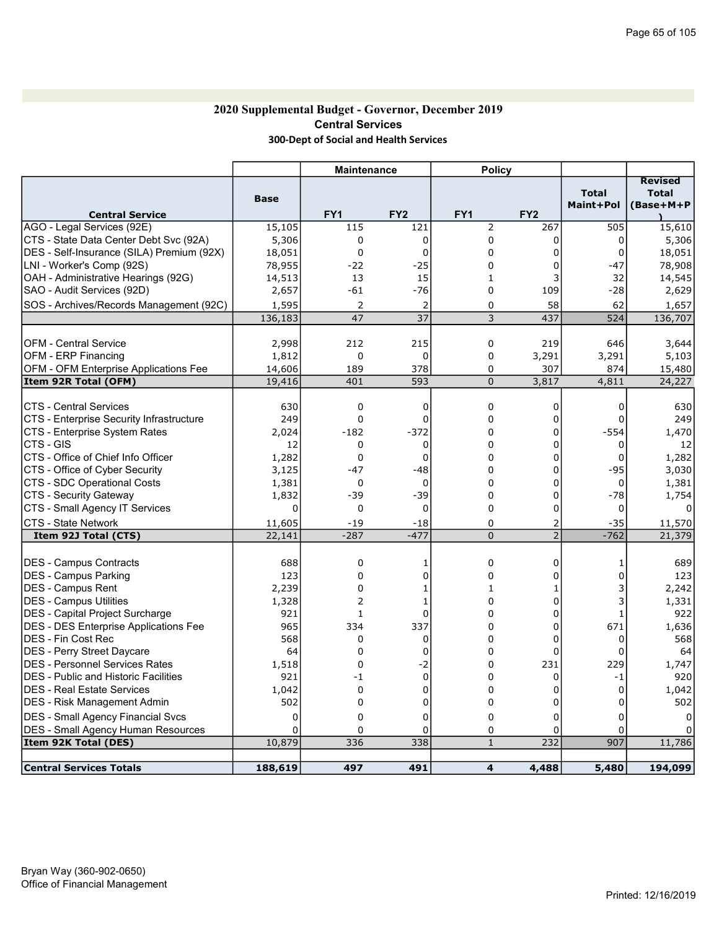# 2020 Supplemental Budget - Governor, December 2019 Central Services 300-Dept of Social and Health Services

|                                              |                      | <b>Maintenance</b> |                      | <b>Policy</b>   |                 |                           |                                             |
|----------------------------------------------|----------------------|--------------------|----------------------|-----------------|-----------------|---------------------------|---------------------------------------------|
| <b>Central Service</b>                       | <b>Base</b>          | FY <sub>1</sub>    | FY <sub>2</sub>      | FY <sub>1</sub> | FY <sub>2</sub> | <b>Total</b><br>Maint+Pol | <b>Revised</b><br><b>Total</b><br>(Base+M+P |
| AGO - Legal Services (92E)                   | 15,105               | 115                | 121                  | $\overline{2}$  | 267             | 505                       | 15,610                                      |
| CTS - State Data Center Debt Svc (92A)       | 5,306                | 0                  | $\Omega$             | 0               | $\Omega$        | 0                         | 5,306                                       |
| DES - Self-Insurance (SILA) Premium (92X)    | 18,051               | $\Omega$           | $\Omega$             | 0               | 0               | $\Omega$                  | 18,051                                      |
| LNI - Worker's Comp (92S)                    | 78,955               | $-22$              | $-25$                | $\Omega$        | $\Omega$        | $-47$                     | 78,908                                      |
| OAH - Administrative Hearings (92G)          | 14,513               | 13                 | 15                   | $\mathbf{1}$    | 3               | 32                        | 14,545                                      |
| SAO - Audit Services (92D)                   | 2,657                | $-61$              | $-76$                | 0               | 109             | $-28$                     | 2,629                                       |
| SOS - Archives/Records Management (92C)      | 1,595                | 2                  | $\overline{2}$       | 0               | 58              | 62                        | 1,657                                       |
|                                              | 136,183              | 47                 | $\overline{37}$      | 3               | 437             | 524                       | 136,707                                     |
|                                              |                      |                    |                      |                 |                 |                           |                                             |
| <b>OFM - Central Service</b>                 | 2,998                | 212                | 215                  | 0               | 219             | 646                       | 3,644                                       |
| <b>OFM - ERP Financing</b>                   | 1,812                | 0                  | 0                    | 0               | 3,291           | 3,291                     | 5,103                                       |
| OFM - OFM Enterprise Applications Fee        | 14,606               | 189                | 378                  | 0               | 307             | 874                       | 15,480                                      |
| Item 92R Total (OFM)                         | 19,416               | 401                | 593                  | $\overline{0}$  | 3,817           | 4,811                     | 24,227                                      |
| <b>CTS - Central Services</b>                | 630                  | 0                  | 0                    | 0               | $\mathbf 0$     | 0                         | 630                                         |
| CTS - Enterprise Security Infrastructure     | 249                  | 0                  | 0                    | 0               | 0               | 0                         | 249                                         |
| CTS - Enterprise System Rates                | 2,024                | $-182$             | $-372$               | 0               | 0               | $-554$                    | 1,470                                       |
| ICTS - GIS                                   | 12                   | 0                  | 0                    | 0               | 0               | 0                         | 12                                          |
| CTS - Office of Chief Info Officer           | 1,282                | $\Omega$           | $\Omega$             | 0               | $\Omega$        | 0                         | 1,282                                       |
| CTS - Office of Cyber Security               | 3,125                | $-47$              | $-48$                | 0               | $\Omega$        | $-95$                     | 3,030                                       |
| <b>CTS - SDC Operational Costs</b>           | 1,381                | 0                  | 0                    | 0               | 0               | 0                         | 1,381                                       |
| CTS - Security Gateway                       | 1,832                | $-39$              | $-39$                | 0               | $\Omega$        | $-78$                     | 1,754                                       |
| CTS - Small Agency IT Services               | 0                    | 0                  | 0                    | 0               | 0               | $\mathbf 0$               | $\Omega$                                    |
| <b>CTS - State Network</b>                   | 11,605               | $-19$              | $-18$                | 0               | 2               | $-35$                     | 11,570                                      |
| Item 92J Total (CTS)                         | 22,141               | $-287$             | $-477$               | $\overline{0}$  | $\overline{2}$  | $-762$                    | 21,379                                      |
|                                              |                      |                    |                      |                 |                 |                           |                                             |
| IDES - Campus Contracts                      | 688                  | $\mathbf 0$        | 1                    | 0               | 0               | 1                         | 689                                         |
| DES - Campus Parking                         | 123                  | $\Omega$           | $\Omega$             | 0               | 0               | 0                         | 123                                         |
| <b>DES - Campus Rent</b>                     | 2,239                | $\mathbf 0$        | $\mathbf{1}$         | $\mathbf{1}$    | $\mathbf{1}$    | 3                         | 2,242                                       |
| DES - Campus Utilities                       | 1,328                | 2                  | $\mathbf{1}$         | 0               | $\Omega$        | 3                         | 1,331                                       |
| DES - Capital Project Surcharge              | 921                  | $\mathbf{1}$       | $\Omega$             | 0               | 0               | 1                         | 922                                         |
| <b>DES - DES Enterprise Applications Fee</b> | 965                  | 334                | 337                  | 0               | $\Omega$        | 671                       | 1,636                                       |
| <b>DES - Fin Cost Rec</b>                    | 568                  | 0                  | $\Omega$             | 0               | 0               | $\mathbf 0$               | 568                                         |
| DES - Perry Street Daycare                   | 64                   | $\Omega$           | $\Omega$             | 0               | $\mathbf 0$     | 0                         | 64                                          |
| <b>DES - Personnel Services Rates</b>        | 1,518                | $\Omega$           | $-2$                 | 0               | 231             | 229                       | 1,747                                       |
| <b>DES</b> - Public and Historic Facilities  | 921                  | -1                 | $\Omega$             | 0               | $\mathbf 0$     | $-1$                      | 920                                         |
| <b>IDES - Real Estate Services</b>           | 1,042                | 0                  | 0                    | 0               | 0               | $\mathbf 0$               | 1,042                                       |
| DES - Risk Management Admin                  | 502                  | 0                  | $\mathbf 0$          | 0               | $\mathbf 0$     | 0                         | 502                                         |
| <b>DES - Small Agency Financial Svcs</b>     | $\Omega$<br>$\Omega$ | 0<br>$\Omega$      | $\Omega$<br>$\Omega$ | 0<br>0          | 0<br>0          | 0<br>$\Omega$             | $\Omega$<br>$\Omega$                        |
| <b>DES - Small Agency Human Resources</b>    | 10,879               | 336                | 338                  | $1\,$           | 232             | 907                       |                                             |
| Item 92K Total (DES)                         |                      |                    |                      |                 |                 |                           | 11,786                                      |
| <b>Central Services Totals</b>               | 188,619              | 497                | 491                  | 4               | 4,488           | 5,480                     | 194,099                                     |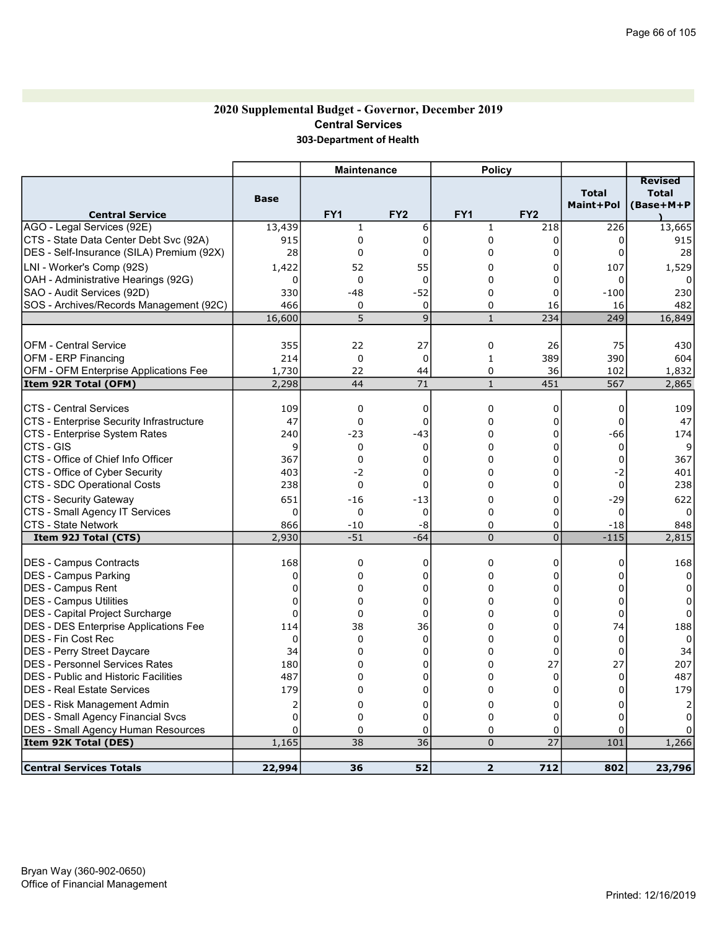### 2020 Supplemental Budget - Governor, December 2019 Central Services 303-Department of Health

|                                              |             | <b>Maintenance</b> |                 | <b>Policy</b>           |                 |                           |                                             |
|----------------------------------------------|-------------|--------------------|-----------------|-------------------------|-----------------|---------------------------|---------------------------------------------|
| <b>Central Service</b>                       | <b>Base</b> | FY <sub>1</sub>    | FY <sub>2</sub> | FY <sub>1</sub>         | FY <sub>2</sub> | <b>Total</b><br>Maint+Pol | <b>Revised</b><br><b>Total</b><br>(Base+M+P |
| AGO - Legal Services (92E)                   | 13,439      | $\mathbf{1}$       | 6               | $\mathbf{1}$            | 218             | 226                       | 13,665                                      |
| CTS - State Data Center Debt Svc (92A)       | 915         | $\mathbf 0$        | $\Omega$        | 0                       | 0               | 0                         | 915                                         |
| DES - Self-Insurance (SILA) Premium (92X)    | 28          | $\Omega$           | $\Omega$        | 0                       | 0               | 0                         | 28                                          |
| LNI - Worker's Comp (92S)                    | 1,422       | 52                 | 55              | 0                       | 0               | 107                       | 1,529                                       |
| OAH - Administrative Hearings (92G)          | 0           | 0                  | 0               | 0                       | 0               | 0                         |                                             |
| SAO - Audit Services (92D)                   | 330         | $-48$              | $-52$           | 0                       | $\mathbf 0$     | $-100$                    | 230                                         |
| SOS - Archives/Records Management (92C)      | 466         | 0                  | $\mathbf 0$     | 0                       | 16              | 16                        | 482                                         |
|                                              | 16,600      | 5                  | 9               | $\mathbf{1}$            | 234             | 249                       | 16,849                                      |
|                                              |             |                    |                 |                         |                 |                           |                                             |
| <b>OFM - Central Service</b>                 | 355         | 22                 | 27              | 0                       | 26              | 75                        | 430                                         |
| <b>OFM - ERP Financing</b>                   | 214         | 0                  | 0               | $\mathbf{1}$            | 389             | 390                       | 604                                         |
| <b>OFM - OFM Enterprise Applications Fee</b> | 1,730       | 22                 | 44              | 0                       | 36              | 102                       | 1,832                                       |
| Item 92R Total (OFM)                         | 2,298       | 44                 | 71              | $\mathbf 1$             | 451             | 567                       | 2,865                                       |
| <b>CTS - Central Services</b>                | 109         | 0                  | 0               | 0                       | 0               | 0                         | 109                                         |
| CTS - Enterprise Security Infrastructure     | 47          | $\Omega$           | $\Omega$        | 0                       | $\mathbf 0$     | $\Omega$                  | 47                                          |
| CTS - Enterprise System Rates                | 240         | $-23$              | $-43$           | 0                       | $\mathbf 0$     | -66                       | 174                                         |
| CTS - GIS                                    | 9           | 0                  | 0               | 0                       | 0               | $\mathbf 0$               | 9                                           |
| CTS - Office of Chief Info Officer           | 367         | $\mathbf 0$        | $\mathbf 0$     | 0                       | 0               | $\mathbf 0$               | 367                                         |
| CTS - Office of Cyber Security               | 403         | $-2$               | $\mathbf 0$     | 0                       | 0               | $-2$                      | 401                                         |
| CTS - SDC Operational Costs                  | 238         | $\Omega$           | $\Omega$        | 0                       | $\Omega$        | $\Omega$                  | 238                                         |
| CTS - Security Gateway                       | 651         | $-16$              | $-13$           | 0                       | 0               | $-29$                     | 622                                         |
| CTS - Small Agency IT Services               | $\Omega$    | 0                  | 0               | 0                       | $\Omega$        | 0                         | $\Omega$                                    |
| CTS - State Network                          | 866         | $-10$              | -8              | 0                       | 0               | $-18$                     | 848                                         |
| Item 92J Total (CTS)                         | 2,930       | $-51$              | $-64$           | $\overline{0}$          | $\overline{0}$  | $-115$                    | 2,815                                       |
| <b>DES - Campus Contracts</b>                | 168         | $\Omega$           | $\Omega$        | 0                       | 0               | 0                         | 168                                         |
| DES - Campus Parking                         | 0           | $\mathbf 0$        | $\Omega$        | 0                       | $\Omega$        | 0                         |                                             |
| <b>DES - Campus Rent</b>                     | 0           | 0                  | 0               | 0                       | 0               | 0                         | $\Omega$                                    |
| <b>IDES - Campus Utilities</b>               | $\Omega$    | $\Omega$           | $\Omega$        | 0                       | $\Omega$        | 0                         | 0                                           |
| DES - Capital Project Surcharge              | $\Omega$    | $\Omega$           | $\Omega$        | 0                       | 0               | $\mathbf 0$               | 0                                           |
| <b>DES - DES Enterprise Applications Fee</b> | 114         | 38                 | 36              | 0                       | $\mathbf 0$     | 74                        | 188                                         |
| IDES - Fin Cost Rec                          | 0           | 0                  | 0               | 0                       | 0               | $\Omega$                  | $\Omega$                                    |
| DES - Perry Street Daycare                   | 34          | $\Omega$           | $\Omega$        | 0                       | $\mathbf 0$     | 0                         | 34                                          |
| IDES - Personnel Services Rates              | 180         | $\Omega$           | 0               | 0                       | 27              | 27                        | 207                                         |
| <b>DES</b> - Public and Historic Facilities  | 487         | $\Omega$           | $\Omega$        | 0                       | $\Omega$        | $\Omega$                  | 487                                         |
| IDES - Real Estate Services                  | 179         | $\mathbf 0$        | $\Omega$        | 0                       | $\Omega$        | $\Omega$                  | 179                                         |
| <b>IDES - Risk Management Admin</b>          | 2           | 0                  | 0               | 0                       | 0               | 0                         |                                             |
| DES - Small Agency Financial Svcs            | 0           | 0                  | $\mathbf 0$     | 0                       | 0               | 0                         |                                             |
| <b>DES</b> - Small Agency Human Resources    | 0           | $\mathbf 0$        | 0               | 0                       | 0               | 0                         |                                             |
| Item 92K Total (DES)                         | 1,165       | 38                 | 36              | $\overline{0}$          | 27              | 101                       | 1,266                                       |
| <b>Central Services Totals</b>               | 22,994      | 36                 | 52              | $\overline{\mathbf{2}}$ | 712             | 802                       | 23,796                                      |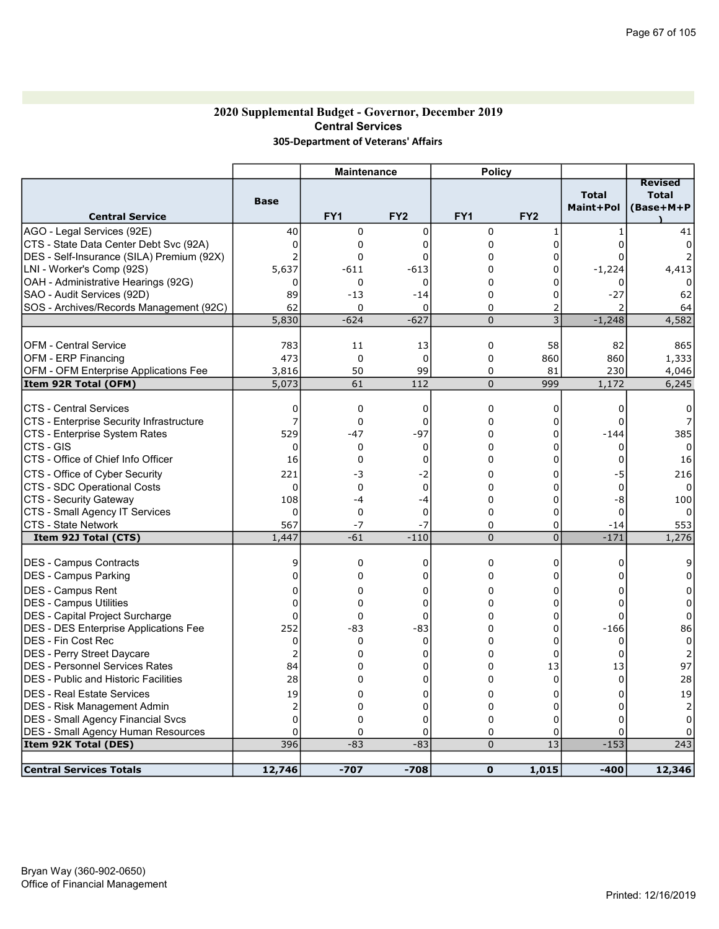#### 2020 Supplemental Budget - Governor, December 2019 Central Services 305-Department of Veterans' Affairs

|                                                               |                | <b>Maintenance</b> |                 | <b>Policy</b>   |                 |                           |                                             |
|---------------------------------------------------------------|----------------|--------------------|-----------------|-----------------|-----------------|---------------------------|---------------------------------------------|
| <b>Central Service</b>                                        | <b>Base</b>    | FY <sub>1</sub>    | FY <sub>2</sub> | FY <sub>1</sub> | FY <sub>2</sub> | <b>Total</b><br>Maint+Pol | <b>Revised</b><br><b>Total</b><br>(Base+M+P |
| AGO - Legal Services (92E)                                    | 40             | 0                  | 0               | 0               | $\mathbf{1}$    | $\mathbf{1}$              | 41                                          |
| CTS - State Data Center Debt Svc (92A)                        | $\Omega$       | 0                  | $\Omega$        | 0               | $\mathbf 0$     | $\Omega$                  |                                             |
| DES - Self-Insurance (SILA) Premium (92X)                     | $\overline{2}$ | $\Omega$           | 0               | 0               | 0               | $\Omega$                  |                                             |
| LNI - Worker's Comp (92S)                                     | 5,637          | $-611$             | $-613$          | 0               | 0               | $-1,224$                  | 4,413                                       |
| OAH - Administrative Hearings (92G)                           | 0              | 0                  | $\Omega$        | 0               | $\Omega$        | 0                         |                                             |
| SAO - Audit Services (92D)                                    | 89             | $-13$              | $-14$           | 0               | 0               | $-27$                     | 62                                          |
| SOS - Archives/Records Management (92C)                       | 62             | $\Omega$           | $\Omega$        | 0               | $\overline{2}$  | $\overline{2}$            | 64                                          |
|                                                               | 5,830          | $-624$             | $-627$          | 0               | 3               | $-1,248$                  | 4,582                                       |
|                                                               |                |                    |                 |                 |                 |                           |                                             |
| <b>OFM - Central Service</b>                                  | 783            | 11                 | 13              | 0               | 58              | 82                        | 865                                         |
| <b>OFM - ERP Financing</b>                                    | 473            | 0<br>50            | $\Omega$<br>99  | 0<br>0          | 860<br>81       | 860<br>230                | 1,333                                       |
| OFM - OFM Enterprise Applications Fee<br>Item 92R Total (OFM) | 3,816<br>5,073 | 61                 | 112             | $\mathbf 0$     | 999             | 1,172                     | 4,046<br>6,245                              |
|                                                               |                |                    |                 |                 |                 |                           |                                             |
| <b>CTS - Central Services</b>                                 | $\mathbf 0$    | 0                  | 0               | 0               | 0               | 0                         | 0                                           |
| CTS - Enterprise Security Infrastructure                      | 7              | 0                  | 0               | 0               | 0               | 0                         |                                             |
| CTS - Enterprise System Rates                                 | 529            | $-47$              | $-97$           | 0               | 0               | $-144$                    | 385                                         |
| CTS - GIS                                                     | 0              | 0                  | 0               | 0               | $\Omega$        | 0                         |                                             |
| CTS - Office of Chief Info Officer                            | 16             | 0                  | 0               | 0               | 0               | 0                         | 16                                          |
| CTS - Office of Cyber Security                                | 221            | -3                 | -2              | 0               | 0               | -5                        | 216                                         |
| CTS - SDC Operational Costs                                   | $\mathbf 0$    | 0                  | $\mathbf 0$     | 0               | 0               | 0                         |                                             |
| <b>CTS - Security Gateway</b>                                 | 108            | $-4$               | -4              | 0               | 0               | -8                        | 100                                         |
| CTS - Small Agency IT Services                                | $\Omega$       | $\mathbf 0$        | 0               | 0               | $\Omega$        | $\Omega$                  |                                             |
| <b>CTS - State Network</b>                                    | 567            | $-7$               | $-7$            | 0               | 0               | $-14$                     | 553                                         |
| Item 92J Total (CTS)                                          | 1,447          | $-61$              | $-110$          | $\overline{0}$  | $\overline{0}$  | $-171$                    | 1,276                                       |
| <b>DES - Campus Contracts</b>                                 | 9              | 0                  | 0               | 0               | 0               | 0                         | 9                                           |
| DES - Campus Parking                                          | 0              | $\mathbf 0$        | 0               | 0               | 0               | 0                         | 0                                           |
| <b>DES - Campus Rent</b>                                      | 0              | 0                  | $\Omega$        | 0               | 0               | $\Omega$                  | 0                                           |
| DES - Campus Utilities                                        | $\Omega$       | 0                  | 0               | 0               | $\overline{0}$  | $\Omega$                  | $\Omega$                                    |
| <b>DES</b> - Capital Project Surcharge                        | $\mathbf 0$    | 0                  | 0               | 0               | 0               | 0                         | 0                                           |
| <b>DES - DES Enterprise Applications Fee</b>                  | 252            | -83                | $-83$           | 0               | $\mathbf 0$     | $-166$                    | 86                                          |
| <b>IDES - Fin Cost Rec</b>                                    | 0              | 0                  | 0               | 0               | 0               | 0                         | $\mathbf 0$                                 |
| DES - Perry Street Daycare                                    | $\overline{2}$ | $\Omega$           | $\Omega$        | 0               | $\mathbf 0$     | $\Omega$                  | 2                                           |
| DES - Personnel Services Rates                                | 84             | 0                  | $\Omega$        | 0               | 13              | 13                        | 97                                          |
| <b>DES</b> - Public and Historic Facilities                   | 28             | 0                  | $\Omega$        | 0               | 0               | $\mathbf 0$               | 28                                          |
| DES - Real Estate Services                                    | 19             | 0                  | $\Omega$        | 0               | 0               | 0                         | 19                                          |
| <b>DES</b> - Risk Management Admin                            | $\overline{2}$ | 0                  | 0               | 0               | 0               | 0                         | $\overline{2}$                              |
| DES - Small Agency Financial Svcs                             | $\mathbf 0$    | 0                  | $\mathbf 0$     | 0               | 0               | $\Omega$                  | 0                                           |
| DES - Small Agency Human Resources                            | $\mathbf 0$    | $\mathbf 0$        | 0               | 0               | 0               | $\Omega$                  | ŋ                                           |
| Item 92K Total (DES)                                          | 396            | $-83$              | $-83$           | $\overline{0}$  | 13              | $-153$                    | 243                                         |
| <b>Central Services Totals</b>                                | 12,746         | $-707$             | $-708$          | $\mathbf{o}$    | 1,015           | $-400$                    | 12,346                                      |
|                                                               |                |                    |                 |                 |                 |                           |                                             |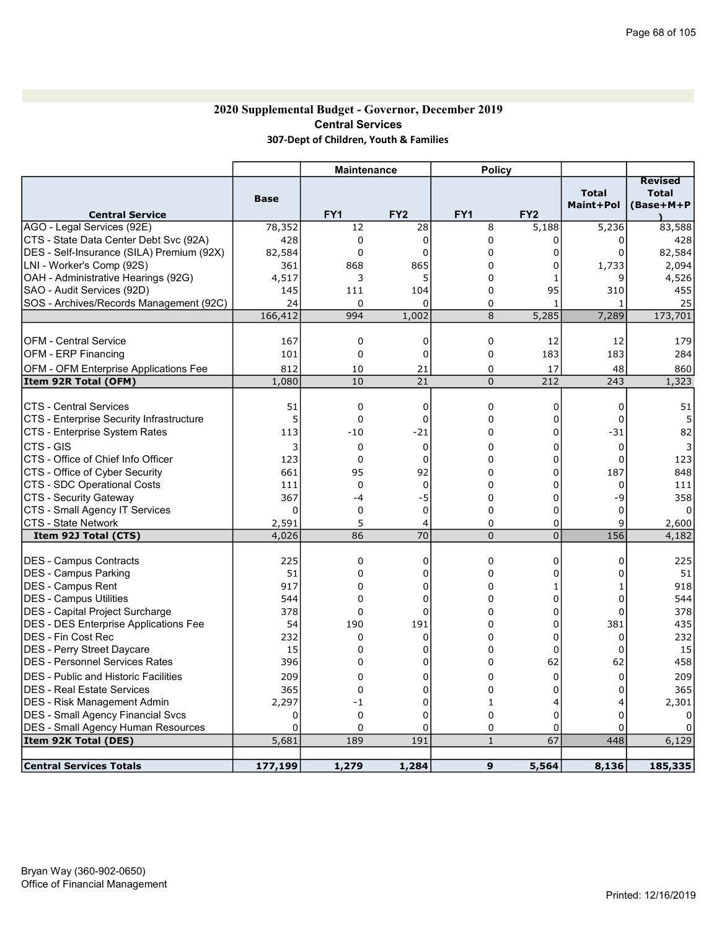# 2020 Supplemental Budget - Governor, December 2019 Central Services 307-Dept of Children, Youth & Families

|                                              |             | <b>Maintenance</b> |                 | <b>Policy</b>  |                 |                           |                                      |
|----------------------------------------------|-------------|--------------------|-----------------|----------------|-----------------|---------------------------|--------------------------------------|
| <b>Central Service</b>                       | <b>Base</b> | FY <sub>1</sub>    | FY <sub>2</sub> | FY1            | FY <sub>2</sub> | <b>Total</b><br>Maint+Pol | <b>Revised</b><br>Total<br>(Base+M+P |
| AGO - Legal Services (92E)                   | 78,352      | 12                 | 28              | 8              | 5,188           | 5,236                     | 83,588                               |
| CTS - State Data Center Debt Svc (92A)       | 428         | $\mathbf 0$        | $\mathbf 0$     | 0              | 0               | $\Omega$                  | 428                                  |
| DES - Self-Insurance (SILA) Premium (92X)    | 82,584      | $\Omega$           | $\Omega$        | 0              | $\mathbf 0$     | $\Omega$                  | 82,584                               |
| LNI - Worker's Comp (92S)                    | 361         | 868                | 865             | 0              | $\Omega$        | 1,733                     | 2,094                                |
| OAH - Administrative Hearings (92G)          | 4,517       | 3                  | 5               | 0              | 1               | 9                         | 4,526                                |
| SAO - Audit Services (92D)                   | 145         | 111                | 104             | 0              | 95              | 310                       | 455                                  |
| SOS - Archives/Records Management (92C)      | 24          | $\mathbf 0$        | $\Omega$        | 0              | $\mathbf{1}$    | 1                         | 25                                   |
|                                              | 166,412     | 994                | 1,002           | 8              | 5,285           | 7,289                     | 173,701                              |
|                                              |             |                    |                 |                |                 |                           |                                      |
| <b>OFM - Central Service</b>                 | 167         | $\mathbf 0$        | 0               | 0              | 12              | 12                        | 179                                  |
| OFM - ERP Financing                          | 101         | $\mathbf 0$        | $\mathbf 0$     | 0              | 183             | 183                       | 284                                  |
| OFM - OFM Enterprise Applications Fee        | 812         | 10                 | 21              | 0              | 17              | 48                        | 860                                  |
| Item 92R Total (OFM)                         | 1,080       | 10                 | 21              | $\overline{0}$ | 212             | 243                       | 1,323                                |
|                                              |             |                    |                 |                |                 |                           |                                      |
| <b>CTS - Central Services</b>                | 51          | $\mathbf 0$        | 0               | 0              | $\mathbf 0$     | 0                         | 51                                   |
| CTS - Enterprise Security Infrastructure     | 5           | $\Omega$           | $\Omega$        | 0              | 0               | 0                         |                                      |
| CTS - Enterprise System Rates                | 113         | -10                | -21             | 0              | 0               | $-31$                     | 82                                   |
| CTS - GIS                                    | 3           | 0                  | $\Omega$        | 0              | $\Omega$        | $\Omega$                  | 3                                    |
| CTS - Office of Chief Info Officer           | 123         | $\Omega$           | $\Omega$        | 0              | $\Omega$        | 0                         | 123                                  |
| CTS - Office of Cyber Security               | 661         | 95                 | 92              | 0              | $\Omega$        | 187                       | 848                                  |
| CTS - SDC Operational Costs                  | 111         | $\Omega$           | $\Omega$        | 0              | $\Omega$        | $\Omega$                  | 111                                  |
| CTS - Security Gateway                       | 367         | $-4$               | $-5$            | 0              | 0               | -9                        | 358                                  |
| CTS - Small Agency IT Services               | $\mathbf 0$ | 0                  | 0               | 0              | 0               | $\Omega$                  | $\Omega$                             |
| CTS - State Network                          | 2,591       | 5                  | 4               | 0              | 0               | 9                         | 2,600                                |
| Item 92J Total (CTS)                         | 4,026       | 86                 | $\overline{70}$ | 0              | $\overline{0}$  | 156                       | 4,182                                |
| DES - Campus Contracts                       | 225         | 0                  | 0               | 0              | 0               | 0                         | 225                                  |
| DES - Campus Parking                         | 51          | 0                  | 0               | 0              | 0               | 0                         | 51                                   |
| <b>DES - Campus Rent</b>                     | 917         | $\Omega$           | $\mathbf 0$     | 0              | $\mathbf{1}$    | 1                         | 918                                  |
| <b>DES - Campus Utilities</b>                | 544         | 0                  | $\mathbf 0$     | 0              | $\overline{0}$  | 0                         | 544                                  |
| DES - Capital Project Surcharge              | 378         | $\Omega$           | $\Omega$        | 0              | 0               | $\Omega$                  | 378                                  |
| <b>DES - DES Enterprise Applications Fee</b> | 54          | 190                | 191             | 0              | $\Omega$        | 381                       | 435                                  |
| <b>DES - Fin Cost Rec</b>                    | 232         | $\Omega$           | $\Omega$        | 0              | $\mathbf 0$     | $\Omega$                  | 232                                  |
| <b>DES - Perry Street Daycare</b>            | 15          | $\mathbf 0$        | $\Omega$        | 0              | $\mathbf 0$     | $\Omega$                  | 15                                   |
| IDES - Personnel Services Rates              | 396         | 0                  | 0               | 0              | 62              | 62                        | 458                                  |
| <b>DES</b> - Public and Historic Facilities  | 209         | 0                  | 0               | 0              | 0               | $\mathbf 0$               | 209                                  |
| <b>DES - Real Estate Services</b>            | 365         | $\mathbf 0$        | $\Omega$        | 0              | $\mathbf 0$     | $\Omega$                  | 365                                  |
| <b>IDES - Risk Management Admin</b>          | 2,297       | -1                 | 0               | $\mathbf{1}$   | 4               | 4                         | 2,301                                |
| <b>DES - Small Agency Financial Svcs</b>     | 0           | $\mathbf 0$        | $\Omega$        | 0              | $\overline{0}$  | 0                         | $\Omega$                             |
| <b>DES - Small Agency Human Resources</b>    | $\Omega$    | $\mathbf 0$        | 0               | 0              | 0               | 0                         |                                      |
| Item 92K Total (DES)                         | 5,681       | 189                | 191             | $\mathbf{1}$   | 67              | 448                       | 6,129                                |
|                                              |             |                    |                 |                |                 |                           |                                      |
| <b>Central Services Totals</b>               | 177,199     | 1,279              | 1,284           | 9              | 5,564           | 8,136                     | 185,335                              |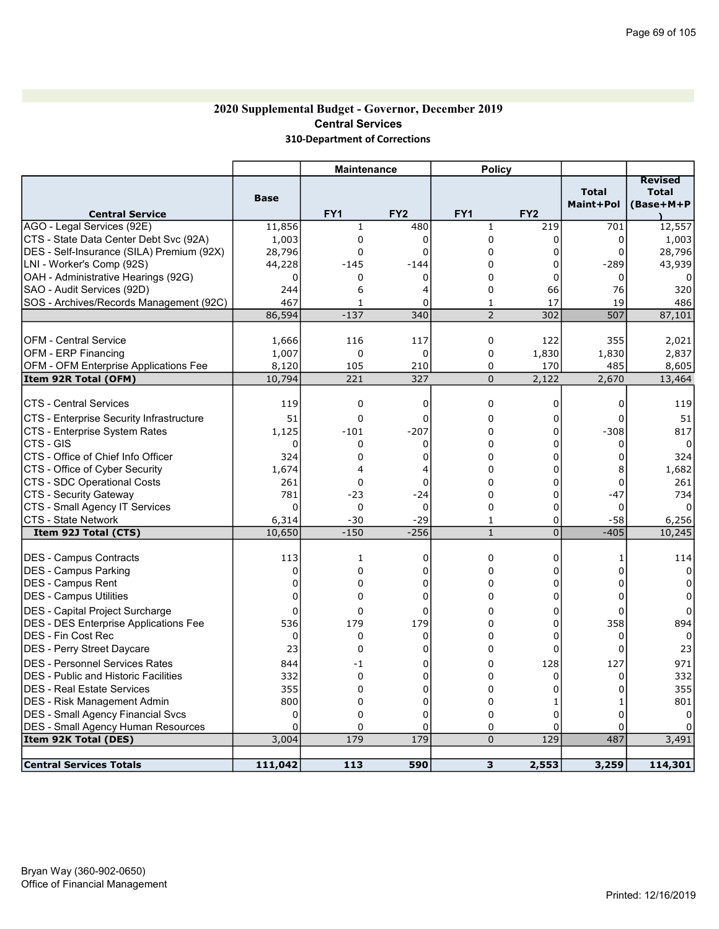## 2020 Supplemental Budget - Governor, December 2019 Central Services 310-Department of Corrections

|                                                 |             | <b>Maintenance</b> |                 | <b>Policy</b>  |                 |                           |                                             |
|-------------------------------------------------|-------------|--------------------|-----------------|----------------|-----------------|---------------------------|---------------------------------------------|
| <b>Central Service</b>                          | <b>Base</b> | FY <sub>1</sub>    | FY <sub>2</sub> | FY1            | FY <sub>2</sub> | <b>Total</b><br>Maint+Pol | <b>Revised</b><br><b>Total</b><br>(Base+M+P |
| AGO - Legal Services (92E)                      | 11,856      | $\mathbf 1$        | 480             | $\mathbf{1}$   | 219             | 701                       | 12,557                                      |
| CTS - State Data Center Debt Svc (92A)          | 1,003       | 0                  | 0               | 0              | 0               | $\mathbf 0$               | 1,003                                       |
| DES - Self-Insurance (SILA) Premium (92X)       | 28,796      | $\Omega$           | $\Omega$        | 0              | 0               | $\Omega$                  | 28,796                                      |
| LNI - Worker's Comp (92S)                       | 44,228      | $-145$             | $-144$          | 0              | $\Omega$        | $-289$                    | 43,939                                      |
| OAH - Administrative Hearings (92G)             | 0           | 0                  | 0               | 0              | $\mathbf 0$     | 0                         | 0                                           |
| SAO - Audit Services (92D)                      | 244         | 6                  | $\overline{4}$  | 0              | 66              | 76                        | 320                                         |
| SOS - Archives/Records Management (92C)         | 467         | $\mathbf{1}$       | 0               | $\mathbf{1}$   | 17              | 19                        | 486                                         |
|                                                 | 86,594      | $-137$             | 340             | $\overline{2}$ | 302             | 507                       | 87,101                                      |
|                                                 |             |                    |                 |                |                 |                           |                                             |
| <b>OFM - Central Service</b>                    | 1,666       | 116                | 117             | 0              | 122             | 355                       | 2,021                                       |
| OFM - ERP Financing                             | 1,007       | $\mathbf 0$        | $\Omega$        | 0              | 1,830           | 1,830                     | 2,837                                       |
| OFM - OFM Enterprise Applications Fee           | 8,120       | 105                | 210             | 0              | 170             | 485                       | 8,605                                       |
| Item 92R Total (OFM)                            | 10,794      | 221                | 327             | $\overline{0}$ | 2,122           | 2,670                     | 13,464                                      |
| <b>CTS - Central Services</b>                   | 119         | $\Omega$           | $\Omega$        | 0              | 0               | $\Omega$                  | 119                                         |
|                                                 |             |                    |                 |                |                 |                           |                                             |
| <b>CTS - Enterprise Security Infrastructure</b> | 51          | $\mathbf 0$        | 0               | 0              | 0               | 0                         | 51                                          |
| CTS - Enterprise System Rates                   | 1,125       | $-101$             | $-207$          | 0              | 0               | $-308$                    | 817                                         |
| CTS - GIS                                       | 0           | 0                  | 0               | 0              | 0               | 0                         | 0                                           |
| CTS - Office of Chief Info Officer              | 324         | 0                  | $\Omega$        | 0              | $\mathbf 0$     | 0                         | 324                                         |
| CTS - Office of Cyber Security                  | 1,674       | 4                  | 4               | 0              | $\overline{0}$  | 8                         | 1,682                                       |
| <b>CTS - SDC Operational Costs</b>              | 261         | 0                  | $\mathbf 0$     | 0              | 0               | $\mathbf 0$               | 261                                         |
| <b>CTS - Security Gateway</b>                   | 781         | $-23$              | $-24$           | 0              | 0               | $-47$                     | 734                                         |
| CTS - Small Agency IT Services                  | $\mathbf 0$ | $\mathbf 0$        | 0               | 0              | 0               | 0                         |                                             |
| <b>CTS - State Network</b>                      | 6,314       | $-30$              | $-29$           | $\mathbf{1}$   | $\Omega$        | $-58$                     | 6,256                                       |
| Item 92J Total (CTS)                            | 10,650      | $-150$             | $-256$          | $\mathbf{1}$   | $\overline{0}$  | $-405$                    | 10,245                                      |
| <b>IDES - Campus Contracts</b>                  | 113         | 1                  | $\mathbf 0$     | 0              | 0               | 1                         | 114                                         |
| <b>DES - Campus Parking</b>                     | 0           | $\Omega$           | 0               | 0              | 0               | 0                         | n                                           |
| <b>DES - Campus Rent</b>                        | $\Omega$    | 0                  | $\Omega$        | 0              | $\overline{0}$  | 0                         |                                             |
| <b>DES - Campus Utilities</b>                   | 0           | $\mathbf 0$        | 0               | 0              | 0               | 0                         |                                             |
| <b>DES</b> - Capital Project Surcharge          | $\mathbf 0$ | 0                  | 0               | 0              | 0               | $\mathbf 0$               | 0                                           |
| <b>DES - DES Enterprise Applications Fee</b>    | 536         | 179                | 179             | 0              | $\mathbf 0$     | 358                       | 894                                         |
| <b>DES - Fin Cost Rec</b>                       | $\Omega$    | $\Omega$           | $\Omega$        | 0              | $\mathbf{0}$    | 0                         | $\Omega$                                    |
| <b>DES - Perry Street Daycare</b>               | 23          | $\Omega$           | $\Omega$        | 0              | $\mathbf 0$     | $\Omega$                  | 23                                          |
| DES - Personnel Services Rates                  | 844         | -1                 | $\Omega$        | 0              | 128             | 127                       | 971                                         |
| <b>DES</b> - Public and Historic Facilities     | 332         | 0                  | 0               | 0              | 0               | 0                         | 332                                         |
| <b>DES - Real Estate Services</b>               | 355         | $\mathbf 0$        | $\Omega$        | 0              | $\mathbf 0$     | $\Omega$                  | 355                                         |
| <b>IDES - Risk Management Admin</b>             | 800         | $\mathbf 0$        | $\mathbf 0$     | 0              | 1               | 1                         | 801                                         |
| DES - Small Agency Financial Svcs               | $\Omega$    | $\mathbf 0$        | $\Omega$        | 0              | $\overline{0}$  | $\Omega$                  | $\Omega$                                    |
| <b>DES - Small Agency Human Resources</b>       | $\Omega$    | $\Omega$           | $\Omega$        | 0              | 0               | 0                         |                                             |
| Item 92K Total (DES)                            | 3,004       | 179                | 179             | $\Omega$       | 129             | 487                       | 3,491                                       |
| <b>Central Services Totals</b>                  | 111,042     | 113                | 590             | 3              | 2,553           | 3,259                     | 114,301                                     |
|                                                 |             |                    |                 |                |                 |                           |                                             |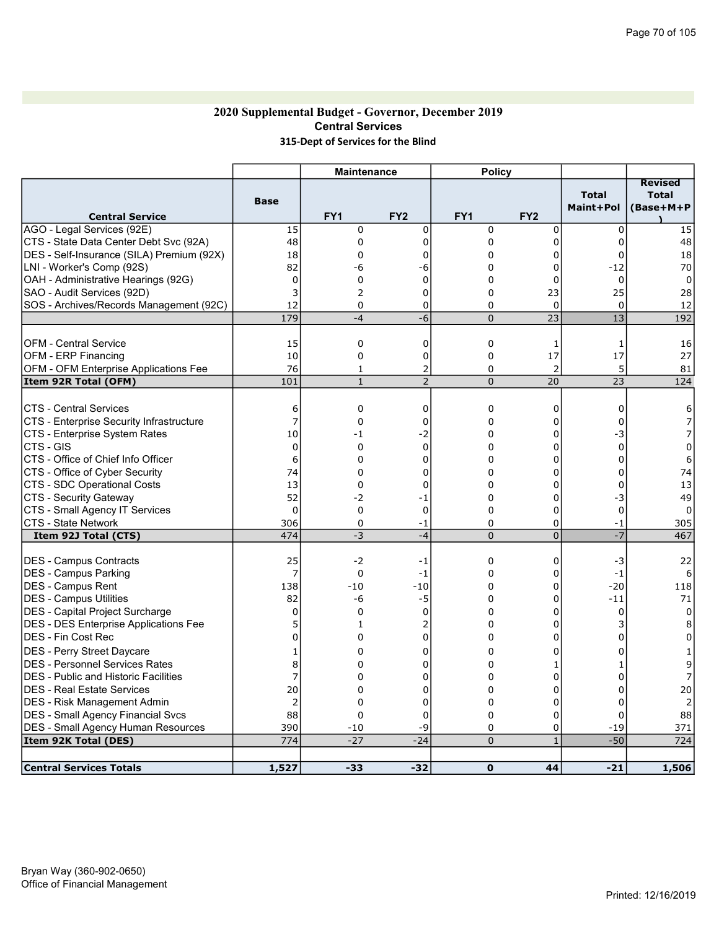### 2020 Supplemental Budget - Governor, December 2019 Central Services 315-Dept of Services for the Blind

|                                              |                | <b>Maintenance</b>           |                 | <b>Policy</b>  |                 |                           |                                             |
|----------------------------------------------|----------------|------------------------------|-----------------|----------------|-----------------|---------------------------|---------------------------------------------|
| <b>Central Service</b>                       | <b>Base</b>    | FY <sub>1</sub>              | FY <sub>2</sub> | FY1            | FY <sub>2</sub> | <b>Total</b><br>Maint+Pol | <b>Revised</b><br><b>Total</b><br>(Base+M+P |
| AGO - Legal Services (92E)                   | 15             | 0                            | $\mathbf 0$     | 0              | 0               | $\Omega$                  | 15                                          |
| CTS - State Data Center Debt Svc (92A)       | 48             | 0                            | $\Omega$        | 0              | $\Omega$        | $\Omega$                  | 48                                          |
| DES - Self-Insurance (SILA) Premium (92X)    | 18             | 0                            | $\Omega$        | 0              | 0               | 0                         | 18                                          |
| LNI - Worker's Comp (92S)                    | 82             | -6                           | -6              | 0              | $\Omega$        | $-12$                     | 70                                          |
| OAH - Administrative Hearings (92G)          | 0              | 0                            | 0               | 0              | $\mathbf 0$     | 0                         | $\mathbf 0$                                 |
| SAO - Audit Services (92D)                   | 3              | 2                            | $\Omega$        | 0              | 23              | 25                        | 28                                          |
| SOS - Archives/Records Management (92C)      | 12             | $\Omega$                     | 0               | 0              | 0               | $\Omega$                  | 12                                          |
|                                              | 179            | $-4$                         | -6              | $\overline{0}$ | $\overline{23}$ | 13                        | 192                                         |
|                                              |                |                              |                 |                |                 |                           |                                             |
| <b>OFM - Central Service</b>                 | 15             | $\mathbf 0$                  | $\mathbf 0$     | 0<br>0         | 1               | 1                         | 16                                          |
| <b>OFM - ERP Financing</b>                   | 10<br>76       | $\mathbf 0$                  | $\mathbf 0$     | 0              | 17              | 17                        | 27                                          |
| OFM - OFM Enterprise Applications Fee        | 101            | $\mathbf{1}$<br>$\mathbf{1}$ | $\overline{2}$  | $\overline{0}$ | 2               | 5                         | 81<br>124                                   |
| Item 92R Total (OFM)                         |                |                              | $\overline{2}$  |                | 20              | 23                        |                                             |
| <b>CTS - Central Services</b>                |                | $\mathbf 0$                  | 0               | 0              | 0               | $\mathbf 0$               |                                             |
| CTS - Enterprise Security Infrastructure     | 6<br>7         | $\mathbf 0$                  | 0               | 0              | 0               | 0                         | 6                                           |
| CTS - Enterprise System Rates                | 10             | -1                           | $-2$            | 0              | 0               | -3                        | 7                                           |
| CTS - GIS                                    | 0              | $\mathbf 0$                  | $\mathbf 0$     | 0              | $\Omega$        | $\mathbf 0$               | $\mathbf 0$                                 |
| CTS - Office of Chief Info Officer           | 6              | 0                            | 0               | 0              | 0               | $\mathbf 0$               | 6                                           |
| CTS - Office of Cyber Security               | 74             | 0                            | $\Omega$        | 0              | 0               | 0                         | 74                                          |
| CTS - SDC Operational Costs                  | 13             | 0                            | $\mathbf 0$     | 0              | 0               | $\mathbf 0$               | 13                                          |
| CTS - Security Gateway                       | 52             | $-2$                         | -1              | 0              | $\overline{0}$  | -3                        | 49                                          |
| CTS - Small Agency IT Services               | 0              | 0                            | $\mathbf 0$     | 0              | 0               | 0                         | $\mathbf 0$                                 |
| CTS - State Network                          | 306            | 0                            | -1              | 0              | $\mathbf 0$     | $-1$                      | 305                                         |
| Item 92J Total (CTS)                         | 474            | -3                           | $-4$            | 0              | $\overline{0}$  | $-7$                      | 467                                         |
|                                              |                |                              |                 |                |                 |                           |                                             |
| DES - Campus Contracts                       | 25             | $-2$                         | -1              | 0              | 0               | -3                        | 22                                          |
| DES - Campus Parking                         | 7              | 0                            | -1              | 0              | 0               | $-1$                      | 6                                           |
| <b>IDES - Campus Rent</b>                    | 138            | $-10$                        | $-10$           | 0              | $\mathbf 0$     | $-20$                     | 118                                         |
| <b>DES - Campus Utilities</b>                | 82             | -6                           | -5              | 0              | 0               | $-11$                     | 71                                          |
| DES - Capital Project Surcharge              | 0              | 0                            | 0               | 0              | 0               | 0                         | $\mathbf 0$                                 |
| DES - DES Enterprise Applications Fee        | 5              | $\mathbf{1}$                 | 2               | 0              | 0               | 3                         | 8                                           |
| IDES - Fin Cost Rec                          | 0              | 0                            | $\Omega$        | 0              | 0               | 0                         | 0                                           |
| <b>DES - Perry Street Daycare</b>            | 1              | 0                            | 0               | 0              | 0               | 0                         |                                             |
| <b>DES - Personnel Services Rates</b>        | 8              | 0                            | 0               | 0              | $\mathbf{1}$    | 1                         | 9                                           |
| <b>IDES - Public and Historic Facilities</b> | 7              | 0                            | $\Omega$        | 0              | 0               | $\overline{0}$            |                                             |
| <b>IDES - Real Estate Services</b>           | 20             | 0                            | 0               | 0              | 0               | 0                         | 20                                          |
| IDES - Risk Management Admin                 | $\overline{2}$ | 0                            | $\mathbf 0$     | 0              | 0               | $\Omega$                  | 2                                           |
| DES - Small Agency Financial Svcs            | 88             | $\mathbf 0$                  | $\mathbf 0$     | 0              | $\mathbf 0$     | 0                         | 88                                          |
| <b>DES - Small Agency Human Resources</b>    | 390            | $-10$                        | -9              | 0              | 0               | $-19$                     | 371                                         |
| Item 92K Total (DES)                         | 774            | $-27$                        | $-24$           | $\overline{0}$ | $\mathbf{1}$    | $-50$                     | 724                                         |
|                                              |                |                              |                 |                |                 |                           |                                             |
| <b>Central Services Totals</b>               | 1,527          | $-33$                        | $-32$           | $\mathbf 0$    | 44              | $-21$                     | 1,506                                       |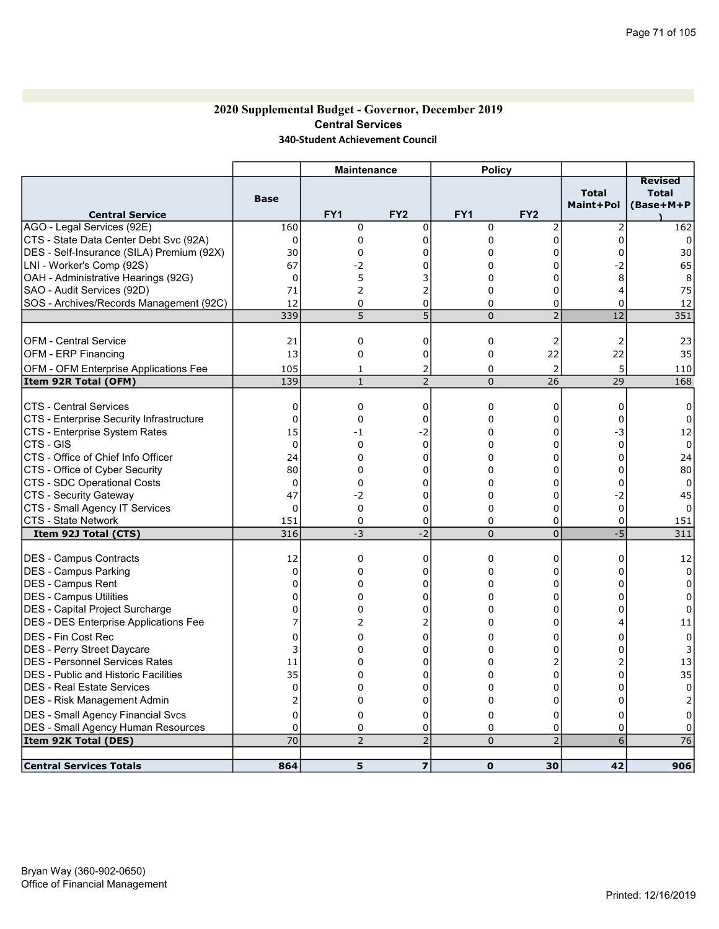### 2020 Supplemental Budget - Governor, December 2019 Central Services 340-Student Achievement Council

|                                              |             | <b>Maintenance</b> |                                | <b>Policy</b>       |                     |                           |                                      |
|----------------------------------------------|-------------|--------------------|--------------------------------|---------------------|---------------------|---------------------------|--------------------------------------|
| <b>Central Service</b>                       | <b>Base</b> | FY <sub>1</sub>    | FY <sub>2</sub>                | FY1                 | FY <sub>2</sub>     | <b>Total</b><br>Maint+Pol | <b>Revised</b><br>Total<br>(Base+M+P |
| AGO - Legal Services (92E)                   | 160         | $\Omega$           | $\Omega$                       | 0                   | 2                   | $\overline{2}$            | 162                                  |
| CTS - State Data Center Debt Svc (92A)       | $\Omega$    | 0                  | $\Omega$                       | 0                   | $\overline{0}$      | $\Omega$                  | $\Omega$                             |
| DES - Self-Insurance (SILA) Premium (92X)    | 30          | 0                  | $\Omega$                       | 0                   | 0                   | 0                         | 30                                   |
| LNI - Worker's Comp (92S)                    | 67          | -2                 | 0                              | 0                   | 0                   |                           | 65                                   |
| OAH - Administrative Hearings (92G)          | 0           | 5                  | 3                              | 0                   | 0                   | 8                         | 8                                    |
| SAO - Audit Services (92D)                   | 71          | $\overline{2}$     | $\overline{2}$                 | 0                   | $\mathbf 0$         | 4                         | 75                                   |
| SOS - Archives/Records Management (92C)      | 12          | 0                  | $\overline{0}$                 | 0                   | 0                   | 0                         | 12                                   |
|                                              | 339         | 5                  | $\overline{5}$                 | $\pmb{0}$           | $\overline{2}$      | $\overline{12}$           | 351                                  |
|                                              |             |                    |                                |                     |                     |                           |                                      |
| <b>OFM - Central Service</b>                 | 21          | 0                  | $\mathbf 0$                    | 0                   | 2                   | $\overline{2}$            | 23                                   |
| OFM - ERP Financing                          | 13          | $\mathbf 0$        | $\mathbf 0$                    | 0                   | 22                  | 22                        | 35                                   |
| <b>OFM - OFM Enterprise Applications Fee</b> | 105         | 1                  | 2                              | 0                   | 2                   | 5                         | 110                                  |
| Item 92R Total (OFM)                         | 139         | $\mathbf{1}$       | $\overline{2}$                 | $\overline{0}$      | $\overline{26}$     | 29                        | 168                                  |
|                                              |             |                    |                                |                     |                     |                           |                                      |
| <b>CTS - Central Services</b>                | 0           | $\mathbf 0$        | 0                              | 0                   | 0                   | 0                         | 0                                    |
| CTS - Enterprise Security Infrastructure     | 0           | $\mathbf 0$        | 0                              | 0                   | 0                   | 0                         | 0                                    |
| CTS - Enterprise System Rates                | 15          | -1                 | $-2$                           | 0                   | 0                   | -3                        | 12                                   |
| CTS - GIS                                    | $\Omega$    | $\Omega$           | $\Omega$                       | 0                   | $\overline{0}$      | $\Omega$                  | 0                                    |
| CTS - Office of Chief Info Officer           | 24          | $\Omega$           | $\Omega$                       | 0                   | $\mathbf 0$         | $\Omega$                  | 24                                   |
| CTS - Office of Cyber Security               | 80          | $\mathbf 0$        | $\Omega$                       | 0                   | $\Omega$            | $\overline{0}$            | 80                                   |
| ICTS - SDC Operational Costs                 | 0           | 0                  | $\Omega$                       | 0                   | 0                   | 0                         | $\Omega$                             |
| CTS - Security Gateway                       | 47          | -2                 | $\mathbf 0$                    | 0                   | 0                   | -2                        | 45                                   |
| CTS - Small Agency IT Services               | 0           | 0                  | 0                              | 0                   | 0                   | $\mathbf 0$               | $\Omega$                             |
| CTS - State Network                          | 151<br>316  | $\Omega$<br>-3     | $\mathbf 0$<br>$-\overline{2}$ | 0<br>$\overline{0}$ | 0<br>$\overline{0}$ | 0<br>$-5$                 | 151<br>311                           |
| Item 92J Total (CTS)                         |             |                    |                                |                     |                     |                           |                                      |
| DES - Campus Contracts                       | 12          | 0                  | 0                              | 0                   | 0                   | $\Omega$                  | 12                                   |
| DES - Campus Parking                         | $\Omega$    | $\Omega$           | $\Omega$                       | 0                   | 0                   | $\Omega$                  | $\Omega$                             |
| DES - Campus Rent                            | $\Omega$    | $\Omega$           | $\Omega$                       | 0                   | $\overline{0}$      | $\Omega$                  | $\Omega$                             |
| DES - Campus Utilities                       | $\Omega$    | 0                  | $\Omega$                       | 0                   | $\mathbf 0$         | $\Omega$                  | $\Omega$                             |
| DES - Capital Project Surcharge              | 0           | 0                  | $\Omega$                       | 0                   | $\Omega$            | O                         | 0                                    |
| DES - DES Enterprise Applications Fee        | 7           | 2                  | 2                              | 0                   | $\Omega$            | 4                         | 11                                   |
| DES - Fin Cost Rec                           | 0           | 0                  | $\Omega$                       | 0                   | 0                   | $\Omega$                  | 0                                    |
| DES - Perry Street Daycare                   | 3           | 0                  | $\Omega$                       | 0                   | 0                   | 0                         | 3                                    |
| DES - Personnel Services Rates               | 11          | $\Omega$           | $\Omega$                       | 0                   | $\overline{2}$      |                           | 13                                   |
| <b>DES</b> - Public and Historic Facilities  | 35          | $\Omega$           | 0                              | 0                   | $\Omega$            | 0                         | 35                                   |
| DES - Real Estate Services                   | $\Omega$    | $\mathbf 0$        | $\Omega$                       | 0                   | $\Omega$            | $\Omega$                  | $\Omega$                             |
| DES - Risk Management Admin                  |             | 0                  | 0                              | 0                   | 0                   | 0                         |                                      |
| DES - Small Agency Financial Svcs            | 0           | $\mathbf 0$        | 0                              | 0                   | 0                   | 0                         | 0                                    |
| <b>DES - Small Agency Human Resources</b>    | $\Omega$    | $\Omega$           | 0                              | 0                   | 0                   | 0                         | 0                                    |
| Item 92K Total (DES)                         | 70          | $\overline{2}$     | $\overline{2}$                 | $\overline{0}$      | $\overline{2}$      | 6                         | 76                                   |
|                                              |             |                    |                                |                     |                     |                           |                                      |
| <b>Central Services Totals</b>               | 864         | 5                  | $\overline{z}$                 | $\mathbf{0}$        | 30                  | 42                        | 906                                  |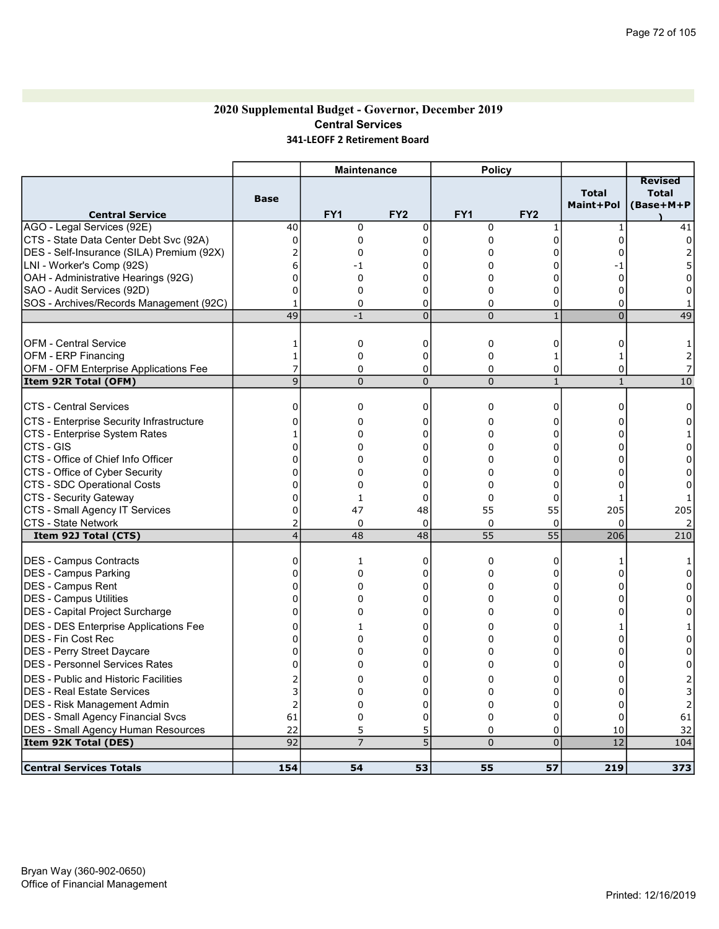#### 2020 Supplemental Budget - Governor, December 2019 Central Services 341-LEOFF 2 Retirement Board

|                                              |                | <b>Maintenance</b> |                 | <b>Policy</b>   |                 |                           |                                             |
|----------------------------------------------|----------------|--------------------|-----------------|-----------------|-----------------|---------------------------|---------------------------------------------|
| <b>Central Service</b>                       | <b>Base</b>    | FY <sub>1</sub>    | FY <sub>2</sub> | FY <sub>1</sub> | FY <sub>2</sub> | <b>Total</b><br>Maint+Pol | <b>Revised</b><br><b>Total</b><br>(Base+M+P |
| AGO - Legal Services (92E)                   | 40             | $\mathbf 0$        | $\mathbf 0$     | 0               | 1               | $\mathbf{1}$              | 41                                          |
| CTS - State Data Center Debt Svc (92A)       | $\Omega$       | 0                  | $\Omega$        | $\Omega$        | $\Omega$        | $\Omega$                  | $\Omega$                                    |
| DES - Self-Insurance (SILA) Premium (92X)    |                | 0                  | 0               | $\Omega$        | $\Omega$        |                           |                                             |
| LNI - Worker's Comp (92S)                    | 6              | -1                 | $\Omega$        | $\Omega$        | $\Omega$        | - 1                       |                                             |
| OAH - Administrative Hearings (92G)          | 0              | 0                  | 0               | 0               | 0               | $\Omega$                  | 0                                           |
| SAO - Audit Services (92D)                   | 0              | $\Omega$           | $\Omega$        | $\Omega$        | 0               | $\Omega$                  | 0                                           |
|                                              |                | $\mathbf 0$        | $\mathbf 0$     | 0               | 0               | 0                         |                                             |
| SOS - Archives/Records Management (92C)      | 49             | $-1$               | $\overline{0}$  | $\Omega$        | $\mathbf{1}$    | $\overline{0}$            | 49                                          |
|                                              |                |                    |                 |                 |                 |                           |                                             |
|                                              |                |                    |                 |                 |                 |                           |                                             |
| <b>OFM - Central Service</b>                 | 1              | $\mathbf 0$        | 0               | 0               | 0               | 0                         |                                             |
| <b>OFM - ERP Financing</b>                   | $\mathbf{1}$   | $\Omega$           | 0               | 0               | $\mathbf{1}$    | 1                         |                                             |
| OFM - OFM Enterprise Applications Fee        | 7              | $\Omega$           | $\mathbf 0$     | 0               | 0               | 0                         |                                             |
| Item 92R Total (OFM)                         | 9              | $\Omega$           | $\Omega$        | $\Omega$        | $\mathbf{1}$    | $\mathbf{1}$              | 10                                          |
|                                              |                |                    |                 |                 |                 |                           |                                             |
| <b>CTS - Central Services</b>                | 0              | 0                  | 0               | 0               | 0               | 0                         | $\Omega$                                    |
| CTS - Enterprise Security Infrastructure     | 0              | $\mathbf 0$        | 0               | 0               | 0               | 0                         | 0                                           |
| CTS - Enterprise System Rates                |                | 0                  | 0               | 0               | 0               | 0                         |                                             |
| CTS - GIS                                    | 0              | 0                  | $\Omega$        | $\Omega$        | $\Omega$        | $\Omega$                  | 0                                           |
| CTS - Office of Chief Info Officer           | U              | 0                  | $\Omega$        | $\Omega$        | $\Omega$        | $\Omega$                  | 0                                           |
| CTS - Office of Cyber Security               | n              | 0                  | $\Omega$        | 0               | $\Omega$        | $\Omega$                  | O                                           |
| CTS - SDC Operational Costs                  | U              | 0                  | $\Omega$        | 0               | $\Omega$        | $\Omega$                  |                                             |
| CTS - Security Gateway                       |                | $1\,$              | $\Omega$        | 0               | $\Omega$        | 1                         |                                             |
| CTS - Small Agency IT Services               | $\Omega$       | 47                 | 48              | 55              | 55              | 205                       | 205                                         |
| <b>CTS - State Network</b>                   |                | $\mathbf 0$        | $\mathbf 0$     | 0               | 0               | $\Omega$                  |                                             |
| Item 92J Total (CTS)                         | $\overline{4}$ | 48                 | 48              | 55              | $\overline{55}$ | 206                       | 210                                         |
|                                              |                |                    |                 |                 |                 |                           |                                             |
| DES - Campus Contracts                       | 0              | $\mathbf{1}$       | $\mathbf 0$     | 0               | 0               | 1                         |                                             |
| DES - Campus Parking                         | 0              | $\mathbf 0$        | 0               | 0               | 0               | 0                         | 0                                           |
| <b>DES - Campus Rent</b>                     | 0              | 0                  | $\Omega$        | 0               | 0               | $\Omega$                  | 0                                           |
| <b>DES - Campus Utilities</b>                | 0              | $\mathbf 0$        | 0               | 0               | 0               | 0                         | $\Omega$                                    |
| DES - Capital Project Surcharge              | 0              | 0                  | 0               | 0               | 0               | 0                         | 0                                           |
| <b>DES - DES Enterprise Applications Fee</b> | 0              | 1                  | $\Omega$        | 0               | 0               |                           |                                             |
| DES - Fin Cost Rec                           | 0              | 0                  | $\mathbf 0$     | 0               | 0               | $\Omega$                  | 0                                           |
| <b>DES - Perry Street Daycare</b>            | U              | 0                  | $\mathbf{0}$    | 0               | $\Omega$        | $\Omega$                  | 0                                           |
| <b>DES - Personnel Services Rates</b>        | 0              | 0                  | $\mathbf{0}$    | 0               | 0               | $\Omega$                  | 0                                           |
| <b>DES - Public and Historic Facilities</b>  |                | 0                  | 0               | 0               | 0               | 0                         |                                             |
| <b>DES - Real Estate Services</b>            |                | 0                  | $\Omega$        | 0               | 0               | 0                         |                                             |
| <b>DES - Risk Management Admin</b>           | $\overline{2}$ | 0                  | $\mathbf 0$     | 0               | 0               | 0                         |                                             |
| <b>DES - Small Agency Financial Svcs</b>     | 61             | 0                  | $\mathbf 0$     | 0               | 0               | 0                         | 61                                          |
| <b>DES - Small Agency Human Resources</b>    | 22             | 5                  | 5               | 0               | 0               | 10                        | 32                                          |
| Item 92K Total (DES)                         | 92             | $\overline{7}$     | 5               | $\overline{0}$  | $\overline{0}$  | 12                        | 104                                         |
|                                              |                |                    |                 |                 |                 |                           |                                             |
| <b>Central Services Totals</b>               | 154            | 54                 | 53              | 55              | 57              | 219                       | 373                                         |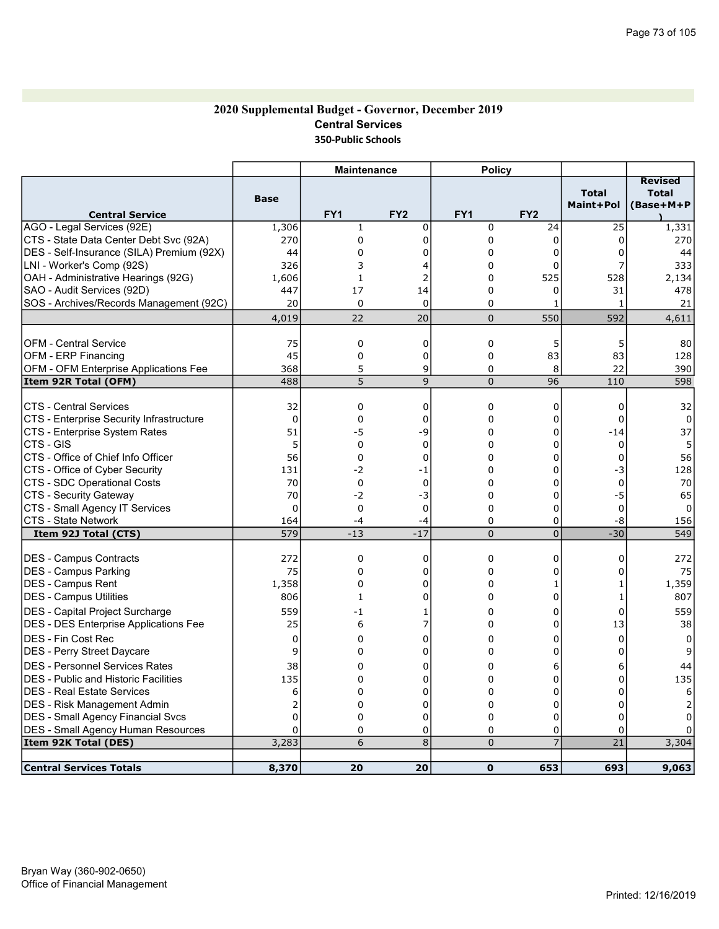#### 2020 Supplemental Budget - Governor, December 2019 Central Services 350-Public Schools

|                                             |             | Maintenance    |                 | <b>Policy</b>  |                 |                           |                                             |
|---------------------------------------------|-------------|----------------|-----------------|----------------|-----------------|---------------------------|---------------------------------------------|
| <b>Central Service</b>                      | <b>Base</b> | FY1            | FY <sub>2</sub> | FY1            | FY <sub>2</sub> | <b>Total</b><br>Maint+Pol | <b>Revised</b><br><b>Total</b><br>(Base+M+P |
| AGO - Legal Services (92E)                  | 1,306       | $\mathbf 1$    | 0               | 0              | 24              | 25                        | 1,331                                       |
| CTS - State Data Center Debt Svc (92A)      | 270         | 0              | 0               | 0              | 0               | 0                         | 270                                         |
| DES - Self-Insurance (SILA) Premium (92X)   | 44          | 0              | 0               | 0              | 0               | 0                         | 44                                          |
| LNI - Worker's Comp (92S)                   | 326         | 3              | 4               | 0              | $\mathbf 0$     |                           | 333                                         |
| OAH - Administrative Hearings (92G)         | 1,606       | $\mathbf{1}$   | 2               | 0              | 525             | 528                       | 2,134                                       |
| SAO - Audit Services (92D)                  | 447         | 17             | 14              | 0              | 0               | 31                        | 478                                         |
| SOS - Archives/Records Management (92C)     | 20          | 0              | $\mathbf 0$     | 0              | 1               | $\mathbf{1}$              | 21                                          |
|                                             | 4,019       | 22             | 20              | 0              | 550             | 592                       | 4,611                                       |
|                                             |             |                |                 |                |                 |                           |                                             |
| <b>OFM - Central Service</b>                | 75          | 0              | 0               | $\pmb{0}$      | 5               | 5                         | 80                                          |
| <b>OFM - ERP Financing</b>                  | 45          | $\pmb{0}$      | $\overline{0}$  | 0              | 83              | 83                        | 128                                         |
| OFM - OFM Enterprise Applications Fee       | 368         | 5              | 9               | 0              | 8               | 22                        | 390                                         |
| Item 92R Total (OFM)                        | 488         | $\overline{5}$ | 9               | $\overline{0}$ | 96              | 110                       | 598                                         |
| <b>CTS - Central Services</b>               | 32          | $\mathbf 0$    | 0               | 0              | 0               | 0                         | 32                                          |
| CTS - Enterprise Security Infrastructure    | 0           | $\mathbf 0$    | $\Omega$        | 0              | 0               | $\Omega$                  | $\Omega$                                    |
| CTS - Enterprise System Rates               | 51          | -5             | -9              | 0              | $\overline{0}$  | $-14$                     | 37                                          |
| <b>CTS - GIS</b>                            | 5           | 0              | 0               | 0              | 0               | $\mathbf 0$               | 5                                           |
| CTS - Office of Chief Info Officer          | 56          | 0              | 0               | 0              | 0               | $\mathbf 0$               | 56                                          |
| CTS - Office of Cyber Security              | 131         | $-2$           | -1              | 0              | 0               | -3                        | 128                                         |
| CTS - SDC Operational Costs                 | 70          | 0              | $\mathbf 0$     | 0              | 0               | $\mathbf 0$               | 70                                          |
| CTS - Security Gateway                      | 70          | $-2$           | -3              | 0              | 0               | -5                        | 65                                          |
| CTS - Small Agency IT Services              | $\Omega$    | 0              | $\mathbf 0$     | 0              | 0               | $\mathbf 0$               | $\Omega$                                    |
| <b>CTS - State Network</b>                  | 164         | $-4$           | $-4$            | 0              | 0               | -8                        | 156                                         |
| Item 92J Total (CTS)                        | 579         | $-13$          | $-17$           | $\overline{0}$ | $\overline{0}$  | $-30$                     | 549                                         |
| DES - Campus Contracts                      | 272         | 0              | 0               | 0              | $\Omega$        | 0                         | 272                                         |
| <b>DES - Campus Parking</b>                 | 75          | 0              | $\Omega$        | 0              | 0               | 0                         | 75                                          |
| DES - Campus Rent                           | 1,358       | 0              | 0               | 0              | $\mathbf{1}$    | 1                         | 1,359                                       |
| DES - Campus Utilities                      | 806         | $\mathbf{1}$   | 0               | 0              | $\mathbf 0$     | 1                         | 807                                         |
| DES - Capital Project Surcharge             | 559         | -1             | 1               | 0              | 0               | 0                         | 559                                         |
| DES - DES Enterprise Applications Fee       | 25          | 6              |                 | 0              | $\Omega$        | 13                        | 38                                          |
| <b>IDES - Fin Cost Rec</b>                  | 0           | 0              | 0               | 0              | 0               | $\Omega$                  | $\Omega$                                    |
| DES - Perry Street Daycare                  | 9           | $\Omega$       | $\Omega$        | 0              | 0               | 0                         | 9                                           |
| IDES - Personnel Services Rates             | 38          | 0              | $\Omega$        | 0              | 6               | 6                         | 44                                          |
| <b>DES</b> - Public and Historic Facilities | 135         | 0              | $\Omega$        | 0              | 0               | 0                         | 135                                         |
| <b>DES - Real Estate Services</b>           | 6           | 0              | $\Omega$        | 0              | $\overline{0}$  | $\Omega$                  | 6                                           |
| IDES - Risk Management Admin                | 2           | 0              | 0               | 0              | 0               | 0                         |                                             |
| DES - Small Agency Financial Svcs           | 0           | 0              | 0               | 0              | 0               | 0                         |                                             |
| <b>DES</b> - Small Agency Human Resources   | 0           | 0              | 0               | 0              | 0               | 0                         |                                             |
| Item 92K Total (DES)                        | 3,283       | 6              | 8               | $\overline{0}$ | $\overline{7}$  | 21                        | 3,304                                       |
| <b>Central Services Totals</b>              | 8,370       | 20             | 20              | $\mathbf{0}$   | 653             | 693                       | 9,063                                       |
|                                             |             |                |                 |                |                 |                           |                                             |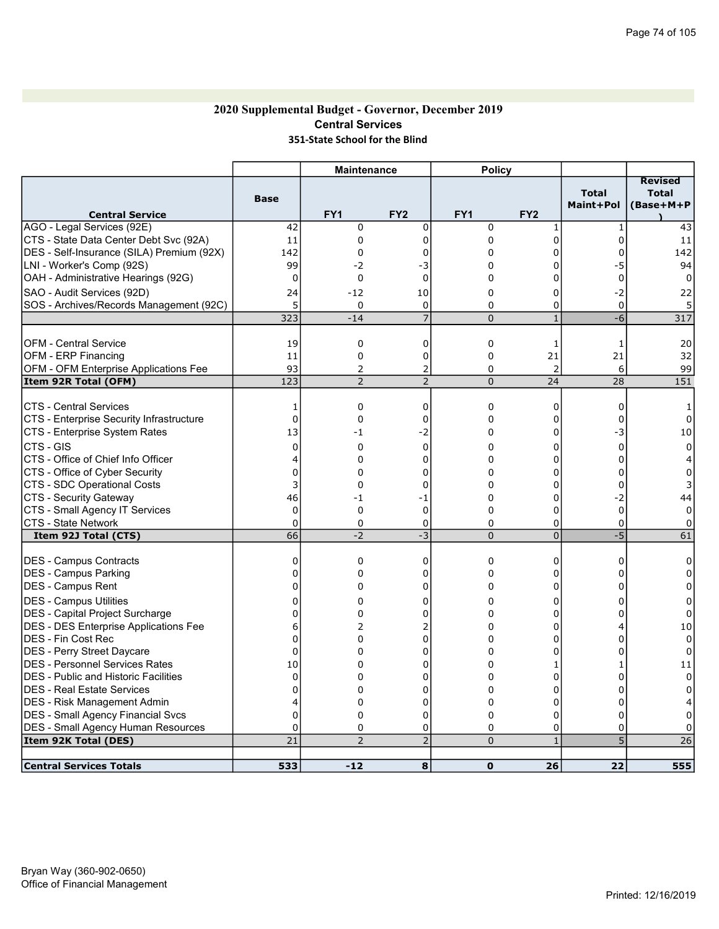#### 2020 Supplemental Budget - Governor, December 2019 Central Services 351-State School for the Blind

|                                              |             | <b>Maintenance</b> |                 | <b>Policy</b>   |                 |                           |                                             |
|----------------------------------------------|-------------|--------------------|-----------------|-----------------|-----------------|---------------------------|---------------------------------------------|
| <b>Central Service</b>                       | Base        | FY <sub>1</sub>    | FY <sub>2</sub> | FY <sub>1</sub> | FY <sub>2</sub> | <b>Total</b><br>Maint+Pol | <b>Revised</b><br><b>Total</b><br>(Base+M+P |
| AGO - Legal Services (92E)                   | 42          | $\mathbf 0$        | $\mathbf 0$     | 0               | $\mathbf{1}$    | 1                         | 43                                          |
| CTS - State Data Center Debt Svc (92A)       | 11          | 0                  | $\mathbf 0$     | 0               | 0               | 0                         | 11                                          |
| DES - Self-Insurance (SILA) Premium (92X)    | 142         | 0                  | $\Omega$        | 0               | 0               | 0                         | 142                                         |
| LNI - Worker's Comp (92S)                    | 99          | -2                 | -3              | $\Omega$        | 0               | -5                        | 94                                          |
| OAH - Administrative Hearings (92G)          | $\Omega$    | $\mathbf 0$        | $\Omega$        | $\Omega$        | 0               | $\Omega$                  | $\Omega$                                    |
| SAO - Audit Services (92D)                   | 24          | $-12$              | 10              | 0               | 0               | -2                        | 22                                          |
| SOS - Archives/Records Management (92C)      | 5           | $\mathbf 0$        | 0               | 0               | 0               | $\mathbf 0$               | 5                                           |
|                                              | 323         | $-14$              | $\overline{7}$  | $\overline{0}$  | $\overline{1}$  | $-6$                      | 317                                         |
|                                              |             |                    |                 |                 |                 |                           |                                             |
| <b>OFM - Central Service</b>                 | 19          | 0                  | 0               | 0               | 1               | 1                         | 20                                          |
| <b>OFM - ERP Financing</b>                   | 11          | $\mathbf 0$        | $\mathbf 0$     | 0               | 21              | 21                        | 32                                          |
| OFM - OFM Enterprise Applications Fee        | 93          | 2                  | 2               | 0               | 2               | 6                         | 99                                          |
| Item 92R Total (OFM)                         | 123         | $\overline{2}$     | $\overline{2}$  | $\overline{0}$  | 24              | 28                        | 151                                         |
|                                              |             |                    |                 |                 |                 |                           |                                             |
| ICTS - Central Services                      | 1           | $\mathbf 0$        | 0               | 0               | 0               | 0                         | -1                                          |
| CTS - Enterprise Security Infrastructure     | 0           | $\mathbf 0$        | 0               | 0               | 0               | 0                         | 0                                           |
| CTS - Enterprise System Rates                | 13          | $-1$               | $-2$            | 0               | 0               | -3                        | 10                                          |
| CTS - GIS                                    | 0           | 0                  | $\Omega$        | $\Omega$        | $\Omega$        | $\Omega$                  | $\Omega$                                    |
| CTS - Office of Chief Info Officer           | 4           | 0                  | $\Omega$        | $\Omega$        | $\Omega$        | $\Omega$                  |                                             |
| CTS - Office of Cyber Security               | 0           | 0                  | 0               | 0               | 0               | 0                         | 0                                           |
| CTS - SDC Operational Costs                  | 3           | 0                  | 0               | 0               | $\Omega$        | 0                         | 3                                           |
| CTS - Security Gateway                       | 46          | -1                 | $-1$            | 0               | 0               | $-2$                      | 44                                          |
| CTS - Small Agency IT Services               | $\mathbf 0$ | $\mathbf 0$        | $\mathbf 0$     | 0               | 0               | $\overline{0}$            | 0                                           |
| CTS - State Network                          | $\mathbf 0$ | $\mathbf 0$        | 0               | 0               | 0               | 0                         | $\Omega$                                    |
| Item 92J Total (CTS)                         | 66          | $-2$               | $-3$            | $\overline{0}$  | $\overline{0}$  | $\overline{-5}$           | 61                                          |
|                                              |             |                    |                 |                 |                 |                           |                                             |
| DES - Campus Contracts                       | $\Omega$    | $\Omega$           | $\Omega$        | 0               | $\Omega$        | $\Omega$                  | 0                                           |
| DES - Campus Parking                         | $\Omega$    | 0                  | $\Omega$        | $\Omega$        | $\Omega$        | $\Omega$                  | 0                                           |
| DES - Campus Rent                            | 0           | 0                  | 0               | 0               | 0               | 0                         | 0                                           |
| <b>DES - Campus Utilities</b>                | 0           | 0                  | $\mathbf 0$     | 0               | 0               | $\Omega$                  | 0                                           |
| DES - Capital Project Surcharge              | $\Omega$    | 0                  | $\Omega$        | 0               | 0               | $\Omega$                  | $\mathbf 0$                                 |
| <b>DES - DES Enterprise Applications Fee</b> | 6           | 2                  | 2               | $\mathbf 0$     | $\Omega$        |                           | 10                                          |
| DES - Fin Cost Rec                           | 0           | 0                  | $\Omega$        | $\Omega$        | $\Omega$        | $\Omega$                  | $\Omega$                                    |
| DES - Perry Street Daycare                   | $\Omega$    | 0                  | $\Omega$        | $\Omega$        | 0               | $\Omega$                  | $\Omega$                                    |
| <b>DES - Personnel Services Rates</b>        | 10          | 0                  | $\Omega$        | $\Omega$        | 1               |                           | 11                                          |
| <b>IDES - Public and Historic Facilities</b> | $\Omega$    | 0                  | $\Omega$        | $\Omega$        | 0               | $\Omega$                  | $\Omega$                                    |
| <b>DES - Real Estate Services</b>            | $\Omega$    | 0                  | $\Omega$        | 0               | $\Omega$        | $\Omega$                  | 0                                           |
| <b>IDES - Risk Management Admin</b>          | 4           | 0                  | 0               | 0               | 0               | 0                         |                                             |
| DES - Small Agency Financial Svcs            | 0           | 0                  | $\mathbf 0$     | 0               | 0               | 0                         | 0                                           |
| <b>DES - Small Agency Human Resources</b>    | 0           | 0                  | $\mathbf 0$     | 0               | 0               | 0                         | 0                                           |
| Item 92K Total (DES)                         | 21          | $\overline{2}$     | $\overline{2}$  | $\overline{0}$  | $\mathbf{1}$    | 5                         | 26                                          |
|                                              |             |                    |                 |                 |                 |                           |                                             |
| <b>Central Services Totals</b>               | 533         | $-12$              | 8               | $\mathbf{0}$    | 26              | 22                        | 555                                         |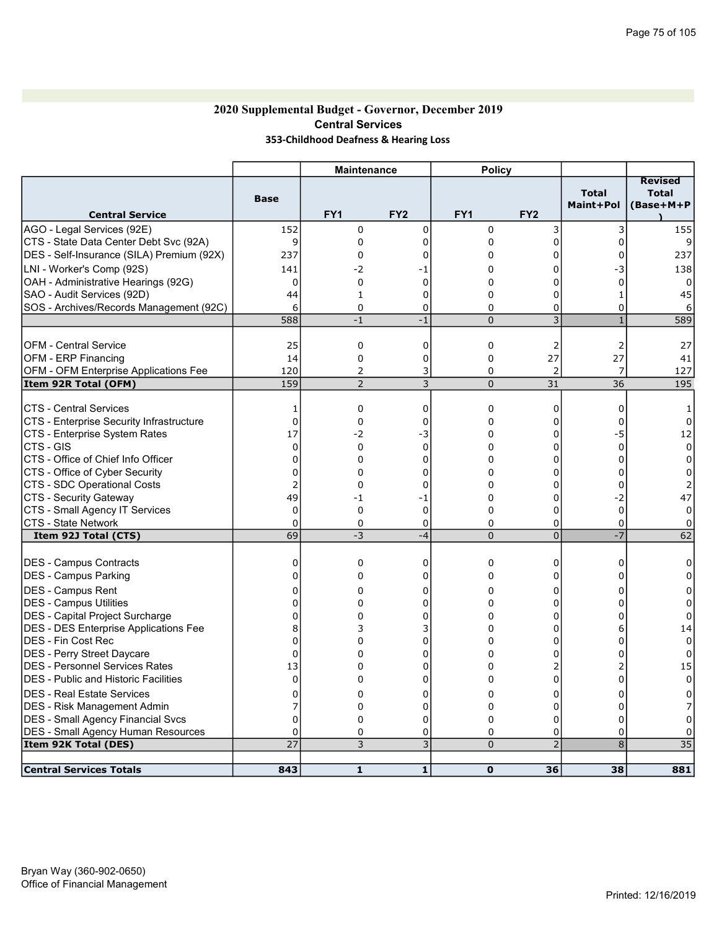## 2020 Supplemental Budget - Governor, December 2019 Central Services 353-Childhood Deafness & Hearing Loss

|                                                       |                            | <b>Maintenance</b> |                 | <b>Policy</b>   |                 |                           |                                             |
|-------------------------------------------------------|----------------------------|--------------------|-----------------|-----------------|-----------------|---------------------------|---------------------------------------------|
| <b>Central Service</b>                                | <b>Base</b>                | FY1                | FY <sub>2</sub> | FY <sub>1</sub> | FY <sub>2</sub> | <b>Total</b><br>Maint+Pol | <b>Revised</b><br><b>Total</b><br>(Base+M+P |
| AGO - Legal Services (92E)                            | 152                        | 0                  | 0               | 0               | 3               | 3                         | 155                                         |
| CTS - State Data Center Debt Svc (92A)                | 9                          | 0                  | $\Omega$        | 0               | 0               | 0                         |                                             |
| DES - Self-Insurance (SILA) Premium (92X)             | 237                        | $\mathbf 0$        | $\Omega$        | 0               | 0               | $\Omega$                  | 237                                         |
| LNI - Worker's Comp (92S)                             | 141                        | -2                 | - 1             | 0               | 0               | -3                        | 138                                         |
| OAH - Administrative Hearings (92G)                   | $\mathbf 0$                | 0                  | $\Omega$        | 0               | 0               | $\mathbf 0$               | $\Omega$                                    |
| SAO - Audit Services (92D)                            | 44                         | 1                  | 0               | 0               | 0               | 1                         | 45                                          |
| SOS - Archives/Records Management (92C)               | 6                          | $\mathbf 0$        | 0               | 0               | 0               | $\mathbf 0$               | 6                                           |
|                                                       | 588                        | $-1$               | $-1$            | $\overline{0}$  | $\overline{3}$  | $\mathbf{1}$              | 589                                         |
|                                                       |                            |                    |                 |                 |                 |                           |                                             |
| IOFM - Central Service                                | 25                         | 0                  | 0               | 0               | 2               | 2                         | 27                                          |
| OFM - ERP Financing                                   | 14                         | $\mathbf 0$        | $\mathbf 0$     | 0               | 27              | 27                        | 41                                          |
| OFM - OFM Enterprise Applications Fee                 | 120                        | 2                  | 3               | 0               | 2               | 7                         | 127                                         |
| Item 92R Total (OFM)                                  | 159                        | $\overline{2}$     | 3               | 0               | 31              | 36                        | 195                                         |
|                                                       |                            |                    |                 |                 |                 |                           |                                             |
| <b>CTS - Central Services</b>                         | 1                          | $\mathbf 0$        | 0               | 0               | 0               | $\mathbf 0$               |                                             |
| CTS - Enterprise Security Infrastructure              | $\Omega$                   | $\mathbf 0$        | $\Omega$        | 0               | 0               | $\Omega$                  | $\Omega$                                    |
| CTS - Enterprise System Rates                         | 17                         | $-2$               | -3              | 0               | $\mathbf 0$     | -5                        | 12                                          |
| CTS - GIS                                             | $\Omega$                   | 0                  | 0               | 0               | 0               | $\mathbf 0$               | 0                                           |
| CTS - Office of Chief Info Officer                    | $\Omega$                   | $\mathbf 0$        | 0               | 0               | 0               | 0                         | 0                                           |
| CTS - Office of Cyber Security                        | $\Omega$                   | $\Omega$           | $\Omega$        | 0               | 0               | $\Omega$                  | $\Omega$                                    |
| CTS - SDC Operational Costs                           | $\overline{2}$             | $\Omega$           | $\Omega$        | 0<br>0          | 0<br>0          | $\Omega$                  |                                             |
| CTS - Security Gateway                                | 49                         | -1                 | -1              |                 | 0               | $-2$<br>$\mathbf 0$       | 47<br>$\Omega$                              |
| CTS - Small Agency IT Services<br>CTS - State Network | $\mathbf 0$<br>$\mathbf 0$ | 0<br>$\mathbf 0$   | 0<br>0          | 0<br>0          | 0               | $\mathbf 0$               |                                             |
| Item 92J Total (CTS)                                  | 69                         | -3                 | $-4$            | $\overline{0}$  | $\overline{0}$  | $-7$                      | 0<br>62                                     |
|                                                       |                            |                    |                 |                 |                 |                           |                                             |
| DES - Campus Contracts                                | $\mathbf 0$                | 0                  | 0               | 0               | 0               | $\mathbf{0}$              | 0                                           |
| DES - Campus Parking                                  | $\mathbf 0$                | $\mathbf 0$        | 0               | 0               | 0               | $\Omega$                  | $\Omega$                                    |
| <b>DES - Campus Rent</b>                              | 0                          | 0                  | 0               | 0               | 0               | $\Omega$                  | 0                                           |
| DES - Campus Utilities                                | $\Omega$                   | $\mathbf 0$        | 0               | 0               | 0               | 0                         | 0                                           |
| DES - Capital Project Surcharge                       | $\mathbf 0$                | $\mathbf 0$        | 0               | 0               | 0               | 0                         | 0                                           |
| <b>DES - DES Enterprise Applications Fee</b>          | 8                          | 3                  | 3               | 0               | 0               | 6                         | 14                                          |
| DES - Fin Cost Rec                                    | $\mathbf 0$                | $\Omega$           | 0               | 0               | 0               | 0                         | $\Omega$                                    |
| DES - Perry Street Daycare                            | $\Omega$                   | $\Omega$           | $\Omega$        | 0               | $\overline{0}$  | U                         | $\Omega$                                    |
| IDES - Personnel Services Rates                       | 13                         | $\mathbf 0$        | 0               | 0               | $\overline{2}$  |                           | 15                                          |
| <b>DES</b> - Public and Historic Facilities           | $\Omega$                   | $\Omega$           | 0               | 0               | $\overline{0}$  | U                         | $\Omega$                                    |
| <b>DES - Real Estate Services</b>                     | $\Omega$                   | $\Omega$           | $\Omega$        | 0               | 0               | 0                         | O                                           |
| DES - Risk Management Admin                           | 7                          | $\Omega$           | 0               | 0               | 0               | 0                         |                                             |
| <b>DES - Small Agency Financial Svcs</b>              | $\Omega$                   | $\mathbf 0$        | $\Omega$        | 0               | 0               | $\Omega$                  | $\Omega$                                    |
| DES - Small Agency Human Resources                    | 0                          | 0                  | 0               | 0               | 0               | 0                         | O                                           |
| Item 92K Total (DES)                                  | 27                         | 3                  | $\overline{3}$  | $\overline{0}$  | $\overline{2}$  | 8                         | 35                                          |
|                                                       |                            |                    |                 |                 |                 |                           |                                             |
| <b>Central Services Totals</b>                        | 843                        | $\mathbf{1}$       | $\mathbf{1}$    | $\mathbf 0$     | 36              | 38                        | 881                                         |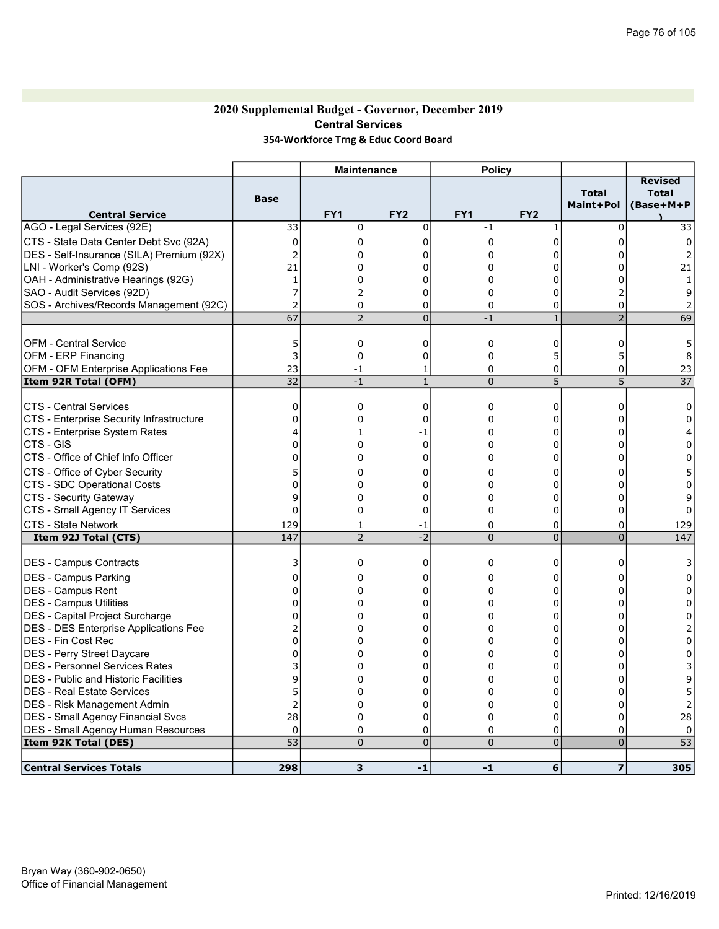## 2020 Supplemental Budget - Governor, December 2019 Central Services 354-Workforce Trng & Educ Coord Board

|                                                           |                   | <b>Maintenance</b> |                 | <b>Policy</b>       |                     |                           |                                             |
|-----------------------------------------------------------|-------------------|--------------------|-----------------|---------------------|---------------------|---------------------------|---------------------------------------------|
| <b>Central Service</b>                                    | <b>Base</b>       | FY <sub>1</sub>    | FY <sub>2</sub> | FY1                 | FY <sub>2</sub>     | <b>Total</b><br>Maint+Pol | <b>Revised</b><br><b>Total</b><br>(Base+M+P |
| AGO - Legal Services (92E)                                | 33                | 0                  | $\mathbf 0$     | $-1$                | 1                   | $\mathbf 0$               | 33                                          |
| CTS - State Data Center Debt Svc (92A)                    | $\Omega$          | 0                  | $\Omega$        | 0                   | 0                   | 0                         | $\Omega$                                    |
| DES - Self-Insurance (SILA) Premium (92X)                 | $\overline{2}$    | $\mathbf 0$        | $\Omega$        | 0                   | 0                   | $\Omega$                  |                                             |
| LNI - Worker's Comp (92S)                                 | 21                | $\Omega$           | O               | 0                   | $\Omega$            |                           | 21                                          |
| OAH - Administrative Hearings (92G)                       | $\mathbf{1}$      | 0                  | 0               | 0                   | 0                   | U                         |                                             |
| SAO - Audit Services (92D)                                | $\overline{7}$    | 2                  | $\Omega$        | 0                   | 0                   |                           | 9                                           |
| SOS - Archives/Records Management (92C)                   | $\overline{2}$    | $\Omega$           | 0               | 0                   | 0                   | 0                         |                                             |
|                                                           | 67                | $\overline{2}$     | $\overline{0}$  | $-1$                | $\mathbf{1}$        | $\overline{2}$            | 69                                          |
|                                                           |                   |                    |                 |                     |                     |                           |                                             |
| <b>OFM - Central Service</b>                              | 5                 | 0                  | 0               | 0                   | 0                   | 0                         | 5                                           |
| <b>OFM - ERP Financing</b>                                | 3                 | 0                  | 0               | 0                   | 5                   | 5                         | 8                                           |
| <b>OFM - OFM Enterprise Applications Fee</b>              | 23                | -1                 | 1               | 0                   | 0                   | 0                         | 23                                          |
| Item 92R Total (OFM)                                      | 32                | $-1$               | $\mathbf{1}$    | $\overline{0}$      | 5                   | 5                         | $\overline{37}$                             |
|                                                           |                   |                    |                 |                     |                     |                           |                                             |
| <b>CTS - Central Services</b>                             | 0                 | 0                  | 0               | 0                   | 0                   | 0                         | $\Omega$                                    |
| CTS - Enterprise Security Infrastructure                  | 0                 | $\mathbf 0$        | 0               | 0                   | 0                   | 0                         | 0                                           |
| CTS - Enterprise System Rates                             | 4                 | $\mathbf{1}$       | -1              | 0                   | 0                   | O                         |                                             |
| CTS - GIS                                                 | 0                 | $\Omega$           | $\Omega$        | 0                   | $\Omega$            | n                         | 0                                           |
| CTS - Office of Chief Info Officer                        | 0                 | 0                  | 0               | 0                   | 0                   | 0                         | 0                                           |
| CTS - Office of Cyber Security                            | 5                 | 0                  | O               | 0                   | 0                   | 0                         |                                             |
| CTS - SDC Operational Costs                               | 0                 | $\Omega$           | $\Omega$        | 0                   | $\Omega$            | $\Omega$                  | O                                           |
| CTS - Security Gateway                                    | 9                 | $\mathbf 0$        | $\Omega$        | 0                   | $\Omega$            | 0                         |                                             |
| CTS - Small Agency IT Services                            | $\Omega$          | $\mathbf 0$        | $\Omega$        | 0                   | $\Omega$            | $\Omega$                  |                                             |
| CTS - State Network                                       | 129               | 1                  | -1              | 0                   | 0                   | 0                         | 129                                         |
| Item 92J Total (CTS)                                      | 147               | $\overline{2}$     | $-2$            | $\overline{0}$      | $\overline{0}$      | $\overline{0}$            | 147                                         |
| <b>IDES - Campus Contracts</b>                            | 3                 | $\mathbf 0$        | 0               | 0                   | 0                   | 0                         |                                             |
|                                                           |                   | $\mathbf 0$        |                 |                     | 0                   | U                         | U                                           |
| DES - Campus Parking                                      | 0<br><sup>0</sup> | 0                  | 0<br>0          | 0<br>0              | 0                   | <sup>0</sup>              | $\Omega$                                    |
| DES - Campus Rent                                         | 0                 | 0                  | 0               | 0                   | 0                   | $\Omega$                  | 0                                           |
| DES - Campus Utilities<br>DES - Capital Project Surcharge | 0                 | 0                  | $\Omega$        | 0                   | 0                   | O                         |                                             |
| <b>DES - DES Enterprise Applications Fee</b>              |                   | 0                  | $\Omega$        | $\Omega$            | 0                   | U                         |                                             |
| DES - Fin Cost Rec                                        | U                 | 0                  | $\Omega$        | 0                   | 0                   | U                         | $\Omega$                                    |
| <b>DES - Perry Street Daycare</b>                         | 0                 | 0                  | 0               | 0                   | 0                   | 0                         | 0                                           |
| DES - Personnel Services Rates                            |                   | $\Omega$           | $\Omega$        | 0                   | 0                   | 0                         |                                             |
| <b>DES</b> - Public and Historic Facilities               | 9                 | $\Omega$           | 0               | 0                   | 0                   | $\Omega$                  | 9                                           |
|                                                           | 5                 | $\Omega$           | $\Omega$        | 0                   | $\Omega$            | 0                         |                                             |
| DES - Real Estate Services                                | $\overline{2}$    |                    | 0               |                     | $\Omega$            | $\Omega$                  |                                             |
| <b>IDES - Risk Management Admin</b>                       |                   | 0<br>0             | $\Omega$        | 0<br>0              | 0                   | $\Omega$                  |                                             |
| DES - Small Agency Financial Svcs                         | 28<br>$\Omega$    | $\Omega$           |                 |                     |                     | 0                         | 28<br>$\mathbf{0}$                          |
| <b>DES - Small Agency Human Resources</b>                 | 53                | $\Omega$           | 0<br>$\Omega$   | 0<br>$\overline{0}$ | 0<br>$\overline{0}$ | $\overline{0}$            | 53                                          |
| Item 92K Total (DES)                                      |                   |                    |                 |                     |                     |                           |                                             |
| <b>Central Services Totals</b>                            | 298               | 3                  | -1              | $-1$                | 6                   | $\overline{z}$            | 305                                         |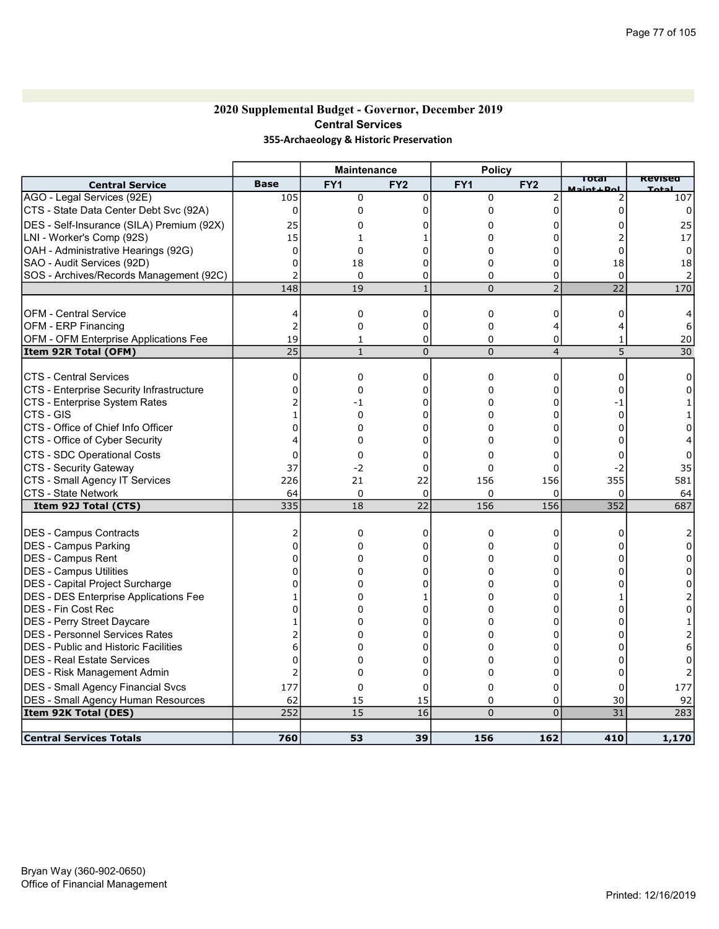## 2020 Supplemental Budget - Governor, December 2019 Central Services 355-Archaeology & Historic Preservation

|                                           |                 | <b>Maintenance</b> |                 | <b>Policy</b>   |                 |                        |                 |
|-------------------------------------------|-----------------|--------------------|-----------------|-----------------|-----------------|------------------------|-----------------|
| <b>Central Service</b>                    | <b>Base</b>     | FY <sub>1</sub>    | FY <sub>2</sub> | FY <sub>1</sub> | FY <sub>2</sub> | ा०एवा<br>امتلط وتعليمه | <b>Revised</b>  |
| AGO - Legal Services (92E)                | 105             | 0                  | $\mathbf 0$     | 0               | $\overline{2}$  |                        | 107             |
| CTS - State Data Center Debt Svc (92A)    | 0               | 0                  | 0               | 0               | 0               | 0                      | 0               |
| DES - Self-Insurance (SILA) Premium (92X) | 25              | 0                  | ŋ               | 0               | 0               |                        | 25              |
| LNI - Worker's Comp (92S)                 | 15              | $\mathbf{1}$       |                 | 0               | 0               |                        | 17              |
| OAH - Administrative Hearings (92G)       | 0               | 0                  | 0               | 0               | 0               | 0                      | $\Omega$        |
| SAO - Audit Services (92D)                | 0               | 18                 | C               | 0               | 0               | 18                     | 18              |
| SOS - Archives/Records Management (92C)   |                 | $\mathbf 0$        | 0               | 0               | 0               | $\mathbf 0$            |                 |
|                                           | 148             | 19                 | $\overline{1}$  | $\overline{0}$  | $\overline{2}$  | $\overline{22}$        | 170             |
|                                           |                 |                    |                 |                 |                 |                        |                 |
| <b>OFM - Central Service</b>              | 4               | 0                  | 0               | 0               | 0               | 0                      |                 |
| OFM - ERP Financing                       | $\overline{2}$  | 0                  | 0               | 0               | 4               | 4                      | 6               |
| OFM - OFM Enterprise Applications Fee     | 19              | 1                  | 0               | 0               | 0               | 1                      | 20              |
| Item 92R Total (OFM)                      | $\overline{25}$ | $\mathbf{1}$       | $\overline{0}$  | $\overline{0}$  | $\overline{4}$  | 5                      | $\overline{30}$ |
| <b>CTS - Central Services</b>             | 0               | 0                  | 0               | 0               | 0               | 0                      | O               |
| CTS - Enterprise Security Infrastructure  | 0               | $\mathbf 0$        | $\Omega$        | 0               | 0               | 0                      |                 |
| CTS - Enterprise System Rates             |                 | $-1$               | 0               | 0               | 0               | -1                     |                 |
| CTS - GIS                                 |                 | $\Omega$           | 0               | $\Omega$        | $\Omega$        | $\Omega$               |                 |
| CTS - Office of Chief Info Officer        | 0               | 0                  | 0               | 0               | 0               | 0                      |                 |
| CTS - Office of Cyber Security            |                 | $\mathbf 0$        | $\Omega$        | 0               | $\Omega$        | $\Omega$               |                 |
| CTS - SDC Operational Costs               | 0               | 0                  | 0               | 0               | 0               | 0                      |                 |
| CTS - Security Gateway                    | 37              | $-2$               | 0               | 0               | 0               | $-2$                   | 35              |
| CTS - Small Agency IT Services            | 226             | 21                 | 22              | 156             | 156             | 355                    | 581             |
| CTS - State Network                       | 64              | 0                  | $\mathbf 0$     | 0               | 0               | 0                      | 64              |
| Item 92J Total (CTS)                      | 335             | 18                 | 22              | 156             | 156             | 352                    | 687             |
|                                           |                 |                    |                 |                 |                 |                        |                 |
| <b>DES - Campus Contracts</b>             | 2               | 0                  | 0               | 0               | 0               | 0                      |                 |
| DES - Campus Parking                      | $\Omega$        | 0                  | $\Omega$        | 0               | 0               | U                      |                 |
| DES - Campus Rent                         |                 | $\Omega$           | 0               | 0               | 0               |                        |                 |
| DES - Campus Utilities                    |                 | $\Omega$           | 0               | 0               | $\Omega$        | 0                      |                 |
| DES - Capital Project Surcharge           |                 | 0                  | 0               | 0               | 0               | U                      |                 |
| DES - DES Enterprise Applications Fee     |                 | $\Omega$           |                 | 0               | $\Omega$        |                        |                 |
| <b>IDES - Fin Cost Rec</b>                |                 | $\mathbf 0$        | C               | 0               | 0               | U                      |                 |
| DES - Perry Street Daycare                |                 | 0                  | 0               | 0               | 0               | 0                      |                 |
| <b>DES - Personnel Services Rates</b>     |                 | $\Omega$           | 0               | $\Omega$        | $\Omega$        | n                      |                 |
| IDES - Public and Historic Facilities     | 6               | 0                  | 0               | 0               | 0               | U                      |                 |
| <b>DES - Real Estate Services</b>         |                 | 0                  | 0               | 0               | $\Omega$        | U                      |                 |
| DES - Risk Management Admin               |                 | 0                  | 0               | 0               | 0               | 0                      |                 |
| <b>DES - Small Agency Financial Svcs</b>  | 177             | $\mathbf 0$        | $\mathbf 0$     | 0               | 0               | $\mathbf 0$            | 177             |
| <b>DES - Small Agency Human Resources</b> | 62              | 15                 | 15              | 0               | 0               | 30                     | 92              |
| Item 92K Total (DES)                      | 252             | 15                 | 16              | $\overline{0}$  | $\overline{0}$  | 31                     | 283             |
|                                           |                 |                    |                 |                 |                 |                        |                 |
| <b>Central Services Totals</b>            | 760             | 53                 | 39              | 156             | 162             | 410                    | 1,170           |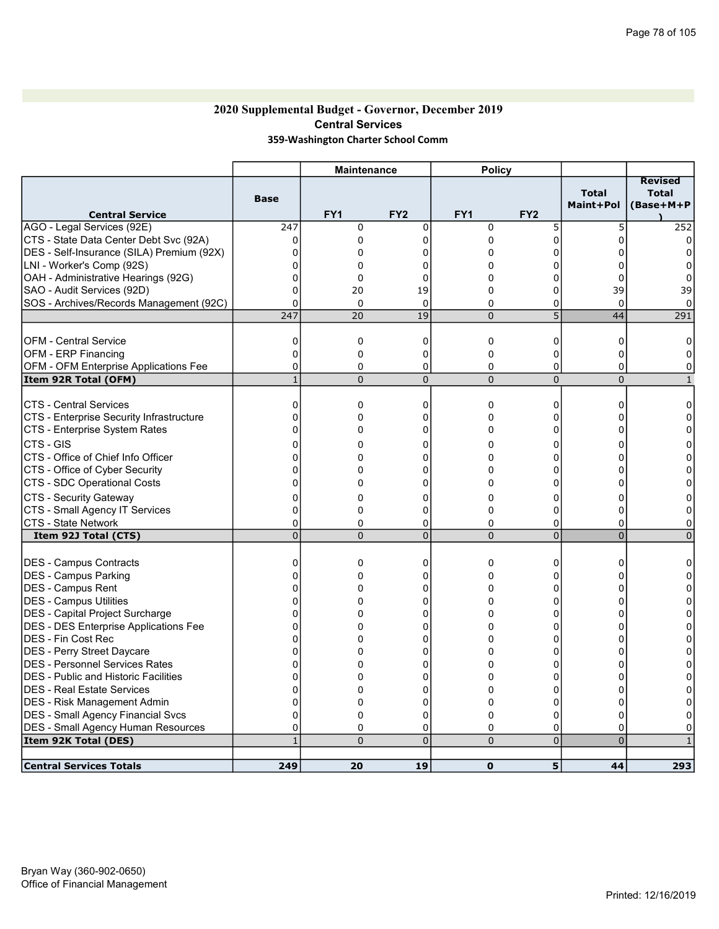## 2020 Supplemental Budget - Governor, December 2019 Central Services 359-Washington Charter School Comm

|                                           |                | <b>Maintenance</b> |                 | <b>Policy</b>   |                 |                           |                                             |
|-------------------------------------------|----------------|--------------------|-----------------|-----------------|-----------------|---------------------------|---------------------------------------------|
| <b>Central Service</b>                    | <b>Base</b>    | FY <sub>1</sub>    | FY <sub>2</sub> | FY <sub>1</sub> | FY <sub>2</sub> | <b>Total</b><br>Maint+Pol | <b>Revised</b><br><b>Total</b><br>(Base+M+P |
| AGO - Legal Services (92E)                | 247            | $\Omega$           | $\Omega$        | 0               | 5               | 5                         | 252                                         |
| CTS - State Data Center Debt Svc (92A)    | 0              | 0                  | $\Omega$        | 0               | 0               | $\Omega$                  | $\Omega$                                    |
| DES - Self-Insurance (SILA) Premium (92X) | 0              | 0                  | 0               | 0               | 0               | 0                         | 0                                           |
| LNI - Worker's Comp (92S)                 | 0              | 0                  | 0               | 0               | $\Omega$        | $\Omega$                  | 0                                           |
| OAH - Administrative Hearings (92G)       | 0              | 0                  | 0               | 0               | 0               | 0                         | 0                                           |
| SAO - Audit Services (92D)                | $\Omega$       | 20                 | 19              | 0               | 0               | 39                        | 39                                          |
| SOS - Archives/Records Management (92C)   | $\mathbf 0$    | 0                  | 0               | 0               | 0               | $\mathbf 0$               | $\Omega$                                    |
|                                           | 247            | 20                 | 19              | $\overline{0}$  | 5               | 44                        | 291                                         |
| <b>OFM - Central Service</b>              | 0              | $\mathbf 0$        | 0               | 0               | 0               | 0                         | 0                                           |
| <b>OFM - ERP Financing</b>                | $\mathbf 0$    | 0                  | $\mathbf 0$     | 0               | 0               | 0                         | 0                                           |
| OFM - OFM Enterprise Applications Fee     | 0              | 0                  | 0               | 0               | 0               | 0                         | 0                                           |
| Item 92R Total (OFM)                      | $\overline{1}$ | $\overline{0}$     | $\overline{0}$  | $\overline{0}$  | $\overline{0}$  | $\overline{0}$            | $\mathbf{1}$                                |
|                                           |                |                    |                 |                 |                 |                           |                                             |
| <b>CTS - Central Services</b>             | $\Omega$       | 0                  | $\Omega$        | 0               | 0               | $\Omega$                  | 0                                           |
| CTS - Enterprise Security Infrastructure  | $\Omega$       | $\mathbf 0$        | 0               | 0               | 0               | 0                         | $\Omega$                                    |
| CTS - Enterprise System Rates             | 0              | 0                  | $\Omega$        | 0               | 0               | 0                         | 0                                           |
| ICTS - GIS                                | $\Omega$       | 0                  | $\Omega$        | 0               | 0               | $\Omega$                  | 0                                           |
| CTS - Office of Chief Info Officer        | $\Omega$       | $\Omega$           | $\Omega$        | 0               | $\mathbf 0$     | $\Omega$                  | 0                                           |
| CTS - Office of Cyber Security            | $\Omega$       | $\Omega$           | $\Omega$        | 0               | $\mathbf 0$     | 0                         | 0                                           |
| CTS - SDC Operational Costs               | $\Omega$       | $\Omega$           | $\Omega$        | 0               | $\Omega$        | $\Omega$                  | 0                                           |
|                                           |                |                    |                 |                 |                 |                           |                                             |
| <b>CTS - Security Gateway</b>             | 0              | 0                  | 0               | 0               | 0               | 0                         | 0                                           |
| CTS - Small Agency IT Services            | $\Omega$       | 0                  | $\Omega$        | 0               | 0               | $\Omega$                  | 0                                           |
| CTS - State Network                       | $\Omega$       | 0                  | 0               | 0               | 0               | 0                         | $\Omega$                                    |
| Item 92J Total (CTS)                      | $\overline{0}$ | $\Omega$           | $\mathbf 0$     | $\overline{0}$  | $\overline{0}$  | $\pmb{0}$                 | $\overline{0}$                              |
| DES - Campus Contracts                    | 0              | 0                  | 0               | 0               | 0               | 0                         | 0                                           |
| DES - Campus Parking                      | $\Omega$       | 0                  | O               | 0               | 0               | $\Omega$                  | $\Omega$                                    |
| DES - Campus Rent                         | 0              | $\Omega$           | 0               | 0               | $\Omega$        | 0                         | <sup>0</sup>                                |
| DES - Campus Utilities                    | 0              | $\Omega$           | $\Omega$        | 0               | $\Omega$        | 0                         | 0                                           |
| DES - Capital Project Surcharge           | 0              | $\mathbf 0$        | $\Omega$        | 0               | $\Omega$        | O                         | $\Omega$                                    |
| DES - DES Enterprise Applications Fee     | 0              | 0                  | 0               | 0               | 0               | 0                         | 0                                           |
| DES - Fin Cost Rec                        | 0              | 0                  | 0               | 0               | 0               | 0                         | 0                                           |
| DES - Perry Street Daycare                | 0              | 0                  | 0               | 0               | 0               | 0                         | 0                                           |
| <b>DES - Personnel Services Rates</b>     | $\Omega$       | 0                  | $\Omega$        | 0               | 0               | $\Omega$                  | 0                                           |
| DES - Public and Historic Facilities      | $\Omega$       | $\Omega$           | $\Omega$        | 0               | $\mathbf 0$     | $\Omega$                  | $\Omega$                                    |
| DES - Real Estate Services                | $\Omega$       | $\Omega$           | $\Omega$        | 0               | 0               | U                         | 0                                           |
| DES - Risk Management Admin               | 0              | $\Omega$           | $\Omega$        | 0               | $\Omega$        | U                         |                                             |
| <b>DES - Small Agency Financial Svcs</b>  | 0              | $\mathbf 0$        | $\Omega$        | 0               | $\Omega$        | 0                         |                                             |
| <b>DES - Small Agency Human Resources</b> | $\Omega$       | $\Omega$           | 0               | 0               | 0               | 0                         | 0                                           |
| Item 92K Total (DES)                      | $\mathbf{1}$   | $\overline{0}$     | $\overline{0}$  | $\overline{0}$  | $\overline{0}$  | $\overline{0}$            |                                             |
|                                           |                |                    |                 |                 |                 |                           |                                             |
| <b>Central Services Totals</b>            | 249            | 20                 | 19              | $\Omega$        | 5               | 44                        | 293                                         |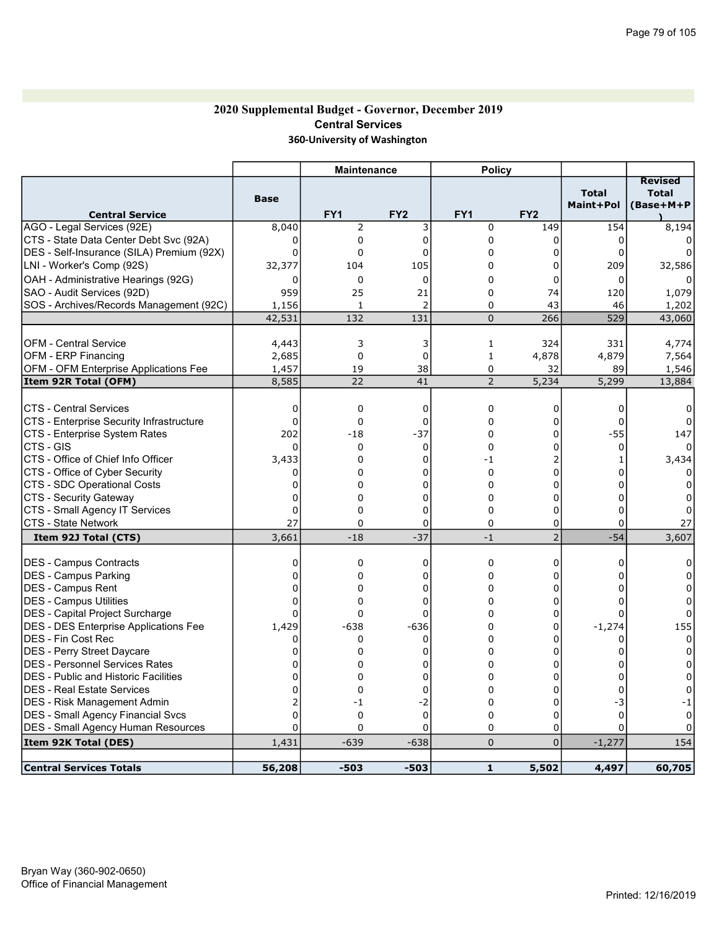#### 2020 Supplemental Budget - Governor, December 2019 Central Services 360-University of Washington

|                                             |             | <b>Maintenance</b> |                 | <b>Policy</b>   |                 |                           |                                             |
|---------------------------------------------|-------------|--------------------|-----------------|-----------------|-----------------|---------------------------|---------------------------------------------|
| <b>Central Service</b>                      | <b>Base</b> | FY <sub>1</sub>    | FY <sub>2</sub> | FY <sub>1</sub> | FY <sub>2</sub> | <b>Total</b><br>Maint+Pol | <b>Revised</b><br><b>Total</b><br>(Base+M+P |
| AGO - Legal Services (92E)                  | 8,040       | 2                  | 3               | 0               | 149             | 154                       | 8,194                                       |
| CTS - State Data Center Debt Svc (92A)      | 0           | 0                  | $\Omega$        | 0               | $\Omega$        | 0                         |                                             |
| DES - Self-Insurance (SILA) Premium (92X)   | 0           | $\mathbf 0$        | $\Omega$        | 0               | $\Omega$        | 0                         |                                             |
| LNI - Worker's Comp (92S)                   | 32,377      | 104                | 105             | $\Omega$        | $\Omega$        | 209                       | 32,586                                      |
| OAH - Administrative Hearings (92G)         | 0           | 0                  | 0               | 0               | 0               | 0                         |                                             |
| SAO - Audit Services (92D)                  | 959         | 25                 | 21              | 0               | 74              | 120                       | 1,079                                       |
| SOS - Archives/Records Management (92C)     | 1,156       | $\mathbf{1}$       | $\overline{2}$  | 0               | 43              | 46                        | 1,202                                       |
|                                             | 42,531      | 132                | 131             | $\overline{0}$  | 266             | 529                       | 43,060                                      |
|                                             |             |                    |                 |                 |                 |                           |                                             |
| <b>OFM - Central Service</b>                | 4,443       | 3                  | 3               | 1               | 324             | 331                       | 4,774                                       |
| <b>OFM - ERP Financing</b>                  | 2,685       | 0                  | $\mathbf 0$     | $\mathbf 1$     | 4,878           | 4,879                     | 7,564                                       |
| OFM - OFM Enterprise Applications Fee       | 1,457       | 19                 | 38              | 0               | 32              | 89                        | 1,546                                       |
| Item 92R Total (OFM)                        | 8,585       | 22                 | 41              | $\overline{2}$  | 5,234           | 5,299                     | 13,884                                      |
|                                             |             |                    |                 |                 |                 |                           |                                             |
| <b>CTS - Central Services</b>               | 0           | 0                  | 0               | 0               | 0               | 0                         | 0                                           |
| CTS - Enterprise Security Infrastructure    | $\mathbf 0$ | $\mathbf 0$        | 0               | 0               | 0               | 0                         | n                                           |
| CTS - Enterprise System Rates               | 202         | $-18$              | $-37$           | 0               | 0               | $-55$                     | 147                                         |
| ICTS - GIS                                  | 0           | 0                  | $\Omega$        | 0               | 0               | 0                         |                                             |
| CTS - Office of Chief Info Officer          | 3,433       | $\mathbf 0$        | 0               | $-1$            | 2               | 1                         | 3,434                                       |
| CTS - Office of Cyber Security              | 0           | 0                  | 0               | 0               | $\overline{0}$  | 0                         |                                             |
| CTS - SDC Operational Costs                 | 0           | 0                  | 0               | 0               | 0               | $\Omega$                  |                                             |
| CTS - Security Gateway                      | U           | 0                  | 0               | 0               | 0               | U                         |                                             |
| CTS - Small Agency IT Services              | 0           | 0                  | 0               | 0               | 0               | 0                         |                                             |
| <b>CTS - State Network</b>                  | 27          | $\mathbf 0$        | $\Omega$        | 0               | 0               | 0                         | 27                                          |
| Item 92J Total (CTS)                        | 3,661       | $-18$              | $-37$           | $-1$            | $\overline{2}$  | $-54$                     | 3,607                                       |
| <b>IDES - Campus Contracts</b>              | 0           | $\mathbf 0$        | 0               | 0               | 0               | 0                         |                                             |
| DES - Campus Parking                        | 0           | 0                  | 0               | 0               | 0               | U                         |                                             |
| <b>IDES - Campus Rent</b>                   |             | $\mathbf 0$        | $\Omega$        | 0               | $\Omega$        |                           |                                             |
| DES - Campus Utilities                      | $\Omega$    | $\mathbf 0$        | $\Omega$        | 0               | $\Omega$        | 0                         |                                             |
| DES - Capital Project Surcharge             |             | $\mathbf 0$        | $\Omega$        | 0               | 0               |                           | O                                           |
| DES - DES Enterprise Applications Fee       | 1,429       | $-638$             | $-636$          | 0               | $\Omega$        | $-1,274$                  | 155                                         |
| <b>DES - Fin Cost Rec</b>                   | 0           | 0                  | 0               | 0               | 0               | 0                         | $\Omega$                                    |
| DES - Perry Street Daycare                  | $\Omega$    | $\mathbf 0$        | $\Omega$        | 0               | $\Omega$        | $\Omega$                  | $\Omega$                                    |
| <b>DES - Personnel Services Rates</b>       | $\Omega$    | $\Omega$           | 0               | 0               | $\mathbf 0$     | 0                         | 0                                           |
| <b>DES</b> - Public and Historic Facilities |             | $\mathbf 0$        | $\Omega$        | 0               | $\mathbf 0$     | 0                         | 0                                           |
| <b>IDES - Real Estate Services</b>          | $\Omega$    | $\mathbf 0$        | 0               | 0               | 0               | $\Omega$                  | $\Omega$                                    |
| DES - Risk Management Admin                 | 2           | $-1$               | $-2$            | 0               | 0               | -3                        | - 1                                         |
| <b>DES - Small Agency Financial Svcs</b>    | $\Omega$    | 0                  | $\mathbf 0$     | 0               | 0               | $\Omega$                  | $\Omega$                                    |
| <b>DES - Small Agency Human Resources</b>   | $\Omega$    | 0                  | 0               | 0               | 0               | 0                         |                                             |
| Item 92K Total (DES)                        | 1,431       | $-639$             | $-638$          | 0               | $\mathbf 0$     | $-1,277$                  | 154                                         |
| <b>Central Services Totals</b>              | 56,208      | $-503$             | $-503$          | $\mathbf{1}$    | 5,502           | 4,497                     | 60,705                                      |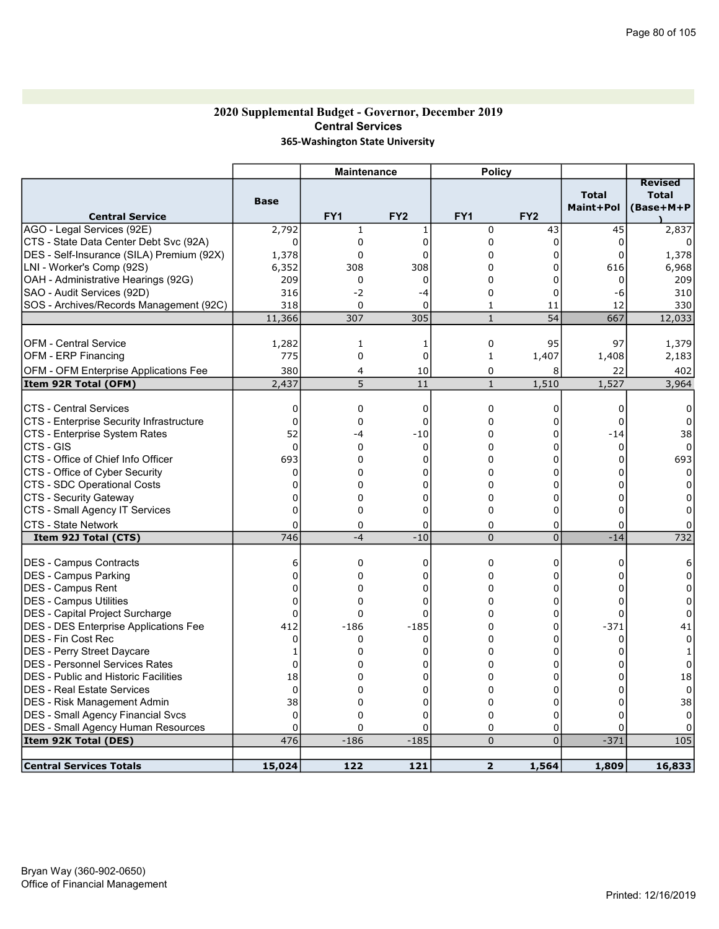### 2020 Supplemental Budget - Governor, December 2019 Central Services 365-Washington State University

|                                              |             | <b>Maintenance</b> |                 | <b>Policy</b>  |                 |                           |                                             |
|----------------------------------------------|-------------|--------------------|-----------------|----------------|-----------------|---------------------------|---------------------------------------------|
| <b>Central Service</b>                       | <b>Base</b> | FY <sub>1</sub>    | FY <sub>2</sub> | FY1            | FY <sub>2</sub> | <b>Total</b><br>Maint+Pol | <b>Revised</b><br><b>Total</b><br>(Base+M+P |
| AGO - Legal Services (92E)                   | 2,792       | $\mathbf 1$        | $\mathbf{1}$    | 0              | 43              | 45                        | 2,837                                       |
| CTS - State Data Center Debt Svc (92A)       | 0           | 0                  | 0               | 0              | $\mathbf 0$     | 0                         |                                             |
| DES - Self-Insurance (SILA) Premium (92X)    | 1,378       | 0                  | 0               | 0              | 0               | 0                         | 1,378                                       |
| LNI - Worker's Comp (92S)                    | 6,352       | 308                | 308             | 0              | 0               | 616                       | 6,968                                       |
| OAH - Administrative Hearings (92G)          | 209         | 0                  | $\mathbf 0$     | 0              | $\mathbf 0$     | 0                         | 209                                         |
| SAO - Audit Services (92D)                   | 316         | $-2$               | $-4$            | 0              | $\mathbf 0$     | -6                        | 310                                         |
| SOS - Archives/Records Management (92C)      | 318         | $\mathbf 0$        | $\Omega$        | 1              | 11              | 12                        | 330                                         |
|                                              | 11,366      | 307                | 305             | $\mathbf{1}$   | 54              | 667                       | 12,033                                      |
| <b>OFM - Central Service</b>                 | 1,282       | 1                  | 1               | 0              | 95              | 97                        | 1,379                                       |
| <b>OFM - ERP Financing</b>                   | 775         | $\mathbf 0$        | $\mathbf 0$     | $\mathbf{1}$   | 1,407           | 1,408                     | 2,183                                       |
| <b>OFM - OFM Enterprise Applications Fee</b> | 380         | 4                  | 10              | 0              | 8               | 22                        | 402                                         |
| Item 92R Total (OFM)                         | 2,437       | 5                  | 11              | $\mathbf{1}$   | 1,510           | 1,527                     | 3,964                                       |
|                                              |             |                    |                 |                |                 |                           |                                             |
| <b>CTS - Central Services</b>                | 0           | 0                  | 0               | 0              | 0               | 0                         | 0                                           |
| CTS - Enterprise Security Infrastructure     | $\mathbf 0$ | 0                  | 0               | 0              | 0               | $\mathbf 0$               | 0                                           |
| CTS - Enterprise System Rates                | 52          | -4                 | $-10$           | 0              | $\mathbf 0$     | $-14$                     | 38                                          |
| CTS - GIS                                    | $\Omega$    | 0                  | $\Omega$        | 0              | $\Omega$        | $\Omega$                  | $\Omega$                                    |
| CTS - Office of Chief Info Officer           | 693         | 0                  | 0               | 0              | 0               | 0                         | 693                                         |
| CTS - Office of Cyber Security               | 0           | $\Omega$           | 0               | 0              | $\Omega$        | 0                         | $\Omega$                                    |
| CTS - SDC Operational Costs                  | 0           | 0                  | 0               | 0              | $\Omega$        | 0                         |                                             |
| <b>CTS - Security Gateway</b>                | 0           | 0                  | 0               | 0              | 0               | 0                         |                                             |
| CTS - Small Agency IT Services               | $\Omega$    | 0                  | $\mathbf 0$     | 0              | 0               | $\Omega$                  | ŋ                                           |
| CTS - State Network                          | $\Omega$    | $\mathbf 0$        | $\Omega$        | 0              | 0               | $\Omega$                  | 0                                           |
| Item 92J Total (CTS)                         | 746         | $-4$               | $-10$           | $\overline{0}$ | $\overline{0}$  | $-14$                     | 732                                         |
| <b>DES - Campus Contracts</b>                | 6           | 0                  | 0               | 0              | 0               | 0                         | 6                                           |
| DES - Campus Parking                         | $\Omega$    | $\Omega$           | $\Omega$        | 0              | $\Omega$        | 0                         | 0                                           |
| <b>DES - Campus Rent</b>                     | $\Omega$    | $\Omega$           | $\Omega$        | 0              | 0               | $\Omega$                  | $\Omega$                                    |
| <b>DES - Campus Utilities</b>                | $\Omega$    | $\Omega$           | $\Omega$        | 0              | $\Omega$        | $\Omega$                  | $\Omega$                                    |
| DES - Capital Project Surcharge              | $\Omega$    | $\Omega$           | $\Omega$        | 0              | 0               | 0                         | $\Omega$                                    |
| DES - DES Enterprise Applications Fee        | 412         | $-186$             | $-185$          | 0              | 0               | $-371$                    | 41                                          |
| <b>IDES - Fin Cost Rec</b>                   | 0           | 0                  | 0               | 0              | 0               | 0                         | $\Omega$                                    |
| <b>DES - Perry Street Daycare</b>            | 1           | 0                  | O               | 0              | 0               |                           |                                             |
| DES - Personnel Services Rates               | $\Omega$    | $\Omega$           | $\Omega$        | 0              | $\Omega$        | U                         | $\Omega$                                    |
| <b>DES</b> - Public and Historic Facilities  | 18          | 0                  | $\Omega$        | 0              | 0               | 0                         | 18                                          |
| <b>IDES - Real Estate Services</b>           | 0           | $\Omega$           | $\Omega$        | 0              | $\Omega$        | 0                         | $\mathbf 0$                                 |
| <b>IDES - Risk Management Admin</b>          | 38          | $\Omega$           | $\Omega$        | 0              | $\mathbf 0$     | 0                         | 38                                          |
| <b>DES</b> - Small Agency Financial Svcs     | 0           | 0                  | 0               | 0              | 0               | $\Omega$                  | $\Omega$                                    |
| <b>DES - Small Agency Human Resources</b>    | $\mathbf 0$ | 0                  | 0               | 0              | 0               | $\Omega$                  | ŋ                                           |
| Item 92K Total (DES)                         | 476         | $-186$             | $-185$          | $\overline{0}$ | $\overline{0}$  | $-371$                    | 105                                         |
| <b>Central Services Totals</b>               | 15,024      | 122                | 121             | $\overline{2}$ | 1,564           | 1,809                     | 16,833                                      |
|                                              |             |                    |                 |                |                 |                           |                                             |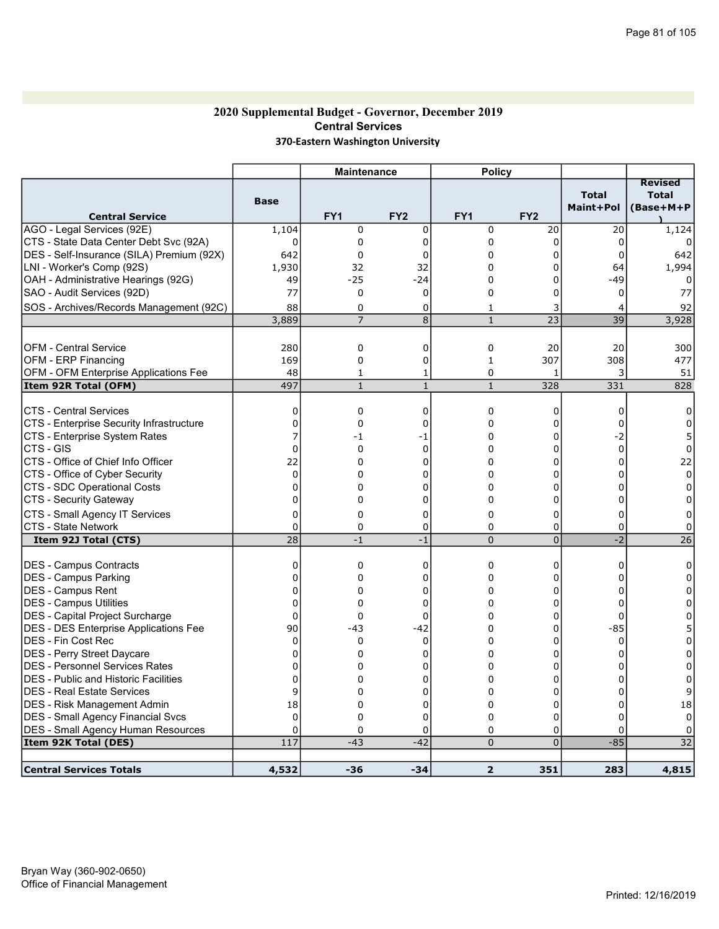#### 2020 Supplemental Budget - Governor, December 2019 Central Services 370-Eastern Washington University

|                                              |             | <b>Maintenance</b> |                 | <b>Policy</b>           |                 |              |                 |
|----------------------------------------------|-------------|--------------------|-----------------|-------------------------|-----------------|--------------|-----------------|
|                                              |             |                    |                 |                         |                 |              | <b>Revised</b>  |
|                                              | <b>Base</b> |                    |                 |                         |                 | <b>Total</b> | <b>Total</b>    |
| <b>Central Service</b>                       |             | FY <sub>1</sub>    | FY <sub>2</sub> | FY <sub>1</sub>         | FY <sub>2</sub> | Maint+Pol    | (Base+M+P       |
| AGO - Legal Services (92E)                   | 1,104       | $\Omega$           | $\Omega$        | 0                       | 20              | 20           | 1,124           |
| CTS - State Data Center Debt Svc (92A)       | 0           | $\mathbf 0$        | $\mathbf 0$     | 0                       | 0               | 0            |                 |
| DES - Self-Insurance (SILA) Premium (92X)    | 642         | $\mathbf 0$        | $\Omega$        | 0                       | 0               | $\Omega$     | 642             |
| LNI - Worker's Comp (92S)                    | 1,930       | 32                 | 32              | $\Omega$                | 0               | 64           | 1,994           |
| OAH - Administrative Hearings (92G)          | 49          | $-25$              | $-24$           | $\Omega$                | 0               | -49          |                 |
| SAO - Audit Services (92D)                   | 77          | $\mathbf 0$        | $\Omega$        | 0                       | $\Omega$        | $\Omega$     | 77              |
| SOS - Archives/Records Management (92C)      | 88          | 0                  | 0               | $\mathbf{1}$            | 3               | 4            | 92              |
|                                              | 3,889       | $\overline{7}$     | $\overline{8}$  | $\mathbf{1}$            | $\overline{23}$ | 39           | 3,928           |
|                                              |             |                    |                 |                         |                 |              |                 |
| IOFM - Central Service                       | 280         | $\mathbf 0$        | $\mathbf 0$     | 0                       | 20              | 20           | 300             |
| <b>OFM - ERP Financing</b>                   | 169         | $\mathbf 0$        | $\mathbf 0$     | $\mathbf{1}$            | 307             | 308          | 477             |
| OFM - OFM Enterprise Applications Fee        | 48          | 1                  | $\mathbf{1}$    | 0                       | 1               | 3            | 51              |
| Item 92R Total (OFM)                         | 497         | $\mathbf{1}$       | $\mathbf{1}$    | $\mathbf{1}$            | 328             | 331          | 828             |
|                                              |             |                    |                 |                         |                 |              |                 |
| ICTS - Central Services                      | 0           | $\mathbf 0$        | $\mathbf 0$     | 0                       | 0               | 0            | 0               |
| CTS - Enterprise Security Infrastructure     | 0           | $\mathbf 0$        | $\Omega$        | 0                       | 0               | 0            | 0               |
| CTS - Enterprise System Rates                | 7           | -1                 | -1              | 0                       | 0               | -2           | 5               |
| ICTS - GIS                                   | $\Omega$    | $\mathbf 0$        | $\Omega$        | 0                       | 0               | 0            | 0               |
| CTS - Office of Chief Info Officer           | 22          | $\Omega$           | $\Omega$        | 0                       | 0               | $\Omega$     | 22              |
| CTS - Office of Cyber Security               | $\Omega$    | 0                  | $\mathbf{0}$    | 0                       | $\Omega$        | $\Omega$     | 0               |
| CTS - SDC Operational Costs                  | 0           | 0                  | 0               | 0                       | 0               | 0            | <sup>0</sup>    |
| CTS - Security Gateway                       | 0           | 0                  | $\mathbf 0$     | 0                       | 0               | 0            | 0               |
| CTS - Small Agency IT Services               | $\Omega$    | $\Omega$           | $\Omega$        | $\Omega$                | $\Omega$        | $\Omega$     | 0               |
| ICTS - State Network                         | $\Omega$    | $\Omega$           | $\mathbf 0$     | $\Omega$                | 0               | $\Omega$     | $\Omega$        |
| Item 92J Total (CTS)                         | 28          | $-1$               | $-1$            | $\overline{0}$          | $\overline{0}$  | $-2$         | $\overline{26}$ |
| <b>DES - Campus Contracts</b>                | 0           | $\mathbf 0$        | $\mathbf 0$     | 0                       | 0               | $\Omega$     | 0               |
| DES - Campus Parking                         | 0           | 0                  | $\Omega$        | $\Omega$                | $\Omega$        | U            | $\Omega$        |
| DES - Campus Rent                            | 0           | 0                  | 0               | $\Omega$                | 0               | 0            | 0               |
| <b>DES - Campus Utilities</b>                | 0           | 0                  | $\Omega$        | 0                       | $\Omega$        | 0            | 0               |
| DES - Capital Project Surcharge              | 0           | $\mathbf 0$        | 0               | 0                       | 0               | 0            | 0               |
| <b>DES - DES Enterprise Applications Fee</b> | 90          | -43                | -42             | 0                       | 0               | -85          |                 |
| IDES - Fin Cost Rec                          | $\Omega$    | $\mathbf 0$        | $\mathbf 0$     | 0                       | 0               | 0            | 0               |
| DES - Perry Street Daycare                   | 0           | 0                  | $\Omega$        | 0                       | 0               | $\Omega$     | 0               |
| <b>DES - Personnel Services Rates</b>        | 0           | 0                  | 0               | 0                       | 0               | 0            | 0               |
| <b>DES - Public and Historic Facilities</b>  | 0           | 0                  | 0               | 0                       | 0               | 0            | 0               |
| <b>DES - Real Estate Services</b>            | 9           | 0                  | $\Omega$        | 0                       | 0               | $\Omega$     | 9               |
| DES - Risk Management Admin                  | 18          | 0                  | $\mathbf 0$     | $\mathbf 0$             | 0               | $\Omega$     | 18              |
| <b>DES - Small Agency Financial Svcs</b>     | $\Omega$    | 0                  | $\mathbf 0$     | $\mathbf 0$             | 0               | 0            | $\mathbf 0$     |
| <b>DES - Small Agency Human Resources</b>    | 0           | 0                  | $\Omega$        | 0                       | 0               | 0            | 0               |
| Item 92K Total (DES)                         | 117         | $-43$              | $-42$           | $\Omega$                | $\overline{0}$  | $-85$        | 32              |
|                                              |             |                    |                 |                         |                 |              |                 |
| <b>Central Services Totals</b>               | 4,532       | $-36$              | $-34$           | $\overline{\mathbf{2}}$ | 351             | 283          | 4,815           |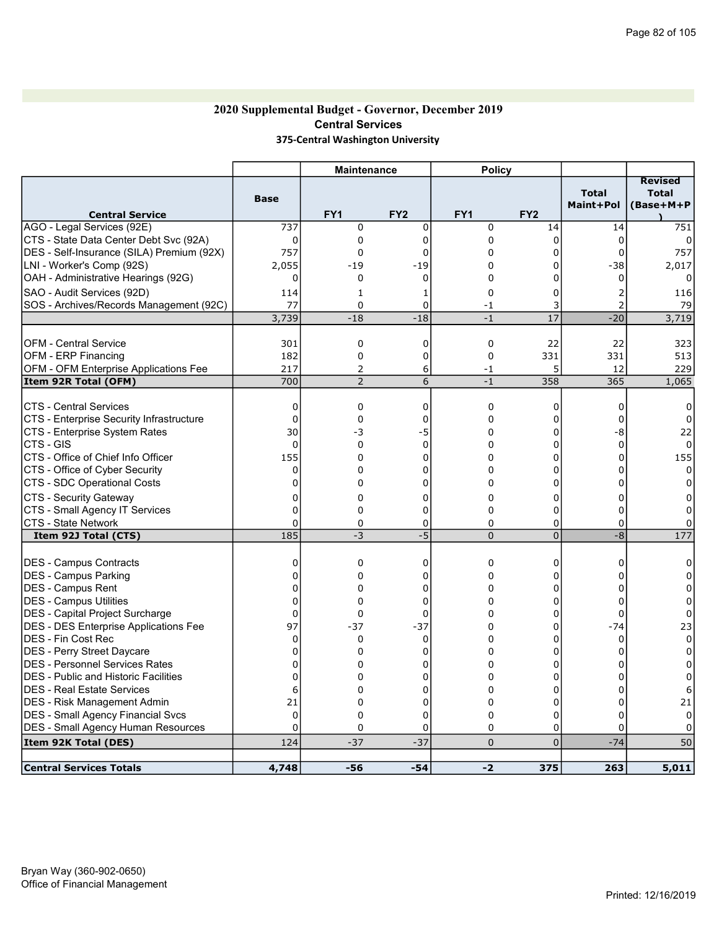### 2020 Supplemental Budget - Governor, December 2019 Central Services 375-Central Washington University

|                                                                                |               | <b>Maintenance</b> |                  | <b>Policy</b>   |                 |                           |                                             |
|--------------------------------------------------------------------------------|---------------|--------------------|------------------|-----------------|-----------------|---------------------------|---------------------------------------------|
| <b>Central Service</b>                                                         | <b>Base</b>   | FY1                | FY <sub>2</sub>  | FY <sub>1</sub> | FY <sub>2</sub> | <b>Total</b><br>Maint+Pol | <b>Revised</b><br><b>Total</b><br>(Base+M+P |
| AGO - Legal Services (92E)                                                     | 737           | 0                  | $\mathbf 0$      | 0               | 14              | 14                        | 751                                         |
| CTS - State Data Center Debt Svc (92A)                                         | 0             | 0                  | $\Omega$         | 0               | $\Omega$        | 0                         |                                             |
| DES - Self-Insurance (SILA) Premium (92X)                                      | 757           | $\mathbf 0$        | 0                | 0               | 0               | 0                         | 757                                         |
| LNI - Worker's Comp (92S)                                                      | 2,055         | $-19$              | $-19$            | 0               | $\Omega$        | $-38$                     | 2,017                                       |
| OAH - Administrative Hearings (92G)                                            | 0             | 0                  | 0                | 0               | 0               | 0                         | $\Omega$                                    |
| SAO - Audit Services (92D)                                                     | 114           | $\mathbf{1}$       | 1                | 0               | 0               | 2                         | 116                                         |
| SOS - Archives/Records Management (92C)                                        | 77            | $\Omega$           | $\Omega$         | -1              | 3               | 2                         | 79                                          |
|                                                                                | 3,739         | $-18$              | $-18$            | $-1$            | 17              | $-20$                     | 3,719                                       |
|                                                                                |               |                    |                  |                 |                 |                           |                                             |
| <b>OFM - Central Service</b>                                                   | 301           | 0                  | 0                | 0               | 22              | 22                        | 323                                         |
| <b>OFM - ERP Financing</b>                                                     | 182           | 0                  | 0                | 0               | 331             | 331                       | 513                                         |
| OFM - OFM Enterprise Applications Fee                                          | 217           | 2                  | 6                | $-1$            | 5               | 12                        | 229                                         |
| Item 92R Total (OFM)                                                           | 700           | $\overline{2}$     | 6                | $-1$            | 358             | 365                       | 1,065                                       |
|                                                                                |               |                    |                  |                 |                 |                           |                                             |
| <b>CTS - Central Services</b>                                                  | 0             | 0                  | 0                | 0               | 0               | 0                         | $\Omega$                                    |
| CTS - Enterprise Security Infrastructure                                       | $\mathbf 0$   | 0                  | 0                | 0               | 0               | 0                         |                                             |
| CTS - Enterprise System Rates                                                  | 30            | -3                 | -5               | 0               | 0               | -8                        | 22                                          |
| CTS - GIS                                                                      | $\Omega$      | 0                  | 0                | 0               | 0               | $\mathbf 0$               | $\Omega$                                    |
| CTS - Office of Chief Info Officer                                             | 155           | $\mathbf 0$        | $\Omega$         | 0               | 0               | 0                         | 155                                         |
| CTS - Office of Cyber Security                                                 | 0             | 0                  | 0                | 0               | $\Omega$        | 0                         | $\Omega$                                    |
| CTS - SDC Operational Costs                                                    | 0             | 0                  | 0                | 0               | 0               | 0                         | 0                                           |
| <b>CTS - Security Gateway</b>                                                  | $\Omega$      | $\mathbf 0$        | $\Omega$         | 0               | $\Omega$        | 0                         |                                             |
| CTS - Small Agency IT Services                                                 | 0             | 0                  | $\mathbf 0$      | 0               | 0               | 0                         |                                             |
| <b>CTS - State Network</b>                                                     | $\Omega$      | 0                  | 0                | 0               | 0               | 0                         |                                             |
| Item 92J Total (CTS)                                                           | 185           | -3                 | $-5$             | $\overline{0}$  | $\overline{0}$  | -8                        | 177                                         |
|                                                                                |               |                    |                  |                 |                 |                           |                                             |
| DES - Campus Contracts                                                         | $\Omega$      | 0                  | 0                | 0               | 0               | 0                         | 0                                           |
| DES - Campus Parking                                                           | 0             | $\mathbf 0$        | $\Omega$         | 0               | $\Omega$        | $\Omega$                  |                                             |
| DES - Campus Rent                                                              | $\Omega$      | 0                  | $\Omega$         | 0               | 0               | $\Omega$                  | 0                                           |
| <b>IDES - Campus Utilities</b>                                                 | $\Omega$      | $\mathbf 0$        | $\Omega$         | $\Omega$        | $\Omega$        | $\Omega$                  | $\Omega$                                    |
| DES - Capital Project Surcharge                                                | 0             | 0                  | 0                | 0               | 0               | $\mathbf 0$               | 0                                           |
| <b>DES - DES Enterprise Applications Fee</b>                                   | 97            | $-37$              | $-37$            | 0               | 0               | $-74$                     | 23                                          |
| <b>IDES - Fin Cost Rec</b>                                                     | 0             | 0<br>0             | 0<br>$\Omega$    | 0<br>0          | 0<br>0          | $\mathbf 0$<br>$\Omega$   | 0                                           |
| DES - Perry Street Daycare<br>DES - Personnel Services Rates                   | 0<br>$\Omega$ | 0                  | $\Omega$         | 0               | 0               | 0                         | 0<br>$\Omega$                               |
| <b>DES</b> - Public and Historic Facilities                                    |               | 0                  | 0                |                 | 0               | <sup>0</sup>              | 0                                           |
|                                                                                | 0<br>6        | 0                  |                  | 0               | 0               |                           |                                             |
| <b>IDES - Real Estate Services</b>                                             | 21            | 0                  | 0<br>$\mathbf 0$ | 0<br>0          | 0               | 0<br>0                    | 6<br>21                                     |
| DES - Risk Management Admin                                                    | $\mathbf 0$   | 0                  | $\Omega$         | 0               | $\Omega$        | 0                         | $\mathbf{0}$                                |
| DES - Small Agency Financial Svcs<br><b>DES - Small Agency Human Resources</b> | $\Omega$      | $\Omega$           | $\Omega$         | 0               | 0               | 0                         | 0                                           |
| Item 92K Total (DES)                                                           | 124           | $-37$              | $-37$            | 0               | $\overline{0}$  | $-74$                     | 50                                          |
|                                                                                |               |                    |                  |                 |                 |                           |                                             |
| <b>Central Services Totals</b>                                                 | 4,748         | -56                | -54              | $-2$            | 375             | 263                       | 5,011                                       |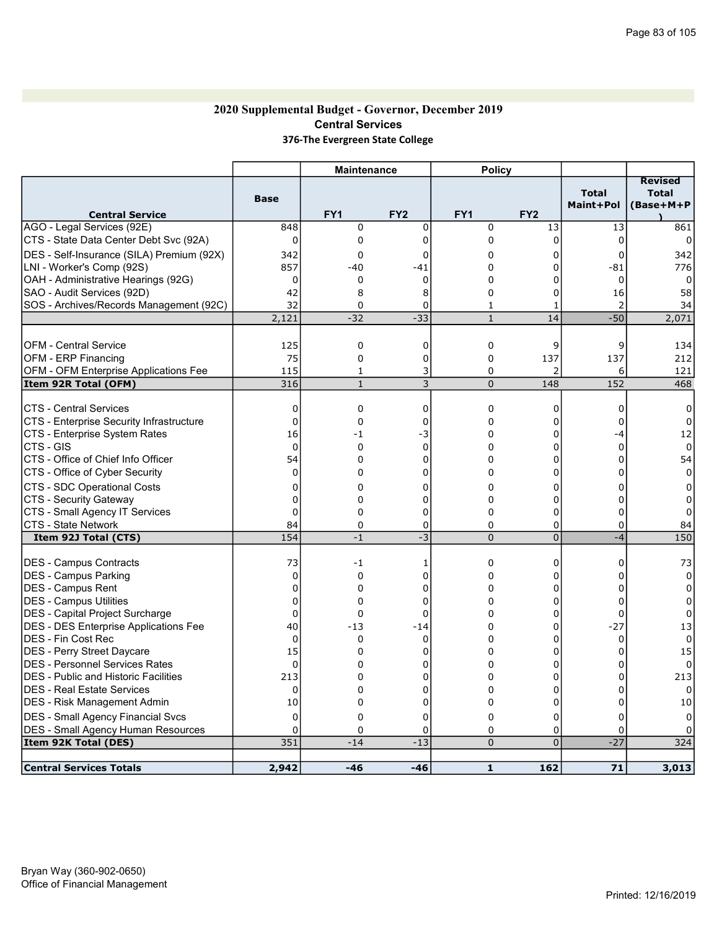### 2020 Supplemental Budget - Governor, December 2019 Central Services 376-The Evergreen State College

|                                                                                       |                | <b>Maintenance</b> |                  | <b>Policy</b>   |                  |                           |                                             |
|---------------------------------------------------------------------------------------|----------------|--------------------|------------------|-----------------|------------------|---------------------------|---------------------------------------------|
| <b>Central Service</b>                                                                | <b>Base</b>    | FY1                | FY <sub>2</sub>  | FY <sub>1</sub> | FY <sub>2</sub>  | <b>Total</b><br>Maint+Pol | <b>Revised</b><br><b>Total</b><br>(Base+M+P |
| AGO - Legal Services (92E)                                                            | 848            | $\mathbf 0$        | $\mathbf 0$      | 0               | 13               | 13                        | 861                                         |
| CTS - State Data Center Debt Svc (92A)                                                | $\Omega$       | 0                  | $\Omega$         | 0               | $\Omega$         | $\Omega$                  | $\Omega$                                    |
| DES - Self-Insurance (SILA) Premium (92X)                                             | 342            | $\mathbf 0$        | 0                | 0               | 0                | 0                         | 342                                         |
| LNI - Worker's Comp (92S)                                                             | 857            | -40                | -41              | 0               | 0                | $-81$                     | 776                                         |
| OAH - Administrative Hearings (92G)                                                   | 0              | 0                  | 0                | 0               | $\Omega$         | $\mathbf 0$               | $\Omega$                                    |
| SAO - Audit Services (92D)                                                            | 42             | 8                  | 8                | 0               | 0                | 16                        | 58                                          |
| SOS - Archives/Records Management (92C)                                               | 32             | $\Omega$           | $\Omega$         | 1               | $\mathbf{1}$     | $\overline{2}$            | 34                                          |
|                                                                                       | 2,121          | $-32$              | $-33$            | $\mathbf{1}$    | 14               | $-50$                     | 2,071                                       |
|                                                                                       |                |                    |                  |                 |                  |                           |                                             |
| <b>OFM - Central Service</b>                                                          | 125            | 0                  | 0                | 0               | 9                | 9                         | 134                                         |
| OFM - ERP Financing                                                                   | 75             | 0                  | $\mathbf 0$      | 0               | 137              | 137                       | 212                                         |
| <b>OFM - OFM Enterprise Applications Fee</b>                                          | 115            | $\mathbf{1}$       | 3                | 0               | 2                | 6                         | 121                                         |
| Item 92R Total (OFM)                                                                  | 316            | $\mathbf{1}$       | 3                | $\overline{0}$  | 148              | 152                       | 468                                         |
|                                                                                       |                |                    |                  |                 |                  |                           |                                             |
| <b>CTS - Central Services</b>                                                         | 0              | 0                  | 0                | 0               | 0                | $\mathbf 0$               | 0                                           |
| CTS - Enterprise Security Infrastructure                                              | 0              | 0                  | $\Omega$         | 0               | 0                | $\Omega$<br>$-4$          | $\Omega$                                    |
| CTS - Enterprise System Rates<br>ICTS - GIS                                           | 16<br>$\Omega$ | -1<br>$\Omega$     | -3<br>$\Omega$   | 0<br>0          | 0<br>$\mathbf 0$ | $\Omega$                  | 12<br>$\Omega$                              |
| CTS - Office of Chief Info Officer                                                    | 54             | $\Omega$           | $\Omega$         | 0               | 0                | $\Omega$                  | 54                                          |
| CTS - Office of Cyber Security                                                        | $\Omega$       | $\Omega$           | $\Omega$         | 0               | $\mathbf 0$      | $\Omega$                  | $\Omega$                                    |
| <b>CTS - SDC Operational Costs</b>                                                    | 0              | 0                  | 0                | 0               | $\Omega$         | 0                         | 0                                           |
| CTS - Security Gateway                                                                | 0              | 0                  | 0                | 0               | 0                | 0                         | 0                                           |
| CTS - Small Agency IT Services                                                        | $\Omega$       | $\Omega$           | $\Omega$         | 0               | $\mathbf 0$      | 0                         | $\Omega$                                    |
| CTS - State Network                                                                   | 84             | $\Omega$           | $\mathbf 0$      | 0               | 0                | $\Omega$                  | 84                                          |
| Item 92J Total (CTS)                                                                  | 154            | $-1$               | $-3$             | $\overline{0}$  | $\overline{0}$   | $-4$                      | 150                                         |
|                                                                                       |                |                    |                  |                 |                  |                           |                                             |
| DES - Campus Contracts                                                                | 73             | $-1$               | 1                | 0               | 0                | 0                         | 73                                          |
| DES - Campus Parking                                                                  | $\Omega$       | $\Omega$           | $\Omega$         | 0               | $\Omega$         | $\Omega$                  | $\mathbf{0}$                                |
| DES - Campus Rent                                                                     | $\Omega$       | 0                  | $\Omega$         | 0               | 0                | $\Omega$                  | $\mathbf 0$                                 |
| <b>IDES - Campus Utilities</b>                                                        | $\Omega$       | $\mathbf 0$        | $\Omega$         | $\Omega$        | $\Omega$         | $\Omega$                  | $\Omega$                                    |
| DES - Capital Project Surcharge                                                       | $\mathbf 0$    | 0                  | 0                | 0               | 0                | $\mathbf 0$               | 0                                           |
| <b>DES - DES Enterprise Applications Fee</b>                                          | 40             | $-13$              | $-14$            | 0               | 0                | $-27$                     | 13                                          |
| <b>DES - Fin Cost Rec</b>                                                             | $\mathbf 0$    | 0                  | 0                | 0               | 0                | $\mathbf 0$               | $\mathbf 0$                                 |
| DES - Perry Street Daycare                                                            | 15             | 0                  | $\Omega$         | 0               | $\overline{0}$   | $\Omega$                  | 15                                          |
| DES - Personnel Services Rates                                                        | 0              | 0                  | $\Omega$         | 0               | 0<br>$\Omega$    | 0                         | $\Omega$                                    |
| <b>DES</b> - Public and Historic Facilities<br><b>IDES - Real Estate Services</b>     | 213            | 0                  | $\Omega$         | 0               | 0                | 0<br>0                    | 213<br>$\Omega$                             |
| DES - Risk Management Admin                                                           | 0<br>10        | 0<br>0             | 0<br>$\mathbf 0$ | 0<br>0          | 0                | 0                         | 10                                          |
|                                                                                       | $\mathbf 0$    | $\mathbf 0$        | 0                | 0               | 0                | 0                         |                                             |
| <b>DES - Small Agency Financial Svcs</b><br><b>DES - Small Agency Human Resources</b> | $\Omega$       | $\mathbf 0$        | 0                | 0               | 0                | $\mathbf 0$               | 0<br>$\Omega$                               |
| Item 92K Total (DES)                                                                  | 351            | $-14$              | $-13$            | $\overline{0}$  | $\overline{0}$   | $-27$                     | 324                                         |
|                                                                                       |                |                    |                  |                 |                  |                           |                                             |
| <b>Central Services Totals</b>                                                        | 2,942          | $-46$              | $-46$            | $\mathbf{1}$    | 162              | 71                        | 3,013                                       |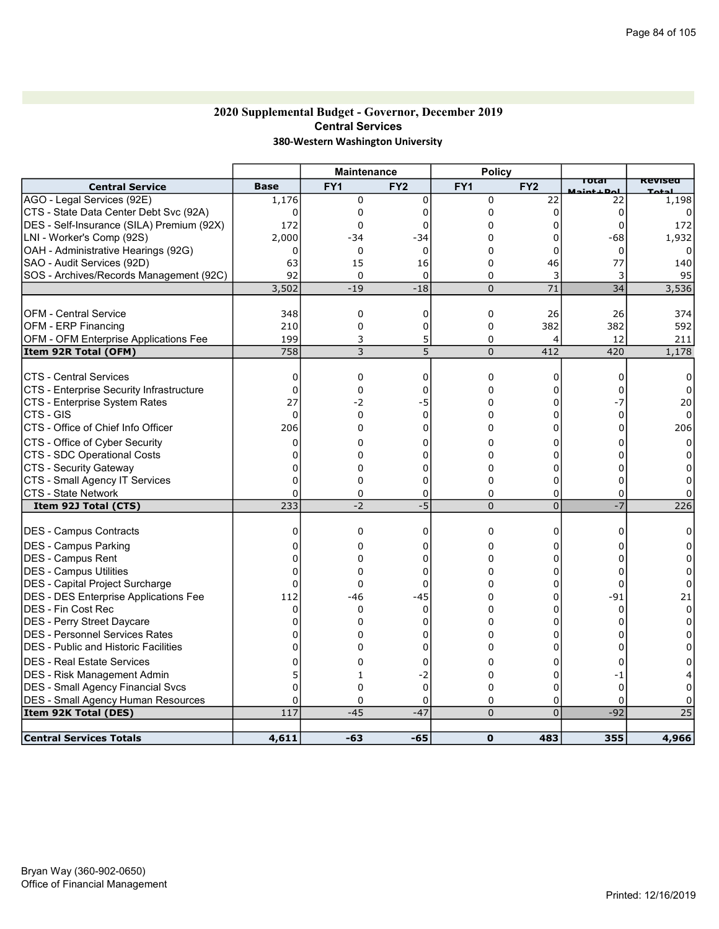### 2020 Supplemental Budget - Governor, December 2019 Central Services 380-Western Washington University

|                                             |                  | <b>Maintenance</b> |                 | <b>Policy</b>   |                 |                             |                |
|---------------------------------------------|------------------|--------------------|-----------------|-----------------|-----------------|-----------------------------|----------------|
| <b>Central Service</b>                      | <b>Base</b>      | FY <sub>1</sub>    | FY <sub>2</sub> | FY <sub>1</sub> | FY <sub>2</sub> | Total<br><b>Maint + Pol</b> | <b>Revised</b> |
| AGO - Legal Services (92E)                  | 1,176            | 0                  | 0               | 0               | 22              | 22                          | 1,198          |
| CTS - State Data Center Debt Svc (92A)      | $\Omega$         | $\Omega$           | 0               | 0               | 0               | 0                           |                |
| DES - Self-Insurance (SILA) Premium (92X)   | 172              | $\mathbf 0$        | 0               | 0               | $\Omega$        | $\Omega$                    | 172            |
| LNI - Worker's Comp (92S)                   | 2,000            | $-34$              | $-34$           | 0               | 0               | $-68$                       | 1,932          |
| OAH - Administrative Hearings (92G)         | 0                | 0                  | 0               | 0               | 0               | 0                           |                |
| SAO - Audit Services (92D)                  | 63               | 15                 | 16              | 0               | 46              | 77                          | 140            |
| SOS - Archives/Records Management (92C)     | 92               | $\mathbf 0$        | $\mathbf 0$     | 0               | 3               | 3                           | 95             |
|                                             | 3,502            | $-19$              | $-18$           | $\mathbf 0$     | $\overline{71}$ | $\overline{34}$             | 3,536          |
|                                             |                  |                    |                 |                 |                 |                             |                |
| <b>OFM - Central Service</b>                | 348              | 0                  | 0               | 0               | 26              | 26                          | 374            |
| OFM - ERP Financing                         | 210              | $\mathbf 0$        | 0               | 0               | 382             | 382                         | 592            |
| OFM - OFM Enterprise Applications Fee       | 199              | 3                  | 5               | 0               | 4               | 12                          | 211            |
| Item 92R Total (OFM)                        | 758              | 3                  | 5               | $\mathbf 0$     | 412             | 420                         | 1,178          |
|                                             |                  |                    |                 |                 |                 |                             |                |
| <b>CTS - Central Services</b>               | 0                | $\mathbf 0$        | 0               | 0               | 0               | $\mathbf 0$                 | 0              |
| CTS - Enterprise Security Infrastructure    | $\Omega$         | 0                  | O               | 0               | 0               | 0                           | 0              |
| CTS - Enterprise System Rates               | 27               | -2                 | -5              | 0               | 0               | -7                          | 20             |
| CTS - GIS                                   | $\Omega$         | $\mathbf 0$        | $\Omega$        | 0               | 0               | $\mathbf{0}$                |                |
| CTS - Office of Chief Info Officer          | 206              | $\Omega$           | O               | 0               | 0               | $\Omega$                    | 206            |
| CTS - Office of Cyber Security              | 0                | 0                  | U               | 0               | 0               | n                           |                |
| CTS - SDC Operational Costs                 | 0                | $\Omega$           | 0               | 0               | $\Omega$        | n                           |                |
| CTS - Security Gateway                      | 0                | $\mathbf 0$        | 0               | 0               | 0               | 0                           |                |
| CTS - Small Agency IT Services              | $\Omega$         | $\mathbf 0$        | $\Omega$        | 0               | $\Omega$        | $\Omega$                    |                |
| ICTS - State Network                        | 0                | $\Omega$           | 0               | 0               | 0               | 0                           |                |
| Item 92J Total (CTS)                        | 233              | $-2$               | $-5$            | $\overline{0}$  | $\overline{0}$  | $-7$                        | 226            |
|                                             |                  |                    |                 |                 |                 |                             |                |
| DES - Campus Contracts                      | 0                | 0                  | 0               | 0               | 0               | 0                           |                |
| <b>DES - Campus Parking</b>                 | $\Omega$         | $\mathbf 0$        | 0               | 0               | 0               | 0                           |                |
| DES - Campus Rent                           | $\Omega$         | 0                  | O               | 0               | 0               | O                           | 0              |
| <b>DES - Campus Utilities</b>               | $\Omega$         | $\mathbf 0$        | C               | 0               | 0               | $\Omega$                    |                |
| DES - Capital Project Surcharge             | $\Omega$         | $\Omega$           | 0               | 0               | 0               | 0                           | 0              |
| DES - DES Enterprise Applications Fee       | 112              | $-46$              | $-45$           | 0               | 0               | $-91$                       | 21             |
| IDES - Fin Cost Rec                         | 0                | 0                  | $\Omega$        | 0               | 0               | $\mathbf 0$                 | $\Omega$       |
| <b>DES - Perry Street Daycare</b>           | O                | 0                  | O               | 0               | 0               |                             |                |
| DES - Personnel Services Rates              | 0                | $\Omega$           | $\Box$          | 0               | 0               | o                           |                |
| <b>DES</b> - Public and Historic Facilities | $\Omega$         | $\Omega$           | $\Omega$        | $\Omega$        | $\Omega$        | O                           |                |
| <b>DES - Real Estate Services</b>           | 0                | 0                  | 0               | 0               | 0               | 0                           |                |
| <b>DES - Risk Management Admin</b>          |                  | 1                  | -2              | 0               | 0               | -1                          |                |
| <b>DES - Small Agency Financial Svcs</b>    | $\Omega$         | $\mathbf 0$        | $\Omega$        | 0               | $\overline{0}$  | $\Omega$                    |                |
| <b>DES - Small Agency Human Resources</b>   | 0                | 0                  | 0               | 0               | 0               | 0                           |                |
| Item 92K Total (DES)                        | $\overline{117}$ | $-45$              | $-47$           | $\overline{0}$  | $\overline{0}$  | $-92$                       | 25             |
|                                             |                  |                    |                 |                 |                 |                             |                |
| <b>Central Services Totals</b>              | 4,611            | $-63$              | $-65$           | $\mathbf 0$     | 483             | 355                         | 4,966          |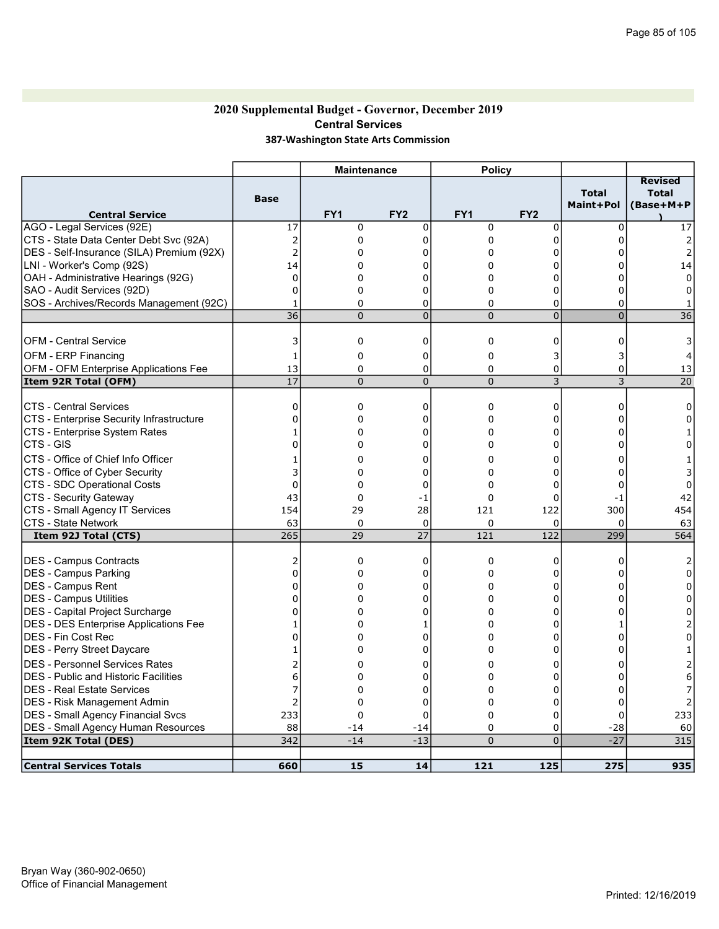## 2020 Supplemental Budget - Governor, December 2019 Central Services 387-Washington State Arts Commission

| <b>Total</b><br><b>Base</b><br>Maint+Pol<br>FY <sub>1</sub><br>FY <sub>2</sub><br>FY <sub>1</sub><br>FY <sub>2</sub><br><b>Central Service</b><br>17<br>0<br>$\mathbf 0$<br>0<br>0<br>$\mathbf 0$<br>0<br>CTS - State Data Center Debt Svc (92A)<br>$\overline{2}$<br>0<br>0<br>0<br>0 | <b>Revised</b><br><b>Total</b><br>(Base+M+P<br>17 |
|----------------------------------------------------------------------------------------------------------------------------------------------------------------------------------------------------------------------------------------------------------------------------------------|---------------------------------------------------|
| AGO - Legal Services (92E)                                                                                                                                                                                                                                                             |                                                   |
|                                                                                                                                                                                                                                                                                        |                                                   |
|                                                                                                                                                                                                                                                                                        | 2                                                 |
| $\overline{2}$<br>DES - Self-Insurance (SILA) Premium (92X)<br>0<br>0<br>0<br>0<br>0                                                                                                                                                                                                   | 2                                                 |
| LNI - Worker's Comp (92S)<br>14<br>0<br>0<br>0<br>0<br>U                                                                                                                                                                                                                               | 14                                                |
| OAH - Administrative Hearings (92G)<br>$\mathbf 0$<br>0<br>0<br>0<br>$\Omega$<br>$\Omega$                                                                                                                                                                                              | 0                                                 |
| 0<br>SAO - Audit Services (92D)<br>$\Omega$<br>0<br>$\Omega$<br>0<br>$\Omega$                                                                                                                                                                                                          | $\Omega$                                          |
| SOS - Archives/Records Management (92C)<br>0<br>$\Omega$<br>0<br>0<br>0<br>$\mathbf{1}$                                                                                                                                                                                                |                                                   |
| 36<br>$\overline{0}$<br>$\overline{0}$<br>$\overline{0}$<br>$\Omega$<br>$\overline{0}$                                                                                                                                                                                                 | $\overline{36}$                                   |
| 0<br><b>OFM - Central Service</b><br>3<br>$\mathbf 0$<br>0<br>0<br>0                                                                                                                                                                                                                   | 3                                                 |
| OFM - ERP Financing<br>0<br>0<br>0<br>3<br>3<br>1                                                                                                                                                                                                                                      |                                                   |
| 0<br>OFM - OFM Enterprise Applications Fee<br>13<br>0<br>0<br>0<br>0                                                                                                                                                                                                                   | 13                                                |
| 17<br>3<br>3<br>Item 92R Total (OFM)<br>$\overline{0}$<br>$\overline{0}$<br>$\overline{0}$                                                                                                                                                                                             | $\overline{20}$                                   |
|                                                                                                                                                                                                                                                                                        |                                                   |
| <b>CTS - Central Services</b><br>0<br>$\mathbf 0$<br>0<br>0<br>0<br>0                                                                                                                                                                                                                  | 0                                                 |
| CTS - Enterprise Security Infrastructure<br>0<br>0<br>0<br>0<br>$\Omega$<br>0                                                                                                                                                                                                          | 0                                                 |
| CTS - Enterprise System Rates<br>0<br>0<br>0<br>0<br>0<br>1                                                                                                                                                                                                                            |                                                   |
| ICTS - GIS<br>$\Omega$<br>$\Omega$<br>0<br>$\Omega$<br>0<br>0                                                                                                                                                                                                                          | 0                                                 |
| CTS - Office of Chief Info Officer<br>$\Omega$<br>$\Omega$<br>0<br>0<br>0                                                                                                                                                                                                              |                                                   |
| CTS - Office of Cyber Security<br>0<br>0<br>0<br>3<br>0<br>0                                                                                                                                                                                                                           |                                                   |
| CTS - SDC Operational Costs<br>$\mathbf 0$<br>$\Omega$<br>$\Omega$<br>0<br>0<br>0                                                                                                                                                                                                      | 0                                                 |
| <b>CTS - Security Gateway</b><br>43<br>0<br>-1<br>0<br>0<br>-1                                                                                                                                                                                                                         | 42                                                |
| CTS - Small Agency IT Services<br>154<br>29<br>28<br>121<br>122<br>300                                                                                                                                                                                                                 | 454                                               |
| <b>CTS - State Network</b><br>63<br>0<br>0<br>0<br>$\mathbf 0$<br>0                                                                                                                                                                                                                    | 63                                                |
| 265<br>27<br>121<br>299<br>29<br>122<br>Item 92J Total (CTS)                                                                                                                                                                                                                           | 564                                               |
| DES - Campus Contracts<br>2<br>0<br>$\Omega$<br>0<br>0<br>0                                                                                                                                                                                                                            |                                                   |
| DES - Campus Parking<br>$\mathbf 0$<br>$\Omega$<br>$\Omega$<br>$\Omega$<br>0<br>O                                                                                                                                                                                                      | $\Omega$                                          |
| DES - Campus Rent<br>$\Omega$<br>0<br>0<br>$\Omega$<br>$\Omega$<br>$\Omega$                                                                                                                                                                                                            | 0                                                 |
| $\Omega$<br><b>IDES - Campus Utilities</b><br>$\Omega$<br>0<br>$\Omega$<br>0<br>0                                                                                                                                                                                                      | 0                                                 |
| DES - Capital Project Surcharge<br>0<br>0<br>0<br>0<br>0<br>0                                                                                                                                                                                                                          | 0                                                 |
| DES - DES Enterprise Applications Fee<br>$\Omega$<br>0<br>0<br>1<br>1                                                                                                                                                                                                                  |                                                   |
| IDES - Fin Cost Rec<br>0<br>$\Omega$<br>$\Omega$<br>$\Omega$<br>0<br>0                                                                                                                                                                                                                 | 0                                                 |
| $\mathbf 0$<br> DES - Perry Street Daycare<br>$\Omega$<br>$\Omega$<br>0<br>$\Omega$<br>1                                                                                                                                                                                               |                                                   |
| <b>DES - Personnel Services Rates</b><br>0<br>0<br>$\Omega$<br>0<br>$\Omega$                                                                                                                                                                                                           |                                                   |
| <b>DES</b> - Public and Historic Facilities<br>6<br>0<br>0<br>0<br>0<br>0                                                                                                                                                                                                              | 6                                                 |
| <b>IDES - Real Estate Services</b><br>$\mathbf 0$<br>$\Omega$<br>$\Omega$<br>0<br>$\Omega$                                                                                                                                                                                             |                                                   |
| $\overline{2}$<br>$\mathbf 0$<br>0<br>$\mathbf 0$<br> DES - Risk Management Admin<br>$\Omega$<br>0                                                                                                                                                                                     |                                                   |
| <b>DES - Small Agency Financial Svcs</b><br>233<br>0<br>0<br>$\Omega$<br>0<br>$\Omega$                                                                                                                                                                                                 | 233                                               |
| 0<br><b>DES - Small Agency Human Resources</b><br>88<br>0<br>$-28$<br>$-14$<br>-14                                                                                                                                                                                                     | 60                                                |
| $-13$<br>$-27$<br>Item 92K Total (DES)<br>342<br>$-14$<br>$\overline{0}$<br>$\Omega$                                                                                                                                                                                                   | 315                                               |
| <b>Central Services Totals</b><br>660<br>15<br>121<br>125<br>275<br>14                                                                                                                                                                                                                 | 935                                               |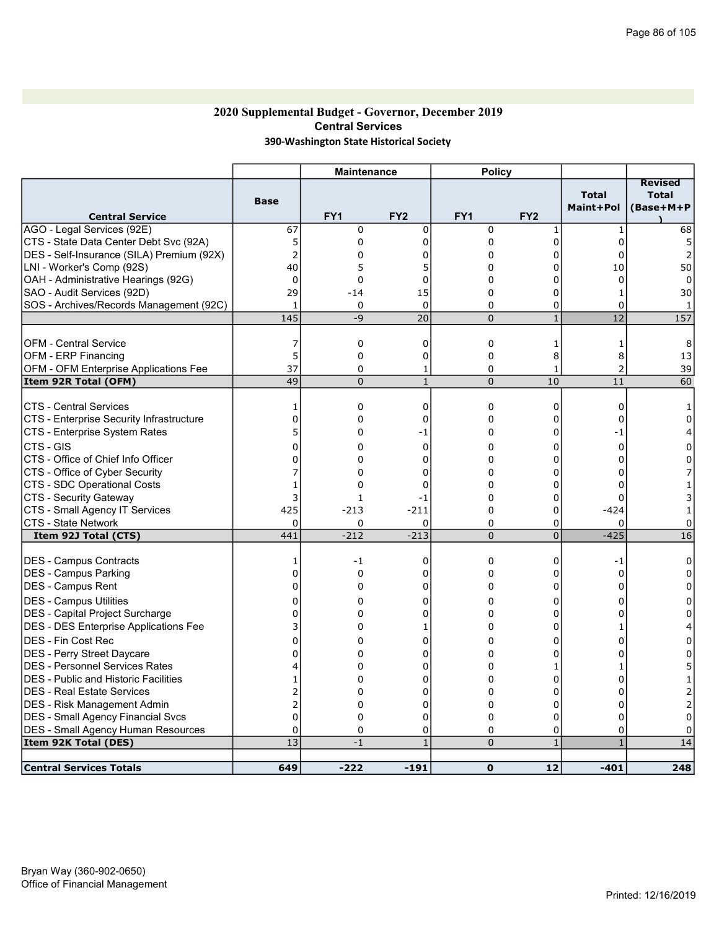### 2020 Supplemental Budget - Governor, December 2019 Central Services 390-Washington State Historical Society

|                                                                  |                | <b>Maintenance</b> |                   | <b>Policy</b>  |                 |                           |                                             |
|------------------------------------------------------------------|----------------|--------------------|-------------------|----------------|-----------------|---------------------------|---------------------------------------------|
| <b>Central Service</b>                                           | <b>Base</b>    | FY <sub>1</sub>    | FY <sub>2</sub>   | FY1            | FY <sub>2</sub> | <b>Total</b><br>Maint+Pol | <b>Revised</b><br><b>Total</b><br>(Base+M+P |
| AGO - Legal Services (92E)                                       | 67             | $\Omega$           | $\mathbf{0}$      | $\Omega$       | $\mathbf{1}$    | $\mathbf{1}$              | 68                                          |
| CTS - State Data Center Debt Svc (92A)                           | 5              | 0                  | $\Omega$          | $\Omega$       | $\mathbf 0$     | $\Omega$                  |                                             |
| DES - Self-Insurance (SILA) Premium (92X)                        | $\overline{2}$ | 0                  | 0                 | 0              | 0               | $\Omega$                  |                                             |
|                                                                  | 40             | 5                  | 5                 | $\Omega$       | 0               | 10                        | 50                                          |
| LNI - Worker's Comp (92S)<br>OAH - Administrative Hearings (92G) | $\mathbf 0$    | $\mathbf 0$        | 0                 | 0              | 0               | $\mathbf 0$               | 0                                           |
| SAO - Audit Services (92D)                                       | 29             |                    |                   | 0              | 0               | 1                         | 30                                          |
| SOS - Archives/Records Management (92C)                          | 1              | $-14$<br>0         | 15<br>$\mathbf 0$ | 0              | 0               | 0                         |                                             |
|                                                                  | 145            | $-9$               |                   |                | $\mathbf{1}$    | 12                        | 157                                         |
|                                                                  |                |                    | 20                | $\pmb{0}$      |                 |                           |                                             |
|                                                                  |                |                    |                   |                |                 |                           |                                             |
| IOFM - Central Service                                           | 7              | $\mathbf 0$        | $\mathbf 0$       | 0              | 1               | 1                         | 8                                           |
| OFM - ERP Financing                                              | 5              | $\mathbf 0$        | $\mathbf 0$       | 0              | 8               | 8                         | 13                                          |
| OFM - OFM Enterprise Applications Fee                            | 37             | 0                  | 1                 | $\Omega$       | $\mathbf{1}$    | 2                         | 39                                          |
| Item 92R Total (OFM)                                             | 49             | $\overline{0}$     | $\mathbf{1}$      | $\mathbf 0$    | 10              | 11                        | 60                                          |
|                                                                  |                |                    |                   |                |                 |                           |                                             |
| ICTS - Central Services                                          | 1              | $\mathbf 0$        | $\Omega$          | 0              | 0               | $\Omega$                  |                                             |
| CTS - Enterprise Security Infrastructure                         | 0              | $\mathbf 0$        | 0                 | 0              | 0               | 0                         | 0                                           |
| CTS - Enterprise System Rates                                    |                | 0                  | -1                | 0              | 0               | -1                        |                                             |
| CTS - GIS                                                        | 0              | 0                  | $\Omega$          | $\Omega$       | 0               | $\Omega$                  | 0                                           |
| CTS - Office of Chief Info Officer                               | 0              | 0                  | $\Omega$          | $\Omega$       | 0               | $\Omega$                  | 0                                           |
| CTS - Office of Cyber Security                                   |                | $\Omega$           | $\Omega$          | 0              | $\mathbf 0$     | $\Omega$                  |                                             |
| CTS - SDC Operational Costs                                      |                | 0                  | 0                 | 0              | 0               | $\Omega$                  |                                             |
| CTS - Security Gateway                                           | 3              | $\mathbf{1}$       | $-1$              | 0              | $\Omega$        | $\Omega$                  |                                             |
| CTS - Small Agency IT Services                                   | 425            | $-213$             | $-211$            | 0              | 0               | $-424$                    |                                             |
| CTS - State Network                                              | 0              | 0                  | $\mathbf 0$       | $\Omega$       | 0               | $\Omega$                  |                                             |
| Item 92J Total (CTS)                                             | 441            | $-212$             | $-213$            | $\overline{0}$ | $\mathbf 0$     | $-425$                    | 16                                          |
|                                                                  |                |                    |                   |                |                 |                           |                                             |
| DES - Campus Contracts                                           | 1              | -1                 | $\Omega$          | 0              | 0               | -1                        | 0                                           |
| DES - Campus Parking                                             | $\Omega$       | $\Omega$           | $\Omega$          | $\Omega$       | 0               | $\Omega$                  | $\Omega$                                    |
| DES - Campus Rent                                                | $\Omega$       | $\Omega$           | $\Omega$          | 0              | 0               | $\Omega$                  | 0                                           |
| <b>DES - Campus Utilities</b>                                    | 0              | 0                  | 0                 | 0              | 0               | 0                         | 0                                           |
| DES - Capital Project Surcharge                                  | 0              | 0                  | 0                 | 0              | 0               | 0                         | 0                                           |
| <b>DES - DES Enterprise Applications Fee</b>                     |                | 0                  | 1                 | 0              | 0               |                           |                                             |
| DES - Fin Cost Rec                                               | 0              | 0                  | $\Omega$          | $\Omega$       | $\Omega$        | 0                         | 0                                           |
| <b>DES - Perry Street Daycare</b>                                |                | 0                  | 0                 | 0              | 0               | 0                         | 0                                           |
| <b>DES - Personnel Services Rates</b>                            |                | 0                  | 0                 | 0              | 1               |                           |                                             |
| IDES - Public and Historic Facilities                            |                | 0                  | 0                 | 0              | 0               | 0                         |                                             |
| DES - Real Estate Services                                       |                | 0                  | $\Omega$          | 0              | 0               | 0                         |                                             |
| <b>DES - Risk Management Admin</b>                               | $\overline{2}$ | 0                  | 0                 | 0              | 0               | 0                         |                                             |
| <b>DES - Small Agency Financial Svcs</b>                         | $\Omega$       | 0                  | $\mathbf 0$       | 0              | 0               | $\Omega$                  | 0                                           |
| <b>DES - Small Agency Human Resources</b>                        | $\Omega$       | 0                  | 0                 | $\Omega$       | 0               | $\Omega$                  |                                             |
| Item 92K Total (DES)                                             | 13             | $-1$               | $\mathbf{1}$      | $\Omega$       | $\mathbf{1}$    | $\mathbf{1}$              | 14                                          |
|                                                                  |                |                    |                   |                |                 |                           |                                             |
| <b>Central Services Totals</b>                                   | 649            | $-222$             | $-191$            | $\mathbf{0}$   | 12              | $-401$                    | 248                                         |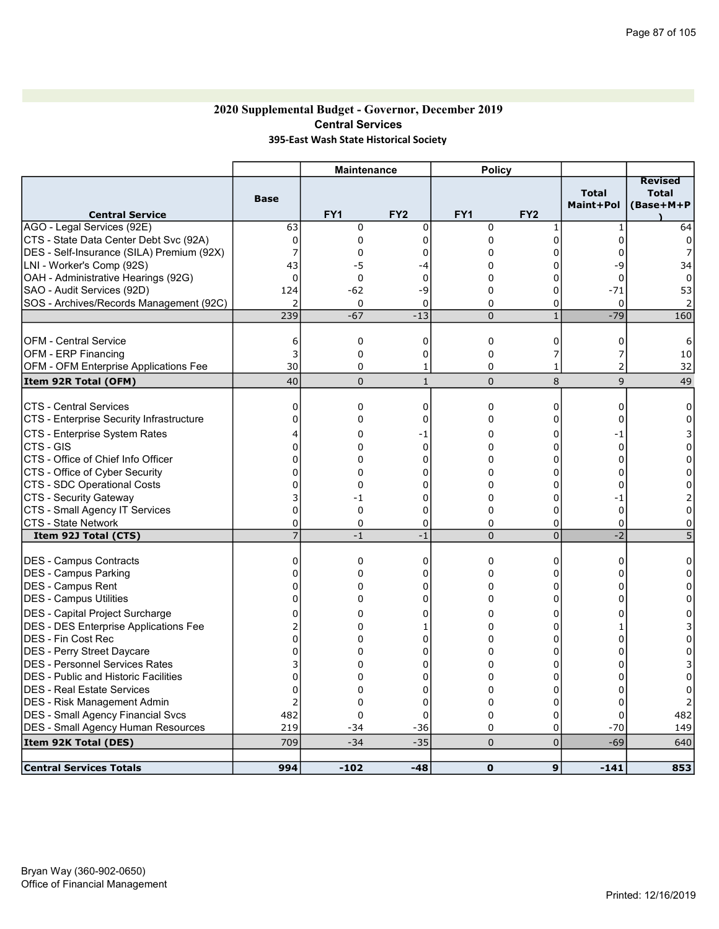## 2020 Supplemental Budget - Governor, December 2019 Central Services 395-East Wash State Historical Society

|                                                       |                | <b>Maintenance</b> |                 | <b>Policy</b>   |                  |                           |                                             |
|-------------------------------------------------------|----------------|--------------------|-----------------|-----------------|------------------|---------------------------|---------------------------------------------|
| <b>Central Service</b>                                | <b>Base</b>    | FY1                | FY <sub>2</sub> | FY <sub>1</sub> | FY <sub>2</sub>  | <b>Total</b><br>Maint+Pol | <b>Revised</b><br><b>Total</b><br>(Base+M+P |
| AGO - Legal Services (92E)                            | 63             | 0                  | $\mathbf 0$     | 0               | 1                | $\mathbf{1}$              | 64                                          |
| CTS - State Data Center Debt Svc (92A)                | $\Omega$       | 0                  | $\Omega$        | 0               | $\Omega$         | 0                         |                                             |
| DES - Self-Insurance (SILA) Premium (92X)             | 7              | $\Omega$           | 0               | 0               | $\Omega$         | 0                         |                                             |
| LNI - Worker's Comp (92S)                             | 43             | -5                 | -4              | 0               | $\Omega$         | -9                        | 34                                          |
| OAH - Administrative Hearings (92G)                   | $\Omega$       | 0                  | 0               | 0               | 0                | 0                         | $\Omega$                                    |
| SAO - Audit Services (92D)                            | 124            | -62                | $-9$            | 0               | $\mathbf{0}$     | $-71$                     | 53                                          |
| SOS - Archives/Records Management (92C)               | $\overline{2}$ | 0                  | 0               | 0               | 0                | $\mathbf 0$               |                                             |
|                                                       | 239            | $-67$              | $-13$           | $\overline{0}$  | $\mathbf{1}$     | $-79$                     | 160                                         |
|                                                       |                |                    |                 |                 |                  |                           |                                             |
| <b>OFM - Central Service</b>                          | 6              | 0                  | 0               | 0               | 0                | 0                         | 6                                           |
| <b>OFM - ERP Financing</b>                            | 3              | 0                  | 0               | 0               | 7                | 7                         | 10                                          |
| OFM - OFM Enterprise Applications Fee                 | 30             | 0                  | 1               | 0               | $\mathbf{1}$     | 2                         | 32                                          |
| Item 92R Total (OFM)                                  | 40             | $\Omega$           | $\mathbf{1}$    | $\Omega$        | 8                | 9                         | 49                                          |
| <b>CTS - Central Services</b>                         | 0              | 0                  | 0               | 0               | 0                | 0                         | $\Omega$                                    |
| CTS - Enterprise Security Infrastructure              | $\Omega$       | 0                  | 0               | 0               | 0                | 0                         | O                                           |
|                                                       |                |                    |                 |                 |                  |                           |                                             |
| CTS - Enterprise System Rates<br><b>CTS - GIS</b>     | 4<br>$\Omega$  | 0<br>$\Omega$      | -1<br>$\Omega$  | 0<br>0          | 0<br>$\mathbf 0$ | -1<br>$\Omega$            |                                             |
|                                                       | $\Omega$       | $\Omega$           |                 | 0               | $\mathbf 0$      | $\Omega$                  | 0<br>$\Omega$                               |
| CTS - Office of Chief Info Officer                    | $\Omega$       | $\Omega$           | 0<br>$\Omega$   | 0               | $\Omega$         | $\Omega$                  | 0                                           |
| CTS - Office of Cyber Security                        | $\Omega$       | 0                  | $\Omega$        | 0               | 0                | 0                         | O                                           |
| CTS - SDC Operational Costs<br>CTS - Security Gateway |                | $-1$               | $\Omega$        | 0               | $\Omega$         | $-1$                      |                                             |
| CTS - Small Agency IT Services                        | 0              | $\mathbf 0$        | $\mathbf 0$     | 0               | 0                | $\mathbf 0$               | 0                                           |
| <b>CTS - State Network</b>                            | 0              | 0                  | 0               | 0               | 0                | $\mathbf 0$               | 0                                           |
| Item 92J Total (CTS)                                  |                | $-1$               | $-1$            | 0               | $\overline{0}$   | $-2$                      | 5                                           |
|                                                       |                |                    |                 |                 |                  |                           |                                             |
| DES - Campus Contracts                                | $\mathbf 0$    | 0                  | 0               | 0               | 0                | 0                         | 0                                           |
| DES - Campus Parking                                  | 0              | 0                  | 0               | 0               | 0                | 0                         | 0                                           |
| DES - Campus Rent                                     | 0              | 0                  | $\Omega$        | 0               | 0                | $\mathbf 0$               | 0                                           |
| <b>IDES - Campus Utilities</b>                        | 0              | 0                  | 0               | 0               | 0                | 0                         | 0                                           |
| <b>DES</b> - Capital Project Surcharge                | 0              | 0                  | 0               | 0               | 0                | $\Omega$                  | 0                                           |
| <b>DES - DES Enterprise Applications Fee</b>          | 2              | 0                  | 1               | 0               | 0                |                           |                                             |
| <b>DES - Fin Cost Rec</b>                             | $\mathbf 0$    | 0                  | 0               | 0               | 0                | 0                         | 0                                           |
| DES - Perry Street Daycare                            | 0              | 0                  | $\Omega$        | 0               | 0                | $\Omega$                  | 0                                           |
| DES - Personnel Services Rates                        | 3              | 0                  | $\Omega$        | 0               | 0                | 0                         |                                             |
| <b>DES</b> - Public and Historic Facilities           | 0              | 0                  | 0               | 0               | 0                | <sup>0</sup>              | 0                                           |
| <b>IDES - Real Estate Services</b>                    | 0              | 0                  | 0               | 0               | 0                | 0                         | 0                                           |
| DES - Risk Management Admin                           | $\overline{2}$ | 0                  | 0               | 0               | 0                | 0                         |                                             |
| DES - Small Agency Financial Svcs                     | 482            | $\mathbf 0$        | $\Omega$        | 0               | $\Omega$         | 0                         | 482                                         |
| <b>DES - Small Agency Human Resources</b>             | 219            | $-34$              | $-36$           | 0               | 0                | $-70$                     | 149                                         |
| Item 92K Total (DES)                                  | 709            | $-34$              | $-35$           | 0               | $\overline{0}$   | $-69$                     | 640                                         |
| <b>Central Services Totals</b>                        | 994            | $-102$             | $-48$           | $\mathbf 0$     | 9                | $-141$                    | 853                                         |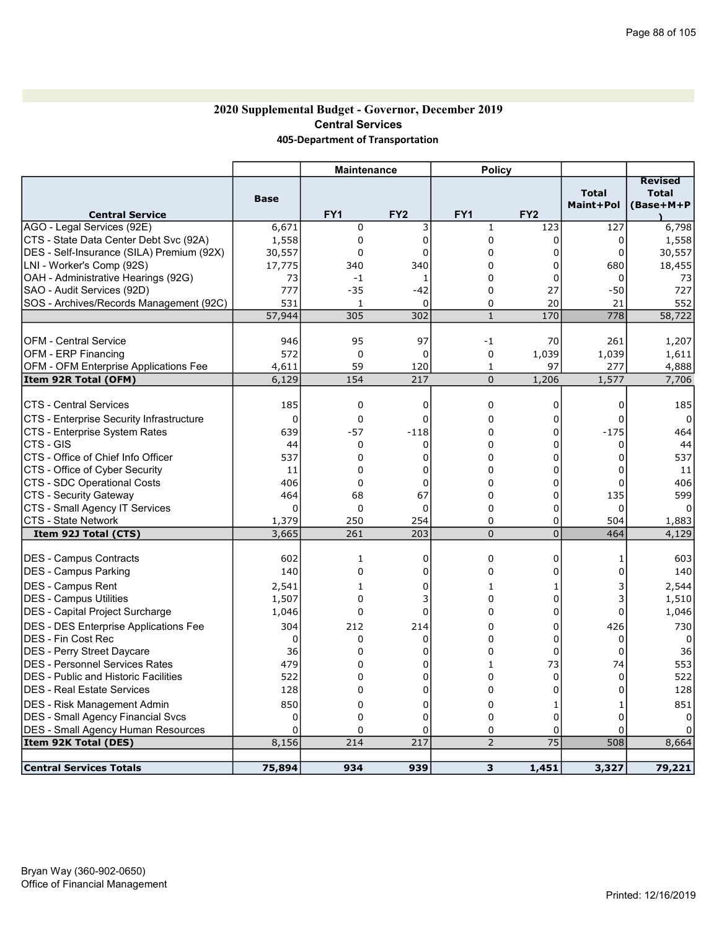## 2020 Supplemental Budget - Governor, December 2019 Central Services 405-Department of Transportation

|                                              |               | <b>Maintenance</b>  |                    | <b>Policy</b>           |                 |                           |                                             |
|----------------------------------------------|---------------|---------------------|--------------------|-------------------------|-----------------|---------------------------|---------------------------------------------|
|                                              | <b>Base</b>   |                     |                    |                         |                 | <b>Total</b><br>Maint+Pol | <b>Revised</b><br><b>Total</b><br>(Base+M+P |
| <b>Central Service</b>                       |               | FY1                 | FY <sub>2</sub>    | FY <sub>1</sub>         | FY <sub>2</sub> |                           |                                             |
| AGO - Legal Services (92E)                   | 6,671         | 0                   | 3                  | $\mathbf{1}$            | 123             | 127                       | 6,798                                       |
| CTS - State Data Center Debt Svc (92A)       | 1,558         | 0                   | $\Omega$           | $\mathbf 0$             | $\Omega$        | 0                         | 1,558                                       |
| DES - Self-Insurance (SILA) Premium (92X)    | 30,557        | 0                   | $\Omega$           | $\Omega$<br>$\mathbf 0$ | 0<br>$\Omega$   | $\Omega$                  | 30,557                                      |
| LNI - Worker's Comp (92S)                    | 17,775        | 340                 | 340                |                         | $\Omega$        | 680                       | 18,455                                      |
| OAH - Administrative Hearings (92G)          | 73            | $-1$                | 1                  | 0                       |                 | 0                         | 73                                          |
| SAO - Audit Services (92D)                   | 777           | $-35$               | $-42$              | 0                       | 27              | $-50$                     | 727                                         |
| SOS - Archives/Records Management (92C)      | 531<br>57,944 | $\mathbf{1}$<br>305 | $\mathbf 0$<br>302 | 0<br>$\mathbf{1}$       | 20<br>170       | 21<br>778                 | 552<br>58,722                               |
|                                              |               |                     |                    |                         |                 |                           |                                             |
| OFM - Central Service                        | 946           | 95                  | 97                 | $-1$                    | 70              | 261                       | 1,207                                       |
| <b>OFM - ERP Financing</b>                   | 572           | $\mathbf 0$         | 0                  | $\pmb{0}$               | 1,039           | 1,039                     | 1,611                                       |
| OFM - OFM Enterprise Applications Fee        | 4,611         | 59                  | 120                | 1                       | 97              | 277                       | 4,888                                       |
| Item 92R Total (OFM)                         | 6,129         | 154                 | 217                | $\mathbf 0$             | 1,206           | 1,577                     | 7,706                                       |
|                                              |               |                     |                    |                         |                 |                           |                                             |
| <b>CTS - Central Services</b>                | 185           | $\mathbf 0$         | 0                  | 0                       | 0               | 0                         | 185                                         |
| CTS - Enterprise Security Infrastructure     | 0             | $\mathbf 0$         | $\mathbf 0$        | 0                       | 0               | 0                         |                                             |
| CTS - Enterprise System Rates                | 639           | $-57$               | $-118$             | 0                       | 0               | $-175$                    | 464                                         |
| ICTS - GIS                                   | 44            | $\mathbf 0$         | $\Omega$           | 0                       | 0               | 0                         | 44                                          |
| CTS - Office of Chief Info Officer           | 537           | 0                   | 0                  | 0                       | 0               | 0                         | 537                                         |
| CTS - Office of Cyber Security               | 11            | 0                   | $\Omega$           | $\mathbf 0$             | $\Omega$        | 0                         | 11                                          |
| CTS - SDC Operational Costs                  | 406           | $\mathbf 0$         | 0                  | 0                       | 0               | 0                         | 406                                         |
| CTS - Security Gateway                       | 464           | 68                  | 67                 | 0                       | 0               | 135                       | 599                                         |
| CTS - Small Agency IT Services               | $\Omega$      | $\mathbf 0$         | $\mathbf 0$        | 0                       | 0               | 0                         | $\Omega$                                    |
| CTS - State Network                          | 1,379         | 250                 | 254                | 0                       | 0               | 504                       | 1,883                                       |
| Item 92J Total (CTS)                         | 3,665         | 261                 | 203                | $\overline{0}$          | $\mathbf 0$     | 464                       | 4,129                                       |
|                                              |               |                     |                    |                         |                 |                           |                                             |
| <b>DES - Campus Contracts</b>                | 602           | $\mathbf{1}$        | 0                  | 0                       | 0               | 1                         | 603                                         |
| DES - Campus Parking                         | 140           | 0                   | $\mathbf 0$        | 0                       | 0               | 0                         | 140                                         |
| <b>DES - Campus Rent</b>                     | 2,541         | 1                   | 0                  | 1                       | 1               | 3                         | 2,544                                       |
| <b>DES - Campus Utilities</b>                | 1,507         | $\mathbf 0$         | 3                  | 0                       | 0               | 3                         | 1,510                                       |
| DES - Capital Project Surcharge              | 1,046         | $\mathbf 0$         | $\mathbf{0}$       | 0                       | 0               | 0                         | 1,046                                       |
| <b>DES - DES Enterprise Applications Fee</b> | 304           | 212                 | 214                | 0                       | 0               | 426                       | 730                                         |
| IDES - Fin Cost Rec                          | 0             | $\mathbf 0$         | $\mathbf 0$        | 0                       | 0               | 0                         | $\mathbf 0$                                 |
| <b>DES - Perry Street Daycare</b>            | 36            | 0                   | $\Omega$           | 0                       | $\overline{0}$  | $\Omega$                  | 36                                          |
| <b>DES - Personnel Services Rates</b>        | 479           | $\mathbf 0$         | $\Omega$           | $\mathbf{1}$            | 73              | 74                        | 553                                         |
| <b>IDES - Public and Historic Facilities</b> | 522           | 0                   | $\Omega$           | 0                       | $\mathbf 0$     | $\Omega$                  | 522                                         |
| <b>DES - Real Estate Services</b>            | 128           | 0                   | 0                  | 0                       | $\Omega$        | 0                         | 128                                         |
| <b>DES - Risk Management Admin</b>           | 850           | $\mathbf 0$         | $\mathbf 0$        | 0                       | 1               |                           | 851                                         |
| DES - Small Agency Financial Svcs            | 0             | 0                   | $\mathbf 0$        | 0                       | 0               | $\Omega$                  | $\Omega$                                    |
| DES - Small Agency Human Resources           | $\Omega$      | $\mathbf 0$         | $\mathbf 0$        | 0                       | 0               | 0                         |                                             |
| Item 92K Total (DES)                         | 8,156         | 214                 | 217                | $\overline{2}$          | 75              | 508                       | 8,664                                       |
|                                              |               |                     |                    |                         |                 |                           |                                             |
| <b>Central Services Totals</b>               | 75,894        | 934                 | 939                | 3                       | 1,451           | 3,327                     | 79,221                                      |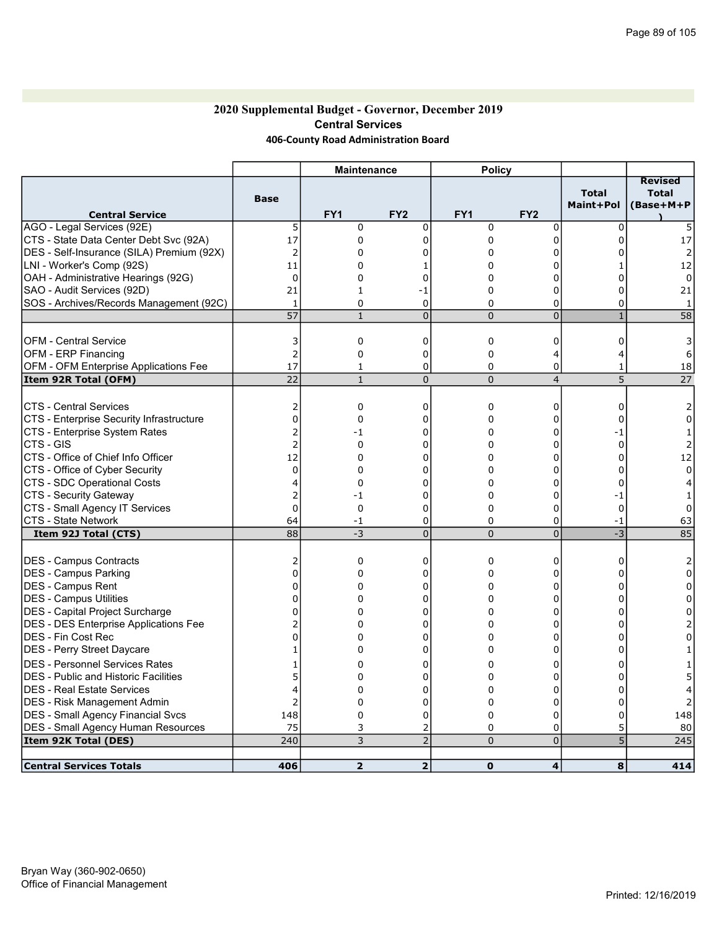### 2020 Supplemental Budget - Governor, December 2019 Central Services 406-County Road Administration Board

|                                              |                | <b>Maintenance</b> |                         | <b>Policy</b>   |                 |                           |                                             |
|----------------------------------------------|----------------|--------------------|-------------------------|-----------------|-----------------|---------------------------|---------------------------------------------|
| <b>Central Service</b>                       | <b>Base</b>    | FY <sub>1</sub>    | FY <sub>2</sub>         | FY <sub>1</sub> | FY <sub>2</sub> | <b>Total</b><br>Maint+Pol | <b>Revised</b><br><b>Total</b><br>(Base+M+P |
| AGO - Legal Services (92E)                   | 5              | 0                  | $\overline{0}$          | 0               | 0               | $\mathbf 0$               |                                             |
| CTS - State Data Center Debt Svc (92A)       | 17             | 0                  | 0                       | 0               | $\overline{0}$  | 0                         | 17                                          |
| DES - Self-Insurance (SILA) Premium (92X)    | $\overline{2}$ | 0                  | 0                       | 0               | 0               | 0                         | 2                                           |
| LNI - Worker's Comp (92S)                    | 11             | 0                  | 1                       | 0               | 0               |                           | 12                                          |
| OAH - Administrative Hearings (92G)          | $\mathbf 0$    | 0                  | 0                       | 0               | 0               | $\Omega$                  | $\mathbf 0$                                 |
| SAO - Audit Services (92D)                   | 21             | $\mathbf{1}$       | -1                      | 0               | 0               | $\Omega$                  | 21                                          |
| SOS - Archives/Records Management (92C)      | $\mathbf{1}$   | 0                  | 0                       | 0               | 0               | $\Omega$                  | $\overline{1}$                              |
|                                              | 57             | $\mathbf{1}$       | $\overline{0}$          | $\overline{0}$  | $\overline{0}$  | $\mathbf{1}$              | 58                                          |
| <b>OFM - Central Service</b>                 | 3              | $\mathbf 0$        | $\Omega$                | 0               | 0               | 0                         | 3                                           |
|                                              |                | $\mathbf 0$        | 0                       | 0               | 4               |                           |                                             |
| <b>OFM - ERP Financing</b>                   | $\overline{2}$ |                    |                         |                 |                 | 4                         | 6                                           |
| OFM - OFM Enterprise Applications Fee        | 17             | 1                  | 0                       | 0               | 0               | 1                         | 18                                          |
| Item 92R Total (OFM)                         | 22             | $\mathbf{1}$       | $\mathbf{0}$            | $\overline{0}$  | $\overline{4}$  | 5                         | $\overline{27}$                             |
| <b>CTS - Central Services</b>                | $\overline{2}$ | $\mathbf 0$        | 0                       | 0               | 0               | $\mathbf 0$               | 2                                           |
| CTS - Enterprise Security Infrastructure     | 0              | $\mathbf 0$        | 0                       | 0               | 0               | 0                         | 0                                           |
| CTS - Enterprise System Rates                | 2              | -1                 | 0                       | 0               | 0               | -1                        |                                             |
| ICTS - GIS                                   | 2              | $\Omega$           | $\Omega$                | 0               | 0               | $\Omega$                  | 2                                           |
| CTS - Office of Chief Info Officer           | 12             | $\Omega$           | $\Omega$                | 0               | 0               | $\Omega$                  | 12                                          |
|                                              | $\Omega$       | $\Omega$           | $\Omega$                | 0               | $\mathbf 0$     | $\Omega$                  | $\Omega$                                    |
| CTS - Office of Cyber Security               |                |                    |                         |                 |                 |                           |                                             |
| CTS - SDC Operational Costs                  | 4              | 0                  | $\Omega$                | 0               | $\mathbf 0$     | 0                         |                                             |
| CTS - Security Gateway                       | $\overline{2}$ | -1                 | $\Omega$                | 0               | 0               | -1                        |                                             |
| CTS - Small Agency IT Services               | $\mathbf 0$    | 0                  | 0                       | 0               | 0               | $\mathbf 0$               | 0                                           |
| CTS - State Network                          | 64             | -1                 | $\mathbf 0$             | 0               | 0               | $-1$                      | 63                                          |
| Item 92J Total (CTS)                         | 88             | $-3$               | $\mathbf 0$             | $\overline{0}$  | $\overline{0}$  | $-3$                      | 85                                          |
| DES - Campus Contracts                       | $\overline{2}$ | 0                  | $\Omega$                | 0               | 0               | 0                         |                                             |
| DES - Campus Parking                         | $\Omega$       | $\mathbf 0$        | $\Omega$                | 0               | $\Omega$        | $\Omega$                  | $\Omega$                                    |
| DES - Campus Rent                            | 0              | $\Omega$           | $\Omega$                | 0               | 0               | $\Omega$                  | 0                                           |
| DES - Campus Utilities                       | 0              | $\Omega$           | $\Omega$                | 0               | $\Omega$        | $\Omega$                  | 0                                           |
| DES - Capital Project Surcharge              | 0              | 0                  | 0                       | 0               | 0               | 0                         | 0                                           |
| <b>DES - DES Enterprise Applications Fee</b> |                | $\Omega$           | $\Omega$                | 0               | 0               | 0                         |                                             |
| IDES - Fin Cost Rec                          | $\Omega$       | $\Omega$           | $\Omega$                | 0               | 0               | $\Omega$                  | 0                                           |
| DES - Perry Street Daycare                   | 1              | 0                  | $\Omega$                | 0               | 0               | 0                         |                                             |
| <b>DES - Personnel Services Rates</b>        |                | 0                  | $\Omega$                | 0               | 0               | $\Omega$                  |                                             |
| <b>DES</b> - Public and Historic Facilities  | 5              | 0                  | 0                       | 0               | 0               | 0                         |                                             |
| <b>IDES - Real Estate Services</b>           | 4              | $\Omega$           | $\Omega$                | 0               | $\Omega$        | $\Omega$                  |                                             |
| DES - Risk Management Admin                  | $\overline{2}$ | $\Omega$           | $\Omega$                | 0               | $\Omega$        | $\Omega$                  |                                             |
| <b>DES - Small Agency Financial Svcs</b>     | 148            | 0                  | 0                       | 0               | 0               | 0                         | 148                                         |
| <b>DES - Small Agency Human Resources</b>    | 75             | 3                  | $\overline{2}$          | 0               | 0               | 5                         | 80                                          |
| Item 92K Total (DES)                         | 240            | 3                  | $\overline{2}$          | $\overline{0}$  | $\overline{0}$  | $\overline{5}$            | 245                                         |
|                                              |                |                    |                         |                 |                 |                           |                                             |
| <b>Central Services Totals</b>               | 406            | $\overline{2}$     | $\overline{\mathbf{z}}$ | $\mathbf 0$     | 4               | 8                         | 414                                         |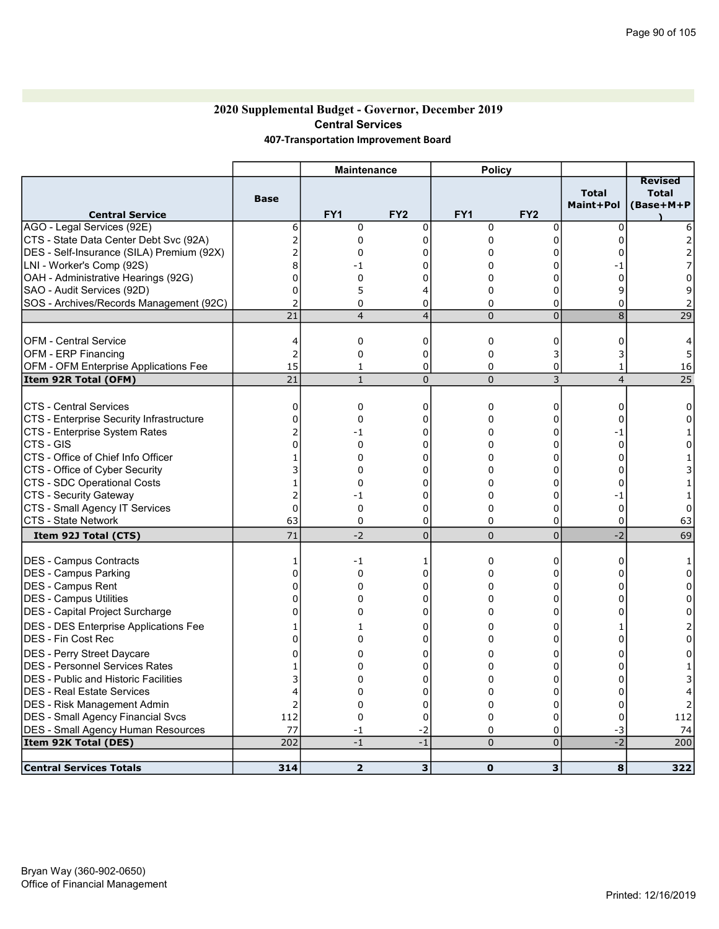## 2020 Supplemental Budget - Governor, December 2019 Central Services 407-Transportation Improvement Board

| <b>Revised</b><br><b>Total</b><br><b>Total</b><br><b>Base</b><br>Maint+Pol<br>(Base+M+P<br>FY <sub>1</sub><br>FY <sub>2</sub><br>FY <sub>1</sub><br>FY <sub>2</sub><br><b>Central Service</b><br>6<br>$\mathbf 0$<br>0<br>0<br>$\mathbf 0$<br>$\Omega$<br>CTS - State Data Center Debt Svc (92A)<br>2<br>0<br>$\Omega$<br>$\Omega$<br>0<br>0<br>DES - Self-Insurance (SILA) Premium (92X)<br>2<br>$\Omega$<br>0<br>$\Omega$<br>0<br>$\Omega$<br>LNI - Worker's Comp (92S)<br>8<br>$\Omega$<br>-1<br>0<br>- 1<br>OAH - Administrative Hearings (92G)<br>0<br>0<br>0<br>$\Omega$<br>0<br>0<br>SAO - Audit Services (92D)<br>5<br>$\Omega$<br>9<br>$\Omega$<br>0<br>$\overline{4}$<br>SOS - Archives/Records Management (92C)<br>0<br>0<br>0<br>$\overline{2}$<br>0<br>0<br>21<br>$\overline{0}$<br>8<br>$\overline{4}$<br>$\overline{4}$<br>$\overline{0}$<br><b>OFM - Central Service</b><br>0<br>0<br>0<br>0<br>0<br>4<br><b>OFM - ERP Financing</b><br>$\overline{2}$<br>0<br>0<br>3<br>0<br>3 |                 |
|-------------------------------------------------------------------------------------------------------------------------------------------------------------------------------------------------------------------------------------------------------------------------------------------------------------------------------------------------------------------------------------------------------------------------------------------------------------------------------------------------------------------------------------------------------------------------------------------------------------------------------------------------------------------------------------------------------------------------------------------------------------------------------------------------------------------------------------------------------------------------------------------------------------------------------------------------------------------------------------------------|-----------------|
| AGO - Legal Services (92E)                                                                                                                                                                                                                                                                                                                                                                                                                                                                                                                                                                                                                                                                                                                                                                                                                                                                                                                                                                      |                 |
|                                                                                                                                                                                                                                                                                                                                                                                                                                                                                                                                                                                                                                                                                                                                                                                                                                                                                                                                                                                                 |                 |
|                                                                                                                                                                                                                                                                                                                                                                                                                                                                                                                                                                                                                                                                                                                                                                                                                                                                                                                                                                                                 |                 |
|                                                                                                                                                                                                                                                                                                                                                                                                                                                                                                                                                                                                                                                                                                                                                                                                                                                                                                                                                                                                 |                 |
|                                                                                                                                                                                                                                                                                                                                                                                                                                                                                                                                                                                                                                                                                                                                                                                                                                                                                                                                                                                                 |                 |
|                                                                                                                                                                                                                                                                                                                                                                                                                                                                                                                                                                                                                                                                                                                                                                                                                                                                                                                                                                                                 | 0               |
|                                                                                                                                                                                                                                                                                                                                                                                                                                                                                                                                                                                                                                                                                                                                                                                                                                                                                                                                                                                                 | 9               |
|                                                                                                                                                                                                                                                                                                                                                                                                                                                                                                                                                                                                                                                                                                                                                                                                                                                                                                                                                                                                 |                 |
|                                                                                                                                                                                                                                                                                                                                                                                                                                                                                                                                                                                                                                                                                                                                                                                                                                                                                                                                                                                                 | 29              |
|                                                                                                                                                                                                                                                                                                                                                                                                                                                                                                                                                                                                                                                                                                                                                                                                                                                                                                                                                                                                 |                 |
|                                                                                                                                                                                                                                                                                                                                                                                                                                                                                                                                                                                                                                                                                                                                                                                                                                                                                                                                                                                                 | 4               |
|                                                                                                                                                                                                                                                                                                                                                                                                                                                                                                                                                                                                                                                                                                                                                                                                                                                                                                                                                                                                 |                 |
| 15<br>0<br>OFM - OFM Enterprise Applications Fee<br>$\mathbf{1}$<br>$\mathbf 0$<br>0<br>1                                                                                                                                                                                                                                                                                                                                                                                                                                                                                                                                                                                                                                                                                                                                                                                                                                                                                                       | 16              |
| 21<br>3<br>$\overline{4}$<br>Item 92R Total (OFM)<br>$\mathbf{1}$<br>$\overline{0}$<br>$\overline{0}$                                                                                                                                                                                                                                                                                                                                                                                                                                                                                                                                                                                                                                                                                                                                                                                                                                                                                           | $\overline{25}$ |
|                                                                                                                                                                                                                                                                                                                                                                                                                                                                                                                                                                                                                                                                                                                                                                                                                                                                                                                                                                                                 |                 |
| <b>CTS - Central Services</b><br>0<br>0<br>0<br>0<br>0<br>0                                                                                                                                                                                                                                                                                                                                                                                                                                                                                                                                                                                                                                                                                                                                                                                                                                                                                                                                     | $\Omega$        |
| CTS - Enterprise Security Infrastructure<br>$\mathbf 0$<br>0<br>$\Omega$<br>0<br>0<br>0                                                                                                                                                                                                                                                                                                                                                                                                                                                                                                                                                                                                                                                                                                                                                                                                                                                                                                         | ŋ               |
| CTS - Enterprise System Rates<br>-1<br>0<br>0<br>0<br>$-1$                                                                                                                                                                                                                                                                                                                                                                                                                                                                                                                                                                                                                                                                                                                                                                                                                                                                                                                                      |                 |
| CTS - GIS<br>0<br>0<br>$\mathbf 0$<br>0<br>$\Omega$<br>0                                                                                                                                                                                                                                                                                                                                                                                                                                                                                                                                                                                                                                                                                                                                                                                                                                                                                                                                        | 0               |
| CTS - Office of Chief Info Officer<br>$\mathbf 0$<br>0<br>0<br>$\Omega$<br>0<br>1                                                                                                                                                                                                                                                                                                                                                                                                                                                                                                                                                                                                                                                                                                                                                                                                                                                                                                               |                 |
| CTS - Office of Cyber Security<br>$\Omega$<br>0<br>0<br>0<br>0                                                                                                                                                                                                                                                                                                                                                                                                                                                                                                                                                                                                                                                                                                                                                                                                                                                                                                                                  |                 |
| CTS - SDC Operational Costs<br>0<br>0<br>0<br>0<br>1<br>0                                                                                                                                                                                                                                                                                                                                                                                                                                                                                                                                                                                                                                                                                                                                                                                                                                                                                                                                       |                 |
| CTS - Security Gateway<br>0<br>-1<br>0<br>0<br>-1                                                                                                                                                                                                                                                                                                                                                                                                                                                                                                                                                                                                                                                                                                                                                                                                                                                                                                                                               |                 |
| CTS - Small Agency IT Services<br>$\mathbf 0$<br>0<br>0<br>0<br>0<br>$\mathbf 0$                                                                                                                                                                                                                                                                                                                                                                                                                                                                                                                                                                                                                                                                                                                                                                                                                                                                                                                | 0               |
| 63<br>$\overline{0}$<br>0<br>$\overline{0}$<br>CTS - State Network<br>0<br>0                                                                                                                                                                                                                                                                                                                                                                                                                                                                                                                                                                                                                                                                                                                                                                                                                                                                                                                    | 63              |
| 71<br>$\overline{0}$<br>$-2$<br>$\overline{0}$<br>$-2$<br>Item 92J Total (CTS)<br>0                                                                                                                                                                                                                                                                                                                                                                                                                                                                                                                                                                                                                                                                                                                                                                                                                                                                                                             | 69              |
| DES - Campus Contracts<br>$\mathbf{1}$<br>$-1$<br>0<br>0<br>0<br>1                                                                                                                                                                                                                                                                                                                                                                                                                                                                                                                                                                                                                                                                                                                                                                                                                                                                                                                              |                 |
| DES - Campus Parking<br>0<br>0<br>0<br>0<br>0<br>0                                                                                                                                                                                                                                                                                                                                                                                                                                                                                                                                                                                                                                                                                                                                                                                                                                                                                                                                              | 0               |
| $\mathbf 0$<br>0<br><b>IDES - Campus Rent</b><br>$\Omega$<br>$\Omega$<br>0<br>$\Omega$                                                                                                                                                                                                                                                                                                                                                                                                                                                                                                                                                                                                                                                                                                                                                                                                                                                                                                          | 0               |
| 0<br>IDES - Campus Utilities<br>0<br>0<br>0<br>0<br>0                                                                                                                                                                                                                                                                                                                                                                                                                                                                                                                                                                                                                                                                                                                                                                                                                                                                                                                                           | 0               |
| DES - Capital Project Surcharge<br>0<br>0<br>0<br>0<br>0<br>0                                                                                                                                                                                                                                                                                                                                                                                                                                                                                                                                                                                                                                                                                                                                                                                                                                                                                                                                   | 0               |
|                                                                                                                                                                                                                                                                                                                                                                                                                                                                                                                                                                                                                                                                                                                                                                                                                                                                                                                                                                                                 |                 |
| <b>DES - DES Enterprise Applications Fee</b><br>0<br>0<br>1<br>1<br>0                                                                                                                                                                                                                                                                                                                                                                                                                                                                                                                                                                                                                                                                                                                                                                                                                                                                                                                           |                 |
| DES - Fin Cost Rec<br>0<br>0<br>$\Omega$<br>0<br>0<br>0                                                                                                                                                                                                                                                                                                                                                                                                                                                                                                                                                                                                                                                                                                                                                                                                                                                                                                                                         | 0               |
| <b>DES - Perry Street Daycare</b><br>$\mathbf 0$<br>$\Omega$<br>0<br>$\Omega$<br>0                                                                                                                                                                                                                                                                                                                                                                                                                                                                                                                                                                                                                                                                                                                                                                                                                                                                                                              |                 |
| <b>DES - Personnel Services Rates</b><br>$\mathbf 0$<br>$\Omega$<br>$\Omega$<br>0<br>$\Omega$                                                                                                                                                                                                                                                                                                                                                                                                                                                                                                                                                                                                                                                                                                                                                                                                                                                                                                   | 0               |
| <b>DES</b> - Public and Historic Facilities<br>0<br>0<br>0<br>0<br>0                                                                                                                                                                                                                                                                                                                                                                                                                                                                                                                                                                                                                                                                                                                                                                                                                                                                                                                            |                 |
| <b>IDES - Real Estate Services</b><br>0<br>0<br>0<br>0<br>$\Omega$<br>⊿                                                                                                                                                                                                                                                                                                                                                                                                                                                                                                                                                                                                                                                                                                                                                                                                                                                                                                                         |                 |
| <b>DES - Risk Management Admin</b><br>$\overline{2}$<br>0<br>0<br>0<br>0<br>0                                                                                                                                                                                                                                                                                                                                                                                                                                                                                                                                                                                                                                                                                                                                                                                                                                                                                                                   |                 |
| <b>DES - Small Agency Financial Svcs</b><br>112<br>$\mathbf 0$<br>$\mathbf 0$<br>0<br>$\mathbf 0$<br>0                                                                                                                                                                                                                                                                                                                                                                                                                                                                                                                                                                                                                                                                                                                                                                                                                                                                                          |                 |
| <b>DES - Small Agency Human Resources</b><br>77<br>$-2$<br>0<br>0<br>-3<br>-1                                                                                                                                                                                                                                                                                                                                                                                                                                                                                                                                                                                                                                                                                                                                                                                                                                                                                                                   | 112             |
| 202<br>$-2$<br>$-1$<br>$-1$<br>$\overline{0}$<br>$\overline{0}$<br>Item 92K Total (DES)                                                                                                                                                                                                                                                                                                                                                                                                                                                                                                                                                                                                                                                                                                                                                                                                                                                                                                         | 74              |
| <b>Central Services Totals</b><br>314<br>$\overline{2}$<br>3<br>$\mathbf 0$<br>3<br>8                                                                                                                                                                                                                                                                                                                                                                                                                                                                                                                                                                                                                                                                                                                                                                                                                                                                                                           | 200             |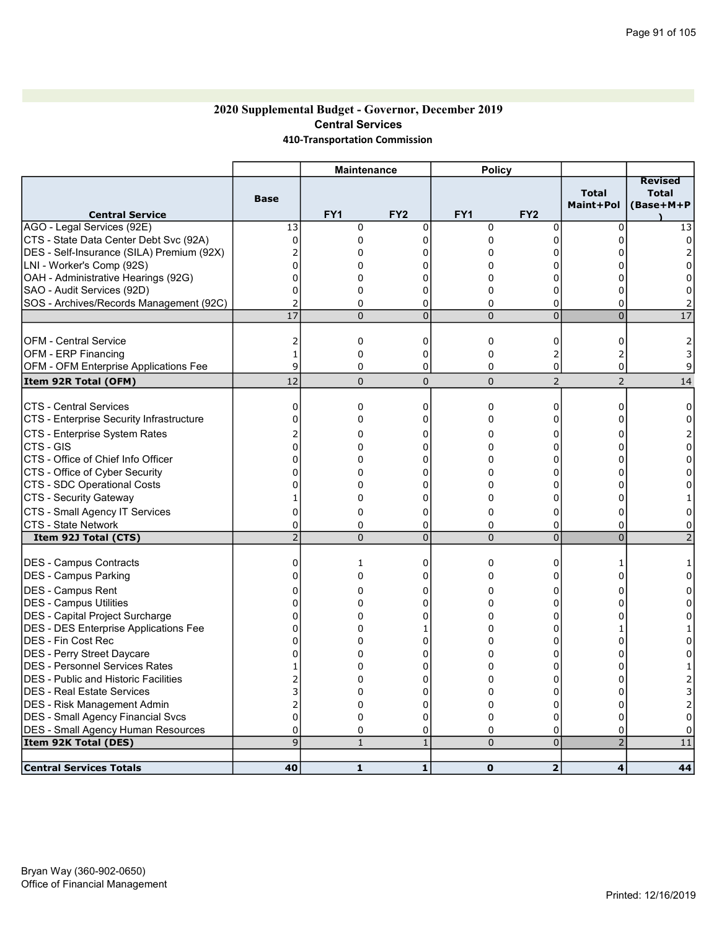### 2020 Supplemental Budget - Governor, December 2019 Central Services 410-Transportation Commission

|                                                       |                | <b>Maintenance</b> |                 | <b>Policy</b>   |                 |                           |                                             |
|-------------------------------------------------------|----------------|--------------------|-----------------|-----------------|-----------------|---------------------------|---------------------------------------------|
| <b>Central Service</b>                                | <b>Base</b>    | FY <sub>1</sub>    | FY <sub>2</sub> | FY <sub>1</sub> | FY <sub>2</sub> | <b>Total</b><br>Maint+Pol | <b>Revised</b><br><b>Total</b><br>(Base+M+P |
| AGO - Legal Services (92E)                            | 13             | $\mathbf 0$        | $\mathbf 0$     | 0               | $\mathbf 0$     | $\mathbf 0$               | 13                                          |
| CTS - State Data Center Debt Svc (92A)                | $\Omega$       | $\mathbf 0$        | $\Omega$        | 0               | $\overline{0}$  | 0                         | $\Omega$                                    |
| DES - Self-Insurance (SILA) Premium (92X)             | フ              | 0                  | 0               | 0               | $\Omega$        |                           | 2                                           |
| LNI - Worker's Comp (92S)                             | 0              | 0                  | $\Omega$        | $\Omega$        | $\Omega$        | n                         | 0                                           |
| OAH - Administrative Hearings (92G)                   | 0              | 0                  | 0               | 0               | 0               | 0                         | 0                                           |
| SAO - Audit Services (92D)                            | 0              | $\mathbf 0$        | $\Omega$        | 0               | 0               | $\Omega$                  | 0                                           |
| SOS - Archives/Records Management (92C)               | 2              | 0                  | $\mathbf 0$     | $\Omega$        | 0               | $\Omega$                  |                                             |
|                                                       | 17             | $\overline{0}$     | $\overline{0}$  | $\overline{0}$  | $\overline{0}$  | $\overline{0}$            | 17                                          |
|                                                       |                |                    |                 |                 |                 |                           |                                             |
| OFM - Central Service                                 | 2              | 0                  | 0               | 0               | 0               | 0                         |                                             |
| <b>OFM - ERP Financing</b>                            | $\mathbf{1}$   | $\mathbf 0$        | $\mathbf 0$     | 0               | $\overline{2}$  | 2                         | 3                                           |
| <b>OFM - OFM Enterprise Applications Fee</b>          | 9              | 0                  | $\mathbf 0$     | $\Omega$        | 0               | 0                         | 9                                           |
| Item 92R Total (OFM)                                  | 12             | $\Omega$           | $\mathbf 0$     | $\pmb{0}$       | $\overline{2}$  | $\overline{2}$            | 14                                          |
|                                                       |                |                    |                 |                 |                 |                           |                                             |
| <b>CTS - Central Services</b>                         | 0              | 0                  | $\mathbf 0$     | 0               | 0               | 0                         | 0                                           |
| CTS - Enterprise Security Infrastructure              | C              | 0                  | $\Omega$        | 0               | 0               | $\Omega$                  | $\Omega$                                    |
| CTS - Enterprise System Rates                         |                | 0                  | 0               | 0               | 0               | 0                         |                                             |
| CTS - GIS                                             | 0              | 0                  | $\Omega$        | 0               | $\mathbf 0$     | 0                         | 0                                           |
| ICTS - Office of Chief Info Officer                   | U              | 0                  | $\Omega$        | 0               | 0               | 0                         | O                                           |
| CTS - Office of Cyber Security                        |                | 0                  | 0               | $\Omega$        | $\Omega$        | U                         |                                             |
| CTS - SDC Operational Costs                           | C              | 0                  | $\Omega$        | 0               | $\Omega$        | 0                         |                                             |
| CTS - Security Gateway                                |                | 0                  | 0               | $\Omega$        | $\Omega$        | O                         |                                             |
| CTS - Small Agency IT Services                        | 0              | 0                  | $\Omega$        | 0               | 0               | 0                         | ŋ                                           |
| <b>CTS - State Network</b>                            | 0              | 0                  | $\mathbf 0$     | 0               | 0               | 0                         | 0                                           |
| Item 92J Total (CTS)                                  | $\overline{2}$ | $\overline{0}$     | $\overline{0}$  | $\overline{0}$  | $\overline{0}$  | $\overline{0}$            |                                             |
|                                                       | 0              |                    | $\mathbf 0$     | 0               | 0               |                           |                                             |
| <b>DES - Campus Contracts</b><br>DES - Campus Parking | O              | 1<br>0             | $\Omega$        | 0               | 0               | 1<br>O                    | ŋ                                           |
|                                                       |                |                    |                 |                 |                 |                           |                                             |
| <b>DES - Campus Rent</b>                              | ŋ              | 0                  | 0               | 0               | 0               | 0                         | n                                           |
| DES - Campus Utilities                                |                | 0                  | $\Omega$        | $\Omega$        | 0               | 0                         |                                             |
| DES - Capital Project Surcharge                       | 0              | 0                  | $\Omega$        | $\Omega$        | $\Omega$        | U                         |                                             |
| <b>DES - DES Enterprise Applications Fee</b>          | 0              | 0                  | 1               | $\mathbf 0$     | $\Omega$        |                           |                                             |
| DES - Fin Cost Rec                                    | n              | 0                  | $\Omega$        | $\Omega$        | $\Omega$        | $\Omega$                  | 0                                           |
| DES - Perry Street Daycare                            |                | 0                  | 0               | $\Omega$        | 0               | 0                         | ი                                           |
| <b>DES - Personnel Services Rates</b>                 |                | 0                  | $\Omega$        | $\Omega$        | 0               | $\Omega$                  |                                             |
| <b>IDES - Public and Historic Facilities</b>          |                | 0                  | 0               | $\Omega$        | 0               | 0                         |                                             |
| <b>DES - Real Estate Services</b>                     |                | 0                  | $\Omega$        | 0               | $\Omega$        | $\Omega$                  |                                             |
| DES - Risk Management Admin                           |                | 0                  | $\Omega$        | 0               | 0               | 0                         |                                             |
| DES - Small Agency Financial Svcs                     | 0              | 0                  | $\Omega$        | 0               | 0               | 0                         | 0                                           |
| <b>DES - Small Agency Human Resources</b>             | 0<br>9         | 0                  | $\mathbf 0$     | 0               | 0<br>$\Omega$   | 0<br>$\overline{2}$       | 0                                           |
| Item 92K Total (DES)                                  |                | $\mathbf{1}$       | $\mathbf{1}$    | $\Omega$        |                 |                           | 11                                          |
| <b>Central Services Totals</b>                        | 40             | $\mathbf{1}$       | $\mathbf{1}$    | $\mathbf{0}$    | $\overline{2}$  | $\overline{\mathbf{4}}$   | 44                                          |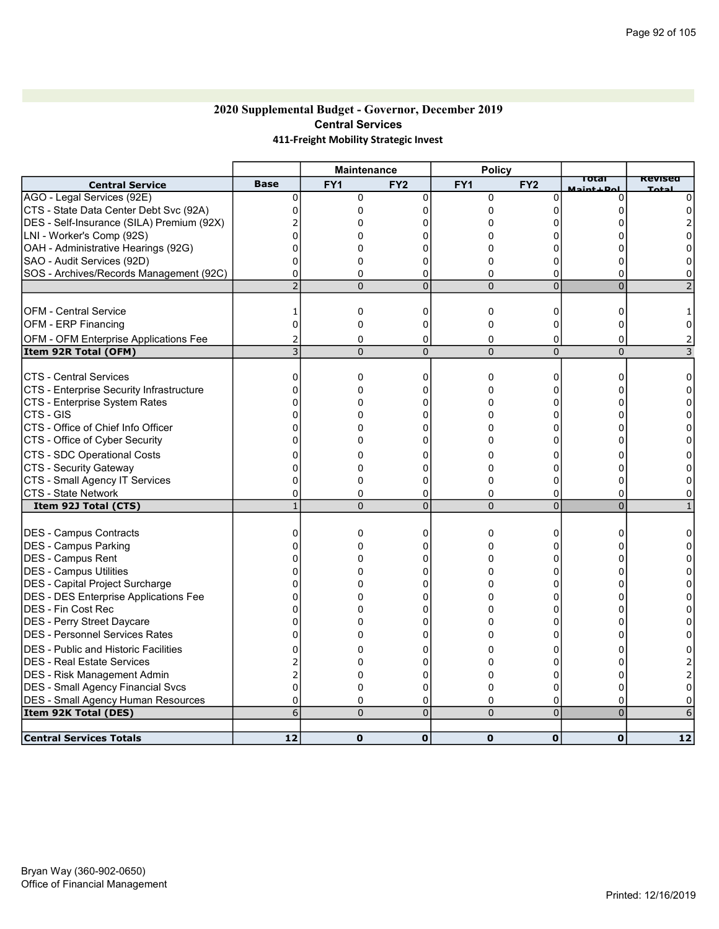## 2020 Supplemental Budget - Governor, December 2019 Central Services 411-Freight Mobility Strategic Invest

|                                             |                | <b>Maintenance</b> |                 | <b>Policy</b>   |                 |                        |                |
|---------------------------------------------|----------------|--------------------|-----------------|-----------------|-----------------|------------------------|----------------|
| <b>Central Service</b>                      | <b>Base</b>    | FY <sub>1</sub>    | FY <sub>2</sub> | FY <sub>1</sub> | FY <sub>2</sub> | ाotal<br>امتلط وتعليمه | <b>Revised</b> |
| AGO - Legal Services (92E)                  | $\Omega$       | 0                  | $\Omega$        | 0               | $\Omega$        |                        |                |
| CTS - State Data Center Debt Svc (92A)      | 0              | 0                  | 0               | 0               | 0               | 0                      |                |
| DES - Self-Insurance (SILA) Premium (92X)   |                | $\Omega$           | 0               | 0               | 0               |                        |                |
| LNI - Worker's Comp (92S)                   |                | 0                  |                 | 0               | $\Omega$        |                        |                |
| OAH - Administrative Hearings (92G)         |                | 0                  |                 | 0               | $\Omega$        |                        |                |
| SAO - Audit Services (92D)                  | 0              | $\Omega$           | 0               | 0               | 0               | 0                      |                |
| SOS - Archives/Records Management (92C)     | 0              | 0                  | 0               | 0               | 0               | 0                      |                |
|                                             | $\overline{2}$ | $\Omega$           | $\Omega$        | $\overline{0}$  | $\overline{0}$  | $\overline{0}$         |                |
|                                             |                |                    |                 |                 |                 |                        |                |
| <b>OFM - Central Service</b>                | 1              | 0                  | 0               | 0               | 0               | 0                      |                |
| OFM - ERP Financing                         | 0              | $\mathbf 0$        | 0               | 0               | 0               | 0                      |                |
| OFM - OFM Enterprise Applications Fee       |                | $\Omega$           | 0               | 0               | 0               | 0                      |                |
| Item 92R Total (OFM)                        | 3              | $\overline{0}$     | $\overline{0}$  | $\overline{0}$  | $\overline{0}$  | $\mathbf 0$            | 3              |
|                                             |                |                    |                 |                 |                 |                        |                |
| <b>CTS - Central Services</b>               | 0              | 0                  | 0               | 0               | 0               | 0                      | 0              |
| CTS - Enterprise Security Infrastructure    | 0              | $\mathbf 0$        | 0               | 0               | 0               | 0                      |                |
| CTS - Enterprise System Rates               |                | 0                  | O               | 0               | 0               | n                      |                |
| CTS - GIS                                   |                | $\Omega$           |                 | 0               | $\Omega$        |                        |                |
| CTS - Office of Chief Info Officer          |                | 0                  | 0               | 0               | 0               | 0                      |                |
| CTS - Office of Cyber Security              | U              | $\Omega$           | 0               | 0               | $\Omega$        | 0                      |                |
| CTS - SDC Operational Costs                 | 0              | 0                  | 0               | 0               | $\Omega$        | 0                      |                |
| CTS - Security Gateway                      | 0              | 0                  | 0               | 0               | 0               | n                      |                |
| CTS - Small Agency IT Services              | n              | $\Omega$           | 0               | 0               | 0               |                        |                |
| CTS - State Network                         | 0              | 0                  | 0               | 0               | 0               | 0                      |                |
| Item 92J Total (CTS)                        | $\mathbf{1}$   | $\overline{0}$     | $\mathbf 0$     | $\overline{0}$  | $\overline{0}$  | $\Omega$               |                |
|                                             |                |                    |                 |                 |                 |                        |                |
| <b>DES - Campus Contracts</b>               | 0              | 0                  | 0               | 0               | 0               | 0                      | 0              |
| DES - Campus Parking                        | <sup>0</sup>   | 0                  | O               | 0               | 0               | U                      |                |
| DES - Campus Rent                           |                | $\Omega$           |                 | 0               | 0               |                        |                |
| DES - Campus Utilities                      |                | $\Omega$           | 0               | 0               | $\Omega$        | U                      |                |
| DES - Capital Project Surcharge             |                | $\Omega$           | 0               | 0               | 0               | U                      |                |
| DES - DES Enterprise Applications Fee       |                | 0                  | C               | 0               | $\Omega$        | n                      |                |
| <b>IDES - Fin Cost Rec</b>                  |                | $\mathbf 0$        | C               | 0               | 0               |                        |                |
| DES - Perry Street Daycare                  |                | 0                  | O               | 0               | 0               | 0                      |                |
| DES - Personnel Services Rates              | n              | $\Omega$           | O               | 0               | $\Omega$        | U                      |                |
| <b>DES</b> - Public and Historic Facilities |                | 0                  | n               | 0               | 0               | n                      |                |
| IDES - Real Estate Services                 |                | $\Omega$           | $\Omega$        | 0               | 0               | n                      |                |
| DES - Risk Management Admin                 |                | 0                  | O               | 0               | 0               | U                      |                |
| <b>DES - Small Agency Financial Svcs</b>    | 0              | 0                  | $\Omega$        | 0               | 0               | 0                      |                |
| <b>DES - Small Agency Human Resources</b>   | 0              | 0                  | 0               | 0               | 0               | 0                      |                |
| <b>Item 92K Total (DES)</b>                 | 6              | $\Omega$           | $\Omega$        | $\overline{0}$  | $\Omega$        | $\overline{0}$         |                |
|                                             |                |                    |                 |                 |                 |                        |                |
| <b>Central Services Totals</b>              | 12             | 0                  | $\mathbf 0$     | $\mathbf 0$     | $\mathbf 0$     | $\mathbf 0$            | 12             |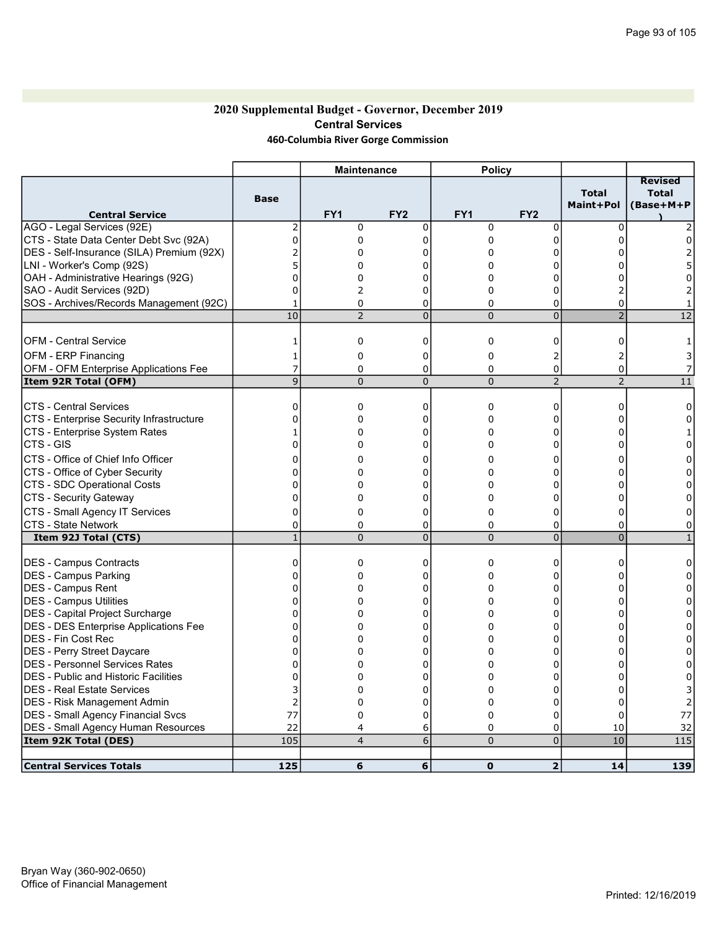## 2020 Supplemental Budget - Governor, December 2019 Central Services 460-Columbia River Gorge Commission

|                                              |                | <b>Maintenance</b> |                 | <b>Policy</b>   |                 |                           |                                      |
|----------------------------------------------|----------------|--------------------|-----------------|-----------------|-----------------|---------------------------|--------------------------------------|
| <b>Central Service</b>                       | <b>Base</b>    | FY <sub>1</sub>    | FY <sub>2</sub> | FY <sub>1</sub> | FY <sub>2</sub> | <b>Total</b><br>Maint+Pol | <b>Revised</b><br>Total<br>(Base+M+P |
| AGO - Legal Services (92E)                   | 2              | $\Omega$           | $\Omega$        | 0               | $\mathbf 0$     | $\mathbf{0}$              |                                      |
| CTS - State Data Center Debt Svc (92A)       | 0              | 0                  | $\Omega$        | 0               | 0               | $\Omega$                  | 0                                    |
| DES - Self-Insurance (SILA) Premium (92X)    | 2              | 0                  | 0               | 0               | 0               | 0                         |                                      |
| LNI - Worker's Comp (92S)                    | 5              | 0                  | U               | 0               | 0               | U                         |                                      |
| OAH - Administrative Hearings (92G)          | 0              | 0                  | 0               | 0               | 0               | 0                         | 0                                    |
| SAO - Audit Services (92D)                   | $\Omega$       | 2                  | $\Omega$        | 0               | $\mathbf 0$     | $\overline{2}$            |                                      |
| SOS - Archives/Records Management (92C)      | $\mathbf{1}$   | 0                  | 0               | 0               | 0               | $\Omega$                  |                                      |
|                                              | 10             | $\overline{2}$     | $\overline{0}$  | $\overline{0}$  | $\overline{0}$  | $\overline{2}$            | $\overline{12}$                      |
|                                              |                |                    |                 |                 |                 |                           |                                      |
| <b>OFM - Central Service</b>                 | 1              | $\mathbf 0$        | 0               | 0               | 0               | 0                         |                                      |
| <b>OFM - ERP Financing</b>                   | $\mathbf{1}$   | 0                  | 0               | 0               | 2               | $\overline{2}$            |                                      |
| <b>OFM - OFM Enterprise Applications Fee</b> | 7              | 0                  | 0               | 0               | 0               | 0                         |                                      |
| Item 92R Total (OFM)                         | $\overline{9}$ | $\Omega$           | $\overline{0}$  | $\overline{0}$  | $\overline{2}$  | $\overline{2}$            | 11                                   |
|                                              |                |                    |                 |                 |                 |                           |                                      |
| <b>CTS - Central Services</b>                | 0              | 0                  | 0               | 0               | 0               | 0                         | 0                                    |
| CTS - Enterprise Security Infrastructure     | $\Omega$       | 0                  | 0               | 0               | 0               | 0                         | 0                                    |
| CTS - Enterprise System Rates                | 1              | 0                  | 0               | 0               | 0               | 0                         |                                      |
| ICTS - GIS                                   | $\Omega$       | $\Omega$           | $\Omega$        | 0               | $\mathbf 0$     | $\Omega$                  | 0                                    |
| CTS - Office of Chief Info Officer           | 0              | 0                  | 0               | 0               | 0               | 0                         | ŋ                                    |
| CTS - Office of Cyber Security               | 0              | 0                  | 0               | 0               | 0               | 0                         | 0                                    |
| CTS - SDC Operational Costs                  | 0              | $\Omega$           | $\Omega$        | 0               | 0               | 0                         | 0                                    |
| CTS - Security Gateway                       | $\Omega$       | $\Omega$           | $\Omega$        | 0               | $\mathbf 0$     | 0                         | 0                                    |
| CTS - Small Agency IT Services               | 0              | 0                  | 0               | 0               | 0               | 0                         | 0                                    |
| <b>CTS - State Network</b>                   | 0              | 0                  | 0               | 0               | 0               | 0                         | 0                                    |
| Item 92J Total (CTS)                         | $\overline{1}$ | $\Omega$           | $\overline{0}$  | $\overline{0}$  | $\overline{0}$  | $\Omega$                  | $\mathbf{1}$                         |
|                                              |                |                    |                 |                 |                 |                           |                                      |
| <b>DES - Campus Contracts</b>                | 0              | 0                  | 0               | 0               | 0               | 0                         | 0                                    |
| <b>DES - Campus Parking</b>                  | 0              | 0                  | 0               | 0               | 0               | 0                         | 0                                    |
| DES - Campus Rent                            | 0              | 0                  | 0               | 0               | 0               | n                         |                                      |
| DES - Campus Utilities                       | 0              | 0                  | $\Omega$        | 0               | 0               | O                         | $\Omega$                             |
| DES - Capital Project Surcharge              | 0              | $\Omega$           | $\Omega$        | $\Omega$        | $\Omega$        | O                         | $\Omega$                             |
| <b>DES - DES Enterprise Applications Fee</b> | 0              | 0                  | 0               | 0               | 0               | 0                         | 0                                    |
| <b>IDES - Fin Cost Rec</b>                   | 0              | $\Omega$           | 0               | 0               | 0               | 0                         | 0                                    |
| DES - Perry Street Daycare                   | $\Omega$       | $\Omega$           | 0               | 0               | 0               | 0                         | 0                                    |
| <b>DES - Personnel Services Rates</b>        | 0              | 0                  | $\Omega$        | 0               | 0               | 0                         | 0                                    |
| DES - Public and Historic Facilities         | 0              | 0                  | 0               | 0               | 0               | 0                         | 0                                    |
| <b>IDES - Real Estate Services</b>           |                | 0                  | $\Omega$        | 0               | 0               | U                         |                                      |
| DES - Risk Management Admin                  | $\overline{2}$ | $\mathbf 0$        | $\Omega$        | 0               | $\Omega$        | $\Omega$                  |                                      |
| <b>DES - Small Agency Financial Svcs</b>     | 77             | $\mathbf 0$        | $\Omega$        | 0               | $\Omega$        | 0                         | 77                                   |
| DES - Small Agency Human Resources           | 22             | 4                  | 6               | 0               | 0               | 10                        | 32                                   |
| Item 92K Total (DES)                         | 105            | $\overline{4}$     | 6               | $\overline{0}$  | $\overline{0}$  | 10                        | 115                                  |
|                                              |                |                    |                 |                 |                 |                           |                                      |
| <b>Central Services Totals</b>               | 125            | 6                  | 6               | $\mathbf 0$     | $\overline{2}$  | 14                        | 139                                  |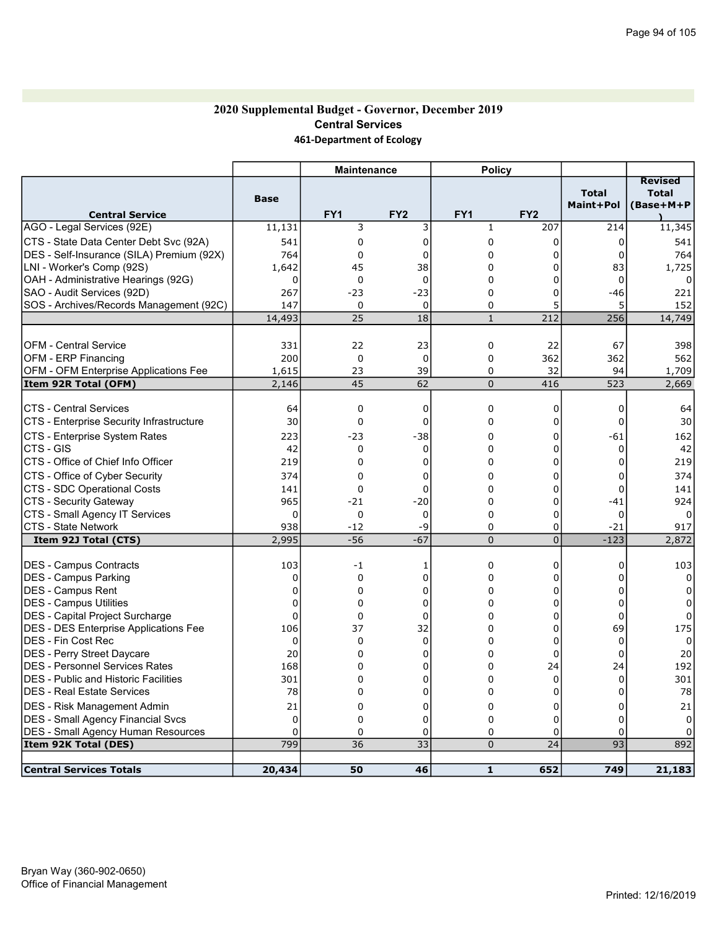### 2020 Supplemental Budget - Governor, December 2019 Central Services 461-Department of Ecology

| <b>Total</b><br><b>Total</b><br><b>Base</b><br>Maint+Pol<br>(Base+M+P<br>FY <sub>2</sub><br>FY <sub>2</sub><br>FY <sub>1</sub><br>FY <sub>1</sub><br><b>Central Service</b><br>11,131<br>3<br>3<br>207<br>11,345<br>1<br>214<br>541<br>0<br>0<br>0<br>541<br>0<br>0<br>764<br>DES - Self-Insurance (SILA) Premium (92X)<br>0<br>764<br>0<br>0<br>0<br>0<br>LNI - Worker's Comp (92S)<br>1,642<br>45<br>1,725<br>38<br>0<br>83<br>0<br>0<br>$\Omega$<br>0<br>0<br>0<br>0<br>SAO - Audit Services (92D)<br>267<br>$-23$<br>$-23$<br>0<br>$-46$<br>0<br>221<br>SOS - Archives/Records Management (92C)<br>147<br>0<br>0<br>5<br>152<br>0<br>5<br>25<br>18<br>14,493<br>$\mathbf{1}$<br>212<br>256<br>14,749<br><b>OFM - Central Service</b><br>331<br>22<br>23<br>22<br>67<br>0<br>398<br>OFM - ERP Financing<br>200<br>$\mathbf 0$<br>0<br>362<br>362<br>562<br>0<br>OFM - OFM Enterprise Applications Fee<br>1,615<br>39<br>32<br>94<br>23<br>0<br>1,709<br>45<br>62<br>0<br>523<br>2,146<br>416<br>2,669<br>ICTS - Central Services<br>0<br>64<br>0<br>0<br>0<br>64<br>0<br>30<br>$\mathbf 0$<br>30<br>$\Omega$<br>0<br>0<br>$\Omega$<br>CTS - Enterprise System Rates<br>$-61$<br>162<br>223<br>-23<br>$-38$<br>0<br>0<br>42<br>42<br>0<br>0<br>0<br>0<br>0 |                                    |     | <b>Maintenance</b> |   | <b>Policy</b> |   |   |                |
|--------------------------------------------------------------------------------------------------------------------------------------------------------------------------------------------------------------------------------------------------------------------------------------------------------------------------------------------------------------------------------------------------------------------------------------------------------------------------------------------------------------------------------------------------------------------------------------------------------------------------------------------------------------------------------------------------------------------------------------------------------------------------------------------------------------------------------------------------------------------------------------------------------------------------------------------------------------------------------------------------------------------------------------------------------------------------------------------------------------------------------------------------------------------------------------------------------------------------------------------------------------|------------------------------------|-----|--------------------|---|---------------|---|---|----------------|
| AGO - Legal Services (92E)<br>CTS - State Data Center Debt Svc (92A)<br>OAH - Administrative Hearings (92G)<br>Item 92R Total (OFM)<br>CTS - Enterprise Security Infrastructure<br>CTS - GIS                                                                                                                                                                                                                                                                                                                                                                                                                                                                                                                                                                                                                                                                                                                                                                                                                                                                                                                                                                                                                                                                 |                                    |     |                    |   |               |   |   | <b>Revised</b> |
|                                                                                                                                                                                                                                                                                                                                                                                                                                                                                                                                                                                                                                                                                                                                                                                                                                                                                                                                                                                                                                                                                                                                                                                                                                                              |                                    |     |                    |   |               |   |   |                |
|                                                                                                                                                                                                                                                                                                                                                                                                                                                                                                                                                                                                                                                                                                                                                                                                                                                                                                                                                                                                                                                                                                                                                                                                                                                              |                                    |     |                    |   |               |   |   |                |
|                                                                                                                                                                                                                                                                                                                                                                                                                                                                                                                                                                                                                                                                                                                                                                                                                                                                                                                                                                                                                                                                                                                                                                                                                                                              |                                    |     |                    |   |               |   |   |                |
|                                                                                                                                                                                                                                                                                                                                                                                                                                                                                                                                                                                                                                                                                                                                                                                                                                                                                                                                                                                                                                                                                                                                                                                                                                                              |                                    |     |                    |   |               |   |   |                |
|                                                                                                                                                                                                                                                                                                                                                                                                                                                                                                                                                                                                                                                                                                                                                                                                                                                                                                                                                                                                                                                                                                                                                                                                                                                              |                                    |     |                    |   |               |   |   |                |
|                                                                                                                                                                                                                                                                                                                                                                                                                                                                                                                                                                                                                                                                                                                                                                                                                                                                                                                                                                                                                                                                                                                                                                                                                                                              |                                    |     |                    |   |               |   |   |                |
|                                                                                                                                                                                                                                                                                                                                                                                                                                                                                                                                                                                                                                                                                                                                                                                                                                                                                                                                                                                                                                                                                                                                                                                                                                                              |                                    |     |                    |   |               |   |   |                |
|                                                                                                                                                                                                                                                                                                                                                                                                                                                                                                                                                                                                                                                                                                                                                                                                                                                                                                                                                                                                                                                                                                                                                                                                                                                              |                                    |     |                    |   |               |   |   |                |
|                                                                                                                                                                                                                                                                                                                                                                                                                                                                                                                                                                                                                                                                                                                                                                                                                                                                                                                                                                                                                                                                                                                                                                                                                                                              |                                    |     |                    |   |               |   |   |                |
|                                                                                                                                                                                                                                                                                                                                                                                                                                                                                                                                                                                                                                                                                                                                                                                                                                                                                                                                                                                                                                                                                                                                                                                                                                                              |                                    |     |                    |   |               |   |   |                |
|                                                                                                                                                                                                                                                                                                                                                                                                                                                                                                                                                                                                                                                                                                                                                                                                                                                                                                                                                                                                                                                                                                                                                                                                                                                              |                                    |     |                    |   |               |   |   |                |
|                                                                                                                                                                                                                                                                                                                                                                                                                                                                                                                                                                                                                                                                                                                                                                                                                                                                                                                                                                                                                                                                                                                                                                                                                                                              |                                    |     |                    |   |               |   |   |                |
|                                                                                                                                                                                                                                                                                                                                                                                                                                                                                                                                                                                                                                                                                                                                                                                                                                                                                                                                                                                                                                                                                                                                                                                                                                                              |                                    |     |                    |   |               |   |   |                |
|                                                                                                                                                                                                                                                                                                                                                                                                                                                                                                                                                                                                                                                                                                                                                                                                                                                                                                                                                                                                                                                                                                                                                                                                                                                              |                                    |     |                    |   |               |   |   |                |
|                                                                                                                                                                                                                                                                                                                                                                                                                                                                                                                                                                                                                                                                                                                                                                                                                                                                                                                                                                                                                                                                                                                                                                                                                                                              |                                    |     |                    |   |               |   |   |                |
|                                                                                                                                                                                                                                                                                                                                                                                                                                                                                                                                                                                                                                                                                                                                                                                                                                                                                                                                                                                                                                                                                                                                                                                                                                                              |                                    |     |                    |   |               |   |   |                |
|                                                                                                                                                                                                                                                                                                                                                                                                                                                                                                                                                                                                                                                                                                                                                                                                                                                                                                                                                                                                                                                                                                                                                                                                                                                              |                                    |     |                    |   |               |   |   |                |
|                                                                                                                                                                                                                                                                                                                                                                                                                                                                                                                                                                                                                                                                                                                                                                                                                                                                                                                                                                                                                                                                                                                                                                                                                                                              |                                    |     |                    |   |               |   |   |                |
|                                                                                                                                                                                                                                                                                                                                                                                                                                                                                                                                                                                                                                                                                                                                                                                                                                                                                                                                                                                                                                                                                                                                                                                                                                                              | CTS - Office of Chief Info Officer | 219 | $\Omega$           | 0 | 0             | 0 | 0 | 219            |
| CTS - Office of Cyber Security<br>374<br>0<br>374<br>0<br>0<br>0<br>0                                                                                                                                                                                                                                                                                                                                                                                                                                                                                                                                                                                                                                                                                                                                                                                                                                                                                                                                                                                                                                                                                                                                                                                        |                                    |     |                    |   |               |   |   |                |
| CTS - SDC Operational Costs<br>141<br>0<br>0<br>0<br>0<br>141<br>0                                                                                                                                                                                                                                                                                                                                                                                                                                                                                                                                                                                                                                                                                                                                                                                                                                                                                                                                                                                                                                                                                                                                                                                           |                                    |     |                    |   |               |   |   |                |
| CTS - Security Gateway<br>965<br>$-21$<br>$-20$<br>924<br>0<br>0<br>$-41$                                                                                                                                                                                                                                                                                                                                                                                                                                                                                                                                                                                                                                                                                                                                                                                                                                                                                                                                                                                                                                                                                                                                                                                    |                                    |     |                    |   |               |   |   |                |
| CTS - Small Agency IT Services<br>0<br>0<br>0<br>0<br>0<br>0<br>$\Omega$                                                                                                                                                                                                                                                                                                                                                                                                                                                                                                                                                                                                                                                                                                                                                                                                                                                                                                                                                                                                                                                                                                                                                                                     |                                    |     |                    |   |               |   |   |                |
| CTS - State Network<br>938<br>-9<br>0<br>$-12$<br>0<br>$-21$<br>917                                                                                                                                                                                                                                                                                                                                                                                                                                                                                                                                                                                                                                                                                                                                                                                                                                                                                                                                                                                                                                                                                                                                                                                          |                                    |     |                    |   |               |   |   |                |
| 2,995<br>$-56$<br>$-67$<br>0<br>$\overline{0}$<br>$-123$<br>2,872<br>Item 92J Total (CTS)                                                                                                                                                                                                                                                                                                                                                                                                                                                                                                                                                                                                                                                                                                                                                                                                                                                                                                                                                                                                                                                                                                                                                                    |                                    |     |                    |   |               |   |   |                |
| DES - Campus Contracts<br>103<br>103<br>0<br>0<br>-1<br>0<br>1                                                                                                                                                                                                                                                                                                                                                                                                                                                                                                                                                                                                                                                                                                                                                                                                                                                                                                                                                                                                                                                                                                                                                                                               |                                    |     |                    |   |               |   |   |                |
| <b>DES - Campus Parking</b><br>0<br>0<br>0<br>0<br>0                                                                                                                                                                                                                                                                                                                                                                                                                                                                                                                                                                                                                                                                                                                                                                                                                                                                                                                                                                                                                                                                                                                                                                                                         |                                    |     |                    |   |               |   |   |                |
| DES - Campus Rent<br>0<br>0<br>0<br>0<br>0<br>0                                                                                                                                                                                                                                                                                                                                                                                                                                                                                                                                                                                                                                                                                                                                                                                                                                                                                                                                                                                                                                                                                                                                                                                                              |                                    |     |                    |   |               |   |   |                |
| DES - Campus Utilities<br>0<br>0<br>0<br>0<br>0<br>0                                                                                                                                                                                                                                                                                                                                                                                                                                                                                                                                                                                                                                                                                                                                                                                                                                                                                                                                                                                                                                                                                                                                                                                                         |                                    |     |                    |   |               |   |   |                |
| DES - Capital Project Surcharge<br>0<br>0<br>0<br>0<br>0<br>0                                                                                                                                                                                                                                                                                                                                                                                                                                                                                                                                                                                                                                                                                                                                                                                                                                                                                                                                                                                                                                                                                                                                                                                                |                                    |     |                    |   |               |   |   |                |
| <b>DES - DES Enterprise Applications Fee</b><br>32<br>106<br>37<br>69<br>175<br>0<br>0                                                                                                                                                                                                                                                                                                                                                                                                                                                                                                                                                                                                                                                                                                                                                                                                                                                                                                                                                                                                                                                                                                                                                                       |                                    |     |                    |   |               |   |   |                |
| DES - Fin Cost Rec<br>0<br>0<br>0<br>0<br>0<br>0                                                                                                                                                                                                                                                                                                                                                                                                                                                                                                                                                                                                                                                                                                                                                                                                                                                                                                                                                                                                                                                                                                                                                                                                             |                                    |     |                    |   |               |   |   |                |
| <b>DES - Perry Street Daycare</b><br>20<br>0<br>0<br>0<br>$\Omega$<br>20<br>O                                                                                                                                                                                                                                                                                                                                                                                                                                                                                                                                                                                                                                                                                                                                                                                                                                                                                                                                                                                                                                                                                                                                                                                |                                    |     |                    |   |               |   |   |                |
| <b>DES - Personnel Services Rates</b><br>168<br>0<br>192<br>24<br>24<br>C<br>O                                                                                                                                                                                                                                                                                                                                                                                                                                                                                                                                                                                                                                                                                                                                                                                                                                                                                                                                                                                                                                                                                                                                                                               |                                    |     |                    |   |               |   |   |                |
| DES - Public and Historic Facilities<br>301<br>301<br>0<br>$\Omega$<br>0<br>0<br>0                                                                                                                                                                                                                                                                                                                                                                                                                                                                                                                                                                                                                                                                                                                                                                                                                                                                                                                                                                                                                                                                                                                                                                           |                                    |     |                    |   |               |   |   |                |
| DES - Real Estate Services<br>78<br>78<br>U<br>U<br>U<br>U<br>Ü                                                                                                                                                                                                                                                                                                                                                                                                                                                                                                                                                                                                                                                                                                                                                                                                                                                                                                                                                                                                                                                                                                                                                                                              |                                    |     |                    |   |               |   |   |                |
| DES - Risk Management Admin<br>21<br>21<br>0<br>0<br>0<br>0<br>$\Omega$                                                                                                                                                                                                                                                                                                                                                                                                                                                                                                                                                                                                                                                                                                                                                                                                                                                                                                                                                                                                                                                                                                                                                                                      |                                    |     |                    |   |               |   |   |                |
| <b>DES - Small Agency Financial Svcs</b><br>0<br>0<br>0<br>0<br> 0 <br>0<br>0                                                                                                                                                                                                                                                                                                                                                                                                                                                                                                                                                                                                                                                                                                                                                                                                                                                                                                                                                                                                                                                                                                                                                                                |                                    |     |                    |   |               |   |   |                |
| DES - Small Agency Human Resources<br>0<br>0<br>$\Omega$<br>$\Omega$<br>0<br>0                                                                                                                                                                                                                                                                                                                                                                                                                                                                                                                                                                                                                                                                                                                                                                                                                                                                                                                                                                                                                                                                                                                                                                               |                                    |     |                    |   |               |   |   |                |
| $\overline{93}$<br>892<br>Item 92K Total (DES)<br>799<br>36<br>33<br>0<br>24                                                                                                                                                                                                                                                                                                                                                                                                                                                                                                                                                                                                                                                                                                                                                                                                                                                                                                                                                                                                                                                                                                                                                                                 |                                    |     |                    |   |               |   |   |                |
| <b>Central Services Totals</b><br>20,434<br>50<br>46<br>$\mathbf{1}$<br>652<br>749<br>21,183                                                                                                                                                                                                                                                                                                                                                                                                                                                                                                                                                                                                                                                                                                                                                                                                                                                                                                                                                                                                                                                                                                                                                                 |                                    |     |                    |   |               |   |   |                |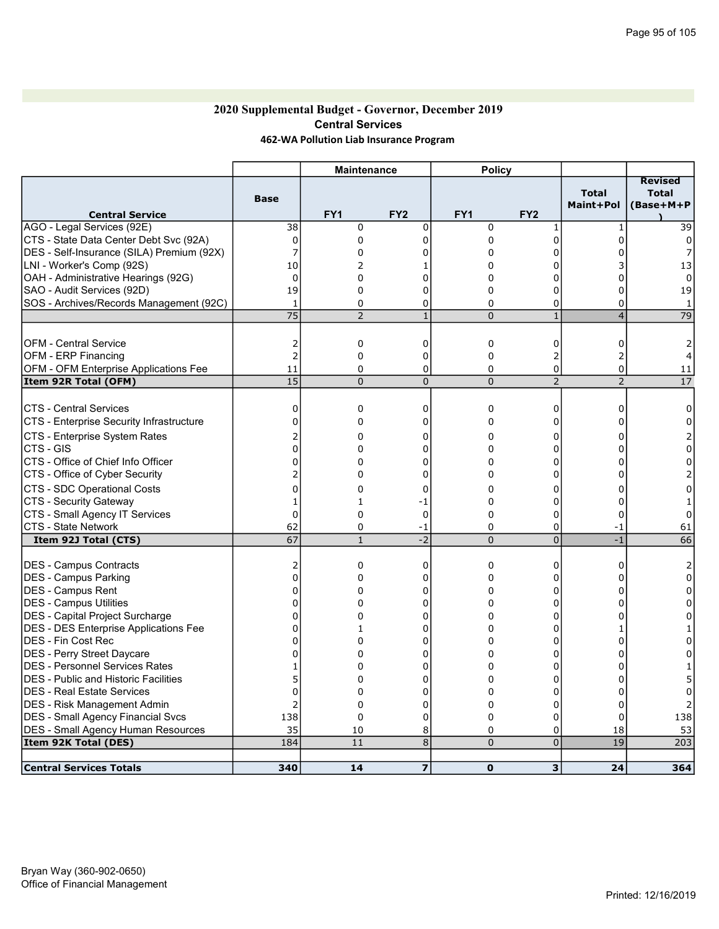## 2020 Supplemental Budget - Governor, December 2019 Central Services 462-WA Pollution Liab Insurance Program

|                                                                                 |                 | <b>Maintenance</b> |                 | <b>Policy</b>   |                 |                           |                                             |
|---------------------------------------------------------------------------------|-----------------|--------------------|-----------------|-----------------|-----------------|---------------------------|---------------------------------------------|
| <b>Central Service</b>                                                          | <b>Base</b>     | FY1                | FY <sub>2</sub> | FY <sub>1</sub> | FY <sub>2</sub> | <b>Total</b><br>Maint+Pol | <b>Revised</b><br><b>Total</b><br>(Base+M+P |
| AGO - Legal Services (92E)                                                      | 38              | $\mathbf 0$        | 0               | 0               | 1               | $\mathbf{1}$              | 39                                          |
| CTS - State Data Center Debt Svc (92A)                                          | $\Omega$        | 0                  | $\Omega$        | 0               | $\Omega$        | $\Omega$                  |                                             |
| DES - Self-Insurance (SILA) Premium (92X)                                       | 7               | $\mathbf 0$        | 0               | 0               | $\Omega$        |                           |                                             |
| LNI - Worker's Comp (92S)                                                       | 10              | 2                  |                 | $\Omega$        | $\Omega$        |                           | 13                                          |
| OAH - Administrative Hearings (92G)                                             | 0               | 0                  | 0               | 0               | 0               | 0                         | 0                                           |
| SAO - Audit Services (92D)                                                      | 19              | $\Omega$           | $\Omega$        | 0               | $\mathbf 0$     | $\Omega$                  | 19                                          |
| SOS - Archives/Records Management (92C)                                         | 1               | 0                  | 0               | 0               | 0               | 0                         |                                             |
|                                                                                 | $\overline{75}$ | $\overline{2}$     | $\mathbf{1}$    | $\overline{0}$  | $\mathbf{1}$    | $\overline{4}$            | 79                                          |
|                                                                                 |                 |                    |                 |                 |                 |                           |                                             |
| <b>OFM - Central Service</b>                                                    | 2               | 0                  | 0               | 0               | 0               | 0                         | 2                                           |
| <b>OFM - ERP Financing</b>                                                      | $\overline{2}$  | 0                  | 0               | 0               | $\overline{2}$  | 2                         |                                             |
| OFM - OFM Enterprise Applications Fee                                           | 11              | 0                  | 0               | 0               | 0               | 0                         | 11                                          |
| Item 92R Total (OFM)                                                            | 15              | $\Omega$           | $\Omega$        | $\overline{0}$  | $\overline{2}$  | $\overline{2}$            | 17                                          |
|                                                                                 |                 |                    |                 |                 |                 |                           |                                             |
| <b>CTS - Central Services</b>                                                   | 0               | 0                  | 0               | 0               | 0               | 0                         | 0                                           |
| CTS - Enterprise Security Infrastructure                                        | 0               | 0                  | $\Omega$        | 0               | 0               | 0                         | 0                                           |
| CTS - Enterprise System Rates                                                   | 2               | 0                  | 0               | 0               | 0               | 0                         |                                             |
| CTS - GIS                                                                       | 0               | $\Omega$           | 0               | 0               | 0               | O                         | 0                                           |
| CTS - Office of Chief Info Officer                                              | 0               | $\Omega$           | 0               | 0               | $\Omega$        | U                         | $\Omega$                                    |
| CTS - Office of Cyber Security                                                  | 2               | 0                  | 0               | 0               | 0               | 0                         |                                             |
|                                                                                 |                 |                    |                 |                 |                 |                           |                                             |
| <b>CTS - SDC Operational Costs</b>                                              | 0               | 0                  | 0               | 0               | 0               | 0                         | 0                                           |
| CTS - Security Gateway                                                          | 1               | $\mathbf{1}$       | -1              | 0               | 0               | 0                         |                                             |
| CTS - Small Agency IT Services                                                  | $\mathbf 0$     | $\Omega$           | $\Omega$        | 0               | $\overline{0}$  | 0                         | 0                                           |
| <b>CTS - State Network</b>                                                      | 62              | $\Omega$           | -1              | 0               | $\Omega$        | -1                        | 61                                          |
| Item 92J Total (CTS)                                                            | 67              | $\mathbf{1}$       | $-2$            | $\overline{0}$  | $\overline{0}$  | $-1$                      | 66                                          |
| DES - Campus Contracts                                                          | 2               | 0                  | 0               | 0               | 0               | 0                         |                                             |
| <b>IDES - Campus Parking</b>                                                    | $\Omega$        | $\Omega$           | $\Omega$        | 0               | 0               | $\Omega$                  | $\Omega$                                    |
| IDES - Campus Rent                                                              | $\Omega$        | $\Omega$           | $\Omega$        | 0               | 0               | 0                         | $\Omega$                                    |
| IDES - Campus Utilities                                                         | $\Omega$        | 0                  | $\Omega$        | 0               | $\Omega$        | $\Omega$                  | $\Omega$                                    |
|                                                                                 | $\Omega$        | 0                  | 0               | 0               | 0               | 0                         | 0                                           |
| DES - Capital Project Surcharge<br><b>DES - DES Enterprise Applications Fee</b> | 0               | $\mathbf{1}$       | $\Omega$        | 0               | $\Omega$        |                           |                                             |
| DES - Fin Cost Rec                                                              | U               | $\mathbf 0$        | $\Omega$        | 0               | $\Omega$        | O                         | $\Omega$                                    |
| DES - Perry Street Daycare                                                      | 0               | 0                  | $\Omega$        | 0               | $\Omega$        | U                         | 0                                           |
| DES - Personnel Services Rates                                                  | 1               | $\mathbf 0$        | $\Omega$        | 0               | $\Omega$        | $\Omega$                  |                                             |
| <b>DES</b> - Public and Historic Facilities                                     | 5               | 0                  | 0               | 0               | 0               | 0                         |                                             |
| <b>IDES - Real Estate Services</b>                                              | 0               | 0                  | 0               | 0               | 0               | 0                         | 0                                           |
| <b>DES - Risk Management Admin</b>                                              | 2               | 0                  | 0               | 0               | 0               | 0                         |                                             |
| <b>DES - Small Agency Financial Svcs</b>                                        | 138             | $\mathbf 0$        | $\mathbf 0$     | 0               | $\mathbf 0$     | 0                         | 138                                         |
| <b>DES - Small Agency Human Resources</b>                                       | 35              | 10                 | 8               | 0               | 0               | 18                        |                                             |
| Item 92K Total (DES)                                                            | 184             | 11                 | $\overline{8}$  | $\pmb{0}$       | $\overline{0}$  | 19                        | 53<br>203                                   |
|                                                                                 |                 |                    |                 |                 |                 |                           |                                             |
| <b>Central Services Totals</b>                                                  | 340             | 14                 | 7               | $\mathbf 0$     | 3               | 24                        | 364                                         |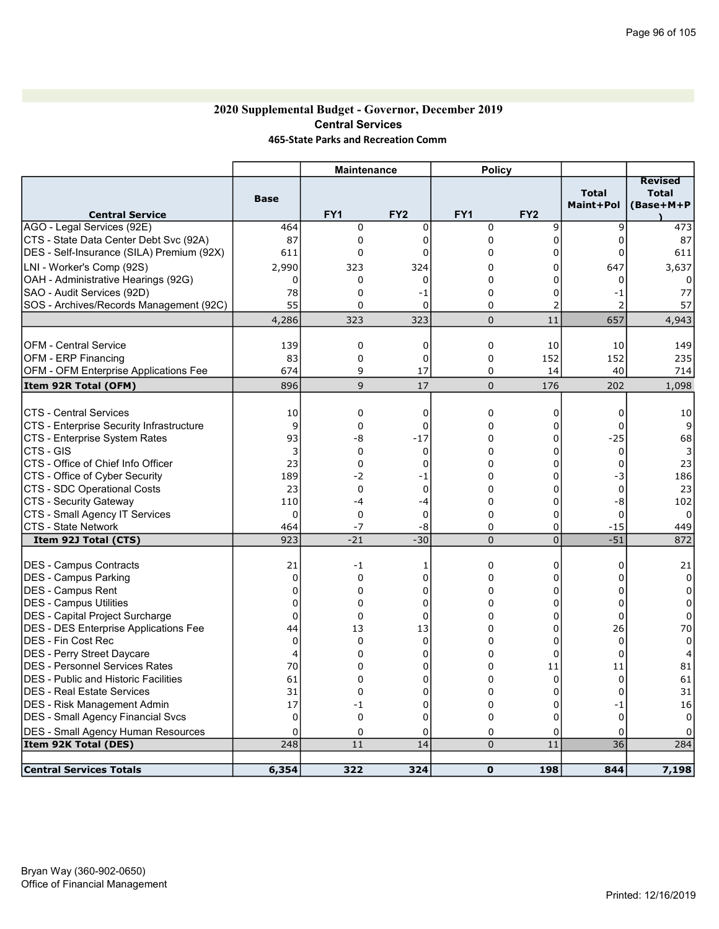## 2020 Supplemental Budget - Governor, December 2019 Central Services 465-State Parks and Recreation Comm

|                                                    |                 | <b>Maintenance</b> |                 | <b>Policy</b>   |                 |                           |                                             |
|----------------------------------------------------|-----------------|--------------------|-----------------|-----------------|-----------------|---------------------------|---------------------------------------------|
|                                                    | <b>Base</b>     |                    |                 |                 |                 | <b>Total</b><br>Maint+Pol | <b>Revised</b><br><b>Total</b><br>(Base+M+P |
| <b>Central Service</b>                             |                 | FY <sub>1</sub>    | FY <sub>2</sub> | FY <sub>1</sub> | FY <sub>2</sub> |                           |                                             |
| AGO - Legal Services (92E)                         | 464             | 0                  | $\mathbf 0$     | 0               | 9               | 9                         | 473                                         |
| CTS - State Data Center Debt Svc (92A)             | 87              | 0                  | $\Omega$        | 0               | $\mathbf 0$     | 0                         | 87                                          |
| DES - Self-Insurance (SILA) Premium (92X)          | 611             | 0                  | $\Omega$        | 0               | 0               | 0                         | 611                                         |
| LNI - Worker's Comp (92S)                          | 2,990           | 323                | 324             | 0               | 0               | 647                       | 3,637                                       |
| OAH - Administrative Hearings (92G)                | 0               | 0                  | 0               | 0               | 0               | 0                         | $\Omega$                                    |
| SAO - Audit Services (92D)                         | 78              | $\mathbf 0$        | -1              | 0               | $\Omega$        | -1                        | 77                                          |
| SOS - Archives/Records Management (92C)            | 55              | 0                  | $\mathbf 0$     | 0               | $\overline{2}$  | 2                         | 57                                          |
|                                                    | 4,286           | 323                | 323             | $\mathbf 0$     | 11              | 657                       | 4,943                                       |
|                                                    |                 |                    |                 |                 |                 |                           |                                             |
| <b>OFM - Central Service</b>                       | 139             | 0                  | 0               | 0               | 10              | 10                        | 149                                         |
| OFM - ERP Financing                                | 83              | 0                  | 0               | 0               | 152             | 152                       | 235                                         |
| OFM - OFM Enterprise Applications Fee              | 674             | 9                  | 17              | 0               | 14              | 40                        | 714                                         |
| Item 92R Total (OFM)                               | 896             | 9                  | 17              | 0               | 176             | 202                       | 1,098                                       |
| <b>CTS - Central Services</b>                      | 10              | $\mathbf 0$        | 0               | 0               | 0               | $\mathbf 0$               |                                             |
|                                                    | 9               | 0                  | 0               | 0               | 0               | 0                         | 10<br>9                                     |
| CTS - Enterprise Security Infrastructure           |                 |                    |                 |                 | 0               |                           |                                             |
| CTS - Enterprise System Rates<br>CTS - GIS         | 93              | -8                 | $-17$           | 0               |                 | $-25$                     | 68                                          |
| CTS - Office of Chief Info Officer                 | 3<br>23         | 0<br>0             | 0<br>$\Omega$   | 0<br>0          | 0<br>0          | 0<br>$\Omega$             | 3                                           |
| CTS - Office of Cyber Security                     |                 |                    |                 | 0               | $\overline{0}$  |                           | 23                                          |
|                                                    | 189             | -2                 | -1              |                 | $\Omega$        | -3                        | 186                                         |
| CTS - SDC Operational Costs                        | 23              | 0                  | $\mathbf 0$     | 0               |                 | $\mathbf 0$               | 23                                          |
| CTS - Security Gateway                             | 110             | -4                 | $-4$            | 0               | 0               | -8                        | 102                                         |
| CTS - Small Agency IT Services                     | $\Omega$<br>464 | 0<br>$-7$          | 0<br>-8         | 0<br>0          | 0<br>0          | $\Omega$<br>$-15$         | $\Omega$<br>449                             |
| <b>CTS - State Network</b><br>Item 92J Total (CTS) | 923             | $-21$              | $-30$           | $\overline{0}$  | $\overline{0}$  | $-51$                     | 872                                         |
|                                                    |                 |                    |                 |                 |                 |                           |                                             |
| <b>DES - Campus Contracts</b>                      | 21              | $-1$               | 1               | 0               | 0               | 0                         | 21                                          |
| DES - Campus Parking                               | 0               | 0                  | 0               | 0               | 0               | 0                         | 0                                           |
| <b>DES - Campus Rent</b>                           | 0               | 0                  | 0               | 0               | 0               | 0                         | $\mathbf 0$                                 |
| DES - Campus Utilities                             | $\mathbf 0$     | 0                  | 0               | 0               | 0               | 0                         | 0                                           |
| DES - Capital Project Surcharge                    | $\mathbf 0$     | 0                  | $\Omega$        | 0               | 0               | $\mathbf 0$               | 0                                           |
| <b>DES - DES Enterprise Applications Fee</b>       | 44              | 13                 | 13              | 0               | 0               | 26                        | 70                                          |
| IDES - Fin Cost Rec                                | 0               | 0                  | 0               | 0               | 0               | $\mathbf 0$               | $\Omega$                                    |
| DES - Perry Street Daycare                         | 4               | 0                  | 0               | 0               | $\mathbf 0$     | $\mathbf 0$               | 4                                           |
| IDES - Personnel Services Rates                    | 70              | 0                  | 0               | 0               | 11              | 11                        | 81                                          |
| DES - Public and Historic Facilities               | 61              | $\Omega$           | 0               | 0               | $\mathbf 0$     | $\mathbf 0$               | 61                                          |
| <b>IDES - Real Estate Services</b>                 | 31              | $\mathbf 0$        | $\Omega$        | 0               | $\Omega$        | $\Omega$                  | 31                                          |
| <b>DES</b> - Risk Management Admin                 | 17              | -1                 | 0               | 0               | $\mathbf 0$     | -1                        | 16                                          |
| <b>DES - Small Agency Financial Svcs</b>           | 0               | 0                  | 0               | 0               | $\Omega$        | $\mathbf 0$               | $\Omega$                                    |
| <b>DES</b> - Small Agency Human Resources          | 0               | $\mathbf 0$        | 0               | 0               | 0               | 0                         |                                             |
| Item 92K Total (DES)                               | 248             | 11                 | 14              | $\overline{0}$  | 11              | $\overline{36}$           | 284                                         |
|                                                    |                 |                    |                 |                 |                 |                           |                                             |
| <b>Central Services Totals</b>                     | 6,354           | 322                | 324             | $\mathbf 0$     | 198             | 844                       | 7,198                                       |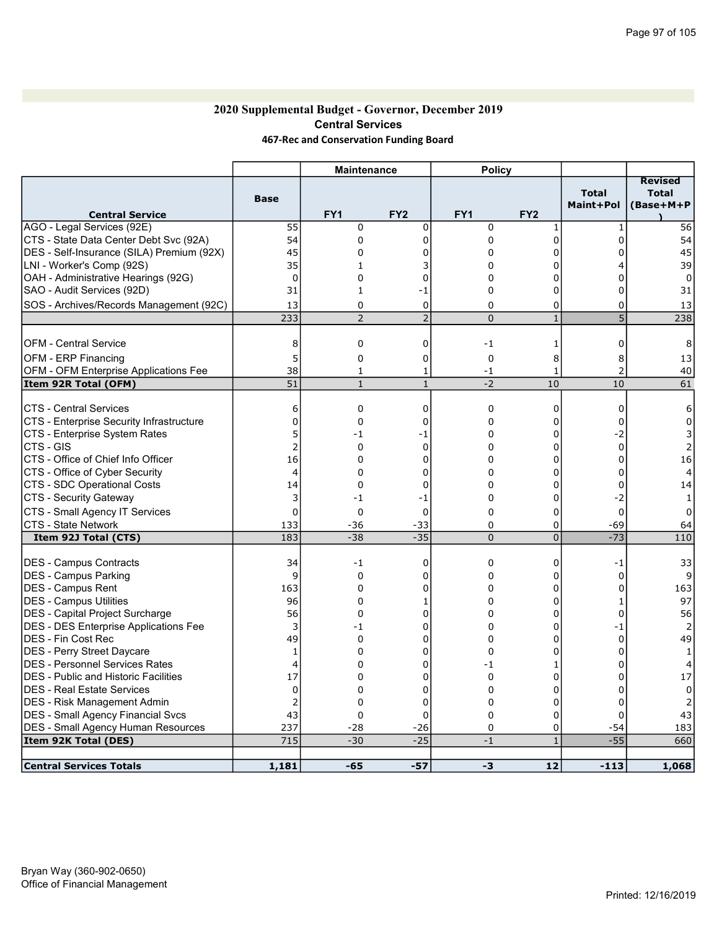## 2020 Supplemental Budget - Governor, December 2019 Central Services 467-Rec and Conservation Funding Board

|                                              |                | <b>Maintenance</b> |                 | <b>Policy</b>  |                 |                           |                                      |
|----------------------------------------------|----------------|--------------------|-----------------|----------------|-----------------|---------------------------|--------------------------------------|
| <b>Central Service</b>                       | <b>Base</b>    | FY <sub>1</sub>    | FY <sub>2</sub> | FY1            | FY <sub>2</sub> | <b>Total</b><br>Maint+Pol | <b>Revised</b><br>Total<br>(Base+M+P |
| AGO - Legal Services (92E)                   | 55             | $\Omega$           | $\Omega$        | 0              | $\mathbf{1}$    | $\mathbf{1}$              | 56                                   |
| CTS - State Data Center Debt Svc (92A)       | 54             | 0                  | $\Omega$        | 0              | $\Omega$        | $\Omega$                  | 54                                   |
| DES - Self-Insurance (SILA) Premium (92X)    | 45             | 0                  | $\Omega$        | 0              | 0               |                           | 45                                   |
| LNI - Worker's Comp (92S)                    | 35             | $\mathbf{1}$       |                 | 0              | 0               |                           | 39                                   |
| OAH - Administrative Hearings (92G)          | 0              | 0                  | 0               | 0              | 0               | 0                         | $\mathbf 0$                          |
| SAO - Audit Services (92D)                   | 31             | $\mathbf{1}$       | -1              | 0              | 0               | $\Omega$                  | 31                                   |
| SOS - Archives/Records Management (92C)      | 13             | $\mathbf 0$        | 0               | 0              | 0               | 0                         | 13                                   |
|                                              | 233            | $\overline{2}$     | $\overline{2}$  | $\overline{0}$ | $\mathbf{1}$    | 5                         | 238                                  |
|                                              |                |                    |                 |                |                 |                           |                                      |
| <b>OFM - Central Service</b>                 | 8              | 0                  | 0               | $-1$           | 1               | $\mathbf 0$               | 8                                    |
| <b>OFM - ERP Financing</b>                   | 5              | 0                  | 0               | $\overline{0}$ | 8               | 8                         | 13                                   |
| <b>OFM - OFM Enterprise Applications Fee</b> | 38             | $\mathbf{1}$       | $\mathbf{1}$    | $-1$           | $\mathbf{1}$    | $\overline{2}$            | 40                                   |
| Item 92R Total (OFM)                         | 51             | $\mathbf{1}$       | $\mathbf{1}$    | $-2$           | 10              | 10                        | 61                                   |
| <b>CTS - Central Services</b>                | 6              | 0                  | 0               | 0              | 0               | $\Omega$                  | 6                                    |
| CTS - Enterprise Security Infrastructure     | $\Omega$       | $\mathbf 0$        | $\Omega$        | 0              | 0               | $\Omega$                  | $\Omega$                             |
| CTS - Enterprise System Rates                | 5              | -1                 | -1              | 0              | 0               | -2                        |                                      |
| <b>CTS - GIS</b>                             | $\overline{2}$ | 0                  | 0               | 0              | 0               | $\mathbf 0$               |                                      |
| CTS - Office of Chief Info Officer           | 16             | $\mathbf 0$        | $\Omega$        | 0              | $\Omega$        | 0                         | 16                                   |
| CTS - Office of Cyber Security               | 4              | 0                  | 0               | 0              | 0               | 0                         | 4                                    |
| CTS - SDC Operational Costs                  | 14             | 0                  | $\mathbf 0$     | 0              | $\Omega$        | 0                         | 14                                   |
| CTS - Security Gateway                       | 3              | $-1$               | $-1$            | 0              | 0               | $-2$                      | 1                                    |
| CTS - Small Agency IT Services               | $\Omega$       | $\Omega$           | $\Omega$        | 0              | $\Omega$        | $\Omega$                  | 0                                    |
| <b>CTS - State Network</b>                   | 133            | $-36$              | $-33$           | 0              | 0               | $-69$                     | 64                                   |
| Item 92J Total (CTS)                         | 183            | $-38$              | $-35$           | $\overline{0}$ | $\overline{0}$  | $-73$                     | 110                                  |
| <b>IDES - Campus Contracts</b>               | 34             | -1                 | $\mathbf 0$     | 0              | 0               | -1                        | 33                                   |
| <b>DES - Campus Parking</b>                  | 9              | $\mathbf 0$        | $\Omega$        | 0              | 0               | $\Omega$                  | 9                                    |
| DES - Campus Rent                            | 163            | 0                  | 0               | 0              | $\mathbf 0$     | 0                         | 163                                  |
| <b>IDES - Campus Utilities</b>               | 96             | $\Omega$           | 1               | 0              | $\Omega$        | 1                         | 97                                   |
| DES - Capital Project Surcharge              | 56             | $\Omega$           | $\Omega$        | 0              | $\Omega$        | 0                         | 56                                   |
| <b>DES - DES Enterprise Applications Fee</b> | 3              | -1                 | $\Omega$        | 0              | $\Omega$        | -1                        | $\overline{2}$                       |
| DES - Fin Cost Rec                           | 49             | $\Omega$           | $\Omega$        | 0              | $\Omega$        | $\mathbf{0}$              | 49                                   |
| DES - Perry Street Daycare                   | 1              | 0                  | 0               | 0              | 0               | 0                         | 1                                    |
| DES - Personnel Services Rates               | 4              | $\Omega$           | 0               | -1             | 1               | 0                         |                                      |
| IDES - Public and Historic Facilities        | 17             | 0                  | 0               | 0              | 0               | 0                         | 17                                   |
| IDES - Real Estate Services                  | 0              | $\overline{0}$     | $\Omega$        | 0              | 0               | 0                         | $\Omega$                             |
| IDES - Risk Management Admin                 | $\overline{2}$ | $\mathbf 0$        | 0               | 0              | 0               | 0                         |                                      |
| DES - Small Agency Financial Svcs            | 43             | $\mathbf 0$        | 0               | 0              | 0               | 0                         | 43                                   |
| <b>DES - Small Agency Human Resources</b>    | 237            | $-28$              | $-26$           | 0              | 0               | $-54$                     | 183                                  |
| Item 92K Total (DES)                         | 715            | $-30$              | $-25$           | $-1$           | $\mathbf{1}$    | $-55$                     | 660                                  |
|                                              |                |                    |                 |                |                 |                           |                                      |
| <b>Central Services Totals</b>               | 1,181          | $-65$              | $-57$           | -3             | 12              | $-113$                    | 1,068                                |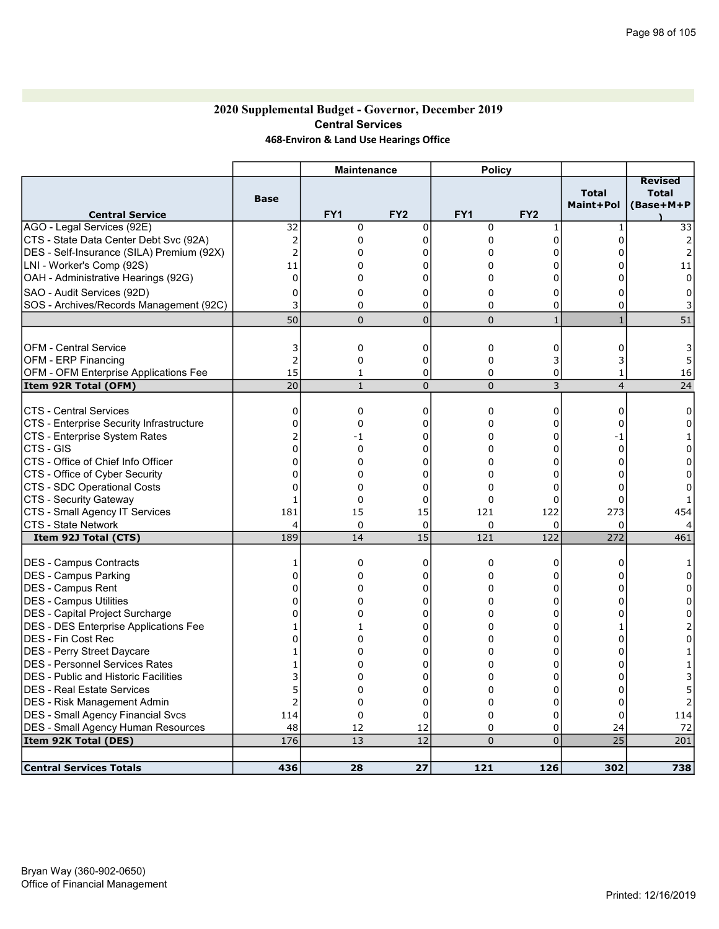## 2020 Supplemental Budget - Governor, December 2019 Central Services 468-Environ & Land Use Hearings Office

|                                              |                | <b>Maintenance</b> |                   | <b>Policy</b>   |                    |                           |                                             |
|----------------------------------------------|----------------|--------------------|-------------------|-----------------|--------------------|---------------------------|---------------------------------------------|
| <b>Central Service</b>                       | <b>Base</b>    | FY <sub>1</sub>    | FY <sub>2</sub>   | FY <sub>1</sub> | FY <sub>2</sub>    | <b>Total</b><br>Maint+Pol | <b>Revised</b><br><b>Total</b><br>(Base+M+P |
| AGO - Legal Services (92E)                   | 32             | 0                  | $\mathbf 0$       | 0               | 1                  | $\mathbf{1}$              | 33                                          |
| CTS - State Data Center Debt Svc (92A)       | 2              | $\mathbf 0$        | $\Omega$          | 0               | 0                  | 0                         | 2                                           |
| DES - Self-Insurance (SILA) Premium (92X)    | $\overline{2}$ | 0                  | 0                 | 0               | $\Omega$           |                           | 2                                           |
| LNI - Worker's Comp (92S)                    | 11             | $\Omega$           | 0                 | 0               | 0                  |                           | 11                                          |
| OAH - Administrative Hearings (92G)          | 0              | 0                  | 0                 | 0               | 0                  | 0                         | 0                                           |
| SAO - Audit Services (92D)                   | 0              | 0                  | 0                 | 0               | 0                  | 0                         | 0                                           |
| SOS - Archives/Records Management (92C)      | 3              | $\mathbf 0$        | $\mathbf 0$       | 0               | 0                  | $\mathbf 0$               |                                             |
|                                              | 50             | $\Omega$           | $\overline{0}$    | $\pmb{0}$       | $\mathbf{1}$       | $\mathbf{1}$              | 51                                          |
|                                              |                |                    |                   |                 |                    |                           |                                             |
| <b>OFM - Central Service</b>                 | 3              | 0                  | 0                 | 0               | 0                  | 0                         | 3                                           |
| <b>OFM - ERP Financing</b>                   | $\overline{2}$ | 0                  | 0                 | 0               | 3                  | 3                         | 5                                           |
| OFM - OFM Enterprise Applications Fee        | 15             | $\mathbf{1}$       | 0                 | 0               | 0                  | 1                         | 16                                          |
| Item 92R Total (OFM)                         | 20             | $\mathbf{1}$       | $\mathbf 0$       | $\overline{0}$  | 3                  | $\overline{4}$            | 24                                          |
| <b>CTS - Central Services</b>                | 0              | $\mathbf 0$        | 0                 | 0               | 0                  | 0                         | $\Omega$                                    |
| CTS - Enterprise Security Infrastructure     | 0              | 0                  | $\Omega$          | 0               | 0                  | 0                         | 0                                           |
| CTS - Enterprise System Rates                |                | -1                 | $\Omega$          | 0               | $\Omega$           | -1                        |                                             |
| CTS - GIS                                    | 0              | 0                  | 0                 | 0               | 0                  | $\mathbf 0$               | 0                                           |
| CTS - Office of Chief Info Officer           | 0              | $\Omega$           | $\Omega$          | 0               | $\Omega$           | 0                         | 0                                           |
| CTS - Office of Cyber Security               | $\Omega$       | 0                  | 0                 | 0               | 0                  | 0                         | 0                                           |
| CTS - SDC Operational Costs                  | $\Omega$       | $\Omega$           | $\Omega$          | 0               | $\Omega$           | 0                         | 0                                           |
|                                              | $\mathbf{1}$   | $\Omega$           | $\Omega$          | 0               | $\Omega$           | $\Omega$                  |                                             |
| CTS - Security Gateway                       | 181            | 15                 |                   |                 |                    | 273                       |                                             |
| CTS - Small Agency IT Services               | 4              | 0                  | 15<br>$\mathbf 0$ | 121<br>0        | 122<br>$\mathbf 0$ | $\Omega$                  | 454                                         |
| CTS - State Network<br>Item 92J Total (CTS)  | 189            | 14                 | 15                | 121             | 122                | 272                       | 461                                         |
|                                              |                |                    |                   |                 |                    |                           |                                             |
| <b>DES - Campus Contracts</b>                | 1              | $\mathbf 0$        | $\Omega$          | 0               | 0                  | 0                         |                                             |
| DES - Campus Parking                         | $\Omega$       | $\mathbf 0$        | $\Omega$          | 0               | $\Omega$           | U                         | $\Omega$                                    |
| <b>DES - Campus Rent</b>                     | $\Omega$       | 0                  | 0                 | 0               | 0                  | $\Omega$                  | 0                                           |
| <b>IDES - Campus Utilities</b>               | 0              | $\Omega$           | 0                 | 0               | $\Omega$           | $\Omega$                  | 0                                           |
| DES - Capital Project Surcharge              | 0              | 0                  | 0                 | 0               | 0                  | 0                         | 0                                           |
| <b>DES - DES Enterprise Applications Fee</b> |                | $\mathbf{1}$       | $\Omega$          | 0               | $\mathbf 0$        |                           |                                             |
| DES - Fin Cost Rec                           | $\Omega$       | $\Omega$           | $\Omega$          | 0               | 0                  | $\Omega$                  | $\Omega$                                    |
| DES - Perry Street Daycare                   |                | $\Omega$           | $\Omega$          | 0               | $\mathbf 0$        | 0                         |                                             |
| IDES - Personnel Services Rates              | 1              | 0                  | 0                 | 0               | $\Omega$           | $\Omega$                  |                                             |
| <b>DES</b> - Public and Historic Facilities  |                | 0                  | $\Omega$          | 0               | $\Omega$           | U                         |                                             |
| IDES - Real Estate Services                  | 5              | 0                  | $\Omega$          | 0               | $\Omega$           | O                         |                                             |
| DES - Risk Management Admin                  | 2              | $\mathbf 0$        | 0                 | 0               | $\Omega$           | 0                         |                                             |
| <b>DES - Small Agency Financial Svcs</b>     | 114            | $\Omega$           | $\Omega$          | 0               | $\mathbf 0$        | 0                         | 114                                         |
| DES - Small Agency Human Resources           | 48             | 12                 | 12                | 0               | 0                  | 24                        | 72                                          |
| Item 92K Total (DES)                         | 176            | 13                 | 12                | $\overline{0}$  | $\overline{0}$     | 25                        | 201                                         |
|                                              | 436            | 28                 | 27                | 121             | 126                | 302                       | 738                                         |
| <b>Central Services Totals</b>               |                |                    |                   |                 |                    |                           |                                             |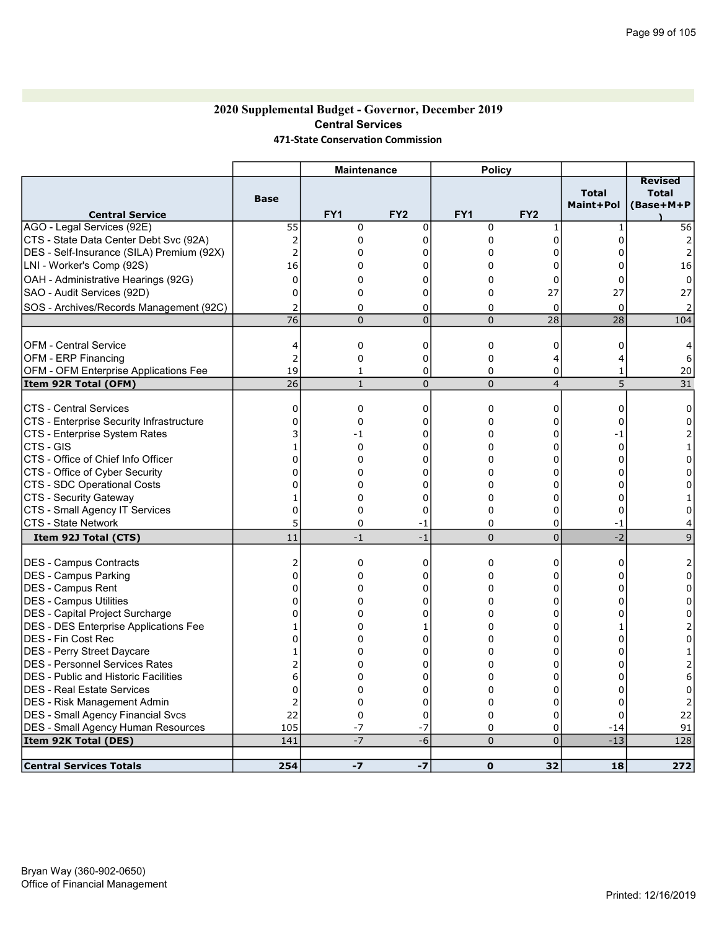### 2020 Supplemental Budget - Governor, December 2019 Central Services 471-State Conservation Commission

|                                              |                 | <b>Maintenance</b> |                 | <b>Policy</b>       |                 |                           |                                      |
|----------------------------------------------|-----------------|--------------------|-----------------|---------------------|-----------------|---------------------------|--------------------------------------|
| <b>Central Service</b>                       | <b>Base</b>     | FY <sub>1</sub>    | FY <sub>2</sub> | FY1                 | FY <sub>2</sub> | <b>Total</b><br>Maint+Pol | <b>Revised</b><br>Total<br>(Base+M+P |
| AGO - Legal Services (92E)                   | 55              | $\Omega$           | $\Omega$        | 0                   | $\mathbf{1}$    | $\mathbf{1}$              | 56                                   |
| CTS - State Data Center Debt Svc (92A)       | 2               | 0                  | $\Omega$        | 0                   | $\overline{0}$  | $\Omega$                  |                                      |
| DES - Self-Insurance (SILA) Premium (92X)    | $\overline{2}$  | 0                  | 0               | 0                   | 0               | 0                         | $\overline{2}$                       |
| LNI - Worker's Comp (92S)                    | 16              | $\Omega$           | 0               | 0                   | 0               | $\Omega$                  | 16                                   |
| OAH - Administrative Hearings (92G)          | $\mathbf 0$     | 0                  | 0               | 0                   | 0               | 0                         | 0                                    |
| SAO - Audit Services (92D)                   | 0               | 0                  | 0               | 0                   | 27              | 27                        | 27                                   |
| SOS - Archives/Records Management (92C)      | 2               | $\mathbf 0$        | 0               | 0                   | 0               | $\Omega$                  | 2                                    |
|                                              | $\overline{76}$ | $\Omega$           | $\overline{0}$  | $\overline{0}$      | 28              | 28                        | 104                                  |
|                                              |                 |                    |                 |                     |                 |                           |                                      |
| <b>OFM - Central Service</b>                 | 4               | 0                  | 0               | 0                   | 0               | 0                         |                                      |
| <b>OFM - ERP Financing</b>                   | $\overline{2}$  | 0                  | 0               | 0                   | 4               | 4                         | 6                                    |
| <b>OFM - OFM Enterprise Applications Fee</b> | 19              | $\mathbf{1}$       | 0               | 0                   | 0               | 1                         | 20                                   |
| Item 92R Total (OFM)                         | 26              | $\mathbf{1}$       | $\overline{0}$  | $\overline{0}$      | $\overline{4}$  | 5                         | $\overline{31}$                      |
|                                              |                 |                    |                 |                     |                 |                           |                                      |
| <b>CTS - Central Services</b>                | 0               | 0                  | 0               | 0                   | 0               | $\Omega$                  | $\Omega$                             |
| CTS - Enterprise Security Infrastructure     | $\Omega$        | 0                  | $\Omega$        | 0                   | 0               | $\Omega$                  | $\Omega$                             |
| CTS - Enterprise System Rates                |                 | -1                 | 0               | 0                   | 0               | -1                        |                                      |
| <b>CTS - GIS</b>                             | 1               | 0                  | $\Omega$        | 0                   | 0               | $\mathbf 0$               |                                      |
| CTS - Office of Chief Info Officer           | 0               | $\mathbf 0$        | $\Omega$        | 0                   | $\Omega$        | 0                         | 0                                    |
| CTS - Office of Cyber Security               | 0               | 0                  | 0               | 0                   | 0               | 0                         | 0                                    |
| CTS - SDC Operational Costs                  | U               | 0                  | 0               | 0                   | $\Omega$        | 0                         | ŋ                                    |
| CTS - Security Gateway                       | 1               | 0                  | 0               | 0                   | 0               | 0                         |                                      |
| CTS - Small Agency IT Services               | 0               | 0                  | 0               | 0                   | 0               | $\Omega$                  | 0                                    |
| <b>CTS - State Network</b>                   | 5               | 0                  | $-1$            | 0                   | 0               | $-1$                      |                                      |
| Item 92J Total (CTS)                         | 11              | $-1$               | $-1$            | 0                   | $\overline{0}$  | $-2$                      | 9                                    |
|                                              |                 |                    |                 |                     |                 |                           |                                      |
| <b>IDES - Campus Contracts</b>               | 2               | 0                  | 0               | 0                   | 0               | 0                         |                                      |
| <b>DES - Campus Parking</b>                  | $\Omega$        | $\mathbf 0$        | $\Omega$        | 0                   | 0               | <sup>0</sup>              | 0                                    |
| DES - Campus Rent                            | 0               | 0                  | 0               | 0                   | 0               | 0                         | 0                                    |
| <b>IDES - Campus Utilities</b>               | U               | $\Omega$           | $\Omega$        | 0                   | $\Omega$        | $\Omega$                  | 0                                    |
| DES - Capital Project Surcharge              | 0               | $\Omega$           | $\Omega$        | 0                   | $\Omega$        | 0                         | 0                                    |
| <b>DES - DES Enterprise Applications Fee</b> |                 | 0                  |                 | 0                   | $\Omega$        |                           |                                      |
| DES - Fin Cost Rec                           | 0               | $\Omega$           | $\Omega$        | $\Omega$            | $\Omega$        | O                         | $\Omega$                             |
| DES - Perry Street Daycare                   | 1               | 0                  | 0               | 0                   | 0               | 0                         |                                      |
| DES - Personnel Services Rates               |                 | 0                  | 0               | 0                   | 0               | 0                         |                                      |
| IDES - Public and Historic Facilities        | 6               | 0                  | 0               | 0                   | 0               | 0                         | 6                                    |
| IDES - Real Estate Services                  | 0               | $\overline{0}$     | $\Omega$        | 0                   | 0               | 0                         | 0                                    |
| IDES - Risk Management Admin                 | $\overline{2}$  | 0                  | $\mathbf 0$     | 0                   | 0               | 0                         |                                      |
| DES - Small Agency Financial Svcs            | 22              | 0                  | $\mathbf 0$     | 0                   | 0<br>0          | 0                         | 22                                   |
| <b>DES - Small Agency Human Resources</b>    | 105<br>141      | $-7$<br>$-7$       | $-7$<br>-6      | 0<br>$\overline{0}$ | $\Omega$        | $-14$<br>$-13$            | 91<br>128                            |
| Item 92K Total (DES)                         |                 |                    |                 |                     |                 |                           |                                      |
| <b>Central Services Totals</b>               | 254             | $-7$               | $-7$            | $\mathbf{0}$        | 32              | 18                        | 272                                  |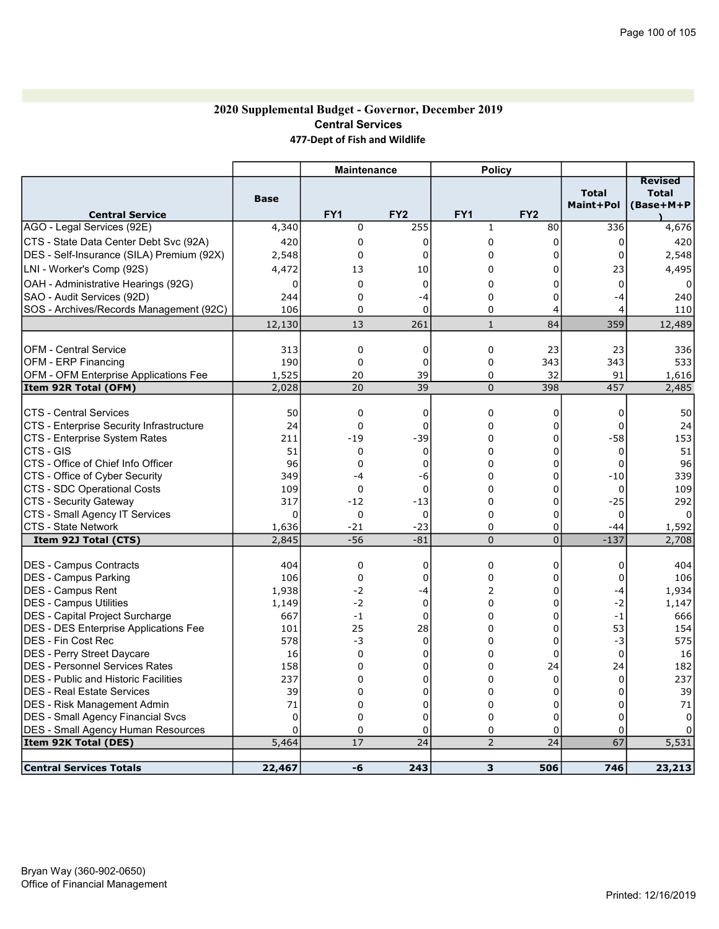#### 2020 Supplemental Budget - Governor, December 2019 Central Services 477-Dept of Fish and Wildlife

|                                                                                     |          | <b>Maintenance</b> |                 | <b>Policy</b>   |                 |                           |                                             |
|-------------------------------------------------------------------------------------|----------|--------------------|-----------------|-----------------|-----------------|---------------------------|---------------------------------------------|
| <b>Central Service</b>                                                              | Base     | FY <sub>1</sub>    | FY <sub>2</sub> | FY <sub>1</sub> | FY <sub>2</sub> | <b>Total</b><br>Maint+Pol | <b>Revised</b><br><b>Total</b><br>(Base+M+P |
| AGO - Legal Services (92E)                                                          | 4,340    | $\mathbf 0$        | 255             | $\mathbf{1}$    | 80              | 336                       | 4,676                                       |
|                                                                                     | 420      | $\mathbf 0$        | $\mathbf 0$     | 0               | $\mathbf 0$     | 0                         |                                             |
| CTS - State Data Center Debt Svc (92A)<br>DES - Self-Insurance (SILA) Premium (92X) |          | $\mathbf 0$        | $\mathbf 0$     | 0               | 0               | 0                         | 420                                         |
|                                                                                     | 2,548    |                    |                 |                 |                 |                           | 2,548                                       |
| LNI - Worker's Comp (92S)                                                           | 4,472    | 13                 | 10              | 0               | 0               | 23                        | 4,495                                       |
| OAH - Administrative Hearings (92G)                                                 | 0        | $\mathbf 0$        | 0               | 0               | $\Omega$        | $\mathbf 0$               | $\Omega$                                    |
| SAO - Audit Services (92D)                                                          | 244      | $\Omega$           | $-4$            | 0               | 0               | $-4$                      | 240                                         |
| SOS - Archives/Records Management (92C)                                             | 106      | 0                  | $\mathbf 0$     | $\Omega$        | 4               | 4                         | 110                                         |
|                                                                                     | 12,130   | 13                 | 261             | $1\,$           | 84              | 359                       | 12,489                                      |
| IOFM - Central Service                                                              | 313      | $\mathbf 0$        | 0               | 0               | 23              | 23                        | 336                                         |
| <b>OFM - ERP Financing</b>                                                          | 190      | $\mathbf 0$        | $\mathbf 0$     | 0               | 343             | 343                       | 533                                         |
| OFM - OFM Enterprise Applications Fee                                               | 1,525    | 20                 | 39              | 0               | 32              | 91                        | 1,616                                       |
| Item 92R Total (OFM)                                                                | 2,028    | 20                 | 39              | $\overline{0}$  | 398             | 457                       | 2,485                                       |
| ICTS - Central Services                                                             | 50       | $\mathbf 0$        | 0               | 0               | 0               | 0                         | 50                                          |
| CTS - Enterprise Security Infrastructure                                            | 24       | $\mathbf 0$        | $\mathbf 0$     | 0               | 0               | $\mathbf 0$               | 24                                          |
| CTS - Enterprise System Rates                                                       | 211      | $-19$              | $-39$           | 0               | $\overline{0}$  | $-58$                     | 153                                         |
| CTS - GIS                                                                           | 51       | $\mathbf 0$        | 0               | 0               | 0               | 0                         | 51                                          |
| CTS - Office of Chief Info Officer                                                  | 96       | $\mathbf 0$        | 0               | 0               | $\overline{0}$  | $\Omega$                  | 96                                          |
| CTS - Office of Cyber Security                                                      | 349      | -4                 | -6              | 0               | 0               | $-10$                     | 339                                         |
| CTS - SDC Operational Costs                                                         | 109      | $\mathbf 0$        | $\mathbf 0$     | 0               | 0               | 0                         | 109                                         |
| CTS - Security Gateway                                                              | 317      | $-12$              | $-13$           | $\Omega$        | $\Omega$        | $-25$                     | 292                                         |
| CTS - Small Agency IT Services                                                      | $\Omega$ | $\mathbf 0$        | $\mathbf 0$     | 0               | 0               | 0                         | $\Omega$                                    |
| CTS - State Network                                                                 | 1,636    | -21                | $-23$           | 0               | 0               | $-44$                     | 1,592                                       |
| Item 92J Total (CTS)                                                                | 2,845    | $-56$              | $-81$           | $\overline{0}$  | $\overline{0}$  | $-137$                    | 2,708                                       |
|                                                                                     |          |                    |                 |                 |                 |                           |                                             |
| DES - Campus Contracts                                                              | 404      | $\mathbf 0$        | 0               | 0               | 0               | 0                         | 404                                         |
| <b>DES - Campus Parking</b>                                                         | 106      | $\mathbf 0$        | $\Omega$        | 0               | 0               | $\Omega$                  | 106                                         |
| DES - Campus Rent                                                                   | 1,938    | -2                 | -4              | $\overline{2}$  | 0               | -4                        | 1,934                                       |
| <b>DES - Campus Utilities</b>                                                       | 1,149    | $-2$               | $\mathbf 0$     | 0               | 0               | $-2$                      | 1,147                                       |
| DES - Capital Project Surcharge                                                     | 667      | $-1$               | $\Omega$        | 0               | 0               | $-1$                      | 666                                         |
| DES - DES Enterprise Applications Fee                                               | 101      | 25                 | 28              | $\mathbf{0}$    | $\Omega$        | 53                        | 154                                         |
| DES - Fin Cost Rec                                                                  | 578      | -3                 | $\Omega$        | $\Omega$        | $\Omega$        | -3                        | 575                                         |
| <b>DES - Perry Street Daycare</b>                                                   | 16       | 0                  | 0               | 0               | $\overline{0}$  | $\mathbf 0$               | 16                                          |
| IDES - Personnel Services Rates                                                     | 158      | 0                  | $\Omega$        | 0               | 24              | 24                        | 182                                         |
| IDES - Public and Historic Facilities                                               | 237      | $\mathbf 0$        | 0               | 0               | 0               | $\mathbf 0$               | 237                                         |
| <b>DES - Real Estate Services</b>                                                   | 39       | 0                  | $\Omega$        | 0               | 0               | $\Omega$                  | 39                                          |
| DES - Risk Management Admin                                                         | 71       | $\mathbf 0$        | $\mathbf 0$     | 0               | 0               | $\Omega$                  | 71                                          |
| DES - Small Agency Financial Svcs                                                   | $\Omega$ | $\Omega$           | $\mathbf 0$     | 0               | 0               | $\Omega$                  | $\Omega$                                    |
| DES - Small Agency Human Resources                                                  | $\Omega$ | 0                  | $\mathbf 0$     | 0               | 0               | 0                         |                                             |
| Item 92K Total (DES)                                                                | 5,464    | 17                 | 24              | $\overline{2}$  | 24              | 67                        | 5,531                                       |
| <b>Central Services Totals</b>                                                      | 22,467   | -6                 | 243             | 3               | 506             | 746                       | 23,213                                      |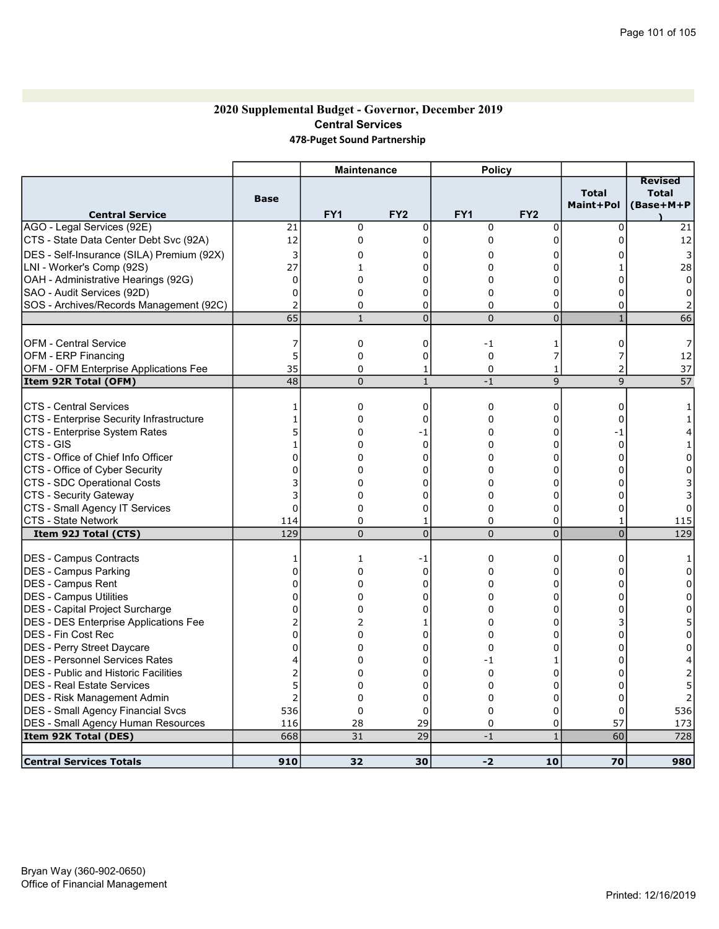### 2020 Supplemental Budget - Governor, December 2019 Central Services 478-Puget Sound Partnership

|                                                                    |                | <b>Maintenance</b>  |                     | <b>Policy</b>       |                     |                           |                                             |
|--------------------------------------------------------------------|----------------|---------------------|---------------------|---------------------|---------------------|---------------------------|---------------------------------------------|
| <b>Central Service</b>                                             | <b>Base</b>    | FY <sub>1</sub>     | FY <sub>2</sub>     | FY <sub>1</sub>     | FY <sub>2</sub>     | <b>Total</b><br>Maint+Pol | <b>Revised</b><br><b>Total</b><br>(Base+M+P |
| AGO - Legal Services (92E)                                         | 21             | 0                   | $\mathbf 0$         | 0                   | 0                   | $\mathbf 0$               | 21                                          |
| CTS - State Data Center Debt Svc (92A)                             | 12             | 0                   | $\Omega$            | 0                   | $\Omega$            | $\Omega$                  | 12                                          |
| DES - Self-Insurance (SILA) Premium (92X)                          | 3              | 0                   | 0                   | 0                   | 0                   | n                         | 3                                           |
| LNI - Worker's Comp (92S)                                          | 27             | $\mathbf{1}$        | 0                   | 0                   | 0                   |                           | 28                                          |
| OAH - Administrative Hearings (92G)                                | $\Omega$       | $\Omega$            | $\Omega$            | 0                   | $\Omega$            | U                         | $\Omega$                                    |
| SAO - Audit Services (92D)                                         | 0              | 0                   | 0                   | 0                   | 0                   | 0                         | 0                                           |
| SOS - Archives/Records Management (92C)                            | $\overline{2}$ | 0                   | 0                   | 0                   | 0                   | 0                         |                                             |
|                                                                    | 65             | $\mathbf{1}$        | $\overline{0}$      | $\overline{0}$      | $\overline{0}$      | $\mathbf{1}$              | 66                                          |
| <b>OFM - Central Service</b>                                       | 7              | 0                   | 0                   | $-1$                | 1                   | 0                         |                                             |
| <b>OFM - ERP Financing</b>                                         | 5              | 0                   | 0                   | 0                   | 7                   | 7                         | 12                                          |
| OFM - OFM Enterprise Applications Fee                              | 35             | $\Omega$            | 1                   | 0                   | $\mathbf{1}$        | $\overline{2}$            | 37                                          |
| Item 92R Total (OFM)                                               | 48             | $\Omega$            | $\mathbf{1}$        | $-1$                | 9                   | 9                         | 57                                          |
|                                                                    |                |                     |                     |                     |                     |                           |                                             |
| CTS - Central Services                                             | 1              | 0                   | 0                   | 0                   | 0                   | 0                         |                                             |
| CTS - Enterprise Security Infrastructure                           | 1              | 0                   | 0                   | 0                   | 0                   | $\Omega$                  |                                             |
| CTS - Enterprise System Rates                                      | 5              | $\Omega$            | -1                  | 0                   | 0                   | -1                        |                                             |
| CTS - GIS                                                          | 1              | 0                   | $\Omega$            | 0                   | $\mathbf 0$         | $\mathbf{0}$              |                                             |
| CTS - Office of Chief Info Officer                                 | 0              | 0                   | 0                   | 0                   | 0                   | 0                         | 0                                           |
| CTS - Office of Cyber Security                                     |                | 0                   | $\Omega$            | 0                   | 0                   | U                         | 0                                           |
| CTS - SDC Operational Costs                                        |                | $\mathbf 0$         | $\Omega$            | 0                   | $\Omega$            | $\Omega$                  |                                             |
| CTS - Security Gateway                                             | 3              | 0                   | 0                   | 0                   | 0                   | 0                         |                                             |
| CTS - Small Agency IT Services                                     | 0              | 0                   | 0                   | 0                   | 0                   | 0                         | 0                                           |
| <b>CTS - State Network</b><br>Item 92J Total (CTS)                 | 114<br>129     | 0<br>$\overline{0}$ | 1<br>$\overline{0}$ | 0<br>$\overline{0}$ | 0<br>$\overline{0}$ | 1<br>$\overline{0}$       | 115<br>129                                  |
|                                                                    |                |                     |                     |                     |                     |                           |                                             |
| DES - Campus Contracts                                             | 1              | 1                   | -1                  | 0                   | 0                   | 0                         |                                             |
| DES - Campus Parking                                               | $\Omega$       | 0                   | $\Omega$            | 0                   | 0                   | O                         |                                             |
| DES - Campus Rent                                                  | $\Omega$       | $\Omega$            | $\Omega$            | 0                   | 0                   | $\Omega$                  | 0                                           |
| IDES - Campus Utilities                                            | 0              | $\Omega$            | 0                   | 0                   | $\Omega$            | $\Omega$                  | 0                                           |
| DES - Capital Project Surcharge                                    | 0              | 0                   | 0                   | 0                   | 0                   | 0                         | 0                                           |
| <b>DES - DES Enterprise Applications Fee</b>                       |                | 2                   | 1                   | 0                   | 0                   |                           |                                             |
| DES - Fin Cost Rec                                                 | $\Omega$       | $\Omega$            | $\Omega$            | 0                   | $\mathbf 0$         | $\Omega$                  | $\Omega$                                    |
| DES - Perry Street Daycare                                         | 0              | 0                   | $\Omega$            | 0                   | 0                   | 0                         | 0                                           |
| IDES - Personnel Services Rates                                    | 4              | 0                   | 0                   | $-1$                | 1                   | 0                         |                                             |
| <b>DES</b> - Public and Historic Facilities                        | 2              | 0                   | 0                   | 0                   | 0                   | 0                         |                                             |
| <b>IDES - Real Estate Services</b>                                 | 5              | $\Omega$            | $\Omega$            | 0                   | $\Omega$            | $\Omega$                  |                                             |
| DES - Risk Management Admin                                        | $\overline{2}$ | 0                   | 0                   | 0                   | 0                   | 0                         |                                             |
| DES - Small Agency Financial Svcs                                  | 536            | 0                   | $\mathbf 0$         | 0                   | 0                   | 0                         | 536                                         |
| <b>DES - Small Agency Human Resources</b><br> Item 92K Total (DES) | 116<br>668     | 28<br>31            | 29<br>29            | 0<br>$-1$           | 0<br>$\mathbf{1}$   | 57<br>60                  | 173<br>728                                  |
|                                                                    |                |                     |                     |                     |                     |                           |                                             |
| <b>Central Services Totals</b>                                     | 910            | 32                  | 30                  | $-2$                | 10                  | 70                        | 980                                         |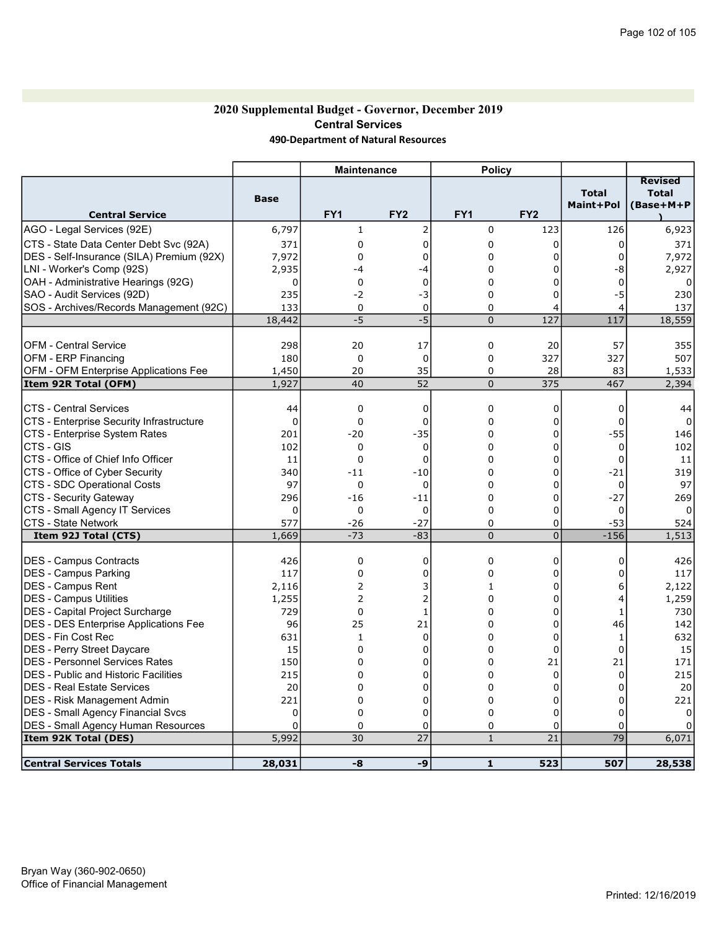## 2020 Supplemental Budget - Governor, December 2019 Central Services 490-Department of Natural Resources

|                                              |             | <b>Maintenance</b> |                 | <b>Policy</b>   |                 |                           |                                             |
|----------------------------------------------|-------------|--------------------|-----------------|-----------------|-----------------|---------------------------|---------------------------------------------|
| <b>Central Service</b>                       | <b>Base</b> | FY <sub>1</sub>    | FY <sub>2</sub> | FY <sub>1</sub> | FY <sub>2</sub> | <b>Total</b><br>Maint+Pol | <b>Revised</b><br><b>Total</b><br>(Base+M+P |
| AGO - Legal Services (92E)                   | 6,797       | $\mathbf{1}$       |                 | 0               | 123             | 126                       | 6,923                                       |
| CTS - State Data Center Debt Svc (92A)       | 371         | 0                  | 0               | 0               | $\mathbf 0$     | $\Omega$                  | 371                                         |
| DES - Self-Insurance (SILA) Premium (92X)    | 7,972       | $\mathbf 0$        | $\Omega$        | 0               | 0               | 0                         | 7,972                                       |
| LNI - Worker's Comp (92S)                    | 2,935       | -4                 | -4              | 0               | 0               | -8                        | 2,927                                       |
| OAH - Administrative Hearings (92G)          | 0           | $\mathbf 0$        | $\mathbf 0$     | 0               | $\overline{0}$  | $\mathbf{0}$              | 0                                           |
| SAO - Audit Services (92D)                   | 235         | $-2$               | -3              | 0               | $\mathbf 0$     | $-5$                      | 230                                         |
| SOS - Archives/Records Management (92C)      | 133         | 0                  | 0               | 0               | 4               | 4                         | 137                                         |
|                                              | 18,442      | $-5$               | $-5$            | 0               | 127             | 117                       | 18,559                                      |
|                                              |             |                    |                 |                 |                 |                           |                                             |
| <b>OFM - Central Service</b>                 | 298         | 20                 | 17              | 0               | 20              | 57                        | 355                                         |
| <b>OFM - ERP Financing</b>                   | 180         | 0                  | $\mathbf 0$     | 0               | 327             | 327                       | 507                                         |
| OFM - OFM Enterprise Applications Fee        | 1,450       | 20                 | 35              | 0               | 28              | 83                        | 1,533                                       |
| Item 92R Total (OFM)                         | 1,927       | 40                 | 52              | $\overline{0}$  | 375             | 467                       | 2,394                                       |
|                                              |             |                    |                 |                 |                 |                           |                                             |
| <b>CTS - Central Services</b>                | 44          | 0                  | 0               | 0               | 0               | 0                         | 44                                          |
| CTS - Enterprise Security Infrastructure     | 0           | $\mathbf 0$        | 0               | 0               | 0               | $\Omega$                  | $\Omega$                                    |
| CTS - Enterprise System Rates                | 201         | $-20$              | -35             | 0               | 0               | $-55$                     | 146                                         |
| CTS - GIS                                    | 102         | 0                  | $\mathbf 0$     | 0               | 0               | 0                         | 102                                         |
| CTS - Office of Chief Info Officer           | 11          | $\Omega$           | $\mathbf 0$     | 0               | $\Omega$        | 0                         | 11                                          |
| CTS - Office of Cyber Security               | 340         | $-11$              | $-10$           | 0               | $\mathbf 0$     | $-21$                     | 319                                         |
| CTS - SDC Operational Costs                  | 97          | 0                  | $\Omega$        | 0               | $\Omega$        | $\mathbf 0$               | 97                                          |
| CTS - Security Gateway                       | 296         | $-16$              | $-11$           | 0               | $\mathbf{0}$    | $-27$                     | 269                                         |
| CTS - Small Agency IT Services               | 0           | 0                  | 0               | 0               | $\mathbf 0$     | $\Omega$                  | $\Omega$                                    |
| CTS - State Network                          | 577         | $-26$              | $-27$           | 0               | 0               | $-53$                     | 524                                         |
| Item 92J Total (CTS)                         | 1,669       | $-73$              | $-83$           | $\overline{0}$  | $\mathbf 0$     | $-156$                    | 1,513                                       |
| DES - Campus Contracts                       | 426         | $\Omega$           | 0               | 0               | 0               | 0                         | 426                                         |
| DES - Campus Parking                         | 117         | 0                  | $\mathbf 0$     | 0               | 0               | 0                         | 117                                         |
| <b>IDES - Campus Rent</b>                    | 2,116       | $\overline{2}$     | 3               | 1               | 0               | 6                         | 2,122                                       |
| IDES - Campus Utilities                      | 1,255       | $\overline{2}$     | $\overline{2}$  | 0               | $\Omega$        | 4                         | 1,259                                       |
| DES - Capital Project Surcharge              | 729         | $\mathbf 0$        | 1               | 0               | $\overline{0}$  | 1                         | 730                                         |
| <b>DES - DES Enterprise Applications Fee</b> | 96          | 25                 | 21              | 0               | $\overline{0}$  | 46                        | 142                                         |
| <b>IDES - Fin Cost Rec</b>                   | 631         | $\mathbf{1}$       | $\mathbf 0$     | 0               | $\mathbf 0$     | $\mathbf{1}$              | 632                                         |
| DES - Perry Street Daycare                   | 15          | $\mathbf 0$        | $\Omega$        | 0               | $\Omega$        | $\Omega$                  | 15                                          |
| <b>DES - Personnel Services Rates</b>        | 150         | $\mathbf 0$        | $\Omega$        | 0               | 21              | 21                        | 171                                         |
| <b>DES</b> - Public and Historic Facilities  | 215         | 0                  | 0               | 0               | 0               | $\mathbf 0$               | 215                                         |
| <b>DES - Real Estate Services</b>            | 20          | 0                  | $\mathbf 0$     | 0               | $\mathbf 0$     | 0                         | 20                                          |
| <b>IDES - Risk Management Admin</b>          | 221         | 0                  | 0               | 0               | 0               | 0                         | 221                                         |
| <b>DES - Small Agency Financial Svcs</b>     | 0           | $\mathbf 0$        | $\mathbf 0$     | 0               | 0               | 0                         | 0                                           |
| DES - Small Agency Human Resources           | $\Omega$    | $\mathbf 0$        | 0               | 0               | 0               | $\mathbf 0$               |                                             |
| Item 92K Total (DES)                         | 5,992       | 30                 | 27              | $\mathbf{1}$    | 21              | 79                        | 6,071                                       |
|                                              |             |                    |                 |                 |                 |                           |                                             |
| <b>Central Services Totals</b>               | 28,031      | -8                 | -9              | $\mathbf{1}$    | 523             | 507                       | 28,538                                      |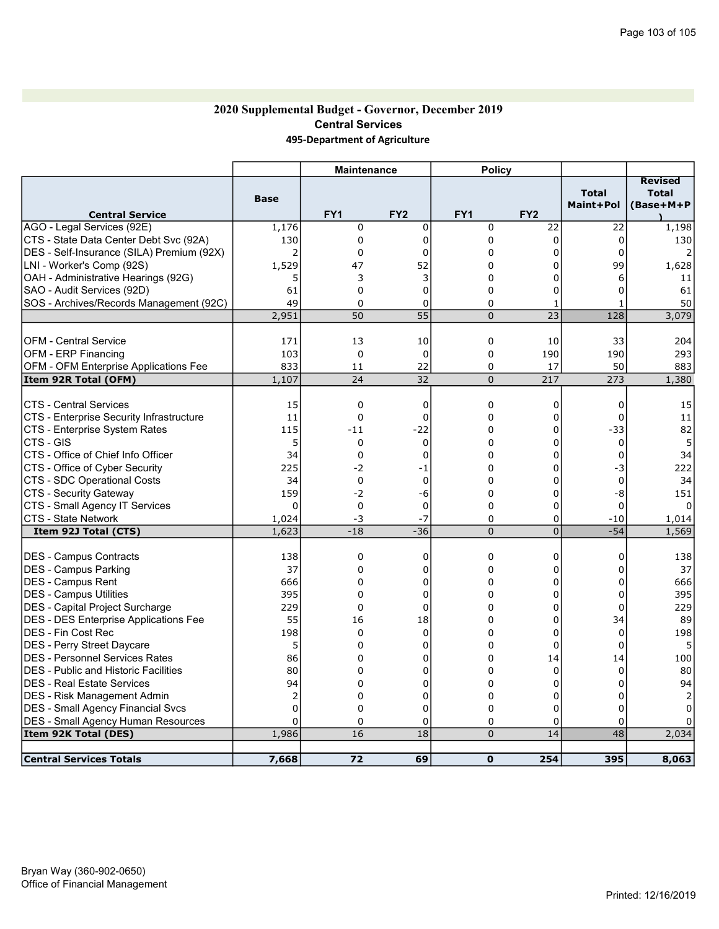### 2020 Supplemental Budget - Governor, December 2019 Central Services 495-Department of Agriculture

|                                                          |                | <b>Maintenance</b> |                 | <b>Policy</b>  |                 |                           |                                             |
|----------------------------------------------------------|----------------|--------------------|-----------------|----------------|-----------------|---------------------------|---------------------------------------------|
| <b>Central Service</b>                                   | <b>Base</b>    | FY <sub>1</sub>    | FY <sub>2</sub> | FY1            | FY <sub>2</sub> | <b>Total</b><br>Maint+Pol | <b>Revised</b><br><b>Total</b><br>(Base+M+P |
| AGO - Legal Services (92E)                               | 1,176          | 0                  | 0               | 0              | 22              | 22                        | 1,198                                       |
| CTS - State Data Center Debt Svc (92A)                   | 130            | 0                  | 0               | 0              | 0               | 0                         | 130                                         |
| DES - Self-Insurance (SILA) Premium (92X)                | 2              | 0                  | 0               | 0              | 0               | $\Omega$                  |                                             |
| LNI - Worker's Comp (92S)                                | 1,529          | 47                 | 52              | 0              | 0               | 99                        | 1,628                                       |
| OAH - Administrative Hearings (92G)                      | 5              | 3                  | 3               | 0              | 0               | 6                         | 11                                          |
| SAO - Audit Services (92D)                               | 61             | $\mathbf 0$        | $\Omega$        | 0              | 0               | 0                         | 61                                          |
| SOS - Archives/Records Management (92C)                  | 49             | $\Omega$           | 0               | 0              | 1               |                           | 50                                          |
|                                                          | 2,951          | 50                 | 55              | $\overline{0}$ | 23              | 128                       | 3,079                                       |
|                                                          |                |                    |                 |                |                 |                           |                                             |
| <b>OFM - Central Service</b>                             | 171            | 13                 | 10              | 0              | 10              | 33                        | 204                                         |
| OFM - ERP Financing                                      | 103            | $\mathbf 0$        | $\mathbf 0$     | 0              | 190             | 190                       | 293                                         |
| <b>OFM - OFM Enterprise Applications Fee</b>             | 833            | 11                 | 22              | 0              | 17              | 50                        | 883                                         |
| Item 92R Total (OFM)                                     | 1,107          | 24                 | 32              | 0              | 217             | 273                       | 1,380                                       |
| <b>CTS - Central Services</b>                            | 15             | 0                  | 0               | 0              | 0               | 0                         | 15                                          |
| CTS - Enterprise Security Infrastructure                 | 11             | $\Omega$           | $\Omega$        | 0              | $\mathbf 0$     | $\Omega$                  | 11                                          |
| CTS - Enterprise System Rates                            | 115            | $-11$              | $-22$           | 0              | $\mathbf 0$     | $-33$                     | 82                                          |
| CTS - GIS                                                | 5              | 0                  | 0               | 0              | 0               | $\mathbf 0$               | 5                                           |
| CTS - Office of Chief Info Officer                       | 34             | $\Omega$           | $\Omega$        | 0              | 0               | $\mathbf 0$               | 34                                          |
|                                                          | 225            | $-2$               |                 |                | 0               |                           |                                             |
| CTS - Office of Cyber Security                           |                | $\mathbf 0$        | -1              | 0<br>$\Omega$  | $\Omega$        | -3                        | 222                                         |
| CTS - SDC Operational Costs                              | 34             |                    | $\mathbf 0$     |                |                 | $\mathbf 0$               | 34                                          |
| CTS - Security Gateway<br>CTS - Small Agency IT Services | 159            | $-2$               | -6              | 0              | 0               | -8                        | 151                                         |
|                                                          | 0              | 0<br>-3            | 0               | 0<br>0         | 0<br>0          | $\mathbf 0$               |                                             |
| <b>CTS - State Network</b><br>Item 92J Total (CTS)       | 1,024<br>1,623 | $-18$              | $-7$<br>$-36$   | 0              | $\overline{0}$  | $\textbf{-10}$<br>$-54$   | 1,014<br>1,569                              |
|                                                          |                |                    |                 |                |                 |                           |                                             |
| DES - Campus Contracts                                   | 138            | $\Omega$           | $\Omega$        | 0              | 0               | 0                         | 138                                         |
| <b>DES - Campus Parking</b>                              | 37             | $\mathbf 0$        | $\Omega$        | 0              | $\Omega$        | 0                         | 37                                          |
| <b>DES - Campus Rent</b>                                 | 666            | 0                  | 0               | 0              | 0               | 0                         | 666                                         |
| DES - Campus Utilities                                   | 395            | $\Omega$           | $\Omega$        | 0              | $\Omega$        | $\Omega$                  | 395                                         |
| DES - Capital Project Surcharge                          | 229            | $\Omega$           | $\Omega$        | 0              | $\mathbf 0$     | $\Omega$                  | 229                                         |
| <b>DES - DES Enterprise Applications Fee</b>             | 55             | 16                 | 18              | 0              | 0               | 34                        | 89                                          |
| IDES - Fin Cost Rec                                      | 198            | 0                  | $\Omega$        | 0              | $\mathbf 0$     | $\mathbf 0$               | 198                                         |
| DES - Perry Street Daycare                               | 5              | 0                  | 0               | 0              | 0               | 0                         | 5                                           |
| DES - Personnel Services Rates                           | 86             | $\mathbf 0$        | $\Omega$        | 0              | 14              | 14                        | 100                                         |
| <b>DES</b> - Public and Historic Facilities              | 80             | 0                  | 0               | 0              | 0               | $\mathbf 0$               | 80                                          |
| IDES - Real Estate Services                              | 94             | 0                  | $\Omega$        | 0              | $\mathbf 0$     | 0                         | 94                                          |
| DES - Risk Management Admin                              | $\overline{2}$ | $\Omega$           | $\Omega$        | 0              | 0               | $\Omega$                  |                                             |
| DES - Small Agency Financial Svcs                        | $\Omega$       | 0                  | 0               | 0              | 0               | 0                         |                                             |
| <b>DES - Small Agency Human Resources</b>                | 0              | 0                  | 0               | 0              | 0               | 0                         |                                             |
| Item 92K Total (DES)                                     | 1,986          | 16                 | 18              | $\Omega$       | 14              | 48                        | 2,034                                       |
|                                                          |                |                    |                 |                |                 |                           |                                             |
| Central Services Totals                                  | 7,668          | 72                 | 69              | $\mathbf{0}$   | 254             | 395                       | 8,063                                       |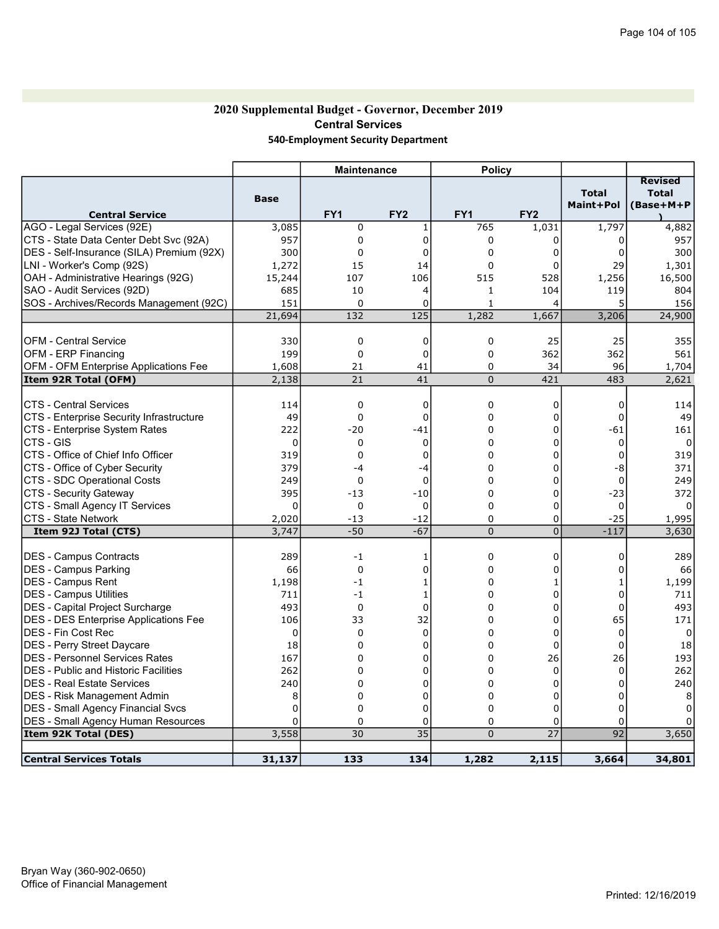## 2020 Supplemental Budget - Governor, December 2019 Central Services 540-Employment Security Department

|                                              |             | <b>Maintenance</b> |                  | <b>Policy</b>  |                 |                           |                                             |
|----------------------------------------------|-------------|--------------------|------------------|----------------|-----------------|---------------------------|---------------------------------------------|
| <b>Central Service</b>                       | <b>Base</b> | FY <sub>1</sub>    | FY <sub>2</sub>  | FY1            | FY <sub>2</sub> | <b>Total</b><br>Maint+Pol | <b>Revised</b><br><b>Total</b><br>(Base+M+P |
| AGO - Legal Services (92E)                   | 3,085       | 0                  | $\mathbf{1}$     | 765            | 1,031           | 1,797                     | 4,882                                       |
| CTS - State Data Center Debt Svc (92A)       | 957         | 0                  | 0                | 0              | 0               | 0                         | 957                                         |
| DES - Self-Insurance (SILA) Premium (92X)    | 300         | 0                  | 0                | 0              | 0               | $\Omega$                  | 300                                         |
| LNI - Worker's Comp (92S)                    | 1,272       | 15                 | 14               | 0              | $\Omega$        | 29                        | 1,301                                       |
| OAH - Administrative Hearings (92G)          | 15,244      | 107                | 106              | 515            | 528             | 1,256                     | 16,500                                      |
| SAO - Audit Services (92D)                   | 685         | 10                 | $\overline{4}$   | $\mathbf{1}$   | 104             | 119                       | 804                                         |
| SOS - Archives/Records Management (92C)      | 151         | 0                  | $\Omega$         | $\mathbf{1}$   | 4               | 5                         | 156                                         |
|                                              | 21,694      | 132                | $\overline{125}$ | 1,282          | 1,667           | 3,206                     | 24,900                                      |
|                                              |             |                    |                  |                |                 |                           |                                             |
| <b>OFM - Central Service</b>                 | 330         | 0<br>$\Omega$      | 0                | 0              | 25              | 25                        | 355                                         |
| OFM - ERP Financing                          | 199         |                    | $\mathbf 0$      | 0              | 362             | 362                       | 561                                         |
| <b>OFM - OFM Enterprise Applications Fee</b> | 1,608       | 21                 | 41<br>41         | 0              | 34              | 96                        | 1,704                                       |
| Item 92R Total (OFM)                         | 2,138       | 21                 |                  | 0              | 421             | 483                       | 2,621                                       |
| <b>CTS - Central Services</b>                | 114         | 0                  | 0                | 0              | 0               | 0                         | 114                                         |
| CTS - Enterprise Security Infrastructure     | 49          | $\Omega$           | $\Omega$         | 0              | $\mathbf 0$     | $\Omega$                  | 49                                          |
| CTS - Enterprise System Rates                | 222         | $-20$              | $-41$            | 0              | $\mathbf 0$     | $-61$                     | 161                                         |
| CTS - GIS                                    | 0           | 0                  | 0                | 0              | 0               | $\mathbf 0$               | 0                                           |
| CTS - Office of Chief Info Officer           | 319         | $\Omega$           | $\mathbf 0$      | 0              | 0               | $\mathbf 0$               | 319                                         |
| CTS - Office of Cyber Security               | 379         | $-4$               | -4               | 0              | 0               | -8                        | 371                                         |
| CTS - SDC Operational Costs                  | 249         | $\mathbf 0$        | $\mathbf 0$      | $\Omega$       | $\Omega$        | $\mathbf 0$               | 249                                         |
| <b>CTS - Security Gateway</b>                | 395         | $-13$              | $-10$            | 0              | 0               | $-23$                     | 372                                         |
| CTS - Small Agency IT Services               | 0           | 0                  | 0                | 0              | 0               | 0                         |                                             |
| <b>CTS - State Network</b>                   | 2,020       | $-13$              | $-12$            | 0              | $\Omega$        | $-25$                     | 1,995                                       |
| Item 92J Total (CTS)                         | 3,747       | $-50$              | $-67$            | 0              | $\overline{0}$  | $-117$                    | 3,630                                       |
| DES - Campus Contracts                       | 289         | $-1$               | 1                | 0              | 0               | 0                         | 289                                         |
| DES - Campus Parking                         | 66          | $\Omega$           | $\Omega$         | 0              | $\Omega$        | 0                         | 66                                          |
| <b>DES - Campus Rent</b>                     | 1,198       | $-1$               | 1                | 0              | 1               | 1                         | 1,199                                       |
| DES - Campus Utilities                       | 711         | $-1$               | 1                | 0              | $\mathbf 0$     | 0                         | 711                                         |
| DES - Capital Project Surcharge              | 493         | 0                  | $\Omega$         | 0              | 0               | $\Omega$                  | 493                                         |
| <b>DES - DES Enterprise Applications Fee</b> | 106         | 33                 | 32               | 0              | 0               | 65                        | 171                                         |
| IDES - Fin Cost Rec                          | 0           | 0                  | $\Omega$         | 0              | 0               | $\mathbf 0$               | $\Omega$                                    |
| DES - Perry Street Daycare                   | 18          | 0                  | 0                | 0              | $\mathbf 0$     | $\Omega$                  | 18                                          |
| DES - Personnel Services Rates               | 167         | $\Omega$           | $\Omega$         | 0              | 26              | 26                        | 193                                         |
| <b>DES</b> - Public and Historic Facilities  | 262         | 0                  | 0                | 0              | 0               | $\mathbf 0$               | 262                                         |
| IDES - Real Estate Services                  | 240         | 0                  | $\Omega$         | 0              | $\mathbf 0$     | 0                         | 240                                         |
| DES - Risk Management Admin                  | 8           | $\Omega$           | $\Omega$         | 0              | 0               | $\Omega$                  | 8                                           |
| DES - Small Agency Financial Svcs            | 0           | 0                  | 0                | 0              | 0               | 0                         | O                                           |
| DES - Small Agency Human Resources           | 0           | 0                  | 0                | 0              | 0               | 0                         |                                             |
| Item 92K Total (DES)                         | 3,558       | 30                 | $\overline{35}$  | $\overline{0}$ | $\overline{27}$ | $\overline{92}$           | 3,650                                       |
|                                              |             |                    |                  |                |                 |                           |                                             |
| Central Services Totals                      | 31,137      | 133                | 134              | 1,282          | 2,115           | 3,664                     | 34,801                                      |